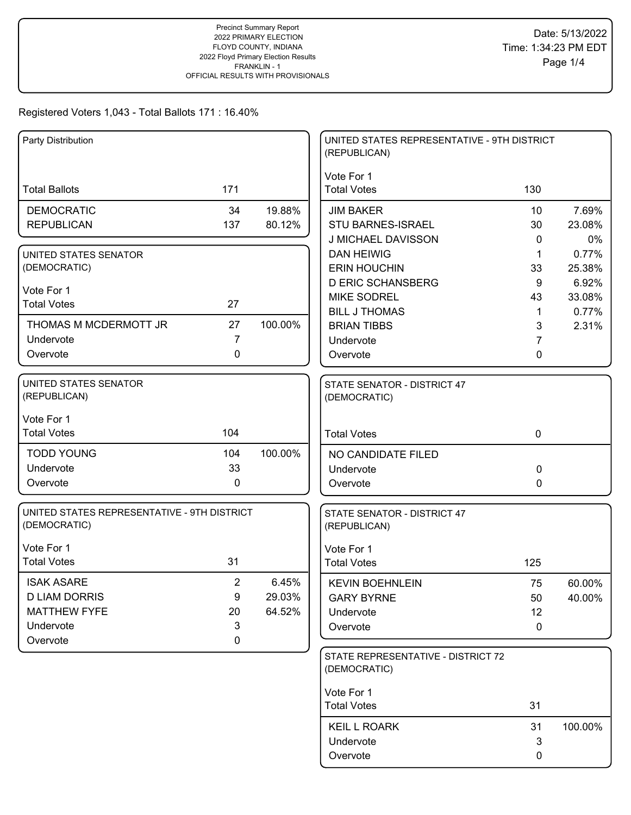| Party Distribution                                          |                |         | UNITED STATES REPRESENTATIVE - 9TH DISTRICT<br>(REPUBLICAN) |             |         |
|-------------------------------------------------------------|----------------|---------|-------------------------------------------------------------|-------------|---------|
| <b>Total Ballots</b>                                        | 171            |         | Vote For 1<br><b>Total Votes</b>                            | 130         |         |
| <b>DEMOCRATIC</b>                                           | 34             | 19.88%  | <b>JIM BAKER</b>                                            | 10          | 7.69%   |
| <b>REPUBLICAN</b>                                           | 137            | 80.12%  | STU BARNES-ISRAEL                                           | 30          | 23.08%  |
|                                                             |                |         | J MICHAEL DAVISSON                                          | 0           | 0%      |
| UNITED STATES SENATOR                                       |                |         | <b>DAN HEIWIG</b>                                           | 1           | 0.77%   |
| (DEMOCRATIC)                                                |                |         | <b>ERIN HOUCHIN</b>                                         | 33          | 25.38%  |
| Vote For 1                                                  |                |         | <b>D ERIC SCHANSBERG</b>                                    | 9           | 6.92%   |
| <b>Total Votes</b>                                          | 27             |         | <b>MIKE SODREL</b>                                          | 43          | 33.08%  |
|                                                             |                |         | <b>BILL J THOMAS</b>                                        | 1           | 0.77%   |
| THOMAS M MCDERMOTT JR                                       | 27             | 100.00% | <b>BRIAN TIBBS</b>                                          | 3           | 2.31%   |
| Undervote                                                   | $\overline{7}$ |         | Undervote                                                   | 7           |         |
| Overvote                                                    | 0              |         | Overvote                                                    | 0           |         |
| UNITED STATES SENATOR<br>(REPUBLICAN)                       |                |         | <b>STATE SENATOR - DISTRICT 47</b><br>(DEMOCRATIC)          |             |         |
| Vote For 1                                                  |                |         |                                                             |             |         |
| <b>Total Votes</b>                                          | 104            |         | <b>Total Votes</b>                                          | $\mathbf 0$ |         |
| <b>TODD YOUNG</b>                                           | 104            | 100.00% | NO CANDIDATE FILED                                          |             |         |
| Undervote                                                   | 33             |         | Undervote                                                   | 0           |         |
| Overvote                                                    | $\mathbf 0$    |         | Overvote                                                    | 0           |         |
| UNITED STATES REPRESENTATIVE - 9TH DISTRICT<br>(DEMOCRATIC) |                |         | STATE SENATOR - DISTRICT 47<br>(REPUBLICAN)                 |             |         |
| Vote For 1                                                  |                |         | Vote For 1                                                  |             |         |
| <b>Total Votes</b>                                          | 31             |         | <b>Total Votes</b>                                          | 125         |         |
| <b>ISAK ASARE</b>                                           | $\overline{2}$ | 6.45%   | <b>KEVIN BOEHNLEIN</b>                                      | 75          | 60.00%  |
| <b>D LIAM DORRIS</b>                                        | 9              | 29.03%  | <b>GARY BYRNE</b>                                           | 50          | 40.00%  |
| <b>MATTHEW FYFE</b>                                         | 20             | 64.52%  | Undervote                                                   | 12          |         |
| Undervote                                                   | 3              |         | Overvote                                                    | 0           |         |
| Overvote                                                    | $\mathbf 0$    |         |                                                             |             |         |
|                                                             |                |         | STATE REPRESENTATIVE - DISTRICT 72<br>(DEMOCRATIC)          |             |         |
|                                                             |                |         | Vote For 1                                                  |             |         |
|                                                             |                |         | <b>Total Votes</b>                                          | 31          |         |
|                                                             |                |         | <b>KEIL L ROARK</b>                                         | 31          | 100.00% |
|                                                             |                |         | Undervote                                                   | 3           |         |
|                                                             |                |         | Overvote                                                    | 0           |         |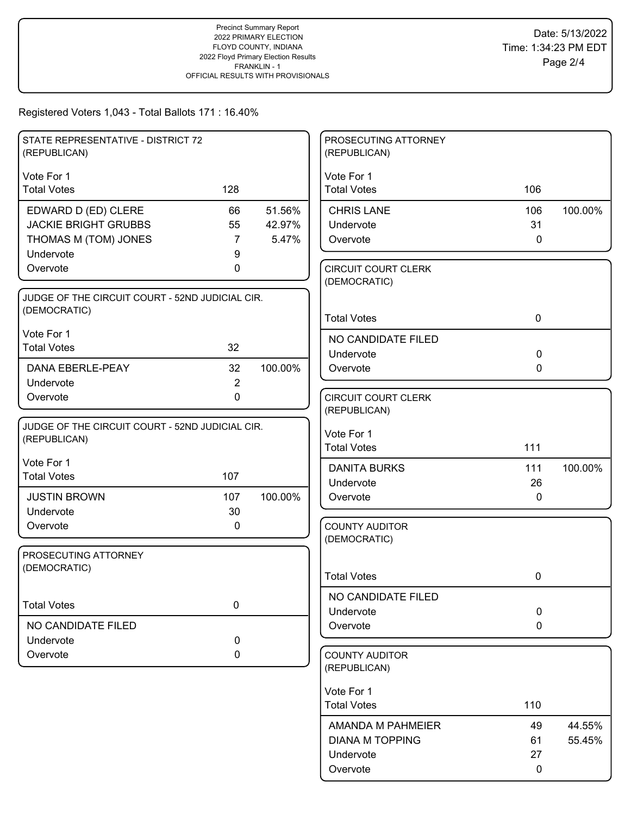| STATE REPRESENTATIVE - DISTRICT 72<br>(REPUBLICAN)              |                |         | PROSECUTING ATTORNEY<br>(REPUBLICAN)       |              |         |
|-----------------------------------------------------------------|----------------|---------|--------------------------------------------|--------------|---------|
| Vote For 1                                                      |                |         | Vote For 1                                 |              |         |
| <b>Total Votes</b>                                              | 128            |         | <b>Total Votes</b>                         | 106          |         |
| EDWARD D (ED) CLERE                                             | 66             | 51.56%  | <b>CHRIS LANE</b>                          | 106          | 100.00% |
| <b>JACKIE BRIGHT GRUBBS</b>                                     | 55             | 42.97%  | Undervote                                  | 31           |         |
| THOMAS M (TOM) JONES                                            | $\overline{7}$ | 5.47%   | Overvote                                   | $\mathbf 0$  |         |
| Undervote                                                       | 9              |         |                                            |              |         |
| Overvote                                                        | 0              |         | <b>CIRCUIT COURT CLERK</b><br>(DEMOCRATIC) |              |         |
| JUDGE OF THE CIRCUIT COURT - 52ND JUDICIAL CIR.                 |                |         |                                            |              |         |
| (DEMOCRATIC)                                                    |                |         | <b>Total Votes</b>                         | $\mathbf 0$  |         |
| Vote For 1                                                      |                |         | NO CANDIDATE FILED                         |              |         |
| <b>Total Votes</b>                                              | 32             |         | Undervote                                  | $\mathbf 0$  |         |
| DANA EBERLE-PEAY                                                | 32             | 100.00% | Overvote                                   | $\mathbf 0$  |         |
| Undervote                                                       | $\overline{c}$ |         |                                            |              |         |
| Overvote                                                        | 0              |         | <b>CIRCUIT COURT CLERK</b>                 |              |         |
|                                                                 |                |         | (REPUBLICAN)                               |              |         |
| JUDGE OF THE CIRCUIT COURT - 52ND JUDICIAL CIR.<br>(REPUBLICAN) |                |         | Vote For 1                                 |              |         |
|                                                                 |                |         | <b>Total Votes</b>                         | 111          |         |
| Vote For 1                                                      |                |         | <b>DANITA BURKS</b>                        | 111          | 100.00% |
| <b>Total Votes</b>                                              | 107            |         | Undervote                                  | 26           |         |
| <b>JUSTIN BROWN</b>                                             | 107            | 100.00% | Overvote                                   | $\mathbf{0}$ |         |
| Undervote                                                       | 30             |         |                                            |              |         |
| Overvote                                                        | 0              |         | <b>COUNTY AUDITOR</b>                      |              |         |
|                                                                 |                |         | (DEMOCRATIC)                               |              |         |
| PROSECUTING ATTORNEY<br>(DEMOCRATIC)                            |                |         |                                            |              |         |
|                                                                 |                |         | <b>Total Votes</b>                         | 0            |         |
|                                                                 |                |         | NO CANDIDATE FILED                         |              |         |
| <b>Total Votes</b>                                              | $\pmb{0}$      |         | Undervote                                  | $\mathbf 0$  |         |
| NO CANDIDATE FILED                                              |                |         | Overvote                                   | $\mathbf 0$  |         |
| Undervote                                                       | 0              |         |                                            |              |         |
| Overvote                                                        | 0              |         | <b>COUNTY AUDITOR</b><br>(REPUBLICAN)      |              |         |
|                                                                 |                |         | Vote For 1                                 |              |         |
|                                                                 |                |         | <b>Total Votes</b>                         | 110          |         |
|                                                                 |                |         | AMANDA M PAHMEIER                          | 49           | 44.55%  |
|                                                                 |                |         | <b>DIANA M TOPPING</b>                     | 61           | 55.45%  |
|                                                                 |                |         | Undervote                                  | 27           |         |
|                                                                 |                |         | Overvote                                   | 0            |         |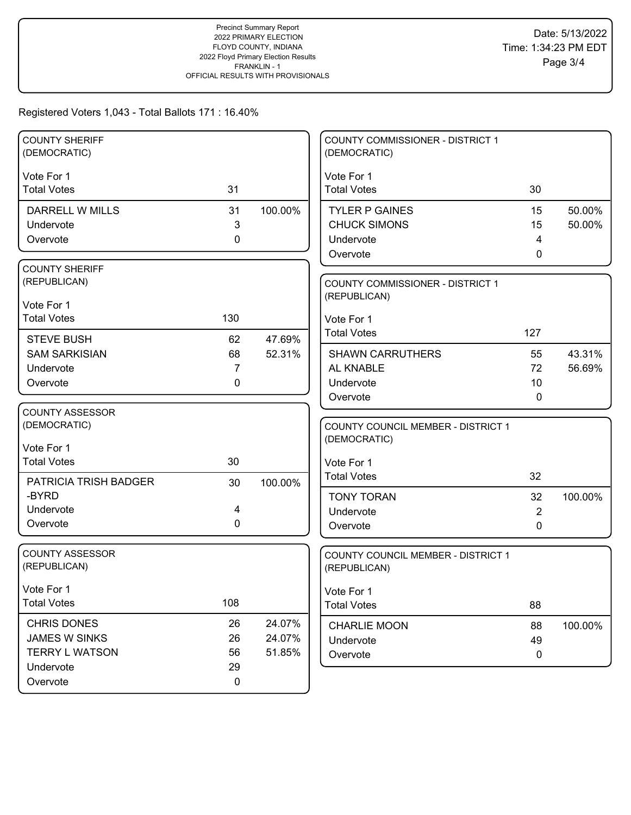| <b>COUNTY SHERIFF</b><br>(DEMOCRATIC) |             |         | <b>COUNTY COMMISSIONER - DISTRICT 1</b><br>(DEMOCRATIC) |                |                  |
|---------------------------------------|-------------|---------|---------------------------------------------------------|----------------|------------------|
| Vote For 1                            |             |         | Vote For 1                                              |                |                  |
| <b>Total Votes</b>                    | 31          |         | <b>Total Votes</b>                                      | 30             |                  |
|                                       |             |         |                                                         |                |                  |
| <b>DARRELL W MILLS</b>                | 31<br>3     | 100.00% | <b>TYLER P GAINES</b><br><b>CHUCK SIMONS</b>            | 15<br>15       | 50.00%<br>50.00% |
| Undervote<br>Overvote                 | $\mathbf 0$ |         | Undervote                                               | 4              |                  |
|                                       |             |         | Overvote                                                | 0              |                  |
| <b>COUNTY SHERIFF</b>                 |             |         |                                                         |                |                  |
| (REPUBLICAN)                          |             |         | <b>COUNTY COMMISSIONER - DISTRICT 1</b>                 |                |                  |
|                                       |             |         | (REPUBLICAN)                                            |                |                  |
| Vote For 1                            |             |         |                                                         |                |                  |
| <b>Total Votes</b>                    | 130         |         | Vote For 1                                              |                |                  |
| <b>STEVE BUSH</b>                     | 62          | 47.69%  | <b>Total Votes</b>                                      | 127            |                  |
| <b>SAM SARKISIAN</b>                  | 68          | 52.31%  | <b>SHAWN CARRUTHERS</b>                                 | 55             | 43.31%           |
| Undervote                             | 7           |         | AL KNABLE                                               | 72             | 56.69%           |
| Overvote                              | 0           |         | Undervote                                               | 10             |                  |
|                                       |             |         | Overvote                                                | 0              |                  |
| <b>COUNTY ASSESSOR</b>                |             |         |                                                         |                |                  |
| (DEMOCRATIC)                          |             |         | COUNTY COUNCIL MEMBER - DISTRICT 1                      |                |                  |
| Vote For 1                            |             |         | (DEMOCRATIC)                                            |                |                  |
| <b>Total Votes</b>                    | 30          |         | Vote For 1                                              |                |                  |
|                                       |             |         | <b>Total Votes</b>                                      | 32             |                  |
| PATRICIA TRISH BADGER<br>-BYRD        | 30          | 100.00% |                                                         |                |                  |
| Undervote                             | 4           |         | <b>TONY TORAN</b>                                       | 32             | 100.00%          |
| Overvote                              | $\mathbf 0$ |         | Undervote                                               | $\overline{2}$ |                  |
|                                       |             |         | Overvote                                                | 0              |                  |
| <b>COUNTY ASSESSOR</b>                |             |         | COUNTY COUNCIL MEMBER - DISTRICT 1                      |                |                  |
| (REPUBLICAN)                          |             |         | (REPUBLICAN)                                            |                |                  |
|                                       |             |         |                                                         |                |                  |
| Vote For 1<br><b>Total Votes</b>      | 108         |         | Vote For 1                                              |                |                  |
|                                       |             |         | <b>Total Votes</b>                                      | 88             |                  |
| CHRIS DONES                           | 26          | 24.07%  | <b>CHARLIE MOON</b>                                     | 88             | 100.00%          |
| <b>JAMES W SINKS</b>                  | 26          | 24.07%  | Undervote                                               | 49             |                  |
| <b>TERRY L WATSON</b>                 | 56          | 51.85%  | Overvote                                                | $\mathbf 0$    |                  |
| Undervote                             | 29          |         |                                                         |                |                  |
| Overvote                              | $\pmb{0}$   |         |                                                         |                |                  |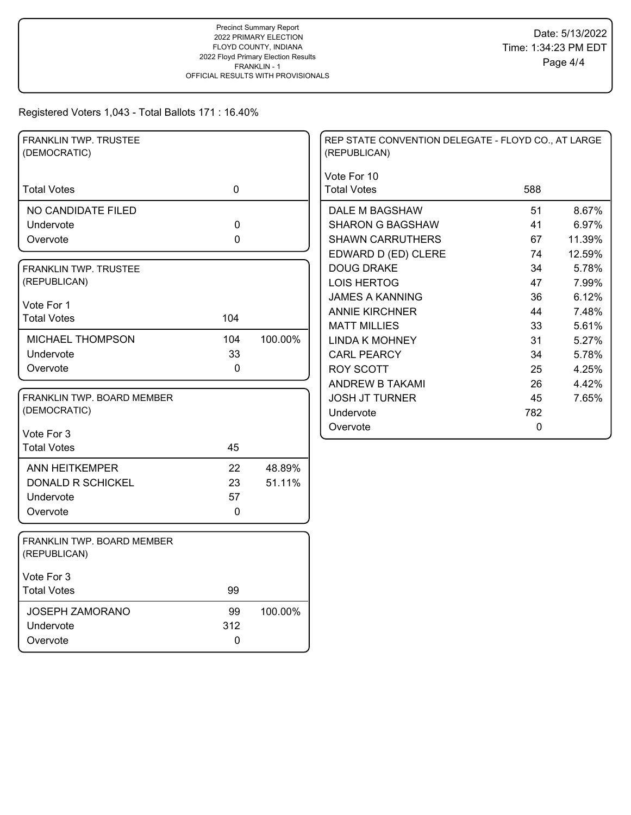| FRANKLIN TWP. TRUSTEE<br>(DEMOCRATIC)      |             |                  | REP STATE CONVENTION DELEGATE - FLOYD CO., AT LARGE<br>(REPUBLICAN) |             |        |
|--------------------------------------------|-------------|------------------|---------------------------------------------------------------------|-------------|--------|
| <b>Total Votes</b>                         | $\mathbf 0$ |                  | Vote For 10<br><b>Total Votes</b>                                   | 588         |        |
| NO CANDIDATE FILED                         |             |                  | DALE M BAGSHAW                                                      | 51          | 8.67%  |
| Undervote                                  | 0           |                  | <b>SHARON G BAGSHAW</b>                                             | 41          | 6.97%  |
| Overvote                                   | 0           |                  | <b>SHAWN CARRUTHERS</b>                                             | 67          | 11.39% |
|                                            |             |                  | EDWARD D (ED) CLERE                                                 | 74          | 12.59% |
| FRANKLIN TWP. TRUSTEE                      |             |                  | <b>DOUG DRAKE</b>                                                   | 34          | 5.78%  |
| (REPUBLICAN)                               |             |                  | <b>LOIS HERTOG</b>                                                  | 47          | 7.99%  |
| Vote For 1                                 |             |                  | <b>JAMES A KANNING</b>                                              | 36          | 6.12%  |
| <b>Total Votes</b>                         | 104         |                  | <b>ANNIE KIRCHNER</b>                                               | 44          | 7.48%  |
|                                            |             |                  | <b>MATT MILLIES</b>                                                 | 33          | 5.61%  |
| MICHAEL THOMPSON                           | 104         | 100.00%          | <b>LINDA K MOHNEY</b>                                               | 31          | 5.27%  |
| Undervote                                  | 33          |                  | <b>CARL PEARCY</b>                                                  | 34          | 5.78%  |
| Overvote                                   | $\Omega$    |                  | <b>ROY SCOTT</b>                                                    | 25          | 4.25%  |
|                                            |             |                  | ANDREW B TAKAMI                                                     | 26          | 4.42%  |
| FRANKLIN TWP, BOARD MEMBER                 |             |                  | <b>JOSH JT TURNER</b>                                               | 45          | 7.65%  |
| (DEMOCRATIC)                               |             |                  | Undervote                                                           | 782         |        |
| Vote For 3                                 |             |                  | Overvote                                                            | $\mathbf 0$ |        |
| <b>Total Votes</b>                         | 45          |                  |                                                                     |             |        |
|                                            |             |                  |                                                                     |             |        |
| ANN HEITKEMPER<br><b>DONALD R SCHICKEL</b> | 22<br>23    | 48.89%<br>51.11% |                                                                     |             |        |
| Undervote                                  | 57          |                  |                                                                     |             |        |
| Overvote                                   | $\mathbf 0$ |                  |                                                                     |             |        |
|                                            |             |                  |                                                                     |             |        |
| FRANKLIN TWP. BOARD MEMBER<br>(REPUBLICAN) |             |                  |                                                                     |             |        |
| Vote For 3                                 |             |                  |                                                                     |             |        |
| <b>Total Votes</b>                         | 99          |                  |                                                                     |             |        |
| <b>JOSEPH ZAMORANO</b>                     | 99          | 100.00%          |                                                                     |             |        |
| Undervote                                  | 312         |                  |                                                                     |             |        |
| Overvote                                   | $\mathbf 0$ |                  |                                                                     |             |        |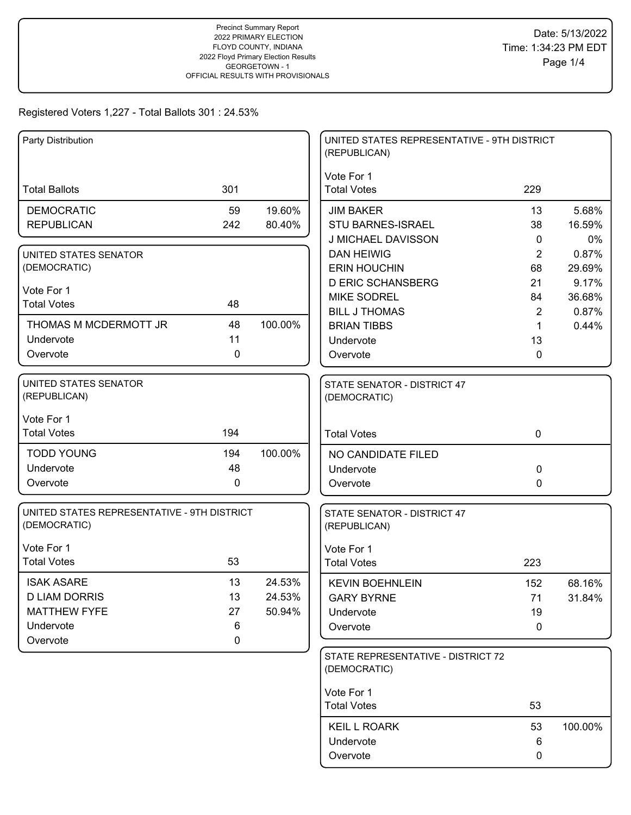| Party Distribution                                          |              |         | UNITED STATES REPRESENTATIVE - 9TH DISTRICT<br>(REPUBLICAN) |                   |             |
|-------------------------------------------------------------|--------------|---------|-------------------------------------------------------------|-------------------|-------------|
| <b>Total Ballots</b>                                        | 301          |         | Vote For 1<br><b>Total Votes</b>                            | 229               |             |
|                                                             |              |         |                                                             |                   |             |
| <b>DEMOCRATIC</b>                                           | 59           | 19.60%  | <b>JIM BAKER</b>                                            | 13                | 5.68%       |
| <b>REPUBLICAN</b>                                           | 242          | 80.40%  | <b>STU BARNES-ISRAEL</b>                                    | 38                | 16.59%      |
|                                                             |              |         | J MICHAEL DAVISSON                                          | $\mathbf{0}$<br>2 | 0%<br>0.87% |
| UNITED STATES SENATOR<br>(DEMOCRATIC)                       |              |         | <b>DAN HEIWIG</b><br><b>ERIN HOUCHIN</b>                    | 68                | 29.69%      |
|                                                             |              |         | <b>D ERIC SCHANSBERG</b>                                    |                   | 9.17%       |
| Vote For 1                                                  |              |         | <b>MIKE SODREL</b>                                          | 21<br>84          | 36.68%      |
| <b>Total Votes</b>                                          | 48           |         | <b>BILL J THOMAS</b>                                        | $\overline{2}$    | 0.87%       |
| THOMAS M MCDERMOTT JR                                       | 48           | 100.00% | <b>BRIAN TIBBS</b>                                          | 1                 | 0.44%       |
| Undervote                                                   | 11           |         | Undervote                                                   | 13                |             |
| Overvote                                                    | $\mathbf{0}$ |         | Overvote                                                    | 0                 |             |
|                                                             |              |         |                                                             |                   |             |
| UNITED STATES SENATOR<br>(REPUBLICAN)                       |              |         | STATE SENATOR - DISTRICT 47<br>(DEMOCRATIC)                 |                   |             |
| Vote For 1                                                  |              |         |                                                             |                   |             |
| <b>Total Votes</b>                                          | 194          |         | <b>Total Votes</b>                                          | $\mathbf 0$       |             |
| <b>TODD YOUNG</b>                                           | 194          | 100.00% | NO CANDIDATE FILED                                          |                   |             |
| Undervote                                                   | 48           |         | Undervote                                                   | 0                 |             |
| Overvote                                                    | $\mathbf 0$  |         | Overvote                                                    | 0                 |             |
|                                                             |              |         |                                                             |                   |             |
| UNITED STATES REPRESENTATIVE - 9TH DISTRICT<br>(DEMOCRATIC) |              |         | STATE SENATOR - DISTRICT 47<br>(REPUBLICAN)                 |                   |             |
| Vote For 1                                                  |              |         | Vote For 1                                                  |                   |             |
| <b>Total Votes</b>                                          | 53           |         | <b>Total Votes</b>                                          | 223               |             |
| <b>ISAK ASARE</b>                                           | 13           | 24.53%  | <b>KEVIN BOEHNLEIN</b>                                      | 152               | 68.16%      |
| <b>D LIAM DORRIS</b>                                        | 13           | 24.53%  | <b>GARY BYRNE</b>                                           | 71                | 31.84%      |
| <b>MATTHEW FYFE</b>                                         | 27           | 50.94%  | Undervote                                                   | 19                |             |
| Undervote                                                   | 6            |         | Overvote                                                    | 0                 |             |
| Overvote                                                    | $\mathbf 0$  |         |                                                             |                   |             |
|                                                             |              |         | STATE REPRESENTATIVE - DISTRICT 72<br>(DEMOCRATIC)          |                   |             |
|                                                             |              |         | Vote For 1                                                  |                   |             |
|                                                             |              |         | <b>Total Votes</b>                                          | 53                |             |
|                                                             |              |         | <b>KEIL L ROARK</b>                                         | 53                | 100.00%     |
|                                                             |              |         | Undervote                                                   | 6                 |             |
|                                                             |              |         | Overvote                                                    | 0                 |             |
|                                                             |              |         |                                                             |                   |             |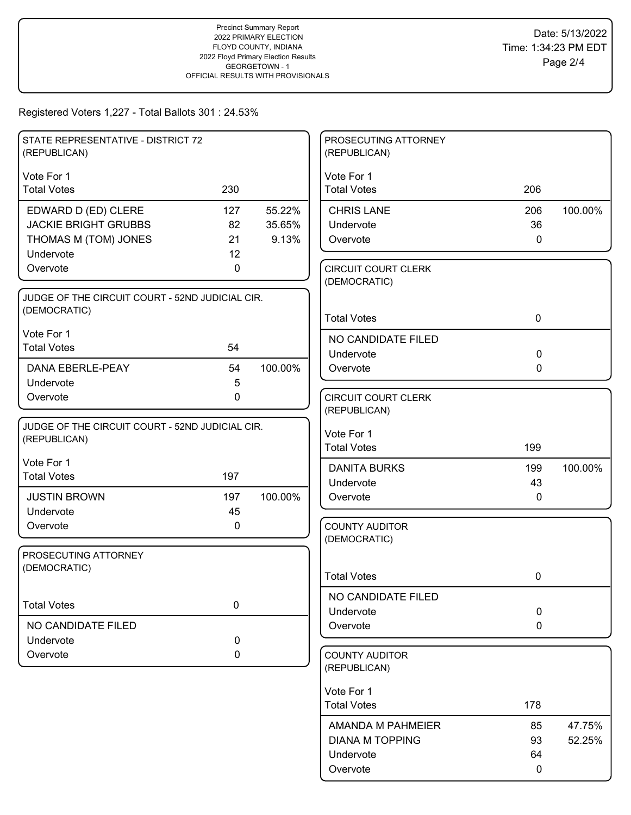| STATE REPRESENTATIVE - DISTRICT 72              |             |         | PROSECUTING ATTORNEY<br>(REPUBLICAN)  |              |         |
|-------------------------------------------------|-------------|---------|---------------------------------------|--------------|---------|
| (REPUBLICAN)                                    |             |         |                                       |              |         |
| Vote For 1                                      | 230         |         | Vote For 1                            |              |         |
| <b>Total Votes</b>                              |             |         | <b>Total Votes</b>                    | 206          |         |
| EDWARD D (ED) CLERE                             | 127         | 55.22%  | <b>CHRIS LANE</b>                     | 206          | 100.00% |
| <b>JACKIE BRIGHT GRUBBS</b>                     | 82          | 35.65%  | Undervote                             | 36           |         |
| THOMAS M (TOM) JONES<br>Undervote               | 21<br>12    | 9.13%   | Overvote                              | $\mathbf 0$  |         |
| Overvote                                        | 0           |         | <b>CIRCUIT COURT CLERK</b>            |              |         |
|                                                 |             |         | (DEMOCRATIC)                          |              |         |
| JUDGE OF THE CIRCUIT COURT - 52ND JUDICIAL CIR. |             |         |                                       |              |         |
| (DEMOCRATIC)                                    |             |         | <b>Total Votes</b>                    | $\mathbf 0$  |         |
| Vote For 1                                      |             |         | NO CANDIDATE FILED                    |              |         |
| <b>Total Votes</b>                              | 54          |         | Undervote                             | $\mathbf 0$  |         |
| DANA EBERLE-PEAY                                | 54          | 100.00% | Overvote                              | $\mathbf{0}$ |         |
| Undervote                                       | 5           |         |                                       |              |         |
| Overvote                                        | $\mathbf 0$ |         | <b>CIRCUIT COURT CLERK</b>            |              |         |
|                                                 |             |         | (REPUBLICAN)                          |              |         |
| JUDGE OF THE CIRCUIT COURT - 52ND JUDICIAL CIR. |             |         | Vote For 1                            |              |         |
| (REPUBLICAN)                                    |             |         | <b>Total Votes</b>                    | 199          |         |
| Vote For 1                                      |             |         | <b>DANITA BURKS</b>                   | 199          | 100.00% |
| <b>Total Votes</b>                              | 197         |         | Undervote                             | 43           |         |
| <b>JUSTIN BROWN</b>                             | 197         | 100.00% | Overvote                              | 0            |         |
| Undervote                                       | 45          |         |                                       |              |         |
| Overvote                                        | $\mathbf 0$ |         | <b>COUNTY AUDITOR</b>                 |              |         |
|                                                 |             |         | (DEMOCRATIC)                          |              |         |
| PROSECUTING ATTORNEY<br>(DEMOCRATIC)            |             |         |                                       |              |         |
|                                                 |             |         | <b>Total Votes</b>                    | 0            |         |
|                                                 |             |         | NO CANDIDATE FILED                    |              |         |
| <b>Total Votes</b>                              | 0           |         | Undervote                             | $\mathbf 0$  |         |
| NO CANDIDATE FILED                              |             |         | Overvote                              | $\mathbf 0$  |         |
| Undervote                                       | $\pmb{0}$   |         |                                       |              |         |
| Overvote                                        | 0           |         | <b>COUNTY AUDITOR</b><br>(REPUBLICAN) |              |         |
|                                                 |             |         | Vote For 1                            |              |         |
|                                                 |             |         | <b>Total Votes</b>                    | 178          |         |
|                                                 |             |         | <b>AMANDA M PAHMEIER</b>              | 85           | 47.75%  |
|                                                 |             |         | <b>DIANA M TOPPING</b>                | 93           | 52.25%  |
|                                                 |             |         | Undervote                             | 64           |         |
|                                                 |             |         | Overvote                              | $\mathbf 0$  |         |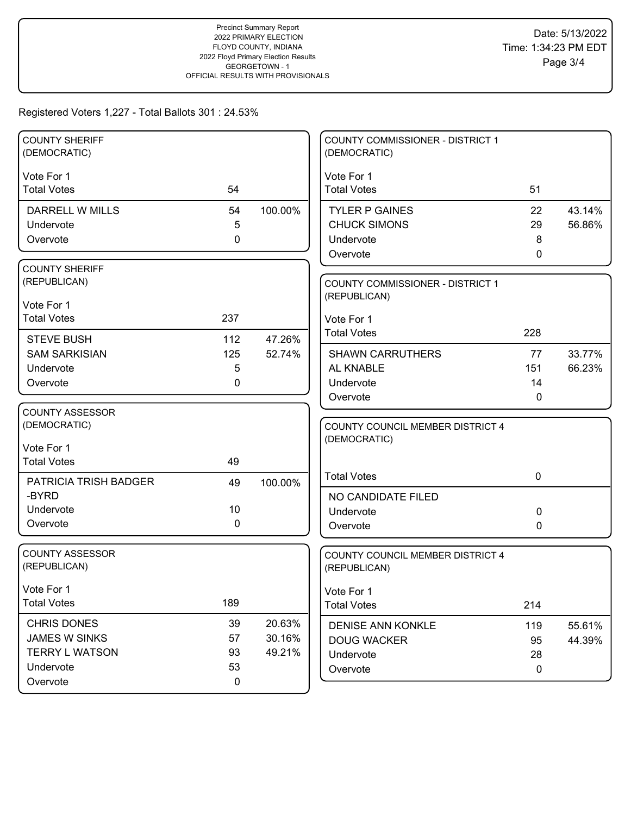| <b>COUNTY SHERIFF</b><br>(DEMOCRATIC) |          |                  | COUNTY COMMISSIONER - DISTRICT 1<br>(DEMOCRATIC) |                   |        |
|---------------------------------------|----------|------------------|--------------------------------------------------|-------------------|--------|
| Vote For 1                            |          |                  | Vote For 1                                       |                   |        |
| <b>Total Votes</b>                    | 54       |                  | <b>Total Votes</b>                               | 51                |        |
| DARRELL W MILLS                       | 54       | 100.00%          | <b>TYLER P GAINES</b>                            | 22                | 43.14% |
| Undervote                             | 5        |                  | <b>CHUCK SIMONS</b>                              | 29                | 56.86% |
| Overvote                              | 0        |                  | Undervote                                        | 8                 |        |
|                                       |          |                  | Overvote                                         | $\mathbf{0}$      |        |
| <b>COUNTY SHERIFF</b>                 |          |                  |                                                  |                   |        |
| (REPUBLICAN)                          |          |                  | <b>COUNTY COMMISSIONER - DISTRICT 1</b>          |                   |        |
| Vote For 1                            |          |                  | (REPUBLICAN)                                     |                   |        |
| <b>Total Votes</b>                    | 237      |                  | Vote For 1                                       |                   |        |
| <b>STEVE BUSH</b>                     | 112      | 47.26%           | <b>Total Votes</b>                               | 228               |        |
| <b>SAM SARKISIAN</b>                  | 125      | 52.74%           | <b>SHAWN CARRUTHERS</b>                          | 77                | 33.77% |
| Undervote                             | 5        |                  | AL KNABLE                                        | 151               | 66.23% |
| Overvote                              | 0        |                  | Undervote                                        | 14                |        |
|                                       |          |                  | Overvote                                         | 0                 |        |
| <b>COUNTY ASSESSOR</b>                |          |                  |                                                  |                   |        |
| (DEMOCRATIC)                          |          |                  | COUNTY COUNCIL MEMBER DISTRICT 4                 |                   |        |
| Vote For 1                            |          |                  | (DEMOCRATIC)                                     |                   |        |
| <b>Total Votes</b>                    | 49       |                  |                                                  |                   |        |
| PATRICIA TRISH BADGER                 | 49       | 100.00%          | <b>Total Votes</b>                               | $\mathbf 0$       |        |
| -BYRD                                 |          |                  | NO CANDIDATE FILED                               |                   |        |
| Undervote                             | 10       |                  | Undervote                                        | 0                 |        |
| Overvote                              | 0        |                  | Overvote                                         | 0                 |        |
|                                       |          |                  |                                                  |                   |        |
| <b>COUNTY ASSESSOR</b>                |          |                  |                                                  |                   |        |
| (REPUBLICAN)                          |          |                  | COUNTY COUNCIL MEMBER DISTRICT 4<br>(REPUBLICAN) |                   |        |
|                                       |          |                  |                                                  |                   |        |
| Vote For 1<br><b>Total Votes</b>      | 189      |                  | Vote For 1<br><b>Total Votes</b>                 | 214               |        |
|                                       |          |                  |                                                  |                   |        |
| CHRIS DONES<br><b>JAMES W SINKS</b>   | 39<br>57 | 20.63%<br>30.16% | <b>DENISE ANN KONKLE</b>                         | 119               | 55.61% |
| <b>TERRY L WATSON</b>                 | 93       | 49.21%           | <b>DOUG WACKER</b>                               | 95                | 44.39% |
| Undervote                             | 53       |                  | Undervote<br>Overvote                            | 28<br>$\mathbf 0$ |        |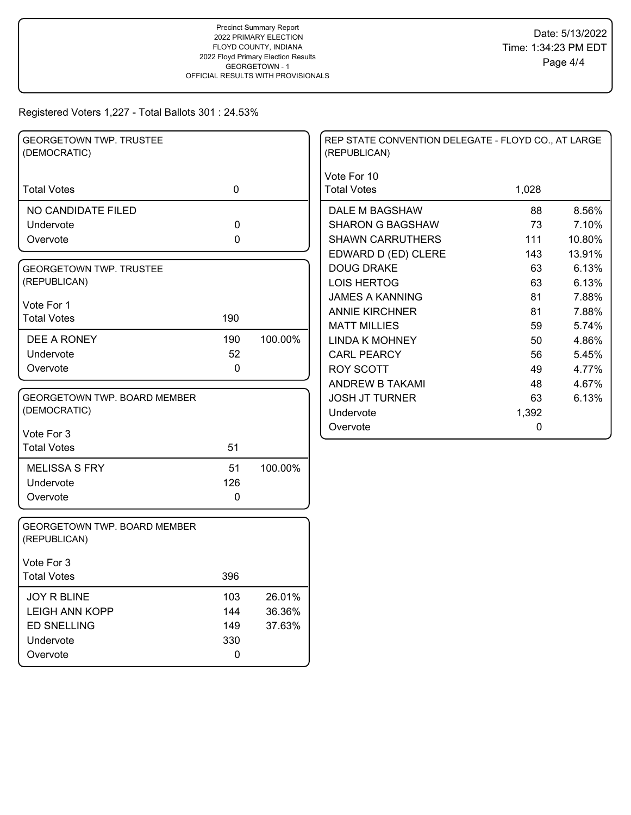| <b>GEORGETOWN TWP. TRUSTEE</b><br>(DEMOCRATIC)      |             |         | REP STATE CONVENTION DELEGATE - FLOYD CO., AT LARGE<br>(REPUBLICAN) |       |        |
|-----------------------------------------------------|-------------|---------|---------------------------------------------------------------------|-------|--------|
| <b>Total Votes</b>                                  | $\mathbf 0$ |         | Vote For 10<br><b>Total Votes</b>                                   | 1,028 |        |
| NO CANDIDATE FILED                                  |             |         | DALE M BAGSHAW                                                      | 88    | 8.56%  |
| Undervote                                           | $\mathbf 0$ |         | <b>SHARON G BAGSHAW</b>                                             | 73    | 7.10%  |
| Overvote                                            | 0           |         | <b>SHAWN CARRUTHERS</b>                                             | 111   | 10.80% |
|                                                     |             |         | EDWARD D (ED) CLERE                                                 | 143   | 13.91% |
| <b>GEORGETOWN TWP. TRUSTEE</b>                      |             |         | <b>DOUG DRAKE</b>                                                   | 63    | 6.13%  |
| (REPUBLICAN)                                        |             |         | <b>LOIS HERTOG</b>                                                  | 63    | 6.13%  |
| Vote For 1                                          |             |         | <b>JAMES A KANNING</b>                                              | 81    | 7.88%  |
| <b>Total Votes</b>                                  | 190         |         | <b>ANNIE KIRCHNER</b>                                               | 81    | 7.88%  |
|                                                     |             |         | <b>MATT MILLIES</b>                                                 | 59    | 5.74%  |
| DEE A RONEY                                         | 190         | 100.00% | <b>LINDA K MOHNEY</b>                                               | 50    | 4.86%  |
| Undervote                                           | 52          |         | <b>CARL PEARCY</b>                                                  | 56    | 5.45%  |
| Overvote                                            | $\mathbf 0$ |         | <b>ROY SCOTT</b>                                                    | 49    | 4.77%  |
|                                                     |             |         | ANDREW B TAKAMI                                                     | 48    | 4.67%  |
| GEORGETOWN TWP. BOARD MEMBER                        |             |         | <b>JOSH JT TURNER</b>                                               | 63    | 6.13%  |
| (DEMOCRATIC)                                        |             |         | Undervote                                                           | 1,392 |        |
| Vote For 3                                          |             |         | Overvote                                                            | 0     |        |
| <b>Total Votes</b>                                  | 51          |         |                                                                     |       |        |
| <b>MELISSA S FRY</b>                                | 51          | 100.00% |                                                                     |       |        |
| Undervote                                           | 126         |         |                                                                     |       |        |
| Overvote                                            | $\mathbf 0$ |         |                                                                     |       |        |
| <b>GEORGETOWN TWP, BOARD MEMBER</b><br>(REPUBLICAN) |             |         |                                                                     |       |        |
| Vote For 3                                          |             |         |                                                                     |       |        |
| <b>Total Votes</b>                                  | 396         |         |                                                                     |       |        |
| <b>JOY R BLINE</b>                                  | 103         | 26.01%  |                                                                     |       |        |
| <b>LEIGH ANN KOPP</b>                               | 144         | 36.36%  |                                                                     |       |        |
| <b>ED SNELLING</b>                                  | 149         | 37.63%  |                                                                     |       |        |
| Undervote                                           | 330         |         |                                                                     |       |        |
| Overvote                                            | $\pmb{0}$   |         |                                                                     |       |        |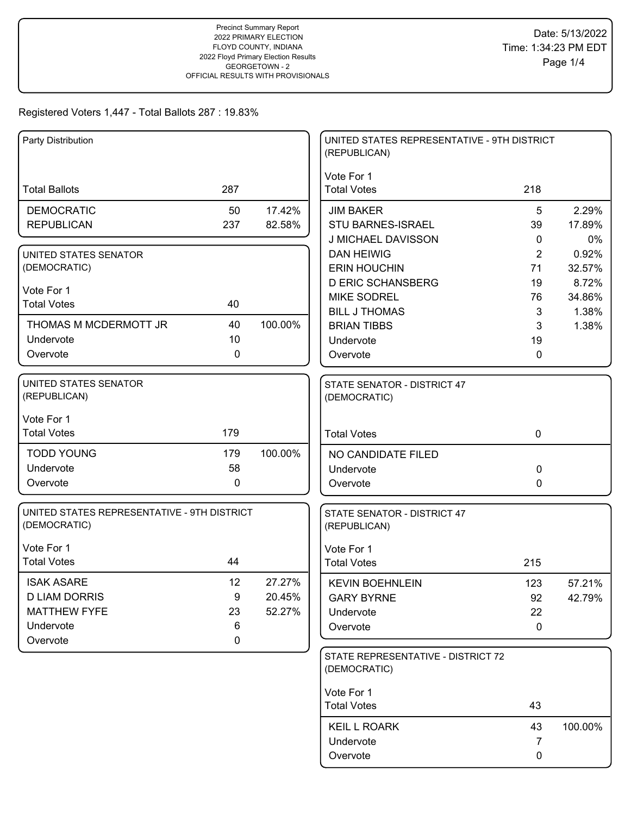| Party Distribution                                                                        |                         |                            | UNITED STATES REPRESENTATIVE - 9TH DISTRICT<br>(REPUBLICAN)          |                      |                          |
|-------------------------------------------------------------------------------------------|-------------------------|----------------------------|----------------------------------------------------------------------|----------------------|--------------------------|
| <b>Total Ballots</b>                                                                      | 287                     |                            | Vote For 1<br><b>Total Votes</b>                                     | 218                  |                          |
| <b>DEMOCRATIC</b><br><b>REPUBLICAN</b>                                                    | 50<br>237               | 17.42%<br>82.58%           | <b>JIM BAKER</b><br><b>STU BARNES-ISRAEL</b><br>J MICHAEL DAVISSON   | 5<br>39<br>0         | 2.29%<br>17.89%<br>0%    |
| UNITED STATES SENATOR<br>(DEMOCRATIC)                                                     |                         |                            | <b>DAN HEIWIG</b><br><b>ERIN HOUCHIN</b><br><b>D ERIC SCHANSBERG</b> | 2<br>71<br>19        | 0.92%<br>32.57%<br>8.72% |
| Vote For 1<br><b>Total Votes</b>                                                          | 40                      |                            | <b>MIKE SODREL</b><br><b>BILL J THOMAS</b>                           | 76<br>3              | 34.86%<br>1.38%          |
| THOMAS M MCDERMOTT JR<br>Undervote<br>Overvote                                            | 40<br>10<br>0           | 100.00%                    | <b>BRIAN TIBBS</b><br>Undervote<br>Overvote                          | 3<br>19<br>0         | 1.38%                    |
| UNITED STATES SENATOR<br>(REPUBLICAN)                                                     |                         |                            | <b>STATE SENATOR - DISTRICT 47</b><br>(DEMOCRATIC)                   |                      |                          |
| Vote For 1<br><b>Total Votes</b>                                                          | 179                     |                            | <b>Total Votes</b>                                                   | $\mathbf 0$          |                          |
| <b>TODD YOUNG</b><br>Undervote<br>Overvote                                                | 179<br>58<br>0          | 100.00%                    | NO CANDIDATE FILED<br>Undervote<br>Overvote                          | 0<br>0               |                          |
| UNITED STATES REPRESENTATIVE - 9TH DISTRICT<br>(DEMOCRATIC)                               |                         |                            | STATE SENATOR - DISTRICT 47<br>(REPUBLICAN)                          |                      |                          |
| Vote For 1<br><b>Total Votes</b>                                                          | 44                      |                            | Vote For 1<br><b>Total Votes</b>                                     | 215                  |                          |
| <b>ISAK ASARE</b><br><b>D LIAM DORRIS</b><br><b>MATTHEW FYFE</b><br>Undervote<br>Overvote | 12<br>9<br>23<br>6<br>0 | 27.27%<br>20.45%<br>52.27% | <b>KEVIN BOEHNLEIN</b><br><b>GARY BYRNE</b><br>Undervote<br>Overvote | 123<br>92<br>22<br>0 | 57.21%<br>42.79%         |
|                                                                                           |                         |                            | STATE REPRESENTATIVE - DISTRICT 72<br>(DEMOCRATIC)                   |                      |                          |
|                                                                                           |                         |                            | Vote For 1<br><b>Total Votes</b>                                     | 43                   |                          |
|                                                                                           |                         |                            | <b>KEIL L ROARK</b><br>Undervote<br>Overvote                         | 43<br>7<br>0         | 100.00%                  |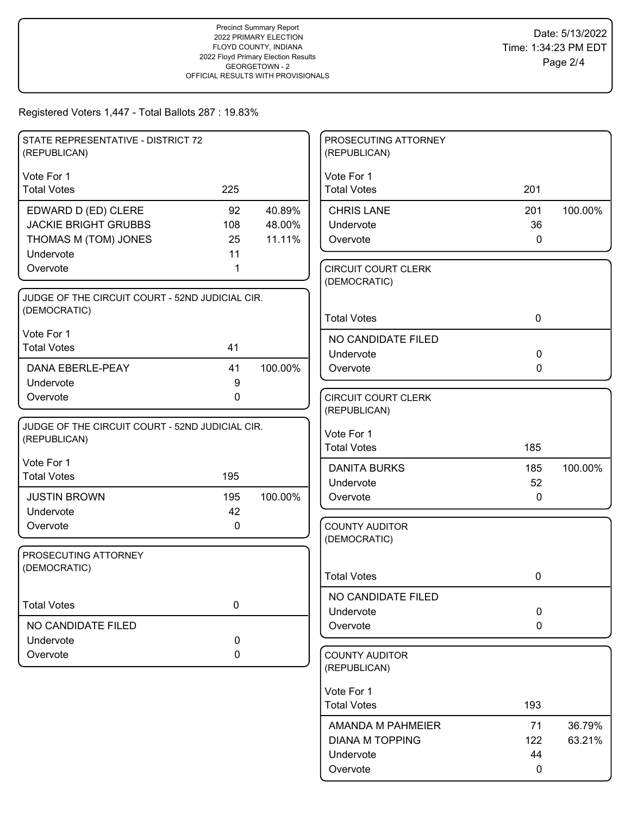| STATE REPRESENTATIVE - DISTRICT 72<br>(REPUBLICAN) |             |         | PROSECUTING ATTORNEY<br>(REPUBLICAN)       |             |         |
|----------------------------------------------------|-------------|---------|--------------------------------------------|-------------|---------|
|                                                    |             |         |                                            |             |         |
| Vote For 1<br><b>Total Votes</b>                   | 225         |         | Vote For 1<br><b>Total Votes</b>           | 201         |         |
| EDWARD D (ED) CLERE                                | 92          | 40.89%  | <b>CHRIS LANE</b>                          | 201         | 100.00% |
| <b>JACKIE BRIGHT GRUBBS</b>                        | 108         | 48.00%  | Undervote                                  | 36          |         |
| THOMAS M (TOM) JONES                               | 25          | 11.11%  | Overvote                                   | $\mathbf 0$ |         |
| Undervote                                          | 11          |         |                                            |             |         |
| Overvote                                           | 1           |         | <b>CIRCUIT COURT CLERK</b><br>(DEMOCRATIC) |             |         |
| JUDGE OF THE CIRCUIT COURT - 52ND JUDICIAL CIR.    |             |         |                                            |             |         |
| (DEMOCRATIC)                                       |             |         | <b>Total Votes</b>                         | $\mathbf 0$ |         |
| Vote For 1                                         |             |         | NO CANDIDATE FILED                         |             |         |
| <b>Total Votes</b>                                 | 41          |         | Undervote                                  | $\mathbf 0$ |         |
| <b>DANA EBERLE-PEAY</b>                            | 41          | 100.00% | Overvote                                   | 0           |         |
| Undervote                                          | $9\,$       |         |                                            |             |         |
| Overvote                                           | $\mathbf 0$ |         | <b>CIRCUIT COURT CLERK</b>                 |             |         |
|                                                    |             |         | (REPUBLICAN)                               |             |         |
| JUDGE OF THE CIRCUIT COURT - 52ND JUDICIAL CIR.    |             |         | Vote For 1                                 |             |         |
| (REPUBLICAN)                                       |             |         | <b>Total Votes</b>                         | 185         |         |
| Vote For 1                                         |             |         | <b>DANITA BURKS</b>                        | 185         | 100.00% |
| <b>Total Votes</b>                                 | 195         |         | Undervote                                  | 52          |         |
| <b>JUSTIN BROWN</b>                                | 195         | 100.00% | Overvote                                   | 0           |         |
| Undervote                                          | 42          |         |                                            |             |         |
| Overvote                                           | 0           |         | <b>COUNTY AUDITOR</b>                      |             |         |
|                                                    |             |         | (DEMOCRATIC)                               |             |         |
| PROSECUTING ATTORNEY                               |             |         |                                            |             |         |
| (DEMOCRATIC)                                       |             |         | <b>Total Votes</b>                         | 0           |         |
|                                                    |             |         |                                            |             |         |
| <b>Total Votes</b>                                 | $\pmb{0}$   |         | NO CANDIDATE FILED<br>Undervote            | $\pmb{0}$   |         |
| NO CANDIDATE FILED                                 |             |         | Overvote                                   | $\mathbf 0$ |         |
| Undervote                                          | 0           |         |                                            |             |         |
| Overvote                                           | 0           |         | <b>COUNTY AUDITOR</b>                      |             |         |
|                                                    |             |         | (REPUBLICAN)                               |             |         |
|                                                    |             |         | Vote For 1                                 |             |         |
|                                                    |             |         | <b>Total Votes</b>                         | 193         |         |
|                                                    |             |         |                                            |             |         |
|                                                    |             |         | AMANDA M PAHMEIER                          | 71          | 36.79%  |
|                                                    |             |         | <b>DIANA M TOPPING</b>                     | 122         | 63.21%  |
|                                                    |             |         | Undervote                                  | 44          |         |
|                                                    |             |         | Overvote                                   | 0           |         |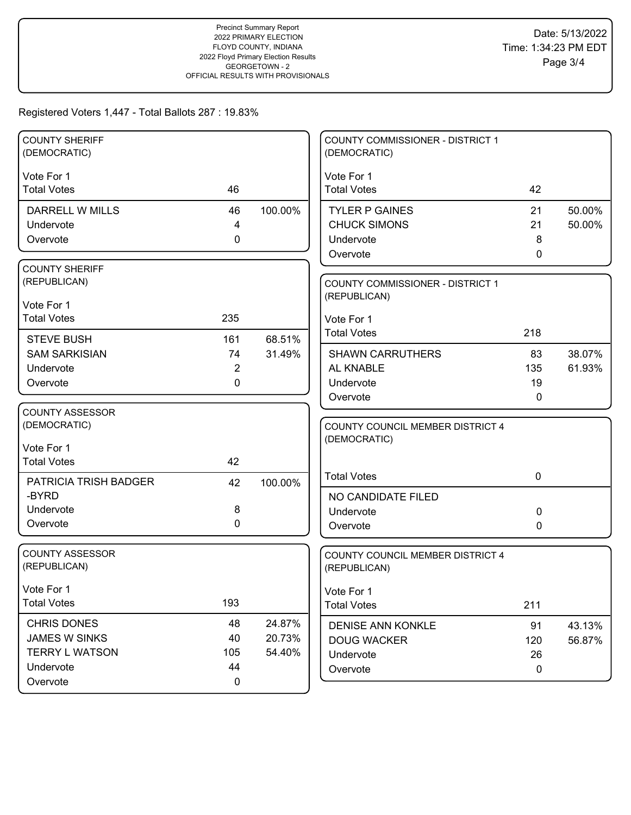| <b>COUNTY SHERIFF</b>  |                |         | <b>COUNTY COMMISSIONER - DISTRICT 1</b>          |                   |        |
|------------------------|----------------|---------|--------------------------------------------------|-------------------|--------|
| (DEMOCRATIC)           |                |         | (DEMOCRATIC)                                     |                   |        |
| Vote For 1             |                |         | Vote For 1                                       |                   |        |
| <b>Total Votes</b>     | 46             |         | <b>Total Votes</b>                               | 42                |        |
|                        |                |         |                                                  |                   |        |
| <b>DARRELL W MILLS</b> | 46             | 100.00% | <b>TYLER P GAINES</b>                            | 21                | 50.00% |
| Undervote              | 4              |         | <b>CHUCK SIMONS</b>                              | 21                | 50.00% |
| Overvote               | $\mathbf 0$    |         | Undervote                                        | 8<br>$\mathbf{0}$ |        |
| <b>COUNTY SHERIFF</b>  |                |         | Overvote                                         |                   |        |
| (REPUBLICAN)           |                |         | COUNTY COMMISSIONER - DISTRICT 1                 |                   |        |
|                        |                |         | (REPUBLICAN)                                     |                   |        |
| Vote For 1             |                |         |                                                  |                   |        |
| <b>Total Votes</b>     | 235            |         | Vote For 1                                       |                   |        |
| <b>STEVE BUSH</b>      | 161            | 68.51%  | <b>Total Votes</b>                               | 218               |        |
| <b>SAM SARKISIAN</b>   | 74             | 31.49%  | <b>SHAWN CARRUTHERS</b>                          | 83                | 38.07% |
| Undervote              | $\overline{2}$ |         | AL KNABLE                                        | 135               | 61.93% |
| Overvote               | $\mathbf{0}$   |         | Undervote                                        | 19                |        |
|                        |                |         | Overvote                                         | 0                 |        |
| <b>COUNTY ASSESSOR</b> |                |         |                                                  |                   |        |
| (DEMOCRATIC)           |                |         | COUNTY COUNCIL MEMBER DISTRICT 4                 |                   |        |
| Vote For 1             |                |         | (DEMOCRATIC)                                     |                   |        |
| <b>Total Votes</b>     | 42             |         |                                                  |                   |        |
|                        |                |         | <b>Total Votes</b>                               | $\mathbf 0$       |        |
| PATRICIA TRISH BADGER  | 42             | 100.00% |                                                  |                   |        |
| -BYRD                  |                |         | NO CANDIDATE FILED                               |                   |        |
| Undervote              | 8              |         | Undervote                                        | 0                 |        |
| Overvote               | $\mathbf 0$    |         | Overvote                                         | 0                 |        |
| <b>COUNTY ASSESSOR</b> |                |         |                                                  |                   |        |
| (REPUBLICAN)           |                |         | COUNTY COUNCIL MEMBER DISTRICT 4<br>(REPUBLICAN) |                   |        |
|                        |                |         |                                                  |                   |        |
| Vote For 1             |                |         | Vote For 1                                       |                   |        |
| <b>Total Votes</b>     | 193            |         | <b>Total Votes</b>                               | 211               |        |
| CHRIS DONES            | 48             | 24.87%  | <b>DENISE ANN KONKLE</b>                         | 91                | 43.13% |
| <b>JAMES W SINKS</b>   | 40             | 20.73%  | <b>DOUG WACKER</b>                               | 120               | 56.87% |
| <b>TERRY L WATSON</b>  | 105            | 54.40%  | Undervote                                        | 26                |        |
| Undervote              | 44             |         | Overvote                                         | $\mathbf 0$       |        |
| Overvote               | $\pmb{0}$      |         |                                                  |                   |        |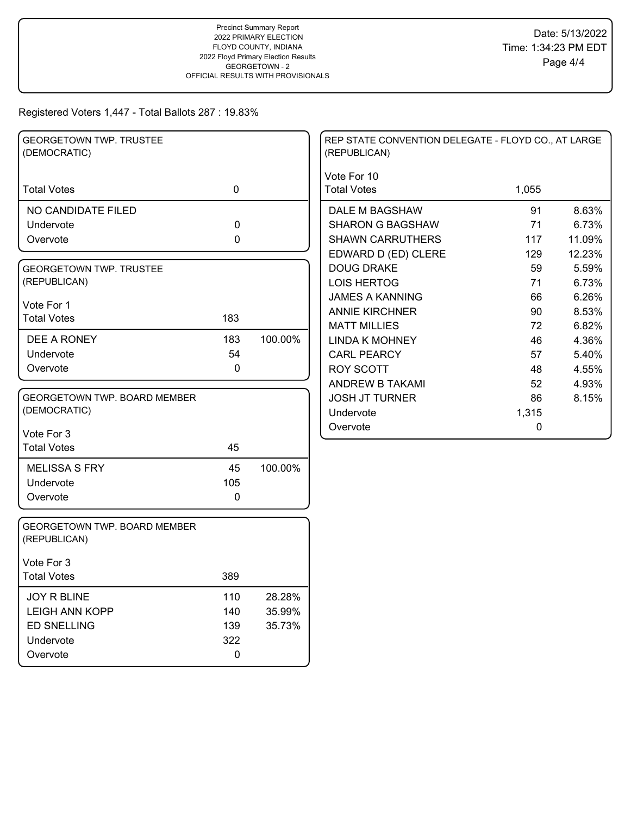| <b>GEORGETOWN TWP. TRUSTEE</b><br>(DEMOCRATIC) |             |         | REP STATE CONVENTION DELEGATE - FLOYD CO., AT LARGE<br>(REPUBLICAN) |       |        |
|------------------------------------------------|-------------|---------|---------------------------------------------------------------------|-------|--------|
| <b>Total Votes</b>                             | $\mathbf 0$ |         | Vote For 10<br><b>Total Votes</b>                                   | 1,055 |        |
| NO CANDIDATE FILED                             |             |         | DALE M BAGSHAW                                                      | 91    | 8.63%  |
| Undervote                                      | 0           |         | <b>SHARON G BAGSHAW</b>                                             | 71    | 6.73%  |
| Overvote                                       | 0           |         | <b>SHAWN CARRUTHERS</b>                                             | 117   | 11.09% |
|                                                |             |         | EDWARD D (ED) CLERE                                                 | 129   | 12.23% |
| <b>GEORGETOWN TWP. TRUSTEE</b>                 |             |         | <b>DOUG DRAKE</b>                                                   | 59    | 5.59%  |
| (REPUBLICAN)                                   |             |         | <b>LOIS HERTOG</b>                                                  | 71    | 6.73%  |
| Vote For 1                                     |             |         | <b>JAMES A KANNING</b>                                              | 66    | 6.26%  |
| <b>Total Votes</b>                             | 183         |         | <b>ANNIE KIRCHNER</b>                                               | 90    | 8.53%  |
|                                                |             |         | <b>MATT MILLIES</b>                                                 | 72    | 6.82%  |
| DEE A RONEY                                    | 183         | 100.00% | <b>LINDA K MOHNEY</b>                                               | 46    | 4.36%  |
| Undervote                                      | 54          |         | <b>CARL PEARCY</b>                                                  | 57    | 5.40%  |
| Overvote                                       | $\pmb{0}$   |         | <b>ROY SCOTT</b>                                                    | 48    | 4.55%  |
|                                                |             |         | <b>ANDREW B TAKAMI</b>                                              | 52    | 4.93%  |
| <b>GEORGETOWN TWP, BOARD MEMBER</b>            |             |         | <b>JOSH JT TURNER</b>                                               | 86    | 8.15%  |
| (DEMOCRATIC)                                   |             |         | Undervote                                                           | 1,315 |        |
| Vote For 3                                     |             |         | Overvote                                                            | 0     |        |
| <b>Total Votes</b>                             | 45          |         |                                                                     |       |        |
| <b>MELISSA S FRY</b>                           | 45          | 100.00% |                                                                     |       |        |
| Undervote                                      | 105         |         |                                                                     |       |        |
| Overvote                                       | 0           |         |                                                                     |       |        |
| GEORGETOWN TWP. BOARD MEMBER<br>(REPUBLICAN)   |             |         |                                                                     |       |        |
| Vote For 3                                     |             |         |                                                                     |       |        |
| <b>Total Votes</b>                             | 389         |         |                                                                     |       |        |
| <b>JOY R BLINE</b>                             | 110         | 28.28%  |                                                                     |       |        |
| <b>LEIGH ANN KOPP</b>                          | 140         | 35.99%  |                                                                     |       |        |
| <b>ED SNELLING</b>                             | 139         | 35.73%  |                                                                     |       |        |
| Undervote                                      | 322         |         |                                                                     |       |        |
| Overvote                                       | $\pmb{0}$   |         |                                                                     |       |        |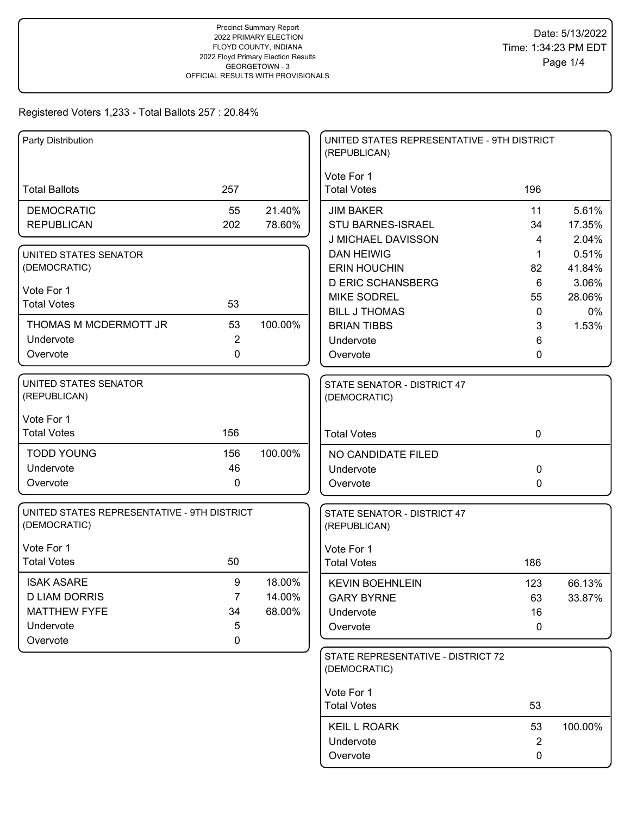| Party Distribution                                          |                  |                  | UNITED STATES REPRESENTATIVE - 9TH DISTRICT<br>(REPUBLICAN) |                |                 |
|-------------------------------------------------------------|------------------|------------------|-------------------------------------------------------------|----------------|-----------------|
| <b>Total Ballots</b>                                        | 257              |                  | Vote For 1<br><b>Total Votes</b>                            | 196            |                 |
| <b>DEMOCRATIC</b><br><b>REPUBLICAN</b>                      | 55<br>202        | 21.40%<br>78.60% | <b>JIM BAKER</b><br>STU BARNES-ISRAEL                       | 11<br>34       | 5.61%<br>17.35% |
|                                                             |                  |                  | J MICHAEL DAVISSON                                          | 4              | 2.04%           |
| UNITED STATES SENATOR                                       |                  |                  | <b>DAN HEIWIG</b>                                           | 1              | 0.51%           |
| (DEMOCRATIC)                                                |                  |                  | <b>ERIN HOUCHIN</b>                                         | 82             | 41.84%          |
|                                                             |                  |                  | <b>D ERIC SCHANSBERG</b>                                    | 6              | 3.06%           |
| Vote For 1                                                  |                  |                  | <b>MIKE SODREL</b>                                          | 55             | 28.06%          |
| <b>Total Votes</b>                                          | 53               |                  | <b>BILL J THOMAS</b>                                        | $\mathbf{0}$   | 0%              |
| THOMAS M MCDERMOTT JR                                       | 53               | 100.00%          | <b>BRIAN TIBBS</b>                                          | 3              | 1.53%           |
| Undervote                                                   | $\overline{2}$   |                  | Undervote                                                   | 6              |                 |
| Overvote                                                    | $\mathbf 0$      |                  | Overvote                                                    | 0              |                 |
| UNITED STATES SENATOR<br>(REPUBLICAN)                       |                  |                  | STATE SENATOR - DISTRICT 47<br>(DEMOCRATIC)                 |                |                 |
| Vote For 1<br><b>Total Votes</b>                            | 156              |                  | <b>Total Votes</b>                                          | $\mathbf 0$    |                 |
| <b>TODD YOUNG</b>                                           | 156              | 100.00%          | NO CANDIDATE FILED                                          |                |                 |
| Undervote                                                   | 46               |                  | Undervote                                                   | 0              |                 |
| Overvote                                                    | $\pmb{0}$        |                  | Overvote                                                    | 0              |                 |
| UNITED STATES REPRESENTATIVE - 9TH DISTRICT<br>(DEMOCRATIC) |                  |                  | STATE SENATOR - DISTRICT 47<br>(REPUBLICAN)                 |                |                 |
| Vote For 1                                                  |                  |                  | Vote For 1                                                  |                |                 |
| <b>Total Votes</b>                                          | 50               |                  | <b>Total Votes</b>                                          | 186            |                 |
| <b>ISAK ASARE</b>                                           | $\boldsymbol{9}$ | 18.00%           | <b>KEVIN BOEHNLEIN</b>                                      | 123            | 66.13%          |
| <b>D LIAM DORRIS</b>                                        | 7                | 14.00%           | <b>GARY BYRNE</b>                                           | 63             | 33.87%          |
| <b>MATTHEW FYFE</b>                                         | 34               | 68.00%           | Undervote                                                   | 16             |                 |
| Undervote                                                   | 5                |                  | Overvote                                                    | 0              |                 |
| Overvote                                                    | 0                |                  |                                                             |                |                 |
|                                                             |                  |                  | STATE REPRESENTATIVE - DISTRICT 72<br>(DEMOCRATIC)          |                |                 |
|                                                             |                  |                  | Vote For 1                                                  |                |                 |
|                                                             |                  |                  | <b>Total Votes</b>                                          | 53             |                 |
|                                                             |                  |                  | <b>KEIL L ROARK</b>                                         | 53             | 100.00%         |
|                                                             |                  |                  | Undervote                                                   | $\overline{2}$ |                 |
|                                                             |                  |                  | Overvote                                                    | 0              |                 |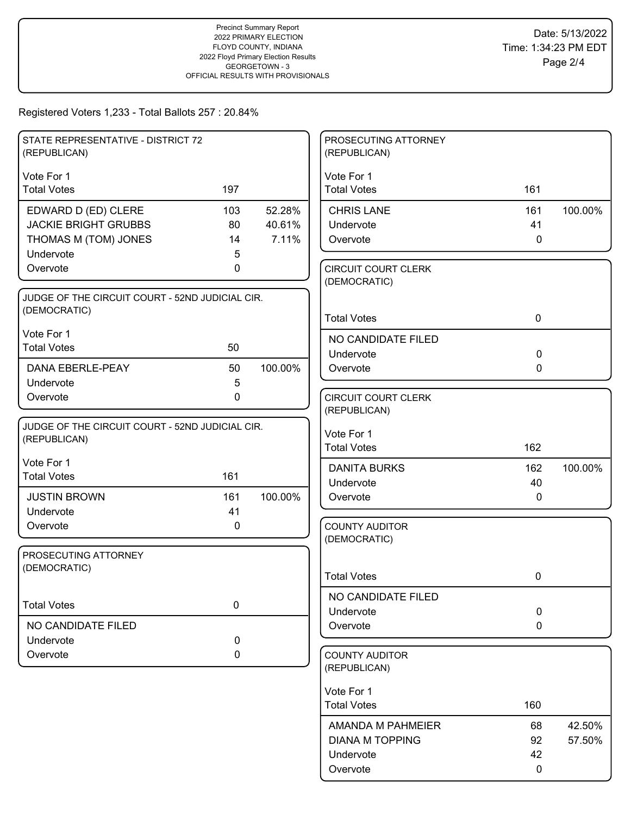| STATE REPRESENTATIVE - DISTRICT 72<br>(REPUBLICAN) |             |         | PROSECUTING ATTORNEY<br>(REPUBLICAN)       |             |         |
|----------------------------------------------------|-------------|---------|--------------------------------------------|-------------|---------|
| Vote For 1                                         |             |         | Vote For 1                                 |             |         |
| <b>Total Votes</b>                                 | 197         |         | <b>Total Votes</b>                         | 161         |         |
| EDWARD D (ED) CLERE                                | 103         | 52.28%  | <b>CHRIS LANE</b>                          | 161         | 100.00% |
| <b>JACKIE BRIGHT GRUBBS</b>                        | 80          | 40.61%  | Undervote                                  | 41          |         |
| THOMAS M (TOM) JONES                               | 14          | 7.11%   | Overvote                                   | $\mathbf 0$ |         |
| Undervote                                          | 5           |         |                                            |             |         |
| Overvote                                           | 0           |         | <b>CIRCUIT COURT CLERK</b><br>(DEMOCRATIC) |             |         |
| JUDGE OF THE CIRCUIT COURT - 52ND JUDICIAL CIR.    |             |         |                                            |             |         |
| (DEMOCRATIC)                                       |             |         | <b>Total Votes</b>                         | $\mathbf 0$ |         |
| Vote For 1                                         |             |         | NO CANDIDATE FILED                         |             |         |
| <b>Total Votes</b>                                 | 50          |         | Undervote                                  | $\mathbf 0$ |         |
| DANA EBERLE-PEAY                                   | 50          | 100.00% | Overvote                                   | $\mathbf 0$ |         |
| Undervote                                          | 5           |         |                                            |             |         |
| Overvote                                           | $\mathbf 0$ |         | <b>CIRCUIT COURT CLERK</b>                 |             |         |
|                                                    |             |         | (REPUBLICAN)                               |             |         |
| JUDGE OF THE CIRCUIT COURT - 52ND JUDICIAL CIR.    |             |         | Vote For 1                                 |             |         |
| (REPUBLICAN)                                       |             |         | <b>Total Votes</b>                         | 162         |         |
| Vote For 1                                         |             |         | <b>DANITA BURKS</b>                        | 162         | 100.00% |
| <b>Total Votes</b>                                 | 161         |         | Undervote                                  | 40          |         |
| <b>JUSTIN BROWN</b>                                | 161         | 100.00% | Overvote                                   | 0           |         |
| Undervote                                          | 41          |         |                                            |             |         |
| Overvote                                           | 0           |         | <b>COUNTY AUDITOR</b>                      |             |         |
|                                                    |             |         | (DEMOCRATIC)                               |             |         |
| PROSECUTING ATTORNEY                               |             |         |                                            |             |         |
| (DEMOCRATIC)                                       |             |         | <b>Total Votes</b>                         | 0           |         |
|                                                    |             |         |                                            |             |         |
| <b>Total Votes</b>                                 | $\mathbf 0$ |         | NO CANDIDATE FILED<br>Undervote            | $\mathbf 0$ |         |
| NO CANDIDATE FILED                                 |             |         | Overvote                                   | $\mathbf 0$ |         |
| Undervote                                          | 0           |         |                                            |             |         |
| Overvote                                           | 0           |         | <b>COUNTY AUDITOR</b>                      |             |         |
|                                                    |             |         | (REPUBLICAN)                               |             |         |
|                                                    |             |         | Vote For 1                                 |             |         |
|                                                    |             |         | <b>Total Votes</b>                         | 160         |         |
|                                                    |             |         | AMANDA M PAHMEIER                          | 68          | 42.50%  |
|                                                    |             |         | <b>DIANA M TOPPING</b>                     | 92          | 57.50%  |
|                                                    |             |         | Undervote                                  | 42          |         |
|                                                    |             |         | Overvote                                   | 0           |         |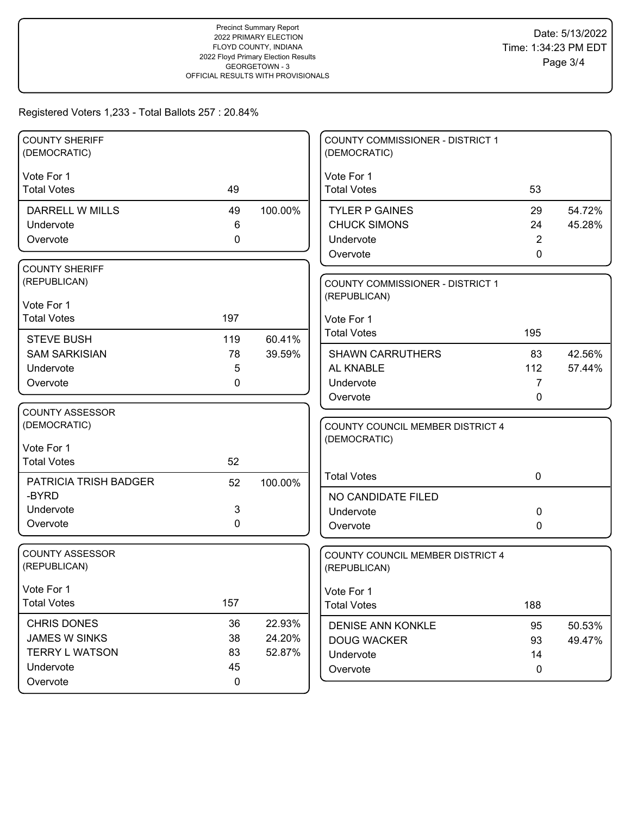| <b>COUNTY SHERIFF</b><br>(DEMOCRATIC) |             |         | COUNTY COMMISSIONER - DISTRICT 1<br>(DEMOCRATIC) |                |                  |
|---------------------------------------|-------------|---------|--------------------------------------------------|----------------|------------------|
| Vote For 1                            |             |         | Vote For 1                                       |                |                  |
| <b>Total Votes</b>                    | 49          |         | <b>Total Votes</b>                               | 53             |                  |
| DARRELL W MILLS                       | 49          | 100.00% | <b>TYLER P GAINES</b>                            | 29             | 54.72%           |
| Undervote                             | 6           |         | <b>CHUCK SIMONS</b>                              | 24             | 45.28%           |
| Overvote                              | 0           |         | Undervote                                        | $\overline{2}$ |                  |
|                                       |             |         | Overvote                                         | $\mathbf{0}$   |                  |
| <b>COUNTY SHERIFF</b>                 |             |         |                                                  |                |                  |
| (REPUBLICAN)                          |             |         | COUNTY COMMISSIONER - DISTRICT 1<br>(REPUBLICAN) |                |                  |
| Vote For 1                            |             |         |                                                  |                |                  |
| <b>Total Votes</b>                    | 197         |         | Vote For 1                                       |                |                  |
| <b>STEVE BUSH</b>                     | 119         | 60.41%  | <b>Total Votes</b>                               | 195            |                  |
| <b>SAM SARKISIAN</b>                  | 78          | 39.59%  | <b>SHAWN CARRUTHERS</b>                          | 83             | 42.56%           |
| Undervote                             | 5           |         | AL KNABLE                                        | 112            | 57.44%           |
| Overvote                              | 0           |         | Undervote                                        | 7              |                  |
|                                       |             |         | Overvote                                         | 0              |                  |
| <b>COUNTY ASSESSOR</b>                |             |         |                                                  |                |                  |
| (DEMOCRATIC)                          |             |         | <b>COUNTY COUNCIL MEMBER DISTRICT 4</b>          |                |                  |
| Vote For 1                            |             |         | (DEMOCRATIC)                                     |                |                  |
| <b>Total Votes</b>                    | 52          |         |                                                  |                |                  |
| PATRICIA TRISH BADGER                 | 52          | 100.00% | <b>Total Votes</b>                               | $\mathbf 0$    |                  |
| -BYRD                                 |             |         | NO CANDIDATE FILED                               |                |                  |
| Undervote                             | 3           |         | Undervote                                        | 0              |                  |
| Overvote                              | $\mathbf 0$ |         | Overvote                                         | 0              |                  |
| <b>COUNTY ASSESSOR</b>                |             |         |                                                  |                |                  |
| (REPUBLICAN)                          |             |         | COUNTY COUNCIL MEMBER DISTRICT 4<br>(REPUBLICAN) |                |                  |
| Vote For 1                            |             |         | Vote For 1                                       |                |                  |
| <b>Total Votes</b>                    | 157         |         | <b>Total Votes</b>                               | 188            |                  |
| <b>CHRIS DONES</b>                    | 36          | 22.93%  | <b>DENISE ANN KONKLE</b>                         | 95             |                  |
| <b>JAMES W SINKS</b>                  | 38          | 24.20%  | <b>DOUG WACKER</b>                               | 93             | 50.53%<br>49.47% |
| <b>TERRY L WATSON</b>                 | 83          | 52.87%  | Undervote                                        | 14             |                  |
| Undervote                             | 45          |         | Overvote                                         | $\mathbf 0$    |                  |
| Overvote                              | $\mathbf 0$ |         |                                                  |                |                  |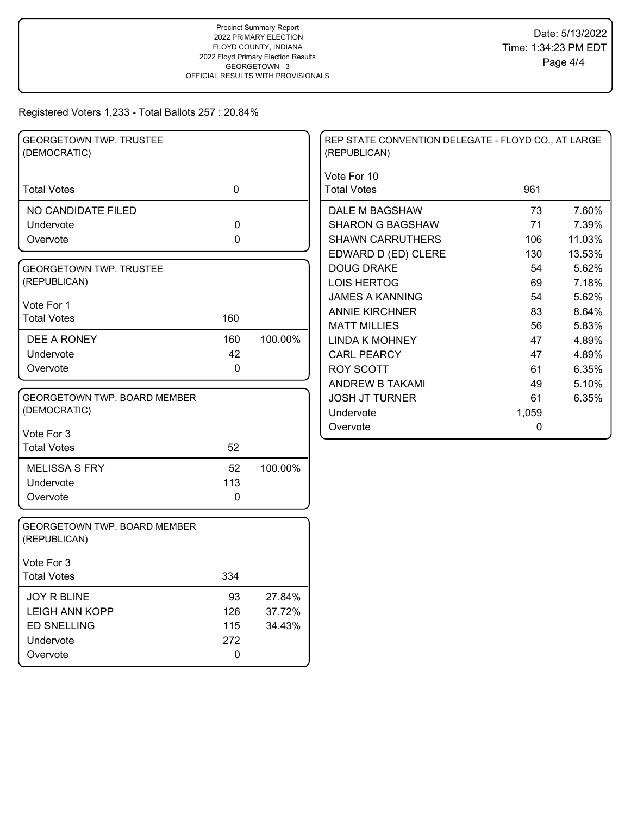| <b>GEORGETOWN TWP. TRUSTEE</b><br>(DEMOCRATIC) |             |         | REP STATE CONVENTION DELEGATE - FLOYD CO., AT LARGE<br>(REPUBLICAN) |           |        |
|------------------------------------------------|-------------|---------|---------------------------------------------------------------------|-----------|--------|
| <b>Total Votes</b>                             | $\mathbf 0$ |         | Vote For 10<br><b>Total Votes</b>                                   | 961       |        |
| NO CANDIDATE FILED                             |             |         | DALE M BAGSHAW                                                      | 73        | 7.60%  |
| Undervote                                      | 0           |         | <b>SHARON G BAGSHAW</b>                                             | 71        | 7.39%  |
| Overvote                                       | 0           |         | <b>SHAWN CARRUTHERS</b>                                             | 106       | 11.03% |
|                                                |             |         | EDWARD D (ED) CLERE                                                 | 130       | 13.53% |
| <b>GEORGETOWN TWP. TRUSTEE</b>                 |             |         | <b>DOUG DRAKE</b>                                                   | 54        | 5.62%  |
| (REPUBLICAN)                                   |             |         | <b>LOIS HERTOG</b>                                                  | 69        | 7.18%  |
|                                                |             |         | <b>JAMES A KANNING</b>                                              | 54        | 5.62%  |
| Vote For 1<br><b>Total Votes</b>               | 160         |         | <b>ANNIE KIRCHNER</b>                                               | 83        | 8.64%  |
|                                                |             |         | <b>MATT MILLIES</b>                                                 | 56        | 5.83%  |
| DEE A RONEY                                    | 160         | 100.00% | <b>LINDA K MOHNEY</b>                                               | 47        | 4.89%  |
| Undervote                                      | 42          |         | <b>CARL PEARCY</b>                                                  | 47        | 4.89%  |
| Overvote                                       | 0           |         | <b>ROY SCOTT</b>                                                    | 61        | 6.35%  |
|                                                |             |         | ANDREW B TAKAMI                                                     | 49        | 5.10%  |
| <b>GEORGETOWN TWP. BOARD MEMBER</b>            |             |         | <b>JOSH JT TURNER</b>                                               | 61        | 6.35%  |
| (DEMOCRATIC)                                   |             |         | Undervote                                                           | 1,059     |        |
| Vote For 3                                     |             |         | Overvote                                                            | $\pmb{0}$ |        |
| <b>Total Votes</b>                             | 52          |         |                                                                     |           |        |
| <b>MELISSA S FRY</b>                           | 52          | 100.00% |                                                                     |           |        |
| Undervote                                      | 113         |         |                                                                     |           |        |
| Overvote                                       | 0           |         |                                                                     |           |        |
| GEORGETOWN TWP. BOARD MEMBER<br>(REPUBLICAN)   |             |         |                                                                     |           |        |
| Vote For 3                                     |             |         |                                                                     |           |        |
| <b>Total Votes</b>                             | 334         |         |                                                                     |           |        |
| <b>JOY R BLINE</b>                             | 93          | 27.84%  |                                                                     |           |        |
| <b>LEIGH ANN KOPP</b>                          | 126         | 37.72%  |                                                                     |           |        |
| <b>ED SNELLING</b>                             | 115         | 34.43%  |                                                                     |           |        |
| Undervote                                      | 272         |         |                                                                     |           |        |
| Overvote                                       | 0           |         |                                                                     |           |        |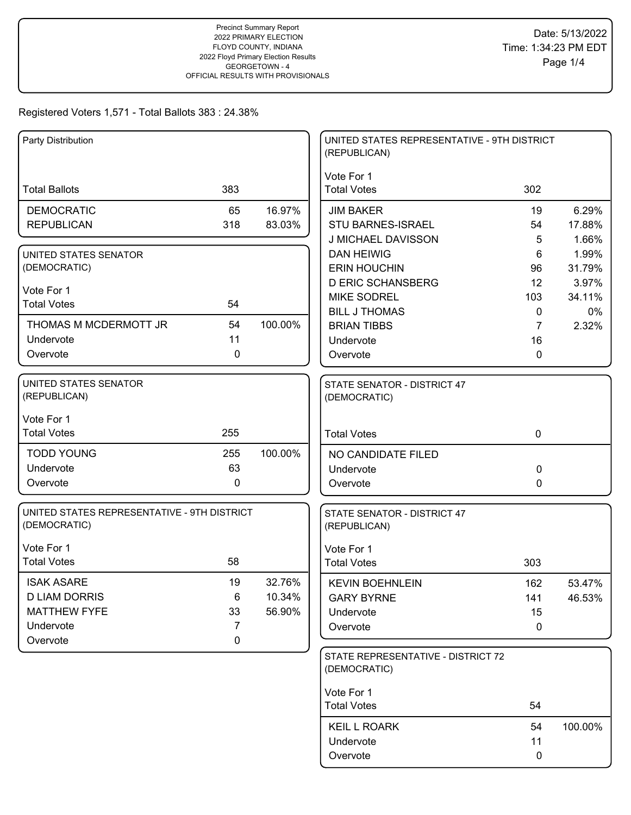| Party Distribution                                          |             |         | UNITED STATES REPRESENTATIVE - 9TH DISTRICT<br>(REPUBLICAN) |                |         |
|-------------------------------------------------------------|-------------|---------|-------------------------------------------------------------|----------------|---------|
| <b>Total Ballots</b>                                        | 383         |         | Vote For 1<br><b>Total Votes</b>                            | 302            |         |
| <b>DEMOCRATIC</b>                                           | 65          | 16.97%  | <b>JIM BAKER</b>                                            | 19             | 6.29%   |
| <b>REPUBLICAN</b>                                           | 318         | 83.03%  | <b>STU BARNES-ISRAEL</b>                                    | 54             | 17.88%  |
|                                                             |             |         | J MICHAEL DAVISSON                                          | 5              | 1.66%   |
| UNITED STATES SENATOR                                       |             |         | <b>DAN HEIWIG</b>                                           | 6              | 1.99%   |
| (DEMOCRATIC)                                                |             |         | <b>ERIN HOUCHIN</b>                                         | 96             | 31.79%  |
| Vote For 1                                                  |             |         | <b>D ERIC SCHANSBERG</b>                                    | 12             | 3.97%   |
| <b>Total Votes</b>                                          | 54          |         | <b>MIKE SODREL</b>                                          | 103            | 34.11%  |
|                                                             |             |         | <b>BILL J THOMAS</b>                                        | 0              | 0%      |
| THOMAS M MCDERMOTT JR                                       | 54          | 100.00% | <b>BRIAN TIBBS</b>                                          | $\overline{7}$ | 2.32%   |
| Undervote                                                   | 11          |         | Undervote                                                   | 16             |         |
| Overvote                                                    | 0           |         | Overvote                                                    | 0              |         |
| UNITED STATES SENATOR<br>(REPUBLICAN)                       |             |         | STATE SENATOR - DISTRICT 47<br>(DEMOCRATIC)                 |                |         |
| Vote For 1                                                  |             |         |                                                             |                |         |
| <b>Total Votes</b>                                          | 255         |         | <b>Total Votes</b>                                          | $\mathbf 0$    |         |
| <b>TODD YOUNG</b>                                           | 255         | 100.00% | NO CANDIDATE FILED                                          |                |         |
| Undervote                                                   | 63          |         | Undervote                                                   | 0              |         |
| Overvote                                                    | $\pmb{0}$   |         | Overvote                                                    | 0              |         |
| UNITED STATES REPRESENTATIVE - 9TH DISTRICT<br>(DEMOCRATIC) |             |         | STATE SENATOR - DISTRICT 47<br>(REPUBLICAN)                 |                |         |
| Vote For 1                                                  |             |         | Vote For 1                                                  |                |         |
| <b>Total Votes</b>                                          | 58          |         | <b>Total Votes</b>                                          | 303            |         |
| <b>ISAK ASARE</b>                                           | 19          | 32.76%  | <b>KEVIN BOEHNLEIN</b>                                      | 162            | 53.47%  |
| <b>D LIAM DORRIS</b>                                        | 6           | 10.34%  | <b>GARY BYRNE</b>                                           | 141            | 46.53%  |
| <b>MATTHEW FYFE</b>                                         | 33          | 56.90%  | Undervote                                                   | 15             |         |
| Undervote                                                   | 7           |         | Overvote                                                    | 0              |         |
| Overvote                                                    | $\mathbf 0$ |         |                                                             |                |         |
|                                                             |             |         | STATE REPRESENTATIVE - DISTRICT 72<br>(DEMOCRATIC)          |                |         |
|                                                             |             |         | Vote For 1                                                  |                |         |
|                                                             |             |         | <b>Total Votes</b>                                          | 54             |         |
|                                                             |             |         | <b>KEIL L ROARK</b>                                         | 54             | 100.00% |
|                                                             |             |         | Undervote                                                   | 11             |         |
|                                                             |             |         | Overvote                                                    | 0              |         |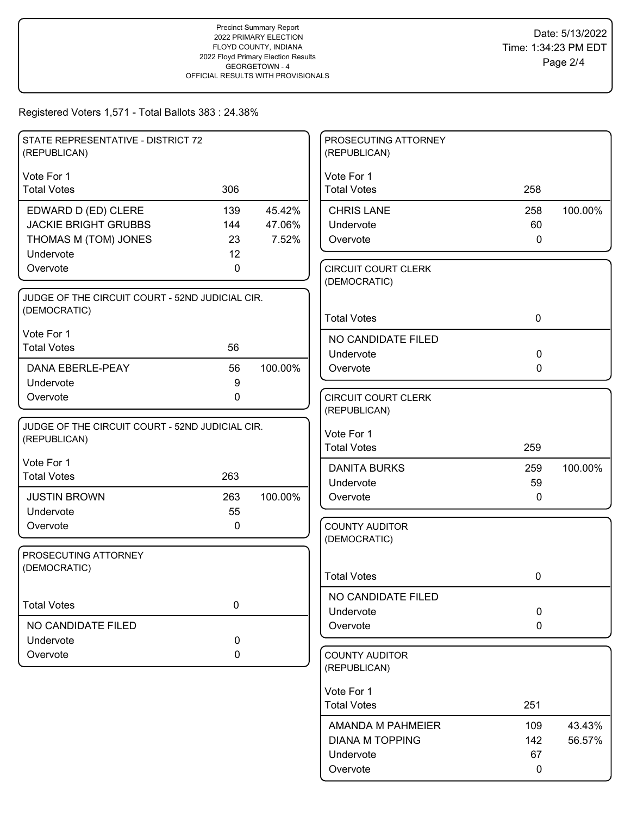| STATE REPRESENTATIVE - DISTRICT 72<br>(REPUBLICAN)              |                    |         | PROSECUTING ATTORNEY<br>(REPUBLICAN)       |              |         |
|-----------------------------------------------------------------|--------------------|---------|--------------------------------------------|--------------|---------|
| Vote For 1                                                      |                    |         | Vote For 1                                 |              |         |
| <b>Total Votes</b>                                              | 306                |         | <b>Total Votes</b>                         | 258          |         |
| EDWARD D (ED) CLERE                                             | 139                | 45.42%  | <b>CHRIS LANE</b>                          | 258          | 100.00% |
| <b>JACKIE BRIGHT GRUBBS</b>                                     | 144                | 47.06%  | Undervote                                  | 60           |         |
| THOMAS M (TOM) JONES                                            | 23                 | 7.52%   | Overvote                                   | $\mathbf 0$  |         |
| Undervote<br>Overvote                                           | 12<br>$\mathbf{0}$ |         |                                            |              |         |
|                                                                 |                    |         | <b>CIRCUIT COURT CLERK</b><br>(DEMOCRATIC) |              |         |
| JUDGE OF THE CIRCUIT COURT - 52ND JUDICIAL CIR.                 |                    |         |                                            |              |         |
| (DEMOCRATIC)                                                    |                    |         | <b>Total Votes</b>                         | $\mathbf 0$  |         |
| Vote For 1                                                      |                    |         | NO CANDIDATE FILED                         |              |         |
| <b>Total Votes</b>                                              | 56                 |         | Undervote                                  | $\mathbf 0$  |         |
| DANA EBERLE-PEAY                                                | 56                 | 100.00% | Overvote                                   | $\mathbf{0}$ |         |
| Undervote                                                       | $9\,$              |         |                                            |              |         |
| Overvote                                                        | $\mathbf 0$        |         | <b>CIRCUIT COURT CLERK</b>                 |              |         |
|                                                                 |                    |         | (REPUBLICAN)                               |              |         |
| JUDGE OF THE CIRCUIT COURT - 52ND JUDICIAL CIR.<br>(REPUBLICAN) |                    |         | Vote For 1                                 |              |         |
|                                                                 |                    |         | <b>Total Votes</b>                         | 259          |         |
| Vote For 1                                                      |                    |         | <b>DANITA BURKS</b>                        | 259          | 100.00% |
| <b>Total Votes</b>                                              | 263                |         | Undervote                                  | 59           |         |
| <b>JUSTIN BROWN</b>                                             | 263                | 100.00% | Overvote                                   | $\mathbf{0}$ |         |
| Undervote                                                       | 55                 |         |                                            |              |         |
| Overvote                                                        | 0                  |         | <b>COUNTY AUDITOR</b>                      |              |         |
|                                                                 |                    |         | (DEMOCRATIC)                               |              |         |
| PROSECUTING ATTORNEY<br>(DEMOCRATIC)                            |                    |         |                                            |              |         |
|                                                                 |                    |         | <b>Total Votes</b>                         | 0            |         |
|                                                                 |                    |         | NO CANDIDATE FILED                         |              |         |
| <b>Total Votes</b>                                              | $\pmb{0}$          |         | Undervote                                  | $\mathbf 0$  |         |
| NO CANDIDATE FILED                                              |                    |         | Overvote                                   | $\mathbf 0$  |         |
| Undervote                                                       | 0                  |         |                                            |              |         |
| Overvote                                                        | 0                  |         | <b>COUNTY AUDITOR</b><br>(REPUBLICAN)      |              |         |
|                                                                 |                    |         | Vote For 1                                 |              |         |
|                                                                 |                    |         | <b>Total Votes</b>                         | 251          |         |
|                                                                 |                    |         | AMANDA M PAHMEIER                          | 109          | 43.43%  |
|                                                                 |                    |         | <b>DIANA M TOPPING</b>                     | 142          | 56.57%  |
|                                                                 |                    |         | Undervote                                  | 67           |         |
|                                                                 |                    |         | Overvote                                   | 0            |         |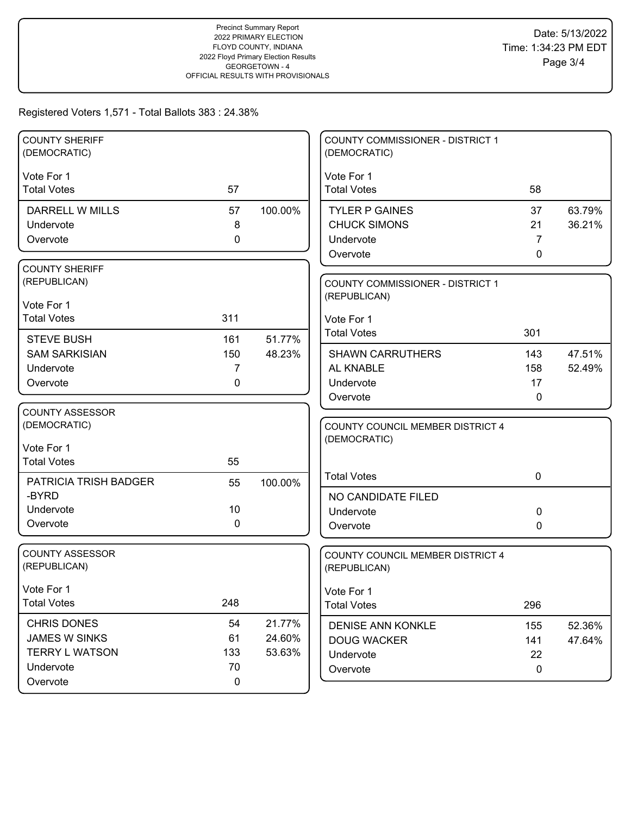| <b>COUNTY SHERIFF</b>             |             |         | <b>COUNTY COMMISSIONER - DISTRICT 1</b>          |              |                  |
|-----------------------------------|-------------|---------|--------------------------------------------------|--------------|------------------|
| (DEMOCRATIC)                      |             |         | (DEMOCRATIC)                                     |              |                  |
| Vote For 1                        |             |         | Vote For 1                                       |              |                  |
| <b>Total Votes</b>                | 57          |         | <b>Total Votes</b>                               | 58           |                  |
| <b>DARRELL W MILLS</b>            | 57          | 100.00% | <b>TYLER P GAINES</b>                            | 37           | 63.79%           |
| Undervote                         | 8           |         | <b>CHUCK SIMONS</b>                              | 21           | 36.21%           |
| Overvote                          | $\mathbf 0$ |         | Undervote                                        | 7            |                  |
|                                   |             |         | Overvote                                         | $\mathbf{0}$ |                  |
| <b>COUNTY SHERIFF</b>             |             |         |                                                  |              |                  |
| (REPUBLICAN)                      |             |         | COUNTY COMMISSIONER - DISTRICT 1                 |              |                  |
| Vote For 1                        |             |         | (REPUBLICAN)                                     |              |                  |
| <b>Total Votes</b>                | 311         |         | Vote For 1                                       |              |                  |
|                                   |             |         | <b>Total Votes</b>                               | 301          |                  |
| <b>STEVE BUSH</b>                 | 161         | 51.77%  |                                                  |              |                  |
| <b>SAM SARKISIAN</b><br>Undervote | 150<br>7    | 48.23%  | <b>SHAWN CARRUTHERS</b><br>AL KNABLE             | 143<br>158   | 47.51%<br>52.49% |
| Overvote                          | 0           |         | Undervote                                        | 17           |                  |
|                                   |             |         | Overvote                                         | $\mathbf 0$  |                  |
| <b>COUNTY ASSESSOR</b>            |             |         |                                                  |              |                  |
| (DEMOCRATIC)                      |             |         | COUNTY COUNCIL MEMBER DISTRICT 4                 |              |                  |
|                                   |             |         | (DEMOCRATIC)                                     |              |                  |
| Vote For 1                        |             |         |                                                  |              |                  |
| <b>Total Votes</b>                | 55          |         | <b>Total Votes</b>                               | $\mathbf 0$  |                  |
| <b>PATRICIA TRISH BADGER</b>      | 55          | 100.00% |                                                  |              |                  |
| -BYRD                             |             |         | NO CANDIDATE FILED                               |              |                  |
| Undervote                         | 10          |         | Undervote                                        | 0            |                  |
| Overvote                          | 0           |         | Overvote                                         | 0            |                  |
| <b>COUNTY ASSESSOR</b>            |             |         |                                                  |              |                  |
| (REPUBLICAN)                      |             |         | COUNTY COUNCIL MEMBER DISTRICT 4<br>(REPUBLICAN) |              |                  |
|                                   |             |         |                                                  |              |                  |
| Vote For 1                        |             |         | Vote For 1                                       |              |                  |
| <b>Total Votes</b>                | 248         |         | <b>Total Votes</b>                               | 296          |                  |
| <b>CHRIS DONES</b>                | 54          | 21.77%  | <b>DENISE ANN KONKLE</b>                         | 155          | 52.36%           |
| <b>JAMES W SINKS</b>              | 61          | 24.60%  | <b>DOUG WACKER</b>                               | 141          | 47.64%           |
| <b>TERRY L WATSON</b>             | 133         | 53.63%  | Undervote                                        | 22           |                  |
| Undervote                         | 70          |         | Overvote                                         | $\mathbf 0$  |                  |
| Overvote                          | $\mathbf 0$ |         |                                                  |              |                  |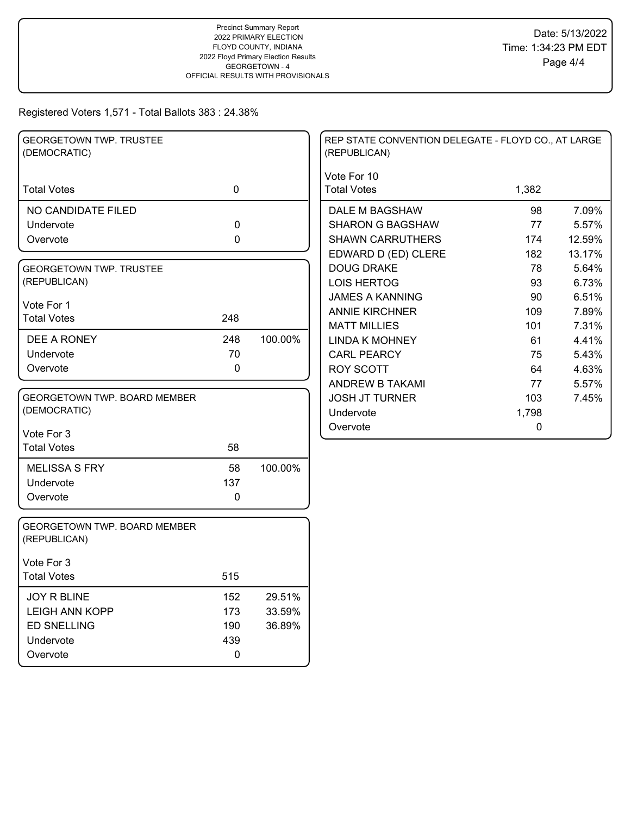| <b>GEORGETOWN TWP. TRUSTEE</b><br>(DEMOCRATIC) |             |         | REP STATE CONVENTION DELEGATE - FLOYD CO., AT LARGE<br>(REPUBLICAN) |           |        |
|------------------------------------------------|-------------|---------|---------------------------------------------------------------------|-----------|--------|
| <b>Total Votes</b>                             | $\mathbf 0$ |         | Vote For 10<br><b>Total Votes</b>                                   | 1,382     |        |
| NO CANDIDATE FILED                             |             |         | DALE M BAGSHAW                                                      | 98        | 7.09%  |
| Undervote                                      | 0           |         | <b>SHARON G BAGSHAW</b>                                             | 77        | 5.57%  |
| Overvote                                       | 0           |         | <b>SHAWN CARRUTHERS</b>                                             | 174       | 12.59% |
|                                                |             |         | EDWARD D (ED) CLERE                                                 | 182       | 13.17% |
| <b>GEORGETOWN TWP. TRUSTEE</b>                 |             |         | <b>DOUG DRAKE</b>                                                   | 78        | 5.64%  |
| (REPUBLICAN)                                   |             |         | <b>LOIS HERTOG</b>                                                  | 93        | 6.73%  |
| Vote For 1                                     |             |         | <b>JAMES A KANNING</b>                                              | 90        | 6.51%  |
| <b>Total Votes</b>                             | 248         |         | <b>ANNIE KIRCHNER</b>                                               | 109       | 7.89%  |
|                                                |             |         | <b>MATT MILLIES</b>                                                 | 101       | 7.31%  |
| DEE A RONEY                                    | 248         | 100.00% | <b>LINDA K MOHNEY</b>                                               | 61        | 4.41%  |
| Undervote                                      | 70          |         | <b>CARL PEARCY</b>                                                  | 75        | 5.43%  |
| Overvote                                       | 0           |         | <b>ROY SCOTT</b>                                                    | 64        | 4.63%  |
|                                                |             |         | ANDREW B TAKAMI                                                     | 77        | 5.57%  |
| <b>GEORGETOWN TWP. BOARD MEMBER</b>            |             |         | <b>JOSH JT TURNER</b>                                               | 103       | 7.45%  |
| (DEMOCRATIC)                                   |             |         | Undervote                                                           | 1,798     |        |
| Vote For 3                                     |             |         | Overvote                                                            | $\pmb{0}$ |        |
| <b>Total Votes</b>                             | 58          |         |                                                                     |           |        |
| <b>MELISSA S FRY</b>                           | 58          | 100.00% |                                                                     |           |        |
| Undervote                                      | 137         |         |                                                                     |           |        |
| Overvote                                       | 0           |         |                                                                     |           |        |
| GEORGETOWN TWP. BOARD MEMBER<br>(REPUBLICAN)   |             |         |                                                                     |           |        |
| Vote For 3                                     |             |         |                                                                     |           |        |
| <b>Total Votes</b>                             | 515         |         |                                                                     |           |        |
| <b>JOY R BLINE</b>                             | 152         | 29.51%  |                                                                     |           |        |
| <b>LEIGH ANN KOPP</b>                          | 173         | 33.59%  |                                                                     |           |        |
| <b>ED SNELLING</b>                             | 190         | 36.89%  |                                                                     |           |        |
| Undervote                                      | 439         |         |                                                                     |           |        |
| Overvote                                       | $\mathbf 0$ |         |                                                                     |           |        |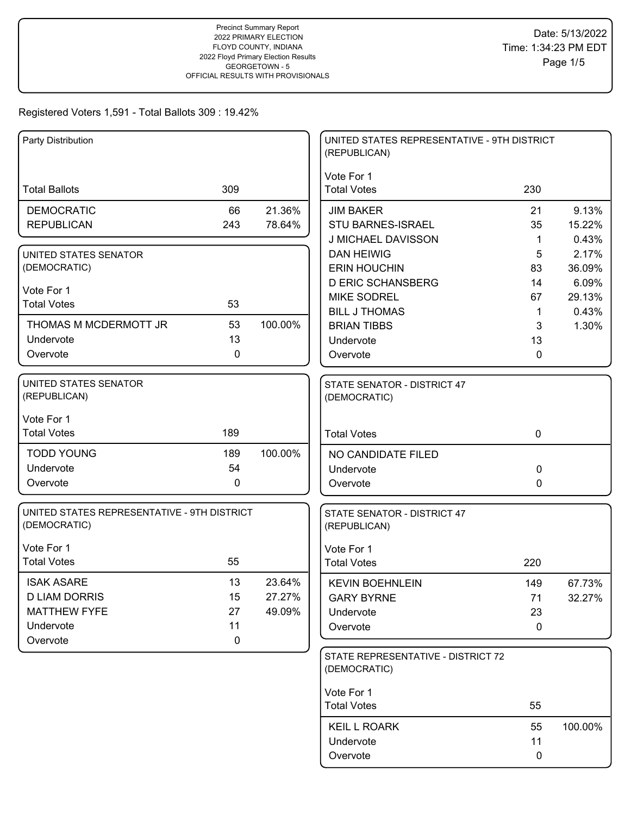| Party Distribution                                          |           |         | UNITED STATES REPRESENTATIVE - 9TH DISTRICT<br>(REPUBLICAN) |             |         |
|-------------------------------------------------------------|-----------|---------|-------------------------------------------------------------|-------------|---------|
|                                                             |           |         | Vote For 1                                                  |             |         |
| <b>Total Ballots</b>                                        | 309       |         | <b>Total Votes</b>                                          | 230         |         |
| <b>DEMOCRATIC</b>                                           | 66        | 21.36%  | <b>JIM BAKER</b>                                            | 21          | 9.13%   |
| <b>REPUBLICAN</b>                                           | 243       | 78.64%  | <b>STU BARNES-ISRAEL</b>                                    | 35          | 15.22%  |
|                                                             |           |         | J MICHAEL DAVISSON                                          | 1           | 0.43%   |
| UNITED STATES SENATOR                                       |           |         | <b>DAN HEIWIG</b>                                           | 5           | 2.17%   |
| (DEMOCRATIC)                                                |           |         | <b>ERIN HOUCHIN</b>                                         | 83          | 36.09%  |
| Vote For 1                                                  |           |         | <b>D ERIC SCHANSBERG</b>                                    | 14          | 6.09%   |
| <b>Total Votes</b>                                          | 53        |         | <b>MIKE SODREL</b>                                          | 67          | 29.13%  |
|                                                             |           |         | <b>BILL J THOMAS</b>                                        | 1           | 0.43%   |
| THOMAS M MCDERMOTT JR                                       | 53        | 100.00% | <b>BRIAN TIBBS</b>                                          | 3           | 1.30%   |
| Undervote                                                   | 13        |         | Undervote                                                   | 13          |         |
| Overvote                                                    | 0         |         | Overvote                                                    | 0           |         |
| <b>UNITED STATES SENATOR</b><br>(REPUBLICAN)                |           |         | STATE SENATOR - DISTRICT 47<br>(DEMOCRATIC)                 |             |         |
| Vote For 1                                                  |           |         |                                                             |             |         |
| <b>Total Votes</b>                                          | 189       |         | <b>Total Votes</b>                                          | $\mathbf 0$ |         |
| <b>TODD YOUNG</b>                                           | 189       | 100.00% | NO CANDIDATE FILED                                          |             |         |
| Undervote                                                   | 54        |         | Undervote                                                   | 0           |         |
| Overvote                                                    | 0         |         | Overvote                                                    | 0           |         |
| UNITED STATES REPRESENTATIVE - 9TH DISTRICT<br>(DEMOCRATIC) |           |         | STATE SENATOR - DISTRICT 47<br>(REPUBLICAN)                 |             |         |
| Vote For 1                                                  |           |         | Vote For 1                                                  |             |         |
| <b>Total Votes</b>                                          | 55        |         | <b>Total Votes</b>                                          | 220         |         |
| <b>ISAK ASARE</b>                                           | 13        | 23.64%  | <b>KEVIN BOEHNLEIN</b>                                      | 149         | 67.73%  |
| <b>D LIAM DORRIS</b>                                        | 15        | 27.27%  | <b>GARY BYRNE</b>                                           | 71          | 32.27%  |
| <b>MATTHEW FYFE</b>                                         | 27        | 49.09%  | Undervote                                                   | 23          |         |
| Undervote                                                   | 11        |         | Overvote                                                    | $\mathbf 0$ |         |
| Overvote                                                    | $\pmb{0}$ |         |                                                             |             |         |
|                                                             |           |         | STATE REPRESENTATIVE - DISTRICT 72<br>(DEMOCRATIC)          |             |         |
|                                                             |           |         | Vote For 1                                                  |             |         |
|                                                             |           |         | <b>Total Votes</b>                                          | 55          |         |
|                                                             |           |         | <b>KEIL L ROARK</b>                                         | 55          | 100.00% |
|                                                             |           |         | Undervote                                                   | 11          |         |
|                                                             |           |         | Overvote                                                    | $\mathbf 0$ |         |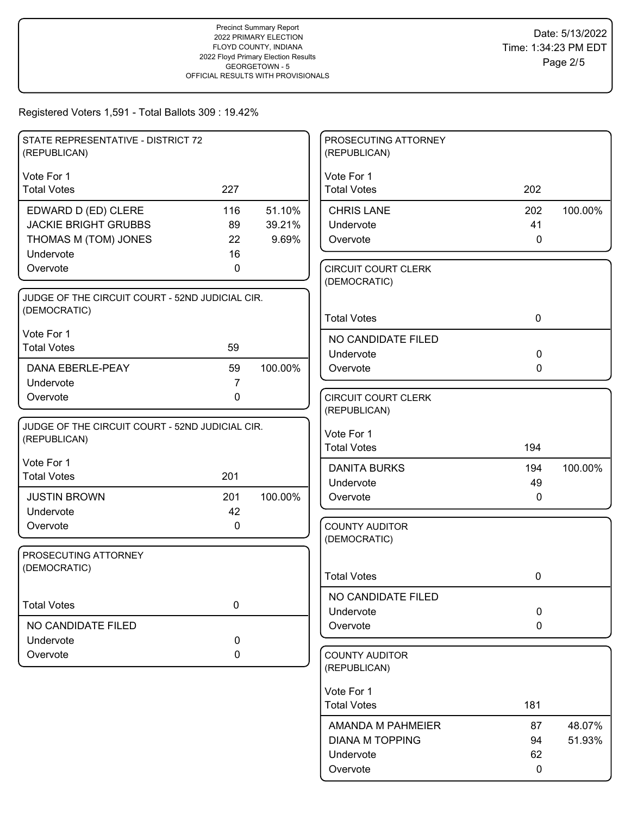| STATE REPRESENTATIVE - DISTRICT 72<br>(REPUBLICAN)              |                |         | PROSECUTING ATTORNEY<br>(REPUBLICAN)       |              |         |
|-----------------------------------------------------------------|----------------|---------|--------------------------------------------|--------------|---------|
| Vote For 1                                                      |                |         | Vote For 1                                 |              |         |
| <b>Total Votes</b>                                              | 227            |         | <b>Total Votes</b>                         | 202          |         |
| EDWARD D (ED) CLERE                                             | 116            | 51.10%  | <b>CHRIS LANE</b>                          | 202          | 100.00% |
| <b>JACKIE BRIGHT GRUBBS</b>                                     | 89             | 39.21%  | Undervote                                  | 41           |         |
| THOMAS M (TOM) JONES                                            | 22             | 9.69%   | Overvote                                   | $\mathbf 0$  |         |
| Undervote                                                       | 16             |         |                                            |              |         |
| Overvote                                                        | 0              |         | <b>CIRCUIT COURT CLERK</b><br>(DEMOCRATIC) |              |         |
| JUDGE OF THE CIRCUIT COURT - 52ND JUDICIAL CIR.                 |                |         |                                            |              |         |
| (DEMOCRATIC)                                                    |                |         | <b>Total Votes</b>                         | $\mathbf 0$  |         |
| Vote For 1                                                      |                |         |                                            |              |         |
| <b>Total Votes</b>                                              | 59             |         | NO CANDIDATE FILED                         |              |         |
|                                                                 |                |         | Undervote                                  | $\mathbf 0$  |         |
| DANA EBERLE-PEAY                                                | 59             | 100.00% | Overvote                                   | $\mathbf 0$  |         |
| Undervote                                                       | $\overline{7}$ |         |                                            |              |         |
| Overvote                                                        | $\mathbf 0$    |         | <b>CIRCUIT COURT CLERK</b>                 |              |         |
|                                                                 |                |         | (REPUBLICAN)                               |              |         |
| JUDGE OF THE CIRCUIT COURT - 52ND JUDICIAL CIR.<br>(REPUBLICAN) |                |         | Vote For 1                                 |              |         |
|                                                                 |                |         | <b>Total Votes</b>                         | 194          |         |
| Vote For 1                                                      |                |         | <b>DANITA BURKS</b>                        | 194          | 100.00% |
| <b>Total Votes</b>                                              | 201            |         | Undervote                                  | 49           |         |
| <b>JUSTIN BROWN</b>                                             | 201            | 100.00% | Overvote                                   | $\mathbf{0}$ |         |
| Undervote                                                       | 42             |         |                                            |              |         |
| Overvote                                                        | 0              |         | <b>COUNTY AUDITOR</b>                      |              |         |
|                                                                 |                |         | (DEMOCRATIC)                               |              |         |
| PROSECUTING ATTORNEY                                            |                |         |                                            |              |         |
| (DEMOCRATIC)                                                    |                |         | <b>Total Votes</b>                         | 0            |         |
|                                                                 |                |         |                                            |              |         |
| <b>Total Votes</b>                                              | $\mathbf 0$    |         | NO CANDIDATE FILED                         |              |         |
|                                                                 |                |         | Undervote                                  | $\mathbf 0$  |         |
| NO CANDIDATE FILED                                              |                |         | Overvote                                   | $\mathbf 0$  |         |
| Undervote<br>Overvote                                           | 0              |         |                                            |              |         |
|                                                                 | 0              |         | <b>COUNTY AUDITOR</b><br>(REPUBLICAN)      |              |         |
|                                                                 |                |         |                                            |              |         |
|                                                                 |                |         | Vote For 1<br><b>Total Votes</b>           | 181          |         |
|                                                                 |                |         |                                            |              |         |
|                                                                 |                |         | AMANDA M PAHMEIER                          | 87           | 48.07%  |
|                                                                 |                |         | <b>DIANA M TOPPING</b>                     | 94           | 51.93%  |
|                                                                 |                |         | Undervote                                  | 62           |         |
|                                                                 |                |         | Overvote                                   | 0            |         |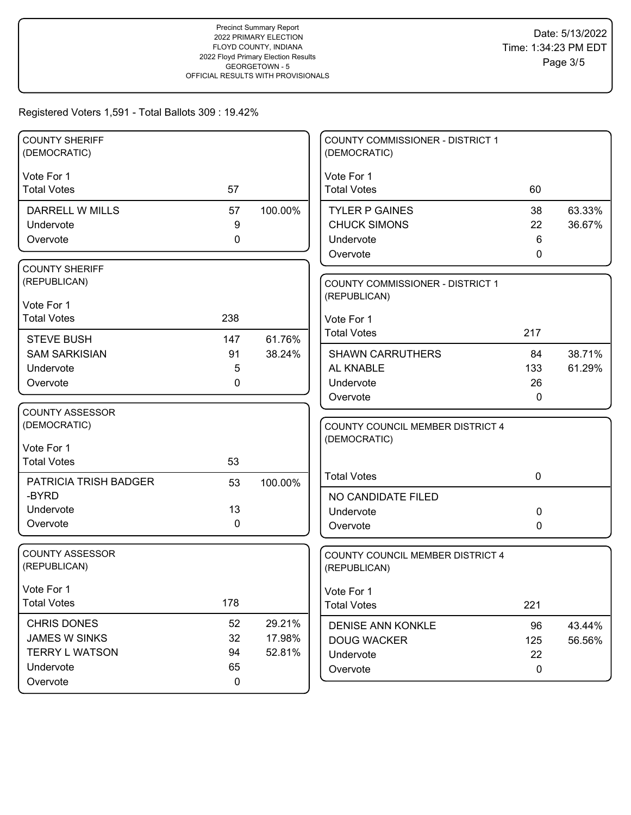| <b>COUNTY SHERIFF</b>  |              |         | <b>COUNTY COMMISSIONER - DISTRICT 1</b> |             |        |
|------------------------|--------------|---------|-----------------------------------------|-------------|--------|
| (DEMOCRATIC)           |              |         | (DEMOCRATIC)                            |             |        |
| Vote For 1             |              |         | Vote For 1                              |             |        |
| <b>Total Votes</b>     | 57           |         | <b>Total Votes</b>                      | 60          |        |
| <b>DARRELL W MILLS</b> | 57           | 100.00% | <b>TYLER P GAINES</b>                   | 38          | 63.33% |
| Undervote              | 9            |         | <b>CHUCK SIMONS</b>                     | 22          | 36.67% |
| Overvote               | $\mathbf 0$  |         | Undervote                               | 6           |        |
|                        |              |         | Overvote                                | 0           |        |
| <b>COUNTY SHERIFF</b>  |              |         |                                         |             |        |
| (REPUBLICAN)           |              |         | COUNTY COMMISSIONER - DISTRICT 1        |             |        |
| Vote For 1             |              |         | (REPUBLICAN)                            |             |        |
| <b>Total Votes</b>     | 238          |         | Vote For 1                              |             |        |
| <b>STEVE BUSH</b>      | 147          | 61.76%  | <b>Total Votes</b>                      | 217         |        |
| <b>SAM SARKISIAN</b>   | 91           | 38.24%  | <b>SHAWN CARRUTHERS</b>                 | 84          | 38.71% |
| Undervote              | 5            |         | AL KNABLE                               | 133         | 61.29% |
| Overvote               | $\mathbf{0}$ |         | Undervote                               | 26          |        |
|                        |              |         | Overvote                                | 0           |        |
| <b>COUNTY ASSESSOR</b> |              |         |                                         |             |        |
| (DEMOCRATIC)           |              |         | COUNTY COUNCIL MEMBER DISTRICT 4        |             |        |
| Vote For 1             |              |         | (DEMOCRATIC)                            |             |        |
| <b>Total Votes</b>     | 53           |         |                                         |             |        |
| PATRICIA TRISH BADGER  | 53           | 100.00% | <b>Total Votes</b>                      | $\mathbf 0$ |        |
| -BYRD                  |              |         | NO CANDIDATE FILED                      |             |        |
| Undervote              | 13           |         | Undervote                               | 0           |        |
| Overvote               | $\mathbf{0}$ |         | Overvote                                | 0           |        |
|                        |              |         |                                         |             |        |
| <b>COUNTY ASSESSOR</b> |              |         | COUNTY COUNCIL MEMBER DISTRICT 4        |             |        |
| (REPUBLICAN)           |              |         | (REPUBLICAN)                            |             |        |
| Vote For 1             |              |         | Vote For 1                              |             |        |
| <b>Total Votes</b>     | 178          |         | <b>Total Votes</b>                      | 221         |        |
| CHRIS DONES            | 52           | 29.21%  | <b>DENISE ANN KONKLE</b>                | 96          | 43.44% |
| <b>JAMES W SINKS</b>   | 32           | 17.98%  | <b>DOUG WACKER</b>                      | 125         | 56.56% |
| <b>TERRY L WATSON</b>  | 94           | 52.81%  | Undervote                               | 22          |        |
| Undervote              | 65           |         | Overvote                                | $\mathbf 0$ |        |
| Overvote               | $\mathbf 0$  |         |                                         |             |        |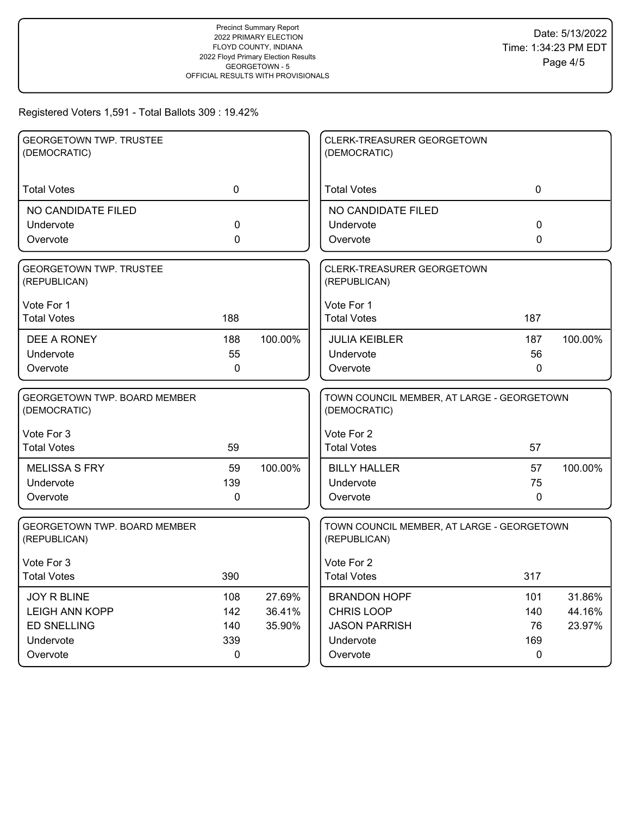| <b>GEORGETOWN TWP. TRUSTEE</b><br>(DEMOCRATIC)      |              |         | CLERK-TREASURER GEORGETOWN<br>(DEMOCRATIC)                 |              |         |
|-----------------------------------------------------|--------------|---------|------------------------------------------------------------|--------------|---------|
| <b>Total Votes</b>                                  | $\mathbf 0$  |         | <b>Total Votes</b>                                         | $\mathbf 0$  |         |
| NO CANDIDATE FILED                                  |              |         | NO CANDIDATE FILED                                         |              |         |
| Undervote                                           | 0            |         | Undervote                                                  | 0            |         |
| Overvote                                            | $\Omega$     |         | Overvote                                                   | $\Omega$     |         |
| <b>GEORGETOWN TWP. TRUSTEE</b><br>(REPUBLICAN)      |              |         | <b>CLERK-TREASURER GEORGETOWN</b><br>(REPUBLICAN)          |              |         |
| Vote For 1                                          |              |         | Vote For 1                                                 |              |         |
| <b>Total Votes</b>                                  | 188          |         | <b>Total Votes</b>                                         | 187          |         |
| DEE A RONEY                                         | 188          | 100.00% | <b>JULIA KEIBLER</b>                                       | 187          | 100.00% |
| Undervote                                           | 55           |         | Undervote                                                  | 56           |         |
| Overvote                                            | $\mathbf{0}$ |         | Overvote                                                   | $\mathbf{0}$ |         |
| <b>GEORGETOWN TWP, BOARD MEMBER</b><br>(DEMOCRATIC) |              |         | TOWN COUNCIL MEMBER, AT LARGE - GEORGETOWN<br>(DEMOCRATIC) |              |         |
| Vote For 3                                          |              |         | Vote For 2                                                 |              |         |
| <b>Total Votes</b>                                  | 59           |         | <b>Total Votes</b>                                         | 57           |         |
| <b>MELISSA S FRY</b>                                | 59           | 100.00% | <b>BILLY HALLER</b>                                        | 57           | 100.00% |
| Undervote                                           | 139          |         | Undervote                                                  | 75           |         |
| Overvote                                            | 0            |         | Overvote                                                   | $\mathbf{0}$ |         |
| <b>GEORGETOWN TWP, BOARD MEMBER</b><br>(REPUBLICAN) |              |         | TOWN COUNCIL MEMBER, AT LARGE - GEORGETOWN<br>(REPUBLICAN) |              |         |
| Vote For 3                                          |              |         | Vote For 2                                                 |              |         |
| <b>Total Votes</b>                                  | 390          |         | <b>Total Votes</b>                                         | 317          |         |
| <b>JOY R BLINE</b>                                  | 108          | 27.69%  | <b>BRANDON HOPF</b>                                        | 101          | 31.86%  |
| <b>LEIGH ANN KOPP</b>                               | 142          | 36.41%  | <b>CHRIS LOOP</b>                                          | 140          | 44.16%  |
| <b>ED SNELLING</b>                                  | 140          | 35.90%  | <b>JASON PARRISH</b>                                       | 76           | 23.97%  |
| Undervote                                           | 339          |         | Undervote                                                  | 169          |         |
| Overvote                                            | 0            |         | Overvote                                                   | 0            |         |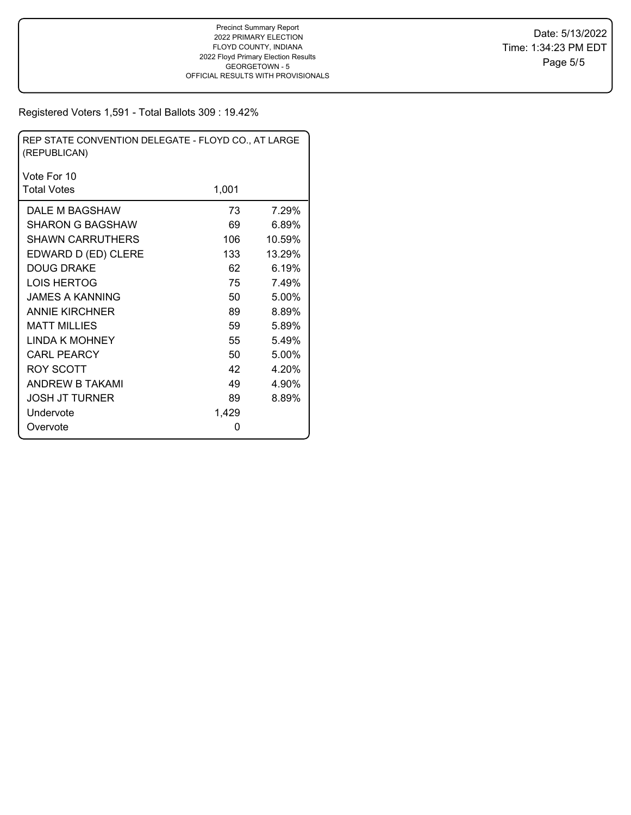| REP STATE CONVENTION DELEGATE - FLOYD CO., AT LARGE<br>(REPUBLICAN) |       |        |  |  |  |  |  |
|---------------------------------------------------------------------|-------|--------|--|--|--|--|--|
| Vote For 10                                                         |       |        |  |  |  |  |  |
| <b>Total Votes</b>                                                  | 1,001 |        |  |  |  |  |  |
| DALE M BAGSHAW                                                      | 73    | 7.29%  |  |  |  |  |  |
| SHARON G BAGSHAW                                                    | 69    | 6.89%  |  |  |  |  |  |
| <b>SHAWN CARRUTHERS</b>                                             | 106   | 10.59% |  |  |  |  |  |
| EDWARD D (ED) CLERE                                                 | 133   | 13.29% |  |  |  |  |  |
| <b>DOUG DRAKE</b>                                                   | 62    | 6.19%  |  |  |  |  |  |
| <b>LOIS HERTOG</b>                                                  | 75    | 7.49%  |  |  |  |  |  |
| JAMES A KANNING                                                     | 50    | 5.00%  |  |  |  |  |  |
| <b>ANNIE KIRCHNER</b>                                               | 89    | 8.89%  |  |  |  |  |  |
| <b>MATT MILLIES</b>                                                 | 59    | 5.89%  |  |  |  |  |  |
| LINDA K MOHNEY                                                      | 55    | 5.49%  |  |  |  |  |  |
| <b>CARL PEARCY</b>                                                  | 50    | 5.00%  |  |  |  |  |  |
| ROY SCOTT                                                           | 42    | 4.20%  |  |  |  |  |  |
| <b>ANDREW B TAKAMI</b>                                              | 49    | 4.90%  |  |  |  |  |  |
| JOSH JT TURNER                                                      | 89    | 8.89%  |  |  |  |  |  |
| Undervote                                                           | 1,429 |        |  |  |  |  |  |
| Overvote                                                            | 0     |        |  |  |  |  |  |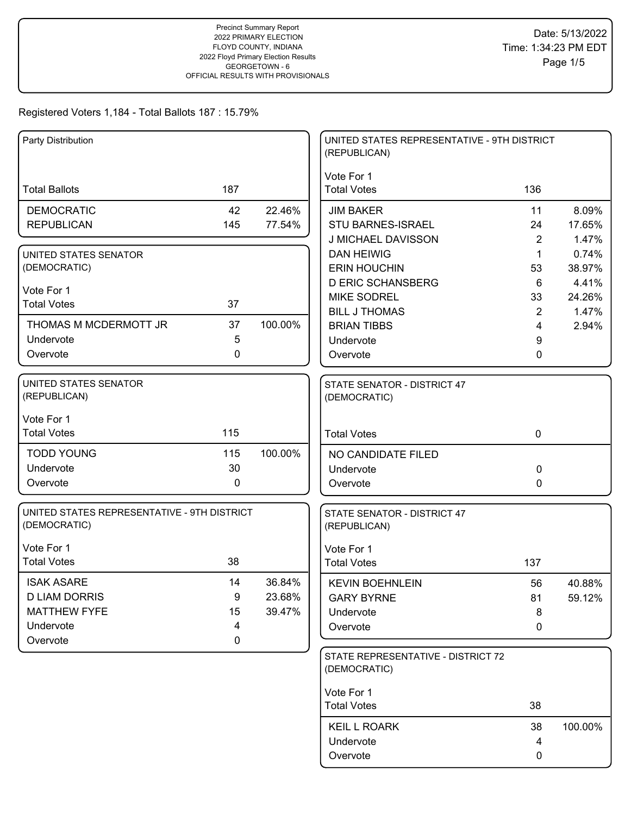| Party Distribution                                          |             |         | UNITED STATES REPRESENTATIVE - 9TH DISTRICT<br>(REPUBLICAN) |                |         |
|-------------------------------------------------------------|-------------|---------|-------------------------------------------------------------|----------------|---------|
| <b>Total Ballots</b>                                        | 187         |         | Vote For 1<br><b>Total Votes</b>                            | 136            |         |
| <b>DEMOCRATIC</b>                                           | 42          | 22.46%  | <b>JIM BAKER</b>                                            | 11             | 8.09%   |
| <b>REPUBLICAN</b>                                           | 145         | 77.54%  | <b>STU BARNES-ISRAEL</b>                                    | 24             | 17.65%  |
|                                                             |             |         | J MICHAEL DAVISSON                                          | $\overline{2}$ | 1.47%   |
| UNITED STATES SENATOR                                       |             |         | <b>DAN HEIWIG</b>                                           | 1              | 0.74%   |
| (DEMOCRATIC)                                                |             |         | <b>ERIN HOUCHIN</b>                                         | 53             | 38.97%  |
| Vote For 1                                                  |             |         | <b>D ERIC SCHANSBERG</b>                                    | 6              | 4.41%   |
| <b>Total Votes</b>                                          | 37          |         | <b>MIKE SODREL</b>                                          | 33             | 24.26%  |
| THOMAS M MCDERMOTT JR                                       | 37          | 100.00% | <b>BILL J THOMAS</b>                                        | $\overline{2}$ | 1.47%   |
| Undervote                                                   | 5           |         | <b>BRIAN TIBBS</b>                                          | 4              | 2.94%   |
| Overvote                                                    | 0           |         | Undervote<br>Overvote                                       | 9<br>0         |         |
|                                                             |             |         |                                                             |                |         |
| UNITED STATES SENATOR<br>(REPUBLICAN)                       |             |         | STATE SENATOR - DISTRICT 47<br>(DEMOCRATIC)                 |                |         |
| Vote For 1                                                  |             |         |                                                             |                |         |
| <b>Total Votes</b>                                          | 115         |         | <b>Total Votes</b>                                          | $\mathbf 0$    |         |
| <b>TODD YOUNG</b>                                           | 115         | 100.00% | NO CANDIDATE FILED                                          |                |         |
| Undervote                                                   | 30          |         | Undervote                                                   | 0              |         |
| Overvote                                                    | $\mathbf 0$ |         | Overvote                                                    | 0              |         |
| UNITED STATES REPRESENTATIVE - 9TH DISTRICT<br>(DEMOCRATIC) |             |         | STATE SENATOR - DISTRICT 47<br>(REPUBLICAN)                 |                |         |
| Vote For 1                                                  |             |         | Vote For 1                                                  |                |         |
| <b>Total Votes</b>                                          | 38          |         | <b>Total Votes</b>                                          | 137            |         |
| <b>ISAK ASARE</b>                                           | 14          | 36.84%  | <b>KEVIN BOEHNLEIN</b>                                      | 56             | 40.88%  |
| <b>D LIAM DORRIS</b>                                        | 9           | 23.68%  | <b>GARY BYRNE</b>                                           | 81             | 59.12%  |
| <b>MATTHEW FYFE</b>                                         | 15          | 39.47%  | Undervote                                                   | 8              |         |
| Undervote                                                   | 4           |         | Overvote                                                    | 0              |         |
| Overvote                                                    | 0           |         |                                                             |                |         |
|                                                             |             |         | STATE REPRESENTATIVE - DISTRICT 72<br>(DEMOCRATIC)          |                |         |
|                                                             |             |         | Vote For 1                                                  |                |         |
|                                                             |             |         | <b>Total Votes</b>                                          | 38             |         |
|                                                             |             |         | <b>KEIL L ROARK</b>                                         | 38             | 100.00% |
|                                                             |             |         | Undervote                                                   | 4              |         |
|                                                             |             |         | Overvote                                                    | 0              |         |
|                                                             |             |         |                                                             |                |         |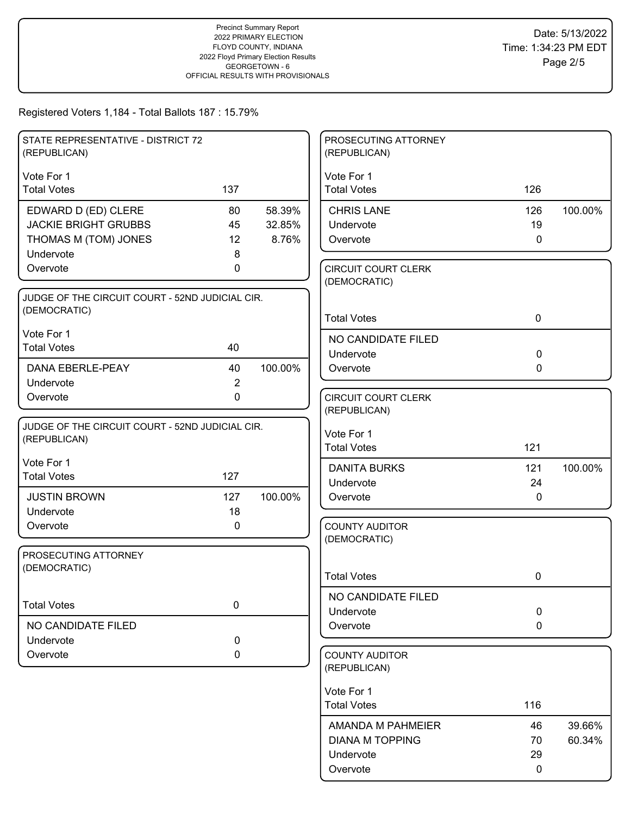| STATE REPRESENTATIVE - DISTRICT 72              |                |         | PROSECUTING ATTORNEY                       |             |         |
|-------------------------------------------------|----------------|---------|--------------------------------------------|-------------|---------|
| (REPUBLICAN)                                    |                |         | (REPUBLICAN)                               |             |         |
| Vote For 1                                      |                |         | Vote For 1                                 |             |         |
| <b>Total Votes</b>                              | 137            |         | <b>Total Votes</b>                         | 126         |         |
| EDWARD D (ED) CLERE                             | 80             | 58.39%  | <b>CHRIS LANE</b>                          | 126         | 100.00% |
| <b>JACKIE BRIGHT GRUBBS</b>                     | 45             | 32.85%  | Undervote                                  | 19          |         |
| THOMAS M (TOM) JONES                            | 12             | 8.76%   | Overvote                                   | $\mathbf 0$ |         |
| Undervote                                       | 8              |         |                                            |             |         |
| Overvote                                        | 0              |         | <b>CIRCUIT COURT CLERK</b><br>(DEMOCRATIC) |             |         |
| JUDGE OF THE CIRCUIT COURT - 52ND JUDICIAL CIR. |                |         |                                            |             |         |
| (DEMOCRATIC)                                    |                |         |                                            |             |         |
|                                                 |                |         | <b>Total Votes</b>                         | $\mathbf 0$ |         |
| Vote For 1                                      |                |         | NO CANDIDATE FILED                         |             |         |
| <b>Total Votes</b>                              | 40             |         | Undervote                                  | $\mathbf 0$ |         |
| DANA EBERLE-PEAY                                | 40             | 100.00% | Overvote                                   | 0           |         |
| Undervote                                       | $\overline{2}$ |         |                                            |             |         |
| Overvote                                        | 0              |         | <b>CIRCUIT COURT CLERK</b>                 |             |         |
|                                                 |                |         | (REPUBLICAN)                               |             |         |
| JUDGE OF THE CIRCUIT COURT - 52ND JUDICIAL CIR. |                |         | Vote For 1                                 |             |         |
| (REPUBLICAN)                                    |                |         | <b>Total Votes</b>                         | 121         |         |
| Vote For 1                                      |                |         | <b>DANITA BURKS</b>                        | 121         | 100.00% |
| <b>Total Votes</b>                              | 127            |         | Undervote                                  | 24          |         |
| <b>JUSTIN BROWN</b>                             | 127            | 100.00% | Overvote                                   | $\mathbf 0$ |         |
| Undervote                                       | 18             |         |                                            |             |         |
| Overvote                                        | 0              |         | <b>COUNTY AUDITOR</b>                      |             |         |
|                                                 |                |         | (DEMOCRATIC)                               |             |         |
| PROSECUTING ATTORNEY                            |                |         |                                            |             |         |
| (DEMOCRATIC)                                    |                |         | <b>Total Votes</b>                         | 0           |         |
|                                                 |                |         |                                            |             |         |
| <b>Total Votes</b>                              | $\pmb{0}$      |         | NO CANDIDATE FILED<br>Undervote            | $\pmb{0}$   |         |
| NO CANDIDATE FILED                              |                |         | Overvote                                   | 0           |         |
| Undervote                                       | $\pmb{0}$      |         |                                            |             |         |
| Overvote                                        | 0              |         | <b>COUNTY AUDITOR</b>                      |             |         |
|                                                 |                |         | (REPUBLICAN)                               |             |         |
|                                                 |                |         |                                            |             |         |
|                                                 |                |         | Vote For 1<br><b>Total Votes</b>           | 116         |         |
|                                                 |                |         |                                            |             |         |
|                                                 |                |         | AMANDA M PAHMEIER                          | 46          | 39.66%  |
|                                                 |                |         | <b>DIANA M TOPPING</b>                     | 70          | 60.34%  |
|                                                 |                |         | Undervote                                  | 29          |         |
|                                                 |                |         | Overvote                                   | $\mathbf 0$ |         |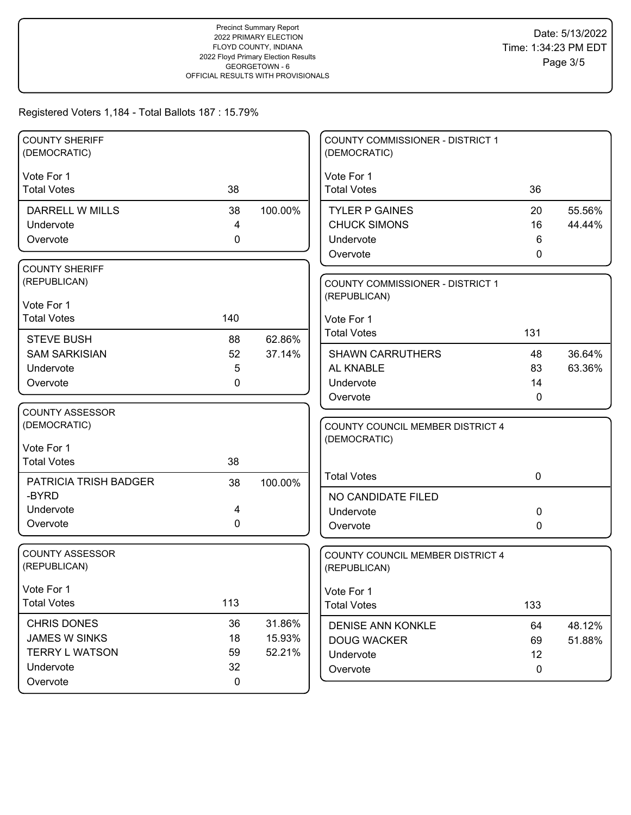| <b>COUNTY SHERIFF</b><br>(DEMOCRATIC) |                   |         | <b>COUNTY COMMISSIONER - DISTRICT 1</b><br>(DEMOCRATIC) |              |        |
|---------------------------------------|-------------------|---------|---------------------------------------------------------|--------------|--------|
|                                       |                   |         |                                                         |              |        |
| Vote For 1                            |                   |         | Vote For 1                                              |              |        |
| <b>Total Votes</b>                    | 38                |         | <b>Total Votes</b>                                      | 36           |        |
| <b>DARRELL W MILLS</b>                | 38                | 100.00% | <b>TYLER P GAINES</b>                                   | 20           | 55.56% |
| Undervote                             | 4                 |         | <b>CHUCK SIMONS</b>                                     | 16           | 44.44% |
| Overvote                              | $\mathbf 0$       |         | Undervote                                               | 6            |        |
|                                       |                   |         | Overvote                                                | $\mathbf{0}$ |        |
| <b>COUNTY SHERIFF</b>                 |                   |         |                                                         |              |        |
| (REPUBLICAN)                          |                   |         | <b>COUNTY COMMISSIONER - DISTRICT 1</b>                 |              |        |
| Vote For 1                            |                   |         | (REPUBLICAN)                                            |              |        |
| <b>Total Votes</b>                    | 140               |         | Vote For 1                                              |              |        |
|                                       |                   |         | <b>Total Votes</b>                                      | 131          |        |
| <b>STEVE BUSH</b>                     | 88                | 62.86%  |                                                         |              |        |
| <b>SAM SARKISIAN</b>                  | 52                | 37.14%  | <b>SHAWN CARRUTHERS</b><br><b>AL KNABLE</b>             | 48           | 36.64% |
| Undervote<br>Overvote                 | 5<br>$\mathbf{0}$ |         | Undervote                                               | 83<br>14     | 63.36% |
|                                       |                   |         | Overvote                                                | 0            |        |
| <b>COUNTY ASSESSOR</b>                |                   |         |                                                         |              |        |
| (DEMOCRATIC)                          |                   |         | COUNTY COUNCIL MEMBER DISTRICT 4                        |              |        |
|                                       |                   |         | (DEMOCRATIC)                                            |              |        |
| Vote For 1                            |                   |         |                                                         |              |        |
| <b>Total Votes</b>                    | 38                |         |                                                         |              |        |
| PATRICIA TRISH BADGER                 | 38                | 100.00% | <b>Total Votes</b>                                      | $\mathbf 0$  |        |
| -BYRD                                 |                   |         | NO CANDIDATE FILED                                      |              |        |
| Undervote                             | 4                 |         | Undervote                                               | 0            |        |
| Overvote                              | $\mathbf 0$       |         | Overvote                                                | 0            |        |
|                                       |                   |         |                                                         |              |        |
| <b>COUNTY ASSESSOR</b>                |                   |         | COUNTY COUNCIL MEMBER DISTRICT 4                        |              |        |
| (REPUBLICAN)                          |                   |         | (REPUBLICAN)                                            |              |        |
| Vote For 1                            |                   |         | Vote For 1                                              |              |        |
| <b>Total Votes</b>                    | 113               |         | <b>Total Votes</b>                                      | 133          |        |
| CHRIS DONES                           | 36                | 31.86%  | <b>DENISE ANN KONKLE</b>                                | 64           | 48.12% |
| <b>JAMES W SINKS</b>                  | 18                | 15.93%  | <b>DOUG WACKER</b>                                      | 69           | 51.88% |
| <b>TERRY L WATSON</b>                 | 59                | 52.21%  | Undervote                                               | 12           |        |
| Undervote                             | 32                |         | Overvote                                                | $\mathbf 0$  |        |
| Overvote                              | $\mathbf 0$       |         |                                                         |              |        |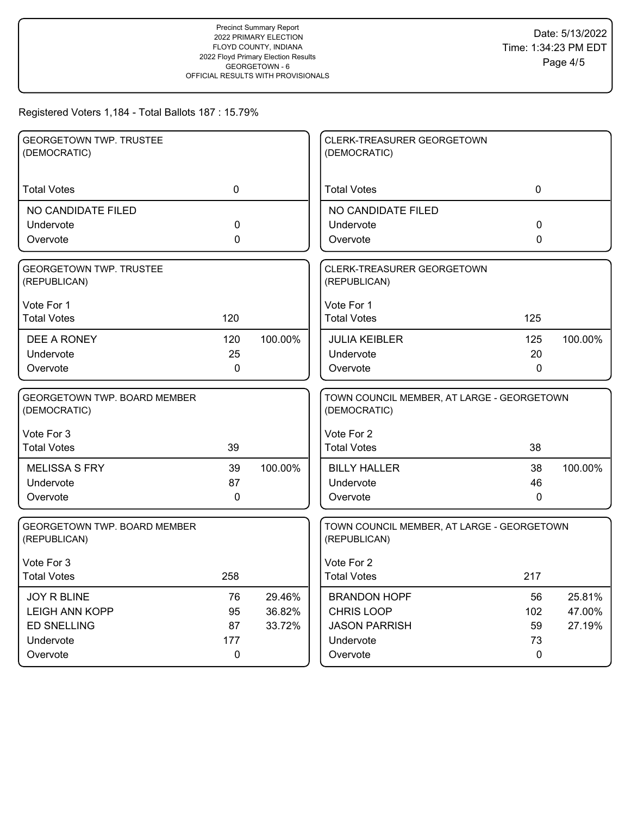| <b>GEORGETOWN TWP. TRUSTEE</b><br>(DEMOCRATIC)      |              |         | CLERK-TREASURER GEORGETOWN<br>(DEMOCRATIC)                 |              |         |
|-----------------------------------------------------|--------------|---------|------------------------------------------------------------|--------------|---------|
| <b>Total Votes</b>                                  | $\mathbf 0$  |         | <b>Total Votes</b>                                         | $\mathbf 0$  |         |
| NO CANDIDATE FILED                                  |              |         | NO CANDIDATE FILED                                         |              |         |
| Undervote                                           | 0            |         | Undervote                                                  | $\Omega$     |         |
| Overvote                                            | 0            |         | Overvote                                                   | 0            |         |
| <b>GEORGETOWN TWP. TRUSTEE</b><br>(REPUBLICAN)      |              |         | CLERK-TREASURER GEORGETOWN<br>(REPUBLICAN)                 |              |         |
| Vote For 1                                          |              |         | Vote For 1                                                 |              |         |
| <b>Total Votes</b>                                  | 120          |         | <b>Total Votes</b>                                         | 125          |         |
| DEE A RONEY                                         | 120          | 100.00% | <b>JULIA KEIBLER</b>                                       | 125          | 100.00% |
| Undervote                                           | 25           |         | Undervote                                                  | 20           |         |
| Overvote                                            | $\mathbf{0}$ |         | Overvote                                                   | $\mathbf{0}$ |         |
| GEORGETOWN TWP. BOARD MEMBER<br>(DEMOCRATIC)        |              |         | TOWN COUNCIL MEMBER, AT LARGE - GEORGETOWN<br>(DEMOCRATIC) |              |         |
| Vote For 3                                          |              |         | Vote For 2                                                 |              |         |
| <b>Total Votes</b>                                  | 39           |         | <b>Total Votes</b>                                         | 38           |         |
| <b>MELISSA S FRY</b>                                | 39           | 100.00% | <b>BILLY HALLER</b>                                        | 38           | 100.00% |
| Undervote                                           | 87           |         | Undervote                                                  | 46           |         |
| Overvote                                            | $\mathbf 0$  |         | Overvote                                                   | 0            |         |
| <b>GEORGETOWN TWP, BOARD MEMBER</b><br>(REPUBLICAN) |              |         | TOWN COUNCIL MEMBER, AT LARGE - GEORGETOWN<br>(REPUBLICAN) |              |         |
| Vote For 3                                          |              |         | Vote For 2                                                 |              |         |
| <b>Total Votes</b>                                  | 258          |         | <b>Total Votes</b>                                         | 217          |         |
| <b>JOY R BLINE</b>                                  | 76           | 29.46%  | <b>BRANDON HOPF</b>                                        | 56           | 25.81%  |
| <b>LEIGH ANN KOPP</b>                               | 95           | 36.82%  | <b>CHRIS LOOP</b>                                          | 102          | 47.00%  |
| <b>ED SNELLING</b>                                  | 87           | 33.72%  | <b>JASON PARRISH</b>                                       | 59           | 27.19%  |
| Undervote                                           | 177          |         | Undervote                                                  | 73           |         |
| Overvote                                            | 0            |         | Overvote                                                   | 0            |         |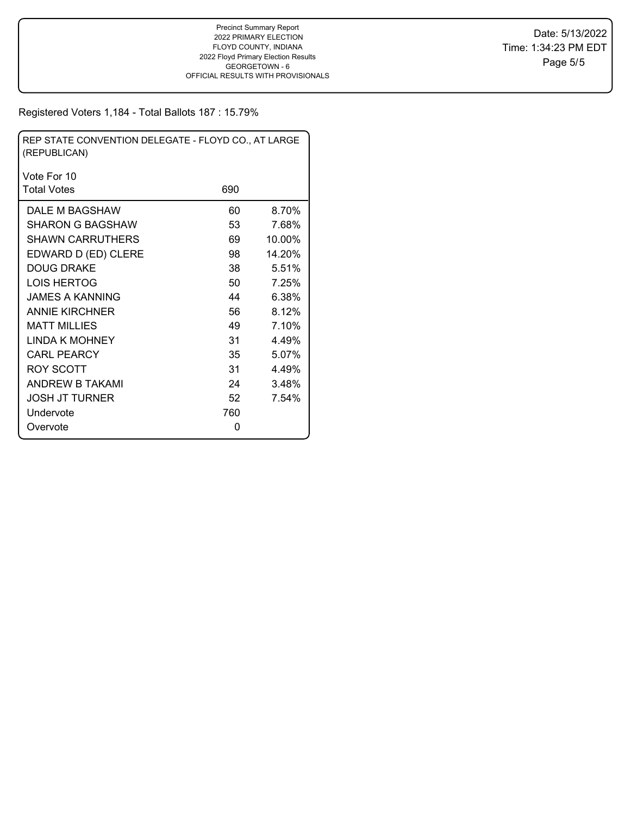| REP STATE CONVENTION DELEGATE - FLOYD CO., AT LARGE<br>(REPUBLICAN) |     |        |  |  |  |  |  |
|---------------------------------------------------------------------|-----|--------|--|--|--|--|--|
| Vote For 10                                                         |     |        |  |  |  |  |  |
| <b>Total Votes</b>                                                  | 690 |        |  |  |  |  |  |
| DALE M BAGSHAW                                                      | 60  | 8.70%  |  |  |  |  |  |
| SHARON G BAGSHAW                                                    | 53  | 7.68%  |  |  |  |  |  |
| <b>SHAWN CARRUTHERS</b>                                             | 69  | 10.00% |  |  |  |  |  |
| EDWARD D (ED) CLERE                                                 | 98  | 14.20% |  |  |  |  |  |
| <b>DOUG DRAKE</b>                                                   | 38  | 5.51%  |  |  |  |  |  |
| LOIS HERTOG                                                         | 50  | 7.25%  |  |  |  |  |  |
| JAMES A KANNING                                                     | 44  | 6.38%  |  |  |  |  |  |
| <b>ANNIE KIRCHNER</b>                                               | 56  | 8.12%  |  |  |  |  |  |
| <b>MATT MILLIES</b>                                                 | 49  | 7.10%  |  |  |  |  |  |
| LINDA K MOHNEY                                                      | 31  | 4.49%  |  |  |  |  |  |
| <b>CARL PEARCY</b>                                                  | 35  | 5.07%  |  |  |  |  |  |
| ROY SCOTT                                                           | 31  | 4.49%  |  |  |  |  |  |
| ANDREW B TAKAMI                                                     | 24  | 3.48%  |  |  |  |  |  |
| JOSH JT TURNER                                                      | 52  | 7.54%  |  |  |  |  |  |
| Undervote                                                           | 760 |        |  |  |  |  |  |
| Overvote                                                            | 0   |        |  |  |  |  |  |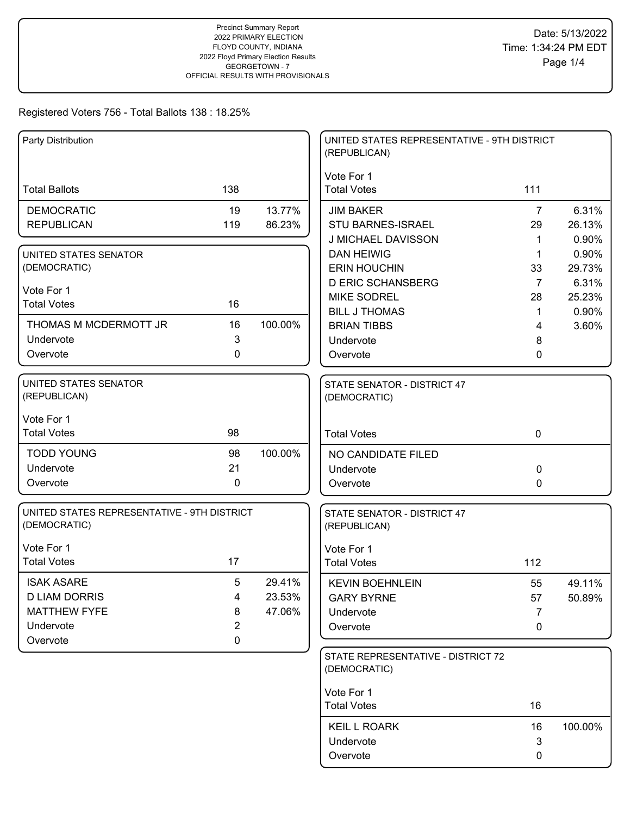| Party Distribution                          |                |                  | UNITED STATES REPRESENTATIVE - 9TH DISTRICT<br>(REPUBLICAN) |                |                |
|---------------------------------------------|----------------|------------------|-------------------------------------------------------------|----------------|----------------|
| <b>Total Ballots</b>                        | 138            |                  | Vote For 1<br><b>Total Votes</b>                            | 111            |                |
|                                             |                |                  |                                                             |                |                |
| <b>DEMOCRATIC</b>                           | 19             | 13.77%           | <b>JIM BAKER</b>                                            | $\overline{7}$ | 6.31%          |
| <b>REPUBLICAN</b>                           | 119            | 86.23%           | STU BARNES-ISRAEL                                           | 29             | 26.13%         |
|                                             |                |                  | J MICHAEL DAVISSON                                          | 1              | 0.90%          |
| UNITED STATES SENATOR                       |                |                  | <b>DAN HEIWIG</b>                                           | 1              | 0.90%          |
| (DEMOCRATIC)                                |                |                  | <b>ERIN HOUCHIN</b>                                         | 33             | 29.73%         |
| Vote For 1                                  |                |                  | <b>D ERIC SCHANSBERG</b>                                    | $\overline{7}$ | 6.31%          |
| <b>Total Votes</b>                          | 16             |                  | <b>MIKE SODREL</b><br><b>BILL J THOMAS</b>                  | 28             | 25.23%         |
| THOMAS M MCDERMOTT JR                       | 16             | 100.00%          | <b>BRIAN TIBBS</b>                                          | 1<br>4         | 0.90%<br>3.60% |
| Undervote                                   | 3              |                  | Undervote                                                   | 8              |                |
| Overvote                                    | 0              |                  | Overvote                                                    | 0              |                |
|                                             |                |                  |                                                             |                |                |
| <b>UNITED STATES SENATOR</b>                |                |                  | STATE SENATOR - DISTRICT 47                                 |                |                |
| (REPUBLICAN)                                |                |                  | (DEMOCRATIC)                                                |                |                |
|                                             |                |                  |                                                             |                |                |
| Vote For 1<br><b>Total Votes</b>            | 98             |                  |                                                             |                |                |
|                                             |                |                  | <b>Total Votes</b>                                          | $\mathbf 0$    |                |
| <b>TODD YOUNG</b>                           | 98             | 100.00%          | NO CANDIDATE FILED                                          |                |                |
| Undervote                                   | 21             |                  | Undervote                                                   | 0              |                |
| Overvote                                    | 0              |                  | Overvote                                                    | 0              |                |
| UNITED STATES REPRESENTATIVE - 9TH DISTRICT |                |                  |                                                             |                |                |
| (DEMOCRATIC)                                |                |                  | STATE SENATOR - DISTRICT 47<br>(REPUBLICAN)                 |                |                |
| Vote For 1                                  |                |                  | Vote For 1                                                  |                |                |
| <b>Total Votes</b>                          | 17             |                  | <b>Total Votes</b>                                          | 112            |                |
|                                             |                |                  |                                                             |                |                |
| <b>ISAK ASARE</b><br><b>D LIAM DORRIS</b>   | 5<br>4         | 29.41%<br>23.53% | <b>KEVIN BOEHNLEIN</b>                                      | 55             | 49.11%         |
| <b>MATTHEW FYFE</b>                         | 8              | 47.06%           | <b>GARY BYRNE</b>                                           | 57             | 50.89%         |
| Undervote                                   | $\overline{2}$ |                  | Undervote                                                   | 7              |                |
| Overvote                                    | 0              |                  | Overvote                                                    | 0              |                |
|                                             |                |                  | STATE REPRESENTATIVE - DISTRICT 72                          |                |                |
|                                             |                |                  | (DEMOCRATIC)                                                |                |                |
|                                             |                |                  |                                                             |                |                |
|                                             |                |                  | Vote For 1                                                  |                |                |
|                                             |                |                  | <b>Total Votes</b>                                          | 16             |                |
|                                             |                |                  | <b>KEIL L ROARK</b>                                         | 16             | 100.00%        |
|                                             |                |                  | Undervote                                                   | 3              |                |
|                                             |                |                  | Overvote                                                    | 0              |                |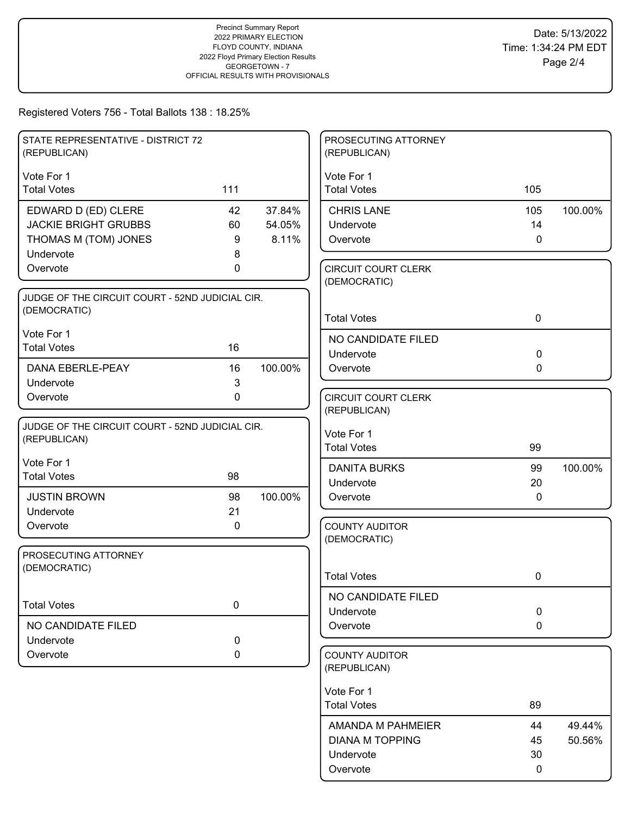| STATE REPRESENTATIVE - DISTRICT 72<br>(REPUBLICAN)              |             |         | PROSECUTING ATTORNEY<br>(REPUBLICAN)       |              |         |
|-----------------------------------------------------------------|-------------|---------|--------------------------------------------|--------------|---------|
| Vote For 1                                                      |             |         | Vote For 1                                 |              |         |
| <b>Total Votes</b>                                              | 111         |         | <b>Total Votes</b>                         | 105          |         |
| EDWARD D (ED) CLERE                                             | 42          | 37.84%  | <b>CHRIS LANE</b>                          | 105          | 100.00% |
| <b>JACKIE BRIGHT GRUBBS</b>                                     | 60          | 54.05%  | Undervote                                  | 14           |         |
| THOMAS M (TOM) JONES                                            | 9           | 8.11%   | Overvote                                   | $\mathbf 0$  |         |
| Undervote                                                       | 8           |         |                                            |              |         |
| Overvote                                                        | 0           |         | <b>CIRCUIT COURT CLERK</b><br>(DEMOCRATIC) |              |         |
| JUDGE OF THE CIRCUIT COURT - 52ND JUDICIAL CIR.                 |             |         |                                            |              |         |
| (DEMOCRATIC)                                                    |             |         | <b>Total Votes</b>                         | $\mathbf 0$  |         |
| Vote For 1                                                      |             |         | NO CANDIDATE FILED                         |              |         |
| <b>Total Votes</b>                                              | 16          |         | Undervote                                  | $\mathbf 0$  |         |
| <b>DANA EBERLE-PEAY</b>                                         | 16          | 100.00% | Overvote                                   | $\mathbf{0}$ |         |
| Undervote                                                       | 3           |         |                                            |              |         |
| Overvote                                                        | $\mathbf 0$ |         | <b>CIRCUIT COURT CLERK</b>                 |              |         |
|                                                                 |             |         | (REPUBLICAN)                               |              |         |
| JUDGE OF THE CIRCUIT COURT - 52ND JUDICIAL CIR.<br>(REPUBLICAN) |             |         | Vote For 1                                 |              |         |
|                                                                 |             |         | <b>Total Votes</b>                         | 99           |         |
| Vote For 1                                                      |             |         | <b>DANITA BURKS</b>                        | 99           | 100.00% |
| <b>Total Votes</b>                                              | 98          |         | Undervote                                  | 20           |         |
| <b>JUSTIN BROWN</b>                                             | 98          | 100.00% | Overvote                                   | $\mathbf{0}$ |         |
| Undervote                                                       | 21          |         |                                            |              |         |
| Overvote                                                        | 0           |         | <b>COUNTY AUDITOR</b><br>(DEMOCRATIC)      |              |         |
| PROSECUTING ATTORNEY                                            |             |         |                                            |              |         |
| (DEMOCRATIC)                                                    |             |         |                                            |              |         |
|                                                                 |             |         | <b>Total Votes</b>                         | 0            |         |
| <b>Total Votes</b>                                              | $\pmb{0}$   |         | NO CANDIDATE FILED                         |              |         |
|                                                                 |             |         | Undervote                                  | $\mathbf 0$  |         |
| NO CANDIDATE FILED                                              |             |         | Overvote                                   | 0            |         |
| Undervote<br>Overvote                                           | 0<br>0      |         | <b>COUNTY AUDITOR</b>                      |              |         |
|                                                                 |             |         | (REPUBLICAN)                               |              |         |
|                                                                 |             |         | Vote For 1                                 |              |         |
|                                                                 |             |         | <b>Total Votes</b>                         | 89           |         |
|                                                                 |             |         | AMANDA M PAHMEIER                          | 44           | 49.44%  |
|                                                                 |             |         | <b>DIANA M TOPPING</b>                     | 45           | 50.56%  |
|                                                                 |             |         | Undervote                                  | 30           |         |
|                                                                 |             |         | Overvote                                   | 0            |         |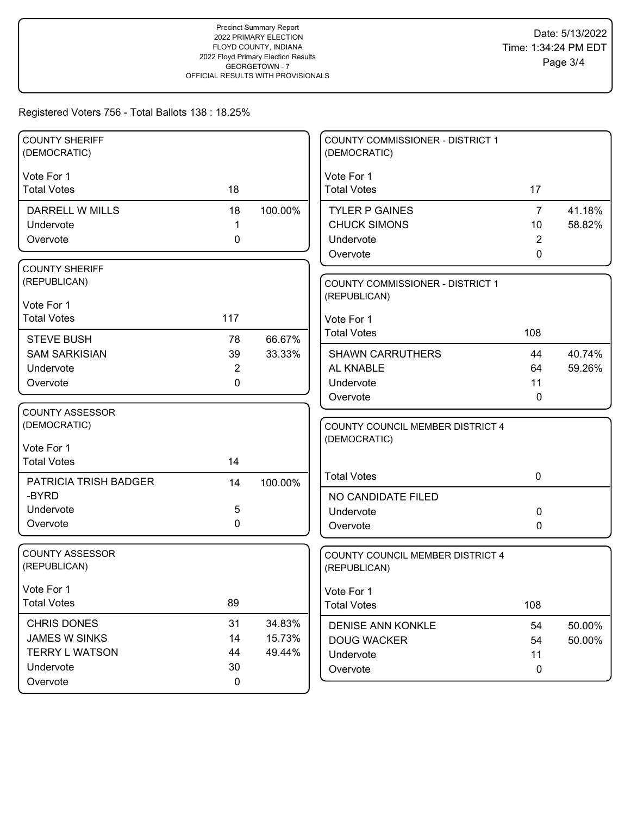| <b>COUNTY SHERIFF</b><br>(DEMOCRATIC) |                   |         | COUNTY COMMISSIONER - DISTRICT 1<br>(DEMOCRATIC) |                      |                  |
|---------------------------------------|-------------------|---------|--------------------------------------------------|----------------------|------------------|
|                                       |                   |         |                                                  |                      |                  |
| Vote For 1<br><b>Total Votes</b>      | 18                |         | Vote For 1<br><b>Total Votes</b>                 | 17                   |                  |
|                                       |                   |         |                                                  |                      |                  |
| DARRELL W MILLS<br>Undervote          | 18<br>$\mathbf 1$ | 100.00% | <b>TYLER P GAINES</b><br><b>CHUCK SIMONS</b>     | $\overline{7}$<br>10 | 41.18%<br>58.82% |
| Overvote                              | 0                 |         | Undervote                                        | 2                    |                  |
|                                       |                   |         | Overvote                                         | $\mathbf{0}$         |                  |
| <b>COUNTY SHERIFF</b>                 |                   |         |                                                  |                      |                  |
| (REPUBLICAN)                          |                   |         | COUNTY COMMISSIONER - DISTRICT 1                 |                      |                  |
| Vote For 1                            |                   |         | (REPUBLICAN)                                     |                      |                  |
| <b>Total Votes</b>                    | 117               |         | Vote For 1                                       |                      |                  |
|                                       |                   |         | <b>Total Votes</b>                               | 108                  |                  |
| <b>STEVE BUSH</b>                     | 78                | 66.67%  |                                                  |                      |                  |
| <b>SAM SARKISIAN</b>                  | 39                | 33.33%  | <b>SHAWN CARRUTHERS</b>                          | 44                   | 40.74%           |
| Undervote                             | $\overline{2}$    |         | AL KNABLE                                        | 64                   | 59.26%           |
| Overvote                              | 0                 |         | Undervote                                        | 11                   |                  |
| <b>COUNTY ASSESSOR</b>                |                   |         | Overvote                                         | $\mathbf 0$          |                  |
| (DEMOCRATIC)                          |                   |         | COUNTY COUNCIL MEMBER DISTRICT 4                 |                      |                  |
|                                       |                   |         | (DEMOCRATIC)                                     |                      |                  |
| Vote For 1                            |                   |         |                                                  |                      |                  |
| <b>Total Votes</b>                    | 14                |         |                                                  |                      |                  |
| PATRICIA TRISH BADGER                 | 14                | 100.00% | <b>Total Votes</b>                               | $\mathbf 0$          |                  |
| -BYRD                                 |                   |         | NO CANDIDATE FILED                               |                      |                  |
| Undervote                             | 5                 |         | Undervote                                        | 0                    |                  |
| Overvote                              | 0                 |         | Overvote                                         | 0                    |                  |
| <b>COUNTY ASSESSOR</b>                |                   |         |                                                  |                      |                  |
| (REPUBLICAN)                          |                   |         | COUNTY COUNCIL MEMBER DISTRICT 4<br>(REPUBLICAN) |                      |                  |
|                                       |                   |         |                                                  |                      |                  |
| Vote For 1                            |                   |         | Vote For 1                                       |                      |                  |
| <b>Total Votes</b>                    | 89                |         | <b>Total Votes</b>                               | 108                  |                  |
| CHRIS DONES                           | 31                | 34.83%  | <b>DENISE ANN KONKLE</b>                         | 54                   | 50.00%           |
| <b>JAMES W SINKS</b>                  | 14                | 15.73%  | <b>DOUG WACKER</b>                               | 54                   | 50.00%           |
| <b>TERRY L WATSON</b>                 | 44                | 49.44%  | Undervote                                        | 11                   |                  |
| Undervote                             | 30                |         | Overvote                                         | $\mathbf 0$          |                  |
| Overvote                              | 0                 |         |                                                  |                      |                  |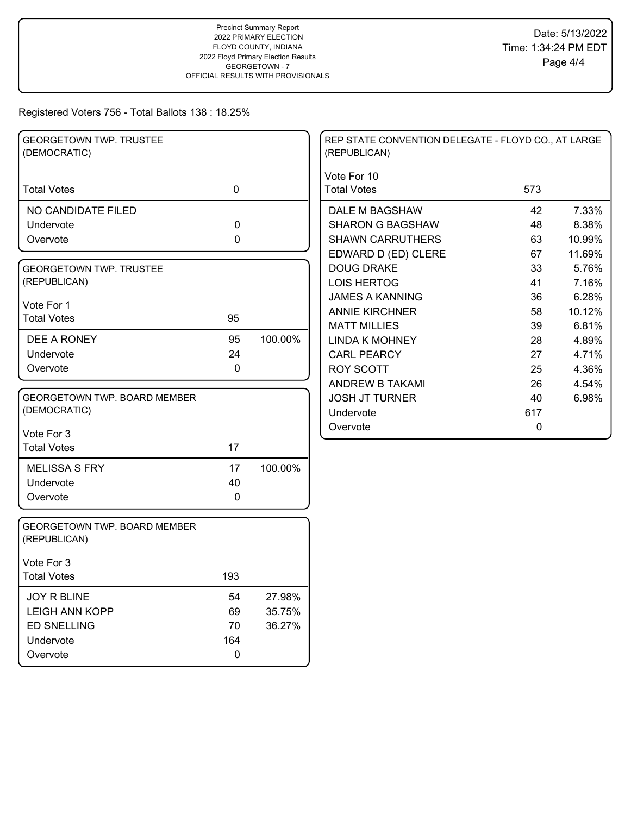| <b>GEORGETOWN TWP. TRUSTEE</b><br>(DEMOCRATIC)      |             |         | REP STATE CONVENTION DELEGATE - FLOYD CO., AT LARGE<br>(REPUBLICAN) |     |        |
|-----------------------------------------------------|-------------|---------|---------------------------------------------------------------------|-----|--------|
| <b>Total Votes</b>                                  | $\mathbf 0$ |         | Vote For 10<br><b>Total Votes</b>                                   | 573 |        |
| NO CANDIDATE FILED                                  |             |         | DALE M BAGSHAW                                                      | 42  | 7.33%  |
| Undervote                                           | $\mathbf 0$ |         | <b>SHARON G BAGSHAW</b>                                             | 48  | 8.38%  |
| Overvote                                            | 0           |         | <b>SHAWN CARRUTHERS</b>                                             | 63  | 10.99% |
|                                                     |             |         | EDWARD D (ED) CLERE                                                 | 67  | 11.69% |
| <b>GEORGETOWN TWP. TRUSTEE</b>                      |             |         | <b>DOUG DRAKE</b>                                                   | 33  | 5.76%  |
| (REPUBLICAN)                                        |             |         | <b>LOIS HERTOG</b>                                                  | 41  | 7.16%  |
| Vote For 1                                          |             |         | <b>JAMES A KANNING</b>                                              | 36  | 6.28%  |
| <b>Total Votes</b>                                  | 95          |         | <b>ANNIE KIRCHNER</b>                                               | 58  | 10.12% |
|                                                     |             |         | <b>MATT MILLIES</b>                                                 | 39  | 6.81%  |
| DEE A RONEY                                         | 95          | 100.00% | <b>LINDA K MOHNEY</b>                                               | 28  | 4.89%  |
| Undervote                                           | 24          |         | <b>CARL PEARCY</b>                                                  | 27  | 4.71%  |
| Overvote                                            | 0           |         | <b>ROY SCOTT</b>                                                    | 25  | 4.36%  |
|                                                     |             |         | ANDREW B TAKAMI                                                     | 26  | 4.54%  |
| GEORGETOWN TWP. BOARD MEMBER                        |             |         | <b>JOSH JT TURNER</b>                                               | 40  | 6.98%  |
| (DEMOCRATIC)                                        |             |         | Undervote                                                           | 617 |        |
| Vote For 3                                          |             |         | Overvote                                                            | 0   |        |
| <b>Total Votes</b>                                  | 17          |         |                                                                     |     |        |
|                                                     |             |         |                                                                     |     |        |
| <b>MELISSA S FRY</b>                                | 17          | 100.00% |                                                                     |     |        |
| Undervote<br>Overvote                               | 40<br>0     |         |                                                                     |     |        |
|                                                     |             |         |                                                                     |     |        |
| <b>GEORGETOWN TWP. BOARD MEMBER</b><br>(REPUBLICAN) |             |         |                                                                     |     |        |
| Vote For 3                                          |             |         |                                                                     |     |        |
| <b>Total Votes</b>                                  | 193         |         |                                                                     |     |        |
| JOY R BLINE                                         | 54          | 27.98%  |                                                                     |     |        |
| <b>LEIGH ANN KOPP</b>                               | 69          | 35.75%  |                                                                     |     |        |
| <b>ED SNELLING</b>                                  | 70          | 36.27%  |                                                                     |     |        |
| Undervote                                           | 164         |         |                                                                     |     |        |
| Overvote                                            | $\pmb{0}$   |         |                                                                     |     |        |
|                                                     |             |         |                                                                     |     |        |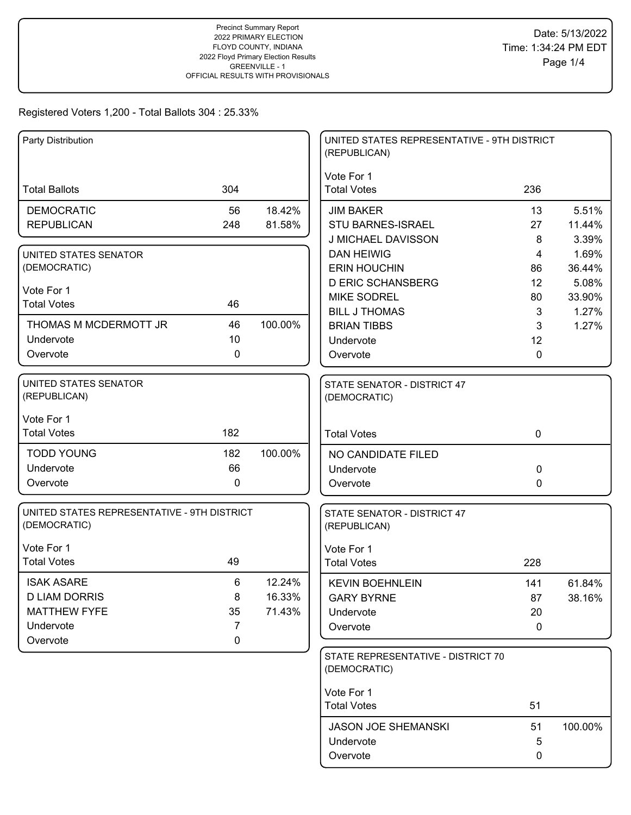| Party Distribution                                          |             |         | UNITED STATES REPRESENTATIVE - 9TH DISTRICT<br>(REPUBLICAN) |             |                 |
|-------------------------------------------------------------|-------------|---------|-------------------------------------------------------------|-------------|-----------------|
| <b>Total Ballots</b>                                        | 304         |         | Vote For 1<br><b>Total Votes</b>                            | 236         |                 |
| <b>DEMOCRATIC</b>                                           | 56          | 18.42%  | <b>JIM BAKER</b>                                            | 13          | 5.51%           |
| <b>REPUBLICAN</b>                                           | 248         | 81.58%  | <b>STU BARNES-ISRAEL</b>                                    | 27          | 11.44%          |
|                                                             |             |         | J MICHAEL DAVISSON                                          | 8           | 3.39%           |
| UNITED STATES SENATOR                                       |             |         | <b>DAN HEIWIG</b>                                           | 4           | 1.69%           |
| (DEMOCRATIC)                                                |             |         | <b>ERIN HOUCHIN</b>                                         | 86          | 36.44%          |
| Vote For 1                                                  |             |         | <b>D ERIC SCHANSBERG</b><br><b>MIKE SODREL</b>              | 12<br>80    | 5.08%<br>33.90% |
| <b>Total Votes</b>                                          | 46          |         | <b>BILL J THOMAS</b>                                        | 3           | 1.27%           |
| THOMAS M MCDERMOTT JR                                       | 46          | 100.00% | <b>BRIAN TIBBS</b>                                          | 3           | 1.27%           |
| Undervote                                                   | 10          |         | Undervote                                                   | 12          |                 |
| Overvote                                                    | $\mathbf 0$ |         | Overvote                                                    | $\Omega$    |                 |
|                                                             |             |         |                                                             |             |                 |
| UNITED STATES SENATOR<br>(REPUBLICAN)                       |             |         | STATE SENATOR - DISTRICT 47<br>(DEMOCRATIC)                 |             |                 |
| Vote For 1                                                  |             |         |                                                             |             |                 |
| <b>Total Votes</b>                                          | 182         |         | <b>Total Votes</b>                                          | $\mathbf 0$ |                 |
| <b>TODD YOUNG</b>                                           | 182         | 100.00% | NO CANDIDATE FILED                                          |             |                 |
| Undervote                                                   | 66          |         | Undervote                                                   | $\mathbf 0$ |                 |
| Overvote                                                    | $\mathbf 0$ |         | Overvote                                                    | 0           |                 |
| UNITED STATES REPRESENTATIVE - 9TH DISTRICT<br>(DEMOCRATIC) |             |         | STATE SENATOR - DISTRICT 47<br>(REPUBLICAN)                 |             |                 |
| Vote For 1                                                  |             |         | Vote For 1                                                  |             |                 |
| <b>Total Votes</b>                                          | 49          |         | <b>Total Votes</b>                                          | 228         |                 |
| <b>ISAK ASARE</b>                                           | 6           | 12.24%  | <b>KEVIN BOEHNLEIN</b>                                      | 141         | 61.84%          |
| <b>D LIAM DORRIS</b>                                        | 8           | 16.33%  | <b>GARY BYRNE</b>                                           | 87          | 38.16%          |
| <b>MATTHEW FYFE</b>                                         | 35          | 71.43%  | Undervote                                                   | 20          |                 |
| Undervote                                                   | 7           |         | Overvote                                                    | 0           |                 |
| Overvote                                                    | 0           |         |                                                             |             |                 |
|                                                             |             |         | STATE REPRESENTATIVE - DISTRICT 70<br>(DEMOCRATIC)          |             |                 |
|                                                             |             |         | Vote For 1                                                  |             |                 |
|                                                             |             |         | <b>Total Votes</b>                                          | 51          |                 |
|                                                             |             |         | <b>JASON JOE SHEMANSKI</b>                                  | 51          | 100.00%         |
|                                                             |             |         | Undervote                                                   | 5           |                 |
|                                                             |             |         | Overvote                                                    | 0           |                 |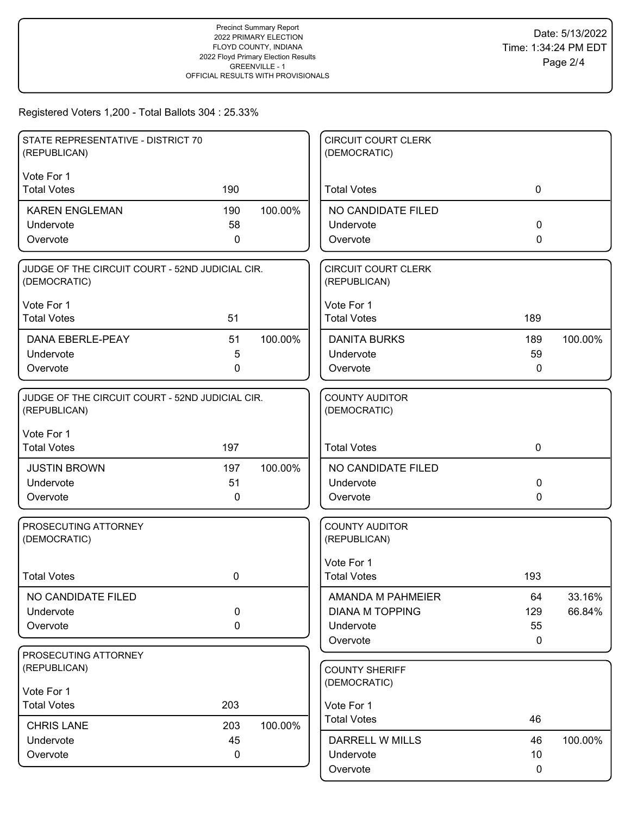| STATE REPRESENTATIVE - DISTRICT 70<br>(REPUBLICAN)              |              |         | <b>CIRCUIT COURT CLERK</b><br>(DEMOCRATIC) |             |         |
|-----------------------------------------------------------------|--------------|---------|--------------------------------------------|-------------|---------|
| Vote For 1                                                      |              |         |                                            |             |         |
| <b>Total Votes</b>                                              | 190          |         | <b>Total Votes</b>                         | 0           |         |
| <b>KAREN ENGLEMAN</b>                                           | 190          | 100.00% | NO CANDIDATE FILED                         |             |         |
| Undervote                                                       | 58           |         | Undervote                                  | 0           |         |
| Overvote                                                        | $\mathbf{0}$ |         | Overvote                                   | 0           |         |
| JUDGE OF THE CIRCUIT COURT - 52ND JUDICIAL CIR.<br>(DEMOCRATIC) |              |         | <b>CIRCUIT COURT CLERK</b><br>(REPUBLICAN) |             |         |
| Vote For 1                                                      |              |         | Vote For 1                                 |             |         |
| <b>Total Votes</b>                                              | 51           |         | <b>Total Votes</b>                         | 189         |         |
| DANA EBERLE-PEAY                                                | 51           | 100.00% | <b>DANITA BURKS</b>                        | 189         | 100.00% |
| Undervote                                                       | 5            |         | Undervote                                  | 59          |         |
| Overvote                                                        | 0            |         | Overvote                                   | 0           |         |
| JUDGE OF THE CIRCUIT COURT - 52ND JUDICIAL CIR.<br>(REPUBLICAN) |              |         | <b>COUNTY AUDITOR</b><br>(DEMOCRATIC)      |             |         |
| Vote For 1<br><b>Total Votes</b>                                | 197          |         | <b>Total Votes</b>                         | $\mathbf 0$ |         |
| <b>JUSTIN BROWN</b>                                             | 197          | 100.00% | NO CANDIDATE FILED                         |             |         |
| Undervote                                                       | 51           |         | Undervote                                  | 0           |         |
| Overvote                                                        | 0            |         | Overvote                                   | 0           |         |
| PROSECUTING ATTORNEY<br>(DEMOCRATIC)                            |              |         | <b>COUNTY AUDITOR</b><br>(REPUBLICAN)      |             |         |
| <b>Total Votes</b>                                              | 0            |         | Vote For 1<br><b>Total Votes</b>           | 193         |         |
|                                                                 |              |         |                                            |             |         |
| NO CANDIDATE FILED                                              |              |         | AMANDA M PAHMEIER                          | 64          | 33.16%  |
| Undervote                                                       | 0            |         | <b>DIANA M TOPPING</b>                     | 129         | 66.84%  |
| Overvote                                                        | 0            |         | Undervote<br>Overvote                      | 55<br>0     |         |
| PROSECUTING ATTORNEY                                            |              |         |                                            |             |         |
| (REPUBLICAN)                                                    |              |         | <b>COUNTY SHERIFF</b>                      |             |         |
| Vote For 1                                                      |              |         | (DEMOCRATIC)                               |             |         |
| <b>Total Votes</b>                                              | 203          |         | Vote For 1                                 |             |         |
| <b>CHRIS LANE</b>                                               | 203          | 100.00% | <b>Total Votes</b>                         | 46          |         |
| Undervote                                                       | 45           |         | <b>DARRELL W MILLS</b>                     | 46          | 100.00% |
| Overvote                                                        | 0            |         | Undervote                                  | 10          |         |
|                                                                 |              |         | Overvote                                   | 0           |         |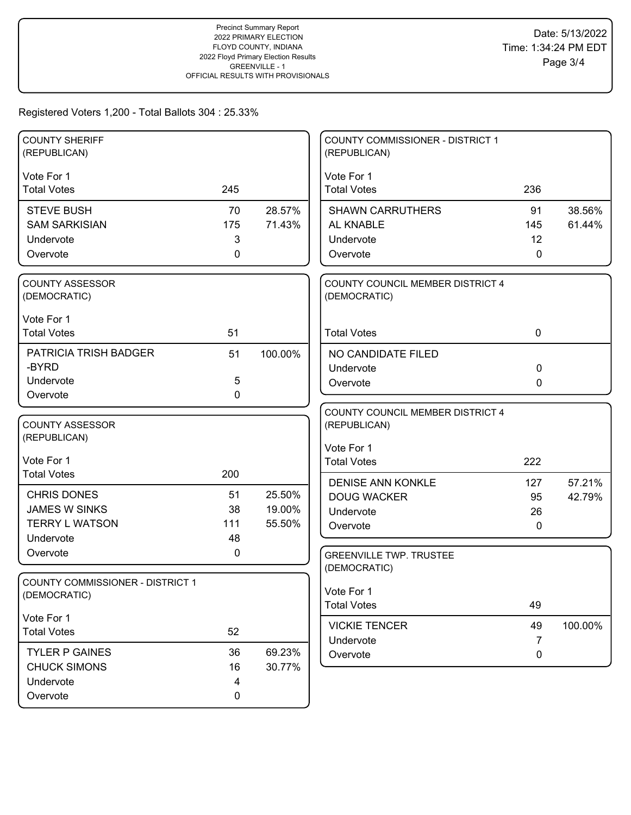### Registered Voters 1,200 - Total Ballots 304 : 25.33%

| <b>COUNTY SHERIFF</b><br>(REPUBLICAN)   |             |         | <b>COUNTY COMMISSIONER - DISTRICT 1</b><br>(REPUBLICAN) |             |         |
|-----------------------------------------|-------------|---------|---------------------------------------------------------|-------------|---------|
|                                         |             |         |                                                         |             |         |
| Vote For 1                              |             |         | Vote For 1                                              |             |         |
| <b>Total Votes</b>                      | 245         |         | <b>Total Votes</b>                                      | 236         |         |
| <b>STEVE BUSH</b>                       | 70          | 28.57%  | <b>SHAWN CARRUTHERS</b>                                 | 91          | 38.56%  |
| <b>SAM SARKISIAN</b>                    | 175         | 71.43%  | AL KNABLE                                               | 145         | 61.44%  |
| Undervote                               | 3           |         | Undervote                                               | 12          |         |
| Overvote                                | $\mathbf 0$ |         | Overvote                                                | 0           |         |
| <b>COUNTY ASSESSOR</b>                  |             |         | COUNTY COUNCIL MEMBER DISTRICT 4                        |             |         |
| (DEMOCRATIC)                            |             |         | (DEMOCRATIC)                                            |             |         |
| Vote For 1                              |             |         |                                                         |             |         |
| <b>Total Votes</b>                      | 51          |         | <b>Total Votes</b>                                      | $\mathbf 0$ |         |
| PATRICIA TRISH BADGER                   | 51          | 100.00% | NO CANDIDATE FILED                                      |             |         |
| -BYRD                                   |             |         | Undervote                                               | 0           |         |
| Undervote                               | $\sqrt{5}$  |         | Overvote                                                | 0           |         |
| Overvote                                | $\mathbf 0$ |         |                                                         |             |         |
|                                         |             |         | COUNTY COUNCIL MEMBER DISTRICT 4                        |             |         |
| <b>COUNTY ASSESSOR</b>                  |             |         | (REPUBLICAN)                                            |             |         |
| (REPUBLICAN)                            |             |         | Vote For 1                                              |             |         |
| Vote For 1                              |             |         | <b>Total Votes</b>                                      | 222         |         |
| <b>Total Votes</b>                      | 200         |         | <b>DENISE ANN KONKLE</b>                                | 127         | 57.21%  |
| <b>CHRIS DONES</b>                      | 51          | 25.50%  | <b>DOUG WACKER</b>                                      | 95          | 42.79%  |
| <b>JAMES W SINKS</b>                    | 38          | 19.00%  | Undervote                                               | 26          |         |
| <b>TERRY L WATSON</b>                   | 111         | 55.50%  | Overvote                                                | 0           |         |
| Undervote                               | 48          |         |                                                         |             |         |
| Overvote                                | 0           |         | <b>GREENVILLE TWP. TRUSTEE</b>                          |             |         |
|                                         |             |         | (DEMOCRATIC)                                            |             |         |
| <b>COUNTY COMMISSIONER - DISTRICT 1</b> |             |         | Vote For 1                                              |             |         |
| (DEMOCRATIC)                            |             |         | <b>Total Votes</b>                                      | 49          |         |
| Vote For 1                              |             |         |                                                         |             |         |
| <b>Total Votes</b>                      | 52          |         | <b>VICKIE TENCER</b><br>Undervote                       | 49<br>7     | 100.00% |
| <b>TYLER P GAINES</b>                   | 36          | 69.23%  | Overvote                                                | 0           |         |
| <b>CHUCK SIMONS</b>                     | 16          | 30.77%  |                                                         |             |         |
| Undervote                               | 4           |         |                                                         |             |         |
|                                         |             |         |                                                         |             |         |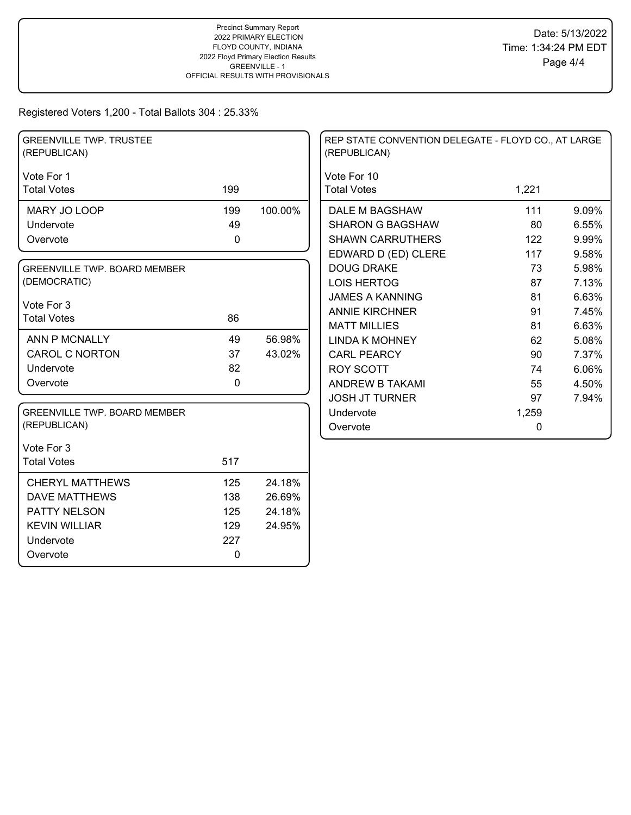Registered Voters 1,200 - Total Ballots 304 : 25.33%

| <b>GREENVILLE TWP. TRUSTEE</b><br>(REPUBLICAN) |     |         | REP STATE CONVENTION DELEGATE - FLOYD CO., AT LARGE<br>(REPUBLICAN) |       |       |
|------------------------------------------------|-----|---------|---------------------------------------------------------------------|-------|-------|
| Vote For 1                                     |     |         | Vote For 10                                                         |       |       |
| <b>Total Votes</b>                             | 199 |         | <b>Total Votes</b>                                                  | 1,221 |       |
| MARY JO LOOP                                   | 199 | 100.00% | DALE M BAGSHAW                                                      | 111   | 9.09% |
| Undervote                                      | 49  |         | <b>SHARON G BAGSHAW</b>                                             | 80    | 6.55% |
| Overvote                                       | 0   |         | <b>SHAWN CARRUTHERS</b>                                             | 122   | 9.99% |
|                                                |     |         | EDWARD D (ED) CLERE                                                 | 117   | 9.58% |
| <b>GREENVILLE TWP, BOARD MEMBER</b>            |     |         | <b>DOUG DRAKE</b>                                                   | 73    | 5.98% |
| (DEMOCRATIC)                                   |     |         | <b>LOIS HERTOG</b>                                                  | 87    | 7.13% |
|                                                |     |         | <b>JAMES A KANNING</b>                                              | 81    | 6.63% |
| Vote For 3                                     | 86  |         | <b>ANNIE KIRCHNER</b>                                               | 91    | 7.45% |
| <b>Total Votes</b>                             |     |         | <b>MATT MILLIES</b>                                                 | 81    | 6.63% |
| <b>ANN P MCNALLY</b>                           | 49  | 56.98%  | <b>LINDA K MOHNEY</b>                                               | 62    | 5.08% |
| <b>CAROL C NORTON</b>                          | 37  | 43.02%  | <b>CARL PEARCY</b>                                                  | 90    | 7.37% |
| Undervote                                      | 82  |         | <b>ROY SCOTT</b>                                                    | 74    | 6.06% |
| Overvote                                       | 0   |         | ANDREW B TAKAMI                                                     | 55    | 4.50% |
|                                                |     |         | <b>JOSH JT TURNER</b>                                               | 97    | 7.94% |
| <b>GREENVILLE TWP. BOARD MEMBER</b>            |     |         | Undervote                                                           | 1,259 |       |
| (REPUBLICAN)                                   |     |         | Overvote                                                            | 0     |       |
| Vote For 3                                     |     |         |                                                                     |       |       |
| <b>Total Votes</b>                             | 517 |         |                                                                     |       |       |
| <b>CHERYL MATTHEWS</b>                         | 125 | 24.18%  |                                                                     |       |       |
| <b>DAVE MATTHEWS</b>                           | 138 | 26.69%  |                                                                     |       |       |
| PATTY NELSON                                   | 125 | 24.18%  |                                                                     |       |       |
| <b>KEVIN WILLIAR</b>                           | 129 | 24.95%  |                                                                     |       |       |
| Undervote                                      | 227 |         |                                                                     |       |       |
| Overvote                                       | 0   |         |                                                                     |       |       |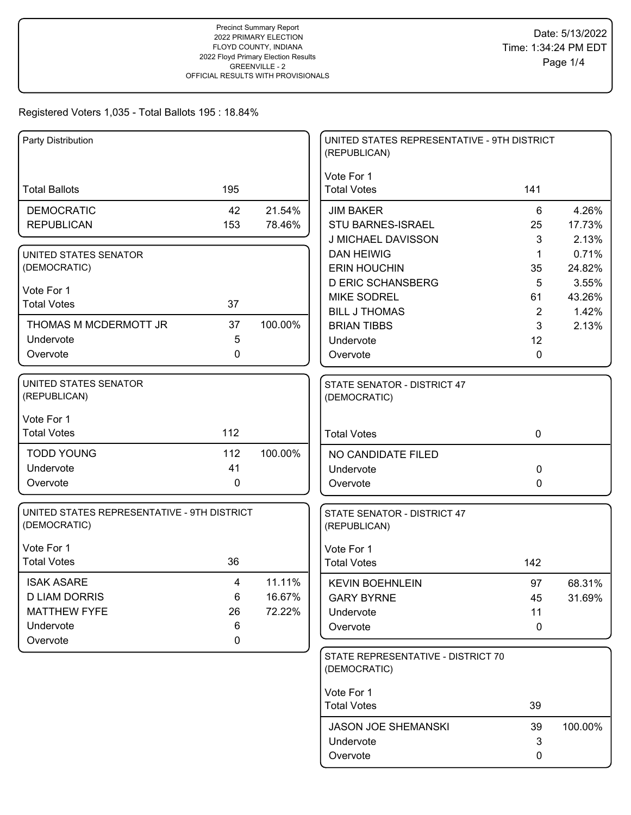| Party Distribution                          |             |         | UNITED STATES REPRESENTATIVE - 9TH DISTRICT<br>(REPUBLICAN) |                      |                 |
|---------------------------------------------|-------------|---------|-------------------------------------------------------------|----------------------|-----------------|
| <b>Total Ballots</b>                        | 195         |         | Vote For 1<br><b>Total Votes</b>                            | 141                  |                 |
|                                             |             |         |                                                             |                      |                 |
| <b>DEMOCRATIC</b>                           | 42          | 21.54%  | <b>JIM BAKER</b>                                            | 6                    | 4.26%           |
| <b>REPUBLICAN</b>                           | 153         | 78.46%  | STU BARNES-ISRAEL                                           | 25                   | 17.73%          |
|                                             |             |         | J MICHAEL DAVISSON                                          | 3                    | 2.13%           |
| UNITED STATES SENATOR                       |             |         | <b>DAN HEIWIG</b>                                           | $\mathbf 1$          | 0.71%           |
| (DEMOCRATIC)                                |             |         | <b>ERIN HOUCHIN</b><br><b>D ERIC SCHANSBERG</b>             | 35                   | 24.82%<br>3.55% |
| Vote For 1                                  |             |         | <b>MIKE SODREL</b>                                          | 5                    | 43.26%          |
| <b>Total Votes</b>                          | 37          |         | <b>BILL J THOMAS</b>                                        | 61<br>$\overline{2}$ | 1.42%           |
| THOMAS M MCDERMOTT JR                       | 37          | 100.00% | <b>BRIAN TIBBS</b>                                          | 3                    | 2.13%           |
| Undervote                                   | 5           |         | Undervote                                                   | 12                   |                 |
| Overvote                                    | $\mathbf 0$ |         | Overvote                                                    | $\Omega$             |                 |
|                                             |             |         |                                                             |                      |                 |
| UNITED STATES SENATOR                       |             |         | STATE SENATOR - DISTRICT 47                                 |                      |                 |
| (REPUBLICAN)                                |             |         | (DEMOCRATIC)                                                |                      |                 |
|                                             |             |         |                                                             |                      |                 |
| Vote For 1<br><b>Total Votes</b>            | 112         |         |                                                             | $\mathbf 0$          |                 |
|                                             |             |         | <b>Total Votes</b>                                          |                      |                 |
| <b>TODD YOUNG</b>                           | 112         | 100.00% | NO CANDIDATE FILED                                          |                      |                 |
| Undervote                                   | 41          |         | Undervote                                                   | $\Omega$             |                 |
| Overvote                                    | 0           |         | Overvote                                                    | 0                    |                 |
| UNITED STATES REPRESENTATIVE - 9TH DISTRICT |             |         |                                                             |                      |                 |
| (DEMOCRATIC)                                |             |         | STATE SENATOR - DISTRICT 47<br>(REPUBLICAN)                 |                      |                 |
| Vote For 1                                  |             |         | Vote For 1                                                  |                      |                 |
| <b>Total Votes</b>                          | 36          |         | <b>Total Votes</b>                                          | 142                  |                 |
| <b>ISAK ASARE</b>                           |             | 11.11%  |                                                             |                      |                 |
| <b>D LIAM DORRIS</b>                        | 4<br>6      | 16.67%  | <b>KEVIN BOEHNLEIN</b>                                      | 97                   | 68.31%          |
| <b>MATTHEW FYFE</b>                         | 26          | 72.22%  | <b>GARY BYRNE</b><br>Undervote                              | 45<br>11             | 31.69%          |
| Undervote                                   | 6           |         | Overvote                                                    | 0                    |                 |
| Overvote                                    | $\mathbf 0$ |         |                                                             |                      |                 |
|                                             |             |         | STATE REPRESENTATIVE - DISTRICT 70                          |                      |                 |
|                                             |             |         | (DEMOCRATIC)                                                |                      |                 |
|                                             |             |         |                                                             |                      |                 |
|                                             |             |         | Vote For 1                                                  |                      |                 |
|                                             |             |         | <b>Total Votes</b>                                          | 39                   |                 |
|                                             |             |         | <b>JASON JOE SHEMANSKI</b>                                  | 39                   | 100.00%         |
|                                             |             |         | Undervote                                                   | 3                    |                 |
|                                             |             |         | Overvote                                                    | 0                    |                 |
|                                             |             |         |                                                             |                      |                 |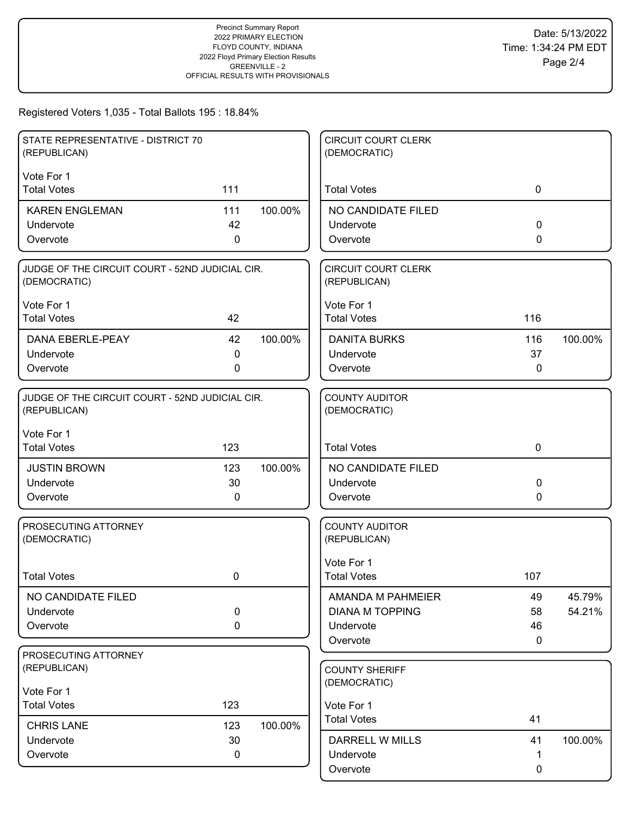| STATE REPRESENTATIVE - DISTRICT 70<br>(REPUBLICAN)              |             |         | <b>CIRCUIT COURT CLERK</b><br>(DEMOCRATIC) |             |         |
|-----------------------------------------------------------------|-------------|---------|--------------------------------------------|-------------|---------|
| Vote For 1                                                      |             |         |                                            |             |         |
| <b>Total Votes</b>                                              | 111         |         | <b>Total Votes</b>                         | $\mathbf 0$ |         |
| <b>KAREN ENGLEMAN</b>                                           | 111         | 100.00% | NO CANDIDATE FILED                         |             |         |
| Undervote                                                       | 42          |         | Undervote                                  | $\Omega$    |         |
| Overvote                                                        | 0           |         | Overvote                                   | $\Omega$    |         |
| JUDGE OF THE CIRCUIT COURT - 52ND JUDICIAL CIR.<br>(DEMOCRATIC) |             |         | <b>CIRCUIT COURT CLERK</b><br>(REPUBLICAN) |             |         |
| Vote For 1                                                      |             |         | Vote For 1                                 |             |         |
| <b>Total Votes</b>                                              | 42          |         | <b>Total Votes</b>                         | 116         |         |
| DANA EBERLE-PEAY                                                | 42          | 100.00% | <b>DANITA BURKS</b>                        | 116         | 100.00% |
| Undervote                                                       | 0           |         | Undervote                                  | 37          |         |
| Overvote                                                        | 0           |         | Overvote                                   | 0           |         |
| JUDGE OF THE CIRCUIT COURT - 52ND JUDICIAL CIR.<br>(REPUBLICAN) |             |         | <b>COUNTY AUDITOR</b><br>(DEMOCRATIC)      |             |         |
| Vote For 1<br><b>Total Votes</b>                                | 123         |         | <b>Total Votes</b>                         | $\mathbf 0$ |         |
| <b>JUSTIN BROWN</b>                                             | 123         | 100.00% | NO CANDIDATE FILED                         |             |         |
| Undervote                                                       | 30          |         | Undervote                                  | 0           |         |
| Overvote                                                        | 0           |         | Overvote                                   | 0           |         |
|                                                                 |             |         | <b>COUNTY AUDITOR</b>                      |             |         |
| PROSECUTING ATTORNEY<br>(DEMOCRATIC)                            |             |         | (REPUBLICAN)                               |             |         |
|                                                                 |             |         | Vote For 1                                 |             |         |
| <b>Total Votes</b>                                              | 0           |         | <b>Total Votes</b>                         | 107         |         |
| NO CANDIDATE FILED                                              |             |         | AMANDA M PAHMEIER                          | 49          | 45.79%  |
| Undervote                                                       | 0           |         | <b>DIANA M TOPPING</b>                     | 58          | 54.21%  |
| Overvote                                                        | $\mathbf 0$ |         | Undervote                                  | 46          |         |
|                                                                 |             |         | Overvote                                   | 0           |         |
| PROSECUTING ATTORNEY<br>(REPUBLICAN)                            |             |         | <b>COUNTY SHERIFF</b>                      |             |         |
| Vote For 1                                                      |             |         | (DEMOCRATIC)                               |             |         |
| <b>Total Votes</b>                                              | 123         |         | Vote For 1                                 |             |         |
| <b>CHRIS LANE</b>                                               | 123         | 100.00% | <b>Total Votes</b>                         | 41          |         |
| Undervote                                                       | 30          |         | <b>DARRELL W MILLS</b>                     | 41          | 100.00% |
| Overvote                                                        | 0           |         | Undervote                                  | 1           |         |
|                                                                 |             |         | Overvote                                   | 0           |         |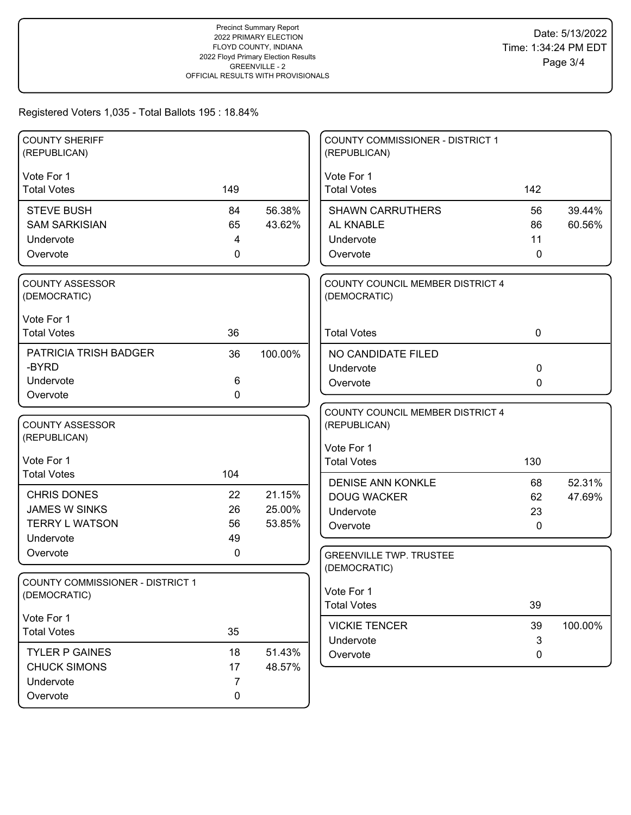| <b>COUNTY SHERIFF</b><br>(REPUBLICAN)                   |                |         | <b>COUNTY COMMISSIONER - DISTRICT 1</b><br>(REPUBLICAN) |             |         |
|---------------------------------------------------------|----------------|---------|---------------------------------------------------------|-------------|---------|
|                                                         |                |         |                                                         |             |         |
| Vote For 1<br><b>Total Votes</b>                        | 149            |         | Vote For 1<br><b>Total Votes</b>                        | 142         |         |
|                                                         |                |         |                                                         |             |         |
| <b>STEVE BUSH</b>                                       | 84             | 56.38%  | <b>SHAWN CARRUTHERS</b>                                 | 56          | 39.44%  |
| <b>SAM SARKISIAN</b>                                    | 65             | 43.62%  | AL KNABLE                                               | 86          | 60.56%  |
| Undervote                                               | 4              |         | Undervote                                               | 11          |         |
| Overvote                                                | $\mathbf 0$    |         | Overvote                                                | 0           |         |
| COUNTY ASSESSOR                                         |                |         | COUNTY COUNCIL MEMBER DISTRICT 4                        |             |         |
| (DEMOCRATIC)                                            |                |         | (DEMOCRATIC)                                            |             |         |
| Vote For 1                                              |                |         |                                                         |             |         |
| <b>Total Votes</b>                                      | 36             |         | <b>Total Votes</b>                                      | $\mathbf 0$ |         |
| PATRICIA TRISH BADGER                                   | 36             | 100.00% | NO CANDIDATE FILED                                      |             |         |
| -BYRD                                                   |                |         | Undervote                                               | 0           |         |
| Undervote                                               | 6              |         | Overvote                                                | 0           |         |
| Overvote                                                | $\mathbf 0$    |         |                                                         |             |         |
|                                                         |                |         | COUNTY COUNCIL MEMBER DISTRICT 4                        |             |         |
| <b>COUNTY ASSESSOR</b>                                  |                |         | (REPUBLICAN)                                            |             |         |
| (REPUBLICAN)                                            |                |         | Vote For 1                                              |             |         |
| Vote For 1                                              |                |         | <b>Total Votes</b>                                      | 130         |         |
| <b>Total Votes</b>                                      | 104            |         | <b>DENISE ANN KONKLE</b>                                | 68          | 52.31%  |
| <b>CHRIS DONES</b>                                      | 22             | 21.15%  | <b>DOUG WACKER</b>                                      | 62          | 47.69%  |
| <b>JAMES W SINKS</b>                                    | 26             | 25.00%  | Undervote                                               | 23          |         |
| <b>TERRY L WATSON</b>                                   | 56             | 53.85%  | Overvote                                                | 0           |         |
| Undervote                                               | 49             |         |                                                         |             |         |
| Overvote                                                | 0              |         | <b>GREENVILLE TWP. TRUSTEE</b>                          |             |         |
|                                                         |                |         | (DEMOCRATIC)                                            |             |         |
| <b>COUNTY COMMISSIONER - DISTRICT 1</b><br>(DEMOCRATIC) |                |         | Vote For 1                                              |             |         |
|                                                         |                |         | <b>Total Votes</b>                                      | 39          |         |
| Vote For 1                                              |                |         | <b>VICKIE TENCER</b>                                    | 39          | 100.00% |
| <b>Total Votes</b>                                      | 35             |         | Undervote                                               | 3           |         |
| <b>TYLER P GAINES</b>                                   | 18             | 51.43%  | Overvote                                                | 0           |         |
| <b>CHUCK SIMONS</b>                                     | 17             | 48.57%  |                                                         |             |         |
| Undervote                                               | $\overline{7}$ |         |                                                         |             |         |
| Overvote                                                | 0              |         |                                                         |             |         |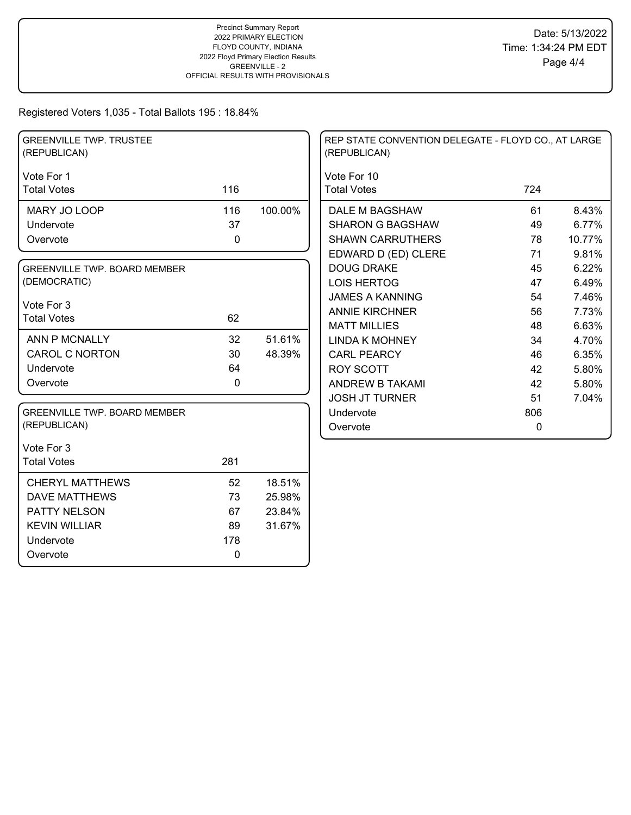| <b>GREENVILLE TWP. TRUSTEE</b><br>(REPUBLICAN) |             |         | REP STATE CONVENTION DELEGATE - FLOYD CO., AT LARGE<br>(REPUBLICAN) |             |        |
|------------------------------------------------|-------------|---------|---------------------------------------------------------------------|-------------|--------|
| Vote For 1                                     |             |         | Vote For 10                                                         |             |        |
| <b>Total Votes</b>                             | 116         |         | <b>Total Votes</b>                                                  | 724         |        |
| MARY JO LOOP                                   | 116         | 100.00% | DALE M BAGSHAW                                                      | 61          | 8.43%  |
| Undervote                                      | 37          |         | <b>SHARON G BAGSHAW</b>                                             | 49          | 6.77%  |
| Overvote                                       | 0           |         | <b>SHAWN CARRUTHERS</b>                                             | 78          | 10.77% |
|                                                |             |         | EDWARD D (ED) CLERE                                                 | 71          | 9.81%  |
| <b>GREENVILLE TWP. BOARD MEMBER</b>            |             |         | <b>DOUG DRAKE</b>                                                   | 45          | 6.22%  |
| (DEMOCRATIC)                                   |             |         | <b>LOIS HERTOG</b>                                                  | 47          | 6.49%  |
| Vote For 3                                     |             |         | <b>JAMES A KANNING</b>                                              | 54          | 7.46%  |
| <b>Total Votes</b>                             | 62          |         | <b>ANNIE KIRCHNER</b>                                               | 56          | 7.73%  |
|                                                |             |         | <b>MATT MILLIES</b>                                                 | 48          | 6.63%  |
| ANN P MCNALLY                                  | 32          | 51.61%  | <b>LINDA K MOHNEY</b>                                               | 34          | 4.70%  |
| <b>CAROL C NORTON</b>                          | 30          | 48.39%  | <b>CARL PEARCY</b>                                                  | 46          | 6.35%  |
| Undervote                                      | 64          |         | <b>ROY SCOTT</b>                                                    | 42          | 5.80%  |
| Overvote                                       | $\mathbf 0$ |         | ANDREW B TAKAMI                                                     | 42          | 5.80%  |
|                                                |             |         | <b>JOSH JT TURNER</b>                                               | 51          | 7.04%  |
| <b>GREENVILLE TWP. BOARD MEMBER</b>            |             |         | Undervote                                                           | 806         |        |
| (REPUBLICAN)                                   |             |         | Overvote                                                            | $\mathbf 0$ |        |
| Vote For 3                                     |             |         |                                                                     |             |        |
| <b>Total Votes</b>                             | 281         |         |                                                                     |             |        |
| <b>CHERYL MATTHEWS</b>                         | 52          | 18.51%  |                                                                     |             |        |
| <b>DAVE MATTHEWS</b>                           | 73          | 25.98%  |                                                                     |             |        |
| PATTY NELSON                                   | 67          | 23.84%  |                                                                     |             |        |
| <b>KEVIN WILLIAR</b>                           | 89          | 31.67%  |                                                                     |             |        |
| Undervote                                      | 178         |         |                                                                     |             |        |
| Overvote                                       | 0           |         |                                                                     |             |        |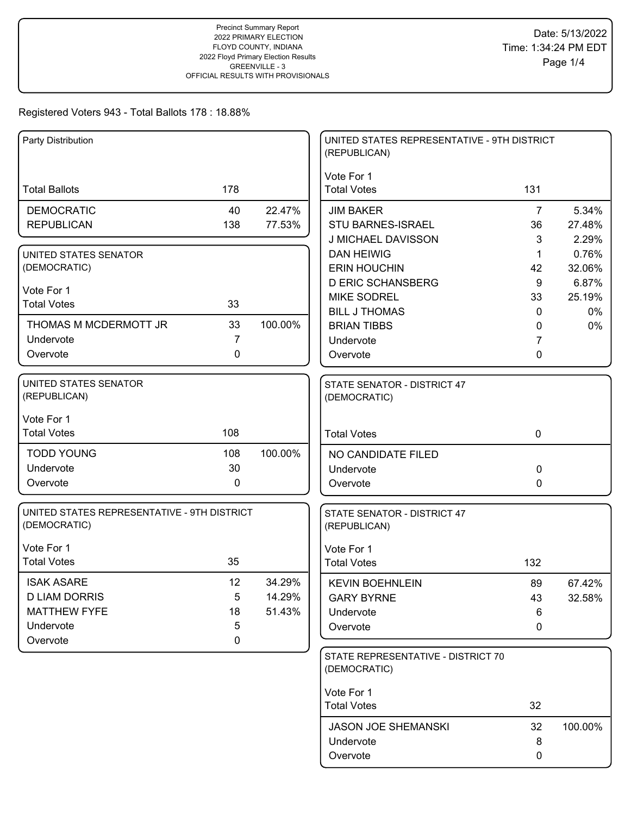| Vote For 1<br><b>Total Ballots</b><br>178<br><b>Total Votes</b><br>131<br><b>DEMOCRATIC</b><br>40<br>22.47%<br><b>JIM BAKER</b><br>$\overline{7}$<br>5.34%<br><b>REPUBLICAN</b><br>138<br>77.53%<br><b>STU BARNES-ISRAEL</b><br>36<br>27.48%<br>J MICHAEL DAVISSON<br>2.29%<br>3<br><b>DAN HEIWIG</b><br>0.76%<br>1<br>UNITED STATES SENATOR<br>(DEMOCRATIC)<br><b>ERIN HOUCHIN</b><br>42<br>32.06%<br><b>D ERIC SCHANSBERG</b><br>9<br>6.87%<br>Vote For 1<br><b>MIKE SODREL</b><br>33<br>25.19%<br><b>Total Votes</b><br>33<br><b>BILL J THOMAS</b><br>0%<br>$\mathbf{0}$<br>THOMAS M MCDERMOTT JR<br>33<br>100.00%<br><b>BRIAN TIBBS</b><br>0%<br>0<br>Undervote<br>7<br>Undervote<br>7<br>Overvote<br>0<br>Overvote<br>0<br><b>UNITED STATES SENATOR</b><br>STATE SENATOR - DISTRICT 47<br>(REPUBLICAN)<br>(DEMOCRATIC)<br>Vote For 1<br>108<br><b>Total Votes</b><br>$\mathbf 0$<br><b>Total Votes</b><br><b>TODD YOUNG</b><br>100.00%<br>108<br>NO CANDIDATE FILED<br>30<br>Undervote<br>0<br>Undervote<br>Overvote<br>0<br>Overvote<br>0<br>UNITED STATES REPRESENTATIVE - 9TH DISTRICT<br>STATE SENATOR - DISTRICT 47<br>(DEMOCRATIC)<br>(REPUBLICAN)<br>Vote For 1<br>Vote For 1<br><b>Total Votes</b><br>35<br><b>Total Votes</b><br>132<br><b>ISAK ASARE</b><br>12<br>34.29%<br>89<br>67.42%<br><b>KEVIN BOEHNLEIN</b><br><b>D LIAM DORRIS</b><br>5<br>14.29%<br><b>GARY BYRNE</b><br>32.58%<br>43<br><b>MATTHEW FYFE</b><br>18<br>51.43%<br>Undervote<br>6<br>Undervote<br>5<br>Overvote<br>0<br>$\mathbf 0$<br>Overvote<br>STATE REPRESENTATIVE - DISTRICT 70<br>(DEMOCRATIC)<br>Vote For 1<br>32<br><b>Total Votes</b><br><b>JASON JOE SHEMANSKI</b><br>32<br>100.00%<br>Undervote<br>8 | Party Distribution |  | UNITED STATES REPRESENTATIVE - 9TH DISTRICT<br>(REPUBLICAN) |   |  |
|-------------------------------------------------------------------------------------------------------------------------------------------------------------------------------------------------------------------------------------------------------------------------------------------------------------------------------------------------------------------------------------------------------------------------------------------------------------------------------------------------------------------------------------------------------------------------------------------------------------------------------------------------------------------------------------------------------------------------------------------------------------------------------------------------------------------------------------------------------------------------------------------------------------------------------------------------------------------------------------------------------------------------------------------------------------------------------------------------------------------------------------------------------------------------------------------------------------------------------------------------------------------------------------------------------------------------------------------------------------------------------------------------------------------------------------------------------------------------------------------------------------------------------------------------------------------------------------------------------------------------------------------------------------------------------------------------------|--------------------|--|-------------------------------------------------------------|---|--|
|                                                                                                                                                                                                                                                                                                                                                                                                                                                                                                                                                                                                                                                                                                                                                                                                                                                                                                                                                                                                                                                                                                                                                                                                                                                                                                                                                                                                                                                                                                                                                                                                                                                                                                       |                    |  |                                                             |   |  |
|                                                                                                                                                                                                                                                                                                                                                                                                                                                                                                                                                                                                                                                                                                                                                                                                                                                                                                                                                                                                                                                                                                                                                                                                                                                                                                                                                                                                                                                                                                                                                                                                                                                                                                       |                    |  |                                                             |   |  |
|                                                                                                                                                                                                                                                                                                                                                                                                                                                                                                                                                                                                                                                                                                                                                                                                                                                                                                                                                                                                                                                                                                                                                                                                                                                                                                                                                                                                                                                                                                                                                                                                                                                                                                       |                    |  |                                                             |   |  |
|                                                                                                                                                                                                                                                                                                                                                                                                                                                                                                                                                                                                                                                                                                                                                                                                                                                                                                                                                                                                                                                                                                                                                                                                                                                                                                                                                                                                                                                                                                                                                                                                                                                                                                       |                    |  |                                                             |   |  |
|                                                                                                                                                                                                                                                                                                                                                                                                                                                                                                                                                                                                                                                                                                                                                                                                                                                                                                                                                                                                                                                                                                                                                                                                                                                                                                                                                                                                                                                                                                                                                                                                                                                                                                       |                    |  |                                                             |   |  |
|                                                                                                                                                                                                                                                                                                                                                                                                                                                                                                                                                                                                                                                                                                                                                                                                                                                                                                                                                                                                                                                                                                                                                                                                                                                                                                                                                                                                                                                                                                                                                                                                                                                                                                       |                    |  |                                                             |   |  |
|                                                                                                                                                                                                                                                                                                                                                                                                                                                                                                                                                                                                                                                                                                                                                                                                                                                                                                                                                                                                                                                                                                                                                                                                                                                                                                                                                                                                                                                                                                                                                                                                                                                                                                       |                    |  |                                                             |   |  |
|                                                                                                                                                                                                                                                                                                                                                                                                                                                                                                                                                                                                                                                                                                                                                                                                                                                                                                                                                                                                                                                                                                                                                                                                                                                                                                                                                                                                                                                                                                                                                                                                                                                                                                       |                    |  |                                                             |   |  |
|                                                                                                                                                                                                                                                                                                                                                                                                                                                                                                                                                                                                                                                                                                                                                                                                                                                                                                                                                                                                                                                                                                                                                                                                                                                                                                                                                                                                                                                                                                                                                                                                                                                                                                       |                    |  |                                                             |   |  |
|                                                                                                                                                                                                                                                                                                                                                                                                                                                                                                                                                                                                                                                                                                                                                                                                                                                                                                                                                                                                                                                                                                                                                                                                                                                                                                                                                                                                                                                                                                                                                                                                                                                                                                       |                    |  |                                                             |   |  |
|                                                                                                                                                                                                                                                                                                                                                                                                                                                                                                                                                                                                                                                                                                                                                                                                                                                                                                                                                                                                                                                                                                                                                                                                                                                                                                                                                                                                                                                                                                                                                                                                                                                                                                       |                    |  |                                                             |   |  |
|                                                                                                                                                                                                                                                                                                                                                                                                                                                                                                                                                                                                                                                                                                                                                                                                                                                                                                                                                                                                                                                                                                                                                                                                                                                                                                                                                                                                                                                                                                                                                                                                                                                                                                       |                    |  |                                                             |   |  |
|                                                                                                                                                                                                                                                                                                                                                                                                                                                                                                                                                                                                                                                                                                                                                                                                                                                                                                                                                                                                                                                                                                                                                                                                                                                                                                                                                                                                                                                                                                                                                                                                                                                                                                       |                    |  |                                                             |   |  |
|                                                                                                                                                                                                                                                                                                                                                                                                                                                                                                                                                                                                                                                                                                                                                                                                                                                                                                                                                                                                                                                                                                                                                                                                                                                                                                                                                                                                                                                                                                                                                                                                                                                                                                       |                    |  |                                                             |   |  |
|                                                                                                                                                                                                                                                                                                                                                                                                                                                                                                                                                                                                                                                                                                                                                                                                                                                                                                                                                                                                                                                                                                                                                                                                                                                                                                                                                                                                                                                                                                                                                                                                                                                                                                       |                    |  |                                                             |   |  |
|                                                                                                                                                                                                                                                                                                                                                                                                                                                                                                                                                                                                                                                                                                                                                                                                                                                                                                                                                                                                                                                                                                                                                                                                                                                                                                                                                                                                                                                                                                                                                                                                                                                                                                       |                    |  |                                                             |   |  |
|                                                                                                                                                                                                                                                                                                                                                                                                                                                                                                                                                                                                                                                                                                                                                                                                                                                                                                                                                                                                                                                                                                                                                                                                                                                                                                                                                                                                                                                                                                                                                                                                                                                                                                       |                    |  |                                                             |   |  |
|                                                                                                                                                                                                                                                                                                                                                                                                                                                                                                                                                                                                                                                                                                                                                                                                                                                                                                                                                                                                                                                                                                                                                                                                                                                                                                                                                                                                                                                                                                                                                                                                                                                                                                       |                    |  |                                                             |   |  |
|                                                                                                                                                                                                                                                                                                                                                                                                                                                                                                                                                                                                                                                                                                                                                                                                                                                                                                                                                                                                                                                                                                                                                                                                                                                                                                                                                                                                                                                                                                                                                                                                                                                                                                       |                    |  |                                                             |   |  |
|                                                                                                                                                                                                                                                                                                                                                                                                                                                                                                                                                                                                                                                                                                                                                                                                                                                                                                                                                                                                                                                                                                                                                                                                                                                                                                                                                                                                                                                                                                                                                                                                                                                                                                       |                    |  |                                                             |   |  |
|                                                                                                                                                                                                                                                                                                                                                                                                                                                                                                                                                                                                                                                                                                                                                                                                                                                                                                                                                                                                                                                                                                                                                                                                                                                                                                                                                                                                                                                                                                                                                                                                                                                                                                       |                    |  |                                                             |   |  |
|                                                                                                                                                                                                                                                                                                                                                                                                                                                                                                                                                                                                                                                                                                                                                                                                                                                                                                                                                                                                                                                                                                                                                                                                                                                                                                                                                                                                                                                                                                                                                                                                                                                                                                       |                    |  |                                                             |   |  |
|                                                                                                                                                                                                                                                                                                                                                                                                                                                                                                                                                                                                                                                                                                                                                                                                                                                                                                                                                                                                                                                                                                                                                                                                                                                                                                                                                                                                                                                                                                                                                                                                                                                                                                       |                    |  |                                                             |   |  |
|                                                                                                                                                                                                                                                                                                                                                                                                                                                                                                                                                                                                                                                                                                                                                                                                                                                                                                                                                                                                                                                                                                                                                                                                                                                                                                                                                                                                                                                                                                                                                                                                                                                                                                       |                    |  |                                                             |   |  |
|                                                                                                                                                                                                                                                                                                                                                                                                                                                                                                                                                                                                                                                                                                                                                                                                                                                                                                                                                                                                                                                                                                                                                                                                                                                                                                                                                                                                                                                                                                                                                                                                                                                                                                       |                    |  |                                                             |   |  |
|                                                                                                                                                                                                                                                                                                                                                                                                                                                                                                                                                                                                                                                                                                                                                                                                                                                                                                                                                                                                                                                                                                                                                                                                                                                                                                                                                                                                                                                                                                                                                                                                                                                                                                       |                    |  |                                                             |   |  |
|                                                                                                                                                                                                                                                                                                                                                                                                                                                                                                                                                                                                                                                                                                                                                                                                                                                                                                                                                                                                                                                                                                                                                                                                                                                                                                                                                                                                                                                                                                                                                                                                                                                                                                       |                    |  |                                                             |   |  |
|                                                                                                                                                                                                                                                                                                                                                                                                                                                                                                                                                                                                                                                                                                                                                                                                                                                                                                                                                                                                                                                                                                                                                                                                                                                                                                                                                                                                                                                                                                                                                                                                                                                                                                       |                    |  |                                                             |   |  |
|                                                                                                                                                                                                                                                                                                                                                                                                                                                                                                                                                                                                                                                                                                                                                                                                                                                                                                                                                                                                                                                                                                                                                                                                                                                                                                                                                                                                                                                                                                                                                                                                                                                                                                       |                    |  |                                                             |   |  |
|                                                                                                                                                                                                                                                                                                                                                                                                                                                                                                                                                                                                                                                                                                                                                                                                                                                                                                                                                                                                                                                                                                                                                                                                                                                                                                                                                                                                                                                                                                                                                                                                                                                                                                       |                    |  |                                                             |   |  |
|                                                                                                                                                                                                                                                                                                                                                                                                                                                                                                                                                                                                                                                                                                                                                                                                                                                                                                                                                                                                                                                                                                                                                                                                                                                                                                                                                                                                                                                                                                                                                                                                                                                                                                       |                    |  |                                                             |   |  |
|                                                                                                                                                                                                                                                                                                                                                                                                                                                                                                                                                                                                                                                                                                                                                                                                                                                                                                                                                                                                                                                                                                                                                                                                                                                                                                                                                                                                                                                                                                                                                                                                                                                                                                       |                    |  |                                                             |   |  |
|                                                                                                                                                                                                                                                                                                                                                                                                                                                                                                                                                                                                                                                                                                                                                                                                                                                                                                                                                                                                                                                                                                                                                                                                                                                                                                                                                                                                                                                                                                                                                                                                                                                                                                       |                    |  |                                                             |   |  |
|                                                                                                                                                                                                                                                                                                                                                                                                                                                                                                                                                                                                                                                                                                                                                                                                                                                                                                                                                                                                                                                                                                                                                                                                                                                                                                                                                                                                                                                                                                                                                                                                                                                                                                       |                    |  | Overvote                                                    | 0 |  |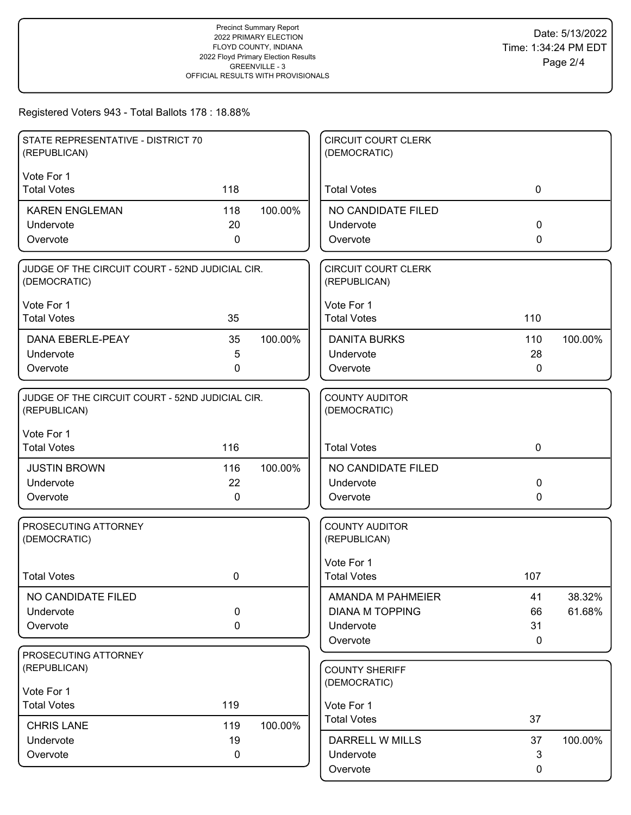| Vote For 1<br><b>Total Votes</b><br>118<br><b>Total Votes</b><br>$\mathbf 0$<br><b>KAREN ENGLEMAN</b><br>118<br>100.00%<br>NO CANDIDATE FILED<br>20<br>0<br>Undervote<br>Undervote<br>Overvote<br>0<br>Overvote<br>0<br>JUDGE OF THE CIRCUIT COURT - 52ND JUDICIAL CIR.<br><b>CIRCUIT COURT CLERK</b><br>(DEMOCRATIC)<br>(REPUBLICAN)<br>Vote For 1<br>Vote For 1<br><b>Total Votes</b><br>35<br><b>Total Votes</b><br>110<br><b>DANA EBERLE-PEAY</b><br>35<br>100.00%<br><b>DANITA BURKS</b><br>110<br>100.00%<br>Undervote<br>5<br>Undervote<br>28<br>Overvote<br>0<br>Overvote<br>0<br>JUDGE OF THE CIRCUIT COURT - 52ND JUDICIAL CIR.<br><b>COUNTY AUDITOR</b><br>(REPUBLICAN)<br>(DEMOCRATIC)<br>Vote For 1<br><b>Total Votes</b><br>116<br><b>Total Votes</b><br>$\mathbf 0$<br>100.00%<br><b>JUSTIN BROWN</b><br>116<br>NO CANDIDATE FILED<br>22<br>Undervote<br>Undervote<br>0<br>Overvote<br>0<br>Overvote<br>0<br><b>COUNTY AUDITOR</b><br>PROSECUTING ATTORNEY<br>(REPUBLICAN)<br>(DEMOCRATIC)<br>Vote For 1 | STATE REPRESENTATIVE - DISTRICT 70<br>(REPUBLICAN) |  | <b>CIRCUIT COURT CLERK</b><br>(DEMOCRATIC) |  |
|-------------------------------------------------------------------------------------------------------------------------------------------------------------------------------------------------------------------------------------------------------------------------------------------------------------------------------------------------------------------------------------------------------------------------------------------------------------------------------------------------------------------------------------------------------------------------------------------------------------------------------------------------------------------------------------------------------------------------------------------------------------------------------------------------------------------------------------------------------------------------------------------------------------------------------------------------------------------------------------------------------------------------|----------------------------------------------------|--|--------------------------------------------|--|
|                                                                                                                                                                                                                                                                                                                                                                                                                                                                                                                                                                                                                                                                                                                                                                                                                                                                                                                                                                                                                         |                                                    |  |                                            |  |
|                                                                                                                                                                                                                                                                                                                                                                                                                                                                                                                                                                                                                                                                                                                                                                                                                                                                                                                                                                                                                         |                                                    |  |                                            |  |
|                                                                                                                                                                                                                                                                                                                                                                                                                                                                                                                                                                                                                                                                                                                                                                                                                                                                                                                                                                                                                         |                                                    |  |                                            |  |
|                                                                                                                                                                                                                                                                                                                                                                                                                                                                                                                                                                                                                                                                                                                                                                                                                                                                                                                                                                                                                         |                                                    |  |                                            |  |
|                                                                                                                                                                                                                                                                                                                                                                                                                                                                                                                                                                                                                                                                                                                                                                                                                                                                                                                                                                                                                         |                                                    |  |                                            |  |
|                                                                                                                                                                                                                                                                                                                                                                                                                                                                                                                                                                                                                                                                                                                                                                                                                                                                                                                                                                                                                         |                                                    |  |                                            |  |
|                                                                                                                                                                                                                                                                                                                                                                                                                                                                                                                                                                                                                                                                                                                                                                                                                                                                                                                                                                                                                         |                                                    |  |                                            |  |
|                                                                                                                                                                                                                                                                                                                                                                                                                                                                                                                                                                                                                                                                                                                                                                                                                                                                                                                                                                                                                         |                                                    |  |                                            |  |
|                                                                                                                                                                                                                                                                                                                                                                                                                                                                                                                                                                                                                                                                                                                                                                                                                                                                                                                                                                                                                         |                                                    |  |                                            |  |
|                                                                                                                                                                                                                                                                                                                                                                                                                                                                                                                                                                                                                                                                                                                                                                                                                                                                                                                                                                                                                         |                                                    |  |                                            |  |
|                                                                                                                                                                                                                                                                                                                                                                                                                                                                                                                                                                                                                                                                                                                                                                                                                                                                                                                                                                                                                         |                                                    |  |                                            |  |
|                                                                                                                                                                                                                                                                                                                                                                                                                                                                                                                                                                                                                                                                                                                                                                                                                                                                                                                                                                                                                         |                                                    |  |                                            |  |
|                                                                                                                                                                                                                                                                                                                                                                                                                                                                                                                                                                                                                                                                                                                                                                                                                                                                                                                                                                                                                         |                                                    |  |                                            |  |
|                                                                                                                                                                                                                                                                                                                                                                                                                                                                                                                                                                                                                                                                                                                                                                                                                                                                                                                                                                                                                         |                                                    |  |                                            |  |
|                                                                                                                                                                                                                                                                                                                                                                                                                                                                                                                                                                                                                                                                                                                                                                                                                                                                                                                                                                                                                         |                                                    |  |                                            |  |
|                                                                                                                                                                                                                                                                                                                                                                                                                                                                                                                                                                                                                                                                                                                                                                                                                                                                                                                                                                                                                         |                                                    |  |                                            |  |
|                                                                                                                                                                                                                                                                                                                                                                                                                                                                                                                                                                                                                                                                                                                                                                                                                                                                                                                                                                                                                         |                                                    |  |                                            |  |
|                                                                                                                                                                                                                                                                                                                                                                                                                                                                                                                                                                                                                                                                                                                                                                                                                                                                                                                                                                                                                         |                                                    |  |                                            |  |
|                                                                                                                                                                                                                                                                                                                                                                                                                                                                                                                                                                                                                                                                                                                                                                                                                                                                                                                                                                                                                         |                                                    |  |                                            |  |
| <b>Total Votes</b><br>0<br><b>Total Votes</b><br>107                                                                                                                                                                                                                                                                                                                                                                                                                                                                                                                                                                                                                                                                                                                                                                                                                                                                                                                                                                    |                                                    |  |                                            |  |
| NO CANDIDATE FILED<br>AMANDA M PAHMEIER<br>38.32%<br>41                                                                                                                                                                                                                                                                                                                                                                                                                                                                                                                                                                                                                                                                                                                                                                                                                                                                                                                                                                 |                                                    |  |                                            |  |
| 0<br><b>DIANA M TOPPING</b><br>61.68%<br>Undervote<br>66                                                                                                                                                                                                                                                                                                                                                                                                                                                                                                                                                                                                                                                                                                                                                                                                                                                                                                                                                                |                                                    |  |                                            |  |
| 31<br>$\mathbf 0$<br>Undervote<br>Overvote                                                                                                                                                                                                                                                                                                                                                                                                                                                                                                                                                                                                                                                                                                                                                                                                                                                                                                                                                                              |                                                    |  |                                            |  |
| Overvote<br>$\mathbf 0$                                                                                                                                                                                                                                                                                                                                                                                                                                                                                                                                                                                                                                                                                                                                                                                                                                                                                                                                                                                                 |                                                    |  |                                            |  |
| PROSECUTING ATTORNEY<br>(REPUBLICAN)<br><b>COUNTY SHERIFF</b>                                                                                                                                                                                                                                                                                                                                                                                                                                                                                                                                                                                                                                                                                                                                                                                                                                                                                                                                                           |                                                    |  |                                            |  |
| (DEMOCRATIC)                                                                                                                                                                                                                                                                                                                                                                                                                                                                                                                                                                                                                                                                                                                                                                                                                                                                                                                                                                                                            |                                                    |  |                                            |  |
| Vote For 1                                                                                                                                                                                                                                                                                                                                                                                                                                                                                                                                                                                                                                                                                                                                                                                                                                                                                                                                                                                                              |                                                    |  |                                            |  |
| 119<br><b>Total Votes</b><br>Vote For 1<br><b>Total Votes</b><br>37                                                                                                                                                                                                                                                                                                                                                                                                                                                                                                                                                                                                                                                                                                                                                                                                                                                                                                                                                     |                                                    |  |                                            |  |
| 100.00%<br><b>CHRIS LANE</b><br>119                                                                                                                                                                                                                                                                                                                                                                                                                                                                                                                                                                                                                                                                                                                                                                                                                                                                                                                                                                                     |                                                    |  |                                            |  |
| 19<br><b>DARRELL W MILLS</b><br>37<br>100.00%<br>Undervote<br>3<br>Overvote<br>$\mathbf 0$<br>Undervote                                                                                                                                                                                                                                                                                                                                                                                                                                                                                                                                                                                                                                                                                                                                                                                                                                                                                                                 |                                                    |  |                                            |  |
| Overvote<br>0                                                                                                                                                                                                                                                                                                                                                                                                                                                                                                                                                                                                                                                                                                                                                                                                                                                                                                                                                                                                           |                                                    |  |                                            |  |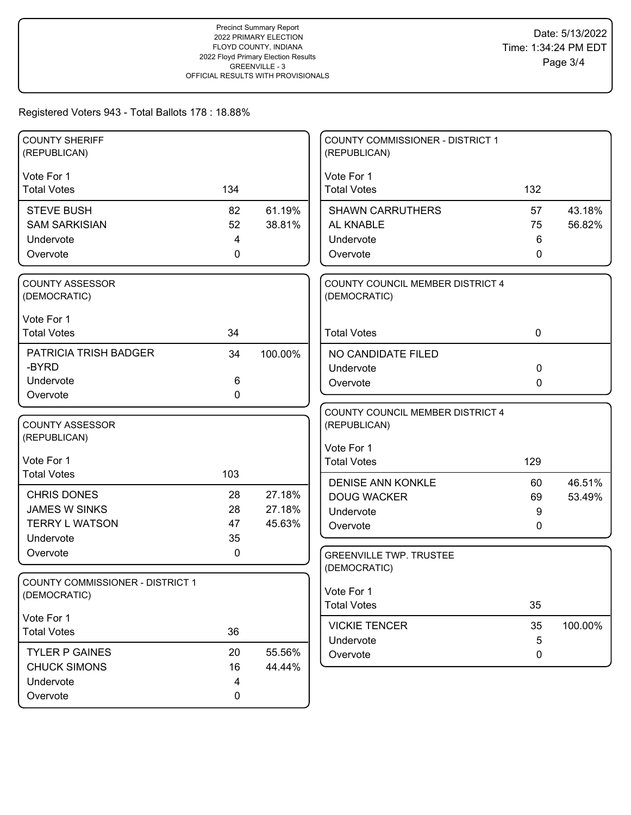| <b>COUNTY SHERIFF</b><br>(REPUBLICAN)  |       |         | <b>COUNTY COMMISSIONER - DISTRICT 1</b><br>(REPUBLICAN) |           |         |
|----------------------------------------|-------|---------|---------------------------------------------------------|-----------|---------|
| Vote For 1<br><b>Total Votes</b>       | 134   |         | Vote For 1<br><b>Total Votes</b>                        | 132       |         |
|                                        |       |         |                                                         |           |         |
| <b>STEVE BUSH</b>                      | 82    | 61.19%  | <b>SHAWN CARRUTHERS</b>                                 | 57        | 43.18%  |
| <b>SAM SARKISIAN</b>                   | 52    | 38.81%  | AL KNABLE                                               | 75        | 56.82%  |
| Undervote                              | 4     |         | Undervote                                               | 6         |         |
| Overvote                               | 0     |         | Overvote                                                | 0         |         |
| <b>COUNTY ASSESSOR</b>                 |       |         | COUNTY COUNCIL MEMBER DISTRICT 4                        |           |         |
| (DEMOCRATIC)                           |       |         | (DEMOCRATIC)                                            |           |         |
| Vote For 1                             |       |         |                                                         |           |         |
| <b>Total Votes</b>                     | 34    |         | <b>Total Votes</b>                                      | $\pmb{0}$ |         |
| PATRICIA TRISH BADGER                  | 34    | 100.00% | NO CANDIDATE FILED                                      |           |         |
| -BYRD                                  |       |         | Undervote                                               | $\pmb{0}$ |         |
| Undervote                              | $\,6$ |         | Overvote                                                | 0         |         |
| Overvote                               | 0     |         |                                                         |           |         |
|                                        |       |         | COUNTY COUNCIL MEMBER DISTRICT 4                        |           |         |
| <b>COUNTY ASSESSOR</b><br>(REPUBLICAN) |       |         | (REPUBLICAN)                                            |           |         |
|                                        |       |         | Vote For 1                                              |           |         |
| Vote For 1                             |       |         | <b>Total Votes</b>                                      | 129       |         |
| <b>Total Votes</b>                     | 103   |         | <b>DENISE ANN KONKLE</b>                                | 60        | 46.51%  |
| <b>CHRIS DONES</b>                     | 28    | 27.18%  | <b>DOUG WACKER</b>                                      | 69        | 53.49%  |
| <b>JAMES W SINKS</b>                   | 28    | 27.18%  | Undervote                                               | 9         |         |
| <b>TERRY L WATSON</b>                  | 47    | 45.63%  | Overvote                                                | 0         |         |
| Undervote                              | 35    |         |                                                         |           |         |
| Overvote                               | 0     |         | <b>GREENVILLE TWP. TRUSTEE</b>                          |           |         |
| COUNTY COMMISSIONER - DISTRICT 1       |       |         | (DEMOCRATIC)                                            |           |         |
| (DEMOCRATIC)                           |       |         | Vote For 1                                              |           |         |
|                                        |       |         | <b>Total Votes</b>                                      | 35        |         |
| Vote For 1                             |       |         | <b>VICKIE TENCER</b>                                    | 35        | 100.00% |
| <b>Total Votes</b>                     | 36    |         | Undervote                                               | 5         |         |
| <b>TYLER P GAINES</b>                  | 20    | 55.56%  | Overvote                                                | 0         |         |
| <b>CHUCK SIMONS</b>                    | 16    | 44.44%  |                                                         |           |         |
| Undervote                              | 4     |         |                                                         |           |         |
| Overvote                               | 0     |         |                                                         |           |         |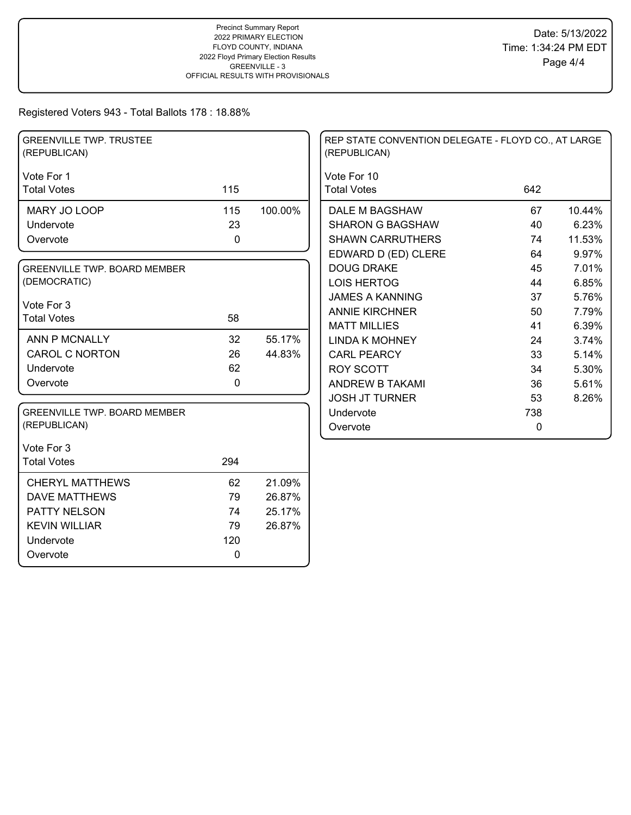| <b>GREENVILLE TWP. TRUSTEE</b><br>(REPUBLICAN) |     |         | REP STATE CONVENTION DELEGATE - FLOYD CO., AT LARGE<br>(REPUBLICAN) |             |        |
|------------------------------------------------|-----|---------|---------------------------------------------------------------------|-------------|--------|
| Vote For 1                                     |     |         | Vote For 10                                                         |             |        |
| <b>Total Votes</b>                             | 115 |         | <b>Total Votes</b>                                                  | 642         |        |
| MARY JO LOOP                                   | 115 | 100.00% | DALE M BAGSHAW                                                      | 67          | 10.44% |
| Undervote                                      | 23  |         | <b>SHARON G BAGSHAW</b>                                             | 40          | 6.23%  |
| Overvote                                       | 0   |         | <b>SHAWN CARRUTHERS</b>                                             | 74          | 11.53% |
|                                                |     |         | EDWARD D (ED) CLERE                                                 | 64          | 9.97%  |
| <b>GREENVILLE TWP. BOARD MEMBER</b>            |     |         | <b>DOUG DRAKE</b>                                                   | 45          | 7.01%  |
| (DEMOCRATIC)                                   |     |         | <b>LOIS HERTOG</b>                                                  | 44          | 6.85%  |
| Vote For 3                                     |     |         | <b>JAMES A KANNING</b>                                              | 37          | 5.76%  |
| <b>Total Votes</b>                             | 58  |         | <b>ANNIE KIRCHNER</b>                                               | 50          | 7.79%  |
|                                                |     |         | <b>MATT MILLIES</b>                                                 | 41          | 6.39%  |
| ANN P MCNALLY                                  | 32  | 55.17%  | <b>LINDA K MOHNEY</b>                                               | 24          | 3.74%  |
| CAROL C NORTON                                 | 26  | 44.83%  | <b>CARL PEARCY</b>                                                  | 33          | 5.14%  |
| Undervote                                      | 62  |         | <b>ROY SCOTT</b>                                                    | 34          | 5.30%  |
| Overvote                                       | 0   |         | ANDREW B TAKAMI                                                     | 36          | 5.61%  |
|                                                |     |         | <b>JOSH JT TURNER</b>                                               | 53          | 8.26%  |
| <b>GREENVILLE TWP. BOARD MEMBER</b>            |     |         | Undervote                                                           | 738         |        |
| (REPUBLICAN)                                   |     |         | Overvote                                                            | $\mathbf 0$ |        |
| Vote For 3                                     |     |         |                                                                     |             |        |
| <b>Total Votes</b>                             | 294 |         |                                                                     |             |        |
| <b>CHERYL MATTHEWS</b>                         | 62  | 21.09%  |                                                                     |             |        |
| <b>DAVE MATTHEWS</b>                           | 79  | 26.87%  |                                                                     |             |        |
| PATTY NELSON                                   | 74  | 25.17%  |                                                                     |             |        |
| <b>KEVIN WILLIAR</b>                           | 79  | 26.87%  |                                                                     |             |        |
| Undervote                                      | 120 |         |                                                                     |             |        |
| Overvote                                       | 0   |         |                                                                     |             |        |
|                                                |     |         |                                                                     |             |        |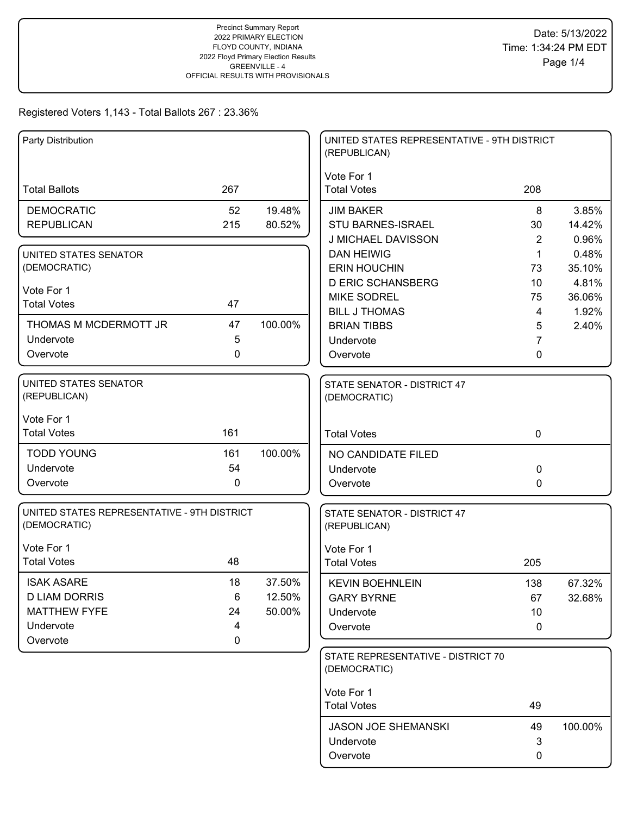| Party Distribution                                          |             |         | UNITED STATES REPRESENTATIVE - 9TH DISTRICT<br>(REPUBLICAN) |             |                 |
|-------------------------------------------------------------|-------------|---------|-------------------------------------------------------------|-------------|-----------------|
|                                                             |             |         | Vote For 1                                                  |             |                 |
| <b>Total Ballots</b>                                        | 267         |         | <b>Total Votes</b>                                          | 208         |                 |
| <b>DEMOCRATIC</b>                                           | 52          | 19.48%  | <b>JIM BAKER</b>                                            | 8           | 3.85%           |
| <b>REPUBLICAN</b>                                           | 215         | 80.52%  | STU BARNES-ISRAEL                                           | 30          | 14.42%          |
|                                                             |             |         | J MICHAEL DAVISSON                                          | 2           | 0.96%           |
| UNITED STATES SENATOR                                       |             |         | <b>DAN HEIWIG</b>                                           | $\mathbf 1$ | 0.48%           |
| (DEMOCRATIC)                                                |             |         | <b>ERIN HOUCHIN</b>                                         | 73          | 35.10%          |
| Vote For 1                                                  |             |         | <b>D ERIC SCHANSBERG</b>                                    | 10          | 4.81%           |
| <b>Total Votes</b>                                          | 47          |         | <b>MIKE SODREL</b><br><b>BILL J THOMAS</b>                  | 75<br>4     | 36.06%<br>1.92% |
| THOMAS M MCDERMOTT JR                                       | 47          | 100.00% | <b>BRIAN TIBBS</b>                                          | 5           | 2.40%           |
| Undervote                                                   | 5           |         | Undervote                                                   | 7           |                 |
| Overvote                                                    | 0           |         | Overvote                                                    | 0           |                 |
|                                                             |             |         |                                                             |             |                 |
| UNITED STATES SENATOR<br>(REPUBLICAN)                       |             |         | STATE SENATOR - DISTRICT 47<br>(DEMOCRATIC)                 |             |                 |
| Vote For 1                                                  |             |         |                                                             |             |                 |
| <b>Total Votes</b>                                          | 161         |         | <b>Total Votes</b>                                          | $\mathbf 0$ |                 |
| <b>TODD YOUNG</b>                                           | 161         | 100.00% | NO CANDIDATE FILED                                          |             |                 |
| Undervote                                                   | 54          |         | Undervote                                                   | 0           |                 |
| Overvote                                                    | $\mathbf 0$ |         | Overvote                                                    | 0           |                 |
| UNITED STATES REPRESENTATIVE - 9TH DISTRICT<br>(DEMOCRATIC) |             |         | STATE SENATOR - DISTRICT 47<br>(REPUBLICAN)                 |             |                 |
| Vote For 1                                                  |             |         | Vote For 1                                                  |             |                 |
| <b>Total Votes</b>                                          | 48          |         | <b>Total Votes</b>                                          | 205         |                 |
| <b>ISAK ASARE</b>                                           | 18          | 37.50%  | <b>KEVIN BOEHNLEIN</b>                                      | 138         | 67.32%          |
| <b>D LIAM DORRIS</b>                                        | 6           | 12.50%  | <b>GARY BYRNE</b>                                           | 67          | 32.68%          |
| <b>MATTHEW FYFE</b>                                         | 24          | 50.00%  | Undervote                                                   | 10          |                 |
| Undervote                                                   | 4           |         | Overvote                                                    | 0           |                 |
| Overvote                                                    | 0           |         |                                                             |             |                 |
|                                                             |             |         | STATE REPRESENTATIVE - DISTRICT 70<br>(DEMOCRATIC)          |             |                 |
|                                                             |             |         | Vote For 1                                                  |             |                 |
|                                                             |             |         | <b>Total Votes</b>                                          | 49          |                 |
|                                                             |             |         | <b>JASON JOE SHEMANSKI</b>                                  | 49          | 100.00%         |
|                                                             |             |         | Undervote                                                   | 3           |                 |
|                                                             |             |         | Overvote                                                    | 0           |                 |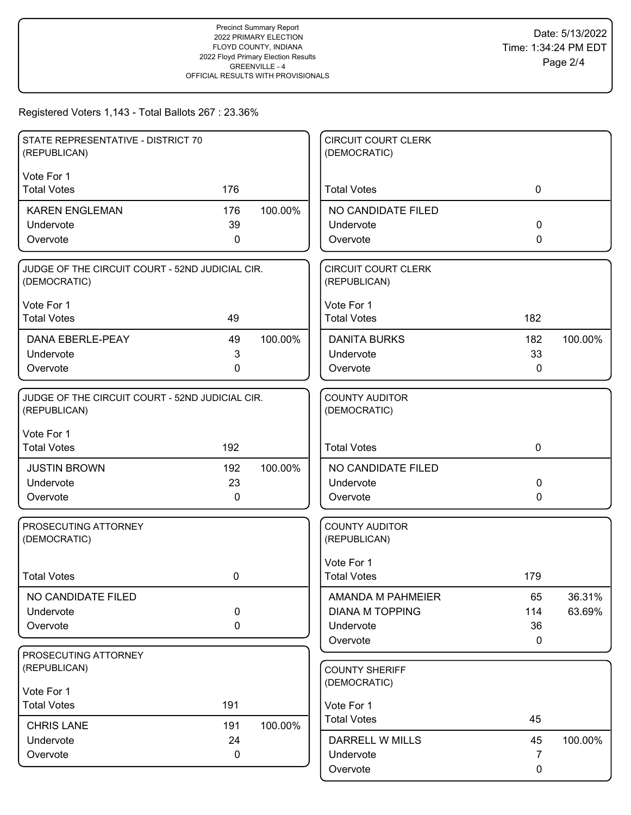| STATE REPRESENTATIVE - DISTRICT 70<br>(REPUBLICAN)              |             |         | <b>CIRCUIT COURT CLERK</b><br>(DEMOCRATIC) |             |         |
|-----------------------------------------------------------------|-------------|---------|--------------------------------------------|-------------|---------|
| Vote For 1                                                      |             |         |                                            |             |         |
| <b>Total Votes</b>                                              | 176         |         | <b>Total Votes</b>                         | $\mathbf 0$ |         |
| <b>KAREN ENGLEMAN</b>                                           | 176         | 100.00% | NO CANDIDATE FILED                         |             |         |
| Undervote                                                       | 39          |         | Undervote                                  | $\Omega$    |         |
| Overvote                                                        | 0           |         | Overvote                                   | $\Omega$    |         |
| JUDGE OF THE CIRCUIT COURT - 52ND JUDICIAL CIR.<br>(DEMOCRATIC) |             |         | <b>CIRCUIT COURT CLERK</b><br>(REPUBLICAN) |             |         |
| Vote For 1                                                      |             |         | Vote For 1                                 |             |         |
| <b>Total Votes</b>                                              | 49          |         | <b>Total Votes</b>                         | 182         |         |
| DANA EBERLE-PEAY                                                | 49          | 100.00% | <b>DANITA BURKS</b>                        | 182         | 100.00% |
| Undervote                                                       | 3           |         | Undervote                                  | 33          |         |
| Overvote                                                        | 0           |         | Overvote                                   | 0           |         |
| JUDGE OF THE CIRCUIT COURT - 52ND JUDICIAL CIR.<br>(REPUBLICAN) |             |         | <b>COUNTY AUDITOR</b><br>(DEMOCRATIC)      |             |         |
| Vote For 1<br><b>Total Votes</b>                                | 192         |         | <b>Total Votes</b>                         | $\mathbf 0$ |         |
|                                                                 |             |         |                                            |             |         |
| <b>JUSTIN BROWN</b>                                             | 192<br>23   | 100.00% | NO CANDIDATE FILED                         | 0           |         |
| Undervote<br>Overvote                                           | 0           |         | Undervote<br>Overvote                      | 0           |         |
|                                                                 |             |         |                                            |             |         |
| PROSECUTING ATTORNEY<br>(DEMOCRATIC)                            |             |         | <b>COUNTY AUDITOR</b><br>(REPUBLICAN)      |             |         |
|                                                                 |             |         | Vote For 1                                 |             |         |
| <b>Total Votes</b>                                              | 0           |         | <b>Total Votes</b>                         | 179         |         |
| NO CANDIDATE FILED                                              |             |         | AMANDA M PAHMEIER                          | 65          | 36.31%  |
| Undervote                                                       | 0           |         | <b>DIANA M TOPPING</b>                     | 114         | 63.69%  |
| Overvote                                                        | $\mathbf 0$ |         | Undervote                                  | 36          |         |
| PROSECUTING ATTORNEY                                            |             |         | Overvote                                   | 0           |         |
| (REPUBLICAN)                                                    |             |         | <b>COUNTY SHERIFF</b>                      |             |         |
| Vote For 1                                                      |             |         | (DEMOCRATIC)                               |             |         |
| <b>Total Votes</b>                                              | 191         |         | Vote For 1                                 |             |         |
| <b>CHRIS LANE</b>                                               | 191         | 100.00% | <b>Total Votes</b>                         | 45          |         |
| Undervote                                                       | 24          |         | <b>DARRELL W MILLS</b>                     | 45          | 100.00% |
| Overvote                                                        | 0           |         | Undervote                                  | 7           |         |
|                                                                 |             |         | Overvote                                   | 0           |         |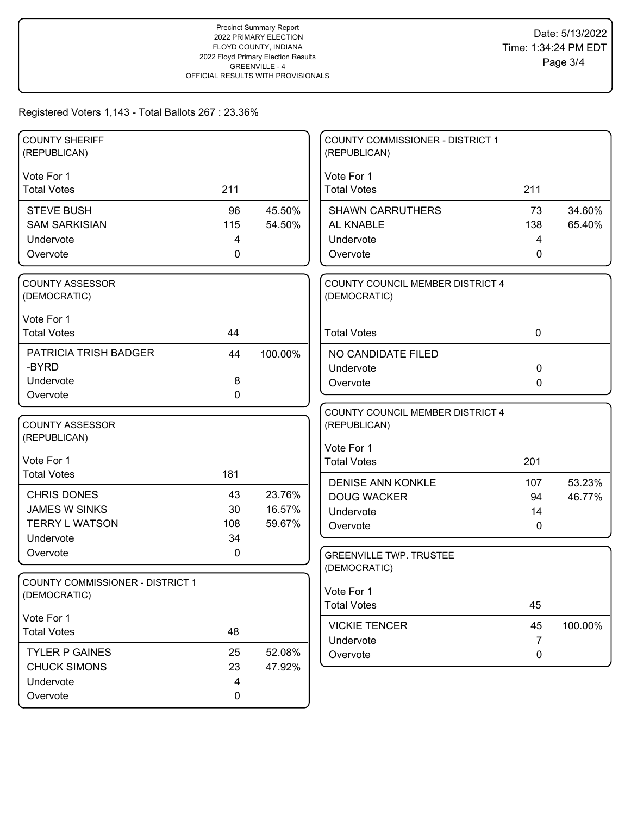| <b>COUNTY SHERIFF</b><br>(REPUBLICAN)                                            |                               |                            | <b>COUNTY COMMISSIONER - DISTRICT 1</b><br>(REPUBLICAN)                              |                     |                  |
|----------------------------------------------------------------------------------|-------------------------------|----------------------------|--------------------------------------------------------------------------------------|---------------------|------------------|
| Vote For 1<br><b>Total Votes</b>                                                 | 211                           |                            | Vote For 1<br><b>Total Votes</b>                                                     | 211                 |                  |
| <b>STEVE BUSH</b><br><b>SAM SARKISIAN</b><br>Undervote<br>Overvote               | 96<br>115<br>4<br>$\mathbf 0$ | 45.50%<br>54.50%           | <b>SHAWN CARRUTHERS</b><br>AL KNABLE<br>Undervote<br>Overvote                        | 73<br>138<br>4<br>0 | 34.60%<br>65.40% |
| COUNTY ASSESSOR<br>(DEMOCRATIC)                                                  |                               |                            | COUNTY COUNCIL MEMBER DISTRICT 4<br>(DEMOCRATIC)                                     |                     |                  |
| Vote For 1<br><b>Total Votes</b>                                                 | 44                            |                            | <b>Total Votes</b>                                                                   | $\mathbf 0$         |                  |
| PATRICIA TRISH BADGER<br>-BYRD<br>Undervote<br>Overvote                          | 44<br>8<br>$\mathbf 0$        | 100.00%                    | NO CANDIDATE FILED<br>Undervote<br>Overvote                                          | 0<br>0              |                  |
| <b>COUNTY ASSESSOR</b><br>(REPUBLICAN)<br>Vote For 1                             |                               |                            | COUNTY COUNCIL MEMBER DISTRICT 4<br>(REPUBLICAN)<br>Vote For 1<br><b>Total Votes</b> | 201                 |                  |
| <b>Total Votes</b>                                                               | 181                           |                            | <b>DENISE ANN KONKLE</b>                                                             | 107                 | 53.23%           |
| <b>CHRIS DONES</b><br><b>JAMES W SINKS</b><br><b>TERRY L WATSON</b><br>Undervote | 43<br>30<br>108<br>34         | 23.76%<br>16.57%<br>59.67% | <b>DOUG WACKER</b><br>Undervote<br>Overvote                                          | 94<br>14<br>0       | 46.77%           |
| Overvote                                                                         | 0                             |                            | <b>GREENVILLE TWP. TRUSTEE</b><br>(DEMOCRATIC)                                       |                     |                  |
| <b>COUNTY COMMISSIONER - DISTRICT 1</b><br>(DEMOCRATIC)                          |                               |                            | Vote For 1<br><b>Total Votes</b>                                                     | 45                  |                  |
| Vote For 1<br><b>Total Votes</b>                                                 | 48                            |                            | <b>VICKIE TENCER</b><br>Undervote                                                    | 45<br>7             | 100.00%          |
| <b>TYLER P GAINES</b><br><b>CHUCK SIMONS</b><br>Undervote<br>Overvote            | 25<br>23<br>4<br>0            | 52.08%<br>47.92%           | Overvote                                                                             | 0                   |                  |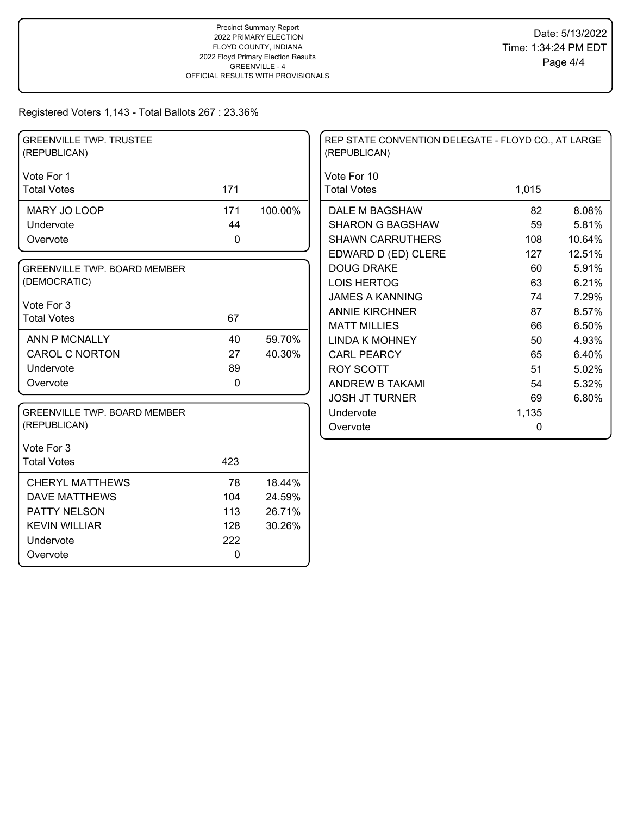| <b>GREENVILLE TWP. TRUSTEE</b><br>(REPUBLICAN) |              |         | REP STATE CONVENTION DELEGATE - FLOYD CO., AT LARGE<br>(REPUBLICAN) |             |        |
|------------------------------------------------|--------------|---------|---------------------------------------------------------------------|-------------|--------|
| Vote For 1                                     |              |         | Vote For 10                                                         |             |        |
| <b>Total Votes</b>                             | 171          |         | <b>Total Votes</b>                                                  | 1,015       |        |
| MARY JO LOOP                                   | 171          | 100.00% | DALE M BAGSHAW                                                      | 82          | 8.08%  |
| Undervote                                      | 44           |         | <b>SHARON G BAGSHAW</b>                                             | 59          | 5.81%  |
| Overvote                                       | $\mathbf 0$  |         | <b>SHAWN CARRUTHERS</b>                                             | 108         | 10.64% |
|                                                |              |         | EDWARD D (ED) CLERE                                                 | 127         | 12.51% |
| <b>GREENVILLE TWP. BOARD MEMBER</b>            |              |         | <b>DOUG DRAKE</b>                                                   | 60          | 5.91%  |
| (DEMOCRATIC)                                   |              |         | <b>LOIS HERTOG</b>                                                  | 63          | 6.21%  |
| Vote For 3                                     |              |         | <b>JAMES A KANNING</b>                                              | 74          | 7.29%  |
| <b>Total Votes</b>                             | 67           |         | <b>ANNIE KIRCHNER</b>                                               | 87          | 8.57%  |
|                                                |              |         | <b>MATT MILLIES</b>                                                 | 66          | 6.50%  |
| ANN P MCNALLY                                  | 40           | 59.70%  | <b>LINDA K MOHNEY</b>                                               | 50          | 4.93%  |
| <b>CAROL C NORTON</b>                          | 27           | 40.30%  | <b>CARL PEARCY</b>                                                  | 65          | 6.40%  |
| Undervote                                      | 89           |         | <b>ROY SCOTT</b>                                                    | 51          | 5.02%  |
| Overvote                                       | $\mathbf{0}$ |         | ANDREW B TAKAMI                                                     | 54          | 5.32%  |
|                                                |              |         | <b>JOSH JT TURNER</b>                                               | 69          | 6.80%  |
| GREENVILLE TWP. BOARD MEMBER                   |              |         | Undervote                                                           | 1,135       |        |
| (REPUBLICAN)                                   |              |         | Overvote                                                            | $\mathbf 0$ |        |
| Vote For 3                                     |              |         |                                                                     |             |        |
| <b>Total Votes</b>                             | 423          |         |                                                                     |             |        |
| <b>CHERYL MATTHEWS</b>                         | 78           | 18.44%  |                                                                     |             |        |
| <b>DAVE MATTHEWS</b>                           | 104          | 24.59%  |                                                                     |             |        |
| PATTY NELSON                                   | 113          | 26.71%  |                                                                     |             |        |
| <b>KEVIN WILLIAR</b>                           | 128          | 30.26%  |                                                                     |             |        |
| Undervote                                      | 222          |         |                                                                     |             |        |
| Overvote                                       | $\mathbf 0$  |         |                                                                     |             |        |
|                                                |              |         |                                                                     |             |        |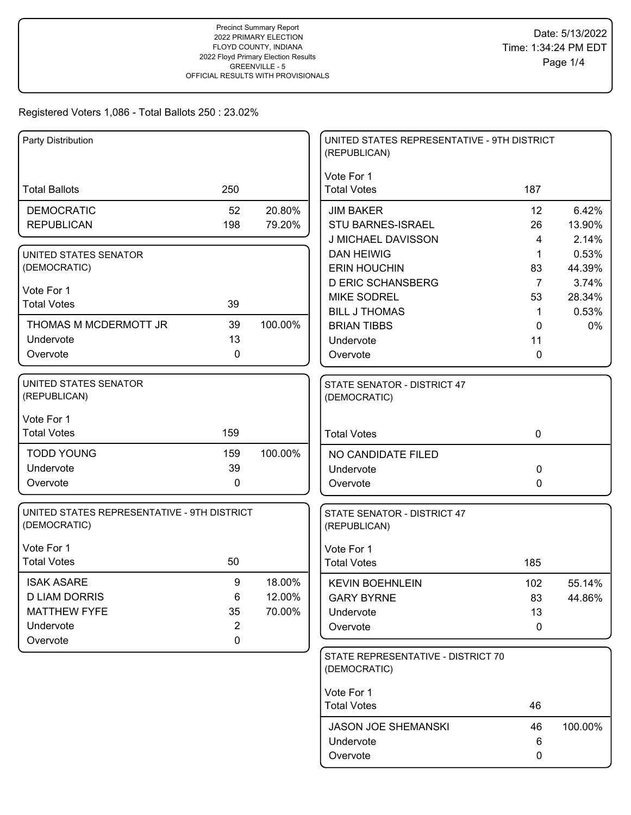| Party Distribution                                          |                |         | UNITED STATES REPRESENTATIVE - 9TH DISTRICT<br>(REPUBLICAN) |                      |                 |
|-------------------------------------------------------------|----------------|---------|-------------------------------------------------------------|----------------------|-----------------|
| <b>Total Ballots</b>                                        | 250            |         | Vote For 1<br><b>Total Votes</b>                            | 187                  |                 |
| <b>DEMOCRATIC</b>                                           | 52             | 20.80%  | <b>JIM BAKER</b>                                            | 12                   | 6.42%           |
| <b>REPUBLICAN</b>                                           | 198            | 79.20%  | STU BARNES-ISRAEL                                           | 26                   | 13.90%          |
|                                                             |                |         | J MICHAEL DAVISSON                                          | 4                    | 2.14%           |
| UNITED STATES SENATOR                                       |                |         | <b>DAN HEIWIG</b>                                           | 1                    | 0.53%           |
| (DEMOCRATIC)                                                |                |         | <b>ERIN HOUCHIN</b><br><b>D ERIC SCHANSBERG</b>             | 83<br>$\overline{7}$ | 44.39%<br>3.74% |
| Vote For 1                                                  |                |         | <b>MIKE SODREL</b>                                          | 53                   | 28.34%          |
| <b>Total Votes</b>                                          | 39             |         | <b>BILL J THOMAS</b>                                        | $\mathbf 1$          | 0.53%           |
| THOMAS M MCDERMOTT JR                                       | 39             | 100.00% | <b>BRIAN TIBBS</b>                                          | 0                    | 0%              |
| Undervote                                                   | 13             |         | Undervote                                                   | 11                   |                 |
| Overvote                                                    | 0              |         | Overvote                                                    | 0                    |                 |
| <b>UNITED STATES SENATOR</b><br>(REPUBLICAN)                |                |         | STATE SENATOR - DISTRICT 47<br>(DEMOCRATIC)                 |                      |                 |
| Vote For 1<br><b>Total Votes</b>                            | 159            |         |                                                             |                      |                 |
|                                                             |                |         | <b>Total Votes</b>                                          | $\mathbf 0$          |                 |
| <b>TODD YOUNG</b>                                           | 159            | 100.00% | NO CANDIDATE FILED                                          |                      |                 |
| Undervote                                                   | 39             |         | Undervote                                                   | 0                    |                 |
| Overvote                                                    | 0              |         | Overvote                                                    | 0                    |                 |
| UNITED STATES REPRESENTATIVE - 9TH DISTRICT<br>(DEMOCRATIC) |                |         | STATE SENATOR - DISTRICT 47<br>(REPUBLICAN)                 |                      |                 |
| Vote For 1                                                  |                |         | Vote For 1                                                  |                      |                 |
| <b>Total Votes</b>                                          | 50             |         | <b>Total Votes</b>                                          | 185                  |                 |
| <b>ISAK ASARE</b>                                           | 9              | 18.00%  | <b>KEVIN BOEHNLEIN</b>                                      | 102                  | 55.14%          |
| <b>D LIAM DORRIS</b>                                        | 6              | 12.00%  | <b>GARY BYRNE</b>                                           | 83                   | 44.86%          |
| <b>MATTHEW FYFE</b>                                         | 35             | 70.00%  | Undervote                                                   | 13                   |                 |
| Undervote                                                   | $\overline{2}$ |         | Overvote                                                    | 0                    |                 |
| Overvote                                                    | 0              |         |                                                             |                      |                 |
|                                                             |                |         | STATE REPRESENTATIVE - DISTRICT 70<br>(DEMOCRATIC)          |                      |                 |
|                                                             |                |         | Vote For 1                                                  |                      |                 |
|                                                             |                |         | <b>Total Votes</b>                                          | 46                   |                 |
|                                                             |                |         | <b>JASON JOE SHEMANSKI</b>                                  | 46                   | 100.00%         |
|                                                             |                |         | Undervote                                                   | 6                    |                 |
|                                                             |                |         | Overvote                                                    | 0                    |                 |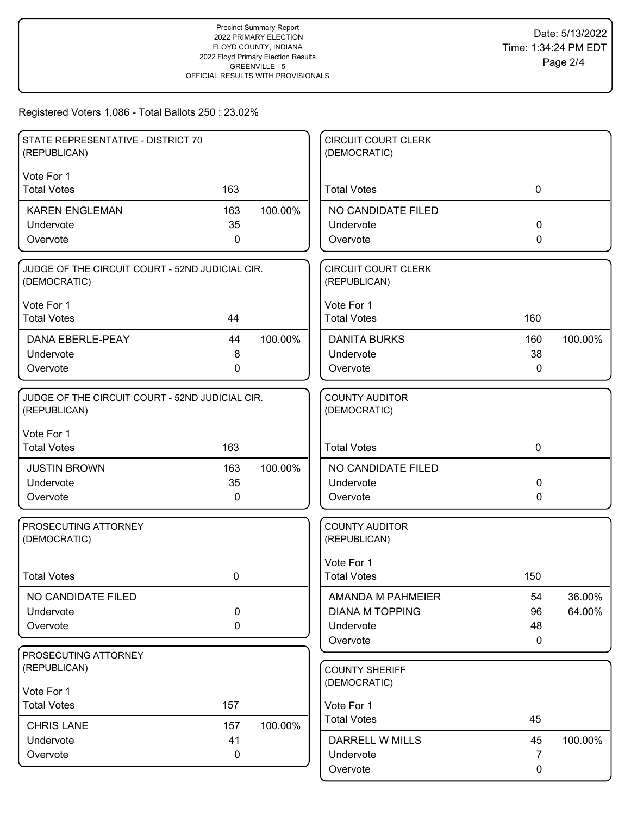| STATE REPRESENTATIVE - DISTRICT 70<br>(REPUBLICAN)              |     |         | <b>CIRCUIT COURT CLERK</b><br>(DEMOCRATIC) |              |         |
|-----------------------------------------------------------------|-----|---------|--------------------------------------------|--------------|---------|
| Vote For 1                                                      |     |         |                                            |              |         |
| <b>Total Votes</b>                                              | 163 |         | <b>Total Votes</b>                         | $\mathbf 0$  |         |
| <b>KAREN ENGLEMAN</b>                                           | 163 | 100.00% | NO CANDIDATE FILED                         |              |         |
| Undervote                                                       | 35  |         | Undervote                                  | $\mathbf 0$  |         |
| Overvote                                                        | 0   |         | Overvote                                   | 0            |         |
| JUDGE OF THE CIRCUIT COURT - 52ND JUDICIAL CIR.<br>(DEMOCRATIC) |     |         | <b>CIRCUIT COURT CLERK</b><br>(REPUBLICAN) |              |         |
| Vote For 1                                                      |     |         | Vote For 1                                 |              |         |
| <b>Total Votes</b>                                              | 44  |         | <b>Total Votes</b>                         | 160          |         |
| <b>DANA EBERLE-PEAY</b>                                         | 44  | 100.00% | <b>DANITA BURKS</b>                        | 160          | 100.00% |
| Undervote                                                       | 8   |         | Undervote                                  | 38           |         |
| Overvote                                                        | 0   |         | Overvote                                   | 0            |         |
| JUDGE OF THE CIRCUIT COURT - 52ND JUDICIAL CIR.<br>(REPUBLICAN) |     |         | <b>COUNTY AUDITOR</b><br>(DEMOCRATIC)      |              |         |
| Vote For 1<br><b>Total Votes</b>                                | 163 |         | <b>Total Votes</b>                         | $\mathbf 0$  |         |
| <b>JUSTIN BROWN</b>                                             | 163 | 100.00% | NO CANDIDATE FILED                         |              |         |
| Undervote                                                       | 35  |         | Undervote                                  | 0            |         |
| Overvote                                                        | 0   |         | Overvote                                   | $\mathbf{0}$ |         |
| PROSECUTING ATTORNEY<br>(DEMOCRATIC)                            |     |         | <b>COUNTY AUDITOR</b><br>(REPUBLICAN)      |              |         |
| <b>Total Votes</b>                                              | 0   |         | Vote For 1<br><b>Total Votes</b>           | 150          |         |
| NO CANDIDATE FILED                                              |     |         | AMANDA M PAHMEIER                          | 54           | 36.00%  |
| Undervote                                                       | 0   |         | <b>DIANA M TOPPING</b>                     | 96           | 64.00%  |
| Overvote                                                        | 0   |         | Undervote                                  | 48           |         |
|                                                                 |     |         | Overvote                                   | 0            |         |
| PROSECUTING ATTORNEY                                            |     |         |                                            |              |         |
| (REPUBLICAN)                                                    |     |         | <b>COUNTY SHERIFF</b>                      |              |         |
| Vote For 1                                                      |     |         | (DEMOCRATIC)                               |              |         |
| <b>Total Votes</b>                                              | 157 |         | Vote For 1                                 |              |         |
| <b>CHRIS LANE</b>                                               | 157 | 100.00% | <b>Total Votes</b>                         | 45           |         |
| Undervote                                                       | 41  |         | DARRELL W MILLS                            | 45           | 100.00% |
| Overvote                                                        | 0   |         | Undervote                                  | 7            |         |
|                                                                 |     |         | Overvote                                   | 0            |         |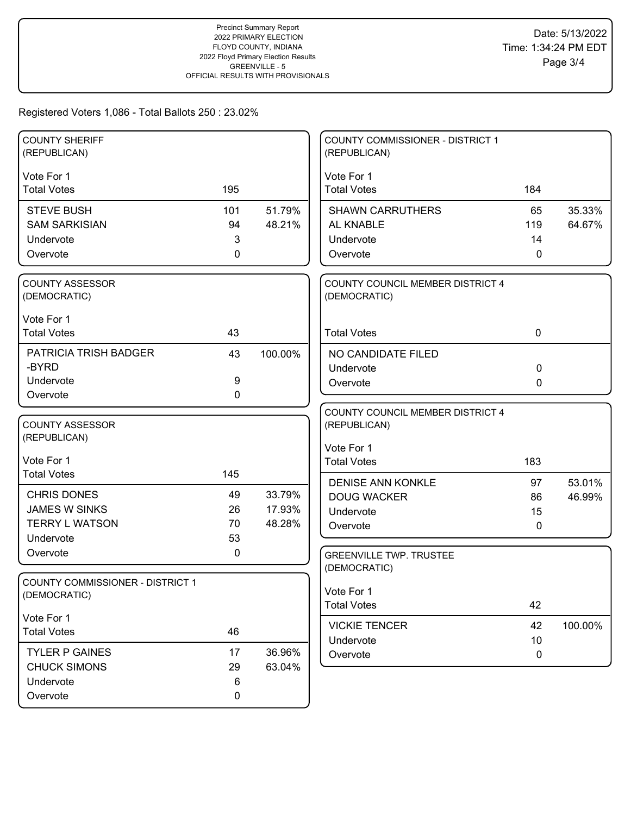| <b>COUNTY SHERIFF</b>                            |     |         | <b>COUNTY COMMISSIONER - DISTRICT 1</b> |             |         |
|--------------------------------------------------|-----|---------|-----------------------------------------|-------------|---------|
| (REPUBLICAN)                                     |     |         | (REPUBLICAN)                            |             |         |
| Vote For 1                                       |     |         | Vote For 1                              |             |         |
| <b>Total Votes</b>                               | 195 |         | <b>Total Votes</b>                      | 184         |         |
|                                                  |     |         |                                         |             |         |
| <b>STEVE BUSH</b>                                | 101 | 51.79%  | <b>SHAWN CARRUTHERS</b>                 | 65          | 35.33%  |
| <b>SAM SARKISIAN</b>                             | 94  | 48.21%  | AL KNABLE                               | 119         | 64.67%  |
| Undervote                                        | 3   |         | Undervote                               | 14          |         |
| Overvote                                         | 0   |         | Overvote                                | 0           |         |
| <b>COUNTY ASSESSOR</b>                           |     |         | COUNTY COUNCIL MEMBER DISTRICT 4        |             |         |
| (DEMOCRATIC)                                     |     |         | (DEMOCRATIC)                            |             |         |
| Vote For 1                                       |     |         |                                         |             |         |
| <b>Total Votes</b>                               | 43  |         | <b>Total Votes</b>                      | $\mathbf 0$ |         |
| PATRICIA TRISH BADGER                            | 43  | 100.00% | NO CANDIDATE FILED                      |             |         |
| -BYRD                                            |     |         | Undervote                               | $\mathbf 0$ |         |
| Undervote                                        | 9   |         | Overvote                                | 0           |         |
| Overvote                                         | 0   |         |                                         |             |         |
|                                                  |     |         | COUNTY COUNCIL MEMBER DISTRICT 4        |             |         |
| <b>COUNTY ASSESSOR</b>                           |     |         | (REPUBLICAN)                            |             |         |
| (REPUBLICAN)                                     |     |         | Vote For 1                              |             |         |
| Vote For 1                                       |     |         | <b>Total Votes</b>                      | 183         |         |
| <b>Total Votes</b>                               | 145 |         |                                         |             |         |
|                                                  |     |         | <b>DENISE ANN KONKLE</b>                | 97          | 53.01%  |
| <b>CHRIS DONES</b>                               | 49  | 33.79%  | <b>DOUG WACKER</b>                      | 86          | 46.99%  |
| <b>JAMES W SINKS</b>                             | 26  | 17.93%  | Undervote                               | 15          |         |
| <b>TERRY L WATSON</b>                            | 70  | 48.28%  | Overvote                                | 0           |         |
| Undervote                                        | 53  |         |                                         |             |         |
| Overvote                                         | 0   |         | <b>GREENVILLE TWP. TRUSTEE</b>          |             |         |
|                                                  |     |         | (DEMOCRATIC)                            |             |         |
| COUNTY COMMISSIONER - DISTRICT 1<br>(DEMOCRATIC) |     |         | Vote For 1                              |             |         |
|                                                  |     |         | <b>Total Votes</b>                      | 42          |         |
| Vote For 1                                       |     |         |                                         |             |         |
| <b>Total Votes</b>                               | 46  |         | <b>VICKIE TENCER</b><br>Undervote       | 42<br>10    | 100.00% |
| <b>TYLER P GAINES</b>                            | 17  | 36.96%  | Overvote                                | 0           |         |
| <b>CHUCK SIMONS</b>                              | 29  | 63.04%  |                                         |             |         |
| Undervote                                        | 6   |         |                                         |             |         |
| Overvote                                         | 0   |         |                                         |             |         |
|                                                  |     |         |                                         |             |         |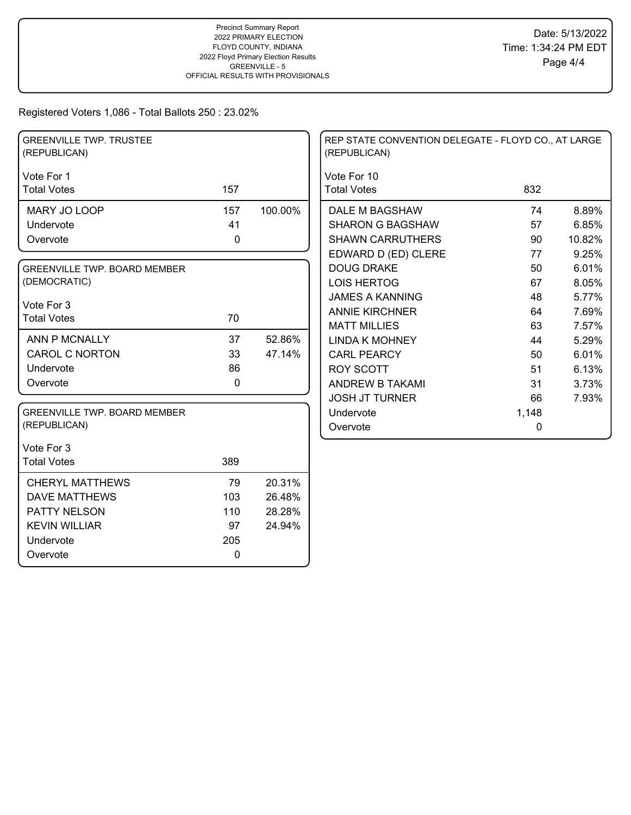| <b>GREENVILLE TWP. TRUSTEE</b><br>(REPUBLICAN) |             |         | REP STATE CONVENTION DELEGATE - FLOYD CO., AT LARGE<br>(REPUBLICAN) |       |        |
|------------------------------------------------|-------------|---------|---------------------------------------------------------------------|-------|--------|
| Vote For 1                                     |             |         | Vote For 10                                                         |       |        |
| <b>Total Votes</b>                             | 157         |         | <b>Total Votes</b>                                                  | 832   |        |
| MARY JO LOOP                                   | 157         | 100.00% | DALE M BAGSHAW                                                      | 74    | 8.89%  |
| Undervote                                      | 41          |         | <b>SHARON G BAGSHAW</b>                                             | 57    | 6.85%  |
| Overvote                                       | 0           |         | <b>SHAWN CARRUTHERS</b>                                             | 90    | 10.82% |
|                                                |             |         | EDWARD D (ED) CLERE                                                 | 77    | 9.25%  |
| <b>GREENVILLE TWP. BOARD MEMBER</b>            |             |         | <b>DOUG DRAKE</b>                                                   | 50    | 6.01%  |
| (DEMOCRATIC)                                   |             |         | <b>LOIS HERTOG</b>                                                  | 67    | 8.05%  |
|                                                |             |         | <b>JAMES A KANNING</b>                                              | 48    | 5.77%  |
| Vote For 3                                     |             |         | <b>ANNIE KIRCHNER</b>                                               | 64    | 7.69%  |
| <b>Total Votes</b>                             | 70          |         | <b>MATT MILLIES</b>                                                 | 63    | 7.57%  |
| ANN P MCNALLY                                  | 37          | 52.86%  | <b>LINDA K MOHNEY</b>                                               | 44    | 5.29%  |
| <b>CAROL C NORTON</b>                          | 33          | 47.14%  | <b>CARL PEARCY</b>                                                  | 50    | 6.01%  |
| Undervote                                      | 86          |         | <b>ROY SCOTT</b>                                                    | 51    | 6.13%  |
| Overvote                                       | $\mathbf 0$ |         | <b>ANDREW B TAKAMI</b>                                              | 31    | 3.73%  |
|                                                |             |         | <b>JOSH JT TURNER</b>                                               | 66    | 7.93%  |
| <b>GREENVILLE TWP. BOARD MEMBER</b>            |             |         | Undervote                                                           | 1,148 |        |
| (REPUBLICAN)                                   |             |         | Overvote                                                            | 0     |        |
| Vote For 3                                     |             |         |                                                                     |       |        |
| <b>Total Votes</b>                             | 389         |         |                                                                     |       |        |
| <b>CHERYL MATTHEWS</b>                         | 79          | 20.31%  |                                                                     |       |        |
| <b>DAVE MATTHEWS</b>                           | 103         | 26.48%  |                                                                     |       |        |
| PATTY NELSON                                   | 110         | 28.28%  |                                                                     |       |        |
| <b>KEVIN WILLIAR</b>                           | 97          | 24.94%  |                                                                     |       |        |
| Undervote                                      | 205         |         |                                                                     |       |        |
| Overvote                                       | 0           |         |                                                                     |       |        |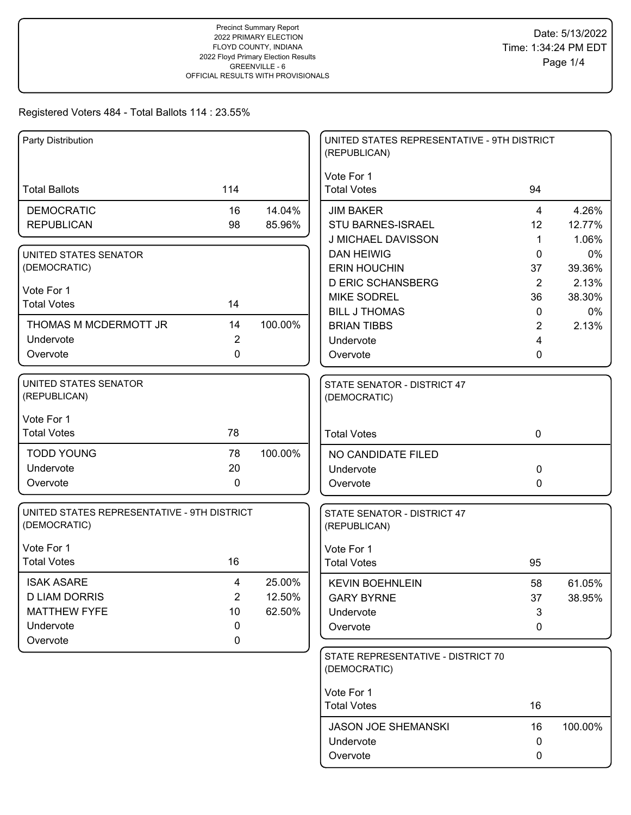| Party Distribution                                          |                |         | UNITED STATES REPRESENTATIVE - 9TH DISTRICT<br>(REPUBLICAN) |                      |                 |
|-------------------------------------------------------------|----------------|---------|-------------------------------------------------------------|----------------------|-----------------|
| <b>Total Ballots</b>                                        | 114            |         | Vote For 1<br><b>Total Votes</b>                            | 94                   |                 |
| <b>DEMOCRATIC</b>                                           | 16             | 14.04%  | <b>JIM BAKER</b>                                            | 4                    | 4.26%           |
| <b>REPUBLICAN</b>                                           | 98             | 85.96%  | STU BARNES-ISRAEL                                           | 12                   | 12.77%          |
|                                                             |                |         | J MICHAEL DAVISSON                                          | $\blacktriangleleft$ | 1.06%           |
| UNITED STATES SENATOR<br>(DEMOCRATIC)                       |                |         | <b>DAN HEIWIG</b>                                           | 0                    | 0%              |
|                                                             |                |         | <b>ERIN HOUCHIN</b><br><b>D ERIC SCHANSBERG</b>             | 37<br>2              | 39.36%<br>2.13% |
| Vote For 1                                                  |                |         | <b>MIKE SODREL</b>                                          | 36                   | 38.30%          |
| <b>Total Votes</b>                                          | 14             |         | <b>BILL J THOMAS</b>                                        | 0                    | 0%              |
| THOMAS M MCDERMOTT JR                                       | 14             | 100.00% | <b>BRIAN TIBBS</b>                                          | $\overline{2}$       | 2.13%           |
| Undervote                                                   | $\overline{2}$ |         | Undervote                                                   | 4                    |                 |
| Overvote                                                    | 0              |         | Overvote                                                    | 0                    |                 |
| UNITED STATES SENATOR<br>(REPUBLICAN)                       |                |         | STATE SENATOR - DISTRICT 47<br>(DEMOCRATIC)                 |                      |                 |
| Vote For 1<br><b>Total Votes</b>                            | 78             |         | <b>Total Votes</b>                                          | $\mathbf 0$          |                 |
|                                                             |                |         |                                                             |                      |                 |
| <b>TODD YOUNG</b>                                           | 78             | 100.00% | NO CANDIDATE FILED                                          |                      |                 |
| Undervote<br>Overvote                                       | 20<br>0        |         | Undervote                                                   | 0                    |                 |
|                                                             |                |         | Overvote                                                    | 0                    |                 |
| UNITED STATES REPRESENTATIVE - 9TH DISTRICT<br>(DEMOCRATIC) |                |         | STATE SENATOR - DISTRICT 47<br>(REPUBLICAN)                 |                      |                 |
| Vote For 1                                                  |                |         | Vote For 1                                                  |                      |                 |
| <b>Total Votes</b>                                          | 16             |         | <b>Total Votes</b>                                          | 95                   |                 |
| <b>ISAK ASARE</b>                                           | $\overline{4}$ | 25.00%  | <b>KEVIN BOEHNLEIN</b>                                      | 58                   | 61.05%          |
| <b>D LIAM DORRIS</b>                                        | $\overline{2}$ | 12.50%  | <b>GARY BYRNE</b>                                           | 37                   | 38.95%          |
| <b>MATTHEW FYFE</b>                                         | 10             | 62.50%  | Undervote                                                   | 3                    |                 |
| Undervote                                                   | 0              |         | Overvote                                                    | 0                    |                 |
| Overvote                                                    | 0              |         |                                                             |                      |                 |
|                                                             |                |         | STATE REPRESENTATIVE - DISTRICT 70<br>(DEMOCRATIC)          |                      |                 |
|                                                             |                |         | Vote For 1                                                  |                      |                 |
|                                                             |                |         | <b>Total Votes</b>                                          | 16                   |                 |
|                                                             |                |         | <b>JASON JOE SHEMANSKI</b>                                  | 16                   | 100.00%         |
|                                                             |                |         | Undervote                                                   | 0                    |                 |
|                                                             |                |         | Overvote                                                    | 0                    |                 |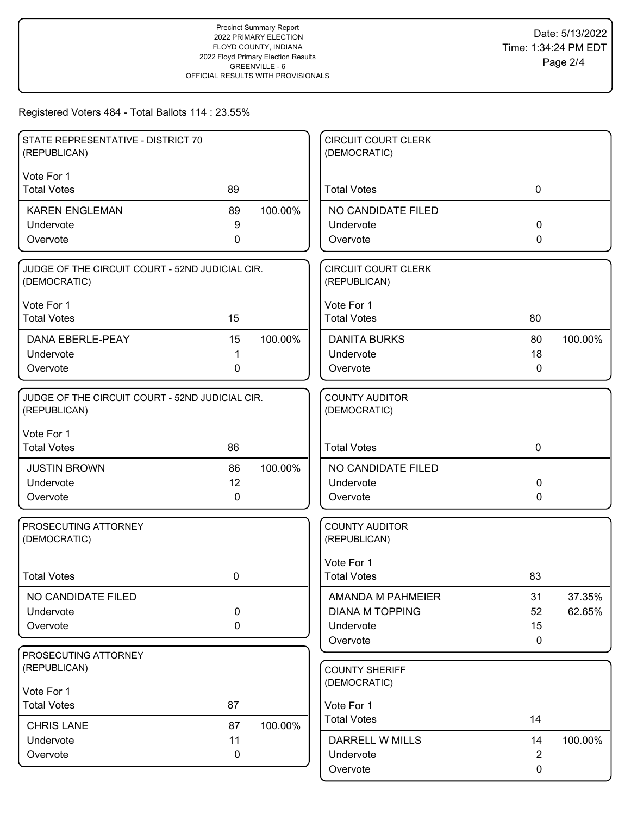| STATE REPRESENTATIVE - DISTRICT 70<br>(REPUBLICAN)              |             |         | <b>CIRCUIT COURT CLERK</b><br>(DEMOCRATIC) |                |         |
|-----------------------------------------------------------------|-------------|---------|--------------------------------------------|----------------|---------|
| Vote For 1                                                      |             |         |                                            |                |         |
| <b>Total Votes</b>                                              | 89          |         | <b>Total Votes</b>                         | $\mathbf 0$    |         |
| <b>KAREN ENGLEMAN</b>                                           | 89          | 100.00% | NO CANDIDATE FILED                         |                |         |
| Undervote                                                       | 9           |         | Undervote                                  | $\mathbf 0$    |         |
| Overvote                                                        | 0           |         | Overvote                                   | 0              |         |
| JUDGE OF THE CIRCUIT COURT - 52ND JUDICIAL CIR.<br>(DEMOCRATIC) |             |         | <b>CIRCUIT COURT CLERK</b><br>(REPUBLICAN) |                |         |
| Vote For 1                                                      |             |         | Vote For 1                                 |                |         |
| <b>Total Votes</b>                                              | 15          |         | <b>Total Votes</b>                         | 80             |         |
| <b>DANA EBERLE-PEAY</b>                                         | 15          | 100.00% | <b>DANITA BURKS</b>                        | 80             | 100.00% |
| Undervote                                                       | 1           |         | Undervote                                  | 18             |         |
| Overvote                                                        | 0           |         | Overvote                                   | 0              |         |
| JUDGE OF THE CIRCUIT COURT - 52ND JUDICIAL CIR.<br>(REPUBLICAN) |             |         | <b>COUNTY AUDITOR</b><br>(DEMOCRATIC)      |                |         |
| Vote For 1<br><b>Total Votes</b>                                | 86          |         | <b>Total Votes</b>                         | $\mathbf 0$    |         |
| <b>JUSTIN BROWN</b>                                             | 86          | 100.00% | NO CANDIDATE FILED                         |                |         |
| Undervote                                                       | 12          |         | Undervote                                  | 0              |         |
| Overvote                                                        | $\mathbf 0$ |         | Overvote                                   | 0              |         |
| PROSECUTING ATTORNEY<br>(DEMOCRATIC)                            |             |         | <b>COUNTY AUDITOR</b><br>(REPUBLICAN)      |                |         |
| <b>Total Votes</b>                                              | 0           |         | Vote For 1<br><b>Total Votes</b>           | 83             |         |
| NO CANDIDATE FILED                                              |             |         | AMANDA M PAHMEIER                          | 31             | 37.35%  |
| Undervote                                                       | $\pmb{0}$   |         | <b>DIANA M TOPPING</b>                     | 52             | 62.65%  |
| Overvote                                                        | 0           |         | Undervote                                  | 15             |         |
|                                                                 |             |         | Overvote                                   | $\mathbf 0$    |         |
| PROSECUTING ATTORNEY                                            |             |         |                                            |                |         |
| (REPUBLICAN)                                                    |             |         | <b>COUNTY SHERIFF</b>                      |                |         |
| Vote For 1                                                      |             |         | (DEMOCRATIC)                               |                |         |
| <b>Total Votes</b>                                              | 87          |         | Vote For 1                                 |                |         |
| <b>CHRIS LANE</b>                                               | 87          | 100.00% | <b>Total Votes</b>                         | 14             |         |
| Undervote                                                       | 11          |         | <b>DARRELL W MILLS</b>                     | 14             | 100.00% |
| Overvote                                                        | 0           |         | Undervote                                  | $\overline{2}$ |         |
|                                                                 |             |         | Overvote                                   | 0              |         |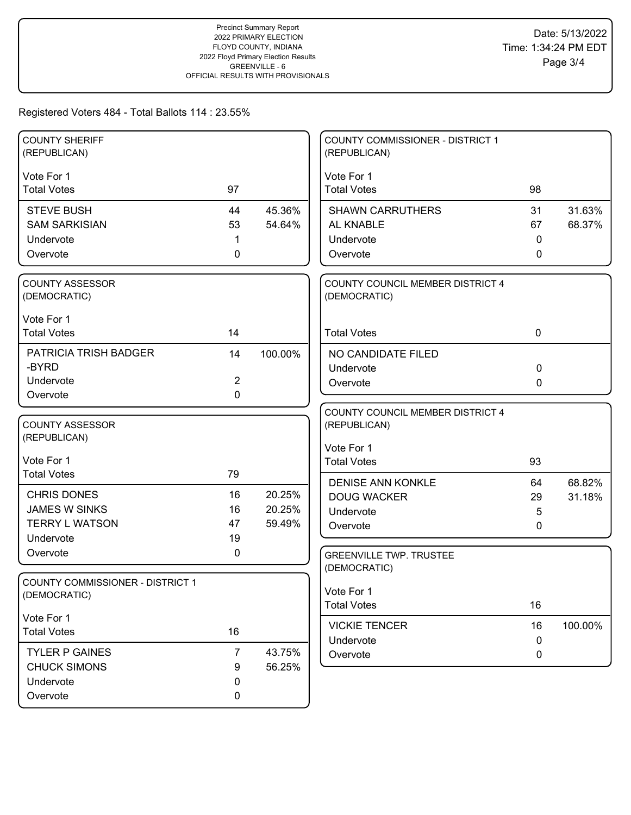| <b>COUNTY SHERIFF</b><br>(REPUBLICAN)  |                |         | <b>COUNTY COMMISSIONER - DISTRICT 1</b><br>(REPUBLICAN) |                  |         |
|----------------------------------------|----------------|---------|---------------------------------------------------------|------------------|---------|
| Vote For 1                             |                |         | Vote For 1                                              |                  |         |
| <b>Total Votes</b>                     | 97             |         | <b>Total Votes</b>                                      | 98               |         |
| <b>STEVE BUSH</b>                      | 44             | 45.36%  | <b>SHAWN CARRUTHERS</b>                                 | 31               | 31.63%  |
| <b>SAM SARKISIAN</b>                   | 53             | 54.64%  | AL KNABLE                                               | 67               | 68.37%  |
| Undervote                              | 1              |         | Undervote                                               | 0                |         |
| Overvote                               | 0              |         | Overvote                                                | 0                |         |
| <b>COUNTY ASSESSOR</b><br>(DEMOCRATIC) |                |         | COUNTY COUNCIL MEMBER DISTRICT 4<br>(DEMOCRATIC)        |                  |         |
| Vote For 1                             |                |         |                                                         |                  |         |
| <b>Total Votes</b>                     | 14             |         | <b>Total Votes</b>                                      | $\mathbf 0$      |         |
| PATRICIA TRISH BADGER                  | 14             | 100.00% | NO CANDIDATE FILED                                      |                  |         |
| -BYRD                                  |                |         | Undervote                                               | 0                |         |
| Undervote                              | $\overline{2}$ |         | Overvote                                                | 0                |         |
| Overvote                               | 0              |         |                                                         |                  |         |
| <b>COUNTY ASSESSOR</b><br>(REPUBLICAN) |                |         | COUNTY COUNCIL MEMBER DISTRICT 4<br>(REPUBLICAN)        |                  |         |
|                                        |                |         | Vote For 1                                              |                  |         |
| Vote For 1<br><b>Total Votes</b>       | 79             |         | <b>Total Votes</b>                                      | 93               |         |
|                                        |                |         | <b>DENISE ANN KONKLE</b>                                | 64               | 68.82%  |
| <b>CHRIS DONES</b>                     | 16             | 20.25%  | <b>DOUG WACKER</b>                                      | 29               | 31.18%  |
| <b>JAMES W SINKS</b>                   | 16             | 20.25%  | Undervote                                               | 5                |         |
| <b>TERRY L WATSON</b>                  | 47             | 59.49%  | Overvote                                                | 0                |         |
| Undervote                              | 19             |         |                                                         |                  |         |
| Overvote                               | 0              |         | <b>GREENVILLE TWP. TRUSTEE</b><br>(DEMOCRATIC)          |                  |         |
| COUNTY COMMISSIONER - DISTRICT 1       |                |         |                                                         |                  |         |
| (DEMOCRATIC)                           |                |         | Vote For 1<br><b>Total Votes</b>                        | 16               |         |
| Vote For 1                             |                |         |                                                         |                  |         |
| <b>Total Votes</b>                     | 16             |         | <b>VICKIE TENCER</b>                                    | 16               | 100.00% |
| <b>TYLER P GAINES</b>                  | $\overline{7}$ | 43.75%  | Undervote<br>Overvote                                   | $\mathbf 0$<br>0 |         |
| <b>CHUCK SIMONS</b>                    | 9              | 56.25%  |                                                         |                  |         |
| Undervote                              | 0              |         |                                                         |                  |         |
| Overvote                               | 0              |         |                                                         |                  |         |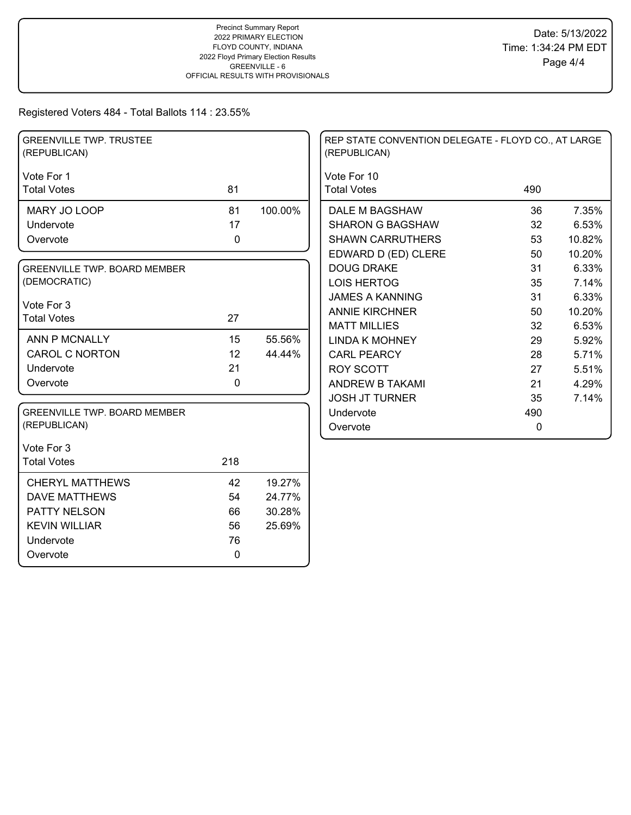| <b>GREENVILLE TWP. TRUSTEE</b><br>(REPUBLICAN) |             |         | REP STATE CONVENTION DELEGATE - FLOYD CO., AT LARGE<br>(REPUBLICAN) |             |        |
|------------------------------------------------|-------------|---------|---------------------------------------------------------------------|-------------|--------|
| Vote For 1                                     |             |         | Vote For 10                                                         |             |        |
| <b>Total Votes</b>                             | 81          |         | <b>Total Votes</b>                                                  | 490         |        |
| MARY JO LOOP                                   | 81          | 100.00% | DALE M BAGSHAW                                                      | 36          | 7.35%  |
| Undervote                                      | 17          |         | <b>SHARON G BAGSHAW</b>                                             | 32          | 6.53%  |
| Overvote                                       | $\pmb{0}$   |         | <b>SHAWN CARRUTHERS</b>                                             | 53          | 10.82% |
|                                                |             |         | EDWARD D (ED) CLERE                                                 | 50          | 10.20% |
| <b>GREENVILLE TWP. BOARD MEMBER</b>            |             |         | <b>DOUG DRAKE</b>                                                   | 31          | 6.33%  |
| (DEMOCRATIC)                                   |             |         | <b>LOIS HERTOG</b>                                                  | 35          | 7.14%  |
|                                                |             |         | <b>JAMES A KANNING</b>                                              | 31          | 6.33%  |
| Vote For 3<br><b>Total Votes</b>               | 27          |         | <b>ANNIE KIRCHNER</b>                                               | 50          | 10.20% |
|                                                |             |         | <b>MATT MILLIES</b>                                                 | 32          | 6.53%  |
| ANN P MCNALLY                                  | 15          | 55.56%  | <b>LINDA K MOHNEY</b>                                               | 29          | 5.92%  |
| <b>CAROL C NORTON</b>                          | 12          | 44.44%  | <b>CARL PEARCY</b>                                                  | 28          | 5.71%  |
| Undervote                                      | 21          |         | <b>ROY SCOTT</b>                                                    | 27          | 5.51%  |
| Overvote                                       | $\pmb{0}$   |         | <b>ANDREW B TAKAMI</b>                                              | 21          | 4.29%  |
|                                                |             |         | <b>JOSH JT TURNER</b>                                               | 35          | 7.14%  |
| <b>GREENVILLE TWP. BOARD MEMBER</b>            |             |         | Undervote                                                           | 490         |        |
| (REPUBLICAN)                                   |             |         | Overvote                                                            | $\mathbf 0$ |        |
| Vote For 3                                     |             |         |                                                                     |             |        |
| <b>Total Votes</b>                             | 218         |         |                                                                     |             |        |
| <b>CHERYL MATTHEWS</b>                         | 42          | 19.27%  |                                                                     |             |        |
| <b>DAVE MATTHEWS</b>                           | 54          | 24.77%  |                                                                     |             |        |
| PATTY NELSON                                   | 66          | 30.28%  |                                                                     |             |        |
| <b>KEVIN WILLIAR</b>                           | 56          | 25.69%  |                                                                     |             |        |
| Undervote                                      | 76          |         |                                                                     |             |        |
| Overvote                                       | $\mathbf 0$ |         |                                                                     |             |        |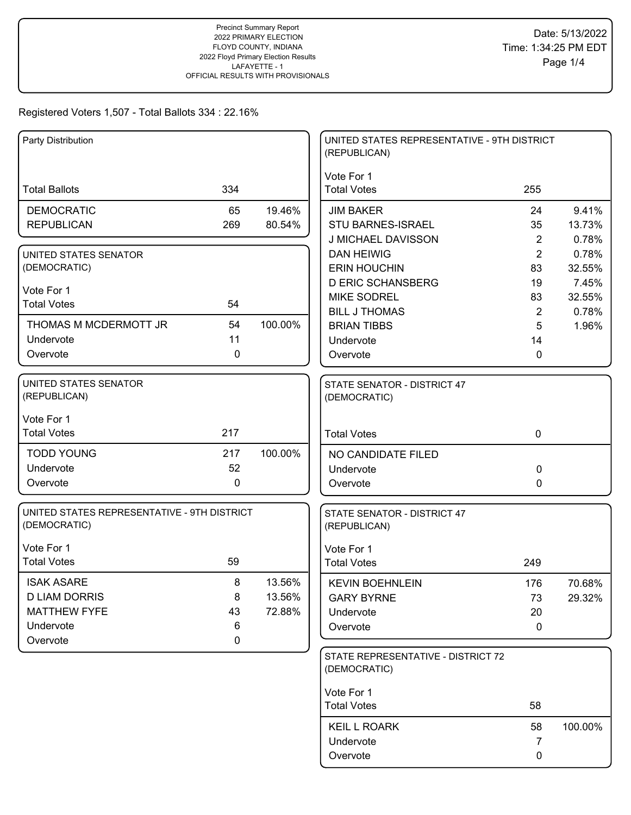|                                                             |             |         | UNITED STATES REPRESENTATIVE - 9TH DISTRICT<br>(REPUBLICAN) |                      |                 |
|-------------------------------------------------------------|-------------|---------|-------------------------------------------------------------|----------------------|-----------------|
| <b>Total Ballots</b>                                        | 334         |         | Vote For 1<br><b>Total Votes</b>                            | 255                  |                 |
| <b>DEMOCRATIC</b>                                           | 65          | 19.46%  | <b>JIM BAKER</b>                                            | 24                   | 9.41%           |
| <b>REPUBLICAN</b>                                           | 269         | 80.54%  | <b>STU BARNES-ISRAEL</b>                                    | 35                   | 13.73%          |
|                                                             |             |         | J MICHAEL DAVISSON                                          | $\overline{2}$       | 0.78%           |
| UNITED STATES SENATOR                                       |             |         | <b>DAN HEIWIG</b>                                           | $\overline{2}$       | 0.78%           |
| (DEMOCRATIC)                                                |             |         | <b>ERIN HOUCHIN</b>                                         | 83                   | 32.55%          |
| Vote For 1                                                  |             |         | <b>D ERIC SCHANSBERG</b>                                    | 19                   | 7.45%           |
| <b>Total Votes</b>                                          | 54          |         | <b>MIKE SODREL</b><br><b>BILL J THOMAS</b>                  | 83<br>$\overline{2}$ | 32.55%<br>0.78% |
| THOMAS M MCDERMOTT JR                                       | 54          | 100.00% | <b>BRIAN TIBBS</b>                                          | 5                    | 1.96%           |
| Undervote                                                   | 11          |         | Undervote                                                   | 14                   |                 |
| Overvote                                                    | 0           |         | Overvote                                                    | 0                    |                 |
|                                                             |             |         |                                                             |                      |                 |
| UNITED STATES SENATOR<br>(REPUBLICAN)                       |             |         | STATE SENATOR - DISTRICT 47<br>(DEMOCRATIC)                 |                      |                 |
| Vote For 1                                                  |             |         |                                                             |                      |                 |
| <b>Total Votes</b>                                          | 217         |         | <b>Total Votes</b>                                          | $\mathbf 0$          |                 |
| <b>TODD YOUNG</b>                                           | 217         | 100.00% | NO CANDIDATE FILED                                          |                      |                 |
| Undervote                                                   | 52          |         | Undervote                                                   | 0                    |                 |
| Overvote                                                    | 0           |         | Overvote                                                    | 0                    |                 |
| UNITED STATES REPRESENTATIVE - 9TH DISTRICT<br>(DEMOCRATIC) |             |         | STATE SENATOR - DISTRICT 47<br>(REPUBLICAN)                 |                      |                 |
| Vote For 1                                                  |             |         | Vote For 1                                                  |                      |                 |
| <b>Total Votes</b>                                          | 59          |         | <b>Total Votes</b>                                          | 249                  |                 |
| <b>ISAK ASARE</b>                                           | 8           | 13.56%  | <b>KEVIN BOEHNLEIN</b>                                      | 176                  | 70.68%          |
| <b>D LIAM DORRIS</b>                                        | 8           | 13.56%  | <b>GARY BYRNE</b>                                           | 73                   | 29.32%          |
| <b>MATTHEW FYFE</b>                                         | 43          | 72.88%  | Undervote                                                   | 20                   |                 |
| Undervote                                                   | 6           |         | Overvote                                                    | 0                    |                 |
| Overvote                                                    | $\mathbf 0$ |         |                                                             |                      |                 |
|                                                             |             |         | STATE REPRESENTATIVE - DISTRICT 72<br>(DEMOCRATIC)          |                      |                 |
|                                                             |             |         | Vote For 1                                                  |                      |                 |
|                                                             |             |         | <b>Total Votes</b>                                          | 58                   |                 |
|                                                             |             |         | <b>KEIL L ROARK</b>                                         | 58                   | 100.00%         |
|                                                             |             |         | Undervote                                                   | 7                    |                 |
|                                                             |             |         | Overvote                                                    | 0                    |                 |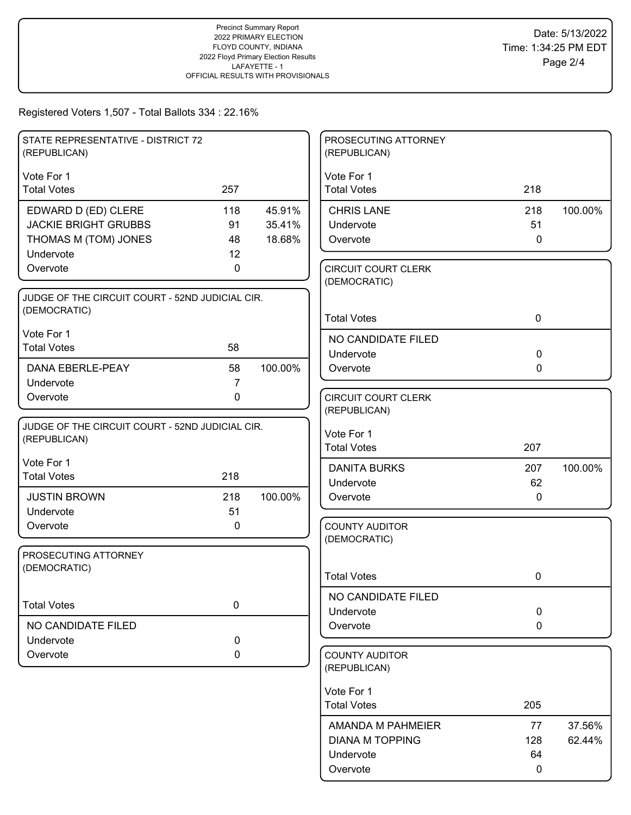| STATE REPRESENTATIVE - DISTRICT 72<br>(REPUBLICAN)              |                |         | PROSECUTING ATTORNEY<br>(REPUBLICAN)  |                            |         |
|-----------------------------------------------------------------|----------------|---------|---------------------------------------|----------------------------|---------|
| Vote For 1                                                      |                |         | Vote For 1                            |                            |         |
| <b>Total Votes</b>                                              | 257            |         | <b>Total Votes</b>                    | 218                        |         |
| EDWARD D (ED) CLERE                                             | 118            | 45.91%  | <b>CHRIS LANE</b>                     | 218                        | 100.00% |
| <b>JACKIE BRIGHT GRUBBS</b>                                     | 91             | 35.41%  | Undervote                             | 51                         |         |
| THOMAS M (TOM) JONES                                            | 48             | 18.68%  | Overvote                              | $\mathbf 0$                |         |
| Undervote<br>Overvote                                           | 12<br>0        |         | <b>CIRCUIT COURT CLERK</b>            |                            |         |
|                                                                 |                |         | (DEMOCRATIC)                          |                            |         |
| JUDGE OF THE CIRCUIT COURT - 52ND JUDICIAL CIR.                 |                |         |                                       |                            |         |
| (DEMOCRATIC)                                                    |                |         | <b>Total Votes</b>                    | $\mathbf 0$                |         |
| Vote For 1                                                      |                |         | NO CANDIDATE FILED                    |                            |         |
| <b>Total Votes</b>                                              | 58             |         | Undervote                             | $\mathbf 0$                |         |
| <b>DANA EBERLE-PEAY</b>                                         | 58             | 100.00% | Overvote                              | $\mathbf{0}$               |         |
| Undervote                                                       | $\overline{7}$ |         |                                       |                            |         |
| Overvote                                                        | $\mathbf 0$    |         | <b>CIRCUIT COURT CLERK</b>            |                            |         |
|                                                                 |                |         | (REPUBLICAN)                          |                            |         |
| JUDGE OF THE CIRCUIT COURT - 52ND JUDICIAL CIR.<br>(REPUBLICAN) |                |         | Vote For 1                            |                            |         |
|                                                                 |                |         | <b>Total Votes</b>                    | 207                        |         |
| Vote For 1                                                      |                |         | <b>DANITA BURKS</b>                   | 207                        | 100.00% |
| <b>Total Votes</b>                                              | 218            |         | Undervote                             | 62                         |         |
| <b>JUSTIN BROWN</b>                                             | 218            | 100.00% | Overvote                              | 0                          |         |
| Undervote                                                       | 51             |         |                                       |                            |         |
| Overvote                                                        | 0              |         | <b>COUNTY AUDITOR</b><br>(DEMOCRATIC) |                            |         |
| PROSECUTING ATTORNEY                                            |                |         |                                       |                            |         |
| (DEMOCRATIC)                                                    |                |         |                                       |                            |         |
|                                                                 |                |         | <b>Total Votes</b>                    | 0                          |         |
| <b>Total Votes</b>                                              | 0              |         | NO CANDIDATE FILED                    |                            |         |
| NO CANDIDATE FILED                                              |                |         | Undervote                             | $\mathbf 0$<br>$\mathbf 0$ |         |
| Undervote                                                       | $\pmb{0}$      |         | Overvote                              |                            |         |
| Overvote                                                        | 0              |         | <b>COUNTY AUDITOR</b>                 |                            |         |
|                                                                 |                |         | (REPUBLICAN)                          |                            |         |
|                                                                 |                |         | Vote For 1                            |                            |         |
|                                                                 |                |         | <b>Total Votes</b>                    | 205                        |         |
|                                                                 |                |         | AMANDA M PAHMEIER                     | 77                         | 37.56%  |
|                                                                 |                |         | <b>DIANA M TOPPING</b>                | 128                        | 62.44%  |
|                                                                 |                |         | Undervote                             | 64                         |         |
|                                                                 |                |         | Overvote                              | 0                          |         |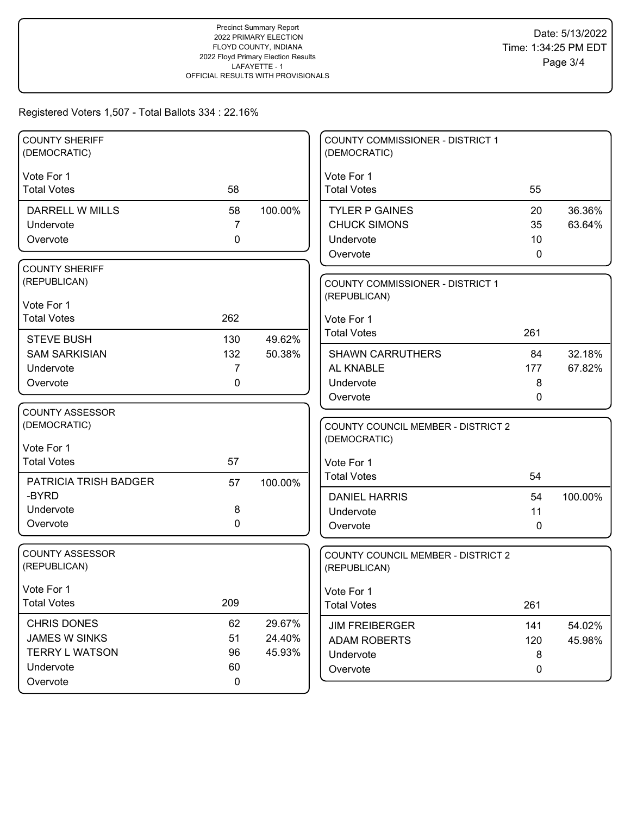| <b>COUNTY SHERIFF</b><br>(DEMOCRATIC)  |             |         | COUNTY COMMISSIONER - DISTRICT 1<br>(DEMOCRATIC)          |     |         |
|----------------------------------------|-------------|---------|-----------------------------------------------------------|-----|---------|
| Vote For 1                             |             |         | Vote For 1                                                |     |         |
| <b>Total Votes</b>                     | 58          |         | <b>Total Votes</b>                                        | 55  |         |
| DARRELL W MILLS                        | 58          | 100.00% | <b>TYLER P GAINES</b>                                     | 20  | 36.36%  |
| Undervote                              | 7           |         | <b>CHUCK SIMONS</b>                                       | 35  | 63.64%  |
| Overvote                               | 0           |         | Undervote                                                 | 10  |         |
|                                        |             |         | Overvote                                                  | 0   |         |
| <b>COUNTY SHERIFF</b><br>(REPUBLICAN)  |             |         |                                                           |     |         |
|                                        |             |         | <b>COUNTY COMMISSIONER - DISTRICT 1</b><br>(REPUBLICAN)   |     |         |
| Vote For 1                             |             |         |                                                           |     |         |
| <b>Total Votes</b>                     | 262         |         | Vote For 1                                                |     |         |
| <b>STEVE BUSH</b>                      | 130         | 49.62%  | <b>Total Votes</b>                                        | 261 |         |
| <b>SAM SARKISIAN</b>                   | 132         | 50.38%  | <b>SHAWN CARRUTHERS</b>                                   | 84  | 32.18%  |
| Undervote                              | 7           |         | AL KNABLE                                                 | 177 | 67.82%  |
| Overvote                               | 0           |         | Undervote                                                 | 8   |         |
|                                        |             |         | Overvote                                                  | 0   |         |
| <b>COUNTY ASSESSOR</b><br>(DEMOCRATIC) |             |         |                                                           |     |         |
|                                        |             |         | <b>COUNTY COUNCIL MEMBER - DISTRICT 2</b><br>(DEMOCRATIC) |     |         |
| Vote For 1                             |             |         |                                                           |     |         |
| <b>Total Votes</b>                     | 57          |         | Vote For 1                                                |     |         |
| PATRICIA TRISH BADGER                  | 57          | 100.00% | <b>Total Votes</b>                                        | 54  |         |
| -BYRD                                  |             |         | <b>DANIEL HARRIS</b>                                      | 54  | 100.00% |
| Undervote                              | 8           |         | Undervote                                                 | 11  |         |
| Overvote                               | $\mathbf 0$ |         | Overvote                                                  | 0   |         |
| <b>COUNTY ASSESSOR</b>                 |             |         |                                                           |     |         |
| (REPUBLICAN)                           |             |         | COUNTY COUNCIL MEMBER - DISTRICT 2<br>(REPUBLICAN)        |     |         |
|                                        |             |         |                                                           |     |         |
| Vote For 1                             |             |         | Vote For 1                                                |     |         |
| <b>Total Votes</b>                     | 209         |         | <b>Total Votes</b>                                        | 261 |         |
| <b>CHRIS DONES</b>                     | 62          | 29.67%  | <b>JIM FREIBERGER</b>                                     | 141 | 54.02%  |
| <b>JAMES W SINKS</b>                   | 51          | 24.40%  | <b>ADAM ROBERTS</b>                                       | 120 | 45.98%  |
| <b>TERRY L WATSON</b>                  | 96          | 45.93%  | Undervote                                                 | 8   |         |
| Undervote                              | 60          |         | Overvote                                                  | 0   |         |
| Overvote                               | $\pmb{0}$   |         |                                                           |     |         |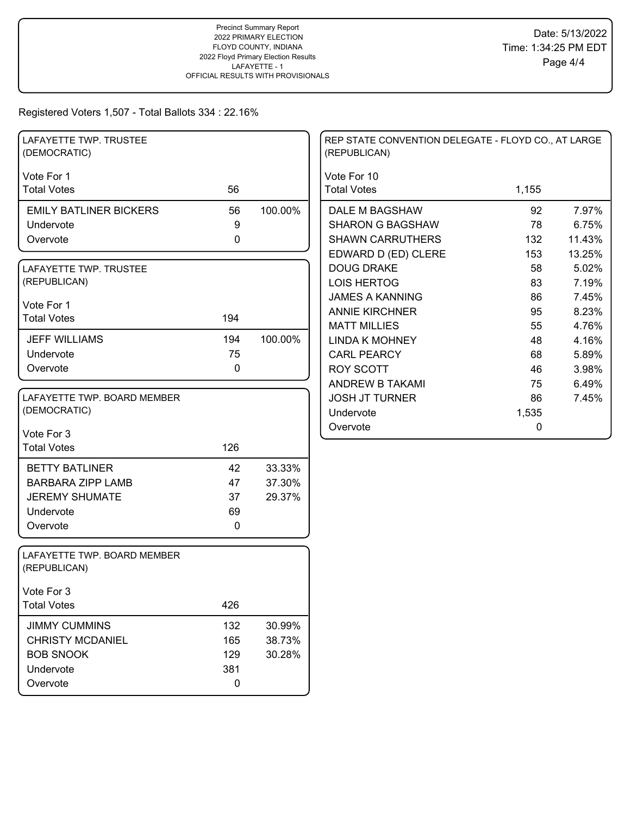| LAFAYETTE TWP. TRUSTEE<br>(DEMOCRATIC)      |                  |         | REP STATE CONVENTION DELEGATE - FLOYD CO., AT LARGE<br>(REPUBLICAN) |       |        |
|---------------------------------------------|------------------|---------|---------------------------------------------------------------------|-------|--------|
| Vote For 1                                  |                  |         | Vote For 10                                                         |       |        |
| <b>Total Votes</b>                          | 56               |         | <b>Total Votes</b>                                                  | 1,155 |        |
| <b>EMILY BATLINER BICKERS</b>               | 56               | 100.00% | DALE M BAGSHAW                                                      | 92    | 7.97%  |
| Undervote                                   | $\boldsymbol{9}$ |         | <b>SHARON G BAGSHAW</b>                                             | 78    | 6.75%  |
| Overvote                                    | $\mathbf 0$      |         | <b>SHAWN CARRUTHERS</b>                                             | 132   | 11.43% |
|                                             |                  |         | EDWARD D (ED) CLERE                                                 | 153   | 13.25% |
| LAFAYETTE TWP. TRUSTEE                      |                  |         | <b>DOUG DRAKE</b>                                                   | 58    | 5.02%  |
| (REPUBLICAN)                                |                  |         | <b>LOIS HERTOG</b>                                                  | 83    | 7.19%  |
| Vote For 1                                  |                  |         | <b>JAMES A KANNING</b>                                              | 86    | 7.45%  |
| <b>Total Votes</b>                          | 194              |         | <b>ANNIE KIRCHNER</b>                                               | 95    | 8.23%  |
|                                             |                  |         | <b>MATT MILLIES</b>                                                 | 55    | 4.76%  |
| <b>JEFF WILLIAMS</b>                        | 194              | 100.00% | <b>LINDA K MOHNEY</b>                                               | 48    | 4.16%  |
| Undervote                                   | 75               |         | <b>CARL PEARCY</b>                                                  | 68    | 5.89%  |
| Overvote                                    | $\mathbf 0$      |         | <b>ROY SCOTT</b>                                                    | 46    | 3.98%  |
|                                             |                  |         | ANDREW B TAKAMI                                                     | 75    | 6.49%  |
| LAFAYETTE TWP. BOARD MEMBER                 |                  |         | <b>JOSH JT TURNER</b>                                               | 86    | 7.45%  |
| (DEMOCRATIC)                                |                  |         | Undervote                                                           | 1,535 |        |
| Vote For 3                                  |                  |         | Overvote                                                            | 0     |        |
| <b>Total Votes</b>                          | 126              |         |                                                                     |       |        |
| <b>BETTY BATLINER</b>                       | 42               | 33.33%  |                                                                     |       |        |
| <b>BARBARA ZIPP LAMB</b>                    | 47               | 37.30%  |                                                                     |       |        |
| <b>JEREMY SHUMATE</b>                       | 37               | 29.37%  |                                                                     |       |        |
| Undervote                                   | 69               |         |                                                                     |       |        |
| Overvote                                    | $\mathbf 0$      |         |                                                                     |       |        |
| LAFAYETTE TWP. BOARD MEMBER<br>(REPUBLICAN) |                  |         |                                                                     |       |        |
| Vote For 3                                  |                  |         |                                                                     |       |        |
| <b>Total Votes</b>                          | 426              |         |                                                                     |       |        |
| <b>JIMMY CUMMINS</b>                        | 132              | 30.99%  |                                                                     |       |        |
| <b>CHRISTY MCDANIEL</b>                     | 165              | 38.73%  |                                                                     |       |        |
| <b>BOB SNOOK</b>                            | 129              | 30.28%  |                                                                     |       |        |
| Undervote                                   | 381              |         |                                                                     |       |        |
| Overvote                                    | $\mathbf 0$      |         |                                                                     |       |        |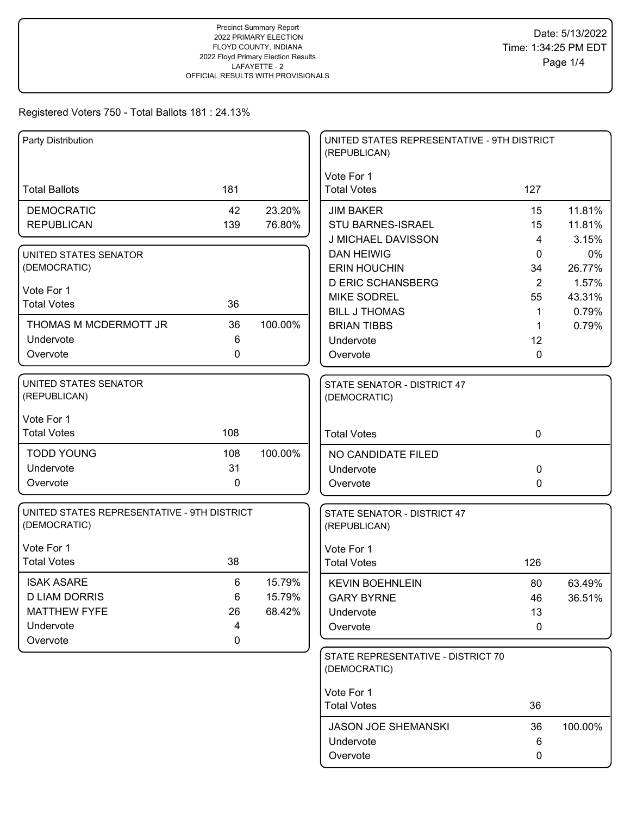| Party Distribution                                          |     |         | UNITED STATES REPRESENTATIVE - 9TH DISTRICT<br>(REPUBLICAN) |                |         |
|-------------------------------------------------------------|-----|---------|-------------------------------------------------------------|----------------|---------|
|                                                             |     |         | Vote For 1                                                  |                |         |
| <b>Total Ballots</b>                                        | 181 |         | <b>Total Votes</b>                                          | 127            |         |
| <b>DEMOCRATIC</b>                                           | 42  | 23.20%  | <b>JIM BAKER</b>                                            | 15             | 11.81%  |
| <b>REPUBLICAN</b>                                           | 139 | 76.80%  | <b>STU BARNES-ISRAEL</b>                                    | 15             | 11.81%  |
|                                                             |     |         | J MICHAEL DAVISSON                                          | 4              | 3.15%   |
| UNITED STATES SENATOR                                       |     |         | <b>DAN HEIWIG</b>                                           | 0              | 0%      |
| (DEMOCRATIC)                                                |     |         | <b>ERIN HOUCHIN</b>                                         | 34             | 26.77%  |
| Vote For 1                                                  |     |         | <b>D ERIC SCHANSBERG</b>                                    | $\overline{2}$ | 1.57%   |
| <b>Total Votes</b>                                          | 36  |         | <b>MIKE SODREL</b>                                          | 55             | 43.31%  |
|                                                             |     |         | <b>BILL J THOMAS</b>                                        | 1              | 0.79%   |
| THOMAS M MCDERMOTT JR                                       | 36  | 100.00% | <b>BRIAN TIBBS</b>                                          | 1              | 0.79%   |
| Undervote                                                   | 6   |         | Undervote                                                   | 12             |         |
| Overvote                                                    | 0   |         | Overvote                                                    | 0              |         |
| <b>UNITED STATES SENATOR</b><br>(REPUBLICAN)                |     |         | STATE SENATOR - DISTRICT 47<br>(DEMOCRATIC)                 |                |         |
| Vote For 1                                                  |     |         |                                                             |                |         |
| <b>Total Votes</b>                                          | 108 |         | <b>Total Votes</b>                                          | $\mathbf 0$    |         |
| <b>TODD YOUNG</b>                                           | 108 | 100.00% | NO CANDIDATE FILED                                          |                |         |
| Undervote                                                   | 31  |         | Undervote                                                   | 0              |         |
| Overvote                                                    | 0   |         | Overvote                                                    | 0              |         |
| UNITED STATES REPRESENTATIVE - 9TH DISTRICT<br>(DEMOCRATIC) |     |         | STATE SENATOR - DISTRICT 47<br>(REPUBLICAN)                 |                |         |
| Vote For 1                                                  |     |         | Vote For 1                                                  |                |         |
| <b>Total Votes</b>                                          | 38  |         | <b>Total Votes</b>                                          | 126            |         |
| <b>ISAK ASARE</b>                                           | 6   | 15.79%  | <b>KEVIN BOEHNLEIN</b>                                      | 80             | 63.49%  |
| <b>D LIAM DORRIS</b>                                        | 6   | 15.79%  | <b>GARY BYRNE</b>                                           | 46             | 36.51%  |
| <b>MATTHEW FYFE</b>                                         | 26  | 68.42%  | Undervote                                                   | 13             |         |
| Undervote                                                   | 4   |         | Overvote                                                    | 0              |         |
| Overvote                                                    | 0   |         |                                                             |                |         |
|                                                             |     |         | STATE REPRESENTATIVE - DISTRICT 70<br>(DEMOCRATIC)          |                |         |
|                                                             |     |         | Vote For 1                                                  |                |         |
|                                                             |     |         | <b>Total Votes</b>                                          | 36             |         |
|                                                             |     |         | <b>JASON JOE SHEMANSKI</b>                                  | 36             | 100.00% |
|                                                             |     |         | Undervote                                                   | 6              |         |
|                                                             |     |         | Overvote                                                    | 0              |         |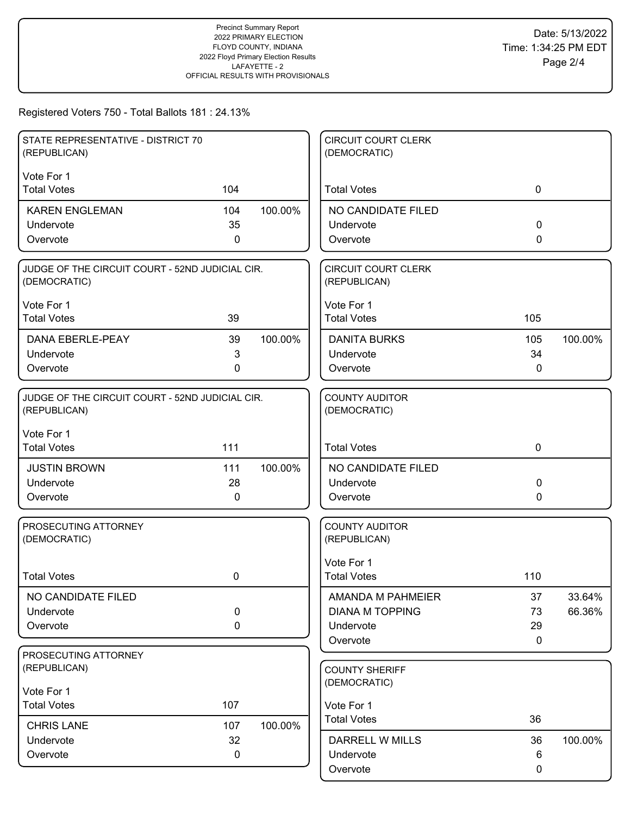| STATE REPRESENTATIVE - DISTRICT 70<br>(REPUBLICAN)              |                  |         | <b>CIRCUIT COURT CLERK</b><br>(DEMOCRATIC) |              |         |
|-----------------------------------------------------------------|------------------|---------|--------------------------------------------|--------------|---------|
| Vote For 1                                                      |                  |         |                                            |              |         |
| <b>Total Votes</b>                                              | 104              |         | <b>Total Votes</b>                         | $\mathbf 0$  |         |
| <b>KAREN ENGLEMAN</b>                                           | 104              | 100.00% | NO CANDIDATE FILED                         |              |         |
| Undervote                                                       | 35               |         | Undervote                                  | 0            |         |
| Overvote                                                        | 0                |         | Overvote                                   | 0            |         |
| JUDGE OF THE CIRCUIT COURT - 52ND JUDICIAL CIR.<br>(DEMOCRATIC) |                  |         | <b>CIRCUIT COURT CLERK</b><br>(REPUBLICAN) |              |         |
| Vote For 1                                                      |                  |         | Vote For 1                                 |              |         |
| <b>Total Votes</b>                                              | 39               |         | <b>Total Votes</b>                         | 105          |         |
| <b>DANA EBERLE-PEAY</b>                                         | 39               | 100.00% | <b>DANITA BURKS</b>                        | 105          | 100.00% |
| Undervote                                                       | 3                |         | Undervote                                  | 34           |         |
| Overvote                                                        | 0                |         | Overvote                                   | $\mathbf{0}$ |         |
| JUDGE OF THE CIRCUIT COURT - 52ND JUDICIAL CIR.<br>(REPUBLICAN) |                  |         | <b>COUNTY AUDITOR</b><br>(DEMOCRATIC)      |              |         |
| Vote For 1<br><b>Total Votes</b>                                | 111              |         | <b>Total Votes</b>                         | $\mathbf 0$  |         |
| <b>JUSTIN BROWN</b>                                             | 111              | 100.00% | NO CANDIDATE FILED                         |              |         |
| Undervote                                                       | 28               |         | Undervote                                  | 0            |         |
| Overvote                                                        | 0                |         | Overvote                                   | 0            |         |
| PROSECUTING ATTORNEY<br>(DEMOCRATIC)                            |                  |         | <b>COUNTY AUDITOR</b><br>(REPUBLICAN)      |              |         |
| <b>Total Votes</b>                                              | 0                |         | Vote For 1<br><b>Total Votes</b>           | 110          |         |
|                                                                 |                  |         |                                            |              |         |
| NO CANDIDATE FILED                                              |                  |         | AMANDA M PAHMEIER                          | 37           | 33.64%  |
| Undervote<br>Overvote                                           | $\mathbf 0$<br>0 |         | <b>DIANA M TOPPING</b><br>Undervote        | 73<br>29     | 66.36%  |
|                                                                 |                  |         | Overvote                                   | 0            |         |
| PROSECUTING ATTORNEY                                            |                  |         |                                            |              |         |
| (REPUBLICAN)                                                    |                  |         | <b>COUNTY SHERIFF</b>                      |              |         |
| Vote For 1                                                      |                  |         | (DEMOCRATIC)                               |              |         |
| <b>Total Votes</b>                                              | 107              |         | Vote For 1                                 |              |         |
| <b>CHRIS LANE</b>                                               | 107              | 100.00% | <b>Total Votes</b>                         | 36           |         |
| Undervote                                                       | 32               |         | DARRELL W MILLS                            | 36           | 100.00% |
| Overvote                                                        | 0                |         | Undervote                                  | 6            |         |
|                                                                 |                  |         | Overvote                                   | 0            |         |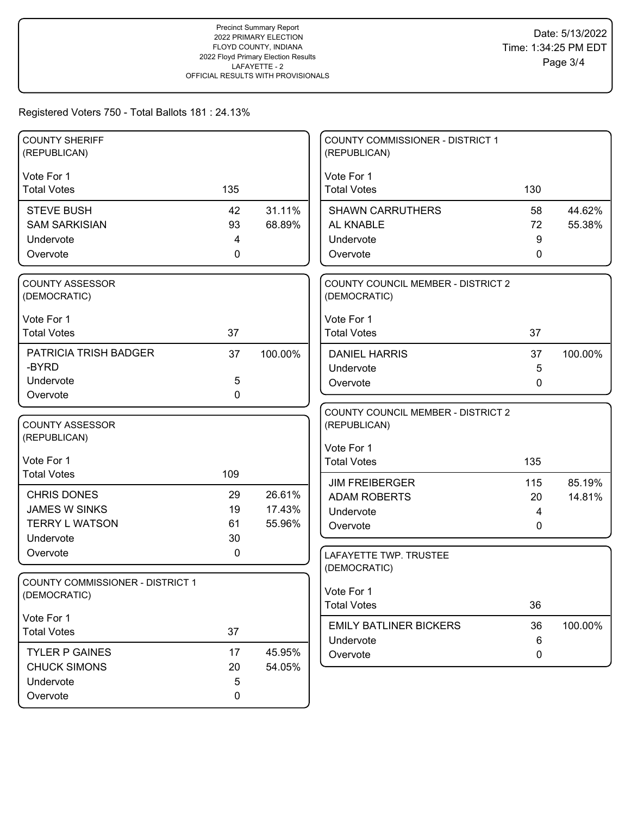| <b>COUNTY SHERIFF</b><br>(REPUBLICAN)      |             |                  | <b>COUNTY COMMISSIONER - DISTRICT 1</b><br>(REPUBLICAN) |     |         |
|--------------------------------------------|-------------|------------------|---------------------------------------------------------|-----|---------|
| Vote For 1                                 |             |                  | Vote For 1                                              |     |         |
| <b>Total Votes</b>                         | 135         |                  | <b>Total Votes</b>                                      | 130 |         |
|                                            |             |                  |                                                         |     |         |
| <b>STEVE BUSH</b>                          | 42          | 31.11%           | <b>SHAWN CARRUTHERS</b>                                 | 58  | 44.62%  |
| <b>SAM SARKISIAN</b>                       | 93          | 68.89%           | AL KNABLE                                               | 72  | 55.38%  |
| Undervote                                  | 4           |                  | Undervote                                               | 9   |         |
| Overvote                                   | 0           |                  | Overvote                                                | 0   |         |
| <b>COUNTY ASSESSOR</b>                     |             |                  | <b>COUNTY COUNCIL MEMBER - DISTRICT 2</b>               |     |         |
| (DEMOCRATIC)                               |             |                  | (DEMOCRATIC)                                            |     |         |
| Vote For 1                                 |             |                  | Vote For 1                                              |     |         |
| <b>Total Votes</b>                         | 37          |                  | <b>Total Votes</b>                                      | 37  |         |
| PATRICIA TRISH BADGER                      | 37          | 100.00%          | <b>DANIEL HARRIS</b>                                    | 37  | 100.00% |
| -BYRD                                      |             |                  | Undervote                                               | 5   |         |
| Undervote                                  | 5           |                  | Overvote                                                | 0   |         |
| Overvote                                   | $\mathbf 0$ |                  |                                                         |     |         |
|                                            |             |                  | COUNTY COUNCIL MEMBER - DISTRICT 2                      |     |         |
| <b>COUNTY ASSESSOR</b>                     |             |                  | (REPUBLICAN)                                            |     |         |
| (REPUBLICAN)                               |             |                  |                                                         |     |         |
| Vote For 1                                 |             |                  | Vote For 1<br><b>Total Votes</b>                        | 135 |         |
| <b>Total Votes</b>                         | 109         |                  |                                                         |     |         |
|                                            |             |                  | <b>JIM FREIBERGER</b>                                   | 115 | 85.19%  |
| <b>CHRIS DONES</b><br><b>JAMES W SINKS</b> | 29<br>19    | 26.61%<br>17.43% | <b>ADAM ROBERTS</b>                                     | 20  | 14.81%  |
| <b>TERRY L WATSON</b>                      | 61          | 55.96%           | Undervote                                               | 4   |         |
| Undervote                                  | 30          |                  | Overvote                                                | 0   |         |
| Overvote                                   | 0           |                  | LAFAYETTE TWP. TRUSTEE                                  |     |         |
|                                            |             |                  | (DEMOCRATIC)                                            |     |         |
| <b>COUNTY COMMISSIONER - DISTRICT 1</b>    |             |                  |                                                         |     |         |
| (DEMOCRATIC)                               |             |                  | Vote For 1                                              |     |         |
|                                            |             |                  | <b>Total Votes</b>                                      | 36  |         |
| Vote For 1<br><b>Total Votes</b>           | 37          |                  | <b>EMILY BATLINER BICKERS</b>                           | 36  | 100.00% |
|                                            |             |                  | Undervote                                               | 6   |         |
| <b>TYLER P GAINES</b>                      | 17          | 45.95%           | Overvote                                                | 0   |         |
| <b>CHUCK SIMONS</b>                        | 20          | 54.05%           |                                                         |     |         |
| Undervote                                  | 5           |                  |                                                         |     |         |
| Overvote                                   | $\pmb{0}$   |                  |                                                         |     |         |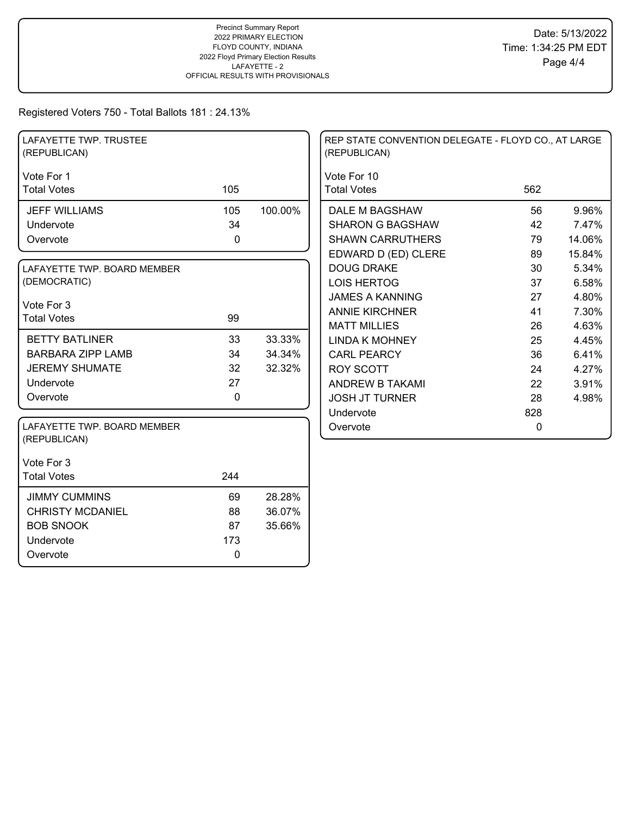| LAFAYETTE TWP. TRUSTEE<br>(REPUBLICAN)      |             |         | REP STATE CONVENTION DELEGATE - FLOYD CO., AT LARGE<br>(REPUBLICAN) |              |        |
|---------------------------------------------|-------------|---------|---------------------------------------------------------------------|--------------|--------|
| Vote For 1                                  |             |         | Vote For 10                                                         |              |        |
| <b>Total Votes</b>                          | 105         |         | <b>Total Votes</b>                                                  | 562          |        |
| <b>JEFF WILLIAMS</b>                        | 105         | 100.00% | DALE M BAGSHAW                                                      | 56           | 9.96%  |
| Undervote                                   | 34          |         | <b>SHARON G BAGSHAW</b>                                             | 42           | 7.47%  |
| Overvote                                    | 0           |         | <b>SHAWN CARRUTHERS</b>                                             | 79           | 14.06% |
|                                             |             |         | EDWARD D (ED) CLERE                                                 | 89           | 15.84% |
| LAFAYETTE TWP. BOARD MEMBER                 |             |         | <b>DOUG DRAKE</b>                                                   | 30           | 5.34%  |
| (DEMOCRATIC)                                |             |         | <b>LOIS HERTOG</b>                                                  | 37           | 6.58%  |
|                                             |             |         | <b>JAMES A KANNING</b>                                              | 27           | 4.80%  |
| Vote For 3<br><b>Total Votes</b>            | 99          |         | <b>ANNIE KIRCHNER</b>                                               | 41           | 7.30%  |
|                                             |             |         | <b>MATT MILLIES</b>                                                 | 26           | 4.63%  |
| <b>BETTY BATLINER</b>                       | 33          | 33.33%  | <b>LINDA K MOHNEY</b>                                               | 25           | 4.45%  |
| <b>BARBARA ZIPP LAMB</b>                    | 34          | 34.34%  | <b>CARL PEARCY</b>                                                  | 36           | 6.41%  |
| <b>JEREMY SHUMATE</b>                       | 32          | 32.32%  | <b>ROY SCOTT</b>                                                    | 24           | 4.27%  |
| Undervote                                   | 27          |         | ANDREW B TAKAMI                                                     | 22           | 3.91%  |
| Overvote                                    | $\mathbf 0$ |         | <b>JOSH JT TURNER</b>                                               | 28           | 4.98%  |
|                                             |             |         | Undervote                                                           | 828          |        |
| LAFAYETTE TWP. BOARD MEMBER<br>(REPUBLICAN) |             |         | Overvote                                                            | $\mathbf{0}$ |        |
| Vote For 3                                  |             |         |                                                                     |              |        |
| <b>Total Votes</b>                          | 244         |         |                                                                     |              |        |
| <b>JIMMY CUMMINS</b>                        | 69          | 28.28%  |                                                                     |              |        |
| <b>CHRISTY MCDANIEL</b>                     | 88          | 36.07%  |                                                                     |              |        |
| <b>BOB SNOOK</b>                            | 87          | 35.66%  |                                                                     |              |        |
| Undervote                                   | 173         |         |                                                                     |              |        |
| Overvote                                    | 0           |         |                                                                     |              |        |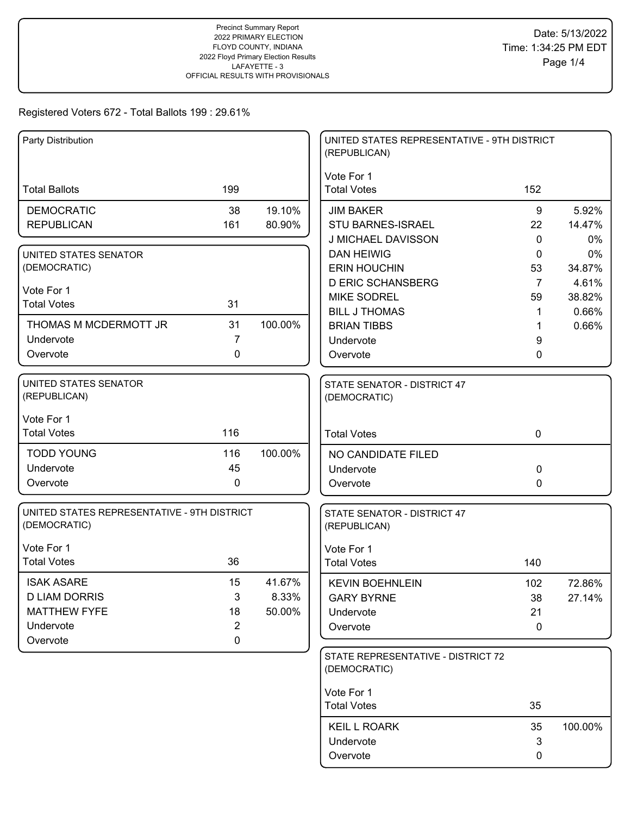| Party Distribution                          |                |         | UNITED STATES REPRESENTATIVE - 9TH DISTRICT<br>(REPUBLICAN) |              |                |
|---------------------------------------------|----------------|---------|-------------------------------------------------------------|--------------|----------------|
|                                             |                |         | Vote For 1                                                  |              |                |
| <b>Total Ballots</b>                        | 199            |         | <b>Total Votes</b>                                          | 152          |                |
| <b>DEMOCRATIC</b>                           | 38             | 19.10%  | <b>JIM BAKER</b>                                            | 9            | 5.92%          |
| <b>REPUBLICAN</b>                           | 161            | 80.90%  | STU BARNES-ISRAEL                                           | 22           | 14.47%         |
|                                             |                |         | J MICHAEL DAVISSON                                          | $\mathbf{0}$ | 0%             |
| UNITED STATES SENATOR                       |                |         | <b>DAN HEIWIG</b>                                           | $\mathbf{0}$ | 0%             |
| (DEMOCRATIC)                                |                |         | <b>ERIN HOUCHIN</b>                                         | 53           | 34.87%         |
| Vote For 1                                  |                |         | <b>D ERIC SCHANSBERG</b>                                    | 7            | 4.61%          |
| <b>Total Votes</b>                          | 31             |         | <b>MIKE SODREL</b><br><b>BILL J THOMAS</b>                  | 59           | 38.82%         |
| THOMAS M MCDERMOTT JR                       | 31             | 100.00% | <b>BRIAN TIBBS</b>                                          | 1            | 0.66%<br>0.66% |
| Undervote                                   | 7              |         | Undervote                                                   | 9            |                |
| Overvote                                    | 0              |         | Overvote                                                    | 0            |                |
|                                             |                |         |                                                             |              |                |
| UNITED STATES SENATOR<br>(REPUBLICAN)       |                |         | STATE SENATOR - DISTRICT 47<br>(DEMOCRATIC)                 |              |                |
|                                             |                |         |                                                             |              |                |
| Vote For 1                                  |                |         |                                                             |              |                |
| <b>Total Votes</b>                          | 116            |         | <b>Total Votes</b>                                          | $\mathbf 0$  |                |
| <b>TODD YOUNG</b>                           | 116            | 100.00% | NO CANDIDATE FILED                                          |              |                |
| Undervote                                   | 45             |         | Undervote                                                   | $\mathbf 0$  |                |
| Overvote                                    | 0              |         | Overvote                                                    | $\mathbf 0$  |                |
| UNITED STATES REPRESENTATIVE - 9TH DISTRICT |                |         | STATE SENATOR - DISTRICT 47                                 |              |                |
| (DEMOCRATIC)                                |                |         | (REPUBLICAN)                                                |              |                |
| Vote For 1                                  |                |         | Vote For 1                                                  |              |                |
| <b>Total Votes</b>                          | 36             |         | <b>Total Votes</b>                                          | 140          |                |
| <b>ISAK ASARE</b>                           | 15             | 41.67%  | <b>KEVIN BOEHNLEIN</b>                                      | 102          | 72.86%         |
| <b>D LIAM DORRIS</b>                        | 3              | 8.33%   | <b>GARY BYRNE</b>                                           | 38           | 27.14%         |
| <b>MATTHEW FYFE</b>                         | 18             | 50.00%  | Undervote                                                   | 21           |                |
| Undervote                                   | $\overline{2}$ |         | Overvote                                                    | $\mathbf 0$  |                |
| Overvote                                    | $\pmb{0}$      |         |                                                             |              |                |
|                                             |                |         | STATE REPRESENTATIVE - DISTRICT 72<br>(DEMOCRATIC)          |              |                |
|                                             |                |         |                                                             |              |                |
|                                             |                |         | Vote For 1<br><b>Total Votes</b>                            | 35           |                |
|                                             |                |         |                                                             |              |                |
|                                             |                |         | <b>KEIL L ROARK</b>                                         | 35           | 100.00%        |
|                                             |                |         | Undervote                                                   | $\mathbf{3}$ |                |
|                                             |                |         | Overvote                                                    | 0            |                |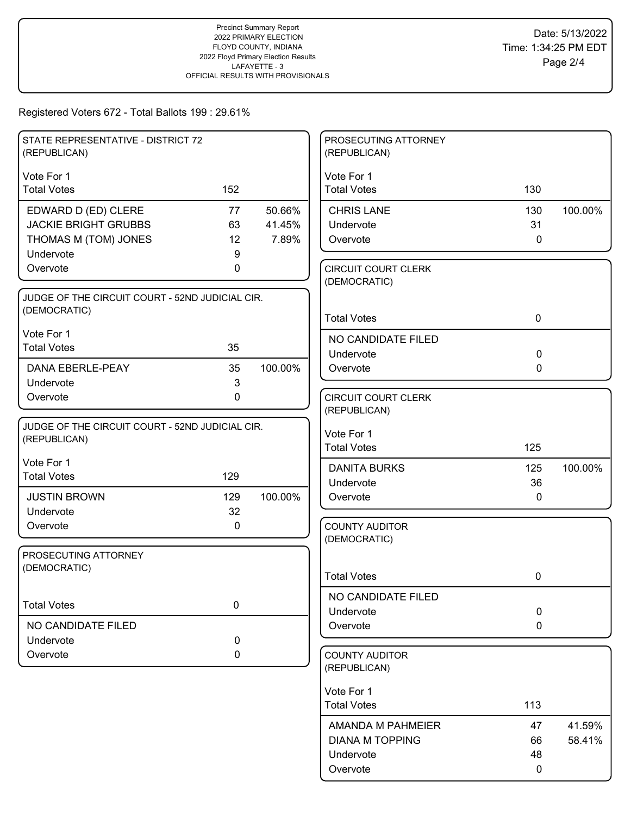| STATE REPRESENTATIVE - DISTRICT 72              |              |         | PROSECUTING ATTORNEY             |              |         |
|-------------------------------------------------|--------------|---------|----------------------------------|--------------|---------|
| (REPUBLICAN)                                    |              |         | (REPUBLICAN)                     |              |         |
| Vote For 1                                      |              |         | Vote For 1                       |              |         |
| <b>Total Votes</b>                              | 152          |         | <b>Total Votes</b>               | 130          |         |
| EDWARD D (ED) CLERE                             | 77           | 50.66%  | <b>CHRIS LANE</b>                | 130          | 100.00% |
| <b>JACKIE BRIGHT GRUBBS</b>                     | 63           | 41.45%  | Undervote                        | 31           |         |
| THOMAS M (TOM) JONES                            | 12           | 7.89%   | Overvote                         | $\mathbf 0$  |         |
| Undervote                                       | 9            |         |                                  |              |         |
| Overvote                                        | 0            |         | <b>CIRCUIT COURT CLERK</b>       |              |         |
|                                                 |              |         | (DEMOCRATIC)                     |              |         |
| JUDGE OF THE CIRCUIT COURT - 52ND JUDICIAL CIR. |              |         |                                  |              |         |
| (DEMOCRATIC)                                    |              |         | <b>Total Votes</b>               | $\mathbf 0$  |         |
| Vote For 1                                      |              |         | NO CANDIDATE FILED               |              |         |
| <b>Total Votes</b>                              | 35           |         | Undervote                        | $\mathbf 0$  |         |
| <b>DANA EBERLE-PEAY</b>                         | 35           | 100.00% | Overvote                         | $\mathbf{0}$ |         |
| Undervote                                       | $\mathbf{3}$ |         |                                  |              |         |
| Overvote                                        | $\mathbf 0$  |         | <b>CIRCUIT COURT CLERK</b>       |              |         |
|                                                 |              |         | (REPUBLICAN)                     |              |         |
| JUDGE OF THE CIRCUIT COURT - 52ND JUDICIAL CIR. |              |         |                                  |              |         |
| (REPUBLICAN)                                    |              |         | Vote For 1                       |              |         |
|                                                 |              |         | <b>Total Votes</b>               | 125          |         |
| Vote For 1<br><b>Total Votes</b>                | 129          |         | <b>DANITA BURKS</b>              | 125          | 100.00% |
|                                                 |              |         | Undervote                        | 36           |         |
| <b>JUSTIN BROWN</b>                             | 129          | 100.00% | Overvote                         | 0            |         |
| Undervote                                       | 32           |         |                                  |              |         |
| Overvote                                        | $\mathbf 0$  |         | <b>COUNTY AUDITOR</b>            |              |         |
|                                                 |              |         | (DEMOCRATIC)                     |              |         |
| PROSECUTING ATTORNEY                            |              |         |                                  |              |         |
| (DEMOCRATIC)                                    |              |         | <b>Total Votes</b>               | 0            |         |
|                                                 |              |         | NO CANDIDATE FILED               |              |         |
| <b>Total Votes</b>                              | 0            |         | Undervote                        | $\mathbf 0$  |         |
| NO CANDIDATE FILED                              |              |         | Overvote                         | $\mathbf 0$  |         |
| Undervote                                       | $\pmb{0}$    |         |                                  |              |         |
| Overvote                                        | 0            |         | <b>COUNTY AUDITOR</b>            |              |         |
|                                                 |              |         | (REPUBLICAN)                     |              |         |
|                                                 |              |         |                                  |              |         |
|                                                 |              |         | Vote For 1<br><b>Total Votes</b> | 113          |         |
|                                                 |              |         |                                  |              |         |
|                                                 |              |         | AMANDA M PAHMEIER                | 47           | 41.59%  |
|                                                 |              |         | <b>DIANA M TOPPING</b>           | 66           | 58.41%  |
|                                                 |              |         | Undervote                        | 48           |         |
|                                                 |              |         | Overvote                         | $\mathbf 0$  |         |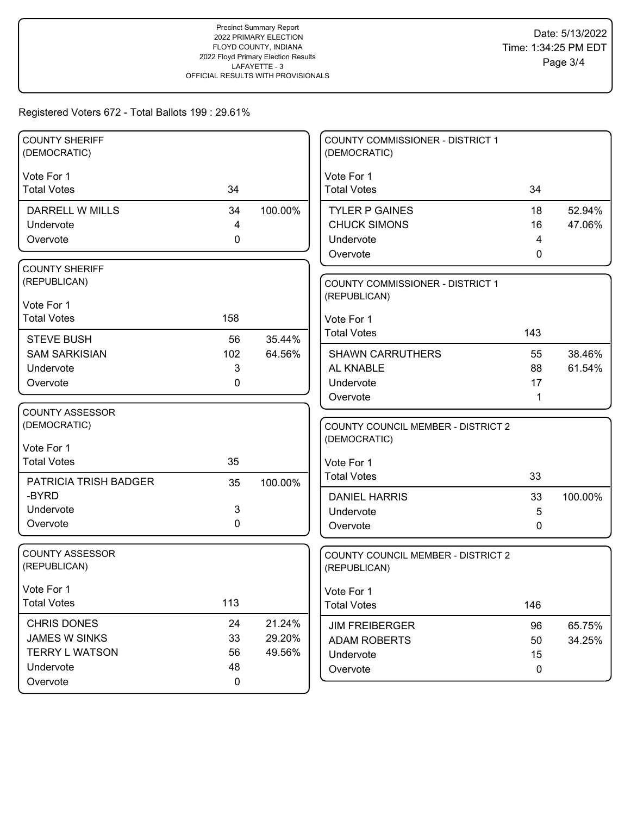| <b>COUNTY SHERIFF</b><br>(DEMOCRATIC)  |             |         | COUNTY COMMISSIONER - DISTRICT 1<br>(DEMOCRATIC)   |          |                  |
|----------------------------------------|-------------|---------|----------------------------------------------------|----------|------------------|
| Vote For 1                             |             |         | Vote For 1                                         |          |                  |
| <b>Total Votes</b>                     | 34          |         | <b>Total Votes</b>                                 | 34       |                  |
| DARRELL W MILLS                        | 34          | 100.00% | <b>TYLER P GAINES</b>                              | 18       | 52.94%           |
| Undervote                              | 4           |         | <b>CHUCK SIMONS</b>                                | 16       | 47.06%           |
| Overvote                               | 0           |         | Undervote                                          | 4        |                  |
|                                        |             |         | Overvote                                           | 0        |                  |
| <b>COUNTY SHERIFF</b>                  |             |         |                                                    |          |                  |
| (REPUBLICAN)                           |             |         | <b>COUNTY COMMISSIONER - DISTRICT 1</b>            |          |                  |
| Vote For 1                             |             |         | (REPUBLICAN)                                       |          |                  |
| <b>Total Votes</b>                     | 158         |         | Vote For 1                                         |          |                  |
|                                        |             |         | <b>Total Votes</b>                                 | 143      |                  |
| <b>STEVE BUSH</b>                      | 56          | 35.44%  |                                                    |          |                  |
| <b>SAM SARKISIAN</b>                   | 102<br>3    | 64.56%  | <b>SHAWN CARRUTHERS</b><br>AL KNABLE               | 55<br>88 | 38.46%<br>61.54% |
| Undervote<br>Overvote                  | 0           |         | Undervote                                          | 17       |                  |
|                                        |             |         | Overvote                                           | 1        |                  |
| COUNTY ASSESSOR                        |             |         |                                                    |          |                  |
| (DEMOCRATIC)                           |             |         | <b>COUNTY COUNCIL MEMBER - DISTRICT 2</b>          |          |                  |
|                                        |             |         | (DEMOCRATIC)                                       |          |                  |
| Vote For 1                             |             |         |                                                    |          |                  |
| <b>Total Votes</b>                     | 35          |         | Vote For 1                                         |          |                  |
| <b>PATRICIA TRISH BADGER</b>           | 35          | 100.00% | <b>Total Votes</b>                                 | 33       |                  |
| -BYRD                                  |             |         | <b>DANIEL HARRIS</b>                               | 33       | 100.00%          |
| Undervote                              | 3           |         | Undervote                                          | 5        |                  |
| Overvote                               | 0           |         | Overvote                                           | 0        |                  |
|                                        |             |         |                                                    |          |                  |
| <b>COUNTY ASSESSOR</b><br>(REPUBLICAN) |             |         | COUNTY COUNCIL MEMBER - DISTRICT 2<br>(REPUBLICAN) |          |                  |
|                                        |             |         |                                                    |          |                  |
| Vote For 1                             |             |         | Vote For 1                                         |          |                  |
| <b>Total Votes</b>                     | 113         |         | <b>Total Votes</b>                                 | 146      |                  |
| <b>CHRIS DONES</b>                     | 24          | 21.24%  | <b>JIM FREIBERGER</b>                              | 96       | 65.75%           |
| <b>JAMES W SINKS</b>                   | 33          | 29.20%  | <b>ADAM ROBERTS</b>                                | 50       | 34.25%           |
| <b>TERRY L WATSON</b>                  | 56          | 49.56%  | Undervote                                          | 15       |                  |
| Undervote                              | 48          |         | Overvote                                           | 0        |                  |
| Overvote                               | $\mathbf 0$ |         |                                                    |          |                  |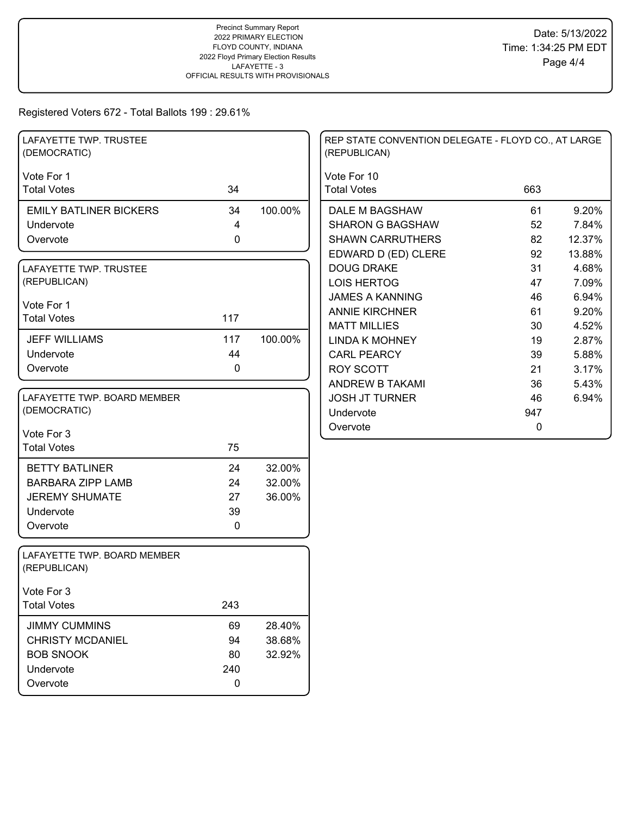| LAFAYETTE TWP. TRUSTEE<br>(DEMOCRATIC)      |             |         | REP STATE CONVENTION DELEGATE - FLOYD CO., AT LARGE<br>(REPUBLICAN) |     |        |
|---------------------------------------------|-------------|---------|---------------------------------------------------------------------|-----|--------|
| Vote For 1                                  |             |         | Vote For 10                                                         |     |        |
| <b>Total Votes</b>                          | 34          |         | <b>Total Votes</b>                                                  | 663 |        |
| <b>EMILY BATLINER BICKERS</b>               | 34          | 100.00% | DALE M BAGSHAW                                                      | 61  | 9.20%  |
| Undervote                                   | 4           |         | <b>SHARON G BAGSHAW</b>                                             | 52  | 7.84%  |
| Overvote                                    | $\mathbf 0$ |         | <b>SHAWN CARRUTHERS</b>                                             | 82  | 12.37% |
|                                             |             |         | EDWARD D (ED) CLERE                                                 | 92  | 13.88% |
| LAFAYETTE TWP. TRUSTEE                      |             |         | <b>DOUG DRAKE</b>                                                   | 31  | 4.68%  |
| (REPUBLICAN)                                |             |         | <b>LOIS HERTOG</b>                                                  | 47  | 7.09%  |
|                                             |             |         | <b>JAMES A KANNING</b>                                              | 46  | 6.94%  |
| Vote For 1<br><b>Total Votes</b>            | 117         |         | <b>ANNIE KIRCHNER</b>                                               | 61  | 9.20%  |
|                                             |             |         | <b>MATT MILLIES</b>                                                 | 30  | 4.52%  |
| <b>JEFF WILLIAMS</b>                        | 117         | 100.00% | <b>LINDA K MOHNEY</b>                                               | 19  | 2.87%  |
| Undervote                                   | 44          |         | <b>CARL PEARCY</b>                                                  | 39  | 5.88%  |
| Overvote                                    | 0           |         | <b>ROY SCOTT</b>                                                    | 21  | 3.17%  |
|                                             |             |         | <b>ANDREW B TAKAMI</b>                                              | 36  | 5.43%  |
| LAFAYETTE TWP. BOARD MEMBER                 |             |         | <b>JOSH JT TURNER</b>                                               | 46  | 6.94%  |
| (DEMOCRATIC)                                |             |         | Undervote                                                           | 947 |        |
| Vote For 3                                  |             |         | Overvote                                                            | 0   |        |
| <b>Total Votes</b>                          | 75          |         |                                                                     |     |        |
| <b>BETTY BATLINER</b>                       | 24          | 32.00%  |                                                                     |     |        |
| <b>BARBARA ZIPP LAMB</b>                    | 24          | 32.00%  |                                                                     |     |        |
| <b>JEREMY SHUMATE</b>                       | 27          | 36.00%  |                                                                     |     |        |
| Undervote                                   | 39          |         |                                                                     |     |        |
| Overvote                                    | 0           |         |                                                                     |     |        |
| LAFAYETTE TWP. BOARD MEMBER<br>(REPUBLICAN) |             |         |                                                                     |     |        |
| Vote For 3                                  |             |         |                                                                     |     |        |
| <b>Total Votes</b>                          | 243         |         |                                                                     |     |        |
| <b>JIMMY CUMMINS</b>                        | 69          | 28.40%  |                                                                     |     |        |
| <b>CHRISTY MCDANIEL</b>                     | 94          | 38.68%  |                                                                     |     |        |
| <b>BOB SNOOK</b>                            | 80          | 32.92%  |                                                                     |     |        |
| Undervote                                   | 240         |         |                                                                     |     |        |
| Overvote                                    | 0           |         |                                                                     |     |        |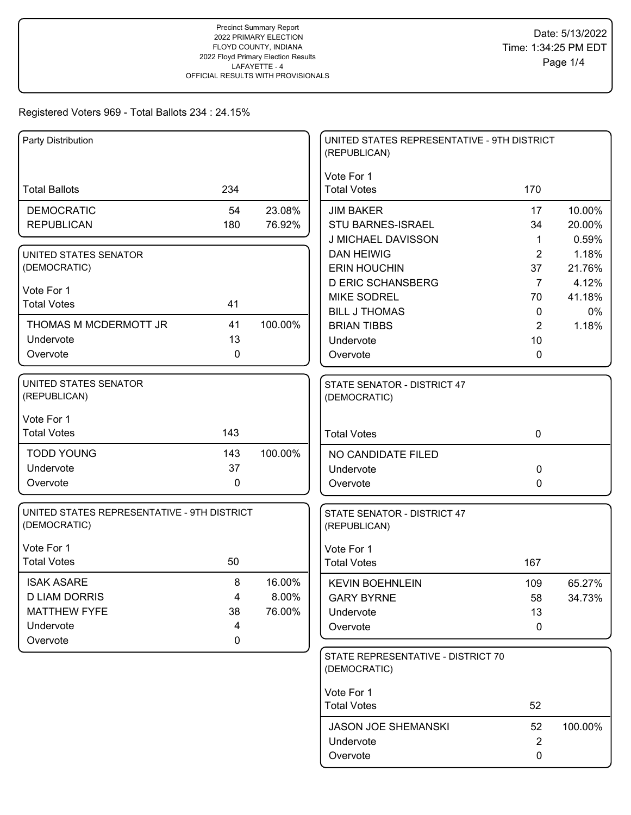# Registered Voters 969 - Total Ballots 234 : 24.15%

| Party Distribution                          |     |         | UNITED STATES REPRESENTATIVE - 9TH DISTRICT<br>(REPUBLICAN) |                |         |
|---------------------------------------------|-----|---------|-------------------------------------------------------------|----------------|---------|
|                                             |     |         | Vote For 1                                                  |                |         |
| <b>Total Ballots</b>                        | 234 |         | <b>Total Votes</b>                                          | 170            |         |
| <b>DEMOCRATIC</b>                           | 54  | 23.08%  | <b>JIM BAKER</b>                                            | 17             | 10.00%  |
| <b>REPUBLICAN</b>                           | 180 | 76.92%  | <b>STU BARNES-ISRAEL</b>                                    | 34             | 20.00%  |
|                                             |     |         | J MICHAEL DAVISSON                                          | $\mathbf 1$    | 0.59%   |
| UNITED STATES SENATOR                       |     |         | <b>DAN HEIWIG</b>                                           | $\overline{2}$ | 1.18%   |
| (DEMOCRATIC)                                |     |         | <b>ERIN HOUCHIN</b>                                         | 37             | 21.76%  |
| Vote For 1                                  |     |         | <b>D ERIC SCHANSBERG</b>                                    | $\overline{7}$ | 4.12%   |
| <b>Total Votes</b>                          | 41  |         | <b>MIKE SODREL</b>                                          | 70             | 41.18%  |
|                                             |     |         | <b>BILL J THOMAS</b>                                        | $\mathbf 0$    | $0\%$   |
| THOMAS M MCDERMOTT JR                       | 41  | 100.00% | <b>BRIAN TIBBS</b>                                          | 2              | 1.18%   |
| Undervote                                   | 13  |         | Undervote                                                   | 10             |         |
| Overvote                                    | 0   |         | Overvote                                                    | 0              |         |
| UNITED STATES SENATOR                       |     |         | STATE SENATOR - DISTRICT 47                                 |                |         |
| (REPUBLICAN)                                |     |         | (DEMOCRATIC)                                                |                |         |
| Vote For 1                                  |     |         |                                                             |                |         |
| <b>Total Votes</b>                          | 143 |         | <b>Total Votes</b>                                          | $\mathbf 0$    |         |
| <b>TODD YOUNG</b>                           | 143 | 100.00% |                                                             |                |         |
| Undervote                                   | 37  |         | NO CANDIDATE FILED                                          | 0              |         |
| Overvote                                    | 0   |         | Undervote<br>Overvote                                       | 0              |         |
|                                             |     |         |                                                             |                |         |
| UNITED STATES REPRESENTATIVE - 9TH DISTRICT |     |         | STATE SENATOR - DISTRICT 47                                 |                |         |
| (DEMOCRATIC)                                |     |         | (REPUBLICAN)                                                |                |         |
| Vote For 1                                  |     |         | Vote For 1                                                  |                |         |
| <b>Total Votes</b>                          | 50  |         | <b>Total Votes</b>                                          | 167            |         |
| <b>ISAK ASARE</b>                           | 8   | 16.00%  | <b>KEVIN BOEHNLEIN</b>                                      | 109            | 65.27%  |
| <b>D LIAM DORRIS</b>                        | 4   | 8.00%   | <b>GARY BYRNE</b>                                           | 58             | 34.73%  |
| <b>MATTHEW FYFE</b>                         | 38  | 76.00%  | Undervote                                                   | 13             |         |
| Undervote                                   | 4   |         | Overvote                                                    | 0              |         |
| Overvote                                    | 0   |         |                                                             |                |         |
|                                             |     |         | STATE REPRESENTATIVE - DISTRICT 70                          |                |         |
|                                             |     |         | (DEMOCRATIC)                                                |                |         |
|                                             |     |         | Vote For 1                                                  |                |         |
|                                             |     |         | <b>Total Votes</b>                                          | 52             |         |
|                                             |     |         | <b>JASON JOE SHEMANSKI</b>                                  | 52             | 100.00% |
|                                             |     |         | Undervote                                                   | $\overline{2}$ |         |
|                                             |     |         | Overvote                                                    | 0              |         |
|                                             |     |         |                                                             |                |         |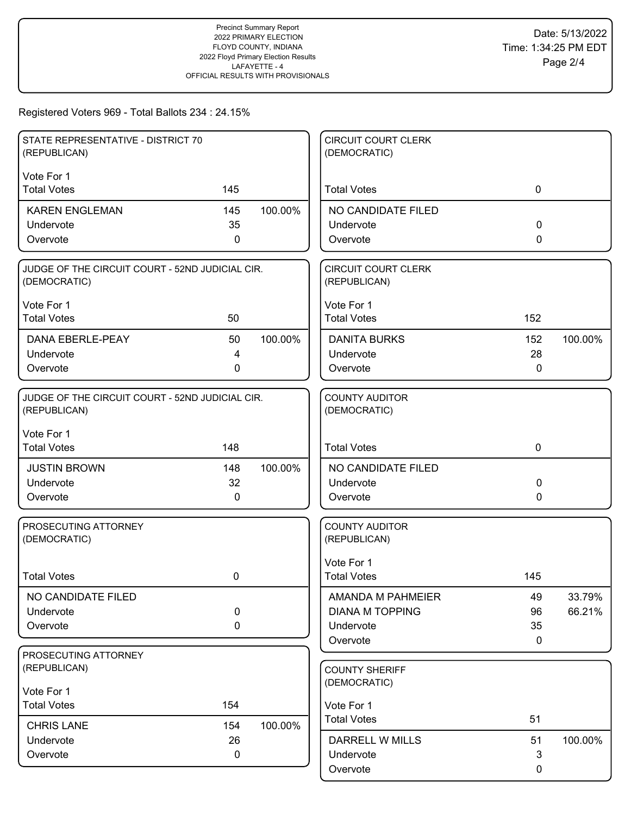# Registered Voters 969 - Total Ballots 234 : 24.15%

| STATE REPRESENTATIVE - DISTRICT 70<br>(REPUBLICAN)              |                   |         | <b>CIRCUIT COURT CLERK</b><br>(DEMOCRATIC) |             |         |
|-----------------------------------------------------------------|-------------------|---------|--------------------------------------------|-------------|---------|
| Vote For 1                                                      |                   |         |                                            |             |         |
| <b>Total Votes</b>                                              | 145               |         | <b>Total Votes</b>                         | 0           |         |
| <b>KAREN ENGLEMAN</b>                                           | 145               | 100.00% | NO CANDIDATE FILED                         |             |         |
| Undervote                                                       | 35                |         | Undervote                                  | $\Omega$    |         |
| Overvote                                                        | 0                 |         | Overvote                                   | $\Omega$    |         |
| JUDGE OF THE CIRCUIT COURT - 52ND JUDICIAL CIR.<br>(DEMOCRATIC) |                   |         | <b>CIRCUIT COURT CLERK</b><br>(REPUBLICAN) |             |         |
| Vote For 1                                                      |                   |         | Vote For 1                                 |             |         |
| <b>Total Votes</b>                                              | 50                |         | <b>Total Votes</b>                         | 152         |         |
| <b>DANA EBERLE-PEAY</b>                                         | 50                | 100.00% | <b>DANITA BURKS</b>                        | 152         | 100.00% |
| Undervote                                                       | 4                 |         | Undervote                                  | 28          |         |
| Overvote                                                        | $\mathbf{0}$      |         | Overvote                                   | 0           |         |
| JUDGE OF THE CIRCUIT COURT - 52ND JUDICIAL CIR.<br>(REPUBLICAN) |                   |         | <b>COUNTY AUDITOR</b><br>(DEMOCRATIC)      |             |         |
| Vote For 1<br><b>Total Votes</b>                                | 148               |         | <b>Total Votes</b>                         | $\mathbf 0$ |         |
|                                                                 |                   |         |                                            |             |         |
| <b>JUSTIN BROWN</b><br>Undervote                                | 148<br>32         | 100.00% | NO CANDIDATE FILED<br>Undervote            | 0           |         |
| Overvote                                                        | 0                 |         | Overvote                                   | 0           |         |
|                                                                 |                   |         |                                            |             |         |
| PROSECUTING ATTORNEY<br>(DEMOCRATIC)                            |                   |         | <b>COUNTY AUDITOR</b><br>(REPUBLICAN)      |             |         |
|                                                                 |                   |         | Vote For 1                                 |             |         |
| <b>Total Votes</b>                                              | 0                 |         | <b>Total Votes</b>                         | 145         |         |
| NO CANDIDATE FILED                                              |                   |         | AMANDA M PAHMEIER                          | 49          | 33.79%  |
| Undervote                                                       | $\mathbf 0$       |         | <b>DIANA M TOPPING</b>                     | 96          | 66.21%  |
| Overvote                                                        | $\pmb{0}$         |         | Undervote                                  | 35          |         |
| PROSECUTING ATTORNEY                                            |                   |         | Overvote                                   | $\mathbf 0$ |         |
| (REPUBLICAN)                                                    |                   |         | <b>COUNTY SHERIFF</b>                      |             |         |
|                                                                 |                   |         | (DEMOCRATIC)                               |             |         |
| Vote For 1<br><b>Total Votes</b>                                | 154               |         |                                            |             |         |
|                                                                 |                   |         | Vote For 1<br><b>Total Votes</b>           | 51          |         |
| <b>CHRIS LANE</b>                                               | 154               | 100.00% |                                            |             |         |
| Undervote<br>Overvote                                           | 26<br>$\mathbf 0$ |         | <b>DARRELL W MILLS</b><br>Undervote        | 51<br>3     | 100.00% |
|                                                                 |                   |         | Overvote                                   | 0           |         |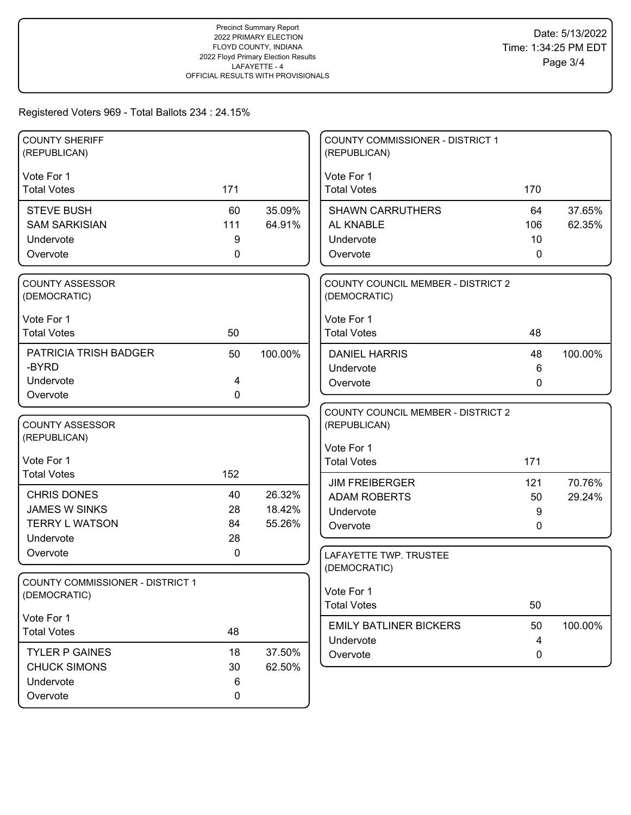# Registered Voters 969 - Total Ballots 234 : 24.15%

| <b>COUNTY SHERIFF</b><br>(REPUBLICAN)   |     |         | <b>COUNTY COMMISSIONER - DISTRICT 1</b><br>(REPUBLICAN) |     |         |
|-----------------------------------------|-----|---------|---------------------------------------------------------|-----|---------|
|                                         |     |         |                                                         |     |         |
| Vote For 1<br><b>Total Votes</b>        | 171 |         | Vote For 1<br><b>Total Votes</b>                        | 170 |         |
|                                         |     |         |                                                         |     |         |
| <b>STEVE BUSH</b>                       | 60  | 35.09%  | <b>SHAWN CARRUTHERS</b>                                 | 64  | 37.65%  |
| <b>SAM SARKISIAN</b>                    | 111 | 64.91%  | AL KNABLE                                               | 106 | 62.35%  |
| Undervote                               | 9   |         | Undervote                                               | 10  |         |
| Overvote                                | 0   |         | Overvote                                                | 0   |         |
| <b>COUNTY ASSESSOR</b>                  |     |         | <b>COUNTY COUNCIL MEMBER - DISTRICT 2</b>               |     |         |
| (DEMOCRATIC)                            |     |         | (DEMOCRATIC)                                            |     |         |
| Vote For 1                              |     |         | Vote For 1                                              |     |         |
| <b>Total Votes</b>                      | 50  |         | <b>Total Votes</b>                                      | 48  |         |
| <b>PATRICIA TRISH BADGER</b>            | 50  | 100.00% | <b>DANIEL HARRIS</b>                                    | 48  | 100.00% |
| -BYRD                                   |     |         | Undervote                                               | 6   |         |
| Undervote                               | 4   |         | Overvote                                                | 0   |         |
| Overvote                                | 0   |         |                                                         |     |         |
| <b>COUNTY ASSESSOR</b>                  |     |         | <b>COUNTY COUNCIL MEMBER - DISTRICT 2</b>               |     |         |
| (REPUBLICAN)                            |     |         | (REPUBLICAN)                                            |     |         |
|                                         |     |         | Vote For 1                                              |     |         |
| Vote For 1                              |     |         | <b>Total Votes</b>                                      | 171 |         |
| <b>Total Votes</b>                      | 152 |         | <b>JIM FREIBERGER</b>                                   | 121 | 70.76%  |
| <b>CHRIS DONES</b>                      | 40  | 26.32%  | <b>ADAM ROBERTS</b>                                     | 50  | 29.24%  |
| <b>JAMES W SINKS</b>                    | 28  | 18.42%  | Undervote                                               | 9   |         |
| <b>TERRY L WATSON</b>                   | 84  | 55.26%  | Overvote                                                | 0   |         |
| Undervote                               | 28  |         |                                                         |     |         |
| Overvote                                | 0   |         | LAFAYETTE TWP. TRUSTEE                                  |     |         |
| <b>COUNTY COMMISSIONER - DISTRICT 1</b> |     |         | (DEMOCRATIC)                                            |     |         |
| (DEMOCRATIC)                            |     |         | Vote For 1                                              |     |         |
|                                         |     |         | <b>Total Votes</b>                                      | 50  |         |
| Vote For 1                              |     |         | <b>EMILY BATLINER BICKERS</b>                           | 50  | 100.00% |
| <b>Total Votes</b>                      | 48  |         | Undervote                                               | 4   |         |
| <b>TYLER P GAINES</b>                   | 18  | 37.50%  | Overvote                                                | 0   |         |
| <b>CHUCK SIMONS</b>                     | 30  | 62.50%  |                                                         |     |         |
| Undervote                               | 6   |         |                                                         |     |         |
| Overvote                                | 0   |         |                                                         |     |         |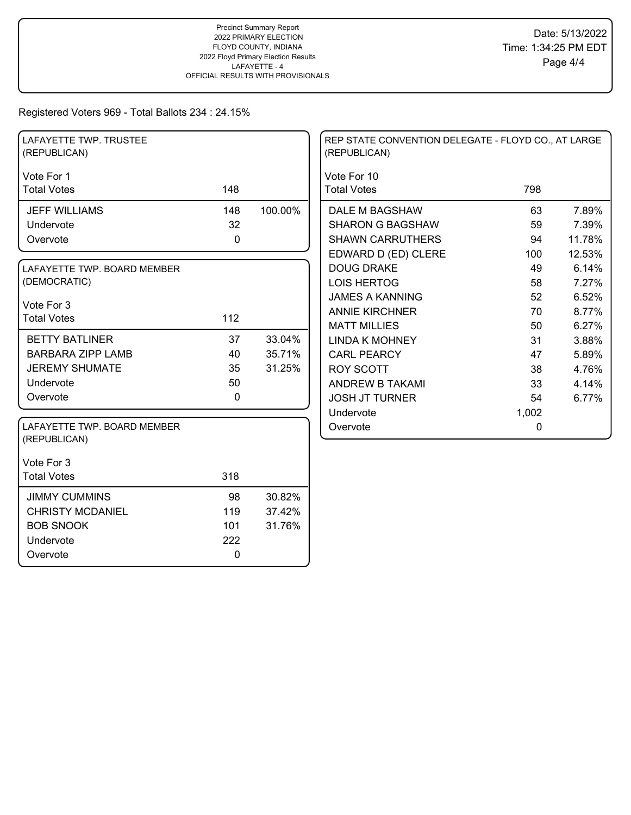# Registered Voters 969 - Total Ballots 234 : 24.15%

| LAFAYETTE TWP. TRUSTEE<br>(REPUBLICAN)      |              |         | REP STATE CONVENTION DELEGATE - FLOYD CO., AT LARGE<br>(REPUBLICAN) |       |        |
|---------------------------------------------|--------------|---------|---------------------------------------------------------------------|-------|--------|
| Vote For 1                                  |              |         | Vote For 10                                                         |       |        |
| <b>Total Votes</b>                          | 148          |         | <b>Total Votes</b>                                                  | 798   |        |
| <b>JEFF WILLIAMS</b>                        | 148          | 100.00% | DALE M BAGSHAW                                                      | 63    | 7.89%  |
| Undervote                                   | 32           |         | <b>SHARON G BAGSHAW</b>                                             | 59    | 7.39%  |
| Overvote                                    | 0            |         | <b>SHAWN CARRUTHERS</b>                                             | 94    | 11.78% |
|                                             |              |         | EDWARD D (ED) CLERE                                                 | 100   | 12.53% |
| LAFAYETTE TWP. BOARD MEMBER                 |              |         | <b>DOUG DRAKE</b>                                                   | 49    | 6.14%  |
| (DEMOCRATIC)                                |              |         | <b>LOIS HERTOG</b>                                                  | 58    | 7.27%  |
| Vote For 3                                  |              |         | <b>JAMES A KANNING</b>                                              | 52    | 6.52%  |
| <b>Total Votes</b>                          | 112          |         | <b>ANNIE KIRCHNER</b>                                               | 70    | 8.77%  |
|                                             |              |         | <b>MATT MILLIES</b>                                                 | 50    | 6.27%  |
| <b>BETTY BATLINER</b>                       | 37           | 33.04%  | <b>LINDA K MOHNEY</b>                                               | 31    | 3.88%  |
| <b>BARBARA ZIPP LAMB</b>                    | 40           | 35.71%  | <b>CARL PEARCY</b>                                                  | 47    | 5.89%  |
| <b>JEREMY SHUMATE</b>                       | 35           | 31.25%  | <b>ROY SCOTT</b>                                                    | 38    | 4.76%  |
| Undervote                                   | 50           |         | <b>ANDREW B TAKAMI</b>                                              | 33    | 4.14%  |
| Overvote                                    | $\mathbf{0}$ |         | <b>JOSH JT TURNER</b>                                               | 54    | 6.77%  |
|                                             |              |         | Undervote                                                           | 1,002 |        |
| LAFAYETTE TWP. BOARD MEMBER<br>(REPUBLICAN) |              |         | Overvote                                                            | 0     |        |
| Vote For 3                                  |              |         |                                                                     |       |        |
| <b>Total Votes</b>                          | 318          |         |                                                                     |       |        |
| <b>JIMMY CUMMINS</b>                        | 98           | 30.82%  |                                                                     |       |        |
| <b>CHRISTY MCDANIEL</b>                     | 119          | 37.42%  |                                                                     |       |        |
| <b>BOB SNOOK</b>                            | 101          | 31.76%  |                                                                     |       |        |
| Undervote                                   | 222          |         |                                                                     |       |        |
| Overvote                                    | $\mathbf 0$  |         |                                                                     |       |        |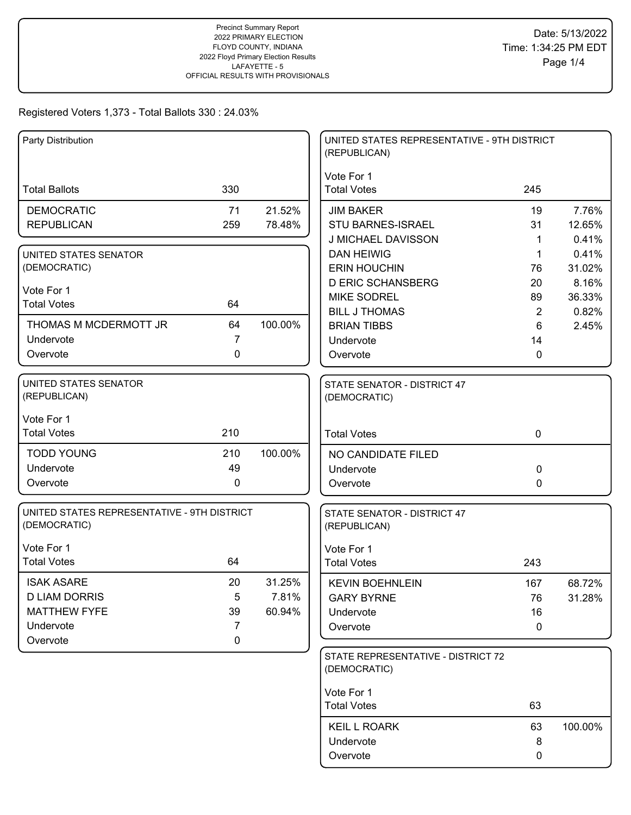| Party Distribution                                          |                |         | UNITED STATES REPRESENTATIVE - 9TH DISTRICT<br>(REPUBLICAN) |                      |                |
|-------------------------------------------------------------|----------------|---------|-------------------------------------------------------------|----------------------|----------------|
| <b>Total Ballots</b>                                        | 330            |         | Vote For 1<br><b>Total Votes</b>                            | 245                  |                |
| <b>DEMOCRATIC</b>                                           | 71             | 21.52%  | <b>JIM BAKER</b>                                            | 19                   | 7.76%          |
| <b>REPUBLICAN</b>                                           | 259            | 78.48%  | STU BARNES-ISRAEL                                           | 31                   | 12.65%         |
|                                                             |                |         | <b>J MICHAEL DAVISSON</b>                                   | 1                    | 0.41%          |
| <b>UNITED STATES SENATOR</b>                                |                |         | <b>DAN HEIWIG</b>                                           | 1                    | 0.41%          |
| (DEMOCRATIC)                                                |                |         | <b>ERIN HOUCHIN</b>                                         | 76                   | 31.02%         |
| Vote For 1                                                  |                |         | <b>D ERIC SCHANSBERG</b>                                    | 20                   | 8.16%          |
| <b>Total Votes</b>                                          | 64             |         | <b>MIKE SODREL</b><br><b>BILL J THOMAS</b>                  | 89<br>$\overline{2}$ | 36.33%         |
| THOMAS M MCDERMOTT JR                                       | 64             | 100.00% | <b>BRIAN TIBBS</b>                                          | 6                    | 0.82%<br>2.45% |
| Undervote                                                   | $\overline{7}$ |         | Undervote                                                   | 14                   |                |
| Overvote                                                    | 0              |         | Overvote                                                    | 0                    |                |
|                                                             |                |         |                                                             |                      |                |
| UNITED STATES SENATOR<br>(REPUBLICAN)                       |                |         | STATE SENATOR - DISTRICT 47<br>(DEMOCRATIC)                 |                      |                |
| Vote For 1                                                  |                |         |                                                             |                      |                |
| <b>Total Votes</b>                                          | 210            |         | <b>Total Votes</b>                                          | $\mathbf 0$          |                |
| <b>TODD YOUNG</b>                                           | 210            | 100.00% | NO CANDIDATE FILED                                          |                      |                |
| Undervote                                                   | 49             |         | Undervote                                                   | 0                    |                |
| Overvote                                                    | 0              |         | Overvote                                                    | 0                    |                |
| UNITED STATES REPRESENTATIVE - 9TH DISTRICT<br>(DEMOCRATIC) |                |         | STATE SENATOR - DISTRICT 47<br>(REPUBLICAN)                 |                      |                |
| Vote For 1                                                  |                |         | Vote For 1                                                  |                      |                |
| <b>Total Votes</b>                                          | 64             |         | <b>Total Votes</b>                                          | 243                  |                |
| <b>ISAK ASARE</b>                                           | 20             | 31.25%  | <b>KEVIN BOEHNLEIN</b>                                      | 167                  | 68.72%         |
| <b>D LIAM DORRIS</b>                                        | 5              | 7.81%   | <b>GARY BYRNE</b>                                           | 76                   | 31.28%         |
| <b>MATTHEW FYFE</b>                                         | 39             | 60.94%  | Undervote                                                   | 16                   |                |
| Undervote                                                   | 7              |         | Overvote                                                    | 0                    |                |
| Overvote                                                    | 0              |         |                                                             |                      |                |
|                                                             |                |         | STATE REPRESENTATIVE - DISTRICT 72<br>(DEMOCRATIC)          |                      |                |
|                                                             |                |         | Vote For 1                                                  |                      |                |
|                                                             |                |         | <b>Total Votes</b>                                          | 63                   |                |
|                                                             |                |         | <b>KEIL L ROARK</b>                                         | 63                   | 100.00%        |
|                                                             |                |         | Undervote                                                   | 8                    |                |
|                                                             |                |         | Overvote                                                    | 0                    |                |
|                                                             |                |         |                                                             |                      |                |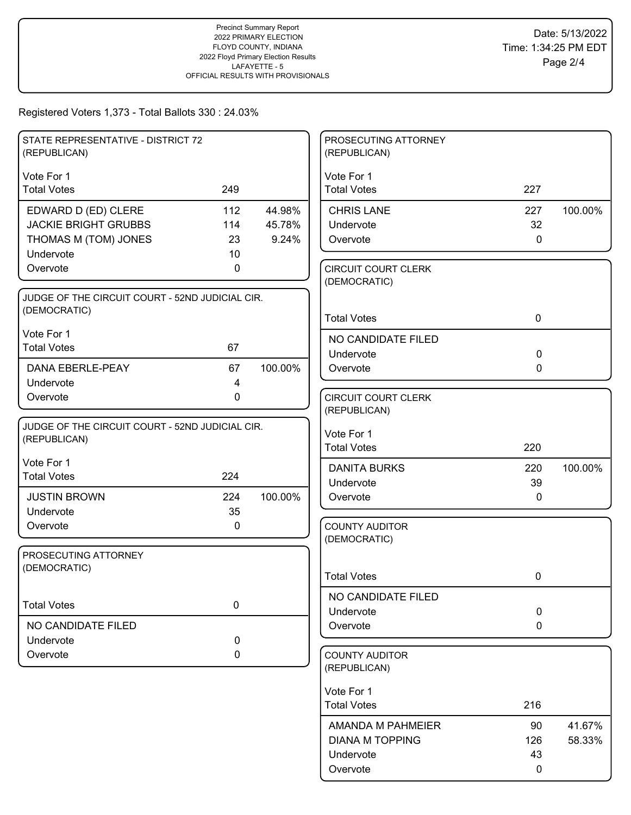| STATE REPRESENTATIVE - DISTRICT 72<br>(REPUBLICAN) |             |         | PROSECUTING ATTORNEY<br>(REPUBLICAN)       |              |         |
|----------------------------------------------------|-------------|---------|--------------------------------------------|--------------|---------|
| Vote For 1                                         |             |         | Vote For 1                                 |              |         |
| <b>Total Votes</b>                                 | 249         |         | <b>Total Votes</b>                         | 227          |         |
| EDWARD D (ED) CLERE                                | 112         | 44.98%  | <b>CHRIS LANE</b>                          | 227          | 100.00% |
| <b>JACKIE BRIGHT GRUBBS</b>                        | 114         | 45.78%  | Undervote                                  | 32           |         |
| THOMAS M (TOM) JONES                               | 23          | 9.24%   | Overvote                                   | $\mathbf 0$  |         |
| Undervote                                          | 10          |         |                                            |              |         |
| Overvote                                           | 0           |         | <b>CIRCUIT COURT CLERK</b><br>(DEMOCRATIC) |              |         |
| JUDGE OF THE CIRCUIT COURT - 52ND JUDICIAL CIR.    |             |         |                                            |              |         |
| (DEMOCRATIC)                                       |             |         | <b>Total Votes</b>                         | $\mathbf 0$  |         |
| Vote For 1                                         |             |         |                                            |              |         |
| <b>Total Votes</b>                                 | 67          |         | NO CANDIDATE FILED                         |              |         |
|                                                    |             |         | Undervote                                  | $\mathbf 0$  |         |
| DANA EBERLE-PEAY<br>Undervote                      | 67<br>4     | 100.00% | Overvote                                   | 0            |         |
| Overvote                                           | $\mathbf 0$ |         | <b>CIRCUIT COURT CLERK</b>                 |              |         |
|                                                    |             |         | (REPUBLICAN)                               |              |         |
| JUDGE OF THE CIRCUIT COURT - 52ND JUDICIAL CIR.    |             |         |                                            |              |         |
| (REPUBLICAN)                                       |             |         | Vote For 1                                 |              |         |
|                                                    |             |         | <b>Total Votes</b>                         | 220          |         |
| Vote For 1<br><b>Total Votes</b>                   | 224         |         | <b>DANITA BURKS</b>                        | 220          | 100.00% |
|                                                    |             |         | Undervote                                  | 39           |         |
| <b>JUSTIN BROWN</b>                                | 224         | 100.00% | Overvote                                   | $\mathbf{0}$ |         |
| Undervote                                          | 35          |         |                                            |              |         |
| Overvote                                           | 0           |         | <b>COUNTY AUDITOR</b><br>(DEMOCRATIC)      |              |         |
| PROSECUTING ATTORNEY                               |             |         |                                            |              |         |
| (DEMOCRATIC)                                       |             |         |                                            |              |         |
|                                                    |             |         | <b>Total Votes</b>                         | 0            |         |
|                                                    |             |         | NO CANDIDATE FILED                         |              |         |
| <b>Total Votes</b>                                 | $\mathbf 0$ |         | Undervote                                  | $\mathbf 0$  |         |
| NO CANDIDATE FILED                                 |             |         | Overvote                                   | $\mathbf 0$  |         |
| Undervote                                          | 0           |         |                                            |              |         |
| Overvote                                           | 0           |         | <b>COUNTY AUDITOR</b><br>(REPUBLICAN)      |              |         |
|                                                    |             |         | Vote For 1                                 |              |         |
|                                                    |             |         | <b>Total Votes</b>                         | 216          |         |
|                                                    |             |         | AMANDA M PAHMEIER                          | 90           | 41.67%  |
|                                                    |             |         | <b>DIANA M TOPPING</b>                     | 126          | 58.33%  |
|                                                    |             |         | Undervote                                  | 43           |         |
|                                                    |             |         | Overvote                                   | 0            |         |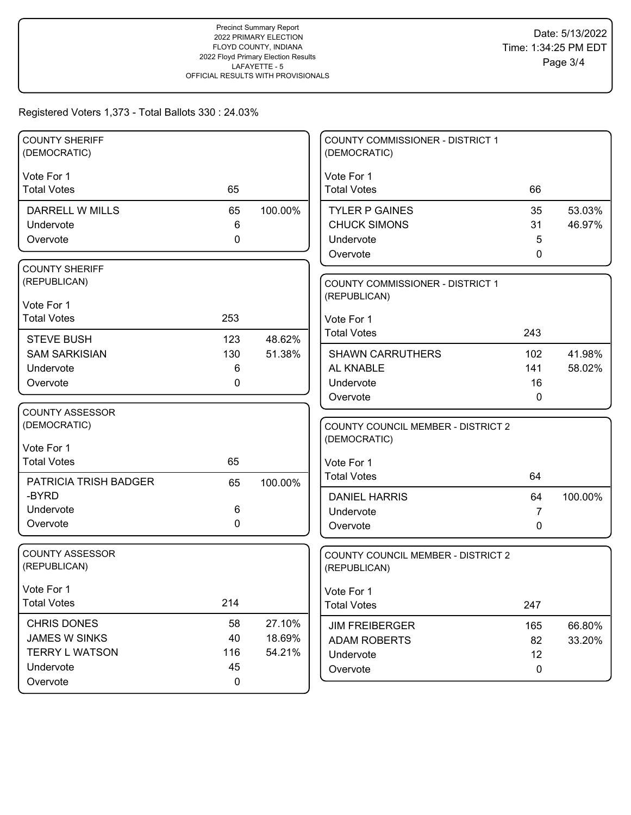| <b>COUNTY SHERIFF</b><br>(DEMOCRATIC) |     |         | COUNTY COMMISSIONER - DISTRICT 1<br>(DEMOCRATIC) |              |                  |
|---------------------------------------|-----|---------|--------------------------------------------------|--------------|------------------|
| Vote For 1                            |     |         | Vote For 1                                       |              |                  |
| <b>Total Votes</b>                    | 65  |         | <b>Total Votes</b>                               | 66           |                  |
| DARRELL W MILLS                       | 65  | 100.00% | <b>TYLER P GAINES</b>                            | 35           | 53.03%           |
| Undervote                             | 6   |         | <b>CHUCK SIMONS</b>                              | 31           | 46.97%           |
| Overvote                              | 0   |         | Undervote                                        | 5            |                  |
|                                       |     |         | Overvote                                         | 0            |                  |
| <b>COUNTY SHERIFF</b>                 |     |         |                                                  |              |                  |
| (REPUBLICAN)                          |     |         | <b>COUNTY COMMISSIONER - DISTRICT 1</b>          |              |                  |
| Vote For 1                            |     |         | (REPUBLICAN)                                     |              |                  |
| <b>Total Votes</b>                    | 253 |         | Vote For 1                                       |              |                  |
| <b>STEVE BUSH</b>                     | 123 | 48.62%  | <b>Total Votes</b>                               | 243          |                  |
| <b>SAM SARKISIAN</b>                  | 130 | 51.38%  | <b>SHAWN CARRUTHERS</b>                          | 102          | 41.98%           |
| Undervote                             | 6   |         | AL KNABLE                                        | 141          | 58.02%           |
| Overvote                              | 0   |         | Undervote                                        | 16           |                  |
|                                       |     |         | Overvote                                         | $\mathbf{0}$ |                  |
| <b>COUNTY ASSESSOR</b>                |     |         |                                                  |              |                  |
| (DEMOCRATIC)                          |     |         | <b>COUNTY COUNCIL MEMBER - DISTRICT 2</b>        |              |                  |
| Vote For 1                            |     |         | (DEMOCRATIC)                                     |              |                  |
| <b>Total Votes</b>                    | 65  |         | Vote For 1                                       |              |                  |
| PATRICIA TRISH BADGER                 |     | 100.00% | <b>Total Votes</b>                               | 64           |                  |
| -BYRD                                 | 65  |         | <b>DANIEL HARRIS</b>                             | 64           | 100.00%          |
| Undervote                             | 6   |         | Undervote                                        | 7            |                  |
| Overvote                              | 0   |         | Overvote                                         | $\Omega$     |                  |
|                                       |     |         |                                                  |              |                  |
| <b>COUNTY ASSESSOR</b>                |     |         | <b>COUNTY COUNCIL MEMBER - DISTRICT 2</b>        |              |                  |
| (REPUBLICAN)                          |     |         | (REPUBLICAN)                                     |              |                  |
| Vote For 1                            |     |         | Vote For 1                                       |              |                  |
| <b>Total Votes</b>                    | 214 |         | <b>Total Votes</b>                               | 247          |                  |
| <b>CHRIS DONES</b>                    | 58  | 27.10%  | <b>JIM FREIBERGER</b>                            |              |                  |
| <b>JAMES W SINKS</b>                  | 40  | 18.69%  | <b>ADAM ROBERTS</b>                              | 165<br>82    | 66.80%<br>33.20% |
| <b>TERRY L WATSON</b>                 | 116 | 54.21%  | Undervote                                        | 12           |                  |
| Undervote                             | 45  |         | Overvote                                         | $\mathbf 0$  |                  |
|                                       |     |         |                                                  |              |                  |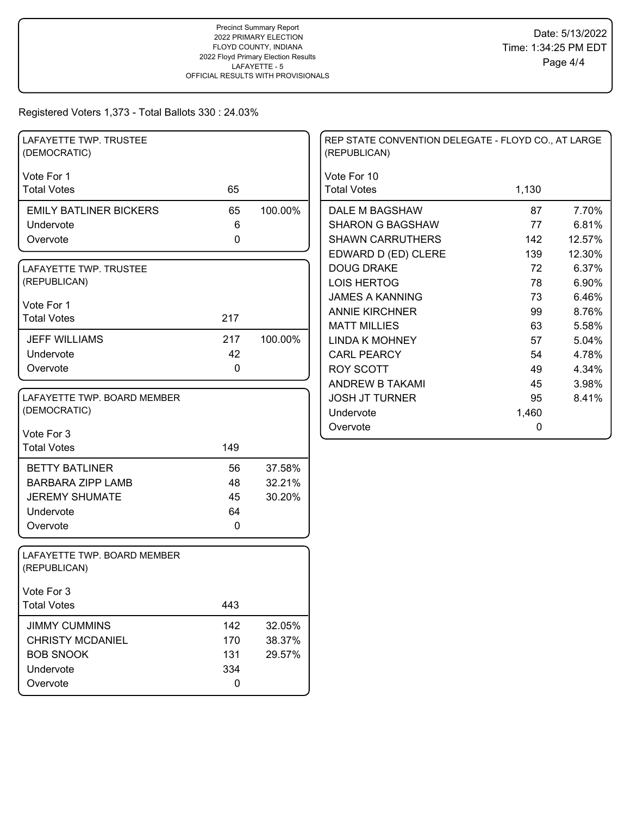| LAFAYETTE TWP. TRUSTEE<br>(DEMOCRATIC)      |              |         | REP STATE CONVENTION DELEGATE - FLOYD CO., AT LARGE<br>(REPUBLICAN) |       |        |
|---------------------------------------------|--------------|---------|---------------------------------------------------------------------|-------|--------|
| Vote For 1                                  |              |         | Vote For 10                                                         |       |        |
| <b>Total Votes</b>                          | 65           |         | <b>Total Votes</b>                                                  | 1,130 |        |
| <b>EMILY BATLINER BICKERS</b>               | 65           | 100.00% | DALE M BAGSHAW                                                      | 87    | 7.70%  |
| Undervote                                   | 6            |         | <b>SHARON G BAGSHAW</b>                                             | 77    | 6.81%  |
| Overvote                                    | $\pmb{0}$    |         | <b>SHAWN CARRUTHERS</b>                                             | 142   | 12.57% |
|                                             |              |         | EDWARD D (ED) CLERE                                                 | 139   | 12.30% |
| LAFAYETTE TWP. TRUSTEE                      |              |         | <b>DOUG DRAKE</b>                                                   | 72    | 6.37%  |
| (REPUBLICAN)                                |              |         | <b>LOIS HERTOG</b>                                                  | 78    | 6.90%  |
| Vote For 1                                  |              |         | <b>JAMES A KANNING</b>                                              | 73    | 6.46%  |
| <b>Total Votes</b>                          | 217          |         | <b>ANNIE KIRCHNER</b>                                               | 99    | 8.76%  |
|                                             |              |         | <b>MATT MILLIES</b>                                                 | 63    | 5.58%  |
| <b>JEFF WILLIAMS</b>                        | 217          | 100.00% | <b>LINDA K MOHNEY</b>                                               | 57    | 5.04%  |
| Undervote                                   | 42           |         | <b>CARL PEARCY</b>                                                  | 54    | 4.78%  |
| Overvote                                    | $\mathbf 0$  |         | <b>ROY SCOTT</b>                                                    | 49    | 4.34%  |
|                                             |              |         | <b>ANDREW B TAKAMI</b>                                              | 45    | 3.98%  |
| LAFAYETTE TWP. BOARD MEMBER                 |              |         | <b>JOSH JT TURNER</b>                                               | 95    | 8.41%  |
| (DEMOCRATIC)                                |              |         | Undervote                                                           | 1,460 |        |
| Vote For 3                                  |              |         | Overvote                                                            | 0     |        |
| <b>Total Votes</b>                          | 149          |         |                                                                     |       |        |
| <b>BETTY BATLINER</b>                       | 56           | 37.58%  |                                                                     |       |        |
| <b>BARBARA ZIPP LAMB</b>                    | 48           | 32.21%  |                                                                     |       |        |
| <b>JEREMY SHUMATE</b>                       | 45           | 30.20%  |                                                                     |       |        |
| Undervote                                   | 64           |         |                                                                     |       |        |
| Overvote                                    | $\mathbf{0}$ |         |                                                                     |       |        |
|                                             |              |         |                                                                     |       |        |
| LAFAYETTE TWP. BOARD MEMBER<br>(REPUBLICAN) |              |         |                                                                     |       |        |
| Vote For 3                                  |              |         |                                                                     |       |        |
| <b>Total Votes</b>                          | 443          |         |                                                                     |       |        |
| <b>JIMMY CUMMINS</b>                        | 142          | 32.05%  |                                                                     |       |        |
| <b>CHRISTY MCDANIEL</b>                     | 170          | 38.37%  |                                                                     |       |        |
| <b>BOB SNOOK</b>                            | 131          | 29.57%  |                                                                     |       |        |
| Undervote                                   | 334          |         |                                                                     |       |        |
| Overvote                                    | $\pmb{0}$    |         |                                                                     |       |        |
|                                             |              |         |                                                                     |       |        |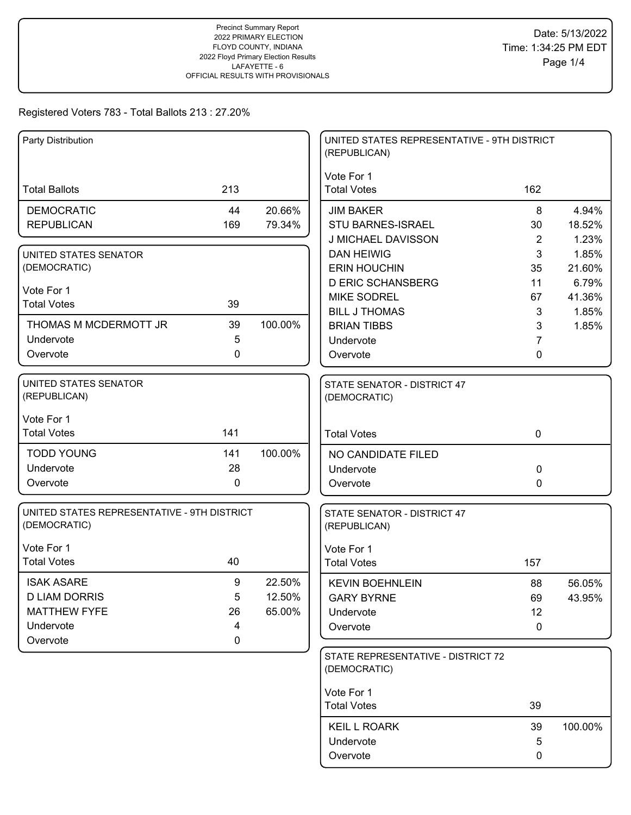| Party Distribution                           |     |         | UNITED STATES REPRESENTATIVE - 9TH DISTRICT<br>(REPUBLICAN) |                |         |
|----------------------------------------------|-----|---------|-------------------------------------------------------------|----------------|---------|
|                                              |     |         | Vote For 1                                                  |                |         |
| <b>Total Ballots</b>                         | 213 |         | <b>Total Votes</b>                                          | 162            |         |
| <b>DEMOCRATIC</b>                            | 44  | 20.66%  | <b>JIM BAKER</b>                                            | 8              | 4.94%   |
| <b>REPUBLICAN</b>                            | 169 | 79.34%  | <b>STU BARNES-ISRAEL</b>                                    | 30             | 18.52%  |
|                                              |     |         | J MICHAEL DAVISSON                                          | $\overline{2}$ | 1.23%   |
| UNITED STATES SENATOR                        |     |         | <b>DAN HEIWIG</b>                                           | 3              | 1.85%   |
| (DEMOCRATIC)                                 |     |         | <b>ERIN HOUCHIN</b>                                         | 35             | 21.60%  |
| Vote For 1                                   |     |         | <b>D ERIC SCHANSBERG</b>                                    | 11             | 6.79%   |
| <b>Total Votes</b>                           | 39  |         | <b>MIKE SODREL</b>                                          | 67             | 41.36%  |
|                                              |     |         | <b>BILL J THOMAS</b>                                        | 3              | 1.85%   |
| THOMAS M MCDERMOTT JR                        | 39  | 100.00% | <b>BRIAN TIBBS</b>                                          | 3              | 1.85%   |
| Undervote                                    | 5   |         | Undervote                                                   | 7              |         |
| Overvote                                     | 0   |         | Overvote                                                    | 0              |         |
| <b>UNITED STATES SENATOR</b><br>(REPUBLICAN) |     |         | STATE SENATOR - DISTRICT 47                                 |                |         |
|                                              |     |         | (DEMOCRATIC)                                                |                |         |
| Vote For 1                                   |     |         |                                                             |                |         |
| <b>Total Votes</b>                           | 141 |         | <b>Total Votes</b>                                          | $\mathbf 0$    |         |
| <b>TODD YOUNG</b>                            | 141 | 100.00% | NO CANDIDATE FILED                                          |                |         |
| Undervote                                    | 28  |         | Undervote                                                   | $\Omega$       |         |
| Overvote                                     | 0   |         | Overvote                                                    | 0              |         |
| UNITED STATES REPRESENTATIVE - 9TH DISTRICT  |     |         | STATE SENATOR - DISTRICT 47                                 |                |         |
| (DEMOCRATIC)                                 |     |         | (REPUBLICAN)                                                |                |         |
| Vote For 1                                   |     |         | Vote For 1                                                  |                |         |
| <b>Total Votes</b>                           | 40  |         | <b>Total Votes</b>                                          | 157            |         |
| <b>ISAK ASARE</b>                            | 9   | 22.50%  | <b>KEVIN BOEHNLEIN</b>                                      | 88             | 56.05%  |
| <b>D LIAM DORRIS</b>                         | 5   | 12.50%  | <b>GARY BYRNE</b>                                           | 69             | 43.95%  |
| <b>MATTHEW FYFE</b>                          | 26  | 65.00%  | Undervote                                                   | 12             |         |
| Undervote                                    | 4   |         | Overvote                                                    | 0              |         |
| Overvote                                     | 0   |         |                                                             |                |         |
|                                              |     |         | STATE REPRESENTATIVE - DISTRICT 72<br>(DEMOCRATIC)          |                |         |
|                                              |     |         | Vote For 1                                                  |                |         |
|                                              |     |         | <b>Total Votes</b>                                          | 39             |         |
|                                              |     |         | <b>KEIL L ROARK</b>                                         | 39             | 100.00% |
|                                              |     |         | Undervote                                                   | 5              |         |
|                                              |     |         | Overvote                                                    | 0              |         |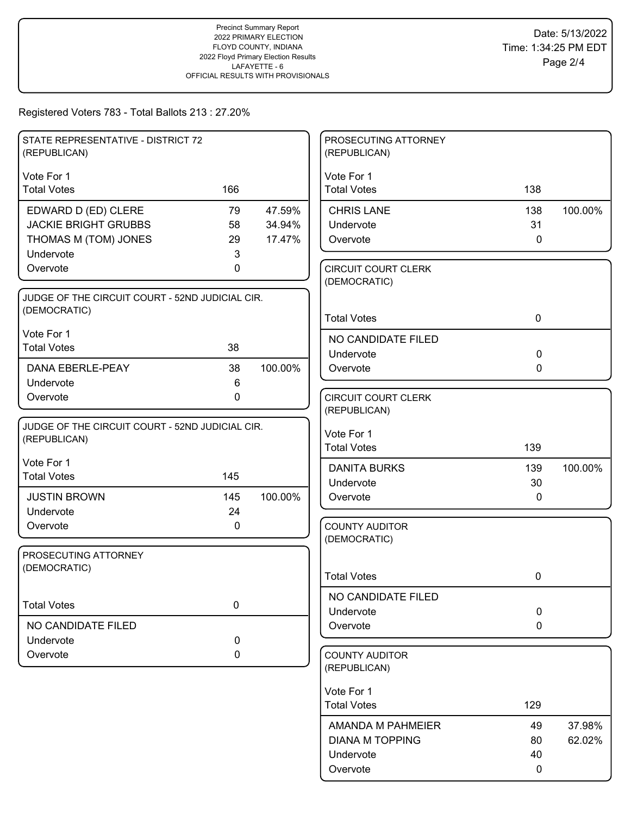| STATE REPRESENTATIVE - DISTRICT 72                              |           |         | PROSECUTING ATTORNEY                  |              |         |
|-----------------------------------------------------------------|-----------|---------|---------------------------------------|--------------|---------|
| (REPUBLICAN)                                                    |           |         | (REPUBLICAN)                          |              |         |
| Vote For 1                                                      |           |         | Vote For 1                            |              |         |
| <b>Total Votes</b>                                              | 166       |         | <b>Total Votes</b>                    | 138          |         |
| EDWARD D (ED) CLERE                                             | 79        | 47.59%  | <b>CHRIS LANE</b>                     | 138          | 100.00% |
| <b>JACKIE BRIGHT GRUBBS</b>                                     | 58        | 34.94%  | Undervote                             | 31           |         |
| THOMAS M (TOM) JONES                                            | 29        | 17.47%  | Overvote                              | $\mathbf 0$  |         |
| Undervote<br>Overvote                                           | 3<br>0    |         | <b>CIRCUIT COURT CLERK</b>            |              |         |
|                                                                 |           |         | (DEMOCRATIC)                          |              |         |
| JUDGE OF THE CIRCUIT COURT - 52ND JUDICIAL CIR.                 |           |         |                                       |              |         |
| (DEMOCRATIC)                                                    |           |         | <b>Total Votes</b>                    | $\mathbf 0$  |         |
| Vote For 1                                                      |           |         | NO CANDIDATE FILED                    |              |         |
| <b>Total Votes</b>                                              | 38        |         | Undervote                             | $\mathbf 0$  |         |
| <b>DANA EBERLE-PEAY</b>                                         | 38        | 100.00% | Overvote                              | $\mathbf{0}$ |         |
| Undervote                                                       | 6         |         |                                       |              |         |
| Overvote                                                        | 0         |         | <b>CIRCUIT COURT CLERK</b>            |              |         |
|                                                                 |           |         | (REPUBLICAN)                          |              |         |
| JUDGE OF THE CIRCUIT COURT - 52ND JUDICIAL CIR.<br>(REPUBLICAN) |           |         | Vote For 1                            |              |         |
|                                                                 |           |         | <b>Total Votes</b>                    | 139          |         |
| Vote For 1                                                      |           |         | <b>DANITA BURKS</b>                   | 139          | 100.00% |
| <b>Total Votes</b>                                              | 145       |         | Undervote                             | 30           |         |
| <b>JUSTIN BROWN</b>                                             | 145       | 100.00% | Overvote                              | 0            |         |
| Undervote                                                       | 24        |         |                                       |              |         |
| Overvote                                                        | 0         |         | <b>COUNTY AUDITOR</b><br>(DEMOCRATIC) |              |         |
| PROSECUTING ATTORNEY                                            |           |         |                                       |              |         |
| (DEMOCRATIC)                                                    |           |         |                                       |              |         |
|                                                                 |           |         | <b>Total Votes</b>                    | 0            |         |
| <b>Total Votes</b>                                              | 0         |         | NO CANDIDATE FILED                    |              |         |
|                                                                 |           |         | Undervote                             | $\mathbf 0$  |         |
| NO CANDIDATE FILED                                              | $\pmb{0}$ |         | Overvote                              | $\mathbf 0$  |         |
| Undervote<br>Overvote                                           | 0         |         | <b>COUNTY AUDITOR</b>                 |              |         |
|                                                                 |           |         | (REPUBLICAN)                          |              |         |
|                                                                 |           |         | Vote For 1                            |              |         |
|                                                                 |           |         | <b>Total Votes</b>                    | 129          |         |
|                                                                 |           |         | AMANDA M PAHMEIER                     | 49           | 37.98%  |
|                                                                 |           |         | <b>DIANA M TOPPING</b>                | 80           | 62.02%  |
|                                                                 |           |         | Undervote                             | 40           |         |
|                                                                 |           |         | Overvote                              | 0            |         |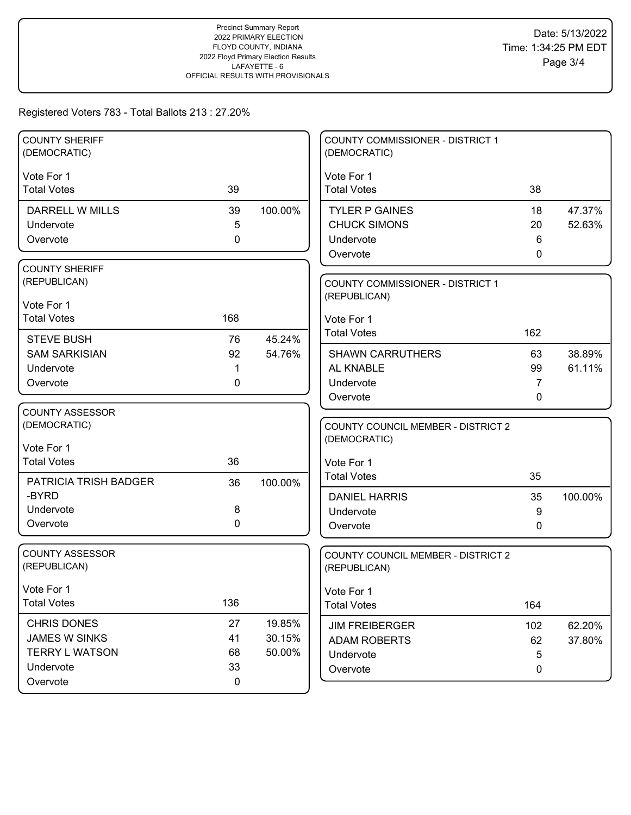| <b>COUNTY SHERIFF</b><br>(DEMOCRATIC) |             |         | <b>COUNTY COMMISSIONER - DISTRICT 1</b><br>(DEMOCRATIC) |        |         |
|---------------------------------------|-------------|---------|---------------------------------------------------------|--------|---------|
| Vote For 1                            |             |         | Vote For 1                                              |        |         |
| <b>Total Votes</b>                    | 39          |         | <b>Total Votes</b>                                      | 38     |         |
| DARRELL W MILLS                       | 39          | 100.00% | <b>TYLER P GAINES</b>                                   | 18     | 47.37%  |
| Undervote                             | 5           |         | <b>CHUCK SIMONS</b>                                     | 20     | 52.63%  |
| Overvote                              | 0           |         | Undervote                                               | 6      |         |
|                                       |             |         | Overvote                                                | 0      |         |
| <b>COUNTY SHERIFF</b>                 |             |         |                                                         |        |         |
| (REPUBLICAN)                          |             |         | <b>COUNTY COMMISSIONER - DISTRICT 1</b>                 |        |         |
| Vote For 1                            |             |         | (REPUBLICAN)                                            |        |         |
| <b>Total Votes</b>                    | 168         |         | Vote For 1                                              |        |         |
| <b>STEVE BUSH</b>                     | 76          | 45.24%  | <b>Total Votes</b>                                      | 162    |         |
| <b>SAM SARKISIAN</b>                  | 92          | 54.76%  | <b>SHAWN CARRUTHERS</b>                                 | 63     | 38.89%  |
| Undervote                             | 1           |         | AL KNABLE                                               | 99     | 61.11%  |
| Overvote                              | 0           |         | Undervote                                               | 7      |         |
|                                       |             |         | Overvote                                                | 0      |         |
| <b>COUNTY ASSESSOR</b>                |             |         |                                                         |        |         |
| (DEMOCRATIC)                          |             |         | <b>COUNTY COUNCIL MEMBER - DISTRICT 2</b>               |        |         |
| Vote For 1                            |             |         | (DEMOCRATIC)                                            |        |         |
| <b>Total Votes</b>                    | 36          |         | Vote For 1                                              |        |         |
| <b>PATRICIA TRISH BADGER</b>          | 36          | 100.00% | <b>Total Votes</b>                                      | 35     |         |
| -BYRD                                 |             |         | <b>DANIEL HARRIS</b>                                    | 35     | 100.00% |
| Undervote                             | 8           |         | Undervote                                               | 9      |         |
| Overvote                              | $\mathbf 0$ |         | Overvote                                                | 0      |         |
|                                       |             |         |                                                         |        |         |
| <b>COUNTY ASSESSOR</b>                |             |         | COUNTY COUNCIL MEMBER - DISTRICT 2                      |        |         |
| (REPUBLICAN)                          |             |         | (REPUBLICAN)                                            |        |         |
| Vote For 1                            |             |         | Vote For 1                                              |        |         |
| <b>Total Votes</b>                    | 136         |         | <b>Total Votes</b>                                      | 164    |         |
| <b>CHRIS DONES</b>                    | 27          | 19.85%  |                                                         |        |         |
| JAMES W SINKS                         | 41          | 30.15%  | <b>JIM FREIBERGER</b>                                   | 102    | 62.20%  |
| <b>TERRY L WATSON</b>                 | 68          | 50.00%  | ADAM ROBERTS                                            | 62     | 37.80%  |
| Undervote                             | 33          |         | Undervote<br>Overvote                                   | 5<br>0 |         |
| Overvote                              | $\mathbf 0$ |         |                                                         |        |         |
|                                       |             |         |                                                         |        |         |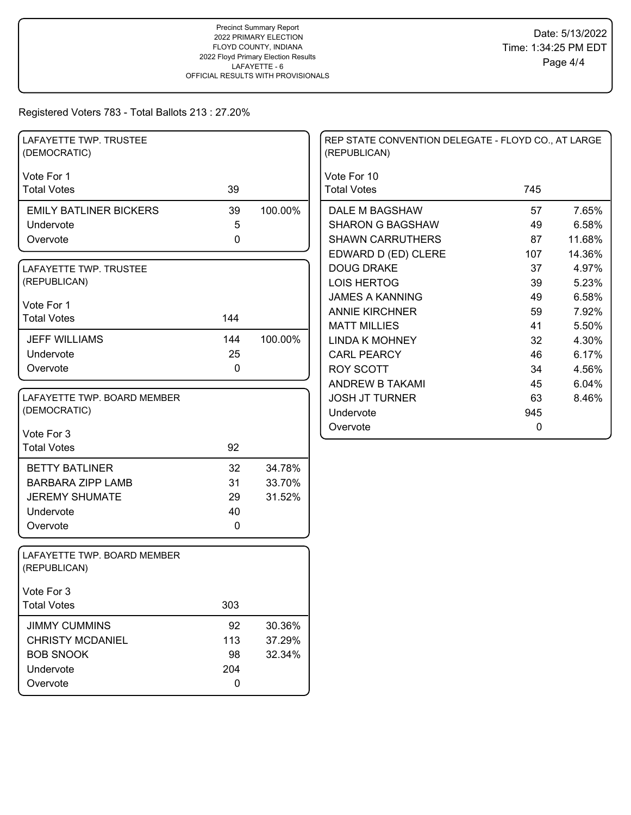| LAFAYETTE TWP. TRUSTEE<br>(DEMOCRATIC)      |     |         | REP STATE CONVENTION DELEGATE - FLOYD CO., AT LARGE<br>(REPUBLICAN) |     |        |
|---------------------------------------------|-----|---------|---------------------------------------------------------------------|-----|--------|
| Vote For 1                                  |     |         | Vote For 10                                                         |     |        |
| <b>Total Votes</b>                          | 39  |         | <b>Total Votes</b>                                                  | 745 |        |
| <b>EMILY BATLINER BICKERS</b>               | 39  | 100.00% | DALE M BAGSHAW                                                      | 57  | 7.65%  |
| Undervote                                   | 5   |         | <b>SHARON G BAGSHAW</b>                                             | 49  | 6.58%  |
| Overvote                                    | 0   |         | <b>SHAWN CARRUTHERS</b>                                             | 87  | 11.68% |
|                                             |     |         | EDWARD D (ED) CLERE                                                 | 107 | 14.36% |
| LAFAYETTE TWP. TRUSTEE                      |     |         | <b>DOUG DRAKE</b>                                                   | 37  | 4.97%  |
| (REPUBLICAN)                                |     |         | <b>LOIS HERTOG</b>                                                  | 39  | 5.23%  |
|                                             |     |         | <b>JAMES A KANNING</b>                                              | 49  | 6.58%  |
| Vote For 1<br><b>Total Votes</b>            | 144 |         | <b>ANNIE KIRCHNER</b>                                               | 59  | 7.92%  |
|                                             |     |         | <b>MATT MILLIES</b>                                                 | 41  | 5.50%  |
| <b>JEFF WILLIAMS</b>                        | 144 | 100.00% | <b>LINDA K MOHNEY</b>                                               | 32  | 4.30%  |
| Undervote                                   | 25  |         | <b>CARL PEARCY</b>                                                  | 46  | 6.17%  |
| Overvote                                    | 0   |         | <b>ROY SCOTT</b>                                                    | 34  | 4.56%  |
|                                             |     |         | ANDREW B TAKAMI                                                     | 45  | 6.04%  |
| LAFAYETTE TWP. BOARD MEMBER                 |     |         | <b>JOSH JT TURNER</b>                                               | 63  | 8.46%  |
| (DEMOCRATIC)                                |     |         | Undervote                                                           | 945 |        |
| Vote For 3                                  |     |         | Overvote                                                            | 0   |        |
| <b>Total Votes</b>                          | 92  |         |                                                                     |     |        |
|                                             |     |         |                                                                     |     |        |
| <b>BETTY BATLINER</b>                       | 32  | 34.78%  |                                                                     |     |        |
| <b>BARBARA ZIPP LAMB</b>                    | 31  | 33.70%  |                                                                     |     |        |
| <b>JEREMY SHUMATE</b>                       | 29  | 31.52%  |                                                                     |     |        |
| Undervote                                   | 40  |         |                                                                     |     |        |
| Overvote                                    | 0   |         |                                                                     |     |        |
| LAFAYETTE TWP. BOARD MEMBER<br>(REPUBLICAN) |     |         |                                                                     |     |        |
| Vote For 3                                  |     |         |                                                                     |     |        |
| <b>Total Votes</b>                          | 303 |         |                                                                     |     |        |
| <b>JIMMY CUMMINS</b>                        | 92  | 30.36%  |                                                                     |     |        |
| <b>CHRISTY MCDANIEL</b>                     | 113 | 37.29%  |                                                                     |     |        |
| <b>BOB SNOOK</b>                            | 98  | 32.34%  |                                                                     |     |        |
| Undervote                                   | 204 |         |                                                                     |     |        |
| Overvote                                    | 0   |         |                                                                     |     |        |
|                                             |     |         |                                                                     |     |        |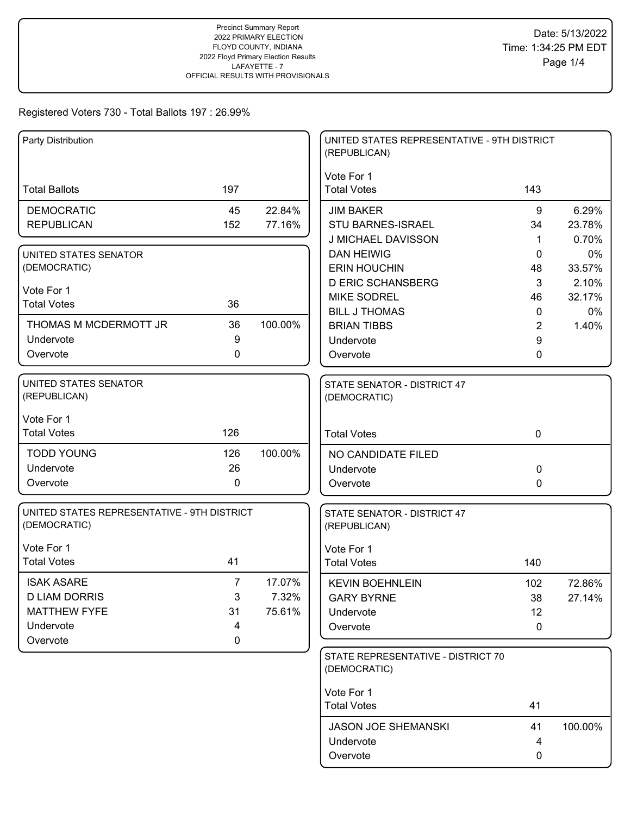| Party Distribution                                                                        |                                     |                           | UNITED STATES REPRESENTATIVE - 9TH DISTRICT<br>(REPUBLICAN)            |                          |                       |
|-------------------------------------------------------------------------------------------|-------------------------------------|---------------------------|------------------------------------------------------------------------|--------------------------|-----------------------|
| <b>Total Ballots</b>                                                                      | 197                                 |                           | Vote For 1<br><b>Total Votes</b>                                       | 143                      |                       |
| <b>DEMOCRATIC</b><br><b>REPUBLICAN</b>                                                    | 45<br>152                           | 22.84%<br>77.16%          | <b>JIM BAKER</b><br><b>STU BARNES-ISRAEL</b>                           | 9<br>34                  | 6.29%<br>23.78%       |
| UNITED STATES SENATOR<br>(DEMOCRATIC)                                                     |                                     |                           | J MICHAEL DAVISSON<br><b>DAN HEIWIG</b><br><b>ERIN HOUCHIN</b>         | 1<br>0<br>48             | 0.70%<br>0%<br>33.57% |
| Vote For 1<br><b>Total Votes</b>                                                          | 36                                  |                           | <b>D ERIC SCHANSBERG</b><br><b>MIKE SODREL</b><br><b>BILL J THOMAS</b> | 3<br>46<br>$\mathbf 0$   | 2.10%<br>32.17%<br>0% |
| THOMAS M MCDERMOTT JR<br>Undervote<br>Overvote                                            | 36<br>9<br>0                        | 100.00%                   | <b>BRIAN TIBBS</b><br>Undervote<br>Overvote                            | $\overline{2}$<br>9<br>0 | 1.40%                 |
| UNITED STATES SENATOR<br>(REPUBLICAN)                                                     |                                     |                           | STATE SENATOR - DISTRICT 47<br>(DEMOCRATIC)                            |                          |                       |
| Vote For 1<br><b>Total Votes</b>                                                          | 126                                 |                           | <b>Total Votes</b>                                                     | $\mathbf 0$              |                       |
| <b>TODD YOUNG</b><br>Undervote<br>Overvote                                                | 126<br>26<br>$\mathbf 0$            | 100.00%                   | NO CANDIDATE FILED<br>Undervote<br>Overvote                            | 0<br>0                   |                       |
| UNITED STATES REPRESENTATIVE - 9TH DISTRICT<br>(DEMOCRATIC)                               |                                     |                           | STATE SENATOR - DISTRICT 47<br>(REPUBLICAN)                            |                          |                       |
| Vote For 1<br><b>Total Votes</b>                                                          | 41                                  |                           | Vote For 1<br><b>Total Votes</b>                                       | 140                      |                       |
| <b>ISAK ASARE</b><br><b>D LIAM DORRIS</b><br><b>MATTHEW FYFE</b><br>Undervote<br>Overvote | $\overline{7}$<br>3<br>31<br>4<br>0 | 17.07%<br>7.32%<br>75.61% | <b>KEVIN BOEHNLEIN</b><br><b>GARY BYRNE</b><br>Undervote<br>Overvote   | 102<br>38<br>12<br>0     | 72.86%<br>27.14%      |
|                                                                                           |                                     |                           | STATE REPRESENTATIVE - DISTRICT 70<br>(DEMOCRATIC)                     |                          |                       |
|                                                                                           |                                     |                           | Vote For 1<br><b>Total Votes</b>                                       | 41                       |                       |
|                                                                                           |                                     |                           | <b>JASON JOE SHEMANSKI</b><br>Undervote<br>Overvote                    | 41<br>4<br>0             | 100.00%               |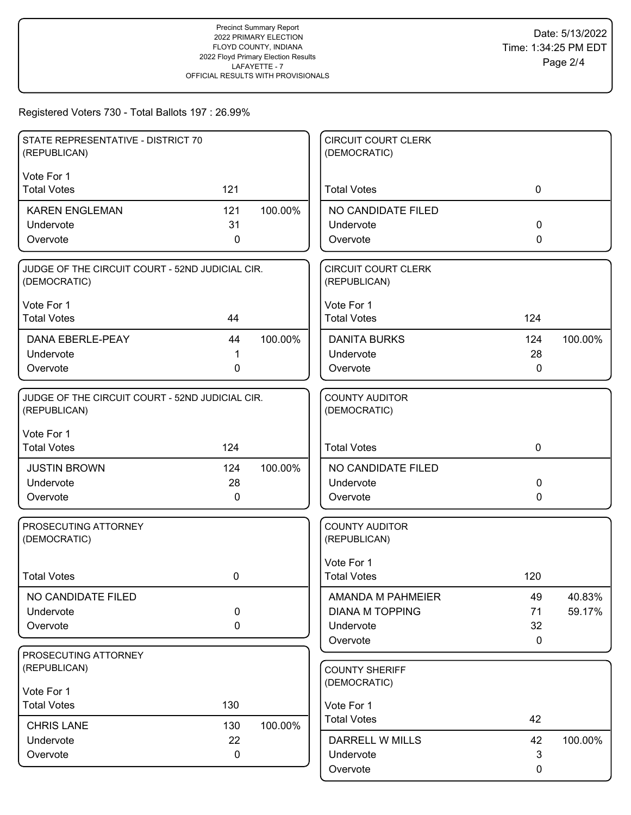| STATE REPRESENTATIVE - DISTRICT 70<br>(REPUBLICAN)              |     |         | <b>CIRCUIT COURT CLERK</b><br>(DEMOCRATIC) |              |         |
|-----------------------------------------------------------------|-----|---------|--------------------------------------------|--------------|---------|
| Vote For 1                                                      |     |         |                                            |              |         |
| <b>Total Votes</b>                                              | 121 |         | <b>Total Votes</b>                         | $\mathbf 0$  |         |
| <b>KAREN ENGLEMAN</b>                                           | 121 | 100.00% | NO CANDIDATE FILED                         |              |         |
| Undervote                                                       | 31  |         | Undervote                                  | 0            |         |
| Overvote                                                        | 0   |         | Overvote                                   | 0            |         |
| JUDGE OF THE CIRCUIT COURT - 52ND JUDICIAL CIR.<br>(DEMOCRATIC) |     |         | <b>CIRCUIT COURT CLERK</b><br>(REPUBLICAN) |              |         |
| Vote For 1                                                      |     |         | Vote For 1                                 |              |         |
| <b>Total Votes</b>                                              | 44  |         | <b>Total Votes</b>                         | 124          |         |
| <b>DANA EBERLE-PEAY</b>                                         | 44  | 100.00% | <b>DANITA BURKS</b>                        | 124          | 100.00% |
| Undervote                                                       | 1   |         | Undervote                                  | 28           |         |
| Overvote                                                        | 0   |         | Overvote                                   | $\mathbf{0}$ |         |
| JUDGE OF THE CIRCUIT COURT - 52ND JUDICIAL CIR.<br>(REPUBLICAN) |     |         | <b>COUNTY AUDITOR</b><br>(DEMOCRATIC)      |              |         |
| Vote For 1<br><b>Total Votes</b>                                | 124 |         | <b>Total Votes</b>                         | $\mathbf 0$  |         |
| <b>JUSTIN BROWN</b>                                             | 124 | 100.00% | NO CANDIDATE FILED                         |              |         |
| Undervote                                                       | 28  |         | Undervote                                  | 0            |         |
| Overvote                                                        | 0   |         | Overvote                                   | 0            |         |
| PROSECUTING ATTORNEY<br>(DEMOCRATIC)                            |     |         | <b>COUNTY AUDITOR</b><br>(REPUBLICAN)      |              |         |
|                                                                 |     |         | Vote For 1                                 |              |         |
| <b>Total Votes</b>                                              | 0   |         | <b>Total Votes</b>                         | 120          |         |
| NO CANDIDATE FILED                                              |     |         | AMANDA M PAHMEIER                          | 49           | 40.83%  |
| Undervote                                                       | 0   |         | <b>DIANA M TOPPING</b>                     | 71           | 59.17%  |
| Overvote                                                        | 0   |         | Undervote<br>Overvote                      | 32<br>0      |         |
| PROSECUTING ATTORNEY                                            |     |         |                                            |              |         |
| (REPUBLICAN)                                                    |     |         | <b>COUNTY SHERIFF</b>                      |              |         |
| Vote For 1                                                      |     |         | (DEMOCRATIC)                               |              |         |
| <b>Total Votes</b>                                              | 130 |         | Vote For 1                                 |              |         |
| <b>CHRIS LANE</b>                                               | 130 | 100.00% | <b>Total Votes</b>                         | 42           |         |
| Undervote                                                       | 22  |         | DARRELL W MILLS                            | 42           | 100.00% |
| Overvote                                                        | 0   |         | Undervote                                  | 3            |         |
|                                                                 |     |         | Overvote                                   | 0            |         |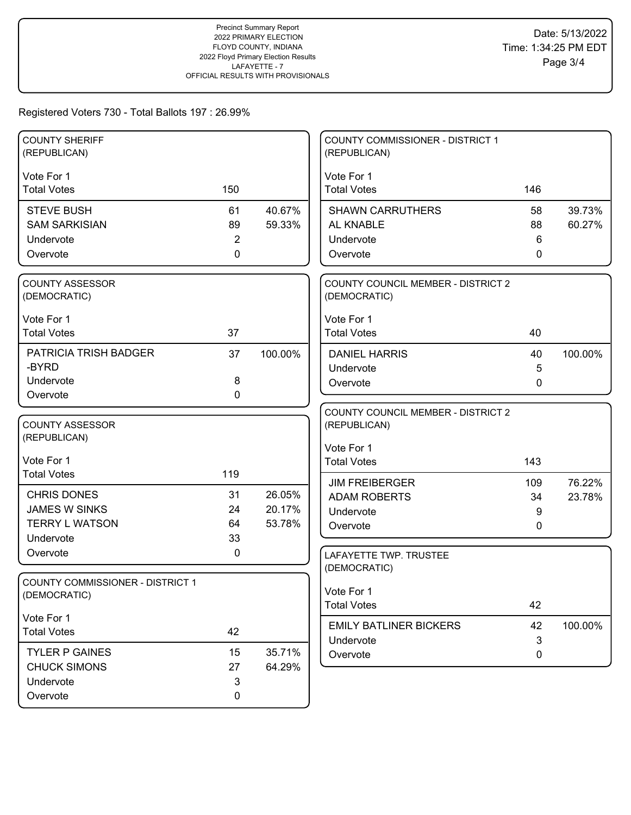| <b>COUNTY SHERIFF</b><br>(REPUBLICAN)   |                |         | <b>COUNTY COMMISSIONER - DISTRICT 1</b><br>(REPUBLICAN) |              |         |
|-----------------------------------------|----------------|---------|---------------------------------------------------------|--------------|---------|
| Vote For 1                              |                |         | Vote For 1                                              |              |         |
| <b>Total Votes</b>                      | 150            |         | <b>Total Votes</b>                                      | 146          |         |
| <b>STEVE BUSH</b>                       | 61             | 40.67%  | <b>SHAWN CARRUTHERS</b>                                 | 58           | 39.73%  |
| <b>SAM SARKISIAN</b>                    | 89             | 59.33%  | AL KNABLE                                               | 88           | 60.27%  |
| Undervote                               | $\overline{2}$ |         | Undervote                                               | 6            |         |
| Overvote                                | $\mathbf 0$    |         | Overvote                                                | 0            |         |
| <b>COUNTY ASSESSOR</b>                  |                |         | COUNTY COUNCIL MEMBER - DISTRICT 2                      |              |         |
| (DEMOCRATIC)                            |                |         | (DEMOCRATIC)                                            |              |         |
| Vote For 1                              |                |         | Vote For 1                                              |              |         |
| <b>Total Votes</b>                      | 37             |         | <b>Total Votes</b>                                      | 40           |         |
| PATRICIA TRISH BADGER                   | 37             | 100.00% | <b>DANIEL HARRIS</b>                                    | 40           | 100.00% |
| -BYRD                                   |                |         | Undervote                                               | 5            |         |
| Undervote                               | $\bf 8$        |         | Overvote                                                | 0            |         |
| Overvote                                | 0              |         |                                                         |              |         |
| <b>COUNTY ASSESSOR</b>                  |                |         | <b>COUNTY COUNCIL MEMBER - DISTRICT 2</b>               |              |         |
| (REPUBLICAN)                            |                |         | (REPUBLICAN)                                            |              |         |
|                                         |                |         | Vote For 1                                              |              |         |
| Vote For 1                              |                |         | <b>Total Votes</b>                                      | 143          |         |
| <b>Total Votes</b>                      | 119            |         | <b>JIM FREIBERGER</b>                                   | 109          | 76.22%  |
| <b>CHRIS DONES</b>                      | 31             | 26.05%  | <b>ADAM ROBERTS</b>                                     | 34           | 23.78%  |
| <b>JAMES W SINKS</b>                    | 24             | 20.17%  | Undervote                                               | 9            |         |
| <b>TERRY L WATSON</b>                   | 64             | 53.78%  | Overvote                                                | 0            |         |
| Undervote                               | 33             |         |                                                         |              |         |
| Overvote                                | 0              |         | LAFAYETTE TWP. TRUSTEE                                  |              |         |
| <b>COUNTY COMMISSIONER - DISTRICT 1</b> |                |         | (DEMOCRATIC)                                            |              |         |
| (DEMOCRATIC)                            |                |         | Vote For 1                                              |              |         |
|                                         |                |         | <b>Total Votes</b>                                      | 42           |         |
| Vote For 1<br><b>Total Votes</b>        | 42             |         | <b>EMILY BATLINER BICKERS</b>                           | 42           | 100.00% |
|                                         |                |         | Undervote                                               | $\mathbf{3}$ |         |
| <b>TYLER P GAINES</b>                   | 15             | 35.71%  | Overvote                                                | 0            |         |
| <b>CHUCK SIMONS</b>                     | 27             | 64.29%  |                                                         |              |         |
| Undervote                               | $\sqrt{3}$     |         |                                                         |              |         |
| Overvote                                | 0              |         |                                                         |              |         |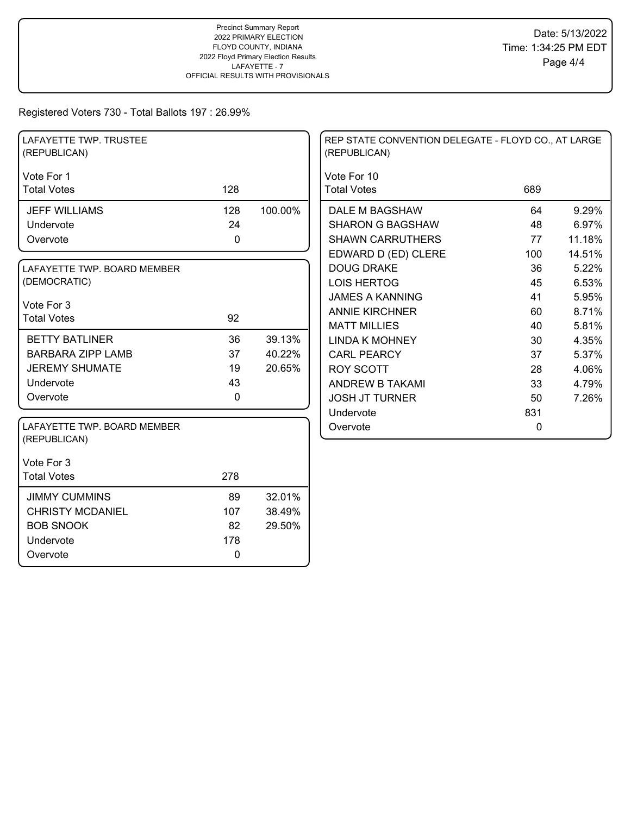| LAFAYETTE TWP. TRUSTEE<br>(REPUBLICAN)      |     |         | REP STATE CONVENTION DELEGATE - FLOYD CO., AT LARGE<br>(REPUBLICAN) |          |        |
|---------------------------------------------|-----|---------|---------------------------------------------------------------------|----------|--------|
| Vote For 1                                  |     |         | Vote For 10                                                         |          |        |
| <b>Total Votes</b>                          | 128 |         | <b>Total Votes</b>                                                  | 689      |        |
| <b>JEFF WILLIAMS</b>                        | 128 | 100.00% | DALE M BAGSHAW                                                      | 64       | 9.29%  |
| Undervote                                   | 24  |         | <b>SHARON G BAGSHAW</b>                                             | 48       | 6.97%  |
| Overvote                                    | 0   |         | <b>SHAWN CARRUTHERS</b>                                             | 77       | 11.18% |
|                                             |     |         | EDWARD D (ED) CLERE                                                 | 100      | 14.51% |
| LAFAYETTE TWP. BOARD MEMBER                 |     |         | <b>DOUG DRAKE</b>                                                   | 36       | 5.22%  |
| (DEMOCRATIC)                                |     |         | <b>LOIS HERTOG</b>                                                  | 45       | 6.53%  |
|                                             |     |         | <b>JAMES A KANNING</b>                                              | 41       | 5.95%  |
| Vote For 3<br><b>Total Votes</b>            | 92  |         | <b>ANNIE KIRCHNER</b>                                               | 60       | 8.71%  |
|                                             |     |         | <b>MATT MILLIES</b>                                                 | 40       | 5.81%  |
| <b>BETTY BATLINER</b>                       | 36  | 39.13%  | <b>LINDA K MOHNEY</b>                                               | 30       | 4.35%  |
| <b>BARBARA ZIPP LAMB</b>                    | 37  | 40.22%  | <b>CARL PEARCY</b>                                                  | 37       | 5.37%  |
| <b>JEREMY SHUMATE</b>                       | 19  | 20.65%  | <b>ROY SCOTT</b>                                                    | 28       | 4.06%  |
| Undervote                                   | 43  |         | ANDREW B TAKAMI                                                     | 33       | 4.79%  |
| Overvote                                    | 0   |         | <b>JOSH JT TURNER</b>                                               | 50       | 7.26%  |
|                                             |     |         | Undervote                                                           | 831      |        |
| LAFAYETTE TWP. BOARD MEMBER<br>(REPUBLICAN) |     |         | Overvote                                                            | $\Omega$ |        |
| Vote For 3                                  |     |         |                                                                     |          |        |
| <b>Total Votes</b>                          | 278 |         |                                                                     |          |        |
| <b>JIMMY CUMMINS</b>                        | 89  | 32.01%  |                                                                     |          |        |
| <b>CHRISTY MCDANIEL</b>                     | 107 | 38.49%  |                                                                     |          |        |
| <b>BOB SNOOK</b>                            | 82  | 29.50%  |                                                                     |          |        |
| Undervote                                   | 178 |         |                                                                     |          |        |
| Overvote                                    | 0   |         |                                                                     |          |        |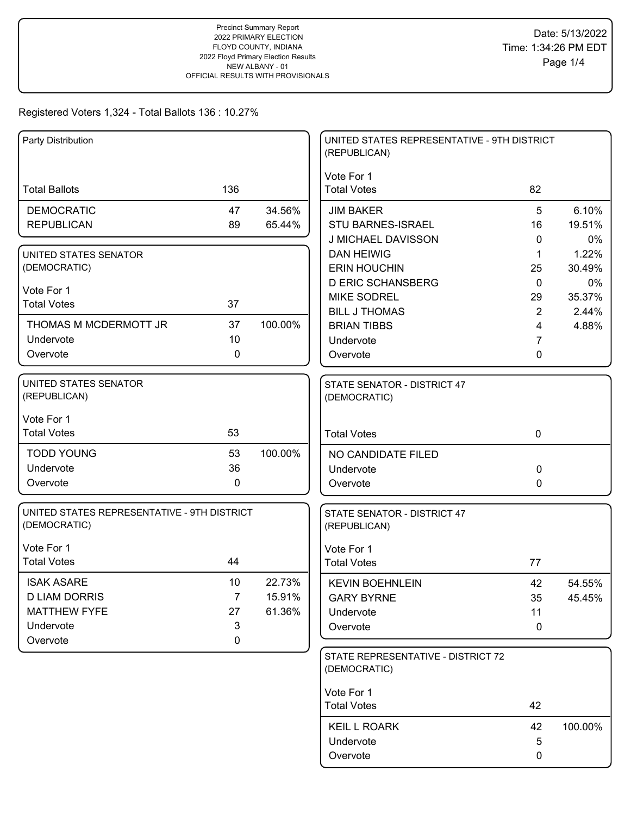| Party Distribution                                                                        |                                                |                            | UNITED STATES REPRESENTATIVE - 9TH DISTRICT<br>(REPUBLICAN)          |                               |                       |
|-------------------------------------------------------------------------------------------|------------------------------------------------|----------------------------|----------------------------------------------------------------------|-------------------------------|-----------------------|
| <b>Total Ballots</b>                                                                      | 136                                            |                            | Vote For 1<br><b>Total Votes</b>                                     | 82                            |                       |
| <b>DEMOCRATIC</b><br><b>REPUBLICAN</b>                                                    | 47<br>89                                       | 34.56%<br>65.44%           | <b>JIM BAKER</b><br>STU BARNES-ISRAEL<br>J MICHAEL DAVISSON          | 5<br>16<br>0                  | 6.10%<br>19.51%<br>0% |
| UNITED STATES SENATOR<br>(DEMOCRATIC)                                                     |                                                |                            | <b>DAN HEIWIG</b><br><b>ERIN HOUCHIN</b><br><b>D ERIC SCHANSBERG</b> | $\mathbf 1$<br>25<br>$\Omega$ | 1.22%<br>30.49%<br>0% |
| Vote For 1<br><b>Total Votes</b>                                                          | 37                                             |                            | <b>MIKE SODREL</b><br><b>BILL J THOMAS</b>                           | 29<br>$\overline{2}$          | 35.37%<br>2.44%       |
| THOMAS M MCDERMOTT JR<br>Undervote<br>Overvote                                            | 37<br>10<br>$\mathbf 0$                        | 100.00%                    | <b>BRIAN TIBBS</b><br>Undervote<br>Overvote                          | 4<br>7<br>0                   | 4.88%                 |
| <b>UNITED STATES SENATOR</b><br>(REPUBLICAN)                                              |                                                |                            | STATE SENATOR - DISTRICT 47<br>(DEMOCRATIC)                          |                               |                       |
| Vote For 1<br><b>Total Votes</b>                                                          | 53                                             |                            | <b>Total Votes</b>                                                   | $\mathbf 0$                   |                       |
| <b>TODD YOUNG</b><br>Undervote<br>Overvote                                                | 53<br>36<br>0                                  | 100.00%                    | NO CANDIDATE FILED<br>Undervote<br>Overvote                          | $\Omega$<br>0                 |                       |
| UNITED STATES REPRESENTATIVE - 9TH DISTRICT<br>(DEMOCRATIC)                               |                                                |                            | STATE SENATOR - DISTRICT 47<br>(REPUBLICAN)                          |                               |                       |
| Vote For 1<br><b>Total Votes</b>                                                          | 44                                             |                            | Vote For 1<br><b>Total Votes</b>                                     | 77                            |                       |
| <b>ISAK ASARE</b><br><b>D LIAM DORRIS</b><br><b>MATTHEW FYFE</b><br>Undervote<br>Overvote | 10<br>$\overline{7}$<br>27<br>3<br>$\mathbf 0$ | 22.73%<br>15.91%<br>61.36% | <b>KEVIN BOEHNLEIN</b><br><b>GARY BYRNE</b><br>Undervote<br>Overvote | 42<br>35<br>11<br>$\mathbf 0$ | 54.55%<br>45.45%      |
|                                                                                           |                                                |                            | STATE REPRESENTATIVE - DISTRICT 72<br>(DEMOCRATIC)                   |                               |                       |
|                                                                                           |                                                |                            | Vote For 1<br><b>Total Votes</b>                                     | 42                            |                       |
|                                                                                           |                                                |                            | <b>KEIL L ROARK</b><br>Undervote<br>Overvote                         | 42<br>5<br>0                  | 100.00%               |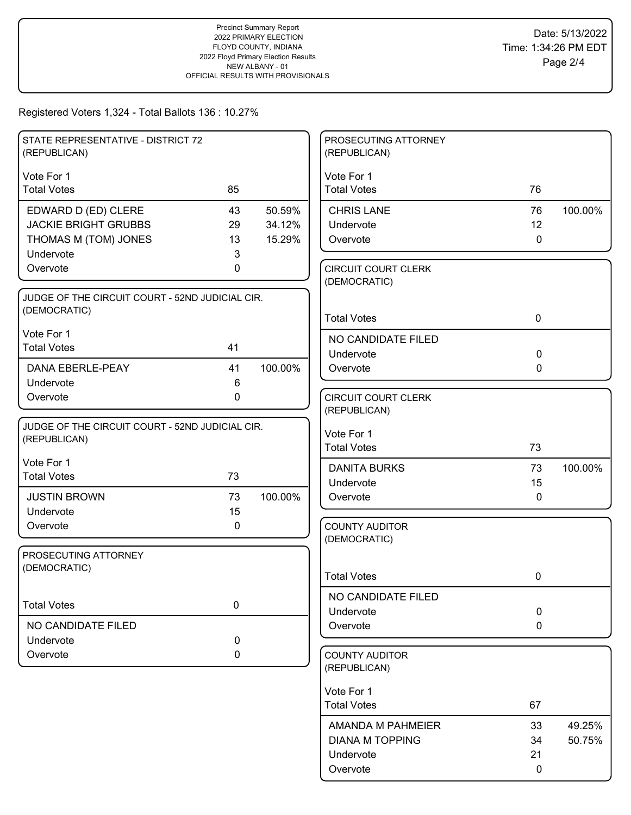| STATE REPRESENTATIVE - DISTRICT 72<br>(REPUBLICAN) |    |         | PROSECUTING ATTORNEY<br>(REPUBLICAN)       |             |         |
|----------------------------------------------------|----|---------|--------------------------------------------|-------------|---------|
| Vote For 1                                         |    |         | Vote For 1                                 |             |         |
| <b>Total Votes</b>                                 | 85 |         | <b>Total Votes</b>                         | 76          |         |
| EDWARD D (ED) CLERE                                | 43 | 50.59%  | <b>CHRIS LANE</b>                          | 76          | 100.00% |
| <b>JACKIE BRIGHT GRUBBS</b>                        | 29 | 34.12%  | Undervote                                  | 12          |         |
| THOMAS M (TOM) JONES                               | 13 | 15.29%  | Overvote                                   | $\mathbf 0$ |         |
| Undervote                                          | 3  |         |                                            |             |         |
| Overvote                                           | 0  |         | <b>CIRCUIT COURT CLERK</b><br>(DEMOCRATIC) |             |         |
| JUDGE OF THE CIRCUIT COURT - 52ND JUDICIAL CIR.    |    |         |                                            |             |         |
| (DEMOCRATIC)                                       |    |         | <b>Total Votes</b>                         | $\mathbf 0$ |         |
| Vote For 1                                         |    |         | NO CANDIDATE FILED                         |             |         |
| <b>Total Votes</b>                                 | 41 |         | Undervote                                  | $\mathbf 0$ |         |
| DANA EBERLE-PEAY                                   | 41 | 100.00% | Overvote                                   | $\mathbf 0$ |         |
| Undervote                                          | 6  |         |                                            |             |         |
| Overvote                                           | 0  |         | <b>CIRCUIT COURT CLERK</b>                 |             |         |
|                                                    |    |         | (REPUBLICAN)                               |             |         |
| JUDGE OF THE CIRCUIT COURT - 52ND JUDICIAL CIR.    |    |         | Vote For 1                                 |             |         |
| (REPUBLICAN)                                       |    |         | <b>Total Votes</b>                         | 73          |         |
| Vote For 1                                         |    |         | <b>DANITA BURKS</b>                        | 73          | 100.00% |
| <b>Total Votes</b>                                 | 73 |         | Undervote                                  | 15          |         |
| <b>JUSTIN BROWN</b>                                | 73 | 100.00% | Overvote                                   | $\mathbf 0$ |         |
| Undervote                                          | 15 |         |                                            |             |         |
| Overvote                                           | 0  |         | <b>COUNTY AUDITOR</b>                      |             |         |
|                                                    |    |         | (DEMOCRATIC)                               |             |         |
| PROSECUTING ATTORNEY<br>(DEMOCRATIC)               |    |         |                                            |             |         |
|                                                    |    |         | <b>Total Votes</b>                         | 0           |         |
|                                                    |    |         | NO CANDIDATE FILED                         |             |         |
| <b>Total Votes</b>                                 | 0  |         | Undervote                                  | $\mathbf 0$ |         |
| NO CANDIDATE FILED                                 |    |         | Overvote                                   | $\mathbf 0$ |         |
| Undervote                                          | 0  |         |                                            |             |         |
| Overvote                                           | 0  |         | <b>COUNTY AUDITOR</b><br>(REPUBLICAN)      |             |         |
|                                                    |    |         |                                            |             |         |
|                                                    |    |         | Vote For 1<br><b>Total Votes</b>           | 67          |         |
|                                                    |    |         |                                            |             |         |
|                                                    |    |         | AMANDA M PAHMEIER                          | 33          | 49.25%  |
|                                                    |    |         | <b>DIANA M TOPPING</b><br>Undervote        | 34<br>21    | 50.75%  |
|                                                    |    |         | Overvote                                   | 0           |         |
|                                                    |    |         |                                            |             |         |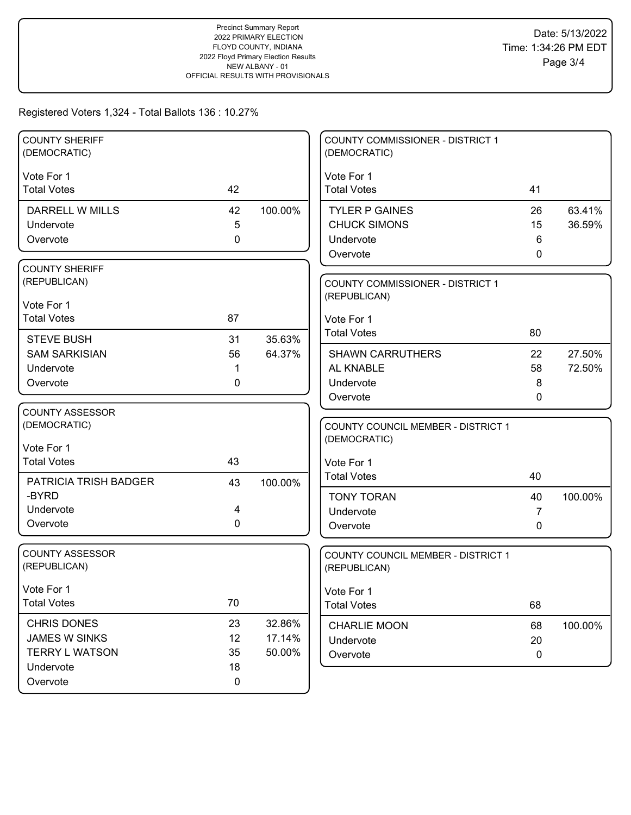| <b>COUNTY SHERIFF</b><br>(DEMOCRATIC)                                                                                                                                     |                                           |                             | <b>COUNTY COMMISSIONER - DISTRICT 1</b><br>(DEMOCRATIC)                                                                                                                                         |                                           |                            |
|---------------------------------------------------------------------------------------------------------------------------------------------------------------------------|-------------------------------------------|-----------------------------|-------------------------------------------------------------------------------------------------------------------------------------------------------------------------------------------------|-------------------------------------------|----------------------------|
| Vote For 1<br><b>Total Votes</b>                                                                                                                                          | 42                                        |                             | Vote For 1<br><b>Total Votes</b>                                                                                                                                                                | 41                                        |                            |
| <b>DARRELL W MILLS</b><br>Undervote<br>Overvote<br><b>COUNTY SHERIFF</b><br>(REPUBLICAN)<br>Vote For 1<br><b>Total Votes</b><br><b>STEVE BUSH</b><br><b>SAM SARKISIAN</b> | 42<br>5<br>$\mathbf{0}$<br>87<br>31<br>56 | 100.00%<br>35.63%<br>64.37% | <b>TYLER P GAINES</b><br><b>CHUCK SIMONS</b><br>Undervote<br>Overvote<br><b>COUNTY COMMISSIONER - DISTRICT 1</b><br>(REPUBLICAN)<br>Vote For 1<br><b>Total Votes</b><br><b>SHAWN CARRUTHERS</b> | 26<br>15<br>6<br>$\mathbf{0}$<br>80<br>22 | 63.41%<br>36.59%<br>27.50% |
| Undervote<br>Overvote                                                                                                                                                     | 1<br>0                                    |                             | AL KNABLE<br>Undervote<br>Overvote                                                                                                                                                              | 58<br>8<br>0                              | 72.50%                     |
| <b>COUNTY ASSESSOR</b><br>(DEMOCRATIC)<br>Vote For 1<br><b>Total Votes</b><br>PATRICIA TRISH BADGER                                                                       | 43<br>43                                  | 100.00%                     | COUNTY COUNCIL MEMBER - DISTRICT 1<br>(DEMOCRATIC)<br>Vote For 1<br><b>Total Votes</b>                                                                                                          | 40                                        |                            |
| -BYRD<br>Undervote<br>Overvote                                                                                                                                            | 4<br>0                                    |                             | <b>TONY TORAN</b><br>Undervote<br>Overvote                                                                                                                                                      | 40<br>7<br>0                              | 100.00%                    |
| <b>COUNTY ASSESSOR</b><br>(REPUBLICAN)                                                                                                                                    |                                           |                             | COUNTY COUNCIL MEMBER - DISTRICT 1<br>(REPUBLICAN)                                                                                                                                              |                                           |                            |
| Vote For 1<br><b>Total Votes</b>                                                                                                                                          | 70                                        |                             | Vote For 1<br><b>Total Votes</b>                                                                                                                                                                | 68                                        |                            |
| CHRIS DONES<br><b>JAMES W SINKS</b><br><b>TERRY L WATSON</b><br>Undervote                                                                                                 | 23<br>12<br>35<br>18                      | 32.86%<br>17.14%<br>50.00%  | <b>CHARLIE MOON</b><br>Undervote<br>Overvote                                                                                                                                                    | 68<br>20<br>0                             | 100.00%                    |
| Overvote                                                                                                                                                                  | 0                                         |                             |                                                                                                                                                                                                 |                                           |                            |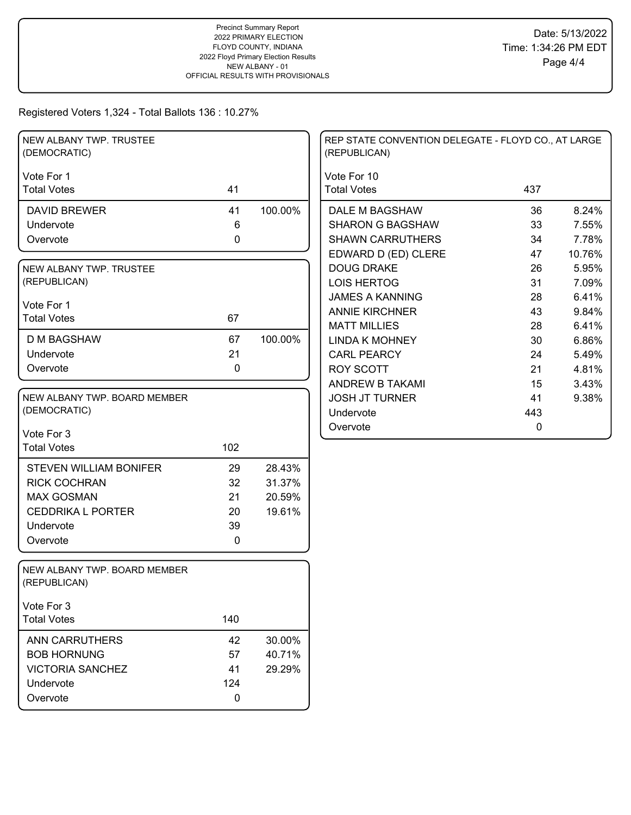| NEW ALBANY TWP. TRUSTEE<br>(DEMOCRATIC)      |           |         | REP STATE CONVENTION DELEGATE - FLOYD CO., AT LARGE<br>(REPUBLICAN) |             |        |
|----------------------------------------------|-----------|---------|---------------------------------------------------------------------|-------------|--------|
| Vote For 1<br><b>Total Votes</b>             | 41        |         | Vote For 10<br><b>Total Votes</b>                                   | 437         |        |
| <b>DAVID BREWER</b>                          | 41        | 100.00% | DALE M BAGSHAW                                                      | 36          | 8.24%  |
| Undervote                                    | $\,6$     |         | <b>SHARON G BAGSHAW</b>                                             | 33          | 7.55%  |
| Overvote                                     | $\pmb{0}$ |         | <b>SHAWN CARRUTHERS</b>                                             | 34          | 7.78%  |
|                                              |           |         | EDWARD D (ED) CLERE                                                 | 47          | 10.76% |
| NEW ALBANY TWP. TRUSTEE                      |           |         | <b>DOUG DRAKE</b>                                                   | 26          | 5.95%  |
| (REPUBLICAN)                                 |           |         | <b>LOIS HERTOG</b>                                                  | 31          | 7.09%  |
|                                              |           |         | <b>JAMES A KANNING</b>                                              | 28          | 6.41%  |
| Vote For 1<br><b>Total Votes</b>             | 67        |         | <b>ANNIE KIRCHNER</b>                                               | 43          | 9.84%  |
|                                              |           |         | <b>MATT MILLIES</b>                                                 | 28          | 6.41%  |
| <b>D M BAGSHAW</b>                           | 67        | 100.00% | <b>LINDA K MOHNEY</b>                                               | 30          | 6.86%  |
| Undervote                                    | 21        |         | <b>CARL PEARCY</b>                                                  | 24          | 5.49%  |
| Overvote                                     | $\pmb{0}$ |         | <b>ROY SCOTT</b>                                                    | 21          | 4.81%  |
|                                              |           |         | ANDREW B TAKAMI                                                     | 15          | 3.43%  |
| NEW ALBANY TWP. BOARD MEMBER                 |           |         | <b>JOSH JT TURNER</b>                                               | 41          | 9.38%  |
| (DEMOCRATIC)                                 |           |         | Undervote                                                           | 443         |        |
| Vote For 3                                   |           |         | Overvote                                                            | $\mathbf 0$ |        |
| <b>Total Votes</b>                           | 102       |         |                                                                     |             |        |
|                                              |           |         |                                                                     |             |        |
| <b>STEVEN WILLIAM BONIFER</b>                | 29        | 28.43%  |                                                                     |             |        |
| <b>RICK COCHRAN</b>                          | 32        | 31.37%  |                                                                     |             |        |
| <b>MAX GOSMAN</b>                            | 21        | 20.59%  |                                                                     |             |        |
| <b>CEDDRIKA L PORTER</b>                     | 20        | 19.61%  |                                                                     |             |        |
| Undervote                                    | 39        |         |                                                                     |             |        |
| Overvote                                     | 0         |         |                                                                     |             |        |
| NEW ALBANY TWP. BOARD MEMBER<br>(REPUBLICAN) |           |         |                                                                     |             |        |
| Vote For 3                                   |           |         |                                                                     |             |        |
| <b>Total Votes</b>                           | 140       |         |                                                                     |             |        |
| ANN CARRUTHERS                               | 42        | 30.00%  |                                                                     |             |        |
| <b>BOB HORNUNG</b>                           | 57        | 40.71%  |                                                                     |             |        |
| <b>VICTORIA SANCHEZ</b>                      | 41        | 29.29%  |                                                                     |             |        |
| Undervote                                    | 124       |         |                                                                     |             |        |
| Overvote                                     | $\pmb{0}$ |         |                                                                     |             |        |
|                                              |           |         |                                                                     |             |        |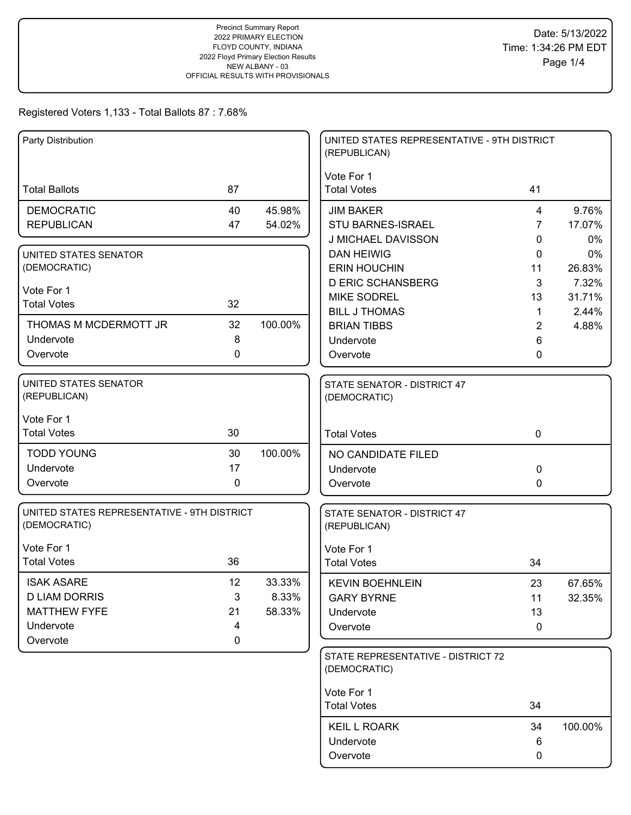| Party Distribution                                          |                |                  | UNITED STATES REPRESENTATIVE - 9TH DISTRICT<br>(REPUBLICAN) |                                  |                 |
|-------------------------------------------------------------|----------------|------------------|-------------------------------------------------------------|----------------------------------|-----------------|
| <b>Total Ballots</b>                                        | 87             |                  | Vote For 1<br><b>Total Votes</b>                            | 41                               |                 |
| <b>DEMOCRATIC</b><br><b>REPUBLICAN</b>                      | 40<br>47       | 45.98%<br>54.02% | <b>JIM BAKER</b><br><b>STU BARNES-ISRAEL</b>                | $\overline{4}$<br>$\overline{7}$ | 9.76%<br>17.07% |
| UNITED STATES SENATOR                                       |                |                  | J MICHAEL DAVISSON<br><b>DAN HEIWIG</b>                     | 0<br>0                           | 0%<br>0%        |
| (DEMOCRATIC)                                                |                |                  | <b>ERIN HOUCHIN</b>                                         | 11                               | 26.83%          |
| Vote For 1                                                  |                |                  | <b>D ERIC SCHANSBERG</b>                                    | 3                                | 7.32%           |
| <b>Total Votes</b>                                          | 32             |                  | <b>MIKE SODREL</b>                                          | 13                               | 31.71%          |
| THOMAS M MCDERMOTT JR                                       | 32             | 100.00%          | <b>BILL J THOMAS</b><br><b>BRIAN TIBBS</b>                  | $\mathbf{1}$<br>$\overline{2}$   | 2.44%<br>4.88%  |
| Undervote                                                   | 8              |                  | Undervote                                                   | 6                                |                 |
| Overvote                                                    | $\mathbf 0$    |                  | Overvote                                                    | 0                                |                 |
|                                                             |                |                  |                                                             |                                  |                 |
| UNITED STATES SENATOR<br>(REPUBLICAN)                       |                |                  | STATE SENATOR - DISTRICT 47<br>(DEMOCRATIC)                 |                                  |                 |
| Vote For 1                                                  |                |                  |                                                             |                                  |                 |
| <b>Total Votes</b>                                          | 30             |                  | <b>Total Votes</b>                                          | $\mathbf 0$                      |                 |
| <b>TODD YOUNG</b>                                           | 30             | 100.00%          | NO CANDIDATE FILED                                          |                                  |                 |
| Undervote                                                   | 17             |                  | Undervote                                                   | $\mathbf 0$                      |                 |
| Overvote                                                    | 0              |                  | Overvote                                                    | 0                                |                 |
| UNITED STATES REPRESENTATIVE - 9TH DISTRICT<br>(DEMOCRATIC) |                |                  | STATE SENATOR - DISTRICT 47<br>(REPUBLICAN)                 |                                  |                 |
| Vote For 1                                                  |                |                  | Vote For 1                                                  |                                  |                 |
| <b>Total Votes</b>                                          | 36             |                  | <b>Total Votes</b>                                          | 34                               |                 |
| <b>ISAK ASARE</b>                                           | 12             | 33.33%           | <b>KEVIN BOEHNLEIN</b>                                      | 23                               | 67.65%          |
| <b>D LIAM DORRIS</b>                                        | 3              | 8.33%            | <b>GARY BYRNE</b>                                           | 11                               | 32.35%          |
| <b>MATTHEW FYFE</b>                                         | 21             | 58.33%           | Undervote                                                   | 13                               |                 |
| Undervote                                                   | 4<br>$\pmb{0}$ |                  | Overvote                                                    | 0                                |                 |
| Overvote                                                    |                |                  | STATE REPRESENTATIVE - DISTRICT 72<br>(DEMOCRATIC)          |                                  |                 |
|                                                             |                |                  | Vote For 1<br><b>Total Votes</b>                            | 34                               |                 |
|                                                             |                |                  | <b>KEIL L ROARK</b>                                         | 34                               | 100.00%         |
|                                                             |                |                  | Undervote                                                   | 6                                |                 |
|                                                             |                |                  | Overvote                                                    | $\pmb{0}$                        |                 |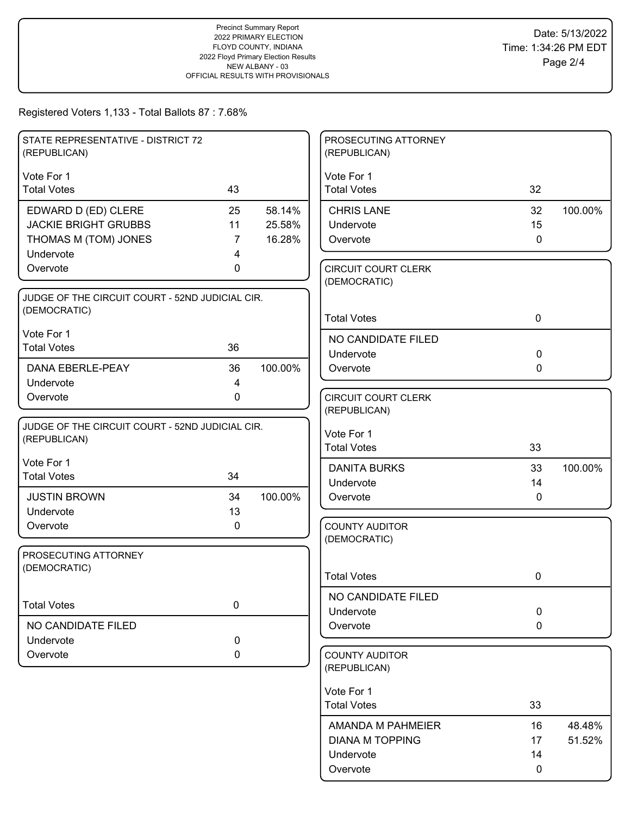| STATE REPRESENTATIVE - DISTRICT 72<br>(REPUBLICAN) |                |         | PROSECUTING ATTORNEY<br>(REPUBLICAN)       |             |         |
|----------------------------------------------------|----------------|---------|--------------------------------------------|-------------|---------|
| Vote For 1                                         |                |         | Vote For 1                                 |             |         |
| <b>Total Votes</b>                                 | 43             |         | <b>Total Votes</b>                         | 32          |         |
| EDWARD D (ED) CLERE                                | 25             | 58.14%  | <b>CHRIS LANE</b>                          | 32          | 100.00% |
| <b>JACKIE BRIGHT GRUBBS</b>                        | 11             | 25.58%  | Undervote                                  | 15          |         |
| THOMAS M (TOM) JONES                               | $\overline{7}$ | 16.28%  | Overvote                                   | $\mathbf 0$ |         |
| Undervote                                          | 4              |         |                                            |             |         |
| Overvote                                           | 0              |         | <b>CIRCUIT COURT CLERK</b><br>(DEMOCRATIC) |             |         |
| JUDGE OF THE CIRCUIT COURT - 52ND JUDICIAL CIR.    |                |         |                                            |             |         |
| (DEMOCRATIC)                                       |                |         | <b>Total Votes</b>                         | $\mathbf 0$ |         |
| Vote For 1                                         |                |         | NO CANDIDATE FILED                         |             |         |
| <b>Total Votes</b>                                 | 36             |         | Undervote                                  | $\mathbf 0$ |         |
| DANA EBERLE-PEAY                                   | 36             | 100.00% | Overvote                                   | $\mathbf 0$ |         |
| Undervote                                          | $\overline{4}$ |         |                                            |             |         |
| Overvote                                           | 0              |         | <b>CIRCUIT COURT CLERK</b>                 |             |         |
|                                                    |                |         | (REPUBLICAN)                               |             |         |
| JUDGE OF THE CIRCUIT COURT - 52ND JUDICIAL CIR.    |                |         | Vote For 1                                 |             |         |
| (REPUBLICAN)                                       |                |         | <b>Total Votes</b>                         | 33          |         |
| Vote For 1                                         |                |         | <b>DANITA BURKS</b>                        | 33          | 100.00% |
| <b>Total Votes</b>                                 | 34             |         | Undervote                                  | 14          |         |
| <b>JUSTIN BROWN</b>                                | 34             | 100.00% | Overvote                                   | $\mathbf 0$ |         |
| Undervote                                          | 13             |         |                                            |             |         |
| Overvote                                           | 0              |         | <b>COUNTY AUDITOR</b>                      |             |         |
|                                                    |                |         | (DEMOCRATIC)                               |             |         |
| PROSECUTING ATTORNEY<br>(DEMOCRATIC)               |                |         |                                            |             |         |
|                                                    |                |         | <b>Total Votes</b>                         | 0           |         |
|                                                    |                |         | NO CANDIDATE FILED                         |             |         |
| <b>Total Votes</b>                                 | 0              |         | Undervote                                  | $\pmb{0}$   |         |
| NO CANDIDATE FILED                                 |                |         | Overvote                                   | $\mathbf 0$ |         |
| Undervote                                          | 0              |         |                                            |             |         |
| Overvote                                           | 0              |         | <b>COUNTY AUDITOR</b><br>(REPUBLICAN)      |             |         |
|                                                    |                |         | Vote For 1                                 |             |         |
|                                                    |                |         | <b>Total Votes</b>                         | 33          |         |
|                                                    |                |         | AMANDA M PAHMEIER                          | 16          | 48.48%  |
|                                                    |                |         | <b>DIANA M TOPPING</b>                     | 17          | 51.52%  |
|                                                    |                |         | Undervote                                  | 14          |         |
|                                                    |                |         | Overvote                                   | 0           |         |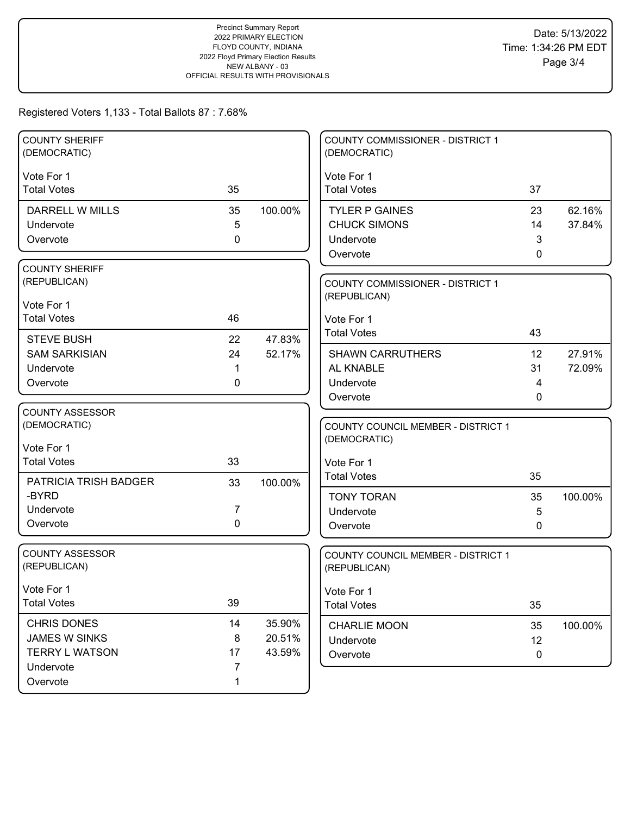| <b>COUNTY SHERIFF</b><br>(DEMOCRATIC) |             |         | <b>COUNTY COMMISSIONER - DISTRICT 1</b><br>(DEMOCRATIC) |    |         |
|---------------------------------------|-------------|---------|---------------------------------------------------------|----|---------|
| Vote For 1                            |             |         | Vote For 1                                              |    |         |
| <b>Total Votes</b>                    | 35          |         | <b>Total Votes</b>                                      | 37 |         |
| <b>DARRELL W MILLS</b>                | 35          | 100.00% | <b>TYLER P GAINES</b>                                   | 23 | 62.16%  |
| Undervote                             | 5           |         | <b>CHUCK SIMONS</b>                                     | 14 | 37.84%  |
| Overvote                              | $\mathbf 0$ |         | Undervote                                               | 3  |         |
|                                       |             |         | Overvote                                                | 0  |         |
| <b>COUNTY SHERIFF</b>                 |             |         |                                                         |    |         |
| (REPUBLICAN)                          |             |         | <b>COUNTY COMMISSIONER - DISTRICT 1</b>                 |    |         |
| Vote For 1                            |             |         | (REPUBLICAN)                                            |    |         |
| <b>Total Votes</b>                    | 46          |         | Vote For 1                                              |    |         |
|                                       |             |         | <b>Total Votes</b>                                      | 43 |         |
| <b>STEVE BUSH</b>                     | 22          | 47.83%  |                                                         |    |         |
| <b>SAM SARKISIAN</b>                  | 24          | 52.17%  | <b>SHAWN CARRUTHERS</b>                                 | 12 | 27.91%  |
| Undervote                             | 1           |         | AL KNABLE                                               | 31 | 72.09%  |
| Overvote                              | 0           |         | Undervote                                               | 4  |         |
| <b>COUNTY ASSESSOR</b>                |             |         | Overvote                                                | 0  |         |
| (DEMOCRATIC)                          |             |         | COUNTY COUNCIL MEMBER - DISTRICT 1                      |    |         |
|                                       |             |         | (DEMOCRATIC)                                            |    |         |
| Vote For 1                            |             |         |                                                         |    |         |
| <b>Total Votes</b>                    | 33          |         | Vote For 1                                              |    |         |
| PATRICIA TRISH BADGER                 | 33          | 100.00% | <b>Total Votes</b>                                      | 35 |         |
| -BYRD                                 |             |         | <b>TONY TORAN</b>                                       | 35 | 100.00% |
| Undervote                             | 7           |         | Undervote                                               | 5  |         |
| Overvote                              | $\mathbf 0$ |         | Overvote                                                | 0  |         |
|                                       |             |         |                                                         |    |         |
| <b>COUNTY ASSESSOR</b>                |             |         | COUNTY COUNCIL MEMBER - DISTRICT 1                      |    |         |
| (REPUBLICAN)                          |             |         | (REPUBLICAN)                                            |    |         |
| Vote For 1                            |             |         | Vote For 1                                              |    |         |
| <b>Total Votes</b>                    | 39          |         | <b>Total Votes</b>                                      | 35 |         |
| CHRIS DONES                           | 14          | 35.90%  | <b>CHARLIE MOON</b>                                     | 35 | 100.00% |
| <b>JAMES W SINKS</b>                  | 8           | 20.51%  | Undervote                                               | 12 |         |
| <b>TERRY L WATSON</b>                 | 17          | 43.59%  | Overvote                                                | 0  |         |
| Undervote                             | 7           |         |                                                         |    |         |
| Overvote                              |             |         |                                                         |    |         |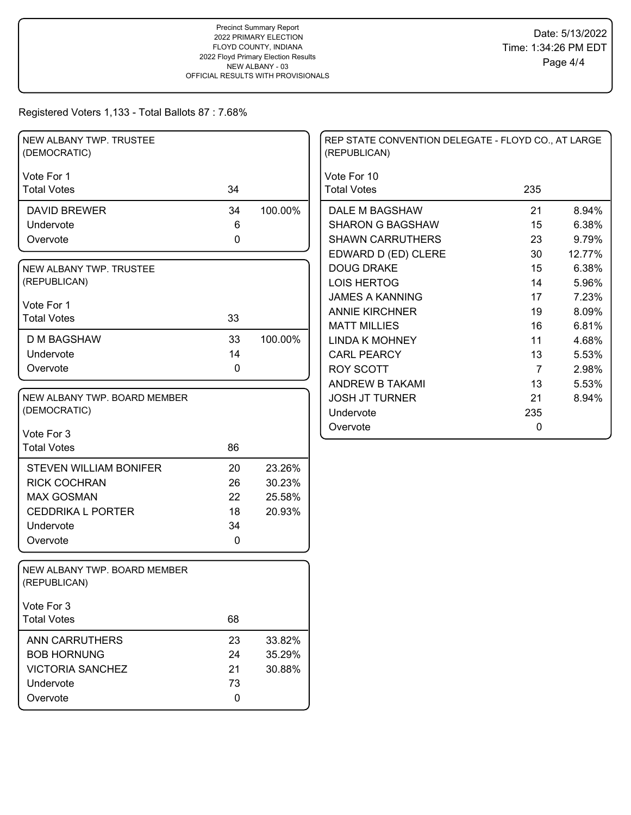| NEW ALBANY TWP. TRUSTEE<br>(DEMOCRATIC)      |             |         | REP STATE CONVENTION DELEGATE - FLOYD CO., AT LARGE<br>(REPUBLICAN) |                |        |
|----------------------------------------------|-------------|---------|---------------------------------------------------------------------|----------------|--------|
| Vote For 1                                   |             |         | Vote For 10                                                         |                |        |
| <b>Total Votes</b>                           | 34          |         | <b>Total Votes</b>                                                  | 235            |        |
| <b>DAVID BREWER</b>                          | 34          | 100.00% | DALE M BAGSHAW                                                      | 21             | 8.94%  |
| Undervote                                    | 6           |         | <b>SHARON G BAGSHAW</b>                                             | 15             | 6.38%  |
| Overvote                                     | 0           |         | <b>SHAWN CARRUTHERS</b>                                             | 23             | 9.79%  |
|                                              |             |         | EDWARD D (ED) CLERE                                                 | 30             | 12.77% |
| NEW ALBANY TWP. TRUSTEE                      |             |         | <b>DOUG DRAKE</b>                                                   | 15             | 6.38%  |
| (REPUBLICAN)                                 |             |         | <b>LOIS HERTOG</b>                                                  | 14             | 5.96%  |
| Vote For 1                                   |             |         | <b>JAMES A KANNING</b>                                              | 17             | 7.23%  |
| <b>Total Votes</b>                           | 33          |         | <b>ANNIE KIRCHNER</b>                                               | 19             | 8.09%  |
|                                              |             |         | <b>MATT MILLIES</b>                                                 | 16             | 6.81%  |
| <b>D M BAGSHAW</b>                           | 33          | 100.00% | <b>LINDA K MOHNEY</b>                                               | 11             | 4.68%  |
| Undervote                                    | 14          |         | <b>CARL PEARCY</b>                                                  | 13             | 5.53%  |
| Overvote                                     | 0           |         | <b>ROY SCOTT</b>                                                    | $\overline{7}$ | 2.98%  |
|                                              |             |         | <b>ANDREW B TAKAMI</b>                                              | 13             | 5.53%  |
| NEW ALBANY TWP. BOARD MEMBER                 |             |         | <b>JOSH JT TURNER</b>                                               | 21             | 8.94%  |
| (DEMOCRATIC)                                 |             |         | Undervote                                                           | 235            |        |
| Vote For 3                                   |             |         | Overvote                                                            | 0              |        |
| <b>Total Votes</b>                           | 86          |         |                                                                     |                |        |
|                                              |             |         |                                                                     |                |        |
| <b>STEVEN WILLIAM BONIFER</b>                | 20          | 23.26%  |                                                                     |                |        |
| <b>RICK COCHRAN</b>                          | 26          | 30.23%  |                                                                     |                |        |
| <b>MAX GOSMAN</b>                            | 22          | 25.58%  |                                                                     |                |        |
| <b>CEDDRIKA L PORTER</b>                     | 18          | 20.93%  |                                                                     |                |        |
| Undervote                                    | 34          |         |                                                                     |                |        |
| Overvote                                     | 0           |         |                                                                     |                |        |
| NEW ALBANY TWP. BOARD MEMBER<br>(REPUBLICAN) |             |         |                                                                     |                |        |
| Vote For 3                                   |             |         |                                                                     |                |        |
| <b>Total Votes</b>                           | 68          |         |                                                                     |                |        |
| <b>ANN CARRUTHERS</b>                        | 23          | 33.82%  |                                                                     |                |        |
| <b>BOB HORNUNG</b>                           | 24          | 35.29%  |                                                                     |                |        |
| <b>VICTORIA SANCHEZ</b>                      | 21          | 30.88%  |                                                                     |                |        |
| Undervote                                    | 73          |         |                                                                     |                |        |
| Overvote                                     | $\mathbf 0$ |         |                                                                     |                |        |
|                                              |             |         |                                                                     |                |        |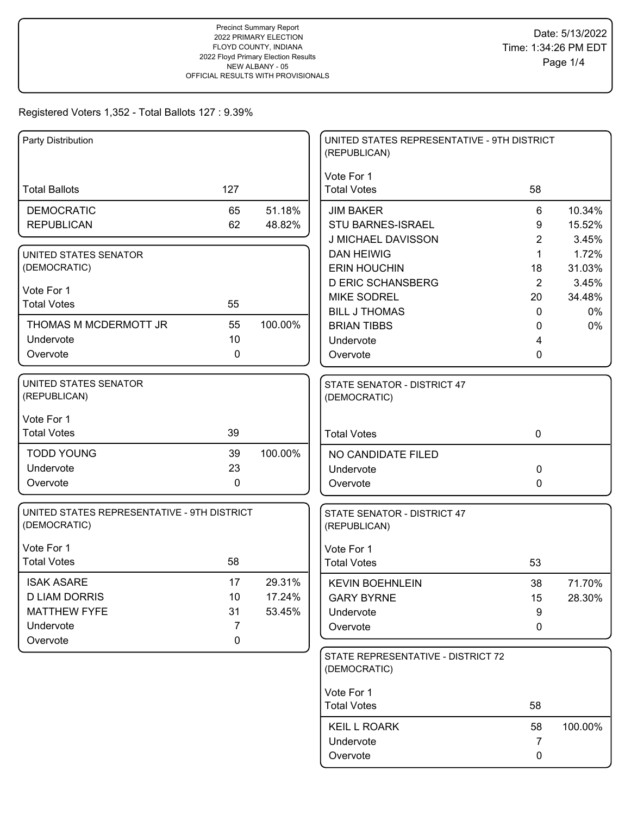| Vote For 1<br><b>Total Ballots</b><br>127<br><b>Total Votes</b><br>58<br><b>DEMOCRATIC</b><br>65<br>51.18%<br><b>JIM BAKER</b><br>6<br>10.34%<br><b>REPUBLICAN</b><br>62<br>48.82%<br><b>STU BARNES-ISRAEL</b><br>15.52%<br>9<br>J MICHAEL DAVISSON<br>2<br>3.45%<br>1.72%<br><b>DAN HEIWIG</b><br>1<br>UNITED STATES SENATOR<br>(DEMOCRATIC)<br><b>ERIN HOUCHIN</b><br>31.03%<br>18<br><b>D ERIC SCHANSBERG</b><br>2<br>3.45%<br>Vote For 1<br><b>MIKE SODREL</b><br>20<br>34.48%<br>55<br><b>Total Votes</b><br><b>BILL J THOMAS</b><br>0%<br>$\mathbf{0}$<br>55<br>100.00%<br>THOMAS M MCDERMOTT JR<br><b>BRIAN TIBBS</b><br>0%<br>0<br>10<br>Undervote<br>Undervote<br>4<br>0<br>Overvote<br>Overvote<br>0<br>UNITED STATES SENATOR<br>STATE SENATOR - DISTRICT 47<br>(REPUBLICAN)<br>(DEMOCRATIC)<br>Vote For 1<br>39<br><b>Total Votes</b><br>$\mathbf 0$<br><b>Total Votes</b><br>39<br><b>TODD YOUNG</b><br>100.00%<br>NO CANDIDATE FILED<br>Undervote<br>23<br>0<br>Undervote<br>0<br>Overvote<br>0<br>Overvote<br>UNITED STATES REPRESENTATIVE - 9TH DISTRICT<br>STATE SENATOR - DISTRICT 47<br>(DEMOCRATIC)<br>(REPUBLICAN)<br>Vote For 1<br>Vote For 1<br>58<br><b>Total Votes</b><br><b>Total Votes</b><br>53<br><b>ISAK ASARE</b><br>17<br>29.31%<br>71.70%<br><b>KEVIN BOEHNLEIN</b><br>38<br><b>D LIAM DORRIS</b><br>10<br>17.24%<br><b>GARY BYRNE</b><br>28.30%<br>15<br><b>MATTHEW FYFE</b><br>31<br>53.45%<br>9<br>Undervote<br>Undervote<br>7<br>Overvote<br>0<br>$\mathbf 0$<br>Overvote<br>STATE REPRESENTATIVE - DISTRICT 72<br>(DEMOCRATIC)<br>Vote For 1<br><b>Total Votes</b><br>58<br><b>KEIL L ROARK</b><br>100.00%<br>58<br>Undervote<br>7<br>Overvote<br>0 | Party Distribution |  | UNITED STATES REPRESENTATIVE - 9TH DISTRICT<br>(REPUBLICAN) |  |
|------------------------------------------------------------------------------------------------------------------------------------------------------------------------------------------------------------------------------------------------------------------------------------------------------------------------------------------------------------------------------------------------------------------------------------------------------------------------------------------------------------------------------------------------------------------------------------------------------------------------------------------------------------------------------------------------------------------------------------------------------------------------------------------------------------------------------------------------------------------------------------------------------------------------------------------------------------------------------------------------------------------------------------------------------------------------------------------------------------------------------------------------------------------------------------------------------------------------------------------------------------------------------------------------------------------------------------------------------------------------------------------------------------------------------------------------------------------------------------------------------------------------------------------------------------------------------------------------------------------------------------------------------------------------------------------|--------------------|--|-------------------------------------------------------------|--|
|                                                                                                                                                                                                                                                                                                                                                                                                                                                                                                                                                                                                                                                                                                                                                                                                                                                                                                                                                                                                                                                                                                                                                                                                                                                                                                                                                                                                                                                                                                                                                                                                                                                                                          |                    |  |                                                             |  |
|                                                                                                                                                                                                                                                                                                                                                                                                                                                                                                                                                                                                                                                                                                                                                                                                                                                                                                                                                                                                                                                                                                                                                                                                                                                                                                                                                                                                                                                                                                                                                                                                                                                                                          |                    |  |                                                             |  |
|                                                                                                                                                                                                                                                                                                                                                                                                                                                                                                                                                                                                                                                                                                                                                                                                                                                                                                                                                                                                                                                                                                                                                                                                                                                                                                                                                                                                                                                                                                                                                                                                                                                                                          |                    |  |                                                             |  |
|                                                                                                                                                                                                                                                                                                                                                                                                                                                                                                                                                                                                                                                                                                                                                                                                                                                                                                                                                                                                                                                                                                                                                                                                                                                                                                                                                                                                                                                                                                                                                                                                                                                                                          |                    |  |                                                             |  |
|                                                                                                                                                                                                                                                                                                                                                                                                                                                                                                                                                                                                                                                                                                                                                                                                                                                                                                                                                                                                                                                                                                                                                                                                                                                                                                                                                                                                                                                                                                                                                                                                                                                                                          |                    |  |                                                             |  |
|                                                                                                                                                                                                                                                                                                                                                                                                                                                                                                                                                                                                                                                                                                                                                                                                                                                                                                                                                                                                                                                                                                                                                                                                                                                                                                                                                                                                                                                                                                                                                                                                                                                                                          |                    |  |                                                             |  |
|                                                                                                                                                                                                                                                                                                                                                                                                                                                                                                                                                                                                                                                                                                                                                                                                                                                                                                                                                                                                                                                                                                                                                                                                                                                                                                                                                                                                                                                                                                                                                                                                                                                                                          |                    |  |                                                             |  |
|                                                                                                                                                                                                                                                                                                                                                                                                                                                                                                                                                                                                                                                                                                                                                                                                                                                                                                                                                                                                                                                                                                                                                                                                                                                                                                                                                                                                                                                                                                                                                                                                                                                                                          |                    |  |                                                             |  |
|                                                                                                                                                                                                                                                                                                                                                                                                                                                                                                                                                                                                                                                                                                                                                                                                                                                                                                                                                                                                                                                                                                                                                                                                                                                                                                                                                                                                                                                                                                                                                                                                                                                                                          |                    |  |                                                             |  |
|                                                                                                                                                                                                                                                                                                                                                                                                                                                                                                                                                                                                                                                                                                                                                                                                                                                                                                                                                                                                                                                                                                                                                                                                                                                                                                                                                                                                                                                                                                                                                                                                                                                                                          |                    |  |                                                             |  |
|                                                                                                                                                                                                                                                                                                                                                                                                                                                                                                                                                                                                                                                                                                                                                                                                                                                                                                                                                                                                                                                                                                                                                                                                                                                                                                                                                                                                                                                                                                                                                                                                                                                                                          |                    |  |                                                             |  |
|                                                                                                                                                                                                                                                                                                                                                                                                                                                                                                                                                                                                                                                                                                                                                                                                                                                                                                                                                                                                                                                                                                                                                                                                                                                                                                                                                                                                                                                                                                                                                                                                                                                                                          |                    |  |                                                             |  |
|                                                                                                                                                                                                                                                                                                                                                                                                                                                                                                                                                                                                                                                                                                                                                                                                                                                                                                                                                                                                                                                                                                                                                                                                                                                                                                                                                                                                                                                                                                                                                                                                                                                                                          |                    |  |                                                             |  |
|                                                                                                                                                                                                                                                                                                                                                                                                                                                                                                                                                                                                                                                                                                                                                                                                                                                                                                                                                                                                                                                                                                                                                                                                                                                                                                                                                                                                                                                                                                                                                                                                                                                                                          |                    |  |                                                             |  |
|                                                                                                                                                                                                                                                                                                                                                                                                                                                                                                                                                                                                                                                                                                                                                                                                                                                                                                                                                                                                                                                                                                                                                                                                                                                                                                                                                                                                                                                                                                                                                                                                                                                                                          |                    |  |                                                             |  |
|                                                                                                                                                                                                                                                                                                                                                                                                                                                                                                                                                                                                                                                                                                                                                                                                                                                                                                                                                                                                                                                                                                                                                                                                                                                                                                                                                                                                                                                                                                                                                                                                                                                                                          |                    |  |                                                             |  |
|                                                                                                                                                                                                                                                                                                                                                                                                                                                                                                                                                                                                                                                                                                                                                                                                                                                                                                                                                                                                                                                                                                                                                                                                                                                                                                                                                                                                                                                                                                                                                                                                                                                                                          |                    |  |                                                             |  |
|                                                                                                                                                                                                                                                                                                                                                                                                                                                                                                                                                                                                                                                                                                                                                                                                                                                                                                                                                                                                                                                                                                                                                                                                                                                                                                                                                                                                                                                                                                                                                                                                                                                                                          |                    |  |                                                             |  |
|                                                                                                                                                                                                                                                                                                                                                                                                                                                                                                                                                                                                                                                                                                                                                                                                                                                                                                                                                                                                                                                                                                                                                                                                                                                                                                                                                                                                                                                                                                                                                                                                                                                                                          |                    |  |                                                             |  |
|                                                                                                                                                                                                                                                                                                                                                                                                                                                                                                                                                                                                                                                                                                                                                                                                                                                                                                                                                                                                                                                                                                                                                                                                                                                                                                                                                                                                                                                                                                                                                                                                                                                                                          |                    |  |                                                             |  |
|                                                                                                                                                                                                                                                                                                                                                                                                                                                                                                                                                                                                                                                                                                                                                                                                                                                                                                                                                                                                                                                                                                                                                                                                                                                                                                                                                                                                                                                                                                                                                                                                                                                                                          |                    |  |                                                             |  |
|                                                                                                                                                                                                                                                                                                                                                                                                                                                                                                                                                                                                                                                                                                                                                                                                                                                                                                                                                                                                                                                                                                                                                                                                                                                                                                                                                                                                                                                                                                                                                                                                                                                                                          |                    |  |                                                             |  |
|                                                                                                                                                                                                                                                                                                                                                                                                                                                                                                                                                                                                                                                                                                                                                                                                                                                                                                                                                                                                                                                                                                                                                                                                                                                                                                                                                                                                                                                                                                                                                                                                                                                                                          |                    |  |                                                             |  |
|                                                                                                                                                                                                                                                                                                                                                                                                                                                                                                                                                                                                                                                                                                                                                                                                                                                                                                                                                                                                                                                                                                                                                                                                                                                                                                                                                                                                                                                                                                                                                                                                                                                                                          |                    |  |                                                             |  |
|                                                                                                                                                                                                                                                                                                                                                                                                                                                                                                                                                                                                                                                                                                                                                                                                                                                                                                                                                                                                                                                                                                                                                                                                                                                                                                                                                                                                                                                                                                                                                                                                                                                                                          |                    |  |                                                             |  |
|                                                                                                                                                                                                                                                                                                                                                                                                                                                                                                                                                                                                                                                                                                                                                                                                                                                                                                                                                                                                                                                                                                                                                                                                                                                                                                                                                                                                                                                                                                                                                                                                                                                                                          |                    |  |                                                             |  |
|                                                                                                                                                                                                                                                                                                                                                                                                                                                                                                                                                                                                                                                                                                                                                                                                                                                                                                                                                                                                                                                                                                                                                                                                                                                                                                                                                                                                                                                                                                                                                                                                                                                                                          |                    |  |                                                             |  |
|                                                                                                                                                                                                                                                                                                                                                                                                                                                                                                                                                                                                                                                                                                                                                                                                                                                                                                                                                                                                                                                                                                                                                                                                                                                                                                                                                                                                                                                                                                                                                                                                                                                                                          |                    |  |                                                             |  |
|                                                                                                                                                                                                                                                                                                                                                                                                                                                                                                                                                                                                                                                                                                                                                                                                                                                                                                                                                                                                                                                                                                                                                                                                                                                                                                                                                                                                                                                                                                                                                                                                                                                                                          |                    |  |                                                             |  |
|                                                                                                                                                                                                                                                                                                                                                                                                                                                                                                                                                                                                                                                                                                                                                                                                                                                                                                                                                                                                                                                                                                                                                                                                                                                                                                                                                                                                                                                                                                                                                                                                                                                                                          |                    |  |                                                             |  |
|                                                                                                                                                                                                                                                                                                                                                                                                                                                                                                                                                                                                                                                                                                                                                                                                                                                                                                                                                                                                                                                                                                                                                                                                                                                                                                                                                                                                                                                                                                                                                                                                                                                                                          |                    |  |                                                             |  |
|                                                                                                                                                                                                                                                                                                                                                                                                                                                                                                                                                                                                                                                                                                                                                                                                                                                                                                                                                                                                                                                                                                                                                                                                                                                                                                                                                                                                                                                                                                                                                                                                                                                                                          |                    |  |                                                             |  |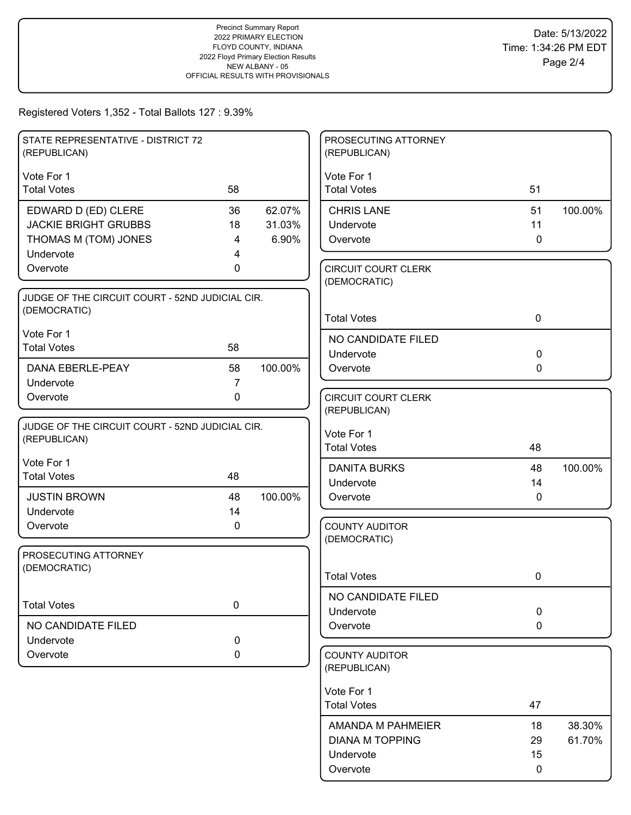| STATE REPRESENTATIVE - DISTRICT 72<br>(REPUBLICAN) |                |         | PROSECUTING ATTORNEY<br>(REPUBLICAN)       |             |         |
|----------------------------------------------------|----------------|---------|--------------------------------------------|-------------|---------|
| Vote For 1                                         |                |         | Vote For 1                                 |             |         |
| <b>Total Votes</b>                                 | 58             |         | <b>Total Votes</b>                         | 51          |         |
| EDWARD D (ED) CLERE                                | 36             | 62.07%  | <b>CHRIS LANE</b>                          | 51          | 100.00% |
| <b>JACKIE BRIGHT GRUBBS</b>                        | 18             | 31.03%  | Undervote                                  | 11          |         |
| THOMAS M (TOM) JONES                               | 4              | 6.90%   | Overvote                                   | $\Omega$    |         |
| Undervote                                          | 4              |         |                                            |             |         |
| Overvote                                           | 0              |         | <b>CIRCUIT COURT CLERK</b><br>(DEMOCRATIC) |             |         |
| JUDGE OF THE CIRCUIT COURT - 52ND JUDICIAL CIR.    |                |         |                                            |             |         |
| (DEMOCRATIC)                                       |                |         | <b>Total Votes</b>                         | $\mathbf 0$ |         |
| Vote For 1                                         |                |         | NO CANDIDATE FILED                         |             |         |
| <b>Total Votes</b>                                 | 58             |         | Undervote                                  | $\mathbf 0$ |         |
| DANA EBERLE-PEAY                                   | 58             | 100.00% | Overvote                                   | $\mathbf 0$ |         |
| Undervote                                          | $\overline{7}$ |         |                                            |             |         |
| Overvote                                           | 0              |         | <b>CIRCUIT COURT CLERK</b>                 |             |         |
|                                                    |                |         | (REPUBLICAN)                               |             |         |
| JUDGE OF THE CIRCUIT COURT - 52ND JUDICIAL CIR.    |                |         | Vote For 1                                 |             |         |
| (REPUBLICAN)                                       |                |         | <b>Total Votes</b>                         | 48          |         |
| Vote For 1                                         |                |         | <b>DANITA BURKS</b>                        | 48          | 100.00% |
| <b>Total Votes</b>                                 | 48             |         | Undervote                                  | 14          |         |
| <b>JUSTIN BROWN</b>                                | 48             | 100.00% | Overvote                                   | $\mathbf 0$ |         |
| Undervote                                          | 14             |         |                                            |             |         |
| Overvote                                           | 0              |         | <b>COUNTY AUDITOR</b>                      |             |         |
|                                                    |                |         | (DEMOCRATIC)                               |             |         |
| PROSECUTING ATTORNEY<br>(DEMOCRATIC)               |                |         |                                            |             |         |
|                                                    |                |         | <b>Total Votes</b>                         | 0           |         |
|                                                    |                |         | NO CANDIDATE FILED                         |             |         |
| <b>Total Votes</b>                                 | 0              |         | Undervote                                  | $\pmb{0}$   |         |
| NO CANDIDATE FILED                                 |                |         | Overvote                                   | $\mathbf 0$ |         |
| Undervote                                          | $\mathbf 0$    |         |                                            |             |         |
| Overvote                                           | 0              |         | <b>COUNTY AUDITOR</b><br>(REPUBLICAN)      |             |         |
|                                                    |                |         | Vote For 1                                 |             |         |
|                                                    |                |         | <b>Total Votes</b>                         | 47          |         |
|                                                    |                |         | AMANDA M PAHMEIER                          | 18          | 38.30%  |
|                                                    |                |         | <b>DIANA M TOPPING</b>                     | 29          | 61.70%  |
|                                                    |                |         | Undervote                                  | 15          |         |
|                                                    |                |         | Overvote                                   | 0           |         |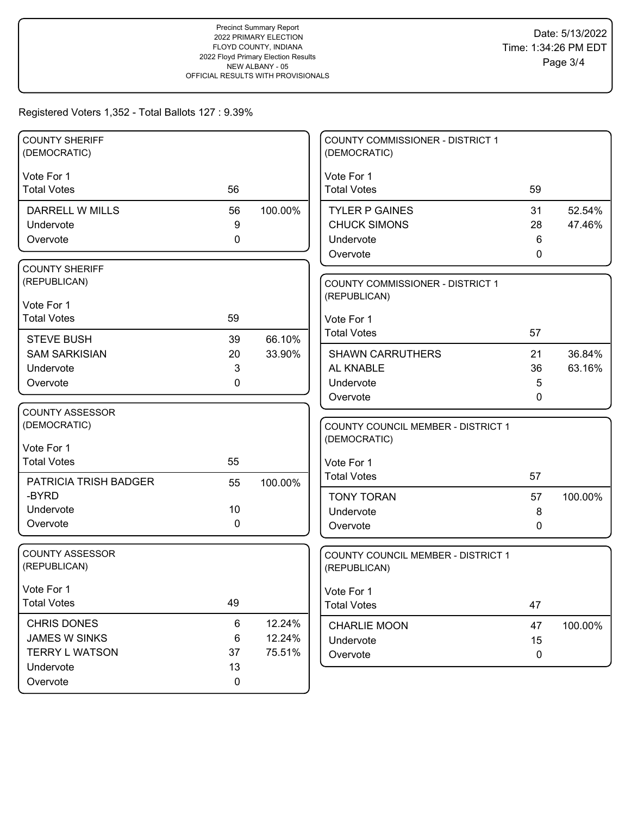| <b>COUNTY SHERIFF</b><br>(DEMOCRATIC)                                      |                        |                            | <b>COUNTY COMMISSIONER - DISTRICT 1</b><br>(DEMOCRATIC)                                     |                    |                  |
|----------------------------------------------------------------------------|------------------------|----------------------------|---------------------------------------------------------------------------------------------|--------------------|------------------|
| Vote For 1<br><b>Total Votes</b>                                           | 56                     |                            | Vote For 1<br><b>Total Votes</b>                                                            | 59                 |                  |
| <b>DARRELL W MILLS</b><br>Undervote<br>Overvote                            | 56<br>9<br>0           | 100.00%                    | <b>TYLER P GAINES</b><br><b>CHUCK SIMONS</b><br>Undervote<br>Overvote                       | 31<br>28<br>6<br>0 | 52.54%<br>47.46% |
| <b>COUNTY SHERIFF</b><br>(REPUBLICAN)<br>Vote For 1<br><b>Total Votes</b>  | 59                     |                            | <b>COUNTY COMMISSIONER - DISTRICT 1</b><br>(REPUBLICAN)<br>Vote For 1<br><b>Total Votes</b> | 57                 |                  |
| <b>STEVE BUSH</b><br><b>SAM SARKISIAN</b><br>Undervote<br>Overvote         | 39<br>20<br>3<br>0     | 66.10%<br>33.90%           | <b>SHAWN CARRUTHERS</b><br>AL KNABLE<br>Undervote<br>Overvote                               | 21<br>36<br>5<br>0 | 36.84%<br>63.16% |
| <b>COUNTY ASSESSOR</b><br>(DEMOCRATIC)<br>Vote For 1<br><b>Total Votes</b> | 55                     |                            | COUNTY COUNCIL MEMBER - DISTRICT 1<br>(DEMOCRATIC)<br>Vote For 1<br><b>Total Votes</b>      | 57                 |                  |
| PATRICIA TRISH BADGER<br>-BYRD<br>Undervote<br>Overvote                    | 55<br>10<br>0          | 100.00%                    | <b>TONY TORAN</b><br>Undervote<br>Overvote                                                  | 57<br>8<br>0       | 100.00%          |
| <b>COUNTY ASSESSOR</b><br>(REPUBLICAN)                                     |                        |                            | COUNTY COUNCIL MEMBER - DISTRICT 1<br>(REPUBLICAN)                                          |                    |                  |
| Vote For 1<br><b>Total Votes</b>                                           | 49                     |                            | Vote For 1<br><b>Total Votes</b>                                                            | 47                 |                  |
| CHRIS DONES<br><b>JAMES W SINKS</b><br><b>TERRY L WATSON</b><br>Undervote  | 6<br>$\,6$<br>37<br>13 | 12.24%<br>12.24%<br>75.51% | CHARLIE MOON<br>Undervote<br>Overvote                                                       | 47<br>15<br>0      | 100.00%          |
| Overvote                                                                   | 0                      |                            |                                                                                             |                    |                  |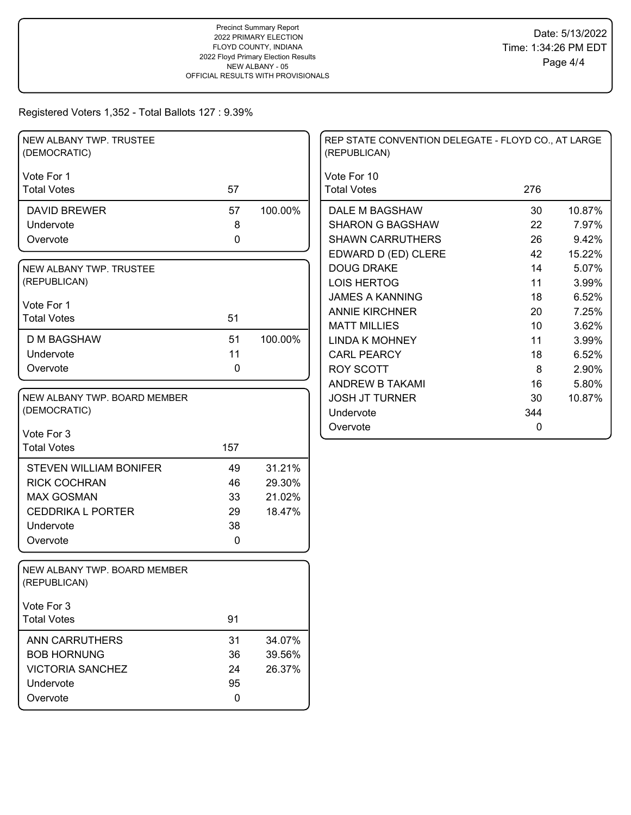| NEW ALBANY TWP. TRUSTEE<br>(DEMOCRATIC)      |             |         | REP STATE CONVENTION DELEGATE - FLOYD CO., AT LARGE<br>(REPUBLICAN) |              |  |
|----------------------------------------------|-------------|---------|---------------------------------------------------------------------|--------------|--|
| Vote For 1                                   |             |         | Vote For 10                                                         |              |  |
| <b>Total Votes</b>                           | 57          |         | <b>Total Votes</b>                                                  | 276          |  |
| <b>DAVID BREWER</b>                          | 57          | 100.00% | DALE M BAGSHAW                                                      | 10.87%<br>30 |  |
| Undervote                                    | 8           |         | <b>SHARON G BAGSHAW</b>                                             | 7.97%<br>22  |  |
| Overvote                                     | $\mathbf 0$ |         | <b>SHAWN CARRUTHERS</b>                                             | 26<br>9.42%  |  |
|                                              |             |         | EDWARD D (ED) CLERE                                                 | 42<br>15.22% |  |
| NEW ALBANY TWP. TRUSTEE                      |             |         | <b>DOUG DRAKE</b>                                                   | 5.07%<br>14  |  |
| (REPUBLICAN)                                 |             |         | <b>LOIS HERTOG</b>                                                  | 11<br>3.99%  |  |
| Vote For 1                                   |             |         | <b>JAMES A KANNING</b>                                              | 18<br>6.52%  |  |
| <b>Total Votes</b>                           | 51          |         | <b>ANNIE KIRCHNER</b>                                               | 20<br>7.25%  |  |
|                                              |             |         | <b>MATT MILLIES</b>                                                 | 10<br>3.62%  |  |
| <b>D M BAGSHAW</b>                           | 51          | 100.00% | <b>LINDA K MOHNEY</b>                                               | 11<br>3.99%  |  |
| Undervote                                    | 11          |         | <b>CARL PEARCY</b>                                                  | 6.52%<br>18  |  |
| Overvote                                     | 0           |         | <b>ROY SCOTT</b>                                                    | 2.90%<br>8   |  |
|                                              |             |         | <b>ANDREW B TAKAMI</b>                                              | 5.80%<br>16  |  |
| NEW ALBANY TWP. BOARD MEMBER                 |             |         | <b>JOSH JT TURNER</b>                                               | 30<br>10.87% |  |
| (DEMOCRATIC)                                 |             |         | Undervote                                                           | 344          |  |
| Vote For 3                                   |             |         | Overvote                                                            | 0            |  |
| <b>Total Votes</b>                           | 157         |         |                                                                     |              |  |
|                                              |             |         |                                                                     |              |  |
| <b>STEVEN WILLIAM BONIFER</b>                | 49          | 31.21%  |                                                                     |              |  |
| <b>RICK COCHRAN</b>                          | 46          | 29.30%  |                                                                     |              |  |
| <b>MAX GOSMAN</b>                            | 33          | 21.02%  |                                                                     |              |  |
| <b>CEDDRIKA L PORTER</b>                     | 29          | 18.47%  |                                                                     |              |  |
| Undervote                                    | 38          |         |                                                                     |              |  |
| Overvote                                     | $\mathbf 0$ |         |                                                                     |              |  |
| NEW ALBANY TWP. BOARD MEMBER<br>(REPUBLICAN) |             |         |                                                                     |              |  |
| Vote For 3                                   |             |         |                                                                     |              |  |
| <b>Total Votes</b>                           | 91          |         |                                                                     |              |  |
| <b>ANN CARRUTHERS</b>                        | 31          | 34.07%  |                                                                     |              |  |
| <b>BOB HORNUNG</b>                           | 36          | 39.56%  |                                                                     |              |  |
| <b>VICTORIA SANCHEZ</b>                      | 24          | 26.37%  |                                                                     |              |  |
| Undervote                                    | 95          |         |                                                                     |              |  |
| Overvote                                     | $\mathbf 0$ |         |                                                                     |              |  |
|                                              |             |         |                                                                     |              |  |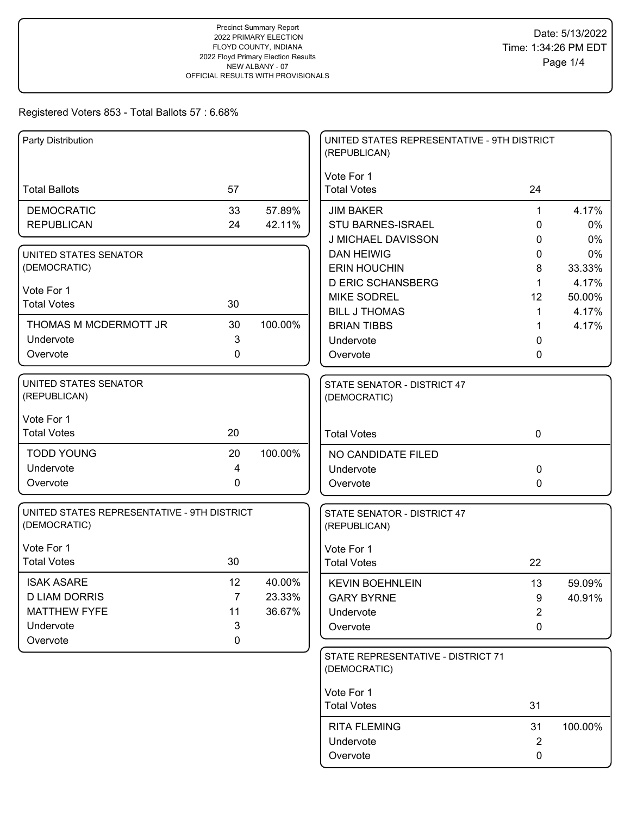| Vote For 1<br>57<br><b>Total Votes</b><br>24<br><b>Total Ballots</b><br><b>DEMOCRATIC</b><br>57.89%<br>33<br><b>JIM BAKER</b><br>1<br><b>REPUBLICAN</b><br>24<br>42.11%<br><b>STU BARNES-ISRAEL</b><br>0<br>J MICHAEL DAVISSON<br>0<br><b>DAN HEIWIG</b><br>UNITED STATES SENATOR<br>0<br>(DEMOCRATIC)<br><b>ERIN HOUCHIN</b><br>8<br><b>D ERIC SCHANSBERG</b><br>$\mathbf 1$<br>Vote For 1<br><b>MIKE SODREL</b><br>12<br><b>Total Votes</b><br>30<br><b>BILL J THOMAS</b><br>$\mathbf 1$<br>100.00%<br>THOMAS M MCDERMOTT JR<br>30<br><b>BRIAN TIBBS</b><br>1<br>3<br>Undervote<br>Undervote<br>0<br>$\mathbf 0$<br>Overvote<br>Overvote<br>0<br>UNITED STATES SENATOR<br>STATE SENATOR - DISTRICT 47<br>(REPUBLICAN)<br>(DEMOCRATIC)<br>Vote For 1<br><b>Total Votes</b><br>20<br><b>Total Votes</b><br>$\mathbf 0$<br><b>TODD YOUNG</b><br>20<br>100.00%<br>NO CANDIDATE FILED<br>Undervote<br>4<br>Undervote<br>$\Omega$<br>Overvote<br>0<br>0<br>Overvote<br>UNITED STATES REPRESENTATIVE - 9TH DISTRICT<br>STATE SENATOR - DISTRICT 47<br>(DEMOCRATIC)<br>(REPUBLICAN)<br>Vote For 1<br>Vote For 1<br><b>Total Votes</b><br>30<br><b>Total Votes</b><br>22<br>12<br><b>ISAK ASARE</b><br>40.00%<br><b>KEVIN BOEHNLEIN</b><br>13<br><b>D LIAM DORRIS</b><br>$\overline{7}$<br>23.33%<br><b>GARY BYRNE</b><br>9<br><b>MATTHEW FYFE</b><br>36.67%<br>11<br>$\overline{2}$<br>Undervote<br>3<br>Undervote<br>Overvote<br>0<br>Overvote<br>0<br>STATE REPRESENTATIVE - DISTRICT 71<br>(DEMOCRATIC) | Party Distribution |  | UNITED STATES REPRESENTATIVE - 9TH DISTRICT<br>(REPUBLICAN) |          |
|------------------------------------------------------------------------------------------------------------------------------------------------------------------------------------------------------------------------------------------------------------------------------------------------------------------------------------------------------------------------------------------------------------------------------------------------------------------------------------------------------------------------------------------------------------------------------------------------------------------------------------------------------------------------------------------------------------------------------------------------------------------------------------------------------------------------------------------------------------------------------------------------------------------------------------------------------------------------------------------------------------------------------------------------------------------------------------------------------------------------------------------------------------------------------------------------------------------------------------------------------------------------------------------------------------------------------------------------------------------------------------------------------------------------------------------------------------------------------------------------------|--------------------|--|-------------------------------------------------------------|----------|
|                                                                                                                                                                                                                                                                                                                                                                                                                                                                                                                                                                                                                                                                                                                                                                                                                                                                                                                                                                                                                                                                                                                                                                                                                                                                                                                                                                                                                                                                                                      |                    |  |                                                             |          |
|                                                                                                                                                                                                                                                                                                                                                                                                                                                                                                                                                                                                                                                                                                                                                                                                                                                                                                                                                                                                                                                                                                                                                                                                                                                                                                                                                                                                                                                                                                      |                    |  |                                                             | 4.17%    |
|                                                                                                                                                                                                                                                                                                                                                                                                                                                                                                                                                                                                                                                                                                                                                                                                                                                                                                                                                                                                                                                                                                                                                                                                                                                                                                                                                                                                                                                                                                      |                    |  |                                                             | 0%       |
|                                                                                                                                                                                                                                                                                                                                                                                                                                                                                                                                                                                                                                                                                                                                                                                                                                                                                                                                                                                                                                                                                                                                                                                                                                                                                                                                                                                                                                                                                                      |                    |  |                                                             | 0%<br>0% |
|                                                                                                                                                                                                                                                                                                                                                                                                                                                                                                                                                                                                                                                                                                                                                                                                                                                                                                                                                                                                                                                                                                                                                                                                                                                                                                                                                                                                                                                                                                      |                    |  |                                                             | 33.33%   |
|                                                                                                                                                                                                                                                                                                                                                                                                                                                                                                                                                                                                                                                                                                                                                                                                                                                                                                                                                                                                                                                                                                                                                                                                                                                                                                                                                                                                                                                                                                      |                    |  |                                                             | 4.17%    |
|                                                                                                                                                                                                                                                                                                                                                                                                                                                                                                                                                                                                                                                                                                                                                                                                                                                                                                                                                                                                                                                                                                                                                                                                                                                                                                                                                                                                                                                                                                      |                    |  |                                                             | 50.00%   |
|                                                                                                                                                                                                                                                                                                                                                                                                                                                                                                                                                                                                                                                                                                                                                                                                                                                                                                                                                                                                                                                                                                                                                                                                                                                                                                                                                                                                                                                                                                      |                    |  |                                                             | 4.17%    |
|                                                                                                                                                                                                                                                                                                                                                                                                                                                                                                                                                                                                                                                                                                                                                                                                                                                                                                                                                                                                                                                                                                                                                                                                                                                                                                                                                                                                                                                                                                      |                    |  |                                                             | 4.17%    |
|                                                                                                                                                                                                                                                                                                                                                                                                                                                                                                                                                                                                                                                                                                                                                                                                                                                                                                                                                                                                                                                                                                                                                                                                                                                                                                                                                                                                                                                                                                      |                    |  |                                                             |          |
|                                                                                                                                                                                                                                                                                                                                                                                                                                                                                                                                                                                                                                                                                                                                                                                                                                                                                                                                                                                                                                                                                                                                                                                                                                                                                                                                                                                                                                                                                                      |                    |  |                                                             |          |
|                                                                                                                                                                                                                                                                                                                                                                                                                                                                                                                                                                                                                                                                                                                                                                                                                                                                                                                                                                                                                                                                                                                                                                                                                                                                                                                                                                                                                                                                                                      |                    |  |                                                             |          |
|                                                                                                                                                                                                                                                                                                                                                                                                                                                                                                                                                                                                                                                                                                                                                                                                                                                                                                                                                                                                                                                                                                                                                                                                                                                                                                                                                                                                                                                                                                      |                    |  |                                                             |          |
|                                                                                                                                                                                                                                                                                                                                                                                                                                                                                                                                                                                                                                                                                                                                                                                                                                                                                                                                                                                                                                                                                                                                                                                                                                                                                                                                                                                                                                                                                                      |                    |  |                                                             |          |
|                                                                                                                                                                                                                                                                                                                                                                                                                                                                                                                                                                                                                                                                                                                                                                                                                                                                                                                                                                                                                                                                                                                                                                                                                                                                                                                                                                                                                                                                                                      |                    |  |                                                             |          |
|                                                                                                                                                                                                                                                                                                                                                                                                                                                                                                                                                                                                                                                                                                                                                                                                                                                                                                                                                                                                                                                                                                                                                                                                                                                                                                                                                                                                                                                                                                      |                    |  |                                                             |          |
|                                                                                                                                                                                                                                                                                                                                                                                                                                                                                                                                                                                                                                                                                                                                                                                                                                                                                                                                                                                                                                                                                                                                                                                                                                                                                                                                                                                                                                                                                                      |                    |  |                                                             |          |
|                                                                                                                                                                                                                                                                                                                                                                                                                                                                                                                                                                                                                                                                                                                                                                                                                                                                                                                                                                                                                                                                                                                                                                                                                                                                                                                                                                                                                                                                                                      |                    |  |                                                             |          |
|                                                                                                                                                                                                                                                                                                                                                                                                                                                                                                                                                                                                                                                                                                                                                                                                                                                                                                                                                                                                                                                                                                                                                                                                                                                                                                                                                                                                                                                                                                      |                    |  |                                                             |          |
|                                                                                                                                                                                                                                                                                                                                                                                                                                                                                                                                                                                                                                                                                                                                                                                                                                                                                                                                                                                                                                                                                                                                                                                                                                                                                                                                                                                                                                                                                                      |                    |  |                                                             |          |
|                                                                                                                                                                                                                                                                                                                                                                                                                                                                                                                                                                                                                                                                                                                                                                                                                                                                                                                                                                                                                                                                                                                                                                                                                                                                                                                                                                                                                                                                                                      |                    |  |                                                             | 59.09%   |
|                                                                                                                                                                                                                                                                                                                                                                                                                                                                                                                                                                                                                                                                                                                                                                                                                                                                                                                                                                                                                                                                                                                                                                                                                                                                                                                                                                                                                                                                                                      |                    |  |                                                             | 40.91%   |
|                                                                                                                                                                                                                                                                                                                                                                                                                                                                                                                                                                                                                                                                                                                                                                                                                                                                                                                                                                                                                                                                                                                                                                                                                                                                                                                                                                                                                                                                                                      |                    |  |                                                             |          |
|                                                                                                                                                                                                                                                                                                                                                                                                                                                                                                                                                                                                                                                                                                                                                                                                                                                                                                                                                                                                                                                                                                                                                                                                                                                                                                                                                                                                                                                                                                      |                    |  |                                                             |          |
|                                                                                                                                                                                                                                                                                                                                                                                                                                                                                                                                                                                                                                                                                                                                                                                                                                                                                                                                                                                                                                                                                                                                                                                                                                                                                                                                                                                                                                                                                                      |                    |  |                                                             |          |
|                                                                                                                                                                                                                                                                                                                                                                                                                                                                                                                                                                                                                                                                                                                                                                                                                                                                                                                                                                                                                                                                                                                                                                                                                                                                                                                                                                                                                                                                                                      |                    |  |                                                             |          |
| Vote For 1                                                                                                                                                                                                                                                                                                                                                                                                                                                                                                                                                                                                                                                                                                                                                                                                                                                                                                                                                                                                                                                                                                                                                                                                                                                                                                                                                                                                                                                                                           |                    |  |                                                             |          |
| 31<br><b>Total Votes</b>                                                                                                                                                                                                                                                                                                                                                                                                                                                                                                                                                                                                                                                                                                                                                                                                                                                                                                                                                                                                                                                                                                                                                                                                                                                                                                                                                                                                                                                                             |                    |  |                                                             |          |
| <b>RITA FLEMING</b><br>31                                                                                                                                                                                                                                                                                                                                                                                                                                                                                                                                                                                                                                                                                                                                                                                                                                                                                                                                                                                                                                                                                                                                                                                                                                                                                                                                                                                                                                                                            |                    |  |                                                             | 100.00%  |
| Undervote<br>2                                                                                                                                                                                                                                                                                                                                                                                                                                                                                                                                                                                                                                                                                                                                                                                                                                                                                                                                                                                                                                                                                                                                                                                                                                                                                                                                                                                                                                                                                       |                    |  |                                                             |          |
| 0<br>Overvote                                                                                                                                                                                                                                                                                                                                                                                                                                                                                                                                                                                                                                                                                                                                                                                                                                                                                                                                                                                                                                                                                                                                                                                                                                                                                                                                                                                                                                                                                        |                    |  |                                                             |          |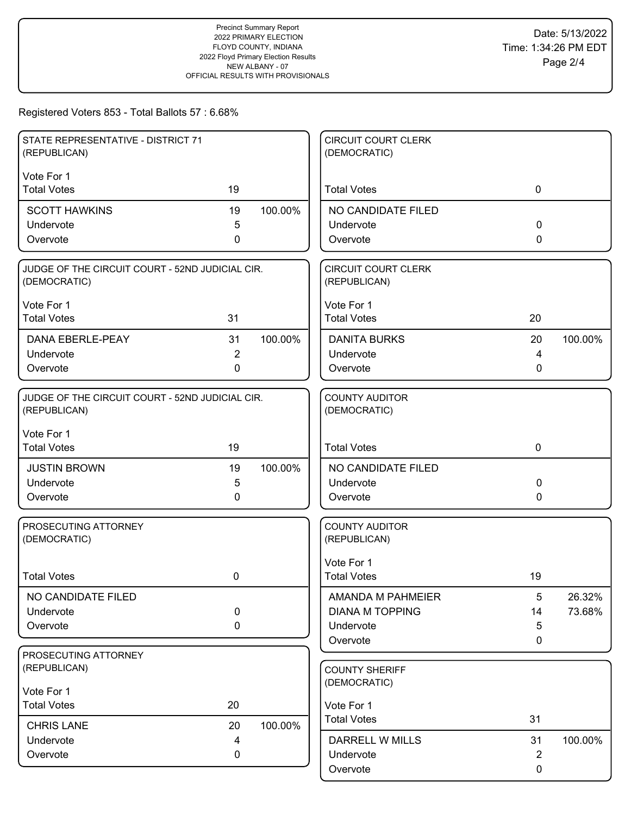| STATE REPRESENTATIVE - DISTRICT 71<br>(REPUBLICAN)              |                |         | <b>CIRCUIT COURT CLERK</b><br>(DEMOCRATIC) |                |         |
|-----------------------------------------------------------------|----------------|---------|--------------------------------------------|----------------|---------|
| Vote For 1                                                      |                |         |                                            |                |         |
| <b>Total Votes</b>                                              | 19             |         | <b>Total Votes</b>                         | $\mathbf 0$    |         |
| <b>SCOTT HAWKINS</b>                                            | 19             | 100.00% | NO CANDIDATE FILED                         |                |         |
| Undervote                                                       | 5              |         | Undervote                                  | 0              |         |
| Overvote                                                        | $\mathbf 0$    |         | Overvote                                   | 0              |         |
| JUDGE OF THE CIRCUIT COURT - 52ND JUDICIAL CIR.<br>(DEMOCRATIC) |                |         | <b>CIRCUIT COURT CLERK</b><br>(REPUBLICAN) |                |         |
| Vote For 1                                                      |                |         | Vote For 1                                 |                |         |
| <b>Total Votes</b>                                              | 31             |         | <b>Total Votes</b>                         | 20             |         |
| <b>DANA EBERLE-PEAY</b>                                         | 31             | 100.00% | <b>DANITA BURKS</b>                        | 20             | 100.00% |
| Undervote                                                       | $\overline{2}$ |         | Undervote                                  | 4              |         |
| Overvote                                                        | 0              |         | Overvote                                   | 0              |         |
| JUDGE OF THE CIRCUIT COURT - 52ND JUDICIAL CIR.<br>(REPUBLICAN) |                |         | <b>COUNTY AUDITOR</b><br>(DEMOCRATIC)      |                |         |
| Vote For 1                                                      |                |         |                                            |                |         |
| <b>Total Votes</b>                                              | 19             |         | <b>Total Votes</b>                         | $\mathbf 0$    |         |
| <b>JUSTIN BROWN</b>                                             | 19             | 100.00% | NO CANDIDATE FILED                         |                |         |
| Undervote                                                       | 5              |         | Undervote                                  | 0              |         |
| Overvote                                                        | 0              |         | Overvote                                   | 0              |         |
| PROSECUTING ATTORNEY<br>(DEMOCRATIC)                            |                |         | <b>COUNTY AUDITOR</b><br>(REPUBLICAN)      |                |         |
|                                                                 |                |         | Vote For 1                                 |                |         |
| <b>Total Votes</b>                                              | 0              |         | <b>Total Votes</b>                         | 19             |         |
| NO CANDIDATE FILED                                              |                |         | AMANDA M PAHMEIER                          | 5              | 26.32%  |
| Undervote                                                       | $\pmb{0}$      |         | <b>DIANA M TOPPING</b>                     | 14             | 73.68%  |
| Overvote                                                        | 0              |         | Undervote                                  | 5              |         |
|                                                                 |                |         | Overvote                                   | 0              |         |
| PROSECUTING ATTORNEY<br>(REPUBLICAN)                            |                |         | <b>COUNTY SHERIFF</b>                      |                |         |
|                                                                 |                |         | (DEMOCRATIC)                               |                |         |
| Vote For 1                                                      |                |         |                                            |                |         |
| <b>Total Votes</b>                                              | 20             |         | Vote For 1<br><b>Total Votes</b>           | 31             |         |
| <b>CHRIS LANE</b>                                               | 20             | 100.00% |                                            |                |         |
| Undervote                                                       | 4              |         | DARRELL W MILLS                            | 31             | 100.00% |
| Overvote                                                        | 0              |         | Undervote                                  | $\overline{2}$ |         |
|                                                                 |                |         | Overvote                                   | 0              |         |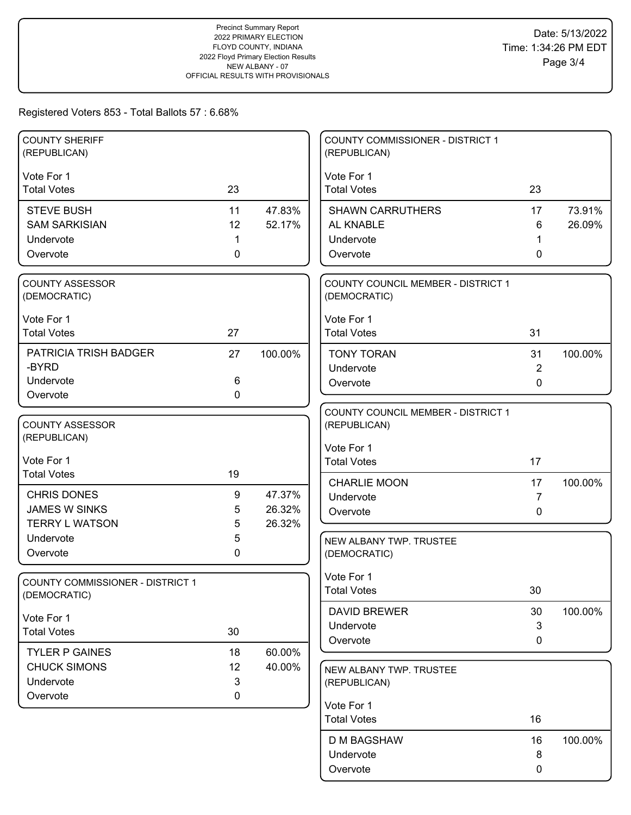| <b>COUNTY SHERIFF</b>                   |             |         | <b>COUNTY COMMISSIONER - DISTRICT 1</b>   |                |         |
|-----------------------------------------|-------------|---------|-------------------------------------------|----------------|---------|
| (REPUBLICAN)                            |             |         | (REPUBLICAN)                              |                |         |
| Vote For 1                              |             |         | Vote For 1                                |                |         |
| <b>Total Votes</b>                      | 23          |         | <b>Total Votes</b>                        | 23             |         |
| <b>STEVE BUSH</b>                       | 11          | 47.83%  | <b>SHAWN CARRUTHERS</b>                   | 17             | 73.91%  |
| <b>SAM SARKISIAN</b>                    | 12          | 52.17%  | AL KNABLE                                 | 6              | 26.09%  |
| Undervote                               | 1           |         | Undervote                                 |                |         |
| Overvote                                | $\mathbf 0$ |         | Overvote                                  | 0              |         |
|                                         |             |         |                                           |                |         |
| COUNTY ASSESSOR                         |             |         | COUNTY COUNCIL MEMBER - DISTRICT 1        |                |         |
| (DEMOCRATIC)                            |             |         | (DEMOCRATIC)                              |                |         |
| Vote For 1                              |             |         | Vote For 1                                |                |         |
| <b>Total Votes</b>                      | 27          |         | <b>Total Votes</b>                        | 31             |         |
| <b>PATRICIA TRISH BADGER</b>            | 27          | 100.00% | <b>TONY TORAN</b>                         | 31             | 100.00% |
| -BYRD                                   |             |         | Undervote                                 | $\overline{2}$ |         |
| Undervote                               | 6           |         | Overvote                                  | 0              |         |
| Overvote                                | $\mathbf 0$ |         |                                           |                |         |
|                                         |             |         | <b>COUNTY COUNCIL MEMBER - DISTRICT 1</b> |                |         |
| <b>COUNTY ASSESSOR</b>                  |             |         | (REPUBLICAN)                              |                |         |
| (REPUBLICAN)                            |             |         | Vote For 1                                |                |         |
| Vote For 1                              |             |         | <b>Total Votes</b>                        | 17             |         |
| <b>Total Votes</b>                      | 19          |         |                                           |                |         |
| <b>CHRIS DONES</b>                      | 9           | 47.37%  | <b>CHARLIE MOON</b>                       | 17             | 100.00% |
| <b>JAMES W SINKS</b>                    | 5           | 26.32%  | Undervote                                 | $\overline{7}$ |         |
| <b>TERRY L WATSON</b>                   | 5           | 26.32%  | Overvote                                  | $\mathbf{0}$   |         |
| Undervote                               | 5           |         | NEW ALBANY TWP. TRUSTEE                   |                |         |
| Overvote                                | 0           |         | (DEMOCRATIC)                              |                |         |
|                                         |             |         |                                           |                |         |
| <b>COUNTY COMMISSIONER - DISTRICT 1</b> |             |         | Vote For 1                                |                |         |
| (DEMOCRATIC)                            |             |         | <b>Total Votes</b>                        | 30             |         |
| Vote For 1                              |             |         | <b>DAVID BREWER</b>                       | 30             | 100.00% |
| <b>Total Votes</b>                      | 30          |         | Undervote                                 | $\mathbf{3}$   |         |
|                                         |             |         | Overvote                                  | 0              |         |
| <b>TYLER P GAINES</b>                   | 18          | 60.00%  |                                           |                |         |
| <b>CHUCK SIMONS</b>                     | 12          | 40.00%  | NEW ALBANY TWP. TRUSTEE                   |                |         |
| Undervote                               | 3           |         | (REPUBLICAN)                              |                |         |
| Overvote                                | 0           |         | Vote For 1                                |                |         |
|                                         |             |         | <b>Total Votes</b>                        | 16             |         |
|                                         |             |         | <b>D M BAGSHAW</b>                        | 16             | 100.00% |
|                                         |             |         | Undervote                                 | 8              |         |
|                                         |             |         | Overvote                                  | 0              |         |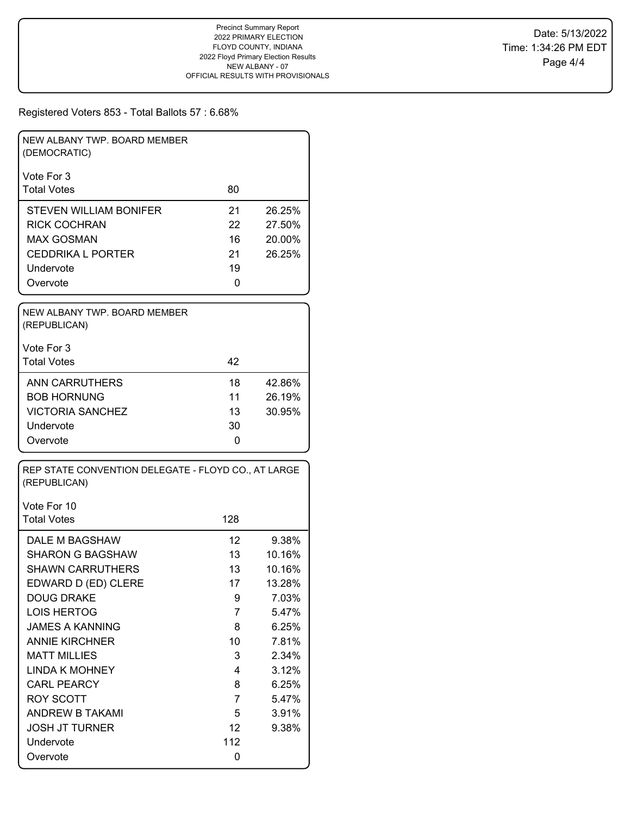| NEW ALBANY TWP, BOARD MEMBER<br>(DEMOCRATIC) |    |        |
|----------------------------------------------|----|--------|
| Vote For 3                                   |    |        |
| <b>Total Votes</b>                           | 80 |        |
| STEVEN WILLIAM BONIFER                       | 21 | 26.25% |
| RICK COCHRAN                                 | 22 | 27.50% |
| MAX GOSMAN                                   | 16 | 20.00% |
| <b>CEDDRIKA L PORTER</b>                     | 21 | 26.25% |
| Undervote                                    | 19 |        |
| Overvote                                     | 0  |        |

| NEW ALBANY TWP, BOARD MEMBER<br>(REPUBLICAN) |    |        |
|----------------------------------------------|----|--------|
| Vote For 3                                   |    |        |
| <b>Total Votes</b>                           | 42 |        |
| <b>ANN CARRUTHERS</b>                        | 18 | 42.86% |
| <b>BOB HORNUNG</b>                           | 11 | 26.19% |
| <b>VICTORIA SANCHEZ</b>                      | 13 | 30.95% |
| Undervote                                    | 30 |        |
| Overvote                                     | 0  |        |

| REP STATE CONVENTION DELEGATE - FLOYD CO., AT LARGE<br>(REPUBLICAN) |                 |        |  |  |  |  |  |  |
|---------------------------------------------------------------------|-----------------|--------|--|--|--|--|--|--|
| Vote For 10                                                         |                 |        |  |  |  |  |  |  |
| <b>Total Votes</b>                                                  | 128             |        |  |  |  |  |  |  |
| DALE M BAGSHAW                                                      | 12              | 9.38%  |  |  |  |  |  |  |
| <b>SHARON G BAGSHAW</b>                                             | 13              | 10.16% |  |  |  |  |  |  |
| <b>SHAWN CARRUTHERS</b>                                             | 13 <sup>°</sup> | 10.16% |  |  |  |  |  |  |
| EDWARD D (ED) CLERE                                                 | 17              | 13.28% |  |  |  |  |  |  |
| <b>DOUG DRAKE</b>                                                   | 9               | 7.03%  |  |  |  |  |  |  |
| LOIS HERTOG                                                         | 7               | 5.47%  |  |  |  |  |  |  |
| JAMES A KANNING                                                     | 8               | 6.25%  |  |  |  |  |  |  |
| <b>ANNIE KIRCHNER</b>                                               | 10              | 7.81%  |  |  |  |  |  |  |
| <b>MATT MILLIES</b>                                                 | 3               | 2.34%  |  |  |  |  |  |  |
| LINDA K MOHNEY                                                      | 4               | 3.12%  |  |  |  |  |  |  |
| <b>CARL PEARCY</b>                                                  | 8               | 6.25%  |  |  |  |  |  |  |
| ROY SCOTT                                                           | 7               | 5.47%  |  |  |  |  |  |  |
| <b>ANDREW B TAKAMI</b>                                              | 5               | 3.91%  |  |  |  |  |  |  |
| <b>JOSH JT TURNER</b>                                               | 12 <sup>2</sup> | 9.38%  |  |  |  |  |  |  |
| Undervote                                                           | 112             |        |  |  |  |  |  |  |
| Overvote                                                            | 0               |        |  |  |  |  |  |  |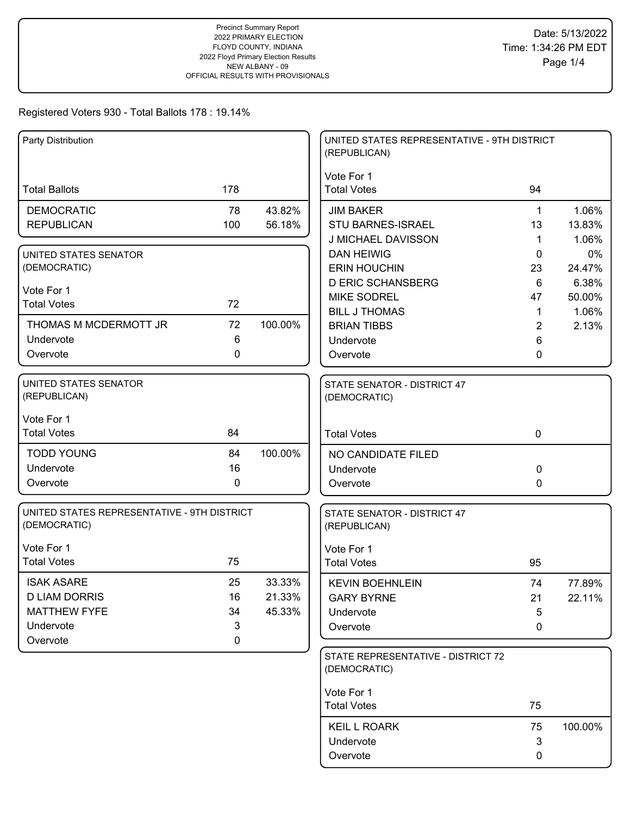| Party Distribution                          |             |         | UNITED STATES REPRESENTATIVE - 9TH DISTRICT<br>(REPUBLICAN) |              |         |
|---------------------------------------------|-------------|---------|-------------------------------------------------------------|--------------|---------|
|                                             |             |         | Vote For 1                                                  |              |         |
| <b>Total Ballots</b>                        | 178         |         | <b>Total Votes</b>                                          | 94           |         |
| <b>DEMOCRATIC</b>                           | 78          | 43.82%  | <b>JIM BAKER</b>                                            | $\mathbf{1}$ | 1.06%   |
| <b>REPUBLICAN</b>                           | 100         | 56.18%  | STU BARNES-ISRAEL                                           | 13           | 13.83%  |
|                                             |             |         | J MICHAEL DAVISSON                                          | 1            | 1.06%   |
| UNITED STATES SENATOR                       |             |         | <b>DAN HEIWIG</b>                                           | $\mathbf{0}$ | 0%      |
| (DEMOCRATIC)                                |             |         | <b>ERIN HOUCHIN</b>                                         | 23           | 24.47%  |
| Vote For 1                                  |             |         | <b>D ERIC SCHANSBERG</b>                                    | 6            | 6.38%   |
| <b>Total Votes</b>                          | 72          |         | <b>MIKE SODREL</b>                                          | 47           | 50.00%  |
| THOMAS M MCDERMOTT JR                       | 72          | 100.00% | <b>BILL J THOMAS</b>                                        | $\mathbf 1$  | 1.06%   |
| Undervote                                   | 6           |         | <b>BRIAN TIBBS</b>                                          | 2            | 2.13%   |
| Overvote                                    | 0           |         | Undervote<br>Overvote                                       | 6<br>0       |         |
|                                             |             |         |                                                             |              |         |
| <b>UNITED STATES SENATOR</b>                |             |         | STATE SENATOR - DISTRICT 47                                 |              |         |
| (REPUBLICAN)                                |             |         | (DEMOCRATIC)                                                |              |         |
| Vote For 1                                  |             |         |                                                             |              |         |
| <b>Total Votes</b>                          | 84          |         | <b>Total Votes</b>                                          | $\mathbf 0$  |         |
| <b>TODD YOUNG</b>                           | 84          | 100.00% | NO CANDIDATE FILED                                          |              |         |
| Undervote                                   | 16          |         | Undervote                                                   | $\mathbf 0$  |         |
| Overvote                                    | $\mathbf 0$ |         | Overvote                                                    | $\mathbf{0}$ |         |
| UNITED STATES REPRESENTATIVE - 9TH DISTRICT |             |         | STATE SENATOR - DISTRICT 47                                 |              |         |
| (DEMOCRATIC)                                |             |         | (REPUBLICAN)                                                |              |         |
| Vote For 1                                  |             |         | Vote For 1                                                  |              |         |
| <b>Total Votes</b>                          | 75          |         | <b>Total Votes</b>                                          | 95           |         |
| <b>ISAK ASARE</b>                           | 25          | 33.33%  | <b>KEVIN BOEHNLEIN</b>                                      | 74           | 77.89%  |
| <b>D LIAM DORRIS</b>                        | 16          | 21.33%  | <b>GARY BYRNE</b>                                           | 21           | 22.11%  |
| <b>MATTHEW FYFE</b>                         | 34          | 45.33%  | Undervote                                                   | 5            |         |
| Undervote                                   | 3           |         | Overvote                                                    | 0            |         |
| Overvote                                    | 0           |         |                                                             |              |         |
|                                             |             |         | STATE REPRESENTATIVE - DISTRICT 72<br>(DEMOCRATIC)          |              |         |
|                                             |             |         | Vote For 1                                                  |              |         |
|                                             |             |         | <b>Total Votes</b>                                          | 75           |         |
|                                             |             |         | <b>KEIL L ROARK</b>                                         | 75           | 100.00% |
|                                             |             |         | Undervote                                                   | $\mathbf{3}$ |         |
|                                             |             |         | Overvote                                                    | 0            |         |
|                                             |             |         |                                                             |              |         |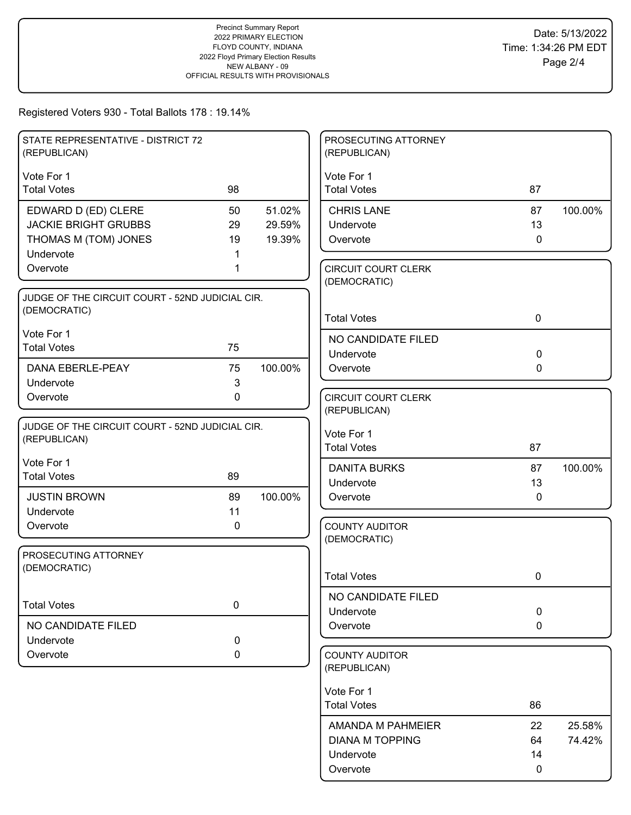| STATE REPRESENTATIVE - DISTRICT 72<br>(REPUBLICAN) |             |         | PROSECUTING ATTORNEY<br>(REPUBLICAN)       |             |         |
|----------------------------------------------------|-------------|---------|--------------------------------------------|-------------|---------|
| Vote For 1                                         |             |         | Vote For 1                                 |             |         |
| <b>Total Votes</b>                                 | 98          |         | <b>Total Votes</b>                         | 87          |         |
| EDWARD D (ED) CLERE                                | 50          | 51.02%  | <b>CHRIS LANE</b>                          | 87          | 100.00% |
| <b>JACKIE BRIGHT GRUBBS</b>                        | 29          | 29.59%  | Undervote                                  | 13          |         |
| THOMAS M (TOM) JONES                               | 19          | 19.39%  | Overvote                                   | $\mathbf 0$ |         |
| Undervote                                          |             |         |                                            |             |         |
| Overvote                                           |             |         | <b>CIRCUIT COURT CLERK</b><br>(DEMOCRATIC) |             |         |
| JUDGE OF THE CIRCUIT COURT - 52ND JUDICIAL CIR.    |             |         |                                            |             |         |
| (DEMOCRATIC)                                       |             |         | <b>Total Votes</b>                         | $\mathbf 0$ |         |
| Vote For 1                                         |             |         | NO CANDIDATE FILED                         |             |         |
| <b>Total Votes</b>                                 | 75          |         | Undervote                                  | $\mathbf 0$ |         |
| DANA EBERLE-PEAY                                   | 75          | 100.00% | Overvote                                   | $\mathbf 0$ |         |
| Undervote                                          | 3           |         |                                            |             |         |
| Overvote                                           | $\mathbf 0$ |         | <b>CIRCUIT COURT CLERK</b>                 |             |         |
|                                                    |             |         | (REPUBLICAN)                               |             |         |
| JUDGE OF THE CIRCUIT COURT - 52ND JUDICIAL CIR.    |             |         | Vote For 1                                 |             |         |
| (REPUBLICAN)                                       |             |         | <b>Total Votes</b>                         | 87          |         |
| Vote For 1                                         |             |         | <b>DANITA BURKS</b>                        | 87          | 100.00% |
| <b>Total Votes</b>                                 | 89          |         | Undervote                                  | 13          |         |
| <b>JUSTIN BROWN</b>                                | 89          | 100.00% | Overvote                                   | 0           |         |
| Undervote                                          | 11          |         |                                            |             |         |
| Overvote                                           | 0           |         | <b>COUNTY AUDITOR</b>                      |             |         |
|                                                    |             |         | (DEMOCRATIC)                               |             |         |
| PROSECUTING ATTORNEY                               |             |         |                                            |             |         |
| (DEMOCRATIC)                                       |             |         | <b>Total Votes</b>                         | 0           |         |
|                                                    |             |         | NO CANDIDATE FILED                         |             |         |
| <b>Total Votes</b>                                 | $\pmb{0}$   |         | Undervote                                  | 0           |         |
| NO CANDIDATE FILED                                 |             |         | Overvote                                   | $\mathbf 0$ |         |
| Undervote                                          | $\mathbf 0$ |         |                                            |             |         |
| Overvote                                           | 0           |         | <b>COUNTY AUDITOR</b>                      |             |         |
|                                                    |             |         | (REPUBLICAN)                               |             |         |
|                                                    |             |         | Vote For 1                                 |             |         |
|                                                    |             |         | <b>Total Votes</b>                         | 86          |         |
|                                                    |             |         | AMANDA M PAHMEIER                          | 22          | 25.58%  |
|                                                    |             |         | <b>DIANA M TOPPING</b>                     | 64          | 74.42%  |
|                                                    |             |         | Undervote                                  | 14          |         |
|                                                    |             |         | Overvote                                   | 0           |         |
|                                                    |             |         |                                            |             |         |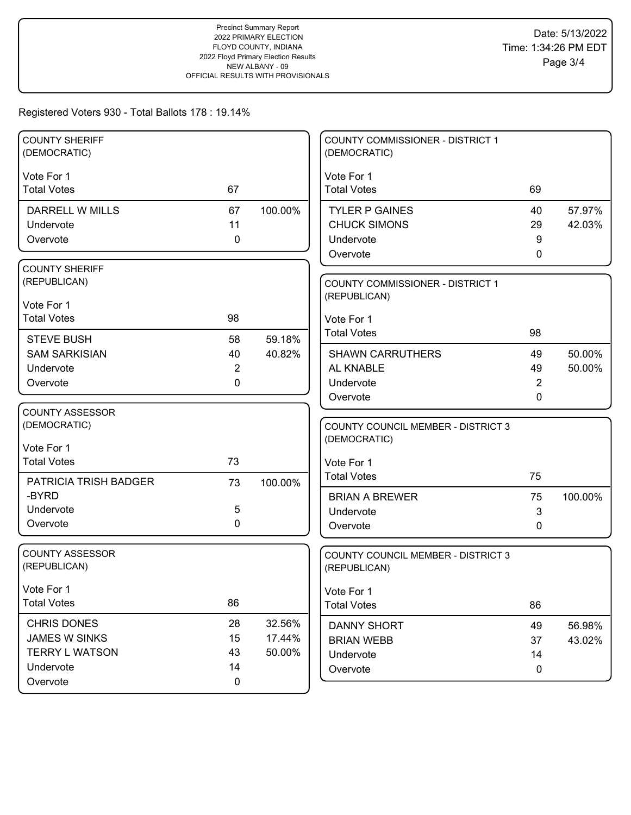| <b>COUNTY SHERIFF</b><br>(DEMOCRATIC) |                |         | COUNTY COMMISSIONER - DISTRICT 1<br>(DEMOCRATIC) |         |         |
|---------------------------------------|----------------|---------|--------------------------------------------------|---------|---------|
| Vote For 1                            |                |         | Vote For 1                                       |         |         |
| <b>Total Votes</b>                    | 67             |         | <b>Total Votes</b>                               | 69      |         |
| DARRELL W MILLS                       | 67             | 100.00% | <b>TYLER P GAINES</b>                            | 40      | 57.97%  |
| Undervote                             | 11             |         | <b>CHUCK SIMONS</b>                              | 29      | 42.03%  |
| Overvote                              | $\mathbf 0$    |         | Undervote                                        | 9       |         |
|                                       |                |         | Overvote                                         | 0       |         |
| <b>COUNTY SHERIFF</b>                 |                |         |                                                  |         |         |
| (REPUBLICAN)                          |                |         | <b>COUNTY COMMISSIONER - DISTRICT 1</b>          |         |         |
| Vote For 1                            |                |         | (REPUBLICAN)                                     |         |         |
| <b>Total Votes</b>                    | 98             |         | Vote For 1                                       |         |         |
| <b>STEVE BUSH</b>                     | 58             | 59.18%  | <b>Total Votes</b>                               | 98      |         |
| <b>SAM SARKISIAN</b>                  | 40             | 40.82%  | <b>SHAWN CARRUTHERS</b>                          | 49      | 50.00%  |
| Undervote                             | $\overline{2}$ |         | AL KNABLE                                        | 49      | 50.00%  |
| Overvote                              | 0              |         | Undervote                                        | 2       |         |
|                                       |                |         | Overvote                                         | 0       |         |
| <b>COUNTY ASSESSOR</b>                |                |         |                                                  |         |         |
| (DEMOCRATIC)                          |                |         | <b>COUNTY COUNCIL MEMBER - DISTRICT 3</b>        |         |         |
| Vote For 1                            |                |         | (DEMOCRATIC)                                     |         |         |
| <b>Total Votes</b>                    | 73             |         | Vote For 1                                       |         |         |
|                                       |                |         | <b>Total Votes</b>                               | 75      |         |
| PATRICIA TRISH BADGER<br>-BYRD        | 73             | 100.00% |                                                  |         |         |
| Undervote                             | 5              |         | <b>BRIAN A BREWER</b><br>Undervote               | 75<br>3 | 100.00% |
| Overvote                              | 0              |         | Overvote                                         | 0       |         |
|                                       |                |         |                                                  |         |         |
| <b>COUNTY ASSESSOR</b>                |                |         | COUNTY COUNCIL MEMBER - DISTRICT 3               |         |         |
| (REPUBLICAN)                          |                |         | (REPUBLICAN)                                     |         |         |
| Vote For 1                            |                |         | Vote For 1                                       |         |         |
| <b>Total Votes</b>                    | 86             |         | <b>Total Votes</b>                               | 86      |         |
| <b>CHRIS DONES</b>                    | 28             | 32.56%  | <b>DANNY SHORT</b>                               | 49      | 56.98%  |
| <b>JAMES W SINKS</b>                  | 15             | 17.44%  | <b>BRIAN WEBB</b>                                | 37      | 43.02%  |
| <b>TERRY L WATSON</b>                 | 43             | 50.00%  | Undervote                                        | 14      |         |
| Undervote                             |                |         |                                                  |         |         |
|                                       | 14             |         | Overvote                                         | 0       |         |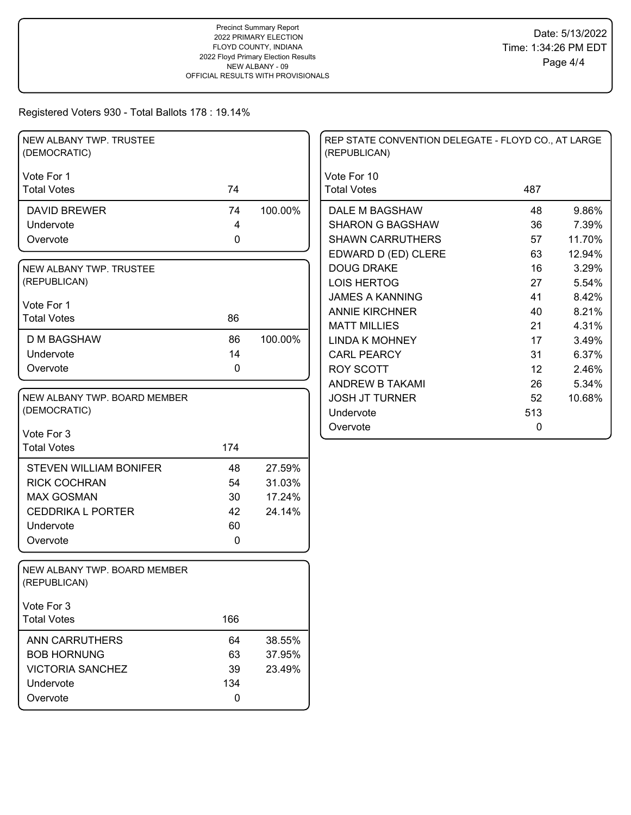| NEW ALBANY TWP. TRUSTEE<br>(DEMOCRATIC)      |                |         | REP STATE CONVENTION DELEGATE - FLOYD CO., AT LARGE<br>(REPUBLICAN) |     |        |
|----------------------------------------------|----------------|---------|---------------------------------------------------------------------|-----|--------|
| Vote For 1<br><b>Total Votes</b>             | 74             |         | Vote For 10<br><b>Total Votes</b>                                   | 487 |        |
| <b>DAVID BREWER</b>                          | 74             | 100.00% | DALE M BAGSHAW                                                      | 48  | 9.86%  |
| Undervote                                    | $\overline{4}$ |         | <b>SHARON G BAGSHAW</b>                                             | 36  | 7.39%  |
| Overvote                                     | 0              |         | <b>SHAWN CARRUTHERS</b>                                             | 57  | 11.70% |
|                                              |                |         | EDWARD D (ED) CLERE                                                 | 63  | 12.94% |
| NEW ALBANY TWP. TRUSTEE                      |                |         | <b>DOUG DRAKE</b>                                                   | 16  | 3.29%  |
| (REPUBLICAN)                                 |                |         | <b>LOIS HERTOG</b>                                                  | 27  | 5.54%  |
| Vote For 1                                   |                |         | <b>JAMES A KANNING</b>                                              | 41  | 8.42%  |
| <b>Total Votes</b>                           | 86             |         | <b>ANNIE KIRCHNER</b>                                               | 40  | 8.21%  |
|                                              |                |         | <b>MATT MILLIES</b>                                                 | 21  | 4.31%  |
| <b>D M BAGSHAW</b>                           | 86             | 100.00% | <b>LINDA K MOHNEY</b>                                               | 17  | 3.49%  |
| Undervote                                    | 14             |         | <b>CARL PEARCY</b>                                                  | 31  | 6.37%  |
| Overvote                                     | 0              |         | <b>ROY SCOTT</b>                                                    | 12  | 2.46%  |
|                                              |                |         | <b>ANDREW B TAKAMI</b>                                              | 26  | 5.34%  |
| NEW ALBANY TWP. BOARD MEMBER                 |                |         | <b>JOSH JT TURNER</b>                                               | 52  | 10.68% |
| (DEMOCRATIC)                                 |                |         | Undervote                                                           | 513 |        |
| Vote For 3                                   |                |         | Overvote                                                            | 0   |        |
| <b>Total Votes</b>                           | 174            |         |                                                                     |     |        |
| <b>STEVEN WILLIAM BONIFER</b>                | 48             | 27.59%  |                                                                     |     |        |
| <b>RICK COCHRAN</b>                          | 54             | 31.03%  |                                                                     |     |        |
| <b>MAX GOSMAN</b>                            | 30             | 17.24%  |                                                                     |     |        |
| <b>CEDDRIKA L PORTER</b>                     | 42             | 24.14%  |                                                                     |     |        |
| Undervote                                    | 60             |         |                                                                     |     |        |
| Overvote                                     | 0              |         |                                                                     |     |        |
|                                              |                |         |                                                                     |     |        |
| NEW ALBANY TWP. BOARD MEMBER<br>(REPUBLICAN) |                |         |                                                                     |     |        |
| Vote For 3                                   |                |         |                                                                     |     |        |
| <b>Total Votes</b>                           | 166            |         |                                                                     |     |        |
| <b>ANN CARRUTHERS</b>                        | 64             | 38.55%  |                                                                     |     |        |
| <b>BOB HORNUNG</b>                           | 63             | 37.95%  |                                                                     |     |        |
| <b>VICTORIA SANCHEZ</b>                      | 39             | 23.49%  |                                                                     |     |        |
| Undervote                                    | 134            |         |                                                                     |     |        |
| Overvote                                     | 0              |         |                                                                     |     |        |
|                                              |                |         |                                                                     |     |        |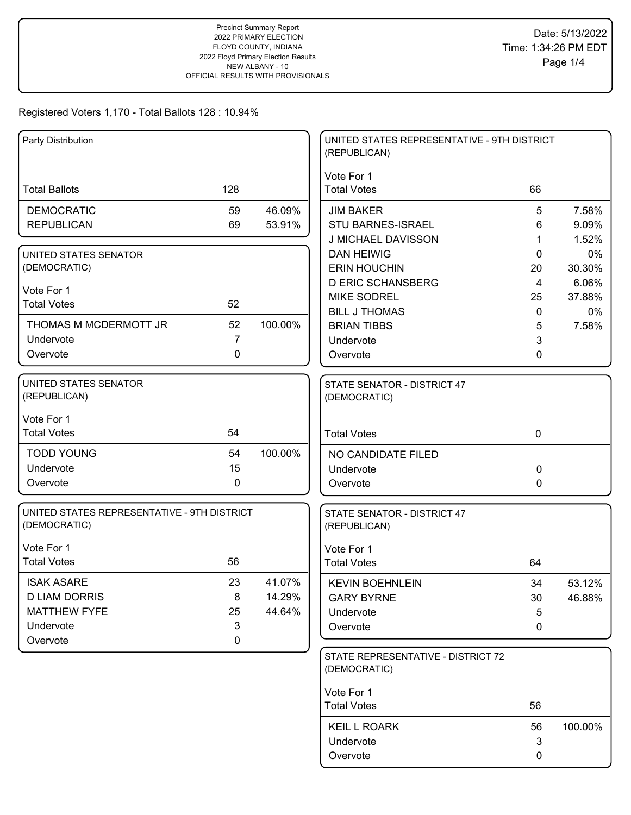# Registered Voters 1,170 - Total Ballots 128 : 10.94%

| Party Distribution                                          |                |         | UNITED STATES REPRESENTATIVE - 9TH DISTRICT<br>(REPUBLICAN) |                |             |
|-------------------------------------------------------------|----------------|---------|-------------------------------------------------------------|----------------|-------------|
| <b>Total Ballots</b>                                        | 128            |         | Vote For 1<br><b>Total Votes</b>                            | 66             |             |
| <b>DEMOCRATIC</b>                                           | 59             | 46.09%  | <b>JIM BAKER</b>                                            | 5              | 7.58%       |
| <b>REPUBLICAN</b>                                           | 69             | 53.91%  | STU BARNES-ISRAEL                                           | 6              | 9.09%       |
| UNITED STATES SENATOR                                       |                |         | J MICHAEL DAVISSON<br><b>DAN HEIWIG</b>                     | 1<br>0         | 1.52%<br>0% |
| (DEMOCRATIC)                                                |                |         | <b>ERIN HOUCHIN</b>                                         | 20             | 30.30%      |
|                                                             |                |         | <b>D ERIC SCHANSBERG</b>                                    | $\overline{4}$ | 6.06%       |
| Vote For 1                                                  |                |         | <b>MIKE SODREL</b>                                          | 25             | 37.88%      |
| <b>Total Votes</b>                                          | 52             |         | <b>BILL J THOMAS</b>                                        | 0              | 0%          |
| THOMAS M MCDERMOTT JR                                       | 52             | 100.00% | <b>BRIAN TIBBS</b>                                          | 5              | 7.58%       |
| Undervote                                                   | $\overline{7}$ |         | Undervote                                                   | 3              |             |
| Overvote                                                    | 0              |         | Overvote                                                    | 0              |             |
| <b>UNITED STATES SENATOR</b><br>(REPUBLICAN)                |                |         | STATE SENATOR - DISTRICT 47<br>(DEMOCRATIC)                 |                |             |
| Vote For 1                                                  |                |         |                                                             |                |             |
| <b>Total Votes</b>                                          | 54             |         | <b>Total Votes</b>                                          | $\mathbf 0$    |             |
| <b>TODD YOUNG</b>                                           | 54             | 100.00% | NO CANDIDATE FILED                                          |                |             |
| Undervote                                                   | 15             |         | Undervote                                                   | 0              |             |
| Overvote                                                    | 0              |         | Overvote                                                    | 0              |             |
| UNITED STATES REPRESENTATIVE - 9TH DISTRICT<br>(DEMOCRATIC) |                |         | STATE SENATOR - DISTRICT 47<br>(REPUBLICAN)                 |                |             |
| Vote For 1                                                  |                |         | Vote For 1                                                  |                |             |
| <b>Total Votes</b>                                          | 56             |         | <b>Total Votes</b>                                          | 64             |             |
| <b>ISAK ASARE</b>                                           | 23             | 41.07%  | <b>KEVIN BOEHNLEIN</b>                                      | 34             | 53.12%      |
| <b>D LIAM DORRIS</b>                                        | 8              | 14.29%  | <b>GARY BYRNE</b>                                           | 30             | 46.88%      |
| <b>MATTHEW FYFE</b>                                         | 25             | 44.64%  | Undervote                                                   | 5              |             |
| Undervote                                                   | 3              |         | Overvote                                                    | 0              |             |
| Overvote                                                    | 0              |         | STATE REPRESENTATIVE - DISTRICT 72                          |                |             |
|                                                             |                |         | (DEMOCRATIC)                                                |                |             |
|                                                             |                |         | Vote For 1                                                  |                |             |
|                                                             |                |         | <b>Total Votes</b>                                          | 56             |             |
|                                                             |                |         | <b>KEIL L ROARK</b>                                         | 56             | 100.00%     |
|                                                             |                |         | Undervote                                                   | 3              |             |
|                                                             |                |         | Overvote                                                    | 0              |             |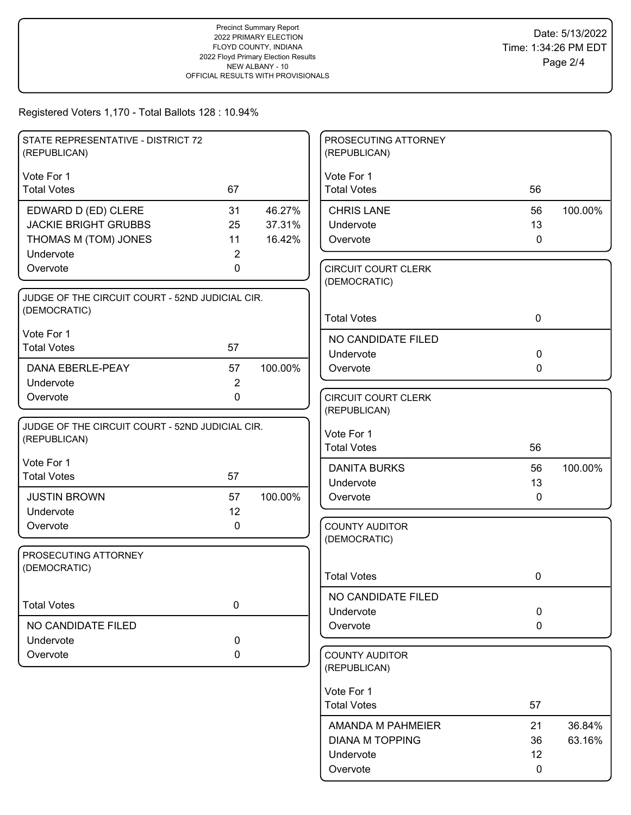# Registered Voters 1,170 - Total Ballots 128 : 10.94%

| STATE REPRESENTATIVE - DISTRICT 72<br>(REPUBLICAN)              |                |         | PROSECUTING ATTORNEY<br>(REPUBLICAN)       |             |         |
|-----------------------------------------------------------------|----------------|---------|--------------------------------------------|-------------|---------|
| Vote For 1                                                      |                |         | Vote For 1                                 |             |         |
| <b>Total Votes</b>                                              | 67             |         | <b>Total Votes</b>                         | 56          |         |
| EDWARD D (ED) CLERE                                             | 31             | 46.27%  | <b>CHRIS LANE</b>                          | 56          | 100.00% |
| <b>JACKIE BRIGHT GRUBBS</b>                                     | 25             | 37.31%  | Undervote                                  | 13          |         |
| THOMAS M (TOM) JONES                                            | 11             | 16.42%  | Overvote                                   | $\mathbf 0$ |         |
| Undervote                                                       | 2<br>0         |         |                                            |             |         |
| Overvote                                                        |                |         | <b>CIRCUIT COURT CLERK</b><br>(DEMOCRATIC) |             |         |
| JUDGE OF THE CIRCUIT COURT - 52ND JUDICIAL CIR.                 |                |         |                                            |             |         |
| (DEMOCRATIC)                                                    |                |         | <b>Total Votes</b>                         | $\mathbf 0$ |         |
| Vote For 1                                                      |                |         | NO CANDIDATE FILED                         |             |         |
| <b>Total Votes</b>                                              | 57             |         | Undervote                                  | $\mathbf 0$ |         |
| DANA EBERLE-PEAY                                                | 57             | 100.00% | Overvote                                   | $\mathbf 0$ |         |
| Undervote                                                       | $\overline{2}$ |         |                                            |             |         |
| Overvote                                                        | $\mathbf 0$    |         | <b>CIRCUIT COURT CLERK</b>                 |             |         |
|                                                                 |                |         | (REPUBLICAN)                               |             |         |
| JUDGE OF THE CIRCUIT COURT - 52ND JUDICIAL CIR.<br>(REPUBLICAN) |                |         | Vote For 1                                 |             |         |
|                                                                 |                |         | <b>Total Votes</b>                         | 56          |         |
| Vote For 1                                                      |                |         | <b>DANITA BURKS</b>                        | 56          | 100.00% |
| <b>Total Votes</b>                                              | 57             |         | Undervote                                  | 13          |         |
| <b>JUSTIN BROWN</b>                                             | 57             | 100.00% | Overvote                                   | $\mathbf 0$ |         |
| Undervote                                                       | 12             |         |                                            |             |         |
| Overvote                                                        | 0              |         | <b>COUNTY AUDITOR</b><br>(DEMOCRATIC)      |             |         |
| PROSECUTING ATTORNEY                                            |                |         |                                            |             |         |
| (DEMOCRATIC)                                                    |                |         |                                            |             |         |
|                                                                 |                |         | <b>Total Votes</b>                         | 0           |         |
| <b>Total Votes</b>                                              | 0              |         | NO CANDIDATE FILED                         |             |         |
|                                                                 |                |         | Undervote                                  | $\pmb{0}$   |         |
| NO CANDIDATE FILED                                              |                |         | Overvote                                   | $\mathbf 0$ |         |
| Undervote<br>Overvote                                           | 0              |         | <b>COUNTY AUDITOR</b>                      |             |         |
|                                                                 | 0              |         | (REPUBLICAN)                               |             |         |
|                                                                 |                |         | Vote For 1                                 |             |         |
|                                                                 |                |         | <b>Total Votes</b>                         | 57          |         |
|                                                                 |                |         | AMANDA M PAHMEIER                          | 21          | 36.84%  |
|                                                                 |                |         | <b>DIANA M TOPPING</b>                     | 36          | 63.16%  |
|                                                                 |                |         | Undervote                                  | 12          |         |
|                                                                 |                |         | Overvote                                   | 0           |         |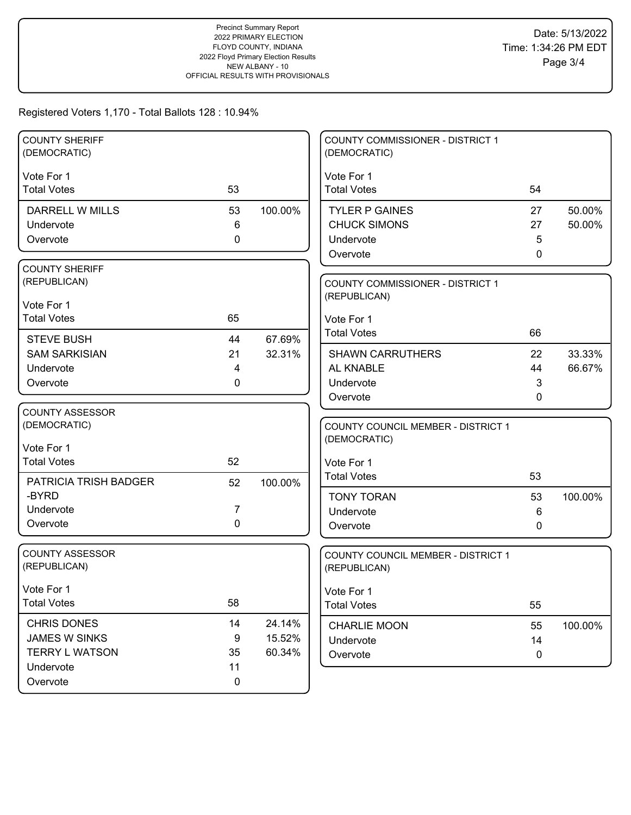## Registered Voters 1,170 - Total Ballots 128 : 10.94%

| <b>COUNTY SHERIFF</b><br>(DEMOCRATIC) |              |         | <b>COUNTY COMMISSIONER - DISTRICT 1</b><br>(DEMOCRATIC) |             |         |
|---------------------------------------|--------------|---------|---------------------------------------------------------|-------------|---------|
|                                       |              |         |                                                         |             |         |
| Vote For 1<br><b>Total Votes</b>      | 53           |         | Vote For 1<br><b>Total Votes</b>                        | 54          |         |
|                                       |              |         |                                                         |             |         |
| <b>DARRELL W MILLS</b>                | 53           | 100.00% | <b>TYLER P GAINES</b>                                   | 27          | 50.00%  |
| Undervote                             | 6            |         | <b>CHUCK SIMONS</b>                                     | 27          | 50.00%  |
| Overvote                              | 0            |         | Undervote                                               | 5           |         |
|                                       |              |         | Overvote                                                | 0           |         |
| <b>COUNTY SHERIFF</b>                 |              |         |                                                         |             |         |
| (REPUBLICAN)                          |              |         | <b>COUNTY COMMISSIONER - DISTRICT 1</b>                 |             |         |
| Vote For 1                            |              |         | (REPUBLICAN)                                            |             |         |
| <b>Total Votes</b>                    | 65           |         | Vote For 1                                              |             |         |
| <b>STEVE BUSH</b>                     | 44           | 67.69%  | <b>Total Votes</b>                                      | 66          |         |
| <b>SAM SARKISIAN</b>                  | 21           | 32.31%  | <b>SHAWN CARRUTHERS</b>                                 | 22          | 33.33%  |
| Undervote                             | 4            |         | AL KNABLE                                               | 44          | 66.67%  |
| Overvote                              | $\mathbf{0}$ |         | Undervote                                               | 3           |         |
|                                       |              |         | Overvote                                                | 0           |         |
| <b>COUNTY ASSESSOR</b>                |              |         |                                                         |             |         |
| (DEMOCRATIC)                          |              |         | <b>COUNTY COUNCIL MEMBER - DISTRICT 1</b>               |             |         |
|                                       |              |         | (DEMOCRATIC)                                            |             |         |
| Vote For 1                            |              |         |                                                         |             |         |
| <b>Total Votes</b>                    | 52           |         | Vote For 1                                              |             |         |
| PATRICIA TRISH BADGER                 | 52           | 100.00% | <b>Total Votes</b>                                      | 53          |         |
| -BYRD                                 |              |         | <b>TONY TORAN</b>                                       | 53          | 100.00% |
| Undervote                             | 7            |         | Undervote                                               | 6           |         |
| Overvote                              | $\mathbf 0$  |         | Overvote                                                | 0           |         |
|                                       |              |         |                                                         |             |         |
| <b>COUNTY ASSESSOR</b>                |              |         | COUNTY COUNCIL MEMBER - DISTRICT 1                      |             |         |
| (REPUBLICAN)                          |              |         | (REPUBLICAN)                                            |             |         |
| Vote For 1                            |              |         | Vote For 1                                              |             |         |
| <b>Total Votes</b>                    | 58           |         | <b>Total Votes</b>                                      | 55          |         |
| CHRIS DONES                           | 14           | 24.14%  |                                                         |             |         |
| <b>JAMES W SINKS</b>                  | 9            | 15.52%  | <b>CHARLIE MOON</b><br>Undervote                        | 55<br>14    | 100.00% |
| <b>TERRY L WATSON</b>                 | 35           | 60.34%  | Overvote                                                | $\mathbf 0$ |         |
| Undervote                             | 11           |         |                                                         |             |         |
| Overvote                              | 0            |         |                                                         |             |         |
|                                       |              |         |                                                         |             |         |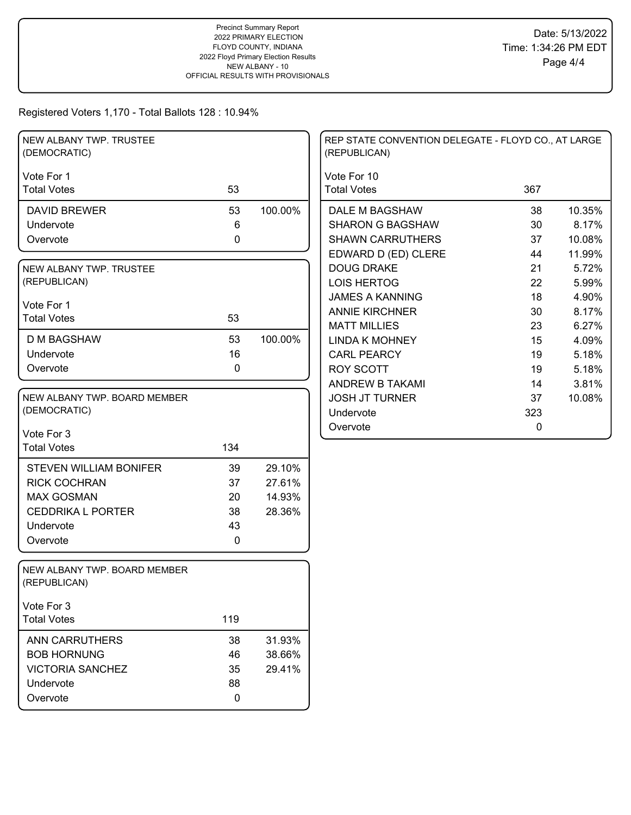Registered Voters 1,170 - Total Ballots 128 : 10.94%

| NEW ALBANY TWP. TRUSTEE<br>(DEMOCRATIC)      |     |         | REP STATE CONVENTION DELEGATE - FLOYD CO., AT LARGE<br>(REPUBLICAN) |     |        |
|----------------------------------------------|-----|---------|---------------------------------------------------------------------|-----|--------|
| Vote For 1                                   |     |         | Vote For 10                                                         |     |        |
| <b>Total Votes</b>                           | 53  |         | <b>Total Votes</b>                                                  | 367 |        |
| <b>DAVID BREWER</b>                          | 53  | 100.00% | DALE M BAGSHAW                                                      | 38  | 10.35% |
| Undervote                                    | 6   |         | <b>SHARON G BAGSHAW</b>                                             | 30  | 8.17%  |
| Overvote                                     | 0   |         | <b>SHAWN CARRUTHERS</b>                                             | 37  | 10.08% |
|                                              |     |         | EDWARD D (ED) CLERE                                                 | 44  | 11.99% |
| NEW ALBANY TWP. TRUSTEE                      |     |         | <b>DOUG DRAKE</b>                                                   | 21  | 5.72%  |
| (REPUBLICAN)                                 |     |         | <b>LOIS HERTOG</b>                                                  | 22  | 5.99%  |
| Vote For 1                                   |     |         | <b>JAMES A KANNING</b>                                              | 18  | 4.90%  |
| <b>Total Votes</b>                           | 53  |         | <b>ANNIE KIRCHNER</b>                                               | 30  | 8.17%  |
|                                              |     |         | <b>MATT MILLIES</b>                                                 | 23  | 6.27%  |
| <b>D M BAGSHAW</b>                           | 53  | 100.00% | <b>LINDA K MOHNEY</b>                                               | 15  | 4.09%  |
| Undervote                                    | 16  |         | <b>CARL PEARCY</b>                                                  | 19  | 5.18%  |
| Overvote                                     | 0   |         | <b>ROY SCOTT</b>                                                    | 19  | 5.18%  |
|                                              |     |         | ANDREW B TAKAMI                                                     | 14  | 3.81%  |
| NEW ALBANY TWP. BOARD MEMBER                 |     |         | <b>JOSH JT TURNER</b>                                               | 37  | 10.08% |
| (DEMOCRATIC)                                 |     |         | Undervote                                                           | 323 |        |
| Vote For 3                                   |     |         | Overvote                                                            | 0   |        |
| <b>Total Votes</b>                           | 134 |         |                                                                     |     |        |
| <b>STEVEN WILLIAM BONIFER</b>                | 39  | 29.10%  |                                                                     |     |        |
| <b>RICK COCHRAN</b>                          | 37  | 27.61%  |                                                                     |     |        |
| <b>MAX GOSMAN</b>                            | 20  | 14.93%  |                                                                     |     |        |
| <b>CEDDRIKA L PORTER</b>                     | 38  | 28.36%  |                                                                     |     |        |
| Undervote                                    | 43  |         |                                                                     |     |        |
| Overvote                                     | 0   |         |                                                                     |     |        |
|                                              |     |         |                                                                     |     |        |
| NEW ALBANY TWP. BOARD MEMBER<br>(REPUBLICAN) |     |         |                                                                     |     |        |
| Vote For 3                                   |     |         |                                                                     |     |        |
| <b>Total Votes</b>                           | 119 |         |                                                                     |     |        |
| ANN CARRUTHERS                               | 38  | 31.93%  |                                                                     |     |        |
| <b>BOB HORNUNG</b>                           | 46  | 38.66%  |                                                                     |     |        |
| <b>VICTORIA SANCHEZ</b>                      | 35  | 29.41%  |                                                                     |     |        |
| Undervote                                    | 88  |         |                                                                     |     |        |
| Overvote                                     | 0   |         |                                                                     |     |        |
|                                              |     |         |                                                                     |     |        |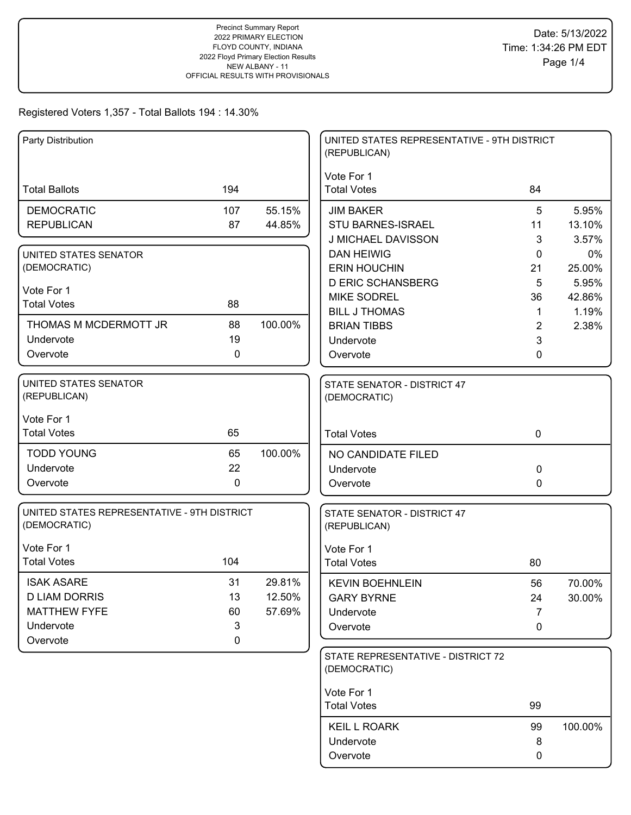| Party Distribution                                          |                  |         | UNITED STATES REPRESENTATIVE - 9TH DISTRICT<br>(REPUBLICAN) |                |                 |
|-------------------------------------------------------------|------------------|---------|-------------------------------------------------------------|----------------|-----------------|
|                                                             |                  |         | Vote For 1                                                  |                |                 |
| <b>Total Ballots</b>                                        | 194              |         | <b>Total Votes</b>                                          | 84             |                 |
| <b>DEMOCRATIC</b>                                           | 107              | 55.15%  | <b>JIM BAKER</b>                                            | 5              | 5.95%           |
| <b>REPUBLICAN</b>                                           | 87               | 44.85%  | STU BARNES-ISRAEL                                           | 11             | 13.10%          |
|                                                             |                  |         | J MICHAEL DAVISSON                                          | 3              | 3.57%           |
| UNITED STATES SENATOR                                       |                  |         | <b>DAN HEIWIG</b>                                           | 0              | 0%              |
| (DEMOCRATIC)                                                |                  |         | <b>ERIN HOUCHIN</b>                                         | 21             | 25.00%          |
| Vote For 1                                                  |                  |         | <b>D ERIC SCHANSBERG</b><br><b>MIKE SODREL</b>              | 5<br>36        | 5.95%<br>42.86% |
| <b>Total Votes</b>                                          | 88               |         | <b>BILL J THOMAS</b>                                        | $\mathbf{1}$   | 1.19%           |
| THOMAS M MCDERMOTT JR                                       | 88               | 100.00% | <b>BRIAN TIBBS</b>                                          | $\overline{2}$ | 2.38%           |
| Undervote                                                   | 19               |         | Undervote                                                   | 3              |                 |
| Overvote                                                    | $\mathbf 0$      |         | Overvote                                                    | 0              |                 |
|                                                             |                  |         |                                                             |                |                 |
| UNITED STATES SENATOR<br>(REPUBLICAN)                       |                  |         | STATE SENATOR - DISTRICT 47<br>(DEMOCRATIC)                 |                |                 |
| Vote For 1                                                  |                  |         |                                                             |                |                 |
| <b>Total Votes</b>                                          | 65               |         | <b>Total Votes</b>                                          | $\mathbf 0$    |                 |
| <b>TODD YOUNG</b>                                           | 65               | 100.00% | NO CANDIDATE FILED                                          |                |                 |
| Undervote                                                   | 22               |         | Undervote                                                   | 0              |                 |
| Overvote                                                    | $\mathbf 0$      |         | Overvote                                                    | $\Omega$       |                 |
| UNITED STATES REPRESENTATIVE - 9TH DISTRICT<br>(DEMOCRATIC) |                  |         | STATE SENATOR - DISTRICT 47<br>(REPUBLICAN)                 |                |                 |
|                                                             |                  |         |                                                             |                |                 |
| Vote For 1                                                  |                  |         | Vote For 1                                                  |                |                 |
| <b>Total Votes</b>                                          | 104              |         | <b>Total Votes</b>                                          | 80             |                 |
| <b>ISAK ASARE</b>                                           | 31               | 29.81%  | <b>KEVIN BOEHNLEIN</b>                                      | 56             | 70.00%          |
| <b>D LIAM DORRIS</b>                                        | 13               | 12.50%  | <b>GARY BYRNE</b>                                           | 24             | 30.00%          |
| <b>MATTHEW FYFE</b>                                         | 60               | 57.69%  | Undervote                                                   | 7              |                 |
| Undervote<br>Overvote                                       | 3<br>$\mathbf 0$ |         | Overvote                                                    | 0              |                 |
|                                                             |                  |         | STATE REPRESENTATIVE - DISTRICT 72                          |                |                 |
|                                                             |                  |         | (DEMOCRATIC)                                                |                |                 |
|                                                             |                  |         | Vote For 1                                                  |                |                 |
|                                                             |                  |         | <b>Total Votes</b>                                          | 99             |                 |
|                                                             |                  |         | <b>KEIL L ROARK</b>                                         | 99             | 100.00%         |
|                                                             |                  |         | Undervote                                                   | 8              |                 |
|                                                             |                  |         | Overvote                                                    | 0              |                 |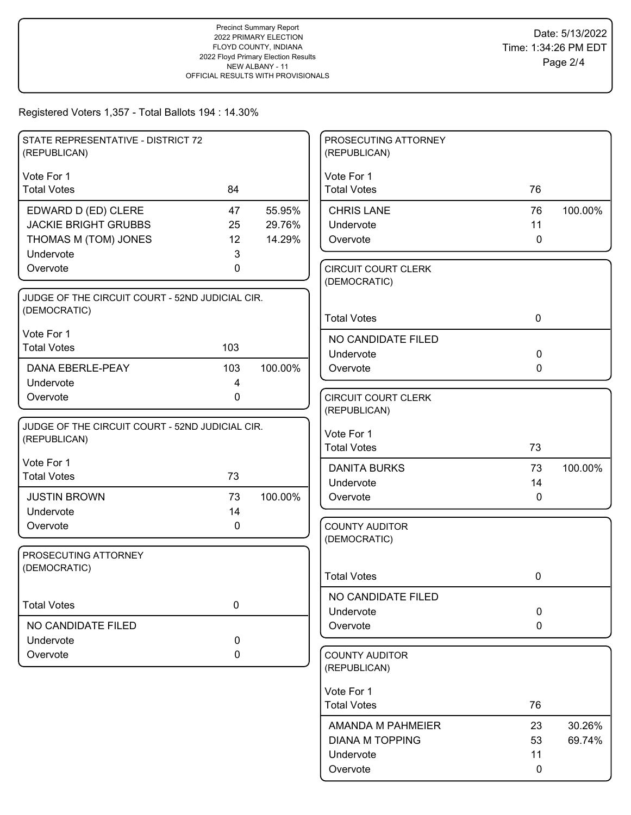| STATE REPRESENTATIVE - DISTRICT 72<br>(REPUBLICAN) |             |         | PROSECUTING ATTORNEY<br>(REPUBLICAN)       |             |         |
|----------------------------------------------------|-------------|---------|--------------------------------------------|-------------|---------|
| Vote For 1                                         |             |         | Vote For 1                                 |             |         |
| <b>Total Votes</b>                                 | 84          |         | <b>Total Votes</b>                         | 76          |         |
| EDWARD D (ED) CLERE                                | 47          | 55.95%  | <b>CHRIS LANE</b>                          | 76          | 100.00% |
| <b>JACKIE BRIGHT GRUBBS</b>                        | 25          | 29.76%  | Undervote                                  | 11          |         |
| THOMAS M (TOM) JONES                               | 12          | 14.29%  | Overvote                                   | $\mathbf 0$ |         |
| Undervote                                          | 3           |         |                                            |             |         |
| Overvote                                           | 0           |         | <b>CIRCUIT COURT CLERK</b><br>(DEMOCRATIC) |             |         |
| JUDGE OF THE CIRCUIT COURT - 52ND JUDICIAL CIR.    |             |         |                                            |             |         |
| (DEMOCRATIC)                                       |             |         |                                            |             |         |
|                                                    |             |         | <b>Total Votes</b>                         | $\mathbf 0$ |         |
| Vote For 1                                         |             |         | NO CANDIDATE FILED                         |             |         |
| <b>Total Votes</b>                                 | 103         |         | Undervote                                  | $\mathbf 0$ |         |
| DANA EBERLE-PEAY                                   | 103         | 100.00% | Overvote                                   | $\mathbf 0$ |         |
| Undervote                                          | 4           |         |                                            |             |         |
| Overvote                                           | 0           |         | <b>CIRCUIT COURT CLERK</b>                 |             |         |
|                                                    |             |         | (REPUBLICAN)                               |             |         |
| JUDGE OF THE CIRCUIT COURT - 52ND JUDICIAL CIR.    |             |         | Vote For 1                                 |             |         |
| (REPUBLICAN)                                       |             |         | <b>Total Votes</b>                         | 73          |         |
| Vote For 1                                         |             |         |                                            |             |         |
| <b>Total Votes</b>                                 | 73          |         | <b>DANITA BURKS</b>                        | 73          | 100.00% |
|                                                    |             |         | Undervote                                  | 14          |         |
| <b>JUSTIN BROWN</b>                                | 73          | 100.00% | Overvote                                   | $\mathbf 0$ |         |
| Undervote                                          | 14          |         |                                            |             |         |
| Overvote                                           | 0           |         | <b>COUNTY AUDITOR</b><br>(DEMOCRATIC)      |             |         |
| PROSECUTING ATTORNEY                               |             |         |                                            |             |         |
| (DEMOCRATIC)                                       |             |         |                                            |             |         |
|                                                    |             |         | <b>Total Votes</b>                         | 0           |         |
|                                                    |             |         | NO CANDIDATE FILED                         |             |         |
| <b>Total Votes</b>                                 | 0           |         | Undervote                                  | $\pmb{0}$   |         |
| NO CANDIDATE FILED                                 |             |         | Overvote                                   | $\mathbf 0$ |         |
| Undervote                                          | $\mathbf 0$ |         |                                            |             |         |
| Overvote                                           | 0           |         | <b>COUNTY AUDITOR</b>                      |             |         |
|                                                    |             |         | (REPUBLICAN)                               |             |         |
|                                                    |             |         | Vote For 1                                 |             |         |
|                                                    |             |         | <b>Total Votes</b>                         | 76          |         |
|                                                    |             |         |                                            |             |         |
|                                                    |             |         | AMANDA M PAHMEIER                          | 23          | 30.26%  |
|                                                    |             |         | <b>DIANA M TOPPING</b>                     | 53          | 69.74%  |
|                                                    |             |         | Undervote                                  | 11          |         |
|                                                    |             |         | Overvote                                   | 0           |         |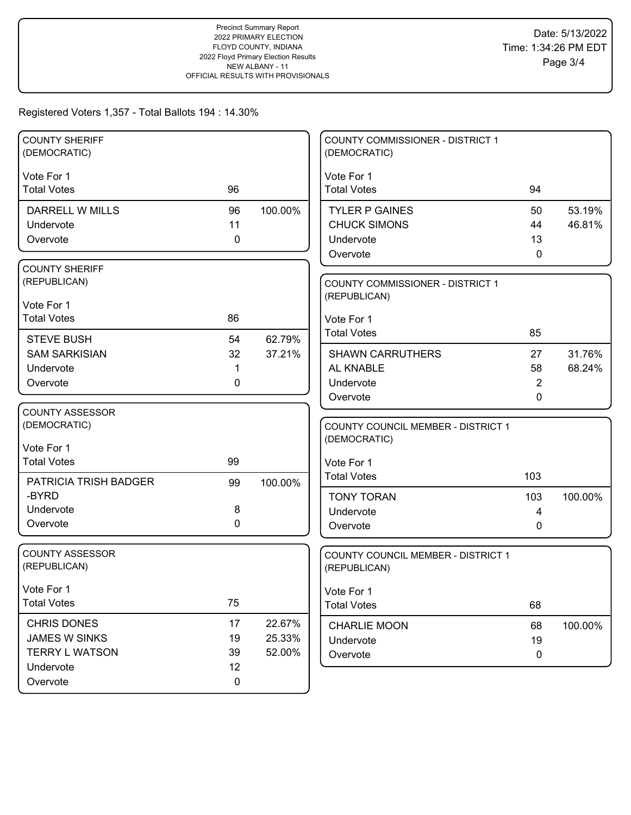| 94<br><b>TYLER P GAINES</b><br>50<br>44   |                   |
|-------------------------------------------|-------------------|
|                                           |                   |
| 13<br>$\mathbf{0}$                        | 53.19%<br>46.81%  |
| <b>COUNTY COMMISSIONER - DISTRICT 1</b>   |                   |
| 27<br><b>SHAWN CARRUTHERS</b><br>58<br>2  | 31.76%<br>68.24%  |
| COUNTY COUNCIL MEMBER - DISTRICT 1<br>103 |                   |
| 103<br>4<br>0                             | 100.00%           |
| COUNTY COUNCIL MEMBER - DISTRICT 1        |                   |
| 68                                        |                   |
| 68<br>19<br>$\boldsymbol{0}$              | 100.00%           |
|                                           | 85<br>$\mathbf 0$ |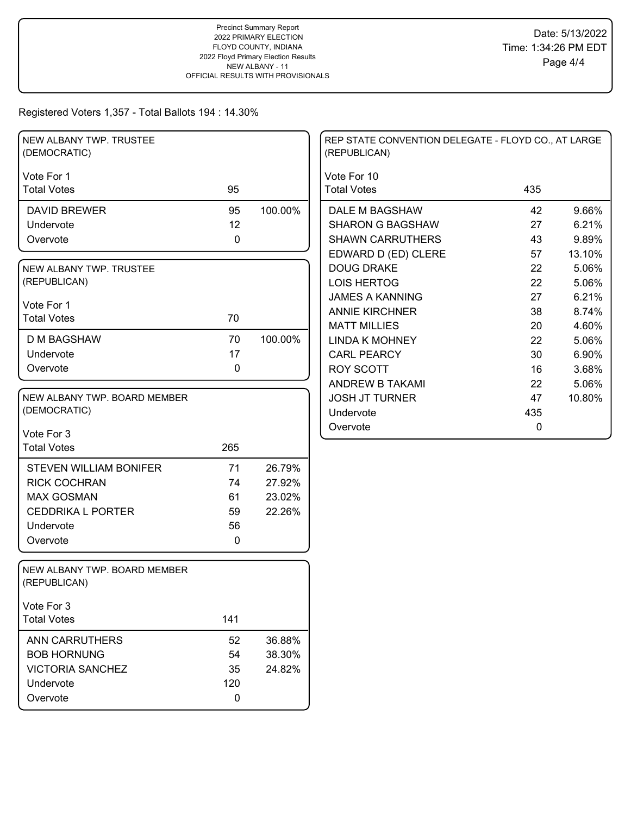| NEW ALBANY TWP. TRUSTEE<br>(DEMOCRATIC)      |           |         | REP STATE CONVENTION DELEGATE - FLOYD CO., AT LARGE<br>(REPUBLICAN) |     |        |
|----------------------------------------------|-----------|---------|---------------------------------------------------------------------|-----|--------|
| Vote For 1                                   |           |         | Vote For 10                                                         |     |        |
| <b>Total Votes</b>                           | 95        |         | <b>Total Votes</b>                                                  | 435 |        |
| <b>DAVID BREWER</b>                          | 95        | 100.00% | DALE M BAGSHAW                                                      | 42  | 9.66%  |
| Undervote                                    | 12        |         | <b>SHARON G BAGSHAW</b>                                             | 27  | 6.21%  |
| Overvote                                     | $\pmb{0}$ |         | <b>SHAWN CARRUTHERS</b>                                             | 43  | 9.89%  |
|                                              |           |         | EDWARD D (ED) CLERE                                                 | 57  | 13.10% |
| NEW ALBANY TWP. TRUSTEE                      |           |         | <b>DOUG DRAKE</b>                                                   | 22  | 5.06%  |
| (REPUBLICAN)                                 |           |         | <b>LOIS HERTOG</b>                                                  | 22  | 5.06%  |
| Vote For 1                                   |           |         | <b>JAMES A KANNING</b>                                              | 27  | 6.21%  |
| <b>Total Votes</b>                           | 70        |         | <b>ANNIE KIRCHNER</b>                                               | 38  | 8.74%  |
|                                              |           |         | <b>MATT MILLIES</b>                                                 | 20  | 4.60%  |
| <b>D M BAGSHAW</b>                           | 70        | 100.00% | <b>LINDA K MOHNEY</b>                                               | 22  | 5.06%  |
| Undervote                                    | 17        |         | <b>CARL PEARCY</b>                                                  | 30  | 6.90%  |
| Overvote                                     | 0         |         | <b>ROY SCOTT</b>                                                    | 16  | 3.68%  |
|                                              |           |         | <b>ANDREW B TAKAMI</b>                                              | 22  | 5.06%  |
| NEW ALBANY TWP. BOARD MEMBER                 |           |         | <b>JOSH JT TURNER</b>                                               | 47  | 10.80% |
| (DEMOCRATIC)                                 |           |         | Undervote                                                           | 435 |        |
| Vote For 3                                   |           |         | Overvote                                                            | 0   |        |
| <b>Total Votes</b>                           | 265       |         |                                                                     |     |        |
|                                              |           |         |                                                                     |     |        |
| <b>STEVEN WILLIAM BONIFER</b>                | 71        | 26.79%  |                                                                     |     |        |
| <b>RICK COCHRAN</b>                          | 74        | 27.92%  |                                                                     |     |        |
| <b>MAX GOSMAN</b>                            | 61        | 23.02%  |                                                                     |     |        |
| <b>CEDDRIKA L PORTER</b>                     | 59        | 22.26%  |                                                                     |     |        |
| Undervote                                    | 56        |         |                                                                     |     |        |
| Overvote                                     | 0         |         |                                                                     |     |        |
| NEW ALBANY TWP. BOARD MEMBER<br>(REPUBLICAN) |           |         |                                                                     |     |        |
| Vote For 3                                   |           |         |                                                                     |     |        |
| <b>Total Votes</b>                           | 141       |         |                                                                     |     |        |
| ANN CARRUTHERS                               | 52        | 36.88%  |                                                                     |     |        |
| <b>BOB HORNUNG</b>                           | 54        | 38.30%  |                                                                     |     |        |
| <b>VICTORIA SANCHEZ</b>                      | 35        | 24.82%  |                                                                     |     |        |
| Undervote                                    | 120       |         |                                                                     |     |        |
| Overvote                                     | $\pmb{0}$ |         |                                                                     |     |        |
|                                              |           |         |                                                                     |     |        |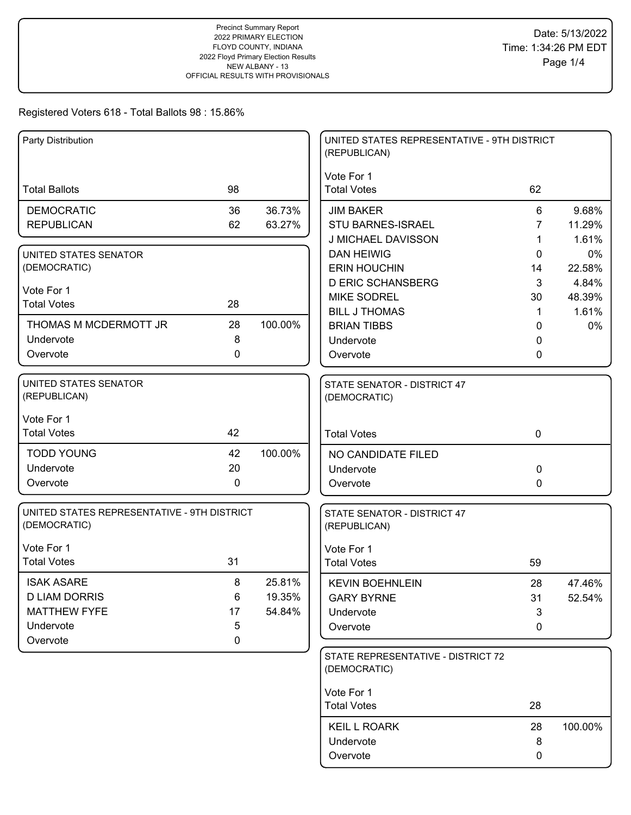| Party Distribution                          |             |         | UNITED STATES REPRESENTATIVE - 9TH DISTRICT<br>(REPUBLICAN) |              |         |
|---------------------------------------------|-------------|---------|-------------------------------------------------------------|--------------|---------|
|                                             |             |         | Vote For 1                                                  |              |         |
| <b>Total Ballots</b>                        | 98          |         | <b>Total Votes</b>                                          | 62           |         |
| <b>DEMOCRATIC</b>                           | 36          | 36.73%  | <b>JIM BAKER</b>                                            | 6            | 9.68%   |
| <b>REPUBLICAN</b>                           | 62          | 63.27%  | STU BARNES-ISRAEL                                           | 7            | 11.29%  |
|                                             |             |         | J MICHAEL DAVISSON                                          | 1            | 1.61%   |
| UNITED STATES SENATOR                       |             |         | <b>DAN HEIWIG</b>                                           | 0            | 0%      |
| (DEMOCRATIC)                                |             |         | <b>ERIN HOUCHIN</b>                                         | 14           | 22.58%  |
| Vote For 1                                  |             |         | <b>D ERIC SCHANSBERG</b>                                    | 3            | 4.84%   |
| <b>Total Votes</b>                          | 28          |         | <b>MIKE SODREL</b>                                          | 30           | 48.39%  |
|                                             |             |         | <b>BILL J THOMAS</b>                                        | 1            | 1.61%   |
| THOMAS M MCDERMOTT JR                       | 28          | 100.00% | <b>BRIAN TIBBS</b>                                          | $\Omega$     | 0%      |
| Undervote                                   | 8           |         | Undervote                                                   | 0            |         |
| Overvote                                    | 0           |         | Overvote                                                    | 0            |         |
| <b>UNITED STATES SENATOR</b>                |             |         | STATE SENATOR - DISTRICT 47                                 |              |         |
| (REPUBLICAN)                                |             |         | (DEMOCRATIC)                                                |              |         |
| Vote For 1                                  |             |         |                                                             |              |         |
| <b>Total Votes</b>                          | 42          |         | <b>Total Votes</b>                                          | $\mathbf 0$  |         |
| <b>TODD YOUNG</b>                           | 42          | 100.00% | NO CANDIDATE FILED                                          |              |         |
| Undervote                                   | 20          |         | Undervote                                                   | $\mathbf 0$  |         |
| Overvote                                    | $\mathbf 0$ |         | Overvote                                                    | $\mathbf{0}$ |         |
| UNITED STATES REPRESENTATIVE - 9TH DISTRICT |             |         | STATE SENATOR - DISTRICT 47                                 |              |         |
| (DEMOCRATIC)                                |             |         | (REPUBLICAN)                                                |              |         |
| Vote For 1                                  |             |         | Vote For 1                                                  |              |         |
| <b>Total Votes</b>                          | 31          |         | <b>Total Votes</b>                                          | 59           |         |
| <b>ISAK ASARE</b>                           | 8           | 25.81%  | <b>KEVIN BOEHNLEIN</b>                                      | 28           | 47.46%  |
| <b>D LIAM DORRIS</b>                        | 6           | 19.35%  | <b>GARY BYRNE</b>                                           | 31           | 52.54%  |
| <b>MATTHEW FYFE</b>                         | 17          | 54.84%  | Undervote                                                   | 3            |         |
| Undervote                                   | 5           |         | Overvote                                                    | 0            |         |
| Overvote                                    | 0           |         |                                                             |              |         |
|                                             |             |         | STATE REPRESENTATIVE - DISTRICT 72                          |              |         |
|                                             |             |         | (DEMOCRATIC)                                                |              |         |
|                                             |             |         | Vote For 1                                                  |              |         |
|                                             |             |         | <b>Total Votes</b>                                          | 28           |         |
|                                             |             |         | <b>KEIL L ROARK</b>                                         | 28           | 100.00% |
|                                             |             |         | Undervote                                                   | 8            |         |
|                                             |             |         | Overvote                                                    | 0            |         |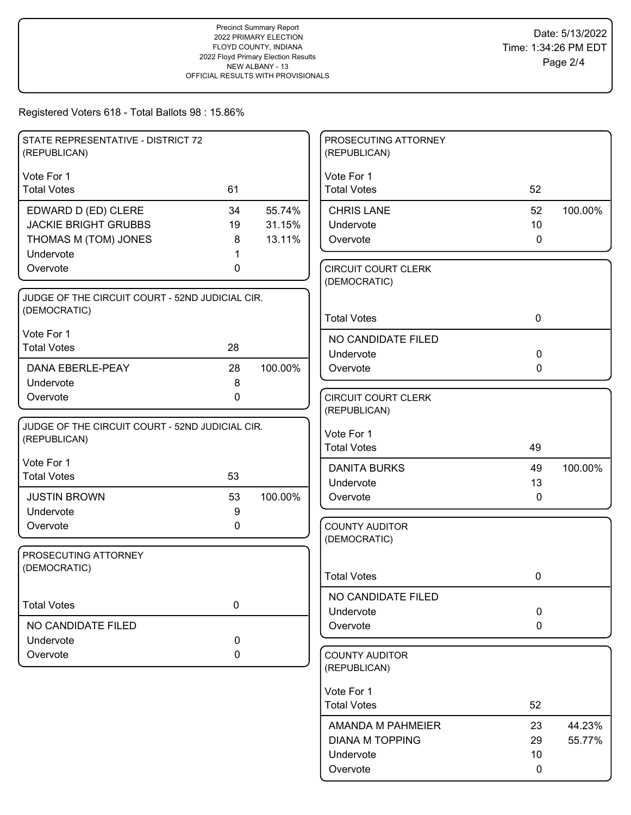| STATE REPRESENTATIVE - DISTRICT 72<br>(REPUBLICAN) |             |         | PROSECUTING ATTORNEY<br>(REPUBLICAN)       |                 |         |
|----------------------------------------------------|-------------|---------|--------------------------------------------|-----------------|---------|
| Vote For 1                                         |             |         | Vote For 1                                 |                 |         |
| <b>Total Votes</b>                                 | 61          |         | <b>Total Votes</b>                         | 52              |         |
| EDWARD D (ED) CLERE                                | 34          | 55.74%  | <b>CHRIS LANE</b>                          | 52              | 100.00% |
| <b>JACKIE BRIGHT GRUBBS</b>                        | 19          | 31.15%  | Undervote                                  | 10              |         |
| THOMAS M (TOM) JONES                               | 8           | 13.11%  | Overvote                                   | $\mathbf 0$     |         |
| Undervote                                          |             |         |                                            |                 |         |
| Overvote                                           | 0           |         | <b>CIRCUIT COURT CLERK</b><br>(DEMOCRATIC) |                 |         |
| JUDGE OF THE CIRCUIT COURT - 52ND JUDICIAL CIR.    |             |         |                                            |                 |         |
| (DEMOCRATIC)                                       |             |         |                                            |                 |         |
|                                                    |             |         | <b>Total Votes</b>                         | $\mathbf 0$     |         |
| Vote For 1                                         |             |         | NO CANDIDATE FILED                         |                 |         |
| <b>Total Votes</b>                                 | 28          |         | Undervote                                  | $\mathbf 0$     |         |
| DANA EBERLE-PEAY                                   | 28          | 100.00% | Overvote                                   | 0               |         |
| Undervote                                          | 8           |         |                                            |                 |         |
| Overvote                                           | $\pmb{0}$   |         | <b>CIRCUIT COURT CLERK</b>                 |                 |         |
|                                                    |             |         | (REPUBLICAN)                               |                 |         |
| JUDGE OF THE CIRCUIT COURT - 52ND JUDICIAL CIR.    |             |         | Vote For 1                                 |                 |         |
| (REPUBLICAN)                                       |             |         | <b>Total Votes</b>                         | 49              |         |
| Vote For 1                                         |             |         |                                            |                 |         |
| <b>Total Votes</b>                                 | 53          |         | <b>DANITA BURKS</b>                        | 49              | 100.00% |
|                                                    |             |         | Undervote                                  | 13              |         |
| <b>JUSTIN BROWN</b>                                | 53          | 100.00% | Overvote                                   | $\mathbf 0$     |         |
| Undervote                                          | 9           |         |                                            |                 |         |
| Overvote                                           | 0           |         | <b>COUNTY AUDITOR</b><br>(DEMOCRATIC)      |                 |         |
| PROSECUTING ATTORNEY                               |             |         |                                            |                 |         |
| (DEMOCRATIC)                                       |             |         |                                            |                 |         |
|                                                    |             |         | <b>Total Votes</b>                         | 0               |         |
|                                                    |             |         | NO CANDIDATE FILED                         |                 |         |
| <b>Total Votes</b>                                 | $\mathbf 0$ |         | Undervote                                  | $\mathbf 0$     |         |
| NO CANDIDATE FILED                                 |             |         | Overvote                                   | 0               |         |
| Undervote                                          | $\pmb{0}$   |         |                                            |                 |         |
| Overvote                                           | 0           |         | <b>COUNTY AUDITOR</b>                      |                 |         |
|                                                    |             |         | (REPUBLICAN)                               |                 |         |
|                                                    |             |         | Vote For 1                                 |                 |         |
|                                                    |             |         | <b>Total Votes</b>                         | 52              |         |
|                                                    |             |         |                                            |                 |         |
|                                                    |             |         | AMANDA M PAHMEIER                          | 23              | 44.23%  |
|                                                    |             |         | <b>DIANA M TOPPING</b>                     | 29              | 55.77%  |
|                                                    |             |         | Undervote                                  | 10 <sup>°</sup> |         |
|                                                    |             |         | Overvote                                   | $\mathbf 0$     |         |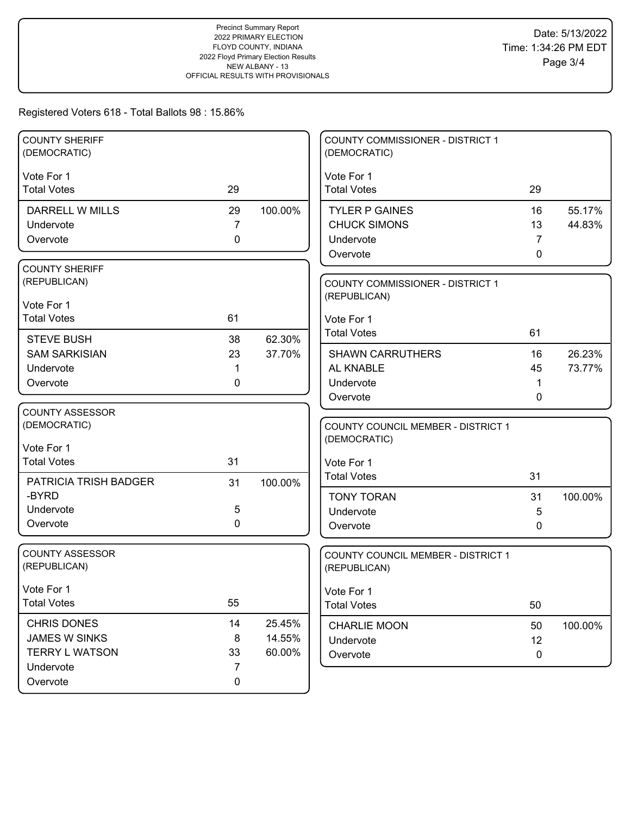| <b>COUNTY SHERIFF</b><br>(DEMOCRATIC) |                |         | <b>COUNTY COMMISSIONER - DISTRICT 1</b><br>(DEMOCRATIC) |             |         |
|---------------------------------------|----------------|---------|---------------------------------------------------------|-------------|---------|
| Vote For 1                            |                |         | Vote For 1                                              |             |         |
| <b>Total Votes</b>                    | 29             |         | <b>Total Votes</b>                                      | 29          |         |
| <b>DARRELL W MILLS</b>                | 29             | 100.00% | <b>TYLER P GAINES</b>                                   | 16          | 55.17%  |
| Undervote                             | $\overline{7}$ |         | <b>CHUCK SIMONS</b>                                     | 13          | 44.83%  |
| Overvote                              | 0              |         | Undervote                                               | 7           |         |
|                                       |                |         | Overvote                                                | 0           |         |
| <b>COUNTY SHERIFF</b>                 |                |         |                                                         |             |         |
| (REPUBLICAN)                          |                |         | COUNTY COMMISSIONER - DISTRICT 1                        |             |         |
| Vote For 1                            |                |         | (REPUBLICAN)                                            |             |         |
| <b>Total Votes</b>                    | 61             |         | Vote For 1                                              |             |         |
| <b>STEVE BUSH</b>                     | 38             | 62.30%  | <b>Total Votes</b>                                      | 61          |         |
| <b>SAM SARKISIAN</b>                  | 23             | 37.70%  | <b>SHAWN CARRUTHERS</b>                                 | 16          | 26.23%  |
| Undervote                             | 1              |         | AL KNABLE                                               | 45          | 73.77%  |
| Overvote                              | 0              |         | Undervote                                               |             |         |
|                                       |                |         | Overvote                                                | 0           |         |
| <b>COUNTY ASSESSOR</b>                |                |         |                                                         |             |         |
| (DEMOCRATIC)                          |                |         | <b>COUNTY COUNCIL MEMBER - DISTRICT 1</b>               |             |         |
| Vote For 1                            |                |         | (DEMOCRATIC)                                            |             |         |
| <b>Total Votes</b>                    | 31             |         | Vote For 1                                              |             |         |
|                                       |                |         | <b>Total Votes</b>                                      | 31          |         |
| PATRICIA TRISH BADGER                 | 31             | 100.00% |                                                         |             |         |
| -BYRD<br>Undervote                    | 5              |         | <b>TONY TORAN</b>                                       | 31          | 100.00% |
| Overvote                              | $\mathbf 0$    |         | Undervote                                               | 5           |         |
|                                       |                |         | Overvote                                                | 0           |         |
| <b>COUNTY ASSESSOR</b>                |                |         | COUNTY COUNCIL MEMBER - DISTRICT 1                      |             |         |
| (REPUBLICAN)                          |                |         | (REPUBLICAN)                                            |             |         |
|                                       |                |         |                                                         |             |         |
| Vote For 1                            | 55             |         | Vote For 1                                              |             |         |
| <b>Total Votes</b>                    |                |         | <b>Total Votes</b>                                      | 50          |         |
| <b>CHRIS DONES</b>                    | 14             | 25.45%  | <b>CHARLIE MOON</b>                                     | 50          | 100.00% |
| JAMES W SINKS                         | 8              | 14.55%  | Undervote                                               | 12          |         |
| <b>TERRY L WATSON</b>                 | 33             | 60.00%  | Overvote                                                | $\mathbf 0$ |         |
| Undervote                             | 7              |         |                                                         |             |         |
| Overvote                              | $\mathbf 0$    |         |                                                         |             |         |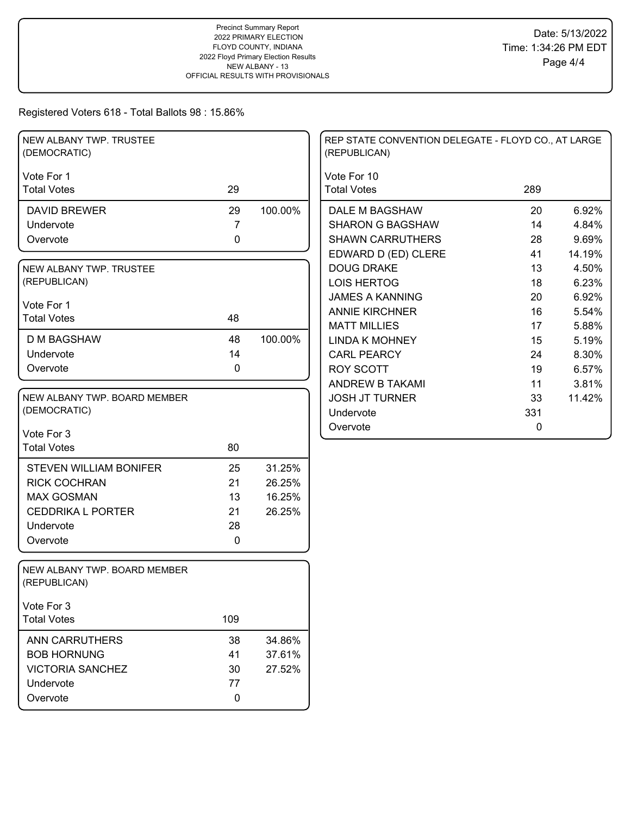| NEW ALBANY TWP. TRUSTEE<br>(DEMOCRATIC)      |                |         | REP STATE CONVENTION DELEGATE - FLOYD CO., AT LARGE<br>(REPUBLICAN) |     |        |
|----------------------------------------------|----------------|---------|---------------------------------------------------------------------|-----|--------|
| Vote For 1                                   |                |         | Vote For 10                                                         |     |        |
| <b>Total Votes</b>                           | 29             |         | <b>Total Votes</b>                                                  | 289 |        |
| <b>DAVID BREWER</b>                          | 29             | 100.00% | DALE M BAGSHAW                                                      | 20  | 6.92%  |
| Undervote                                    | $\overline{7}$ |         | <b>SHARON G BAGSHAW</b>                                             | 14  | 4.84%  |
| Overvote                                     | 0              |         | <b>SHAWN CARRUTHERS</b>                                             | 28  | 9.69%  |
|                                              |                |         | EDWARD D (ED) CLERE                                                 | 41  | 14.19% |
| NEW ALBANY TWP. TRUSTEE                      |                |         | <b>DOUG DRAKE</b>                                                   | 13  | 4.50%  |
| (REPUBLICAN)                                 |                |         | <b>LOIS HERTOG</b>                                                  | 18  | 6.23%  |
|                                              |                |         | <b>JAMES A KANNING</b>                                              | 20  | 6.92%  |
| Vote For 1<br><b>Total Votes</b>             | 48             |         | <b>ANNIE KIRCHNER</b>                                               | 16  | 5.54%  |
|                                              |                |         | <b>MATT MILLIES</b>                                                 | 17  | 5.88%  |
| <b>D M BAGSHAW</b>                           | 48             | 100.00% | <b>LINDA K MOHNEY</b>                                               | 15  | 5.19%  |
| Undervote                                    | 14             |         | <b>CARL PEARCY</b>                                                  | 24  | 8.30%  |
| Overvote                                     | 0              |         | <b>ROY SCOTT</b>                                                    | 19  | 6.57%  |
|                                              |                |         | ANDREW B TAKAMI                                                     | 11  | 3.81%  |
| NEW ALBANY TWP. BOARD MEMBER                 |                |         | <b>JOSH JT TURNER</b>                                               | 33  | 11.42% |
| (DEMOCRATIC)                                 |                |         | Undervote                                                           | 331 |        |
| Vote For 3                                   |                |         | Overvote                                                            | 0   |        |
| <b>Total Votes</b>                           | 80             |         |                                                                     |     |        |
|                                              |                |         |                                                                     |     |        |
| <b>STEVEN WILLIAM BONIFER</b>                | 25             | 31.25%  |                                                                     |     |        |
| <b>RICK COCHRAN</b>                          | 21             | 26.25%  |                                                                     |     |        |
| <b>MAX GOSMAN</b>                            | 13             | 16.25%  |                                                                     |     |        |
| <b>CEDDRIKA L PORTER</b>                     | 21             | 26.25%  |                                                                     |     |        |
| Undervote                                    | 28             |         |                                                                     |     |        |
| Overvote                                     | $\mathbf 0$    |         |                                                                     |     |        |
| NEW ALBANY TWP. BOARD MEMBER<br>(REPUBLICAN) |                |         |                                                                     |     |        |
| Vote For 3                                   |                |         |                                                                     |     |        |
| <b>Total Votes</b>                           | 109            |         |                                                                     |     |        |
| <b>ANN CARRUTHERS</b>                        | 38             | 34.86%  |                                                                     |     |        |
| <b>BOB HORNUNG</b>                           | 41             | 37.61%  |                                                                     |     |        |
| <b>VICTORIA SANCHEZ</b>                      | 30             | 27.52%  |                                                                     |     |        |
| Undervote                                    | 77             |         |                                                                     |     |        |
| Overvote                                     | 0              |         |                                                                     |     |        |
|                                              |                |         |                                                                     |     |        |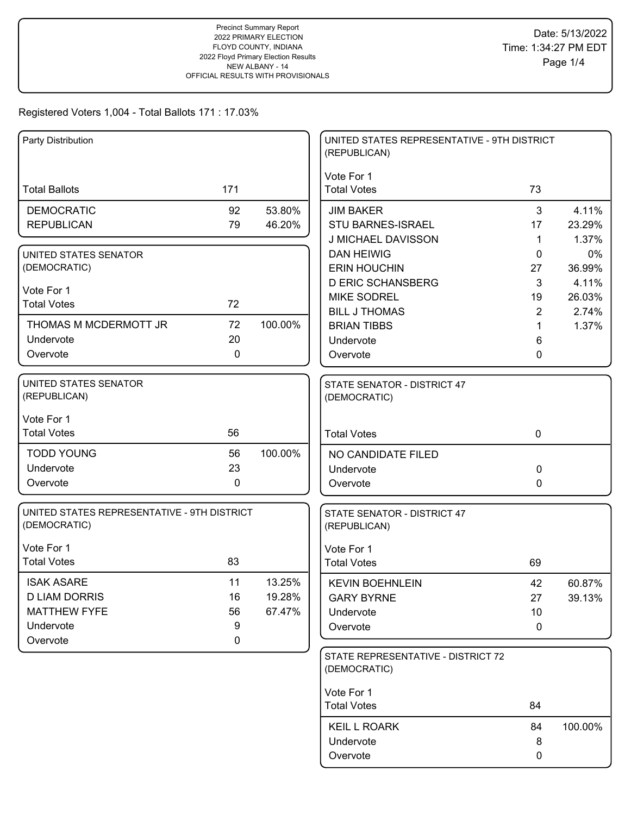| Party Distribution                                          |             |         | UNITED STATES REPRESENTATIVE - 9TH DISTRICT<br>(REPUBLICAN) |                |         |
|-------------------------------------------------------------|-------------|---------|-------------------------------------------------------------|----------------|---------|
| <b>Total Ballots</b>                                        | 171         |         | Vote For 1<br><b>Total Votes</b>                            | 73             |         |
| <b>DEMOCRATIC</b>                                           | 92          | 53.80%  | <b>JIM BAKER</b>                                            | $\mathbf{3}$   | 4.11%   |
| <b>REPUBLICAN</b>                                           | 79          | 46.20%  | <b>STU BARNES-ISRAEL</b>                                    | 17             | 23.29%  |
|                                                             |             |         | J MICHAEL DAVISSON                                          | 1              | 1.37%   |
| UNITED STATES SENATOR                                       |             |         | <b>DAN HEIWIG</b>                                           | 0              | 0%      |
| (DEMOCRATIC)                                                |             |         | <b>ERIN HOUCHIN</b>                                         | 27             | 36.99%  |
| Vote For 1                                                  |             |         | <b>D ERIC SCHANSBERG</b>                                    | 3              | 4.11%   |
| <b>Total Votes</b>                                          | 72          |         | <b>MIKE SODREL</b>                                          | 19             | 26.03%  |
|                                                             |             |         | <b>BILL J THOMAS</b>                                        | $\overline{2}$ | 2.74%   |
| THOMAS M MCDERMOTT JR                                       | 72          | 100.00% | <b>BRIAN TIBBS</b>                                          | 1              | 1.37%   |
| Undervote                                                   | 20          |         | Undervote                                                   | 6              |         |
| Overvote                                                    | 0           |         | Overvote                                                    | 0              |         |
| <b>UNITED STATES SENATOR</b><br>(REPUBLICAN)                |             |         | STATE SENATOR - DISTRICT 47<br>(DEMOCRATIC)                 |                |         |
| Vote For 1                                                  |             |         |                                                             |                |         |
| <b>Total Votes</b>                                          | 56          |         | <b>Total Votes</b>                                          | $\mathbf 0$    |         |
| <b>TODD YOUNG</b>                                           | 56          | 100.00% | NO CANDIDATE FILED                                          |                |         |
| Undervote                                                   | 23          |         | Undervote                                                   | 0              |         |
| Overvote                                                    | 0           |         | Overvote                                                    | 0              |         |
| UNITED STATES REPRESENTATIVE - 9TH DISTRICT<br>(DEMOCRATIC) |             |         | STATE SENATOR - DISTRICT 47<br>(REPUBLICAN)                 |                |         |
| Vote For 1                                                  |             |         | Vote For 1                                                  |                |         |
| <b>Total Votes</b>                                          | 83          |         | <b>Total Votes</b>                                          | 69             |         |
| <b>ISAK ASARE</b>                                           | 11          | 13.25%  | <b>KEVIN BOEHNLEIN</b>                                      | 42             | 60.87%  |
| <b>D LIAM DORRIS</b>                                        | 16          | 19.28%  | <b>GARY BYRNE</b>                                           | 27             | 39.13%  |
| <b>MATTHEW FYFE</b>                                         | 56          | 67.47%  | Undervote                                                   | 10             |         |
| Undervote                                                   | 9           |         | Overvote                                                    | 0              |         |
| Overvote                                                    | $\mathbf 0$ |         |                                                             |                |         |
|                                                             |             |         | STATE REPRESENTATIVE - DISTRICT 72<br>(DEMOCRATIC)          |                |         |
|                                                             |             |         | Vote For 1                                                  |                |         |
|                                                             |             |         | <b>Total Votes</b>                                          | 84             |         |
|                                                             |             |         | <b>KEIL L ROARK</b>                                         | 84             | 100.00% |
|                                                             |             |         | Undervote                                                   | 8              |         |
|                                                             |             |         | Overvote                                                    | 0              |         |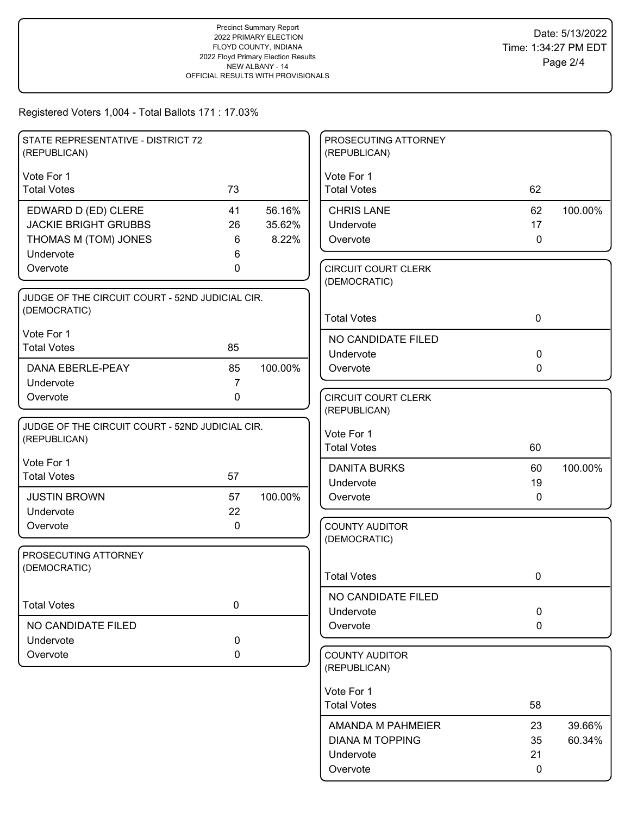| STATE REPRESENTATIVE - DISTRICT 72              |                |         | PROSECUTING ATTORNEY                       |              |         |
|-------------------------------------------------|----------------|---------|--------------------------------------------|--------------|---------|
| (REPUBLICAN)                                    |                |         | (REPUBLICAN)                               |              |         |
| Vote For 1                                      |                |         | Vote For 1                                 |              |         |
| <b>Total Votes</b>                              | 73             |         | <b>Total Votes</b>                         | 62           |         |
| EDWARD D (ED) CLERE                             | 41             | 56.16%  | <b>CHRIS LANE</b>                          | 62           | 100.00% |
| <b>JACKIE BRIGHT GRUBBS</b>                     | 26             | 35.62%  | Undervote                                  | 17           |         |
| THOMAS M (TOM) JONES                            | 6              | 8.22%   | Overvote                                   | $\mathbf 0$  |         |
| Undervote                                       | 6              |         |                                            |              |         |
| Overvote                                        | 0              |         | <b>CIRCUIT COURT CLERK</b><br>(DEMOCRATIC) |              |         |
| JUDGE OF THE CIRCUIT COURT - 52ND JUDICIAL CIR. |                |         |                                            |              |         |
| (DEMOCRATIC)                                    |                |         |                                            |              |         |
| Vote For 1                                      |                |         | <b>Total Votes</b>                         | $\mathbf 0$  |         |
| <b>Total Votes</b>                              | 85             |         | NO CANDIDATE FILED                         |              |         |
|                                                 |                |         | Undervote                                  | $\mathbf 0$  |         |
| <b>DANA EBERLE-PEAY</b>                         | 85             | 100.00% | Overvote                                   | $\mathbf{0}$ |         |
| Undervote                                       | $\overline{7}$ |         |                                            |              |         |
| Overvote                                        | $\mathbf 0$    |         | <b>CIRCUIT COURT CLERK</b><br>(REPUBLICAN) |              |         |
| JUDGE OF THE CIRCUIT COURT - 52ND JUDICIAL CIR. |                |         |                                            |              |         |
| (REPUBLICAN)                                    |                |         | Vote For 1                                 |              |         |
|                                                 |                |         | <b>Total Votes</b>                         | 60           |         |
| Vote For 1                                      |                |         | <b>DANITA BURKS</b>                        | 60           | 100.00% |
| <b>Total Votes</b>                              | 57             |         | Undervote                                  | 19           |         |
| <b>JUSTIN BROWN</b>                             | 57             | 100.00% | Overvote                                   | $\mathbf{0}$ |         |
| Undervote                                       | 22             |         |                                            |              |         |
| Overvote                                        | 0              |         | <b>COUNTY AUDITOR</b>                      |              |         |
|                                                 |                |         | (DEMOCRATIC)                               |              |         |
| PROSECUTING ATTORNEY<br>(DEMOCRATIC)            |                |         |                                            |              |         |
|                                                 |                |         | <b>Total Votes</b>                         | 0            |         |
|                                                 |                |         | NO CANDIDATE FILED                         |              |         |
| <b>Total Votes</b>                              | 0              |         | Undervote                                  | $\mathbf 0$  |         |
| NO CANDIDATE FILED                              |                |         | Overvote                                   | $\mathbf 0$  |         |
| Undervote                                       | $\pmb{0}$      |         |                                            |              |         |
| Overvote                                        | 0              |         | <b>COUNTY AUDITOR</b>                      |              |         |
|                                                 |                |         | (REPUBLICAN)                               |              |         |
|                                                 |                |         | Vote For 1                                 |              |         |
|                                                 |                |         | <b>Total Votes</b>                         | 58           |         |
|                                                 |                |         | AMANDA M PAHMEIER                          | 23           | 39.66%  |
|                                                 |                |         | <b>DIANA M TOPPING</b>                     | 35           | 60.34%  |
|                                                 |                |         | Undervote                                  | 21           |         |
|                                                 |                |         | Overvote                                   | 0            |         |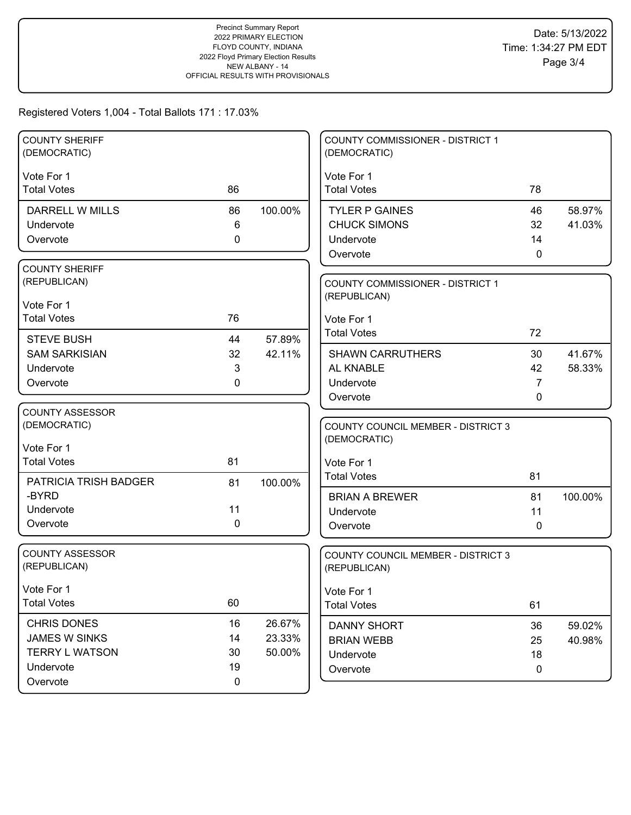| <b>COUNTY SHERIFF</b><br>(DEMOCRATIC) |              |         | COUNTY COMMISSIONER - DISTRICT 1<br>(DEMOCRATIC) |             |         |
|---------------------------------------|--------------|---------|--------------------------------------------------|-------------|---------|
| Vote For 1<br><b>Total Votes</b>      | 86           |         | Vote For 1<br><b>Total Votes</b>                 | 78          |         |
| <b>DARRELL W MILLS</b>                | 86           | 100.00% | <b>TYLER P GAINES</b>                            | 46          | 58.97%  |
| Undervote                             | 6            |         | <b>CHUCK SIMONS</b>                              | 32          | 41.03%  |
| Overvote                              | $\mathbf 0$  |         | Undervote                                        | 14          |         |
|                                       |              |         | Overvote                                         | 0           |         |
| <b>COUNTY SHERIFF</b>                 |              |         |                                                  |             |         |
| (REPUBLICAN)                          |              |         | <b>COUNTY COMMISSIONER - DISTRICT 1</b>          |             |         |
| Vote For 1                            |              |         | (REPUBLICAN)                                     |             |         |
| <b>Total Votes</b>                    | 76           |         | Vote For 1                                       |             |         |
| <b>STEVE BUSH</b>                     | 44           | 57.89%  | <b>Total Votes</b>                               | 72          |         |
| <b>SAM SARKISIAN</b>                  | 32           | 42.11%  | <b>SHAWN CARRUTHERS</b>                          | 30          | 41.67%  |
| Undervote                             | 3            |         | AL KNABLE                                        | 42          | 58.33%  |
| Overvote                              | $\mathbf{0}$ |         | Undervote                                        | 7           |         |
|                                       |              |         | Overvote                                         | 0           |         |
| <b>COUNTY ASSESSOR</b>                |              |         |                                                  |             |         |
| (DEMOCRATIC)                          |              |         | <b>COUNTY COUNCIL MEMBER - DISTRICT 3</b>        |             |         |
| Vote For 1                            |              |         | (DEMOCRATIC)                                     |             |         |
| <b>Total Votes</b>                    | 81           |         | Vote For 1                                       |             |         |
| PATRICIA TRISH BADGER                 | 81           | 100.00% | <b>Total Votes</b>                               | 81          |         |
| -BYRD                                 |              |         | <b>BRIAN A BREWER</b>                            | 81          | 100.00% |
| Undervote                             | 11           |         | Undervote                                        | 11          |         |
| Overvote                              | 0            |         | Overvote                                         | 0           |         |
|                                       |              |         |                                                  |             |         |
| <b>COUNTY ASSESSOR</b>                |              |         | COUNTY COUNCIL MEMBER - DISTRICT 3               |             |         |
| (REPUBLICAN)                          |              |         | (REPUBLICAN)                                     |             |         |
| Vote For 1                            |              |         | Vote For 1                                       |             |         |
| <b>Total Votes</b>                    | 60           |         | <b>Total Votes</b>                               | 61          |         |
| <b>CHRIS DONES</b>                    | 16           | 26.67%  |                                                  |             |         |
| <b>JAMES W SINKS</b>                  | 14           | 23.33%  | <b>DANNY SHORT</b><br><b>BRIAN WEBB</b>          | 36<br>25    | 59.02%  |
| <b>TERRY L WATSON</b>                 | 30           | 50.00%  | Undervote                                        | 18          | 40.98%  |
| Undervote                             | 19           |         | Overvote                                         | $\mathbf 0$ |         |
| Overvote                              | $\pmb{0}$    |         |                                                  |             |         |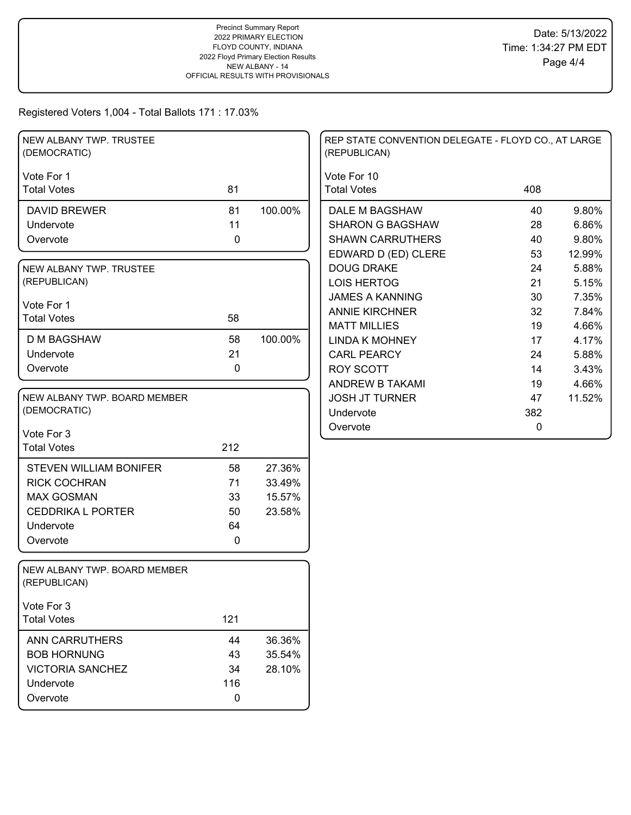| NEW ALBANY TWP. TRUSTEE<br>(DEMOCRATIC)      |             |         | REP STATE CONVENTION DELEGATE - FLOYD CO., AT LARGE<br>(REPUBLICAN) |     |        |
|----------------------------------------------|-------------|---------|---------------------------------------------------------------------|-----|--------|
| Vote For 1                                   |             |         | Vote For 10                                                         |     |        |
| <b>Total Votes</b>                           | 81          |         | <b>Total Votes</b>                                                  | 408 |        |
| <b>DAVID BREWER</b>                          | 81          | 100.00% | DALE M BAGSHAW                                                      | 40  | 9.80%  |
| Undervote                                    | 11          |         | <b>SHARON G BAGSHAW</b>                                             | 28  | 6.86%  |
| Overvote                                     | $\mathbf 0$ |         | <b>SHAWN CARRUTHERS</b>                                             | 40  | 9.80%  |
|                                              |             |         | EDWARD D (ED) CLERE                                                 | 53  | 12.99% |
| NEW ALBANY TWP. TRUSTEE                      |             |         | <b>DOUG DRAKE</b>                                                   | 24  | 5.88%  |
| (REPUBLICAN)                                 |             |         | <b>LOIS HERTOG</b>                                                  | 21  | 5.15%  |
| Vote For 1                                   |             |         | <b>JAMES A KANNING</b>                                              | 30  | 7.35%  |
| <b>Total Votes</b>                           | 58          |         | <b>ANNIE KIRCHNER</b>                                               | 32  | 7.84%  |
|                                              |             |         | <b>MATT MILLIES</b>                                                 | 19  | 4.66%  |
| <b>D M BAGSHAW</b>                           | 58          | 100.00% | <b>LINDA K MOHNEY</b>                                               | 17  | 4.17%  |
| Undervote                                    | 21          |         | <b>CARL PEARCY</b>                                                  | 24  | 5.88%  |
| Overvote                                     | $\mathbf 0$ |         | <b>ROY SCOTT</b>                                                    | 14  | 3.43%  |
|                                              |             |         | <b>ANDREW B TAKAMI</b>                                              | 19  | 4.66%  |
| NEW ALBANY TWP. BOARD MEMBER                 |             |         | <b>JOSH JT TURNER</b>                                               | 47  | 11.52% |
| (DEMOCRATIC)                                 |             |         | Undervote                                                           | 382 |        |
| Vote For 3                                   |             |         | Overvote                                                            | 0   |        |
| <b>Total Votes</b>                           | 212         |         |                                                                     |     |        |
|                                              |             |         |                                                                     |     |        |
| <b>STEVEN WILLIAM BONIFER</b>                | 58          | 27.36%  |                                                                     |     |        |
| <b>RICK COCHRAN</b>                          | 71          | 33.49%  |                                                                     |     |        |
| <b>MAX GOSMAN</b>                            | 33          | 15.57%  |                                                                     |     |        |
| <b>CEDDRIKA L PORTER</b>                     | 50          | 23.58%  |                                                                     |     |        |
| Undervote                                    | 64          |         |                                                                     |     |        |
| Overvote                                     | $\mathbf 0$ |         |                                                                     |     |        |
| NEW ALBANY TWP. BOARD MEMBER<br>(REPUBLICAN) |             |         |                                                                     |     |        |
| Vote For 3                                   |             |         |                                                                     |     |        |
| <b>Total Votes</b>                           | 121         |         |                                                                     |     |        |
| <b>ANN CARRUTHERS</b>                        | 44          | 36.36%  |                                                                     |     |        |
| <b>BOB HORNUNG</b>                           | 43          | 35.54%  |                                                                     |     |        |
| <b>VICTORIA SANCHEZ</b>                      | 34          | 28.10%  |                                                                     |     |        |
| Undervote                                    | 116         |         |                                                                     |     |        |
| Overvote                                     | 0           |         |                                                                     |     |        |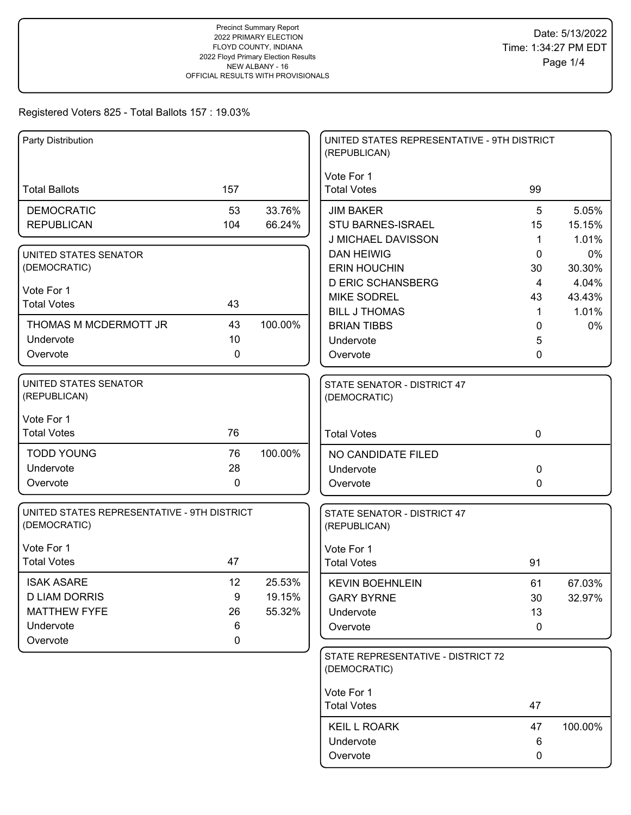| Party Distribution                                          |     |         | UNITED STATES REPRESENTATIVE - 9TH DISTRICT<br>(REPUBLICAN) |                      |                 |
|-------------------------------------------------------------|-----|---------|-------------------------------------------------------------|----------------------|-----------------|
| <b>Total Ballots</b>                                        | 157 |         | Vote For 1<br><b>Total Votes</b>                            | 99                   |                 |
| <b>DEMOCRATIC</b>                                           | 53  | 33.76%  | <b>JIM BAKER</b>                                            | 5                    | 5.05%           |
| <b>REPUBLICAN</b>                                           | 104 | 66.24%  | <b>STU BARNES-ISRAEL</b>                                    | 15                   | 15.15%          |
|                                                             |     |         | J MICHAEL DAVISSON                                          | 1                    | 1.01%           |
| UNITED STATES SENATOR<br>(DEMOCRATIC)                       |     |         | <b>DAN HEIWIG</b><br><b>ERIN HOUCHIN</b>                    | 0                    | 0%              |
|                                                             |     |         | <b>D ERIC SCHANSBERG</b>                                    | 30<br>$\overline{4}$ | 30.30%<br>4.04% |
| Vote For 1                                                  |     |         | <b>MIKE SODREL</b>                                          | 43                   | 43.43%          |
| <b>Total Votes</b>                                          | 43  |         | <b>BILL J THOMAS</b>                                        | 1                    | 1.01%           |
| THOMAS M MCDERMOTT JR                                       | 43  | 100.00% | <b>BRIAN TIBBS</b>                                          | 0                    | 0%              |
| Undervote                                                   | 10  |         | Undervote                                                   | 5                    |                 |
| Overvote                                                    | 0   |         | Overvote                                                    | 0                    |                 |
| UNITED STATES SENATOR<br>(REPUBLICAN)                       |     |         | STATE SENATOR - DISTRICT 47<br>(DEMOCRATIC)                 |                      |                 |
| Vote For 1                                                  |     |         |                                                             |                      |                 |
| <b>Total Votes</b>                                          | 76  |         | <b>Total Votes</b>                                          | $\mathbf 0$          |                 |
| <b>TODD YOUNG</b>                                           | 76  | 100.00% | NO CANDIDATE FILED                                          |                      |                 |
| Undervote                                                   | 28  |         | Undervote                                                   | 0                    |                 |
| Overvote                                                    | 0   |         | Overvote                                                    | 0                    |                 |
| UNITED STATES REPRESENTATIVE - 9TH DISTRICT<br>(DEMOCRATIC) |     |         | STATE SENATOR - DISTRICT 47<br>(REPUBLICAN)                 |                      |                 |
| Vote For 1                                                  |     |         | Vote For 1                                                  |                      |                 |
| <b>Total Votes</b>                                          | 47  |         | <b>Total Votes</b>                                          | 91                   |                 |
| <b>ISAK ASARE</b>                                           | 12  | 25.53%  | <b>KEVIN BOEHNLEIN</b>                                      | 61                   | 67.03%          |
| <b>D LIAM DORRIS</b>                                        | 9   | 19.15%  | <b>GARY BYRNE</b>                                           | 30                   | 32.97%          |
| <b>MATTHEW FYFE</b>                                         | 26  | 55.32%  | Undervote                                                   | 13                   |                 |
| Undervote                                                   | 6   |         | Overvote                                                    | 0                    |                 |
| Overvote                                                    | 0   |         |                                                             |                      |                 |
|                                                             |     |         | STATE REPRESENTATIVE - DISTRICT 72<br>(DEMOCRATIC)          |                      |                 |
|                                                             |     |         | Vote For 1                                                  |                      |                 |
|                                                             |     |         | <b>Total Votes</b>                                          | 47                   |                 |
|                                                             |     |         | <b>KEIL L ROARK</b>                                         | 47                   | 100.00%         |
|                                                             |     |         | Undervote                                                   | 6                    |                 |
|                                                             |     |         | Overvote                                                    | 0                    |                 |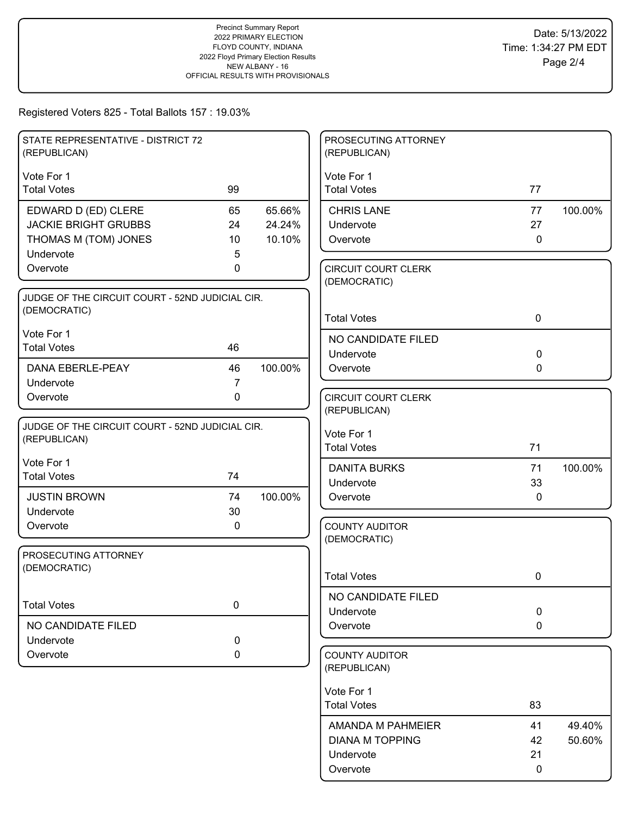| STATE REPRESENTATIVE - DISTRICT 72<br>(REPUBLICAN) |                               |         | PROSECUTING ATTORNEY<br>(REPUBLICAN)       |              |         |
|----------------------------------------------------|-------------------------------|---------|--------------------------------------------|--------------|---------|
| Vote For 1                                         |                               |         | Vote For 1                                 |              |         |
| <b>Total Votes</b>                                 | 99                            |         | <b>Total Votes</b>                         | 77           |         |
| EDWARD D (ED) CLERE                                | 65                            | 65.66%  | <b>CHRIS LANE</b>                          | 77           | 100.00% |
| <b>JACKIE BRIGHT GRUBBS</b>                        | 24                            | 24.24%  | Undervote                                  | 27           |         |
| THOMAS M (TOM) JONES                               | 10                            | 10.10%  | Overvote                                   | $\mathbf 0$  |         |
| Undervote                                          | 5                             |         |                                            |              |         |
| Overvote                                           | 0                             |         | <b>CIRCUIT COURT CLERK</b><br>(DEMOCRATIC) |              |         |
| JUDGE OF THE CIRCUIT COURT - 52ND JUDICIAL CIR.    |                               |         |                                            |              |         |
| (DEMOCRATIC)                                       |                               |         | <b>Total Votes</b>                         | 0            |         |
| Vote For 1                                         |                               |         |                                            |              |         |
| <b>Total Votes</b>                                 | 46                            |         | NO CANDIDATE FILED                         |              |         |
|                                                    |                               |         | Undervote                                  | $\mathbf 0$  |         |
| <b>DANA EBERLE-PEAY</b>                            | 46                            | 100.00% | Overvote                                   | $\Omega$     |         |
| Undervote<br>Overvote                              | $\overline{7}$<br>$\mathbf 0$ |         | <b>CIRCUIT COURT CLERK</b>                 |              |         |
|                                                    |                               |         | (REPUBLICAN)                               |              |         |
| JUDGE OF THE CIRCUIT COURT - 52ND JUDICIAL CIR.    |                               |         |                                            |              |         |
| (REPUBLICAN)                                       |                               |         | Vote For 1                                 |              |         |
|                                                    |                               |         | <b>Total Votes</b>                         | 71           |         |
| Vote For 1<br><b>Total Votes</b>                   | 74                            |         | <b>DANITA BURKS</b>                        | 71           | 100.00% |
|                                                    |                               |         | Undervote                                  | 33           |         |
| <b>JUSTIN BROWN</b>                                | 74                            | 100.00% | Overvote                                   | $\mathbf{0}$ |         |
| Undervote                                          | 30                            |         |                                            |              |         |
| Overvote                                           | 0                             |         | <b>COUNTY AUDITOR</b><br>(DEMOCRATIC)      |              |         |
| PROSECUTING ATTORNEY                               |                               |         |                                            |              |         |
| (DEMOCRATIC)                                       |                               |         |                                            |              |         |
|                                                    |                               |         | <b>Total Votes</b>                         | 0            |         |
|                                                    |                               |         | NO CANDIDATE FILED                         |              |         |
| <b>Total Votes</b>                                 | $\mathbf 0$                   |         | Undervote                                  | $\mathbf 0$  |         |
| NO CANDIDATE FILED                                 |                               |         | Overvote                                   | $\mathbf 0$  |         |
| Undervote                                          | 0                             |         |                                            |              |         |
| Overvote                                           | 0                             |         | <b>COUNTY AUDITOR</b><br>(REPUBLICAN)      |              |         |
|                                                    |                               |         |                                            |              |         |
|                                                    |                               |         | Vote For 1                                 |              |         |
|                                                    |                               |         | <b>Total Votes</b>                         | 83           |         |
|                                                    |                               |         | AMANDA M PAHMEIER                          | 41           | 49.40%  |
|                                                    |                               |         | <b>DIANA M TOPPING</b>                     | 42           | 50.60%  |
|                                                    |                               |         | Undervote                                  | 21           |         |
|                                                    |                               |         | Overvote                                   | 0            |         |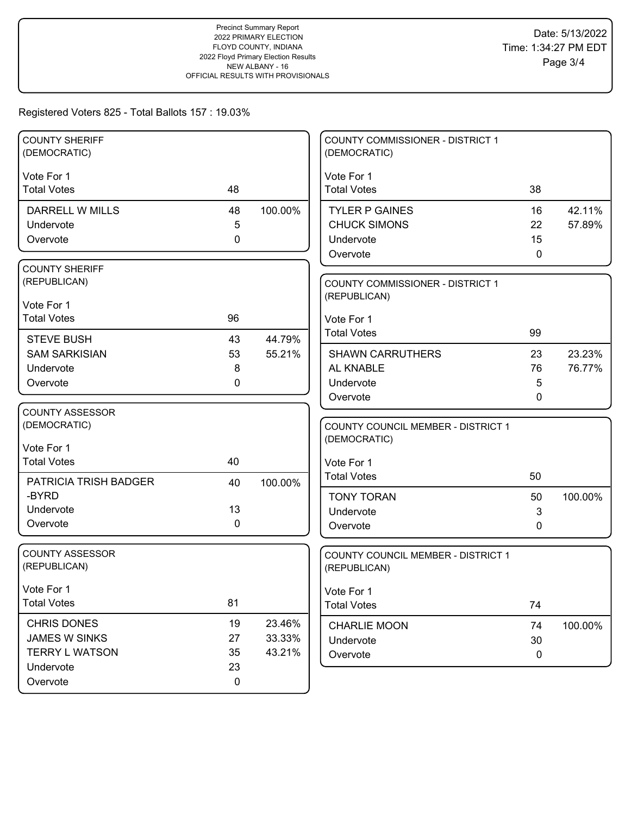| <b>COUNTY SHERIFF</b><br>(DEMOCRATIC)      |             |                  | <b>COUNTY COMMISSIONER - DISTRICT 1</b><br>(DEMOCRATIC) |    |         |
|--------------------------------------------|-------------|------------------|---------------------------------------------------------|----|---------|
| Vote For 1                                 |             |                  | Vote For 1                                              |    |         |
| <b>Total Votes</b>                         | 48          |                  | <b>Total Votes</b>                                      | 38 |         |
| <b>DARRELL W MILLS</b>                     | 48          | 100.00%          | <b>TYLER P GAINES</b>                                   | 16 | 42.11%  |
| Undervote                                  | 5           |                  | <b>CHUCK SIMONS</b>                                     | 22 | 57.89%  |
| Overvote                                   | 0           |                  | Undervote                                               | 15 |         |
|                                            |             |                  | Overvote                                                | 0  |         |
| <b>COUNTY SHERIFF</b>                      |             |                  |                                                         |    |         |
| (REPUBLICAN)                               |             |                  | <b>COUNTY COMMISSIONER - DISTRICT 1</b>                 |    |         |
| Vote For 1                                 |             |                  | (REPUBLICAN)                                            |    |         |
| <b>Total Votes</b>                         | 96          |                  | Vote For 1                                              |    |         |
| <b>STEVE BUSH</b>                          | 43          | 44.79%           | <b>Total Votes</b>                                      | 99 |         |
| <b>SAM SARKISIAN</b>                       | 53          | 55.21%           | <b>SHAWN CARRUTHERS</b>                                 | 23 | 23.23%  |
| Undervote                                  | 8           |                  | AL KNABLE                                               | 76 | 76.77%  |
| Overvote                                   | 0           |                  | Undervote                                               | 5  |         |
|                                            |             |                  | Overvote                                                | 0  |         |
| <b>COUNTY ASSESSOR</b>                     |             |                  |                                                         |    |         |
| (DEMOCRATIC)                               |             |                  | <b>COUNTY COUNCIL MEMBER - DISTRICT 1</b>               |    |         |
| Vote For 1                                 |             |                  | (DEMOCRATIC)                                            |    |         |
| <b>Total Votes</b>                         | 40          |                  | Vote For 1                                              |    |         |
| PATRICIA TRISH BADGER                      | 40          | 100.00%          | <b>Total Votes</b>                                      | 50 |         |
| -BYRD                                      |             |                  | <b>TONY TORAN</b>                                       | 50 | 100.00% |
| Undervote                                  | 13          |                  | Undervote                                               | 3  |         |
| Overvote                                   | $\mathbf 0$ |                  | Overvote                                                | 0  |         |
|                                            |             |                  |                                                         |    |         |
| <b>COUNTY ASSESSOR</b>                     |             |                  | COUNTY COUNCIL MEMBER - DISTRICT 1                      |    |         |
| (REPUBLICAN)                               |             |                  | (REPUBLICAN)                                            |    |         |
| Vote For 1                                 |             |                  | Vote For 1                                              |    |         |
| <b>Total Votes</b>                         | 81          |                  | <b>Total Votes</b>                                      | 74 |         |
|                                            | 19          |                  |                                                         |    |         |
| <b>CHRIS DONES</b><br><b>JAMES W SINKS</b> | 27          | 23.46%<br>33.33% | <b>CHARLIE MOON</b>                                     | 74 | 100.00% |
| <b>TERRY L WATSON</b>                      | 35          | 43.21%           | Undervote                                               | 30 |         |
| Undervote                                  | 23          |                  | Overvote                                                | 0  |         |
| Overvote                                   | $\mathbf 0$ |                  |                                                         |    |         |
|                                            |             |                  |                                                         |    |         |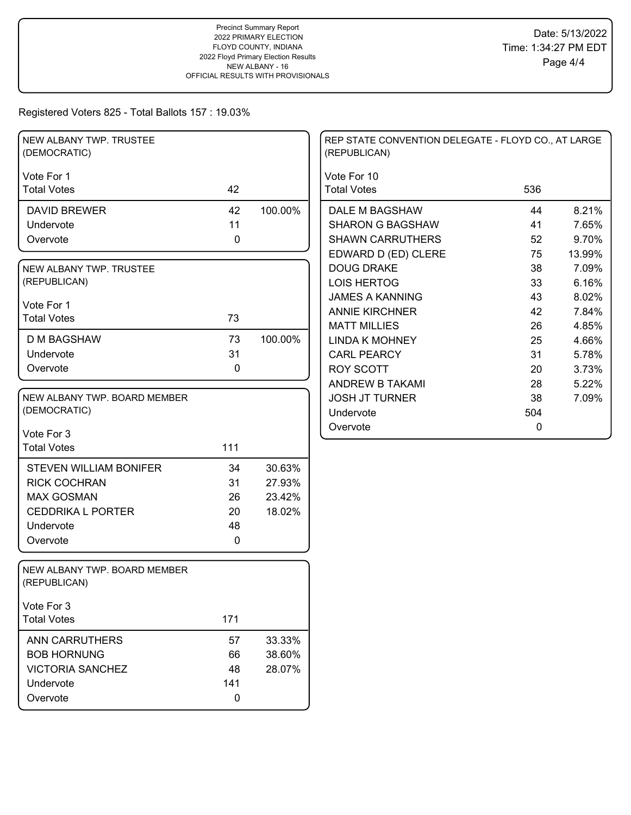| NEW ALBANY TWP. TRUSTEE<br>(DEMOCRATIC)      |     |         | REP STATE CONVENTION DELEGATE - FLOYD CO., AT LARGE<br>(REPUBLICAN) |     |        |
|----------------------------------------------|-----|---------|---------------------------------------------------------------------|-----|--------|
| Vote For 1                                   |     |         | Vote For 10                                                         |     |        |
| <b>Total Votes</b>                           | 42  |         | <b>Total Votes</b>                                                  | 536 |        |
| <b>DAVID BREWER</b>                          | 42  | 100.00% | DALE M BAGSHAW                                                      | 44  | 8.21%  |
| Undervote                                    | 11  |         | <b>SHARON G BAGSHAW</b>                                             | 41  | 7.65%  |
| Overvote                                     | 0   |         | <b>SHAWN CARRUTHERS</b>                                             | 52  | 9.70%  |
|                                              |     |         | EDWARD D (ED) CLERE                                                 | 75  | 13.99% |
| NEW ALBANY TWP. TRUSTEE                      |     |         | <b>DOUG DRAKE</b>                                                   | 38  | 7.09%  |
| (REPUBLICAN)                                 |     |         | <b>LOIS HERTOG</b>                                                  | 33  | 6.16%  |
| Vote For 1                                   |     |         | <b>JAMES A KANNING</b>                                              | 43  | 8.02%  |
| <b>Total Votes</b>                           | 73  |         | <b>ANNIE KIRCHNER</b>                                               | 42  | 7.84%  |
|                                              |     |         | <b>MATT MILLIES</b>                                                 | 26  | 4.85%  |
| <b>D M BAGSHAW</b>                           | 73  | 100.00% | <b>LINDA K MOHNEY</b>                                               | 25  | 4.66%  |
| Undervote                                    | 31  |         | <b>CARL PEARCY</b>                                                  | 31  | 5.78%  |
| Overvote                                     | 0   |         | ROY SCOTT                                                           | 20  | 3.73%  |
|                                              |     |         | ANDREW B TAKAMI                                                     | 28  | 5.22%  |
| NEW ALBANY TWP. BOARD MEMBER                 |     |         | <b>JOSH JT TURNER</b>                                               | 38  | 7.09%  |
| (DEMOCRATIC)                                 |     |         | Undervote                                                           | 504 |        |
| Vote For 3                                   |     |         | Overvote                                                            | 0   |        |
| <b>Total Votes</b>                           | 111 |         |                                                                     |     |        |
|                                              |     |         |                                                                     |     |        |
| <b>STEVEN WILLIAM BONIFER</b>                | 34  | 30.63%  |                                                                     |     |        |
| <b>RICK COCHRAN</b>                          | 31  | 27.93%  |                                                                     |     |        |
| <b>MAX GOSMAN</b>                            | 26  | 23.42%  |                                                                     |     |        |
| <b>CEDDRIKA L PORTER</b>                     | 20  | 18.02%  |                                                                     |     |        |
| Undervote                                    | 48  |         |                                                                     |     |        |
| Overvote                                     | 0   |         |                                                                     |     |        |
| NEW ALBANY TWP. BOARD MEMBER<br>(REPUBLICAN) |     |         |                                                                     |     |        |
| Vote For 3                                   |     |         |                                                                     |     |        |
| <b>Total Votes</b>                           | 171 |         |                                                                     |     |        |
| <b>ANN CARRUTHERS</b>                        | 57  | 33.33%  |                                                                     |     |        |
| <b>BOB HORNUNG</b>                           | 66  | 38.60%  |                                                                     |     |        |
| <b>VICTORIA SANCHEZ</b>                      | 48  | 28.07%  |                                                                     |     |        |
| Undervote                                    | 141 |         |                                                                     |     |        |
| Overvote                                     | 0   |         |                                                                     |     |        |
|                                              |     |         |                                                                     |     |        |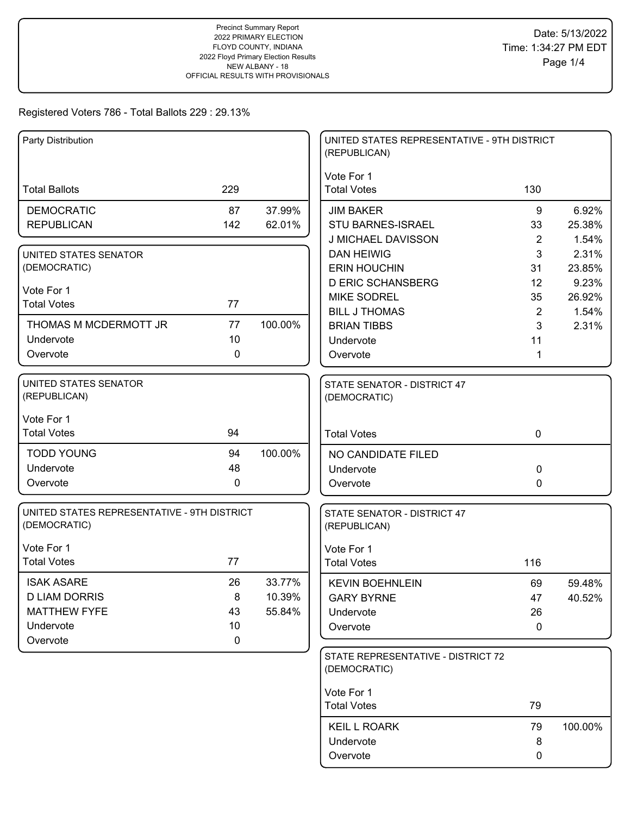| Party Distribution                                          |             |         | UNITED STATES REPRESENTATIVE - 9TH DISTRICT<br>(REPUBLICAN) |                     |                |
|-------------------------------------------------------------|-------------|---------|-------------------------------------------------------------|---------------------|----------------|
|                                                             |             |         | Vote For 1                                                  |                     |                |
| <b>Total Ballots</b>                                        | 229         |         | <b>Total Votes</b>                                          | 130                 |                |
| <b>DEMOCRATIC</b>                                           | 87          | 37.99%  | <b>JIM BAKER</b>                                            | 9                   | 6.92%          |
| <b>REPUBLICAN</b>                                           | 142         | 62.01%  | STU BARNES-ISRAEL                                           | 33                  | 25.38%         |
|                                                             |             |         | J MICHAEL DAVISSON                                          | 2                   | 1.54%          |
| UNITED STATES SENATOR                                       |             |         | <b>DAN HEIWIG</b>                                           | 3                   | 2.31%          |
| (DEMOCRATIC)                                                |             |         | <b>ERIN HOUCHIN</b>                                         | 31                  | 23.85%         |
| Vote For 1                                                  |             |         | <b>D ERIC SCHANSBERG</b>                                    | 12                  | 9.23%          |
| <b>Total Votes</b>                                          | 77          |         | <b>MIKE SODREL</b><br><b>BILL J THOMAS</b>                  | 35                  | 26.92%         |
| THOMAS M MCDERMOTT JR                                       | 77          | 100.00% | <b>BRIAN TIBBS</b>                                          | $\overline{2}$<br>3 | 1.54%<br>2.31% |
| Undervote                                                   | 10          |         | Undervote                                                   | 11                  |                |
| Overvote                                                    | $\mathbf 0$ |         | Overvote                                                    | 1                   |                |
|                                                             |             |         |                                                             |                     |                |
| UNITED STATES SENATOR<br>(REPUBLICAN)                       |             |         | STATE SENATOR - DISTRICT 47<br>(DEMOCRATIC)                 |                     |                |
|                                                             |             |         |                                                             |                     |                |
| Vote For 1<br><b>Total Votes</b>                            | 94          |         | <b>Total Votes</b>                                          | $\mathbf 0$         |                |
|                                                             |             |         |                                                             |                     |                |
| <b>TODD YOUNG</b>                                           | 94          | 100.00% | NO CANDIDATE FILED                                          |                     |                |
| Undervote                                                   | 48          |         | Undervote                                                   | 0                   |                |
| Overvote                                                    | $\mathbf 0$ |         | Overvote                                                    | 0                   |                |
| UNITED STATES REPRESENTATIVE - 9TH DISTRICT<br>(DEMOCRATIC) |             |         | STATE SENATOR - DISTRICT 47<br>(REPUBLICAN)                 |                     |                |
| Vote For 1                                                  |             |         | Vote For 1                                                  |                     |                |
| <b>Total Votes</b>                                          | 77          |         | <b>Total Votes</b>                                          | 116                 |                |
| <b>ISAK ASARE</b>                                           | 26          | 33.77%  | <b>KEVIN BOEHNLEIN</b>                                      | 69                  | 59.48%         |
| <b>D LIAM DORRIS</b>                                        | 8           | 10.39%  | <b>GARY BYRNE</b>                                           | 47                  | 40.52%         |
| <b>MATTHEW FYFE</b>                                         | 43          | 55.84%  | Undervote                                                   | 26                  |                |
| Undervote                                                   | 10          |         | Overvote                                                    | $\mathbf 0$         |                |
| Overvote                                                    | 0           |         |                                                             |                     |                |
|                                                             |             |         | STATE REPRESENTATIVE - DISTRICT 72<br>(DEMOCRATIC)          |                     |                |
|                                                             |             |         | Vote For 1                                                  |                     |                |
|                                                             |             |         | <b>Total Votes</b>                                          | 79                  |                |
|                                                             |             |         | <b>KEIL L ROARK</b>                                         | 79                  | 100.00%        |
|                                                             |             |         | Undervote                                                   | 8                   |                |
|                                                             |             |         | Overvote                                                    | 0                   |                |
|                                                             |             |         |                                                             |                     |                |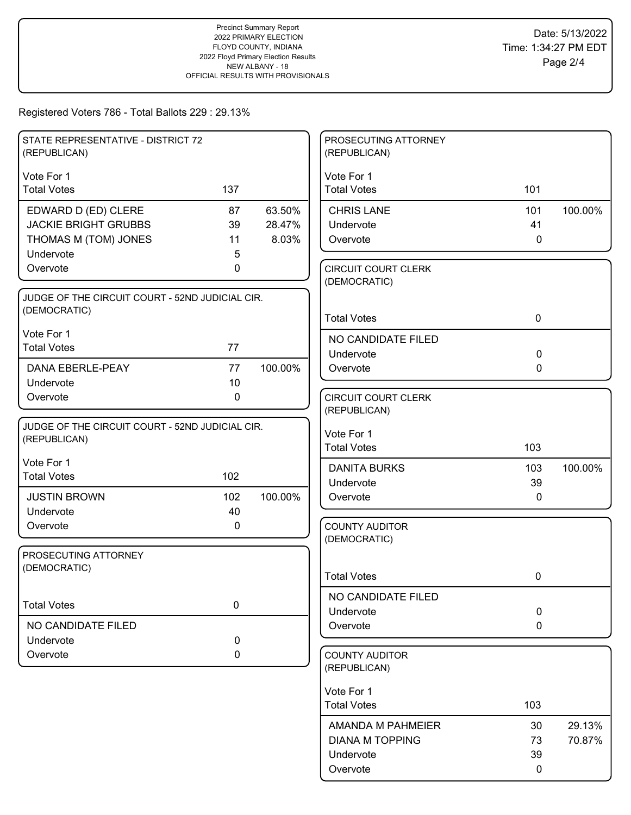| STATE REPRESENTATIVE - DISTRICT 72<br>(REPUBLICAN)              |           |         | PROSECUTING ATTORNEY<br>(REPUBLICAN)       |              |         |
|-----------------------------------------------------------------|-----------|---------|--------------------------------------------|--------------|---------|
| Vote For 1                                                      |           |         | Vote For 1                                 |              |         |
| <b>Total Votes</b>                                              | 137       |         | <b>Total Votes</b>                         | 101          |         |
| EDWARD D (ED) CLERE                                             | 87        | 63.50%  | <b>CHRIS LANE</b>                          | 101          | 100.00% |
| <b>JACKIE BRIGHT GRUBBS</b>                                     | 39        | 28.47%  | Undervote                                  | 41           |         |
| THOMAS M (TOM) JONES                                            | 11        | 8.03%   | Overvote                                   | $\mathbf 0$  |         |
| Undervote                                                       | 5         |         |                                            |              |         |
| Overvote                                                        | 0         |         | <b>CIRCUIT COURT CLERK</b><br>(DEMOCRATIC) |              |         |
| JUDGE OF THE CIRCUIT COURT - 52ND JUDICIAL CIR.                 |           |         |                                            |              |         |
| (DEMOCRATIC)                                                    |           |         | <b>Total Votes</b>                         | $\mathbf 0$  |         |
| Vote For 1                                                      |           |         | NO CANDIDATE FILED                         |              |         |
| <b>Total Votes</b>                                              | 77        |         | Undervote                                  | $\mathbf 0$  |         |
| <b>DANA EBERLE-PEAY</b>                                         | 77        | 100.00% | Overvote                                   | $\mathbf{0}$ |         |
| Undervote                                                       | 10        |         |                                            |              |         |
| Overvote                                                        | 0         |         | <b>CIRCUIT COURT CLERK</b>                 |              |         |
|                                                                 |           |         | (REPUBLICAN)                               |              |         |
| JUDGE OF THE CIRCUIT COURT - 52ND JUDICIAL CIR.<br>(REPUBLICAN) |           |         | Vote For 1                                 |              |         |
|                                                                 |           |         | <b>Total Votes</b>                         | 103          |         |
| Vote For 1                                                      |           |         | <b>DANITA BURKS</b>                        | 103          | 100.00% |
| <b>Total Votes</b>                                              | 102       |         | Undervote                                  | 39           |         |
| <b>JUSTIN BROWN</b>                                             | 102       | 100.00% | Overvote                                   | $\mathbf{0}$ |         |
| Undervote                                                       | 40        |         |                                            |              |         |
| Overvote                                                        | 0         |         | <b>COUNTY AUDITOR</b>                      |              |         |
| PROSECUTING ATTORNEY                                            |           |         | (DEMOCRATIC)                               |              |         |
| (DEMOCRATIC)                                                    |           |         |                                            |              |         |
|                                                                 |           |         | <b>Total Votes</b>                         | 0            |         |
| <b>Total Votes</b>                                              | $\pmb{0}$ |         | NO CANDIDATE FILED                         |              |         |
|                                                                 |           |         | Undervote                                  | $\mathbf 0$  |         |
| NO CANDIDATE FILED                                              |           |         | Overvote                                   | $\mathbf 0$  |         |
| Undervote<br>Overvote                                           | 0         |         | <b>COUNTY AUDITOR</b>                      |              |         |
|                                                                 | 0         |         | (REPUBLICAN)                               |              |         |
|                                                                 |           |         | Vote For 1                                 |              |         |
|                                                                 |           |         | <b>Total Votes</b>                         | 103          |         |
|                                                                 |           |         | AMANDA M PAHMEIER                          | 30           | 29.13%  |
|                                                                 |           |         | <b>DIANA M TOPPING</b>                     | 73           | 70.87%  |
|                                                                 |           |         | Undervote                                  | 39           |         |
|                                                                 |           |         | Overvote                                   | 0            |         |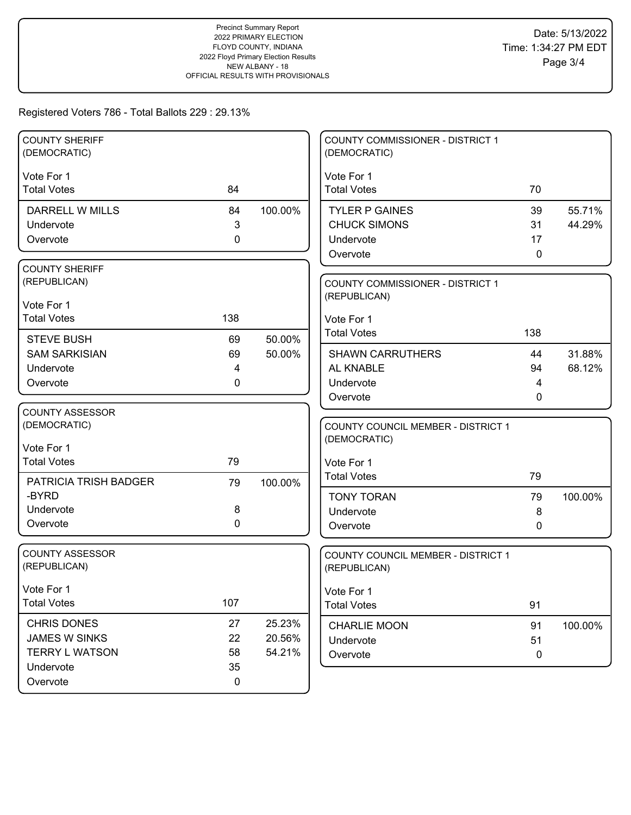| <b>COUNTY SHERIFF</b><br>(DEMOCRATIC) |             |         | <b>COUNTY COMMISSIONER - DISTRICT 1</b><br>(DEMOCRATIC) |             |         |
|---------------------------------------|-------------|---------|---------------------------------------------------------|-------------|---------|
| Vote For 1                            |             |         | Vote For 1                                              |             |         |
| <b>Total Votes</b>                    | 84          |         | <b>Total Votes</b>                                      | 70          |         |
| DARRELL W MILLS                       | 84          | 100.00% | <b>TYLER P GAINES</b>                                   | 39          | 55.71%  |
| Undervote                             | 3           |         | <b>CHUCK SIMONS</b>                                     | 31          | 44.29%  |
| Overvote                              | 0           |         | Undervote                                               | 17          |         |
|                                       |             |         | Overvote                                                | 0           |         |
| <b>COUNTY SHERIFF</b>                 |             |         |                                                         |             |         |
| (REPUBLICAN)                          |             |         | <b>COUNTY COMMISSIONER - DISTRICT 1</b>                 |             |         |
| Vote For 1                            |             |         | (REPUBLICAN)                                            |             |         |
| <b>Total Votes</b>                    | 138         |         | Vote For 1                                              |             |         |
|                                       |             |         | <b>Total Votes</b>                                      | 138         |         |
| <b>STEVE BUSH</b>                     | 69          | 50.00%  |                                                         |             |         |
| <b>SAM SARKISIAN</b>                  | 69          | 50.00%  | <b>SHAWN CARRUTHERS</b>                                 | 44          | 31.88%  |
| Undervote                             | 4           |         | AL KNABLE                                               | 94          | 68.12%  |
| Overvote                              | 0           |         | Undervote<br>Overvote                                   | 4<br>0      |         |
| <b>COUNTY ASSESSOR</b>                |             |         |                                                         |             |         |
| (DEMOCRATIC)                          |             |         | COUNTY COUNCIL MEMBER - DISTRICT 1                      |             |         |
|                                       |             |         | (DEMOCRATIC)                                            |             |         |
| Vote For 1                            |             |         |                                                         |             |         |
| <b>Total Votes</b>                    | 79          |         | Vote For 1                                              |             |         |
| PATRICIA TRISH BADGER                 | 79          | 100.00% | <b>Total Votes</b>                                      | 79          |         |
| -BYRD                                 |             |         | <b>TONY TORAN</b>                                       | 79          | 100.00% |
| Undervote                             | 8           |         | Undervote                                               | 8           |         |
| Overvote                              | $\mathbf 0$ |         | Overvote                                                | 0           |         |
|                                       |             |         |                                                         |             |         |
| <b>COUNTY ASSESSOR</b>                |             |         | COUNTY COUNCIL MEMBER - DISTRICT 1                      |             |         |
| (REPUBLICAN)                          |             |         | (REPUBLICAN)                                            |             |         |
| Vote For 1                            |             |         | Vote For 1                                              |             |         |
| <b>Total Votes</b>                    | 107         |         | <b>Total Votes</b>                                      | 91          |         |
| <b>CHRIS DONES</b>                    | 27          | 25.23%  | <b>CHARLIE MOON</b>                                     | 91          | 100.00% |
| JAMES W SINKS                         | 22          | 20.56%  | Undervote                                               | 51          |         |
| <b>TERRY L WATSON</b>                 | 58          | 54.21%  | Overvote                                                | $\mathbf 0$ |         |
| Undervote                             | 35          |         |                                                         |             |         |
| Overvote                              | 0           |         |                                                         |             |         |
|                                       |             |         |                                                         |             |         |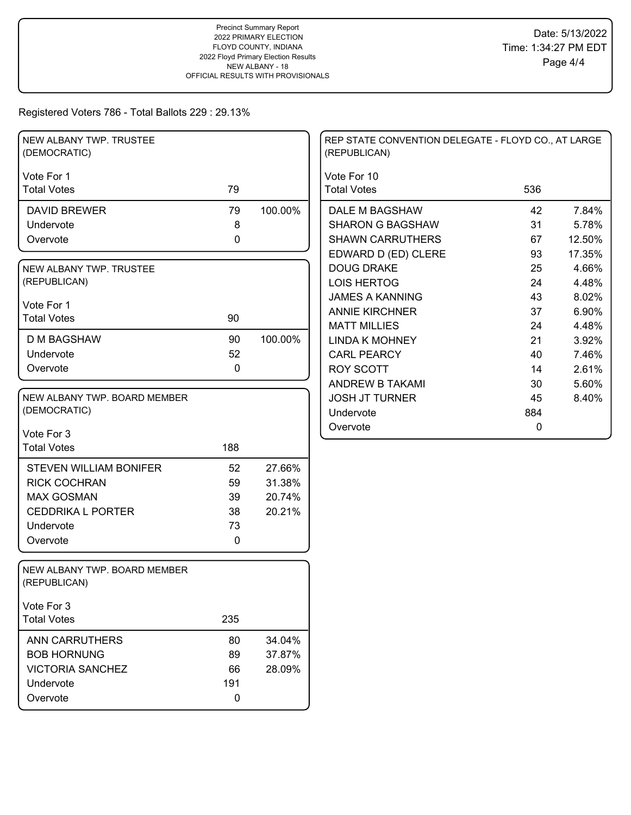| NEW ALBANY TWP. TRUSTEE<br>(DEMOCRATIC)      |             |         | REP STATE CONVENTION DELEGATE - FLOYD CO., AT LARGE<br>(REPUBLICAN) |     |        |
|----------------------------------------------|-------------|---------|---------------------------------------------------------------------|-----|--------|
| Vote For 1                                   |             |         | Vote For 10                                                         |     |        |
| <b>Total Votes</b>                           | 79          |         | <b>Total Votes</b>                                                  | 536 |        |
| <b>DAVID BREWER</b>                          | 79          | 100.00% | DALE M BAGSHAW                                                      | 42  | 7.84%  |
| Undervote                                    | 8           |         | <b>SHARON G BAGSHAW</b>                                             | 31  | 5.78%  |
| Overvote                                     | $\pmb{0}$   |         | <b>SHAWN CARRUTHERS</b>                                             | 67  | 12.50% |
|                                              |             |         | EDWARD D (ED) CLERE                                                 | 93  | 17.35% |
| NEW ALBANY TWP. TRUSTEE                      |             |         | <b>DOUG DRAKE</b>                                                   | 25  | 4.66%  |
| (REPUBLICAN)                                 |             |         | <b>LOIS HERTOG</b>                                                  | 24  | 4.48%  |
| Vote For 1                                   |             |         | <b>JAMES A KANNING</b>                                              | 43  | 8.02%  |
| <b>Total Votes</b>                           | 90          |         | <b>ANNIE KIRCHNER</b>                                               | 37  | 6.90%  |
|                                              |             |         | <b>MATT MILLIES</b>                                                 | 24  | 4.48%  |
| <b>D M BAGSHAW</b>                           | 90          | 100.00% | <b>LINDA K MOHNEY</b>                                               | 21  | 3.92%  |
| Undervote                                    | 52          |         | <b>CARL PEARCY</b>                                                  | 40  | 7.46%  |
| Overvote                                     | $\mathbf 0$ |         | <b>ROY SCOTT</b>                                                    | 14  | 2.61%  |
|                                              |             |         | ANDREW B TAKAMI                                                     | 30  | 5.60%  |
| NEW ALBANY TWP. BOARD MEMBER                 |             |         | <b>JOSH JT TURNER</b>                                               | 45  | 8.40%  |
| (DEMOCRATIC)                                 |             |         | Undervote                                                           | 884 |        |
| Vote For 3                                   |             |         | Overvote                                                            | 0   |        |
| <b>Total Votes</b>                           | 188         |         |                                                                     |     |        |
|                                              |             |         |                                                                     |     |        |
| <b>STEVEN WILLIAM BONIFER</b>                | 52          | 27.66%  |                                                                     |     |        |
| <b>RICK COCHRAN</b>                          | 59          | 31.38%  |                                                                     |     |        |
| <b>MAX GOSMAN</b>                            | 39          | 20.74%  |                                                                     |     |        |
| <b>CEDDRIKA L PORTER</b>                     | 38          | 20.21%  |                                                                     |     |        |
| Undervote                                    | 73          |         |                                                                     |     |        |
| Overvote                                     | $\mathbf 0$ |         |                                                                     |     |        |
| NEW ALBANY TWP. BOARD MEMBER<br>(REPUBLICAN) |             |         |                                                                     |     |        |
| Vote For 3                                   |             |         |                                                                     |     |        |
| <b>Total Votes</b>                           | 235         |         |                                                                     |     |        |
| <b>ANN CARRUTHERS</b>                        | 80          | 34.04%  |                                                                     |     |        |
| <b>BOB HORNUNG</b>                           | 89          | 37.87%  |                                                                     |     |        |
| <b>VICTORIA SANCHEZ</b>                      | 66          | 28.09%  |                                                                     |     |        |
| Undervote                                    | 191         |         |                                                                     |     |        |
| Overvote                                     | 0           |         |                                                                     |     |        |
|                                              |             |         |                                                                     |     |        |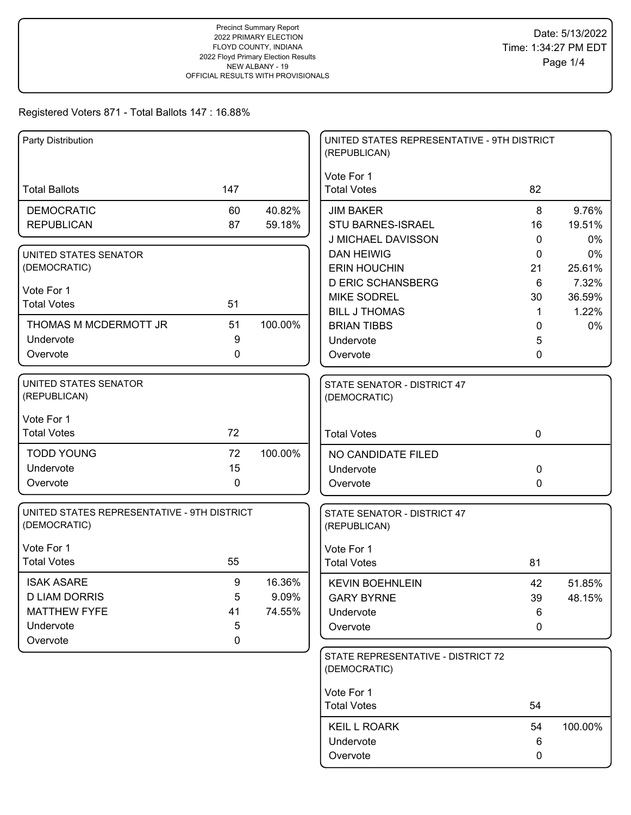| Party Distribution                                          |             |         | UNITED STATES REPRESENTATIVE - 9TH DISTRICT<br>(REPUBLICAN) |             |         |
|-------------------------------------------------------------|-------------|---------|-------------------------------------------------------------|-------------|---------|
|                                                             |             |         | Vote For 1                                                  |             |         |
| <b>Total Ballots</b>                                        | 147         |         | <b>Total Votes</b>                                          | 82          |         |
| <b>DEMOCRATIC</b>                                           | 60          | 40.82%  | <b>JIM BAKER</b>                                            | 8           | 9.76%   |
| <b>REPUBLICAN</b>                                           | 87          | 59.18%  | <b>STU BARNES-ISRAEL</b>                                    | 16          | 19.51%  |
|                                                             |             |         | J MICHAEL DAVISSON                                          | 0           | 0%      |
| UNITED STATES SENATOR                                       |             |         | <b>DAN HEIWIG</b>                                           | 0           | 0%      |
| (DEMOCRATIC)                                                |             |         | <b>ERIN HOUCHIN</b>                                         | 21          | 25.61%  |
| Vote For 1                                                  |             |         | <b>D ERIC SCHANSBERG</b>                                    | 6           | 7.32%   |
| <b>Total Votes</b>                                          | 51          |         | <b>MIKE SODREL</b>                                          | 30          | 36.59%  |
|                                                             |             |         | <b>BILL J THOMAS</b>                                        | 1           | 1.22%   |
| THOMAS M MCDERMOTT JR                                       | 51          | 100.00% | <b>BRIAN TIBBS</b>                                          | 0           | $0\%$   |
| Undervote                                                   | 9           |         | Undervote                                                   | 5           |         |
| Overvote                                                    | 0           |         | Overvote                                                    | 0           |         |
| <b>UNITED STATES SENATOR</b><br>(REPUBLICAN)                |             |         | STATE SENATOR - DISTRICT 47<br>(DEMOCRATIC)                 |             |         |
| Vote For 1                                                  |             |         |                                                             |             |         |
| <b>Total Votes</b>                                          | 72          |         | <b>Total Votes</b>                                          | $\mathbf 0$ |         |
| <b>TODD YOUNG</b>                                           | 72          | 100.00% |                                                             |             |         |
| Undervote                                                   | 15          |         | NO CANDIDATE FILED                                          |             |         |
| Overvote                                                    | 0           |         | Undervote                                                   | 0           |         |
|                                                             |             |         | Overvote                                                    | 0           |         |
| UNITED STATES REPRESENTATIVE - 9TH DISTRICT<br>(DEMOCRATIC) |             |         | STATE SENATOR - DISTRICT 47<br>(REPUBLICAN)                 |             |         |
| Vote For 1                                                  |             |         | Vote For 1                                                  |             |         |
| <b>Total Votes</b>                                          | 55          |         | <b>Total Votes</b>                                          | 81          |         |
| <b>ISAK ASARE</b>                                           | 9           | 16.36%  | <b>KEVIN BOEHNLEIN</b>                                      | 42          | 51.85%  |
| <b>D LIAM DORRIS</b>                                        | 5           | 9.09%   | <b>GARY BYRNE</b>                                           | 39          | 48.15%  |
| <b>MATTHEW FYFE</b>                                         | 41          | 74.55%  | Undervote                                                   | 6           |         |
| Undervote                                                   | 5           |         | Overvote                                                    | 0           |         |
| Overvote                                                    | $\mathbf 0$ |         |                                                             |             |         |
|                                                             |             |         | STATE REPRESENTATIVE - DISTRICT 72<br>(DEMOCRATIC)          |             |         |
|                                                             |             |         | Vote For 1                                                  |             |         |
|                                                             |             |         | <b>Total Votes</b>                                          | 54          |         |
|                                                             |             |         | <b>KEIL L ROARK</b>                                         | 54          | 100.00% |
|                                                             |             |         | Undervote                                                   | 6           |         |
|                                                             |             |         | Overvote                                                    | 0           |         |
|                                                             |             |         |                                                             |             |         |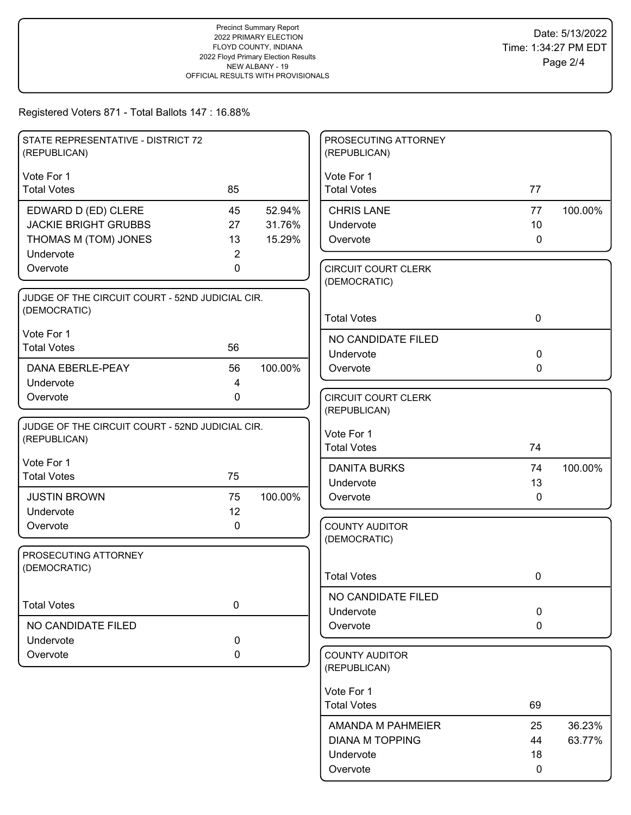| STATE REPRESENTATIVE - DISTRICT 72<br>(REPUBLICAN) |                |         | PROSECUTING ATTORNEY<br>(REPUBLICAN)       |              |         |
|----------------------------------------------------|----------------|---------|--------------------------------------------|--------------|---------|
| Vote For 1                                         |                |         | Vote For 1                                 |              |         |
| <b>Total Votes</b>                                 | 85             |         | <b>Total Votes</b>                         | 77           |         |
| EDWARD D (ED) CLERE                                | 45             | 52.94%  | <b>CHRIS LANE</b>                          | 77           | 100.00% |
| <b>JACKIE BRIGHT GRUBBS</b>                        | 27             | 31.76%  | Undervote                                  | 10           |         |
| THOMAS M (TOM) JONES                               | 13             | 15.29%  | Overvote                                   | $\mathbf 0$  |         |
| Undervote                                          | $\overline{2}$ |         |                                            |              |         |
| Overvote                                           | 0              |         | <b>CIRCUIT COURT CLERK</b><br>(DEMOCRATIC) |              |         |
| JUDGE OF THE CIRCUIT COURT - 52ND JUDICIAL CIR.    |                |         |                                            |              |         |
| (DEMOCRATIC)                                       |                |         | <b>Total Votes</b>                         | $\mathbf 0$  |         |
| Vote For 1                                         |                |         | NO CANDIDATE FILED                         |              |         |
| <b>Total Votes</b>                                 | 56             |         | Undervote                                  | $\mathbf 0$  |         |
| <b>DANA EBERLE-PEAY</b>                            | 56             | 100.00% | Overvote                                   | $\mathbf 0$  |         |
| Undervote                                          | 4              |         |                                            |              |         |
| Overvote                                           | $\mathbf 0$    |         | <b>CIRCUIT COURT CLERK</b>                 |              |         |
|                                                    |                |         | (REPUBLICAN)                               |              |         |
| JUDGE OF THE CIRCUIT COURT - 52ND JUDICIAL CIR.    |                |         | Vote For 1                                 |              |         |
| (REPUBLICAN)                                       |                |         | <b>Total Votes</b>                         | 74           |         |
| Vote For 1                                         |                |         | <b>DANITA BURKS</b>                        | 74           | 100.00% |
| <b>Total Votes</b>                                 | 75             |         | Undervote                                  | 13           |         |
| <b>JUSTIN BROWN</b>                                | 75             | 100.00% | Overvote                                   | $\mathbf{0}$ |         |
| Undervote                                          | 12             |         |                                            |              |         |
| Overvote                                           | 0              |         | <b>COUNTY AUDITOR</b>                      |              |         |
|                                                    |                |         | (DEMOCRATIC)                               |              |         |
| PROSECUTING ATTORNEY<br>(DEMOCRATIC)               |                |         |                                            |              |         |
|                                                    |                |         | <b>Total Votes</b>                         | 0            |         |
|                                                    |                |         | NO CANDIDATE FILED                         |              |         |
| <b>Total Votes</b>                                 | $\mathbf 0$    |         | Undervote                                  | $\mathbf 0$  |         |
| NO CANDIDATE FILED                                 |                |         | Overvote                                   | $\mathbf 0$  |         |
| Undervote                                          | 0              |         |                                            |              |         |
| Overvote                                           | 0              |         | <b>COUNTY AUDITOR</b><br>(REPUBLICAN)      |              |         |
|                                                    |                |         | Vote For 1                                 |              |         |
|                                                    |                |         | <b>Total Votes</b>                         | 69           |         |
|                                                    |                |         | AMANDA M PAHMEIER                          | 25           | 36.23%  |
|                                                    |                |         | <b>DIANA M TOPPING</b>                     | 44           | 63.77%  |
|                                                    |                |         | Undervote                                  | 18           |         |
|                                                    |                |         | Overvote                                   | 0            |         |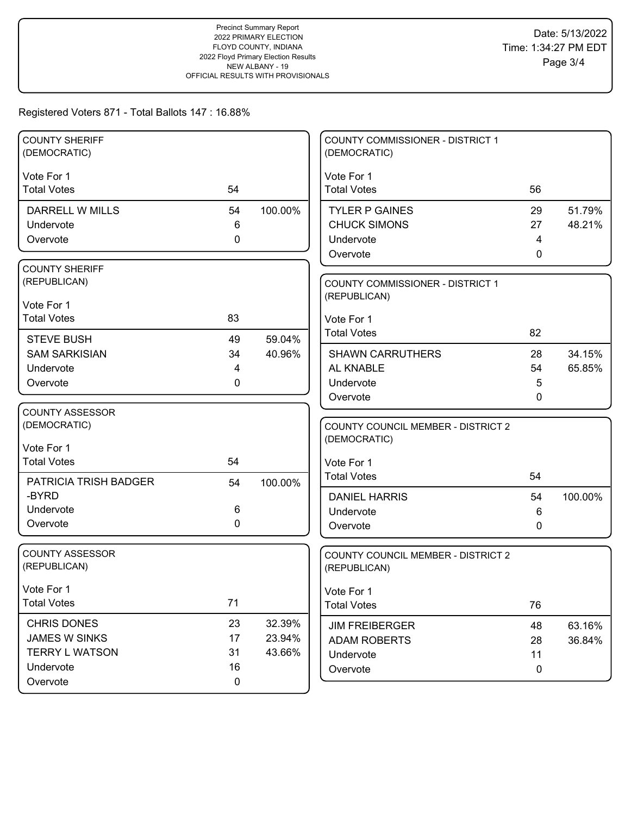| <b>COUNTY SHERIFF</b><br>(DEMOCRATIC) |             |         | COUNTY COMMISSIONER - DISTRICT 1<br>(DEMOCRATIC) |              |         |
|---------------------------------------|-------------|---------|--------------------------------------------------|--------------|---------|
| Vote For 1                            |             |         | Vote For 1                                       |              |         |
| <b>Total Votes</b>                    | 54          |         | <b>Total Votes</b>                               | 56           |         |
| DARRELL W MILLS                       | 54          | 100.00% | <b>TYLER P GAINES</b>                            | 29           | 51.79%  |
| Undervote                             | 6           |         | <b>CHUCK SIMONS</b>                              | 27           | 48.21%  |
| Overvote                              | 0           |         | Undervote                                        | 4            |         |
|                                       |             |         | Overvote                                         | $\mathbf{0}$ |         |
| <b>COUNTY SHERIFF</b>                 |             |         |                                                  |              |         |
| (REPUBLICAN)                          |             |         | <b>COUNTY COMMISSIONER - DISTRICT 1</b>          |              |         |
| Vote For 1                            |             |         | (REPUBLICAN)                                     |              |         |
| <b>Total Votes</b>                    | 83          |         | Vote For 1                                       |              |         |
| <b>STEVE BUSH</b>                     | 49          | 59.04%  | <b>Total Votes</b>                               | 82           |         |
| <b>SAM SARKISIAN</b>                  | 34          | 40.96%  | <b>SHAWN CARRUTHERS</b>                          | 28           | 34.15%  |
| Undervote                             | 4           |         | AL KNABLE                                        | 54           | 65.85%  |
| Overvote                              | 0           |         | Undervote                                        | 5            |         |
|                                       |             |         | Overvote                                         | 0            |         |
| COUNTY ASSESSOR                       |             |         |                                                  |              |         |
| (DEMOCRATIC)                          |             |         | <b>COUNTY COUNCIL MEMBER - DISTRICT 2</b>        |              |         |
| Vote For 1                            |             |         | (DEMOCRATIC)                                     |              |         |
| <b>Total Votes</b>                    | 54          |         | Vote For 1                                       |              |         |
|                                       |             |         | <b>Total Votes</b>                               | 54           |         |
| <b>PATRICIA TRISH BADGER</b><br>-BYRD | 54          | 100.00% |                                                  |              |         |
| Undervote                             | 6           |         | <b>DANIEL HARRIS</b>                             | 54           | 100.00% |
| Overvote                              | 0           |         | Undervote<br>Overvote                            | 6<br>0       |         |
|                                       |             |         |                                                  |              |         |
| <b>COUNTY ASSESSOR</b>                |             |         | COUNTY COUNCIL MEMBER - DISTRICT 2               |              |         |
| (REPUBLICAN)                          |             |         | (REPUBLICAN)                                     |              |         |
| Vote For 1                            |             |         |                                                  |              |         |
| <b>Total Votes</b>                    | 71          |         | Vote For 1<br><b>Total Votes</b>                 | 76           |         |
|                                       |             |         |                                                  |              |         |
| <b>CHRIS DONES</b>                    | 23          | 32.39%  | <b>JIM FREIBERGER</b>                            | 48           | 63.16%  |
| <b>JAMES W SINKS</b>                  | 17          | 23.94%  | <b>ADAM ROBERTS</b>                              | 28           | 36.84%  |
| <b>TERRY L WATSON</b><br>Undervote    | 31<br>16    | 43.66%  | Undervote                                        | 11           |         |
| Overvote                              | $\mathbf 0$ |         | Overvote                                         | 0            |         |
|                                       |             |         |                                                  |              |         |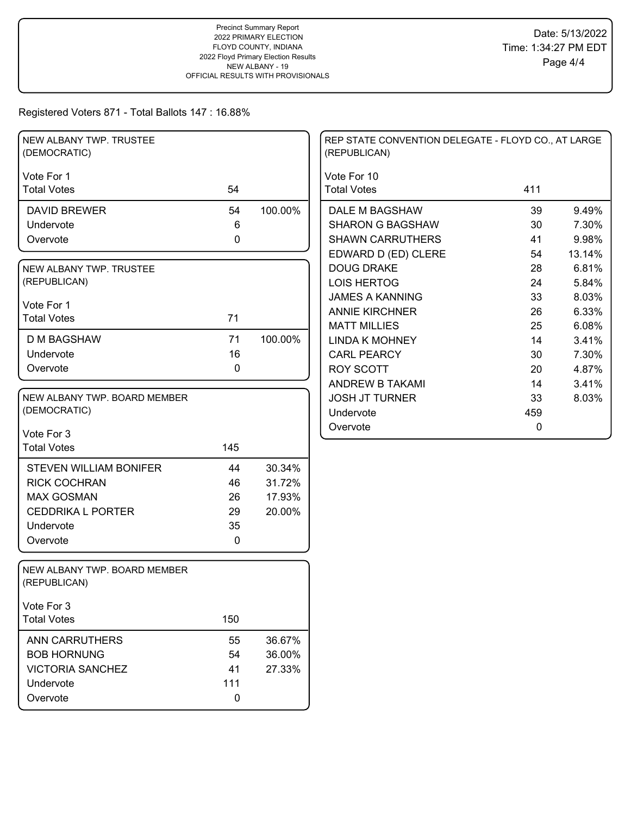| NEW ALBANY TWP. TRUSTEE<br>(DEMOCRATIC)      |             |         | REP STATE CONVENTION DELEGATE - FLOYD CO., AT LARGE<br>(REPUBLICAN) |     |        |
|----------------------------------------------|-------------|---------|---------------------------------------------------------------------|-----|--------|
| Vote For 1                                   |             |         | Vote For 10                                                         |     |        |
| <b>Total Votes</b>                           | 54          |         | <b>Total Votes</b>                                                  | 411 |        |
| <b>DAVID BREWER</b>                          | 54          | 100.00% | DALE M BAGSHAW                                                      | 39  | 9.49%  |
| Undervote                                    | 6           |         | <b>SHARON G BAGSHAW</b>                                             | 30  | 7.30%  |
| Overvote                                     | 0           |         | <b>SHAWN CARRUTHERS</b>                                             | 41  | 9.98%  |
|                                              |             |         | EDWARD D (ED) CLERE                                                 | 54  | 13.14% |
| NEW ALBANY TWP. TRUSTEE                      |             |         | <b>DOUG DRAKE</b>                                                   | 28  | 6.81%  |
| (REPUBLICAN)                                 |             |         | <b>LOIS HERTOG</b>                                                  | 24  | 5.84%  |
| Vote For 1                                   |             |         | <b>JAMES A KANNING</b>                                              | 33  | 8.03%  |
| <b>Total Votes</b>                           | 71          |         | <b>ANNIE KIRCHNER</b>                                               | 26  | 6.33%  |
|                                              |             |         | <b>MATT MILLIES</b>                                                 | 25  | 6.08%  |
| <b>D M BAGSHAW</b>                           | 71          | 100.00% | <b>LINDA K MOHNEY</b>                                               | 14  | 3.41%  |
| Undervote                                    | 16          |         | <b>CARL PEARCY</b>                                                  | 30  | 7.30%  |
| Overvote                                     | $\mathbf 0$ |         | <b>ROY SCOTT</b>                                                    | 20  | 4.87%  |
|                                              |             |         | ANDREW B TAKAMI                                                     | 14  | 3.41%  |
| NEW ALBANY TWP. BOARD MEMBER                 |             |         | <b>JOSH JT TURNER</b>                                               | 33  | 8.03%  |
| (DEMOCRATIC)                                 |             |         | Undervote                                                           | 459 |        |
| Vote For 3                                   |             |         | Overvote                                                            | 0   |        |
| <b>Total Votes</b>                           | 145         |         |                                                                     |     |        |
|                                              |             |         |                                                                     |     |        |
| <b>STEVEN WILLIAM BONIFER</b>                | 44          | 30.34%  |                                                                     |     |        |
| <b>RICK COCHRAN</b>                          | 46          | 31.72%  |                                                                     |     |        |
| <b>MAX GOSMAN</b>                            | 26          | 17.93%  |                                                                     |     |        |
| <b>CEDDRIKA L PORTER</b>                     | 29          | 20.00%  |                                                                     |     |        |
| Undervote                                    | 35          |         |                                                                     |     |        |
| Overvote                                     | $\mathbf 0$ |         |                                                                     |     |        |
| NEW ALBANY TWP. BOARD MEMBER<br>(REPUBLICAN) |             |         |                                                                     |     |        |
| Vote For 3                                   |             |         |                                                                     |     |        |
| <b>Total Votes</b>                           | 150         |         |                                                                     |     |        |
| ANN CARRUTHERS                               | 55          | 36.67%  |                                                                     |     |        |
| <b>BOB HORNUNG</b>                           | 54          | 36.00%  |                                                                     |     |        |
| <b>VICTORIA SANCHEZ</b>                      | 41          | 27.33%  |                                                                     |     |        |
| Undervote                                    | 111         |         |                                                                     |     |        |
| Overvote                                     | $\mathbf 0$ |         |                                                                     |     |        |
|                                              |             |         |                                                                     |     |        |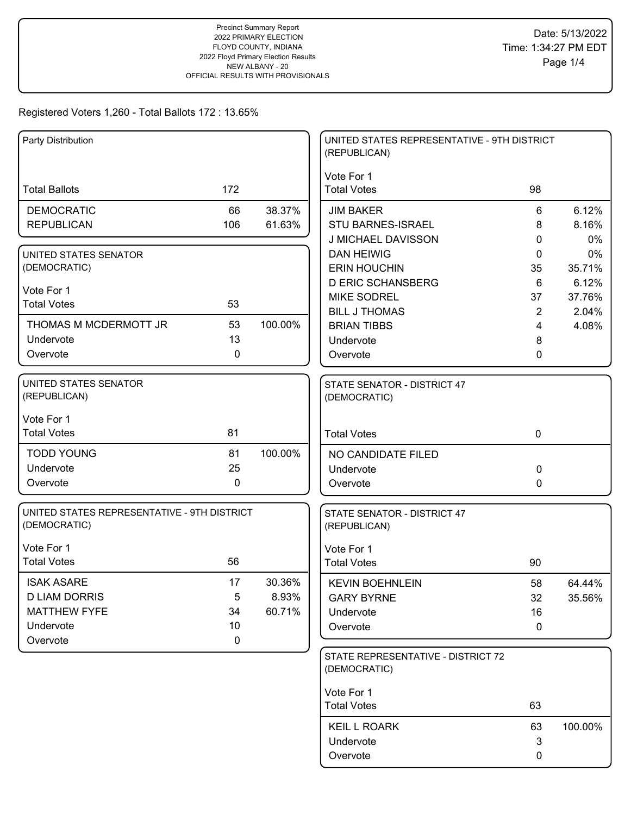| Party Distribution                                          |              |         | UNITED STATES REPRESENTATIVE - 9TH DISTRICT<br>(REPUBLICAN) |                |         |
|-------------------------------------------------------------|--------------|---------|-------------------------------------------------------------|----------------|---------|
| <b>Total Ballots</b>                                        | 172          |         | Vote For 1<br><b>Total Votes</b>                            | 98             |         |
| <b>DEMOCRATIC</b>                                           | 66           | 38.37%  | <b>JIM BAKER</b>                                            | 6              | 6.12%   |
| <b>REPUBLICAN</b>                                           | 106          | 61.63%  | <b>STU BARNES-ISRAEL</b>                                    | 8              | 8.16%   |
|                                                             |              |         | J MICHAEL DAVISSON                                          | 0              | 0%      |
| UNITED STATES SENATOR                                       |              |         | <b>DAN HEIWIG</b>                                           | 0              | 0%      |
| (DEMOCRATIC)                                                |              |         | <b>ERIN HOUCHIN</b>                                         | 35             | 35.71%  |
| Vote For 1                                                  |              |         | <b>D ERIC SCHANSBERG</b>                                    | 6              | 6.12%   |
| <b>Total Votes</b>                                          | 53           |         | <b>MIKE SODREL</b>                                          | 37             | 37.76%  |
| THOMAS M MCDERMOTT JR                                       | 53           | 100.00% | <b>BILL J THOMAS</b>                                        | $\overline{2}$ | 2.04%   |
| Undervote                                                   | 13           |         | <b>BRIAN TIBBS</b><br>Undervote                             | 4              | 4.08%   |
| Overvote                                                    | $\mathbf{0}$ |         | Overvote                                                    | 8<br>0         |         |
|                                                             |              |         |                                                             |                |         |
| UNITED STATES SENATOR<br>(REPUBLICAN)                       |              |         | STATE SENATOR - DISTRICT 47<br>(DEMOCRATIC)                 |                |         |
| Vote For 1                                                  |              |         |                                                             |                |         |
| <b>Total Votes</b>                                          | 81           |         | <b>Total Votes</b>                                          | $\mathbf 0$    |         |
| <b>TODD YOUNG</b>                                           | 81           | 100.00% | NO CANDIDATE FILED                                          |                |         |
| Undervote                                                   | 25           |         | Undervote                                                   | 0              |         |
| Overvote                                                    | $\mathbf 0$  |         | Overvote                                                    | 0              |         |
| UNITED STATES REPRESENTATIVE - 9TH DISTRICT<br>(DEMOCRATIC) |              |         | STATE SENATOR - DISTRICT 47<br>(REPUBLICAN)                 |                |         |
| Vote For 1                                                  |              |         | Vote For 1                                                  |                |         |
| <b>Total Votes</b>                                          | 56           |         | <b>Total Votes</b>                                          | 90             |         |
| <b>ISAK ASARE</b>                                           | 17           | 30.36%  | <b>KEVIN BOEHNLEIN</b>                                      | 58             | 64.44%  |
| <b>D LIAM DORRIS</b>                                        | 5            | 8.93%   | <b>GARY BYRNE</b>                                           | 32             | 35.56%  |
| <b>MATTHEW FYFE</b>                                         | 34           | 60.71%  | Undervote                                                   | 16             |         |
| Undervote                                                   | 10           |         | Overvote                                                    | 0              |         |
| Overvote                                                    | 0            |         |                                                             |                |         |
|                                                             |              |         | STATE REPRESENTATIVE - DISTRICT 72<br>(DEMOCRATIC)          |                |         |
|                                                             |              |         | Vote For 1                                                  |                |         |
|                                                             |              |         | <b>Total Votes</b>                                          | 63             |         |
|                                                             |              |         | <b>KEIL L ROARK</b>                                         | 63             | 100.00% |
|                                                             |              |         | Undervote                                                   | 3              |         |
|                                                             |              |         | Overvote                                                    | 0              |         |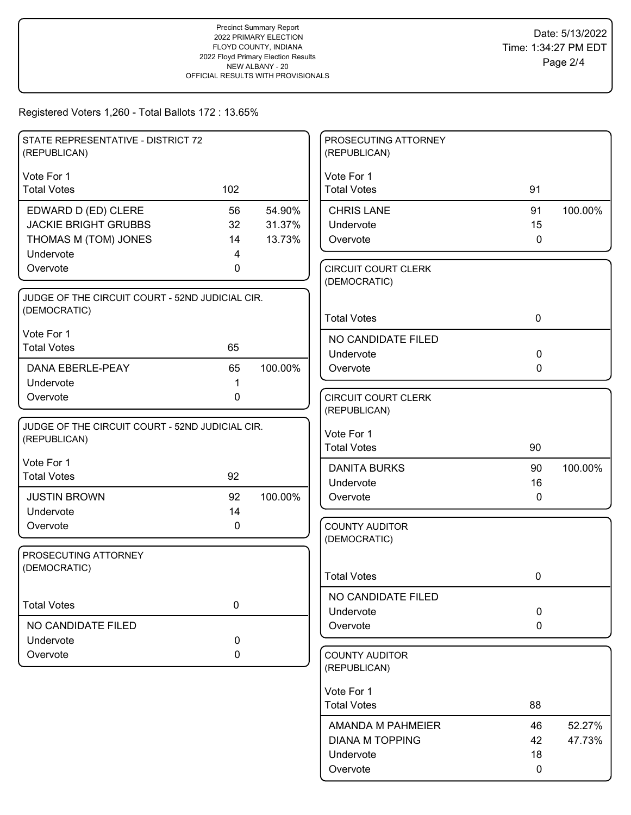| STATE REPRESENTATIVE - DISTRICT 72<br>(REPUBLICAN) |           |         | PROSECUTING ATTORNEY<br>(REPUBLICAN)       |                   |         |
|----------------------------------------------------|-----------|---------|--------------------------------------------|-------------------|---------|
| Vote For 1                                         |           |         | Vote For 1                                 |                   |         |
| <b>Total Votes</b>                                 | 102       |         | <b>Total Votes</b>                         | 91                |         |
| EDWARD D (ED) CLERE                                | 56        | 54.90%  | <b>CHRIS LANE</b>                          | 91                | 100.00% |
| <b>JACKIE BRIGHT GRUBBS</b>                        | 32        | 31.37%  | Undervote                                  | 15                |         |
| THOMAS M (TOM) JONES                               | 14        | 13.73%  | Overvote                                   | $\mathbf 0$       |         |
| Undervote                                          | 4         |         |                                            |                   |         |
| Overvote                                           | 0         |         | <b>CIRCUIT COURT CLERK</b><br>(DEMOCRATIC) |                   |         |
| JUDGE OF THE CIRCUIT COURT - 52ND JUDICIAL CIR.    |           |         |                                            |                   |         |
| (DEMOCRATIC)                                       |           |         | <b>Total Votes</b>                         | $\mathbf 0$       |         |
| Vote For 1                                         |           |         |                                            |                   |         |
| <b>Total Votes</b>                                 | 65        |         | NO CANDIDATE FILED                         |                   |         |
| <b>DANA EBERLE-PEAY</b>                            | 65        | 100.00% | Undervote<br>Overvote                      | $\mathbf 0$<br>0  |         |
| Undervote                                          | 1         |         |                                            |                   |         |
| Overvote                                           | 0         |         | <b>CIRCUIT COURT CLERK</b>                 |                   |         |
|                                                    |           |         | (REPUBLICAN)                               |                   |         |
| JUDGE OF THE CIRCUIT COURT - 52ND JUDICIAL CIR.    |           |         |                                            |                   |         |
| (REPUBLICAN)                                       |           |         | Vote For 1<br><b>Total Votes</b>           | 90                |         |
| Vote For 1                                         |           |         |                                            |                   |         |
| <b>Total Votes</b>                                 | 92        |         | <b>DANITA BURKS</b>                        | 90                | 100.00% |
| <b>JUSTIN BROWN</b>                                | 92        | 100.00% | Undervote                                  | 16<br>$\mathbf 0$ |         |
| Undervote                                          | 14        |         | Overvote                                   |                   |         |
| Overvote                                           | 0         |         | <b>COUNTY AUDITOR</b>                      |                   |         |
|                                                    |           |         | (DEMOCRATIC)                               |                   |         |
| PROSECUTING ATTORNEY                               |           |         |                                            |                   |         |
| (DEMOCRATIC)                                       |           |         | <b>Total Votes</b>                         | 0                 |         |
|                                                    |           |         |                                            |                   |         |
| <b>Total Votes</b>                                 | $\pmb{0}$ |         | NO CANDIDATE FILED                         |                   |         |
|                                                    |           |         | Undervote                                  | $\pmb{0}$         |         |
| NO CANDIDATE FILED<br>Undervote                    | 0         |         | Overvote                                   | $\mathbf 0$       |         |
| Overvote                                           | 0         |         | <b>COUNTY AUDITOR</b>                      |                   |         |
|                                                    |           |         | (REPUBLICAN)                               |                   |         |
|                                                    |           |         |                                            |                   |         |
|                                                    |           |         | Vote For 1<br><b>Total Votes</b>           | 88                |         |
|                                                    |           |         |                                            |                   |         |
|                                                    |           |         | AMANDA M PAHMEIER                          | 46                | 52.27%  |
|                                                    |           |         | <b>DIANA M TOPPING</b>                     | 42                | 47.73%  |
|                                                    |           |         | Undervote                                  | 18                |         |
|                                                    |           |         | Overvote                                   | 0                 |         |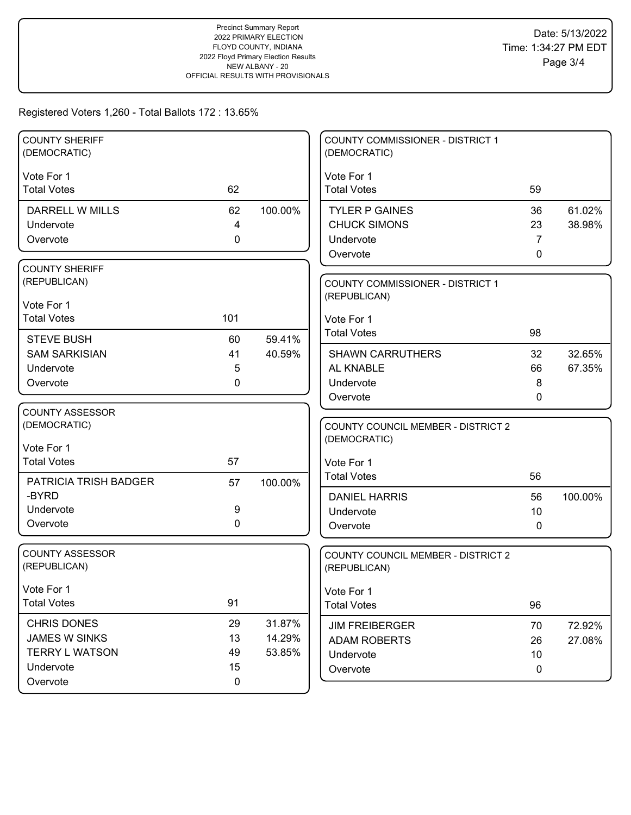| <b>COUNTY SHERIFF</b><br>(DEMOCRATIC)         |                |         | COUNTY COMMISSIONER - DISTRICT 1<br>(DEMOCRATIC) |             |         |
|-----------------------------------------------|----------------|---------|--------------------------------------------------|-------------|---------|
| Vote For 1                                    |                |         | Vote For 1                                       |             |         |
| <b>Total Votes</b>                            | 62             |         | <b>Total Votes</b>                               | 59          |         |
| <b>DARRELL W MILLS</b>                        | 62             | 100.00% | <b>TYLER P GAINES</b>                            | 36          | 61.02%  |
| Undervote                                     | $\overline{4}$ |         | <b>CHUCK SIMONS</b>                              | 23          | 38.98%  |
| Overvote                                      | 0              |         | Undervote                                        | 7           |         |
|                                               |                |         | Overvote                                         | 0           |         |
| <b>COUNTY SHERIFF</b>                         |                |         |                                                  |             |         |
| (REPUBLICAN)                                  |                |         | <b>COUNTY COMMISSIONER - DISTRICT 1</b>          |             |         |
| Vote For 1                                    |                |         | (REPUBLICAN)                                     |             |         |
| <b>Total Votes</b>                            | 101            |         | Vote For 1                                       |             |         |
| <b>STEVE BUSH</b>                             | 60             | 59.41%  | <b>Total Votes</b>                               | 98          |         |
| <b>SAM SARKISIAN</b>                          | 41             | 40.59%  | <b>SHAWN CARRUTHERS</b>                          | 32          | 32.65%  |
| Undervote                                     | 5              |         | AL KNABLE                                        | 66          | 67.35%  |
| Overvote                                      | $\mathbf{0}$   |         | Undervote                                        | 8           |         |
|                                               |                |         | Overvote                                         | 0           |         |
| <b>COUNTY ASSESSOR</b>                        |                |         |                                                  |             |         |
| (DEMOCRATIC)                                  |                |         | <b>COUNTY COUNCIL MEMBER - DISTRICT 2</b>        |             |         |
| Vote For 1                                    |                |         | (DEMOCRATIC)                                     |             |         |
| <b>Total Votes</b>                            | 57             |         | Vote For 1                                       |             |         |
|                                               |                |         | <b>Total Votes</b>                               | 56          |         |
| PATRICIA TRISH BADGER<br>-BYRD                | 57             | 100.00% | <b>DANIEL HARRIS</b>                             | 56          | 100.00% |
| Undervote                                     | 9              |         | Undervote                                        | 10          |         |
| Overvote                                      | $\mathbf 0$    |         | Overvote                                         | 0           |         |
|                                               |                |         |                                                  |             |         |
| <b>COUNTY ASSESSOR</b>                        |                |         | <b>COUNTY COUNCIL MEMBER - DISTRICT 2</b>        |             |         |
| (REPUBLICAN)                                  |                |         | (REPUBLICAN)                                     |             |         |
| Vote For 1                                    |                |         |                                                  |             |         |
| <b>Total Votes</b>                            | 91             |         | Vote For 1<br><b>Total Votes</b>                 | 96          |         |
|                                               |                |         |                                                  |             |         |
| CHRIS DONES                                   | 29             | 31.87%  | <b>JIM FREIBERGER</b>                            | 70          | 72.92%  |
| <b>JAMES W SINKS</b><br><b>TERRY L WATSON</b> | 13             | 14.29%  | <b>ADAM ROBERTS</b>                              | 26          | 27.08%  |
| Undervote                                     | 49<br>15       | 53.85%  | Undervote                                        | 10          |         |
| Overvote                                      | $\mathbf 0$    |         | Overvote                                         | $\mathbf 0$ |         |
|                                               |                |         |                                                  |             |         |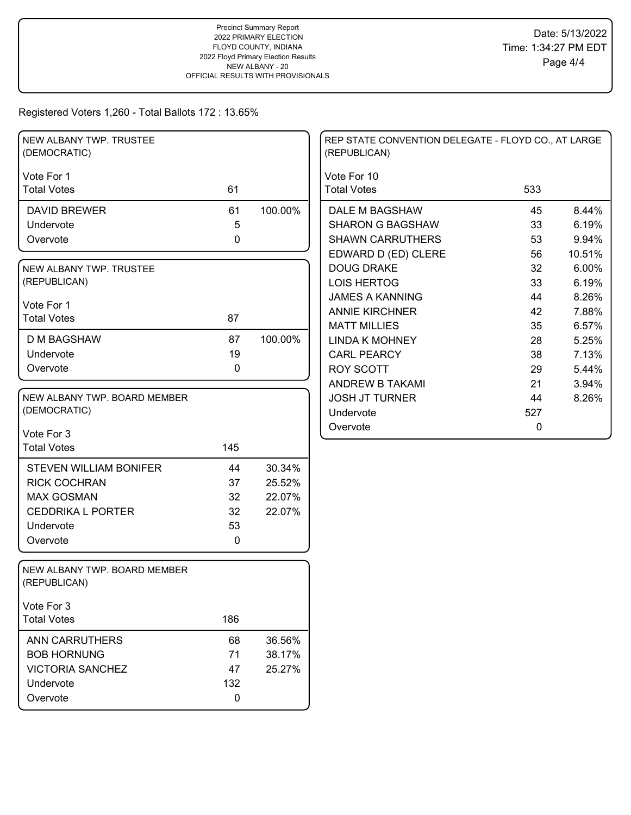| NEW ALBANY TWP. TRUSTEE<br>(DEMOCRATIC)      |           |         | REP STATE CONVENTION DELEGATE - FLOYD CO., AT LARGE<br>(REPUBLICAN) |             |                |
|----------------------------------------------|-----------|---------|---------------------------------------------------------------------|-------------|----------------|
| Vote For 1<br><b>Total Votes</b>             | 61        |         | Vote For 10<br><b>Total Votes</b>                                   | 533         |                |
|                                              |           |         |                                                                     |             |                |
| <b>DAVID BREWER</b><br>Undervote             | 61<br>5   | 100.00% | DALE M BAGSHAW<br><b>SHARON G BAGSHAW</b>                           | 45<br>33    | 8.44%<br>6.19% |
| Overvote                                     | 0         |         | <b>SHAWN CARRUTHERS</b>                                             | 53          | 9.94%          |
|                                              |           |         | EDWARD D (ED) CLERE                                                 | 56          | 10.51%         |
|                                              |           |         | <b>DOUG DRAKE</b>                                                   | 32          | 6.00%          |
| NEW ALBANY TWP. TRUSTEE<br>(REPUBLICAN)      |           |         | <b>LOIS HERTOG</b>                                                  | 33          | 6.19%          |
|                                              |           |         | <b>JAMES A KANNING</b>                                              | 44          | 8.26%          |
| Vote For 1                                   |           |         | <b>ANNIE KIRCHNER</b>                                               | 42          | 7.88%          |
| <b>Total Votes</b>                           | 87        |         |                                                                     | 35          |                |
| <b>D M BAGSHAW</b>                           | 87        | 100.00% | <b>MATT MILLIES</b><br><b>LINDA K MOHNEY</b>                        | 28          | 6.57%<br>5.25% |
| Undervote                                    | 19        |         | <b>CARL PEARCY</b>                                                  | 38          | 7.13%          |
| Overvote                                     | 0         |         | <b>ROY SCOTT</b>                                                    | 29          | 5.44%          |
|                                              |           |         | ANDREW B TAKAMI                                                     | 21          | 3.94%          |
| NEW ALBANY TWP. BOARD MEMBER                 |           |         | <b>JOSH JT TURNER</b>                                               | 44          | 8.26%          |
| (DEMOCRATIC)                                 |           |         | Undervote                                                           | 527         |                |
|                                              |           |         | Overvote                                                            | $\mathbf 0$ |                |
| Vote For 3                                   |           |         |                                                                     |             |                |
| <b>Total Votes</b>                           | 145       |         |                                                                     |             |                |
| <b>STEVEN WILLIAM BONIFER</b>                | 44        | 30.34%  |                                                                     |             |                |
| <b>RICK COCHRAN</b>                          | 37        | 25.52%  |                                                                     |             |                |
| <b>MAX GOSMAN</b>                            | 32        | 22.07%  |                                                                     |             |                |
| <b>CEDDRIKA L PORTER</b>                     | 32        | 22.07%  |                                                                     |             |                |
| Undervote                                    | 53        |         |                                                                     |             |                |
| Overvote                                     | 0         |         |                                                                     |             |                |
|                                              |           |         |                                                                     |             |                |
| NEW ALBANY TWP. BOARD MEMBER<br>(REPUBLICAN) |           |         |                                                                     |             |                |
| Vote For 3                                   |           |         |                                                                     |             |                |
| <b>Total Votes</b>                           | 186       |         |                                                                     |             |                |
| ANN CARRUTHERS                               | 68        | 36.56%  |                                                                     |             |                |
| <b>BOB HORNUNG</b>                           | 71        | 38.17%  |                                                                     |             |                |
| <b>VICTORIA SANCHEZ</b>                      | 47        | 25.27%  |                                                                     |             |                |
| Undervote                                    | 132       |         |                                                                     |             |                |
| Overvote                                     | $\pmb{0}$ |         |                                                                     |             |                |
|                                              |           |         |                                                                     |             |                |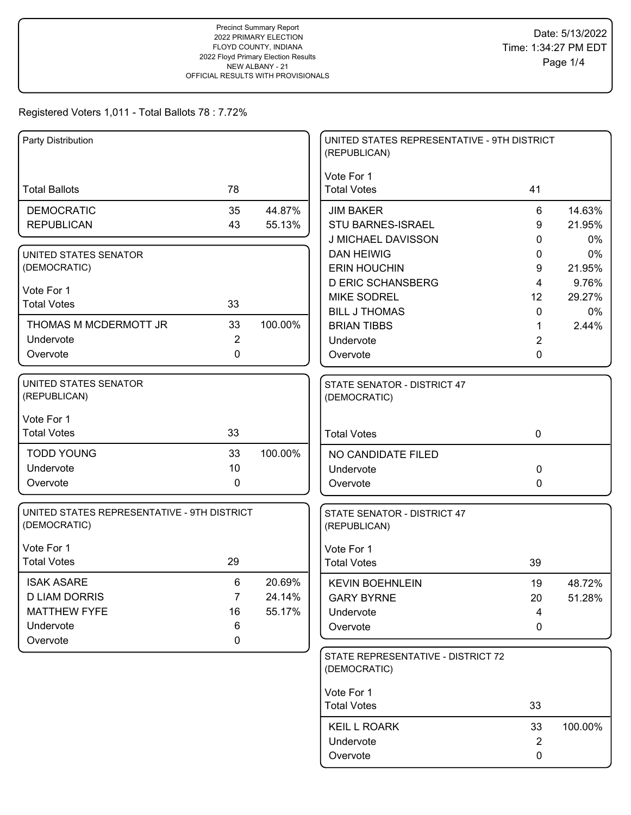| Vote For 1<br><b>Total Ballots</b><br>78<br><b>Total Votes</b><br>41<br>35<br><b>DEMOCRATIC</b><br>44.87%<br><b>JIM BAKER</b><br>6<br>14.63%<br><b>REPUBLICAN</b><br>43<br>55.13%<br><b>STU BARNES-ISRAEL</b><br>21.95%<br>9<br>J MICHAEL DAVISSON<br>0%<br>0<br><b>DAN HEIWIG</b><br>0%<br>0<br>UNITED STATES SENATOR<br>(DEMOCRATIC)<br><b>ERIN HOUCHIN</b><br>21.95%<br>9<br><b>D ERIC SCHANSBERG</b><br>4<br>9.76%<br>Vote For 1<br>29.27%<br><b>MIKE SODREL</b><br>12<br>33<br><b>Total Votes</b><br><b>BILL J THOMAS</b><br>0%<br>0<br>100.00%<br>THOMAS M MCDERMOTT JR<br>33<br><b>BRIAN TIBBS</b><br>2.44%<br>1<br>$\overline{2}$<br>Undervote<br>$\overline{2}$<br>Undervote<br>$\mathbf 0$<br>Overvote<br>0<br>Overvote<br><b>UNITED STATES SENATOR</b><br>STATE SENATOR - DISTRICT 47<br>(REPUBLICAN)<br>(DEMOCRATIC)<br>Vote For 1<br>33<br><b>Total Votes</b><br>$\mathbf 0$<br><b>Total Votes</b><br><b>TODD YOUNG</b><br>33<br>100.00%<br>NO CANDIDATE FILED<br>Undervote<br>10<br>0<br>Undervote<br>$\mathbf 0$<br>Overvote<br>0<br>Overvote<br>UNITED STATES REPRESENTATIVE - 9TH DISTRICT<br>STATE SENATOR - DISTRICT 47<br>(DEMOCRATIC)<br>(REPUBLICAN)<br>Vote For 1<br>Vote For 1<br><b>Total Votes</b><br>29<br><b>Total Votes</b><br>39<br>$6\phantom{1}$<br><b>ISAK ASARE</b><br>20.69%<br><b>KEVIN BOEHNLEIN</b><br>19<br>48.72%<br><b>D LIAM DORRIS</b><br>$\overline{7}$<br>24.14%<br><b>GARY BYRNE</b><br>51.28%<br>20<br><b>MATTHEW FYFE</b><br>16<br>55.17%<br>Undervote<br>4<br>Undervote<br>6<br>Overvote<br>0<br>Overvote<br>0<br>STATE REPRESENTATIVE - DISTRICT 72<br>(DEMOCRATIC)<br>Vote For 1<br>33<br><b>Total Votes</b><br><b>KEIL L ROARK</b><br>100.00%<br>33<br>$\overline{2}$<br>Undervote<br>Overvote<br>0 | Party Distribution |  | UNITED STATES REPRESENTATIVE - 9TH DISTRICT<br>(REPUBLICAN) |  |
|---------------------------------------------------------------------------------------------------------------------------------------------------------------------------------------------------------------------------------------------------------------------------------------------------------------------------------------------------------------------------------------------------------------------------------------------------------------------------------------------------------------------------------------------------------------------------------------------------------------------------------------------------------------------------------------------------------------------------------------------------------------------------------------------------------------------------------------------------------------------------------------------------------------------------------------------------------------------------------------------------------------------------------------------------------------------------------------------------------------------------------------------------------------------------------------------------------------------------------------------------------------------------------------------------------------------------------------------------------------------------------------------------------------------------------------------------------------------------------------------------------------------------------------------------------------------------------------------------------------------------------------------------------------------------------------------------------------------------------------------------------|--------------------|--|-------------------------------------------------------------|--|
|                                                                                                                                                                                                                                                                                                                                                                                                                                                                                                                                                                                                                                                                                                                                                                                                                                                                                                                                                                                                                                                                                                                                                                                                                                                                                                                                                                                                                                                                                                                                                                                                                                                                                                                                                         |                    |  |                                                             |  |
|                                                                                                                                                                                                                                                                                                                                                                                                                                                                                                                                                                                                                                                                                                                                                                                                                                                                                                                                                                                                                                                                                                                                                                                                                                                                                                                                                                                                                                                                                                                                                                                                                                                                                                                                                         |                    |  |                                                             |  |
|                                                                                                                                                                                                                                                                                                                                                                                                                                                                                                                                                                                                                                                                                                                                                                                                                                                                                                                                                                                                                                                                                                                                                                                                                                                                                                                                                                                                                                                                                                                                                                                                                                                                                                                                                         |                    |  |                                                             |  |
|                                                                                                                                                                                                                                                                                                                                                                                                                                                                                                                                                                                                                                                                                                                                                                                                                                                                                                                                                                                                                                                                                                                                                                                                                                                                                                                                                                                                                                                                                                                                                                                                                                                                                                                                                         |                    |  |                                                             |  |
|                                                                                                                                                                                                                                                                                                                                                                                                                                                                                                                                                                                                                                                                                                                                                                                                                                                                                                                                                                                                                                                                                                                                                                                                                                                                                                                                                                                                                                                                                                                                                                                                                                                                                                                                                         |                    |  |                                                             |  |
|                                                                                                                                                                                                                                                                                                                                                                                                                                                                                                                                                                                                                                                                                                                                                                                                                                                                                                                                                                                                                                                                                                                                                                                                                                                                                                                                                                                                                                                                                                                                                                                                                                                                                                                                                         |                    |  |                                                             |  |
|                                                                                                                                                                                                                                                                                                                                                                                                                                                                                                                                                                                                                                                                                                                                                                                                                                                                                                                                                                                                                                                                                                                                                                                                                                                                                                                                                                                                                                                                                                                                                                                                                                                                                                                                                         |                    |  |                                                             |  |
|                                                                                                                                                                                                                                                                                                                                                                                                                                                                                                                                                                                                                                                                                                                                                                                                                                                                                                                                                                                                                                                                                                                                                                                                                                                                                                                                                                                                                                                                                                                                                                                                                                                                                                                                                         |                    |  |                                                             |  |
|                                                                                                                                                                                                                                                                                                                                                                                                                                                                                                                                                                                                                                                                                                                                                                                                                                                                                                                                                                                                                                                                                                                                                                                                                                                                                                                                                                                                                                                                                                                                                                                                                                                                                                                                                         |                    |  |                                                             |  |
|                                                                                                                                                                                                                                                                                                                                                                                                                                                                                                                                                                                                                                                                                                                                                                                                                                                                                                                                                                                                                                                                                                                                                                                                                                                                                                                                                                                                                                                                                                                                                                                                                                                                                                                                                         |                    |  |                                                             |  |
|                                                                                                                                                                                                                                                                                                                                                                                                                                                                                                                                                                                                                                                                                                                                                                                                                                                                                                                                                                                                                                                                                                                                                                                                                                                                                                                                                                                                                                                                                                                                                                                                                                                                                                                                                         |                    |  |                                                             |  |
|                                                                                                                                                                                                                                                                                                                                                                                                                                                                                                                                                                                                                                                                                                                                                                                                                                                                                                                                                                                                                                                                                                                                                                                                                                                                                                                                                                                                                                                                                                                                                                                                                                                                                                                                                         |                    |  |                                                             |  |
|                                                                                                                                                                                                                                                                                                                                                                                                                                                                                                                                                                                                                                                                                                                                                                                                                                                                                                                                                                                                                                                                                                                                                                                                                                                                                                                                                                                                                                                                                                                                                                                                                                                                                                                                                         |                    |  |                                                             |  |
|                                                                                                                                                                                                                                                                                                                                                                                                                                                                                                                                                                                                                                                                                                                                                                                                                                                                                                                                                                                                                                                                                                                                                                                                                                                                                                                                                                                                                                                                                                                                                                                                                                                                                                                                                         |                    |  |                                                             |  |
|                                                                                                                                                                                                                                                                                                                                                                                                                                                                                                                                                                                                                                                                                                                                                                                                                                                                                                                                                                                                                                                                                                                                                                                                                                                                                                                                                                                                                                                                                                                                                                                                                                                                                                                                                         |                    |  |                                                             |  |
|                                                                                                                                                                                                                                                                                                                                                                                                                                                                                                                                                                                                                                                                                                                                                                                                                                                                                                                                                                                                                                                                                                                                                                                                                                                                                                                                                                                                                                                                                                                                                                                                                                                                                                                                                         |                    |  |                                                             |  |
|                                                                                                                                                                                                                                                                                                                                                                                                                                                                                                                                                                                                                                                                                                                                                                                                                                                                                                                                                                                                                                                                                                                                                                                                                                                                                                                                                                                                                                                                                                                                                                                                                                                                                                                                                         |                    |  |                                                             |  |
|                                                                                                                                                                                                                                                                                                                                                                                                                                                                                                                                                                                                                                                                                                                                                                                                                                                                                                                                                                                                                                                                                                                                                                                                                                                                                                                                                                                                                                                                                                                                                                                                                                                                                                                                                         |                    |  |                                                             |  |
|                                                                                                                                                                                                                                                                                                                                                                                                                                                                                                                                                                                                                                                                                                                                                                                                                                                                                                                                                                                                                                                                                                                                                                                                                                                                                                                                                                                                                                                                                                                                                                                                                                                                                                                                                         |                    |  |                                                             |  |
|                                                                                                                                                                                                                                                                                                                                                                                                                                                                                                                                                                                                                                                                                                                                                                                                                                                                                                                                                                                                                                                                                                                                                                                                                                                                                                                                                                                                                                                                                                                                                                                                                                                                                                                                                         |                    |  |                                                             |  |
|                                                                                                                                                                                                                                                                                                                                                                                                                                                                                                                                                                                                                                                                                                                                                                                                                                                                                                                                                                                                                                                                                                                                                                                                                                                                                                                                                                                                                                                                                                                                                                                                                                                                                                                                                         |                    |  |                                                             |  |
|                                                                                                                                                                                                                                                                                                                                                                                                                                                                                                                                                                                                                                                                                                                                                                                                                                                                                                                                                                                                                                                                                                                                                                                                                                                                                                                                                                                                                                                                                                                                                                                                                                                                                                                                                         |                    |  |                                                             |  |
|                                                                                                                                                                                                                                                                                                                                                                                                                                                                                                                                                                                                                                                                                                                                                                                                                                                                                                                                                                                                                                                                                                                                                                                                                                                                                                                                                                                                                                                                                                                                                                                                                                                                                                                                                         |                    |  |                                                             |  |
|                                                                                                                                                                                                                                                                                                                                                                                                                                                                                                                                                                                                                                                                                                                                                                                                                                                                                                                                                                                                                                                                                                                                                                                                                                                                                                                                                                                                                                                                                                                                                                                                                                                                                                                                                         |                    |  |                                                             |  |
|                                                                                                                                                                                                                                                                                                                                                                                                                                                                                                                                                                                                                                                                                                                                                                                                                                                                                                                                                                                                                                                                                                                                                                                                                                                                                                                                                                                                                                                                                                                                                                                                                                                                                                                                                         |                    |  |                                                             |  |
|                                                                                                                                                                                                                                                                                                                                                                                                                                                                                                                                                                                                                                                                                                                                                                                                                                                                                                                                                                                                                                                                                                                                                                                                                                                                                                                                                                                                                                                                                                                                                                                                                                                                                                                                                         |                    |  |                                                             |  |
|                                                                                                                                                                                                                                                                                                                                                                                                                                                                                                                                                                                                                                                                                                                                                                                                                                                                                                                                                                                                                                                                                                                                                                                                                                                                                                                                                                                                                                                                                                                                                                                                                                                                                                                                                         |                    |  |                                                             |  |
|                                                                                                                                                                                                                                                                                                                                                                                                                                                                                                                                                                                                                                                                                                                                                                                                                                                                                                                                                                                                                                                                                                                                                                                                                                                                                                                                                                                                                                                                                                                                                                                                                                                                                                                                                         |                    |  |                                                             |  |
|                                                                                                                                                                                                                                                                                                                                                                                                                                                                                                                                                                                                                                                                                                                                                                                                                                                                                                                                                                                                                                                                                                                                                                                                                                                                                                                                                                                                                                                                                                                                                                                                                                                                                                                                                         |                    |  |                                                             |  |
|                                                                                                                                                                                                                                                                                                                                                                                                                                                                                                                                                                                                                                                                                                                                                                                                                                                                                                                                                                                                                                                                                                                                                                                                                                                                                                                                                                                                                                                                                                                                                                                                                                                                                                                                                         |                    |  |                                                             |  |
|                                                                                                                                                                                                                                                                                                                                                                                                                                                                                                                                                                                                                                                                                                                                                                                                                                                                                                                                                                                                                                                                                                                                                                                                                                                                                                                                                                                                                                                                                                                                                                                                                                                                                                                                                         |                    |  |                                                             |  |
|                                                                                                                                                                                                                                                                                                                                                                                                                                                                                                                                                                                                                                                                                                                                                                                                                                                                                                                                                                                                                                                                                                                                                                                                                                                                                                                                                                                                                                                                                                                                                                                                                                                                                                                                                         |                    |  |                                                             |  |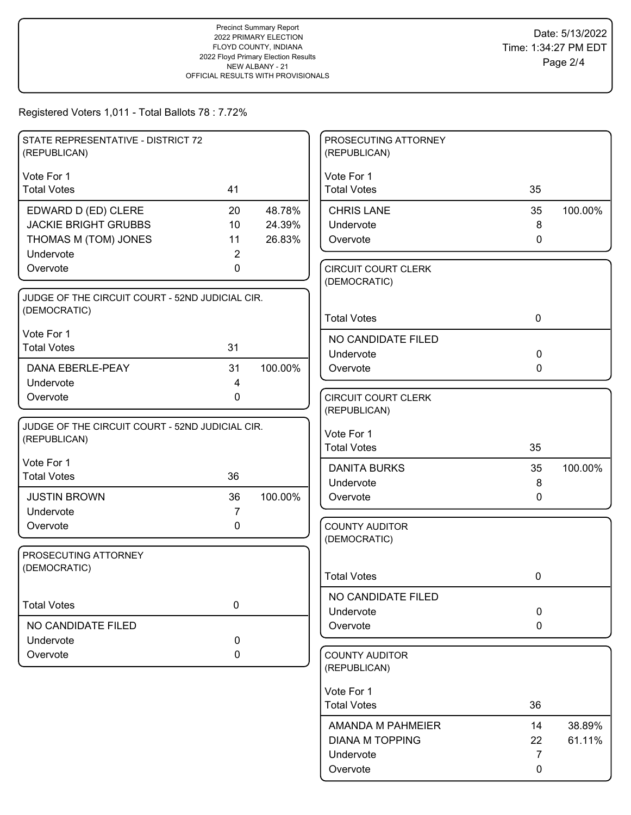| STATE REPRESENTATIVE - DISTRICT 72<br>(REPUBLICAN)              |                |         | PROSECUTING ATTORNEY<br>(REPUBLICAN)  |              |         |
|-----------------------------------------------------------------|----------------|---------|---------------------------------------|--------------|---------|
| Vote For 1                                                      |                |         | Vote For 1                            |              |         |
| <b>Total Votes</b>                                              | 41             |         | <b>Total Votes</b>                    | 35           |         |
| EDWARD D (ED) CLERE                                             | 20             | 48.78%  | <b>CHRIS LANE</b>                     | 35           | 100.00% |
| <b>JACKIE BRIGHT GRUBBS</b>                                     | 10             | 24.39%  | Undervote                             | 8            |         |
| THOMAS M (TOM) JONES                                            | 11             | 26.83%  | Overvote                              | $\mathbf{0}$ |         |
| Undervote<br>Overvote                                           | 2<br>0         |         | <b>CIRCUIT COURT CLERK</b>            |              |         |
|                                                                 |                |         | (DEMOCRATIC)                          |              |         |
| JUDGE OF THE CIRCUIT COURT - 52ND JUDICIAL CIR.                 |                |         |                                       |              |         |
| (DEMOCRATIC)                                                    |                |         | <b>Total Votes</b>                    | $\mathbf 0$  |         |
| Vote For 1                                                      |                |         | NO CANDIDATE FILED                    |              |         |
| <b>Total Votes</b>                                              | 31             |         | Undervote                             | $\mathbf 0$  |         |
| DANA EBERLE-PEAY                                                | 31             | 100.00% | Overvote                              | $\mathbf 0$  |         |
| Undervote                                                       | $\overline{4}$ |         |                                       |              |         |
| Overvote                                                        | 0              |         | <b>CIRCUIT COURT CLERK</b>            |              |         |
|                                                                 |                |         | (REPUBLICAN)                          |              |         |
| JUDGE OF THE CIRCUIT COURT - 52ND JUDICIAL CIR.<br>(REPUBLICAN) |                |         | Vote For 1                            |              |         |
|                                                                 |                |         | <b>Total Votes</b>                    | 35           |         |
| Vote For 1                                                      |                |         | <b>DANITA BURKS</b>                   | 35           | 100.00% |
| <b>Total Votes</b>                                              | 36             |         | Undervote                             | 8            |         |
| <b>JUSTIN BROWN</b>                                             | 36             | 100.00% | Overvote                              | $\Omega$     |         |
| Undervote                                                       | $\overline{7}$ |         |                                       |              |         |
| Overvote                                                        | 0              |         | <b>COUNTY AUDITOR</b><br>(DEMOCRATIC) |              |         |
| PROSECUTING ATTORNEY                                            |                |         |                                       |              |         |
| (DEMOCRATIC)                                                    |                |         |                                       |              |         |
|                                                                 |                |         | <b>Total Votes</b>                    | 0            |         |
| <b>Total Votes</b>                                              | 0              |         | NO CANDIDATE FILED                    |              |         |
|                                                                 |                |         | Undervote                             | $\mathbf 0$  |         |
| NO CANDIDATE FILED                                              |                |         | Overvote                              | $\mathbf 0$  |         |
| Undervote<br>Overvote                                           | 0<br>0         |         | <b>COUNTY AUDITOR</b>                 |              |         |
|                                                                 |                |         | (REPUBLICAN)                          |              |         |
|                                                                 |                |         | Vote For 1                            |              |         |
|                                                                 |                |         | <b>Total Votes</b>                    | 36           |         |
|                                                                 |                |         | AMANDA M PAHMEIER                     | 14           | 38.89%  |
|                                                                 |                |         | <b>DIANA M TOPPING</b>                | 22           | 61.11%  |
|                                                                 |                |         | Undervote                             | 7            |         |
|                                                                 |                |         | Overvote                              | 0            |         |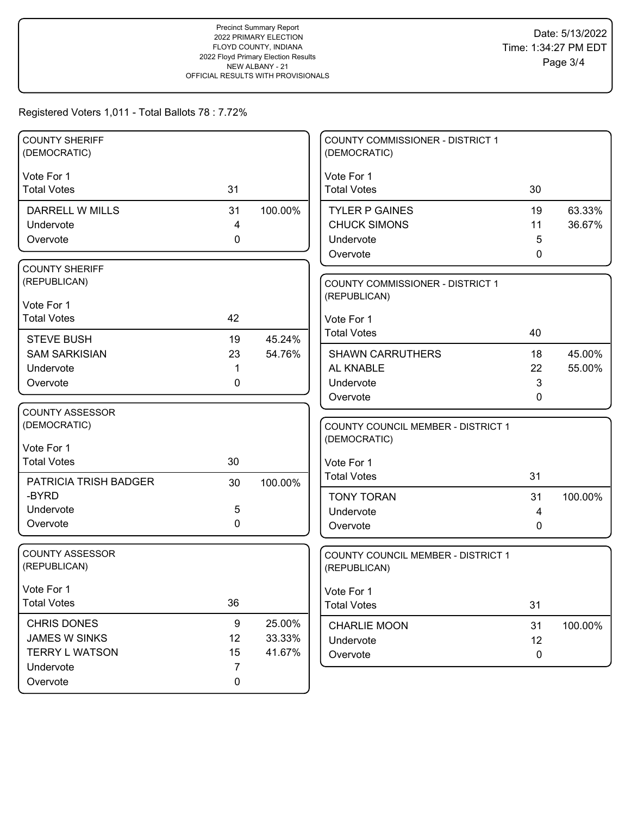| <b>COUNTY SHERIFF</b><br>(DEMOCRATIC)                                                               |                                      |                            | <b>COUNTY COMMISSIONER - DISTRICT 1</b><br>(DEMOCRATIC)                                |                          |                  |
|-----------------------------------------------------------------------------------------------------|--------------------------------------|----------------------------|----------------------------------------------------------------------------------------|--------------------------|------------------|
| Vote For 1<br><b>Total Votes</b>                                                                    | 31                                   |                            | Vote For 1<br><b>Total Votes</b>                                                       | 30                       |                  |
| <b>DARRELL W MILLS</b><br>Undervote<br>Overvote                                                     | 31<br>4<br>0                         | 100.00%                    | <b>TYLER P GAINES</b><br><b>CHUCK SIMONS</b><br>Undervote<br>Overvote                  | 19<br>11<br>5<br>0       | 63.33%<br>36.67% |
| <b>COUNTY SHERIFF</b><br>(REPUBLICAN)<br>Vote For 1<br><b>Total Votes</b>                           | 42                                   |                            | COUNTY COMMISSIONER - DISTRICT 1<br>(REPUBLICAN)<br>Vote For 1                         |                          |                  |
| <b>STEVE BUSH</b><br><b>SAM SARKISIAN</b><br>Undervote<br>Overvote                                  | 19<br>23<br>1<br>0                   | 45.24%<br>54.76%           | <b>Total Votes</b><br><b>SHAWN CARRUTHERS</b><br>AL KNABLE<br>Undervote<br>Overvote    | 40<br>18<br>22<br>3<br>0 | 45.00%<br>55.00% |
| <b>COUNTY ASSESSOR</b><br>(DEMOCRATIC)<br>Vote For 1<br><b>Total Votes</b><br>PATRICIA TRISH BADGER | 30<br>30                             | 100.00%                    | COUNTY COUNCIL MEMBER - DISTRICT 1<br>(DEMOCRATIC)<br>Vote For 1<br><b>Total Votes</b> | 31                       |                  |
| -BYRD<br>Undervote<br>Overvote                                                                      | 5<br>0                               |                            | <b>TONY TORAN</b><br>Undervote<br>Overvote                                             | 31<br>4<br>0             | 100.00%          |
| <b>COUNTY ASSESSOR</b><br>(REPUBLICAN)                                                              |                                      |                            | COUNTY COUNCIL MEMBER - DISTRICT 1<br>(REPUBLICAN)                                     |                          |                  |
| Vote For 1<br><b>Total Votes</b>                                                                    | 36                                   |                            | Vote For 1<br><b>Total Votes</b>                                                       | 31                       |                  |
| CHRIS DONES<br><b>JAMES W SINKS</b><br><b>TERRY L WATSON</b><br>Undervote<br>Overvote               | 9<br>12<br>15<br>$\overline{7}$<br>0 | 25.00%<br>33.33%<br>41.67% | <b>CHARLIE MOON</b><br>Undervote<br>Overvote                                           | 31<br>12<br>0            | 100.00%          |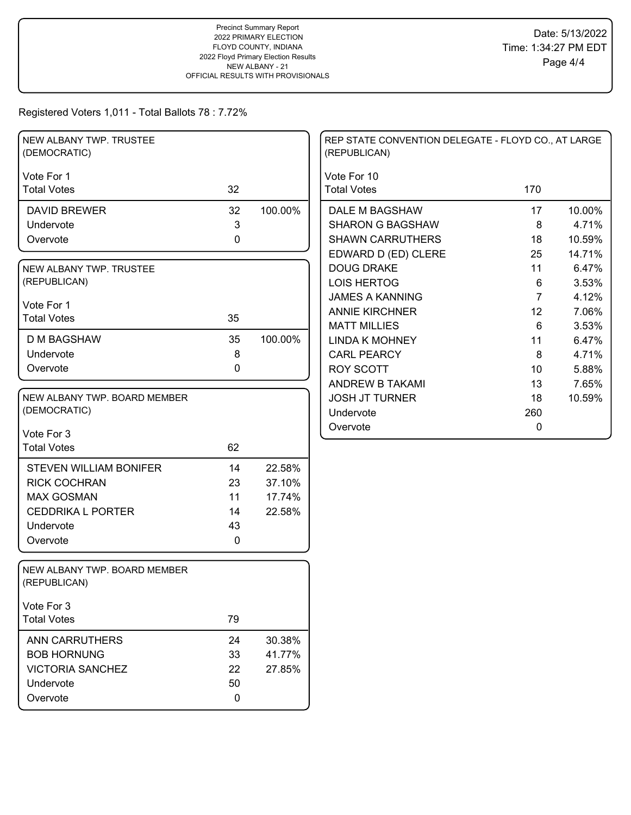| NEW ALBANY TWP. TRUSTEE<br>(DEMOCRATIC)      |             |         | REP STATE CONVENTION DELEGATE - FLOYD CO., AT LARGE<br>(REPUBLICAN) |                |        |
|----------------------------------------------|-------------|---------|---------------------------------------------------------------------|----------------|--------|
| Vote For 1                                   |             |         | Vote For 10                                                         |                |        |
| <b>Total Votes</b>                           | 32          |         | <b>Total Votes</b>                                                  | 170            |        |
| <b>DAVID BREWER</b>                          | 32          | 100.00% | DALE M BAGSHAW                                                      | 17             | 10.00% |
| Undervote                                    | 3           |         | <b>SHARON G BAGSHAW</b>                                             | 8              | 4.71%  |
| Overvote                                     | $\mathbf 0$ |         | <b>SHAWN CARRUTHERS</b>                                             | 18             | 10.59% |
|                                              |             |         | EDWARD D (ED) CLERE                                                 | 25             | 14.71% |
| NEW ALBANY TWP. TRUSTEE                      |             |         | <b>DOUG DRAKE</b>                                                   | 11             | 6.47%  |
| (REPUBLICAN)                                 |             |         | <b>LOIS HERTOG</b>                                                  | 6              | 3.53%  |
| Vote For 1                                   |             |         | <b>JAMES A KANNING</b>                                              | $\overline{7}$ | 4.12%  |
| <b>Total Votes</b>                           | 35          |         | <b>ANNIE KIRCHNER</b>                                               | 12             | 7.06%  |
|                                              |             |         | <b>MATT MILLIES</b>                                                 | 6              | 3.53%  |
| <b>D M BAGSHAW</b>                           | 35          | 100.00% | <b>LINDA K MOHNEY</b>                                               | 11             | 6.47%  |
| Undervote                                    | 8           |         | <b>CARL PEARCY</b>                                                  | 8              | 4.71%  |
| Overvote                                     | $\mathbf 0$ |         | <b>ROY SCOTT</b>                                                    | 10             | 5.88%  |
|                                              |             |         | <b>ANDREW B TAKAMI</b>                                              | 13             | 7.65%  |
| NEW ALBANY TWP. BOARD MEMBER                 |             |         | <b>JOSH JT TURNER</b>                                               | 18             | 10.59% |
| (DEMOCRATIC)                                 |             |         | Undervote                                                           | 260            |        |
| Vote For 3                                   |             |         | Overvote                                                            | $\pmb{0}$      |        |
| <b>Total Votes</b>                           | 62          |         |                                                                     |                |        |
|                                              |             |         |                                                                     |                |        |
| <b>STEVEN WILLIAM BONIFER</b>                | 14          | 22.58%  |                                                                     |                |        |
| <b>RICK COCHRAN</b>                          | 23          | 37.10%  |                                                                     |                |        |
| <b>MAX GOSMAN</b>                            | 11          | 17.74%  |                                                                     |                |        |
| <b>CEDDRIKA L PORTER</b>                     | 14          | 22.58%  |                                                                     |                |        |
| Undervote                                    | 43          |         |                                                                     |                |        |
| Overvote                                     | 0           |         |                                                                     |                |        |
| NEW ALBANY TWP. BOARD MEMBER<br>(REPUBLICAN) |             |         |                                                                     |                |        |
| Vote For 3                                   |             |         |                                                                     |                |        |
| <b>Total Votes</b>                           | 79          |         |                                                                     |                |        |
| <b>ANN CARRUTHERS</b>                        | 24          | 30.38%  |                                                                     |                |        |
| <b>BOB HORNUNG</b>                           | 33          | 41.77%  |                                                                     |                |        |
| <b>VICTORIA SANCHEZ</b>                      | 22          | 27.85%  |                                                                     |                |        |
| Undervote                                    | 50          |         |                                                                     |                |        |
| Overvote                                     | 0           |         |                                                                     |                |        |
|                                              |             |         |                                                                     |                |        |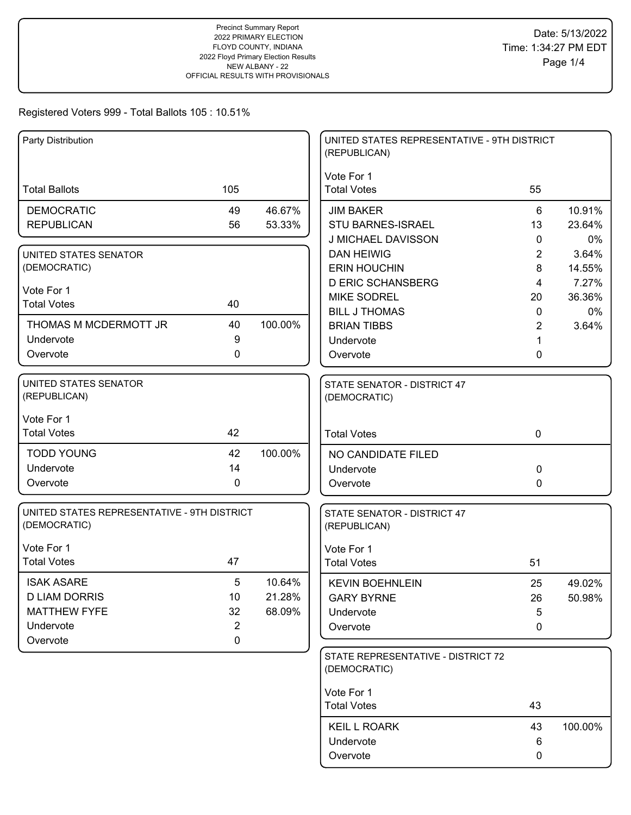# Registered Voters 999 - Total Ballots 105 : 10.51%

| Party Distribution                          |                |         | UNITED STATES REPRESENTATIVE - 9TH DISTRICT<br>(REPUBLICAN) |                |         |
|---------------------------------------------|----------------|---------|-------------------------------------------------------------|----------------|---------|
|                                             |                |         | Vote For 1                                                  |                |         |
| <b>Total Ballots</b>                        | 105            |         | <b>Total Votes</b>                                          | 55             |         |
| <b>DEMOCRATIC</b>                           | 49             | 46.67%  | <b>JIM BAKER</b>                                            | 6              | 10.91%  |
| <b>REPUBLICAN</b>                           | 56             | 53.33%  | STU BARNES-ISRAEL                                           | 13             | 23.64%  |
|                                             |                |         | J MICHAEL DAVISSON                                          | $\mathbf{0}$   | 0%      |
| <b>UNITED STATES SENATOR</b>                |                |         | <b>DAN HEIWIG</b>                                           | $\overline{2}$ | 3.64%   |
| (DEMOCRATIC)                                |                |         | <b>ERIN HOUCHIN</b>                                         | 8              | 14.55%  |
| Vote For 1                                  |                |         | <b>D ERIC SCHANSBERG</b>                                    | 4              | 7.27%   |
| <b>Total Votes</b>                          | 40             |         | <b>MIKE SODREL</b>                                          | 20             | 36.36%  |
|                                             |                |         | <b>BILL J THOMAS</b>                                        | 0              | 0%      |
| THOMAS M MCDERMOTT JR<br>Undervote          | 40<br>9        | 100.00% | <b>BRIAN TIBBS</b>                                          | 2              | 3.64%   |
|                                             | 0              |         | Undervote                                                   |                |         |
| Overvote                                    |                |         | Overvote                                                    | 0              |         |
| UNITED STATES SENATOR                       |                |         | STATE SENATOR - DISTRICT 47                                 |                |         |
| (REPUBLICAN)                                |                |         | (DEMOCRATIC)                                                |                |         |
| Vote For 1                                  |                |         |                                                             |                |         |
| <b>Total Votes</b>                          | 42             |         | <b>Total Votes</b>                                          | $\mathbf 0$    |         |
| <b>TODD YOUNG</b>                           | 42             | 100.00% | NO CANDIDATE FILED                                          |                |         |
| Undervote                                   | 14             |         | Undervote                                                   | 0              |         |
| Overvote                                    | $\mathbf 0$    |         | Overvote                                                    | 0              |         |
| UNITED STATES REPRESENTATIVE - 9TH DISTRICT |                |         | STATE SENATOR - DISTRICT 47                                 |                |         |
| (DEMOCRATIC)                                |                |         | (REPUBLICAN)                                                |                |         |
| Vote For 1                                  |                |         | Vote For 1                                                  |                |         |
| <b>Total Votes</b>                          | 47             |         | <b>Total Votes</b>                                          | 51             |         |
| <b>ISAK ASARE</b>                           | 5              | 10.64%  | <b>KEVIN BOEHNLEIN</b>                                      | 25             | 49.02%  |
| <b>D LIAM DORRIS</b>                        | 10             | 21.28%  | <b>GARY BYRNE</b>                                           | 26             | 50.98%  |
| <b>MATTHEW FYFE</b>                         | 32             | 68.09%  | Undervote                                                   | 5              |         |
| Undervote                                   | $\overline{2}$ |         | Overvote                                                    | 0              |         |
| Overvote                                    | $\mathbf 0$    |         |                                                             |                |         |
|                                             |                |         | STATE REPRESENTATIVE - DISTRICT 72                          |                |         |
|                                             |                |         | (DEMOCRATIC)                                                |                |         |
|                                             |                |         | Vote For 1                                                  |                |         |
|                                             |                |         | <b>Total Votes</b>                                          | 43             |         |
|                                             |                |         | <b>KEIL L ROARK</b>                                         | 43             | 100.00% |
|                                             |                |         | Undervote                                                   | 6              |         |
|                                             |                |         | Overvote                                                    | 0              |         |
|                                             |                |         |                                                             |                |         |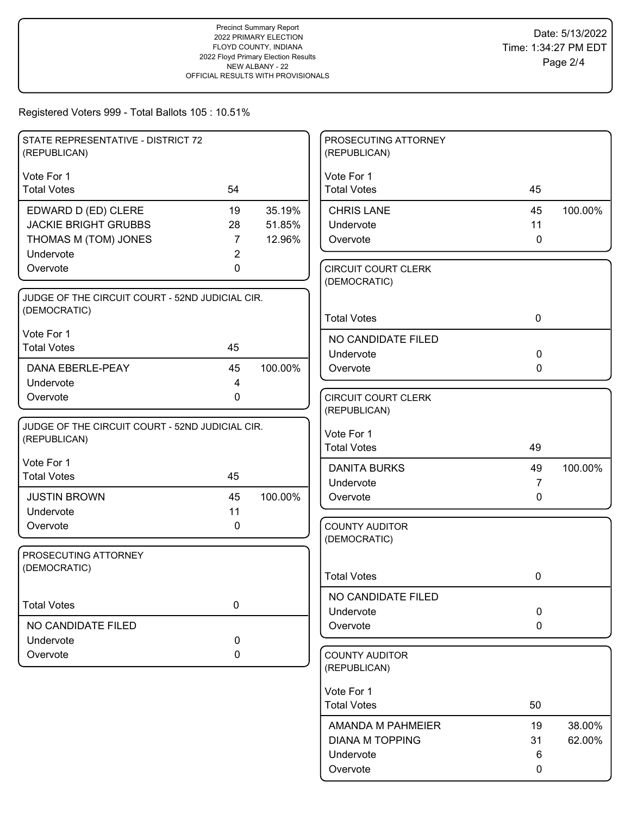## Registered Voters 999 - Total Ballots 105 : 10.51%

| STATE REPRESENTATIVE - DISTRICT 72<br>(REPUBLICAN) |                |         | PROSECUTING ATTORNEY<br>(REPUBLICAN)       |                                |         |
|----------------------------------------------------|----------------|---------|--------------------------------------------|--------------------------------|---------|
| Vote For 1                                         |                |         | Vote For 1                                 |                                |         |
| <b>Total Votes</b>                                 | 54             |         | <b>Total Votes</b>                         | 45                             |         |
| EDWARD D (ED) CLERE                                | 19             | 35.19%  | <b>CHRIS LANE</b>                          | 45                             | 100.00% |
| <b>JACKIE BRIGHT GRUBBS</b>                        | 28             | 51.85%  | Undervote                                  | 11                             |         |
| THOMAS M (TOM) JONES                               | $\overline{7}$ | 12.96%  | Overvote                                   | $\mathbf 0$                    |         |
| Undervote                                          | 2              |         |                                            |                                |         |
| Overvote                                           | 0              |         | <b>CIRCUIT COURT CLERK</b><br>(DEMOCRATIC) |                                |         |
| JUDGE OF THE CIRCUIT COURT - 52ND JUDICIAL CIR.    |                |         |                                            |                                |         |
| (DEMOCRATIC)                                       |                |         | <b>Total Votes</b>                         | $\mathbf 0$                    |         |
| Vote For 1                                         |                |         |                                            |                                |         |
| <b>Total Votes</b>                                 | 45             |         | NO CANDIDATE FILED<br>Undervote            | $\mathbf 0$                    |         |
| DANA EBERLE-PEAY                                   | 45             | 100.00% | Overvote                                   | $\mathbf{0}$                   |         |
| Undervote                                          | 4              |         |                                            |                                |         |
| Overvote                                           | 0              |         | <b>CIRCUIT COURT CLERK</b>                 |                                |         |
|                                                    |                |         | (REPUBLICAN)                               |                                |         |
| JUDGE OF THE CIRCUIT COURT - 52ND JUDICIAL CIR.    |                |         | Vote For 1                                 |                                |         |
| (REPUBLICAN)                                       |                |         | <b>Total Votes</b>                         | 49                             |         |
| Vote For 1                                         |                |         |                                            |                                |         |
| <b>Total Votes</b>                                 | 45             |         | <b>DANITA BURKS</b>                        | 49                             | 100.00% |
| <b>JUSTIN BROWN</b>                                | 45             | 100.00% | Undervote<br>Overvote                      | $\overline{7}$<br>$\mathbf{0}$ |         |
| Undervote                                          | 11             |         |                                            |                                |         |
| Overvote                                           | 0              |         | <b>COUNTY AUDITOR</b>                      |                                |         |
|                                                    |                |         | (DEMOCRATIC)                               |                                |         |
| PROSECUTING ATTORNEY                               |                |         |                                            |                                |         |
| (DEMOCRATIC)                                       |                |         | <b>Total Votes</b>                         | 0                              |         |
|                                                    |                |         |                                            |                                |         |
| <b>Total Votes</b>                                 | $\pmb{0}$      |         | NO CANDIDATE FILED                         |                                |         |
| NO CANDIDATE FILED                                 |                |         | Undervote<br>Overvote                      | $\mathbf 0$<br>0               |         |
| Undervote                                          | 0              |         |                                            |                                |         |
| Overvote                                           | 0              |         | <b>COUNTY AUDITOR</b>                      |                                |         |
|                                                    |                |         | (REPUBLICAN)                               |                                |         |
|                                                    |                |         | Vote For 1                                 |                                |         |
|                                                    |                |         | <b>Total Votes</b>                         | 50                             |         |
|                                                    |                |         |                                            |                                |         |
|                                                    |                |         | AMANDA M PAHMEIER                          | 19                             | 38.00%  |
|                                                    |                |         | <b>DIANA M TOPPING</b><br>Undervote        | 31<br>6                        | 62.00%  |
|                                                    |                |         | Overvote                                   | 0                              |         |
|                                                    |                |         |                                            |                                |         |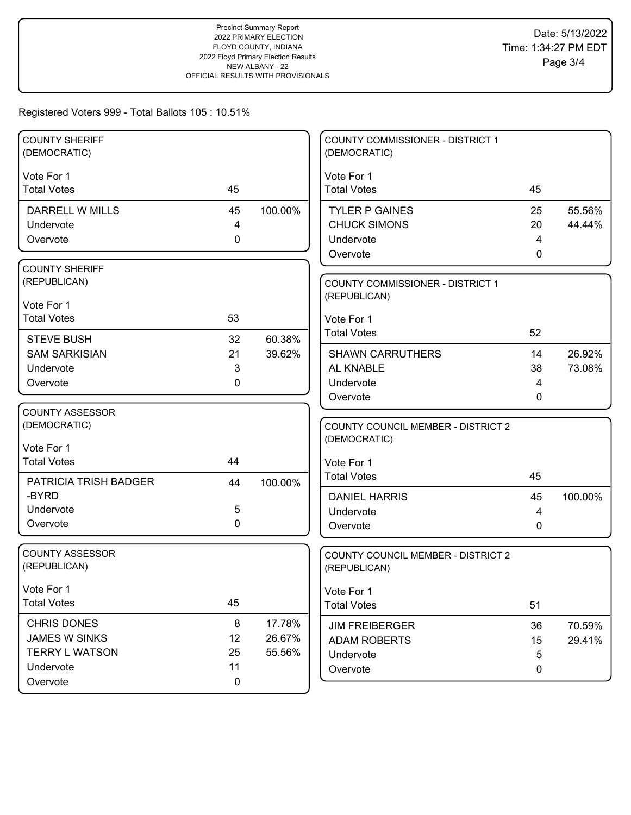## Registered Voters 999 - Total Ballots 105 : 10.51%

| <b>COUNTY SHERIFF</b><br>(DEMOCRATIC) |           |         | COUNTY COMMISSIONER - DISTRICT 1<br>(DEMOCRATIC)   |    |         |
|---------------------------------------|-----------|---------|----------------------------------------------------|----|---------|
| Vote For 1                            |           |         | Vote For 1                                         |    |         |
| <b>Total Votes</b>                    | 45        |         | <b>Total Votes</b>                                 | 45 |         |
| DARRELL W MILLS                       | 45        | 100.00% | <b>TYLER P GAINES</b>                              | 25 | 55.56%  |
| Undervote                             | 4         |         | <b>CHUCK SIMONS</b>                                | 20 | 44.44%  |
| Overvote                              | 0         |         | Undervote                                          | 4  |         |
|                                       |           |         | Overvote                                           | 0  |         |
| <b>COUNTY SHERIFF</b>                 |           |         |                                                    |    |         |
| (REPUBLICAN)                          |           |         | <b>COUNTY COMMISSIONER - DISTRICT 1</b>            |    |         |
| Vote For 1                            |           |         | (REPUBLICAN)                                       |    |         |
| <b>Total Votes</b>                    | 53        |         | Vote For 1                                         |    |         |
| <b>STEVE BUSH</b>                     | 32        | 60.38%  | <b>Total Votes</b>                                 | 52 |         |
| <b>SAM SARKISIAN</b>                  | 21        | 39.62%  | <b>SHAWN CARRUTHERS</b>                            | 14 | 26.92%  |
| Undervote                             | 3         |         | AL KNABLE                                          | 38 | 73.08%  |
| Overvote                              | 0         |         | Undervote                                          | 4  |         |
|                                       |           |         | Overvote                                           | 0  |         |
| <b>COUNTY ASSESSOR</b>                |           |         |                                                    |    |         |
| (DEMOCRATIC)                          |           |         | <b>COUNTY COUNCIL MEMBER - DISTRICT 2</b>          |    |         |
|                                       |           |         | (DEMOCRATIC)                                       |    |         |
| Vote For 1<br><b>Total Votes</b>      | 44        |         |                                                    |    |         |
|                                       |           |         | Vote For 1<br><b>Total Votes</b>                   | 45 |         |
| PATRICIA TRISH BADGER                 | 44        | 100.00% |                                                    |    |         |
| -BYRD                                 |           |         | <b>DANIEL HARRIS</b>                               | 45 | 100.00% |
| Undervote                             | 5         |         | Undervote                                          | 4  |         |
| Overvote                              | 0         |         | Overvote                                           | 0  |         |
| <b>COUNTY ASSESSOR</b>                |           |         |                                                    |    |         |
| (REPUBLICAN)                          |           |         | COUNTY COUNCIL MEMBER - DISTRICT 2<br>(REPUBLICAN) |    |         |
|                                       |           |         |                                                    |    |         |
| Vote For 1                            |           |         | Vote For 1                                         |    |         |
| <b>Total Votes</b>                    | 45        |         | <b>Total Votes</b>                                 | 51 |         |
| <b>CHRIS DONES</b>                    | $\bf 8$   | 17.78%  | <b>JIM FREIBERGER</b>                              | 36 | 70.59%  |
| <b>JAMES W SINKS</b>                  | 12        | 26.67%  | <b>ADAM ROBERTS</b>                                | 15 | 29.41%  |
| <b>TERRY L WATSON</b>                 | 25        | 55.56%  | Undervote                                          | 5  |         |
| Undervote                             | 11        |         | Overvote                                           | 0  |         |
| Overvote                              | $\pmb{0}$ |         |                                                    |    |         |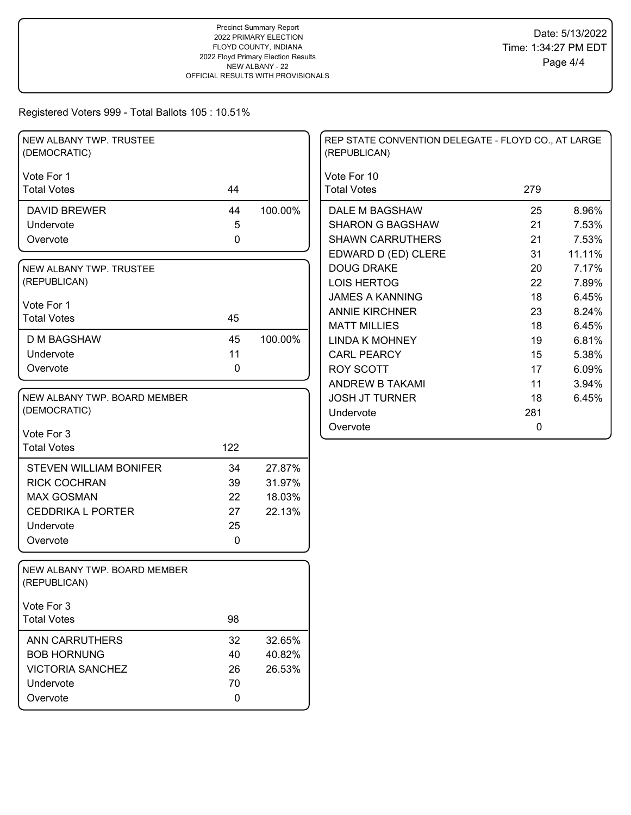## Registered Voters 999 - Total Ballots 105 : 10.51%

| NEW ALBANY TWP. TRUSTEE<br>(DEMOCRATIC)      |                  |         | REP STATE CONVENTION DELEGATE - FLOYD CO., AT LARGE<br>(REPUBLICAN) |     |        |
|----------------------------------------------|------------------|---------|---------------------------------------------------------------------|-----|--------|
| Vote For 1                                   |                  |         | Vote For 10                                                         |     |        |
| <b>Total Votes</b>                           | 44               |         | <b>Total Votes</b>                                                  | 279 |        |
| <b>DAVID BREWER</b>                          | 44               | 100.00% | DALE M BAGSHAW                                                      | 25  | 8.96%  |
| Undervote                                    | 5                |         | <b>SHARON G BAGSHAW</b>                                             | 21  | 7.53%  |
| Overvote                                     | $\pmb{0}$        |         | <b>SHAWN CARRUTHERS</b>                                             | 21  | 7.53%  |
|                                              |                  |         | EDWARD D (ED) CLERE                                                 | 31  | 11.11% |
| NEW ALBANY TWP. TRUSTEE                      |                  |         | <b>DOUG DRAKE</b>                                                   | 20  | 7.17%  |
| (REPUBLICAN)                                 |                  |         | <b>LOIS HERTOG</b>                                                  | 22  | 7.89%  |
|                                              |                  |         | <b>JAMES A KANNING</b>                                              | 18  | 6.45%  |
| Vote For 1<br><b>Total Votes</b>             | 45               |         | <b>ANNIE KIRCHNER</b>                                               | 23  | 8.24%  |
|                                              |                  |         | <b>MATT MILLIES</b>                                                 | 18  | 6.45%  |
| <b>D M BAGSHAW</b>                           | 45               | 100.00% | <b>LINDA K MOHNEY</b>                                               | 19  | 6.81%  |
| Undervote                                    | 11               |         | <b>CARL PEARCY</b>                                                  | 15  | 5.38%  |
| Overvote                                     | 0                |         | ROY SCOTT                                                           | 17  | 6.09%  |
|                                              |                  |         | ANDREW B TAKAMI                                                     | 11  | 3.94%  |
| NEW ALBANY TWP. BOARD MEMBER                 |                  |         | <b>JOSH JT TURNER</b>                                               | 18  | 6.45%  |
| (DEMOCRATIC)                                 |                  |         | Undervote                                                           | 281 |        |
| Vote For 3                                   |                  |         | Overvote                                                            | 0   |        |
| <b>Total Votes</b>                           | 122              |         |                                                                     |     |        |
|                                              |                  |         |                                                                     |     |        |
| <b>STEVEN WILLIAM BONIFER</b>                | 34               | 27.87%  |                                                                     |     |        |
| <b>RICK COCHRAN</b>                          | 39               | 31.97%  |                                                                     |     |        |
| <b>MAX GOSMAN</b>                            | 22               | 18.03%  |                                                                     |     |        |
| <b>CEDDRIKA L PORTER</b>                     | 27               | 22.13%  |                                                                     |     |        |
| Undervote                                    | 25               |         |                                                                     |     |        |
| Overvote                                     | $\mathbf 0$      |         |                                                                     |     |        |
| NEW ALBANY TWP. BOARD MEMBER<br>(REPUBLICAN) |                  |         |                                                                     |     |        |
| Vote For 3                                   |                  |         |                                                                     |     |        |
| <b>Total Votes</b>                           | 98               |         |                                                                     |     |        |
| <b>ANN CARRUTHERS</b>                        | 32               | 32.65%  |                                                                     |     |        |
| <b>BOB HORNUNG</b>                           | 40               | 40.82%  |                                                                     |     |        |
| <b>VICTORIA SANCHEZ</b>                      | 26               | 26.53%  |                                                                     |     |        |
| Undervote                                    | 70               |         |                                                                     |     |        |
| Overvote                                     | $\boldsymbol{0}$ |         |                                                                     |     |        |
|                                              |                  |         |                                                                     |     |        |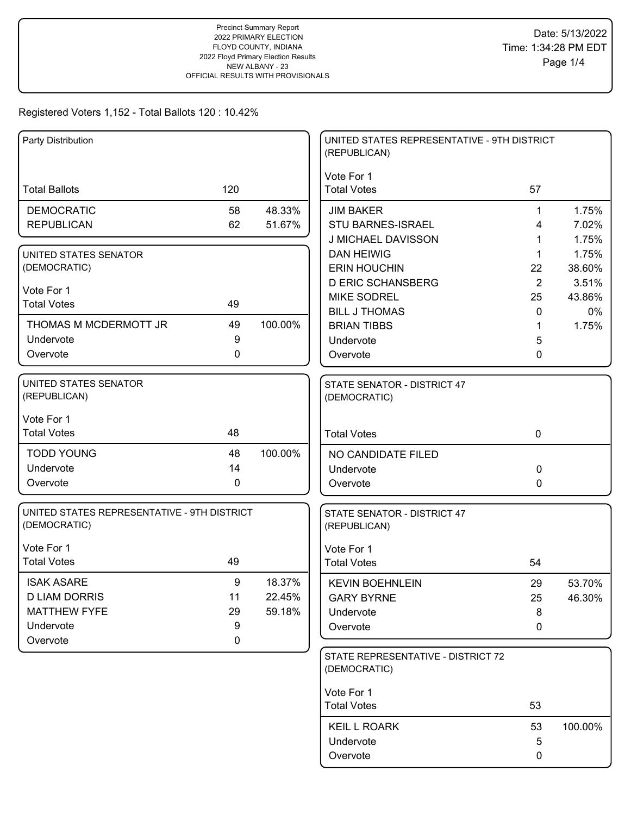| Party Distribution                                          |             |         | UNITED STATES REPRESENTATIVE - 9TH DISTRICT<br>(REPUBLICAN) |              |         |
|-------------------------------------------------------------|-------------|---------|-------------------------------------------------------------|--------------|---------|
|                                                             |             |         | Vote For 1                                                  |              |         |
| <b>Total Ballots</b>                                        | 120         |         | <b>Total Votes</b>                                          | 57           |         |
| <b>DEMOCRATIC</b>                                           | 58          | 48.33%  | <b>JIM BAKER</b>                                            | 1            | 1.75%   |
| <b>REPUBLICAN</b>                                           | 62          | 51.67%  | <b>STU BARNES-ISRAEL</b>                                    | 4            | 7.02%   |
|                                                             |             |         | J MICHAEL DAVISSON                                          | 1            | 1.75%   |
| UNITED STATES SENATOR                                       |             |         | <b>DAN HEIWIG</b>                                           | 1            | 1.75%   |
| (DEMOCRATIC)                                                |             |         | <b>ERIN HOUCHIN</b>                                         | 22           | 38.60%  |
| Vote For 1                                                  |             |         | <b>D ERIC SCHANSBERG</b>                                    | 2            | 3.51%   |
| <b>Total Votes</b>                                          | 49          |         | <b>MIKE SODREL</b>                                          | 25           | 43.86%  |
|                                                             |             |         | <b>BILL J THOMAS</b>                                        | $\mathbf{0}$ | 0%      |
| THOMAS M MCDERMOTT JR                                       | 49          | 100.00% | <b>BRIAN TIBBS</b>                                          | 1            | 1.75%   |
| Undervote                                                   | 9           |         | Undervote                                                   | 5            |         |
| Overvote                                                    | 0           |         | Overvote                                                    | 0            |         |
| UNITED STATES SENATOR<br>(REPUBLICAN)                       |             |         | STATE SENATOR - DISTRICT 47<br>(DEMOCRATIC)                 |              |         |
| Vote For 1                                                  |             |         |                                                             |              |         |
| <b>Total Votes</b>                                          | 48          |         | <b>Total Votes</b>                                          | $\mathbf 0$  |         |
| <b>TODD YOUNG</b>                                           | 48          | 100.00% | NO CANDIDATE FILED                                          |              |         |
| Undervote                                                   | 14          |         | Undervote                                                   | 0            |         |
| Overvote                                                    | 0           |         | Overvote                                                    | 0            |         |
| UNITED STATES REPRESENTATIVE - 9TH DISTRICT<br>(DEMOCRATIC) |             |         | STATE SENATOR - DISTRICT 47<br>(REPUBLICAN)                 |              |         |
| Vote For 1                                                  |             |         | Vote For 1                                                  |              |         |
| <b>Total Votes</b>                                          | 49          |         | <b>Total Votes</b>                                          | 54           |         |
| <b>ISAK ASARE</b>                                           | 9           | 18.37%  | <b>KEVIN BOEHNLEIN</b>                                      | 29           | 53.70%  |
| <b>D LIAM DORRIS</b>                                        | 11          | 22.45%  | <b>GARY BYRNE</b>                                           | 25           | 46.30%  |
| <b>MATTHEW FYFE</b>                                         | 29          | 59.18%  | Undervote                                                   | 8            |         |
| Undervote                                                   | 9           |         | Overvote                                                    | 0            |         |
| Overvote                                                    | $\mathbf 0$ |         |                                                             |              |         |
|                                                             |             |         | STATE REPRESENTATIVE - DISTRICT 72<br>(DEMOCRATIC)          |              |         |
|                                                             |             |         | Vote For 1                                                  |              |         |
|                                                             |             |         | <b>Total Votes</b>                                          | 53           |         |
|                                                             |             |         | <b>KEIL L ROARK</b>                                         | 53           | 100.00% |
|                                                             |             |         | Undervote                                                   | 5            |         |
|                                                             |             |         | Overvote                                                    | 0            |         |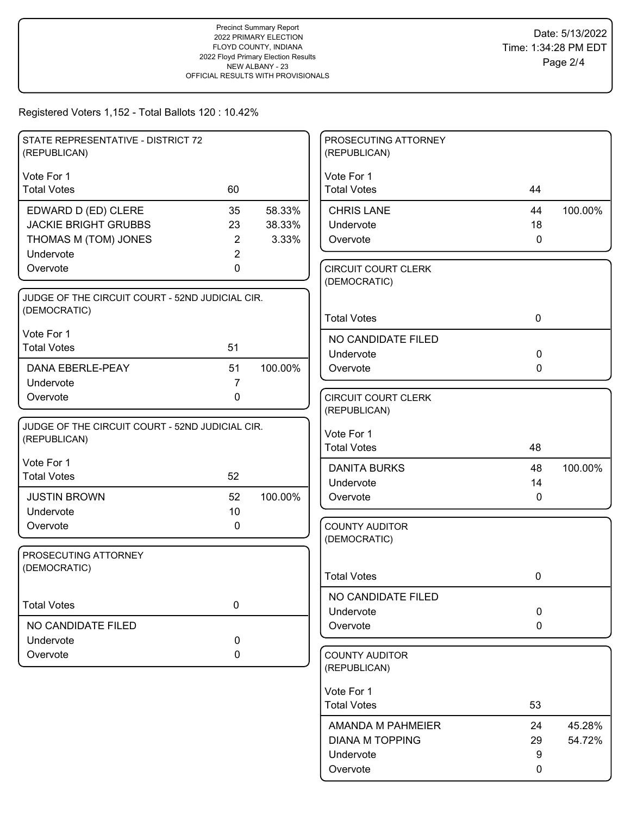| STATE REPRESENTATIVE - DISTRICT 72<br>(REPUBLICAN)              |                |         | PROSECUTING ATTORNEY<br>(REPUBLICAN)       |             |         |
|-----------------------------------------------------------------|----------------|---------|--------------------------------------------|-------------|---------|
| Vote For 1                                                      |                |         | Vote For 1                                 |             |         |
| <b>Total Votes</b>                                              | 60             |         | <b>Total Votes</b>                         | 44          |         |
| EDWARD D (ED) CLERE                                             | 35             | 58.33%  | <b>CHRIS LANE</b>                          | 44          | 100.00% |
| <b>JACKIE BRIGHT GRUBBS</b>                                     | 23             | 38.33%  | Undervote                                  | 18          |         |
| THOMAS M (TOM) JONES                                            | 2              | 3.33%   | Overvote                                   | $\mathbf 0$ |         |
| Undervote                                                       | $\overline{2}$ |         |                                            |             |         |
| Overvote                                                        | 0              |         | <b>CIRCUIT COURT CLERK</b><br>(DEMOCRATIC) |             |         |
| JUDGE OF THE CIRCUIT COURT - 52ND JUDICIAL CIR.                 |                |         |                                            |             |         |
| (DEMOCRATIC)                                                    |                |         | <b>Total Votes</b>                         | $\mathbf 0$ |         |
| Vote For 1                                                      |                |         | NO CANDIDATE FILED                         |             |         |
| <b>Total Votes</b>                                              | 51             |         | Undervote                                  | $\mathbf 0$ |         |
| <b>DANA EBERLE-PEAY</b>                                         | 51             | 100.00% | Overvote                                   | 0           |         |
| Undervote                                                       | $\overline{7}$ |         |                                            |             |         |
| Overvote                                                        | 0              |         | <b>CIRCUIT COURT CLERK</b>                 |             |         |
|                                                                 |                |         | (REPUBLICAN)                               |             |         |
| JUDGE OF THE CIRCUIT COURT - 52ND JUDICIAL CIR.<br>(REPUBLICAN) |                |         | Vote For 1                                 |             |         |
|                                                                 |                |         | <b>Total Votes</b>                         | 48          |         |
| Vote For 1                                                      |                |         | <b>DANITA BURKS</b>                        | 48          | 100.00% |
| <b>Total Votes</b>                                              | 52             |         | Undervote                                  | 14          |         |
| <b>JUSTIN BROWN</b>                                             | 52             | 100.00% | Overvote                                   | $\mathbf 0$ |         |
| Undervote                                                       | 10             |         |                                            |             |         |
| Overvote                                                        | 0              |         | <b>COUNTY AUDITOR</b>                      |             |         |
|                                                                 |                |         | (DEMOCRATIC)                               |             |         |
| PROSECUTING ATTORNEY<br>(DEMOCRATIC)                            |                |         |                                            |             |         |
|                                                                 |                |         | <b>Total Votes</b>                         | 0           |         |
|                                                                 |                |         | NO CANDIDATE FILED                         |             |         |
| <b>Total Votes</b>                                              | $\pmb{0}$      |         | Undervote                                  | $\mathbf 0$ |         |
| NO CANDIDATE FILED                                              |                |         | Overvote                                   | $\mathbf 0$ |         |
| Undervote                                                       | 0              |         |                                            |             |         |
| Overvote                                                        | 0              |         | <b>COUNTY AUDITOR</b><br>(REPUBLICAN)      |             |         |
|                                                                 |                |         | Vote For 1                                 |             |         |
|                                                                 |                |         | <b>Total Votes</b>                         | 53          |         |
|                                                                 |                |         | AMANDA M PAHMEIER                          | 24          | 45.28%  |
|                                                                 |                |         | <b>DIANA M TOPPING</b>                     | 29          | 54.72%  |
|                                                                 |                |         | Undervote                                  | 9           |         |
|                                                                 |                |         | Overvote                                   | 0           |         |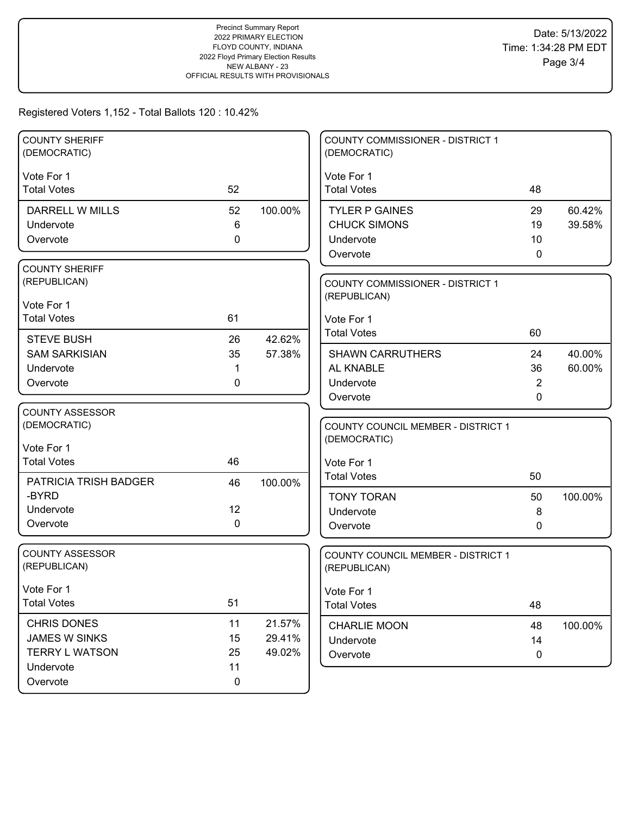| <b>COUNTY SHERIFF</b><br>(DEMOCRATIC)                                                        |                                     |                            | <b>COUNTY COMMISSIONER - DISTRICT 1</b><br>(DEMOCRATIC)                                       |                                    |                  |
|----------------------------------------------------------------------------------------------|-------------------------------------|----------------------------|-----------------------------------------------------------------------------------------------|------------------------------------|------------------|
| Vote For 1<br><b>Total Votes</b>                                                             | 52                                  |                            | Vote For 1<br><b>Total Votes</b>                                                              | 48                                 |                  |
| <b>DARRELL W MILLS</b><br>Undervote<br>Overvote                                              | 52<br>6<br>0                        | 100.00%                    | <b>TYLER P GAINES</b><br><b>CHUCK SIMONS</b><br>Undervote<br>Overvote                         | 29<br>19<br>10<br>0                | 60.42%<br>39.58% |
| <b>COUNTY SHERIFF</b><br>(REPUBLICAN)<br>Vote For 1<br><b>Total Votes</b>                    | 61                                  |                            | <b>COUNTY COMMISSIONER - DISTRICT 1</b><br>(REPUBLICAN)<br>Vote For 1                         |                                    |                  |
| <b>STEVE BUSH</b><br><b>SAM SARKISIAN</b><br>Undervote<br>Overvote                           | 26<br>35<br>1<br>0                  | 42.62%<br>57.38%           | <b>Total Votes</b><br><b>SHAWN CARRUTHERS</b><br>AL KNABLE<br>Undervote<br>Overvote           | 60<br>24<br>36<br>2<br>$\mathbf 0$ | 40.00%<br>60.00% |
| <b>COUNTY ASSESSOR</b><br>(DEMOCRATIC)<br>Vote For 1<br><b>Total Votes</b>                   | 46                                  |                            | <b>COUNTY COUNCIL MEMBER - DISTRICT 1</b><br>(DEMOCRATIC)<br>Vote For 1<br><b>Total Votes</b> | 50                                 |                  |
| <b>PATRICIA TRISH BADGER</b><br>-BYRD<br>Undervote<br>Overvote                               | 46<br>12<br>0                       | 100.00%                    | <b>TONY TORAN</b><br>Undervote<br>Overvote                                                    | 50<br>8<br>0                       | 100.00%          |
| <b>COUNTY ASSESSOR</b><br>(REPUBLICAN)                                                       |                                     |                            | COUNTY COUNCIL MEMBER - DISTRICT 1<br>(REPUBLICAN)                                            |                                    |                  |
| Vote For 1<br><b>Total Votes</b>                                                             | 51                                  |                            | Vote For 1<br><b>Total Votes</b>                                                              | 48                                 |                  |
| <b>CHRIS DONES</b><br><b>JAMES W SINKS</b><br><b>TERRY L WATSON</b><br>Undervote<br>Overvote | 11<br>15<br>25<br>11<br>$\mathbf 0$ | 21.57%<br>29.41%<br>49.02% | <b>CHARLIE MOON</b><br>Undervote<br>Overvote                                                  | 48<br>14<br>$\mathbf 0$            | 100.00%          |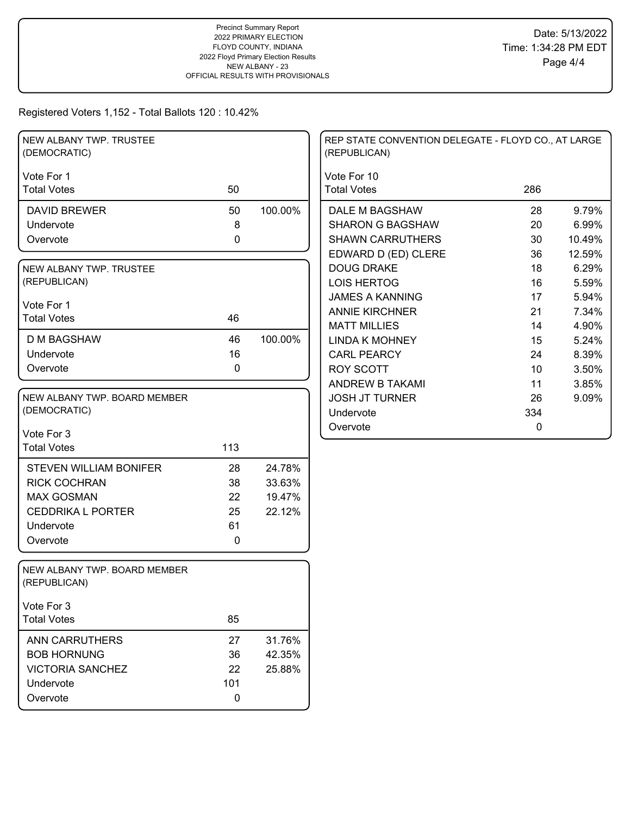| Vote For 1<br>Vote For 10<br>50<br>286<br><b>Total Votes</b><br><b>Total Votes</b><br>100.00%<br><b>DAVID BREWER</b><br>50<br>DALE M BAGSHAW<br>28<br>8<br><b>SHARON G BAGSHAW</b><br>20<br>Undervote<br>0<br><b>SHAWN CARRUTHERS</b><br>30<br>Overvote<br>EDWARD D (ED) CLERE<br>36 | NEW ALBANY TWP. TRUSTEE<br>(DEMOCRATIC) |  | REP STATE CONVENTION DELEGATE - FLOYD CO., AT LARGE<br>(REPUBLICAN) |    |        |
|--------------------------------------------------------------------------------------------------------------------------------------------------------------------------------------------------------------------------------------------------------------------------------------|-----------------------------------------|--|---------------------------------------------------------------------|----|--------|
|                                                                                                                                                                                                                                                                                      |                                         |  |                                                                     |    |        |
|                                                                                                                                                                                                                                                                                      |                                         |  |                                                                     |    | 9.79%  |
|                                                                                                                                                                                                                                                                                      |                                         |  |                                                                     |    | 6.99%  |
|                                                                                                                                                                                                                                                                                      |                                         |  |                                                                     |    | 10.49% |
|                                                                                                                                                                                                                                                                                      |                                         |  |                                                                     |    | 12.59% |
|                                                                                                                                                                                                                                                                                      | NEW ALBANY TWP. TRUSTEE                 |  | <b>DOUG DRAKE</b>                                                   | 18 | 6.29%  |
| (REPUBLICAN)<br><b>LOIS HERTOG</b><br>16                                                                                                                                                                                                                                             |                                         |  |                                                                     |    | 5.59%  |
| <b>JAMES A KANNING</b><br>17                                                                                                                                                                                                                                                         |                                         |  |                                                                     |    | 5.94%  |
| Vote For 1<br><b>ANNIE KIRCHNER</b><br>21<br><b>Total Votes</b><br>46                                                                                                                                                                                                                |                                         |  |                                                                     |    | 7.34%  |
| <b>MATT MILLIES</b><br>14                                                                                                                                                                                                                                                            |                                         |  |                                                                     |    | 4.90%  |
| 46<br>100.00%<br><b>D M BAGSHAW</b><br><b>LINDA K MOHNEY</b><br>15                                                                                                                                                                                                                   |                                         |  |                                                                     |    | 5.24%  |
| 16<br>Undervote<br><b>CARL PEARCY</b><br>24                                                                                                                                                                                                                                          |                                         |  |                                                                     |    | 8.39%  |
| 0<br>Overvote<br><b>ROY SCOTT</b><br>10                                                                                                                                                                                                                                              |                                         |  |                                                                     |    | 3.50%  |
| ANDREW B TAKAMI<br>11                                                                                                                                                                                                                                                                |                                         |  |                                                                     |    | 3.85%  |
| NEW ALBANY TWP. BOARD MEMBER<br><b>JOSH JT TURNER</b><br>26                                                                                                                                                                                                                          |                                         |  |                                                                     |    | 9.09%  |
| (DEMOCRATIC)<br>334<br>Undervote                                                                                                                                                                                                                                                     |                                         |  |                                                                     |    |        |
| Overvote<br>0<br>Vote For 3                                                                                                                                                                                                                                                          |                                         |  |                                                                     |    |        |
| 113<br><b>Total Votes</b>                                                                                                                                                                                                                                                            |                                         |  |                                                                     |    |        |
|                                                                                                                                                                                                                                                                                      |                                         |  |                                                                     |    |        |
| 28<br>24.78%<br><b>STEVEN WILLIAM BONIFER</b>                                                                                                                                                                                                                                        |                                         |  |                                                                     |    |        |
| 38<br><b>RICK COCHRAN</b><br>33.63%                                                                                                                                                                                                                                                  |                                         |  |                                                                     |    |        |
| <b>MAX GOSMAN</b><br>22<br>19.47%                                                                                                                                                                                                                                                    |                                         |  |                                                                     |    |        |
| 25<br>22.12%<br><b>CEDDRIKA L PORTER</b>                                                                                                                                                                                                                                             |                                         |  |                                                                     |    |        |
| 61<br>Undervote                                                                                                                                                                                                                                                                      |                                         |  |                                                                     |    |        |
| 0<br>Overvote                                                                                                                                                                                                                                                                        |                                         |  |                                                                     |    |        |
| NEW ALBANY TWP. BOARD MEMBER<br>(REPUBLICAN)                                                                                                                                                                                                                                         |                                         |  |                                                                     |    |        |
| Vote For 3                                                                                                                                                                                                                                                                           |                                         |  |                                                                     |    |        |
| <b>Total Votes</b><br>85                                                                                                                                                                                                                                                             |                                         |  |                                                                     |    |        |
| 27<br><b>ANN CARRUTHERS</b><br>31.76%                                                                                                                                                                                                                                                |                                         |  |                                                                     |    |        |
| <b>BOB HORNUNG</b><br>36<br>42.35%                                                                                                                                                                                                                                                   |                                         |  |                                                                     |    |        |
| <b>VICTORIA SANCHEZ</b><br>22<br>25.88%                                                                                                                                                                                                                                              |                                         |  |                                                                     |    |        |
| 101<br>Undervote                                                                                                                                                                                                                                                                     |                                         |  |                                                                     |    |        |
| Overvote<br>0                                                                                                                                                                                                                                                                        |                                         |  |                                                                     |    |        |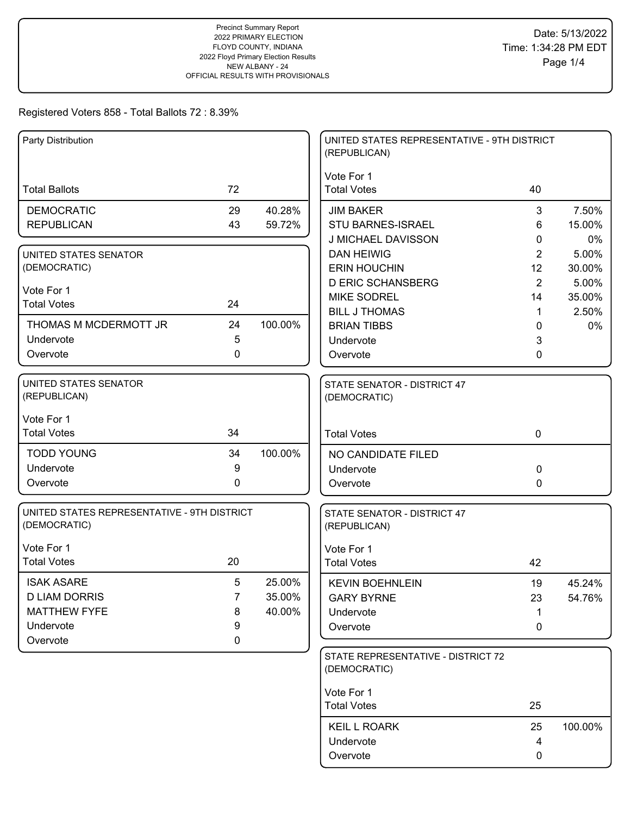| Party Distribution                                          |    |         | UNITED STATES REPRESENTATIVE - 9TH DISTRICT<br>(REPUBLICAN) |                |         |
|-------------------------------------------------------------|----|---------|-------------------------------------------------------------|----------------|---------|
| <b>Total Ballots</b>                                        | 72 |         | Vote For 1<br><b>Total Votes</b>                            | 40             |         |
|                                                             |    |         |                                                             |                |         |
| <b>DEMOCRATIC</b>                                           | 29 | 40.28%  | <b>JIM BAKER</b>                                            | 3              | 7.50%   |
| <b>REPUBLICAN</b>                                           | 43 | 59.72%  | <b>STU BARNES-ISRAEL</b>                                    | 6              | 15.00%  |
|                                                             |    |         | J MICHAEL DAVISSON                                          | 0              | 0%      |
| UNITED STATES SENATOR                                       |    |         | <b>DAN HEIWIG</b>                                           | $\overline{2}$ | 5.00%   |
| (DEMOCRATIC)                                                |    |         | <b>ERIN HOUCHIN</b>                                         | 12             | 30.00%  |
| Vote For 1                                                  |    |         | <b>D ERIC SCHANSBERG</b>                                    | 2              | 5.00%   |
| <b>Total Votes</b>                                          | 24 |         | <b>MIKE SODREL</b>                                          | 14             | 35.00%  |
|                                                             |    |         | <b>BILL J THOMAS</b>                                        | $\mathbf 1$    | 2.50%   |
| THOMAS M MCDERMOTT JR                                       | 24 | 100.00% | <b>BRIAN TIBBS</b>                                          | 0              | 0%      |
| Undervote                                                   | 5  |         | Undervote                                                   | 3              |         |
| Overvote                                                    | 0  |         | Overvote                                                    | 0              |         |
| UNITED STATES SENATOR                                       |    |         | STATE SENATOR - DISTRICT 47                                 |                |         |
| (REPUBLICAN)                                                |    |         | (DEMOCRATIC)                                                |                |         |
| Vote For 1                                                  |    |         |                                                             |                |         |
| <b>Total Votes</b>                                          | 34 |         | <b>Total Votes</b>                                          | $\mathbf 0$    |         |
| <b>TODD YOUNG</b>                                           | 34 | 100.00% | NO CANDIDATE FILED                                          |                |         |
| Undervote                                                   | 9  |         | Undervote                                                   | 0              |         |
| Overvote                                                    | 0  |         | Overvote                                                    | 0              |         |
|                                                             |    |         |                                                             |                |         |
| UNITED STATES REPRESENTATIVE - 9TH DISTRICT<br>(DEMOCRATIC) |    |         | STATE SENATOR - DISTRICT 47<br>(REPUBLICAN)                 |                |         |
| Vote For 1                                                  |    |         | Vote For 1                                                  |                |         |
| <b>Total Votes</b>                                          | 20 |         | <b>Total Votes</b>                                          | 42             |         |
| <b>ISAK ASARE</b>                                           | 5  | 25.00%  | <b>KEVIN BOEHNLEIN</b>                                      | 19             | 45.24%  |
| <b>D LIAM DORRIS</b>                                        | 7  | 35.00%  | <b>GARY BYRNE</b>                                           | 23             | 54.76%  |
| <b>MATTHEW FYFE</b>                                         | 8  | 40.00%  | Undervote                                                   | 1              |         |
| Undervote                                                   | 9  |         | Overvote                                                    | 0              |         |
| Overvote                                                    | 0  |         |                                                             |                |         |
|                                                             |    |         | STATE REPRESENTATIVE - DISTRICT 72<br>(DEMOCRATIC)          |                |         |
|                                                             |    |         |                                                             |                |         |
|                                                             |    |         | Vote For 1<br><b>Total Votes</b>                            | 25             |         |
|                                                             |    |         |                                                             |                |         |
|                                                             |    |         | <b>KEIL L ROARK</b>                                         | 25             | 100.00% |
|                                                             |    |         | Undervote                                                   | 4              |         |
|                                                             |    |         | Overvote                                                    | 0              |         |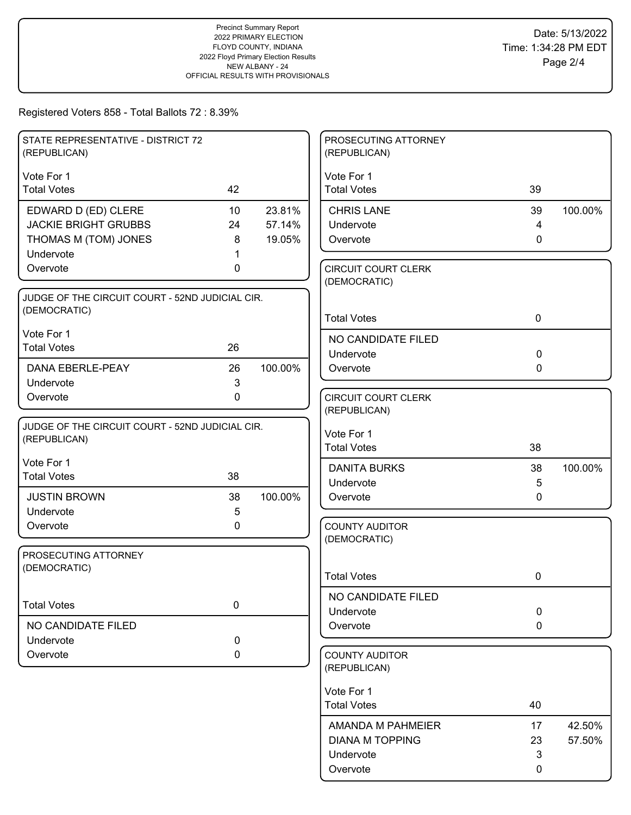| STATE REPRESENTATIVE - DISTRICT 72<br>(REPUBLICAN)              |             |         | PROSECUTING ATTORNEY<br>(REPUBLICAN)  |              |         |
|-----------------------------------------------------------------|-------------|---------|---------------------------------------|--------------|---------|
| Vote For 1                                                      |             |         | Vote For 1                            |              |         |
| <b>Total Votes</b>                                              | 42          |         | <b>Total Votes</b>                    | 39           |         |
| EDWARD D (ED) CLERE                                             | 10          | 23.81%  | <b>CHRIS LANE</b>                     | 39           | 100.00% |
| <b>JACKIE BRIGHT GRUBBS</b>                                     | 24          | 57.14%  | Undervote                             | 4            |         |
| THOMAS M (TOM) JONES                                            | 8           | 19.05%  | Overvote                              | $\mathbf{0}$ |         |
| Undervote<br>Overvote                                           | 0           |         | <b>CIRCUIT COURT CLERK</b>            |              |         |
|                                                                 |             |         | (DEMOCRATIC)                          |              |         |
| JUDGE OF THE CIRCUIT COURT - 52ND JUDICIAL CIR.                 |             |         |                                       |              |         |
| (DEMOCRATIC)                                                    |             |         | <b>Total Votes</b>                    | 0            |         |
| Vote For 1                                                      |             |         | NO CANDIDATE FILED                    |              |         |
| <b>Total Votes</b>                                              | 26          |         | Undervote                             | $\mathbf 0$  |         |
| DANA EBERLE-PEAY                                                | 26          | 100.00% | Overvote                              | 0            |         |
| Undervote                                                       | 3           |         |                                       |              |         |
| Overvote                                                        | $\mathbf 0$ |         | <b>CIRCUIT COURT CLERK</b>            |              |         |
|                                                                 |             |         | (REPUBLICAN)                          |              |         |
| JUDGE OF THE CIRCUIT COURT - 52ND JUDICIAL CIR.<br>(REPUBLICAN) |             |         | Vote For 1                            |              |         |
|                                                                 |             |         | <b>Total Votes</b>                    | 38           |         |
| Vote For 1                                                      |             |         | <b>DANITA BURKS</b>                   | 38           | 100.00% |
| <b>Total Votes</b>                                              | 38          |         | Undervote                             | 5            |         |
| <b>JUSTIN BROWN</b>                                             | 38          | 100.00% | Overvote                              | $\mathbf{0}$ |         |
| Undervote                                                       | 5           |         |                                       |              |         |
| Overvote                                                        | 0           |         | <b>COUNTY AUDITOR</b><br>(DEMOCRATIC) |              |         |
| PROSECUTING ATTORNEY                                            |             |         |                                       |              |         |
| (DEMOCRATIC)                                                    |             |         |                                       |              |         |
|                                                                 |             |         | <b>Total Votes</b>                    | 0            |         |
| <b>Total Votes</b>                                              | $\pmb{0}$   |         | NO CANDIDATE FILED                    |              |         |
|                                                                 |             |         | Undervote                             | $\mathbf 0$  |         |
| NO CANDIDATE FILED<br>Undervote                                 | $\mathbf 0$ |         | Overvote                              | 0            |         |
| Overvote                                                        | 0           |         | <b>COUNTY AUDITOR</b>                 |              |         |
|                                                                 |             |         | (REPUBLICAN)                          |              |         |
|                                                                 |             |         | Vote For 1                            |              |         |
|                                                                 |             |         | <b>Total Votes</b>                    | 40           |         |
|                                                                 |             |         | AMANDA M PAHMEIER                     | 17           | 42.50%  |
|                                                                 |             |         | <b>DIANA M TOPPING</b>                | 23           | 57.50%  |
|                                                                 |             |         | Undervote                             | 3            |         |
|                                                                 |             |         | Overvote                              | 0            |         |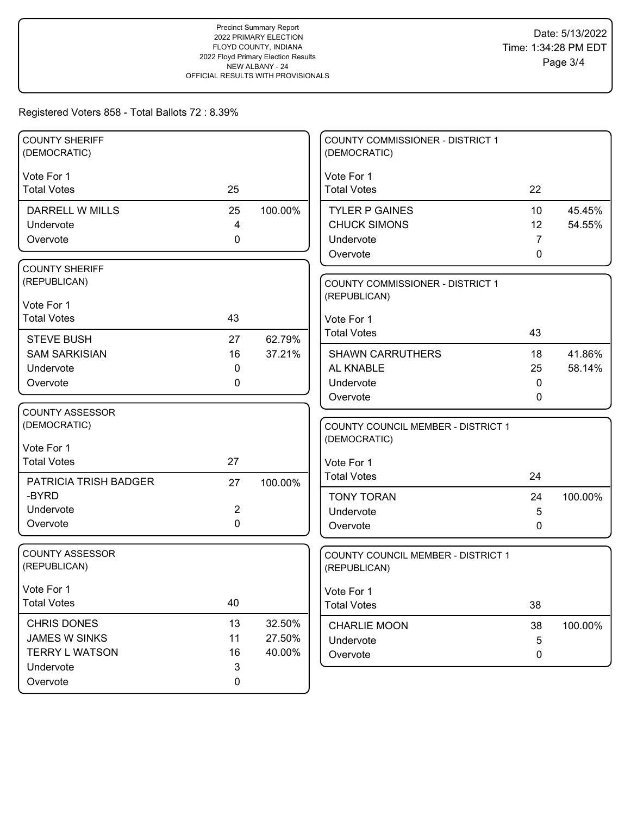| <b>COUNTY SHERIFF</b><br>(DEMOCRATIC) |                |         | <b>COUNTY COMMISSIONER - DISTRICT 1</b><br>(DEMOCRATIC) |    |         |
|---------------------------------------|----------------|---------|---------------------------------------------------------|----|---------|
| Vote For 1                            |                |         | Vote For 1                                              |    |         |
| <b>Total Votes</b>                    | 25             |         | <b>Total Votes</b>                                      | 22 |         |
| <b>DARRELL W MILLS</b>                | 25             | 100.00% | <b>TYLER P GAINES</b>                                   | 10 | 45.45%  |
| Undervote                             | 4              |         | <b>CHUCK SIMONS</b>                                     | 12 | 54.55%  |
| Overvote                              | $\mathbf 0$    |         | Undervote                                               | 7  |         |
|                                       |                |         | Overvote                                                | 0  |         |
| <b>COUNTY SHERIFF</b>                 |                |         |                                                         |    |         |
| (REPUBLICAN)                          |                |         | COUNTY COMMISSIONER - DISTRICT 1                        |    |         |
| Vote For 1                            |                |         | (REPUBLICAN)                                            |    |         |
| <b>Total Votes</b>                    | 43             |         | Vote For 1                                              |    |         |
| <b>STEVE BUSH</b>                     | 27             | 62.79%  | <b>Total Votes</b>                                      | 43 |         |
| <b>SAM SARKISIAN</b>                  | 16             | 37.21%  | <b>SHAWN CARRUTHERS</b>                                 | 18 | 41.86%  |
| Undervote                             | 0              |         | AL KNABLE                                               | 25 | 58.14%  |
| Overvote                              | 0              |         | Undervote                                               | 0  |         |
|                                       |                |         | Overvote                                                | 0  |         |
| <b>COUNTY ASSESSOR</b>                |                |         |                                                         |    |         |
| (DEMOCRATIC)                          |                |         | <b>COUNTY COUNCIL MEMBER - DISTRICT 1</b>               |    |         |
| Vote For 1                            |                |         | (DEMOCRATIC)                                            |    |         |
| <b>Total Votes</b>                    | 27             |         | Vote For 1                                              |    |         |
|                                       |                |         | <b>Total Votes</b>                                      | 24 |         |
| PATRICIA TRISH BADGER                 | 27             | 100.00% |                                                         |    |         |
| -BYRD<br>Undervote                    | $\overline{c}$ |         | <b>TONY TORAN</b>                                       | 24 | 100.00% |
| Overvote                              | $\Omega$       |         | Undervote                                               | 5  |         |
|                                       |                |         | Overvote                                                | 0  |         |
| <b>COUNTY ASSESSOR</b>                |                |         | COUNTY COUNCIL MEMBER - DISTRICT 1                      |    |         |
| (REPUBLICAN)                          |                |         | (REPUBLICAN)                                            |    |         |
|                                       |                |         |                                                         |    |         |
| Vote For 1<br><b>Total Votes</b>      | 40             |         | Vote For 1                                              |    |         |
|                                       |                |         | <b>Total Votes</b>                                      | 38 |         |
| <b>CHRIS DONES</b>                    | 13             | 32.50%  | <b>CHARLIE MOON</b>                                     | 38 | 100.00% |
| JAMES W SINKS                         | 11             | 27.50%  | Undervote                                               | 5  |         |
| <b>TERRY L WATSON</b>                 | 16             | 40.00%  | Overvote                                                | 0  |         |
| Undervote                             | 3              |         |                                                         |    |         |
| Overvote                              | 0              |         |                                                         |    |         |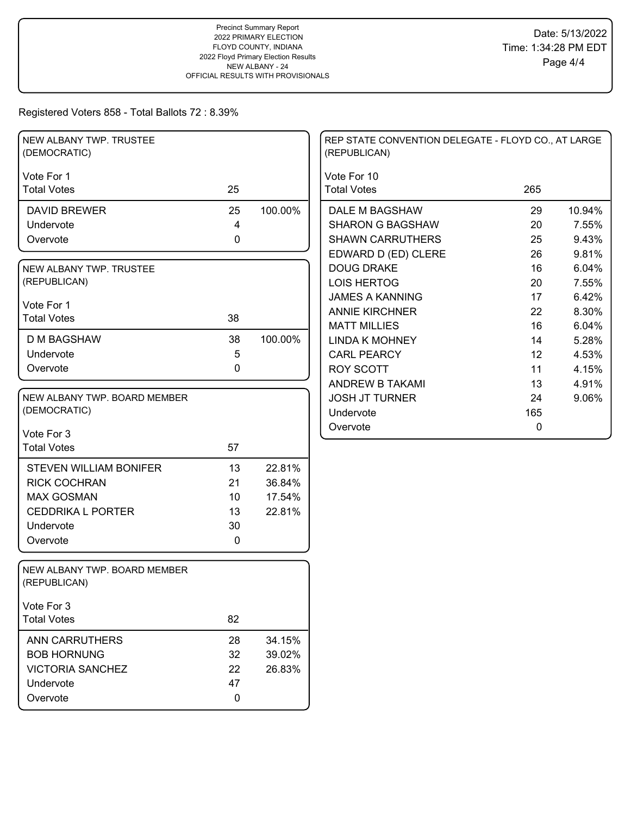| NEW ALBANY TWP. TRUSTEE<br>(DEMOCRATIC)              |          |                  | REP STATE CONVENTION DELEGATE - FLOYD CO., AT LARGE<br>(REPUBLICAN) |              |
|------------------------------------------------------|----------|------------------|---------------------------------------------------------------------|--------------|
| Vote For 1                                           |          |                  | Vote For 10                                                         |              |
| <b>Total Votes</b>                                   | 25       |                  | <b>Total Votes</b>                                                  | 265          |
| <b>DAVID BREWER</b>                                  | 25       | 100.00%          | DALE M BAGSHAW                                                      | 10.94%<br>29 |
| Undervote                                            | 4        |                  | <b>SHARON G BAGSHAW</b>                                             | 20<br>7.55%  |
| Overvote                                             | 0        |                  | <b>SHAWN CARRUTHERS</b>                                             | 25<br>9.43%  |
|                                                      |          |                  | EDWARD D (ED) CLERE                                                 | 9.81%<br>26  |
| NEW ALBANY TWP. TRUSTEE                              |          |                  | <b>DOUG DRAKE</b>                                                   | 6.04%<br>16  |
| (REPUBLICAN)                                         |          |                  | <b>LOIS HERTOG</b>                                                  | 20<br>7.55%  |
| Vote For 1                                           |          |                  | <b>JAMES A KANNING</b>                                              | 6.42%<br>17  |
| <b>Total Votes</b>                                   | 38       |                  | <b>ANNIE KIRCHNER</b>                                               | 22<br>8.30%  |
|                                                      |          |                  | <b>MATT MILLIES</b>                                                 | 16<br>6.04%  |
| <b>D M BAGSHAW</b>                                   | 38       | 100.00%          | <b>LINDA K MOHNEY</b>                                               | 5.28%<br>14  |
| Undervote                                            | 5        |                  | <b>CARL PEARCY</b>                                                  | 12<br>4.53%  |
| Overvote                                             | 0        |                  | <b>ROY SCOTT</b>                                                    | 11<br>4.15%  |
|                                                      |          |                  | ANDREW B TAKAMI                                                     | 13<br>4.91%  |
| NEW ALBANY TWP. BOARD MEMBER                         |          |                  | <b>JOSH JT TURNER</b>                                               | 24<br>9.06%  |
| (DEMOCRATIC)                                         |          |                  | Undervote                                                           | 165          |
| Vote For 3                                           |          |                  | Overvote                                                            | $\mathbf 0$  |
| <b>Total Votes</b>                                   | 57       |                  |                                                                     |              |
|                                                      |          |                  |                                                                     |              |
| <b>STEVEN WILLIAM BONIFER</b><br><b>RICK COCHRAN</b> | 13       | 22.81%           |                                                                     |              |
| <b>MAX GOSMAN</b>                                    | 21<br>10 | 36.84%<br>17.54% |                                                                     |              |
|                                                      |          |                  |                                                                     |              |
| <b>CEDDRIKA L PORTER</b>                             | 13       | 22.81%           |                                                                     |              |
| Undervote<br>Overvote                                | 30       |                  |                                                                     |              |
|                                                      | 0        |                  |                                                                     |              |
| NEW ALBANY TWP. BOARD MEMBER<br>(REPUBLICAN)         |          |                  |                                                                     |              |
| Vote For 3                                           |          |                  |                                                                     |              |
| <b>Total Votes</b>                                   | 82       |                  |                                                                     |              |
| <b>ANN CARRUTHERS</b>                                | 28       | 34.15%           |                                                                     |              |
| <b>BOB HORNUNG</b>                                   | 32       | 39.02%           |                                                                     |              |
| <b>VICTORIA SANCHEZ</b>                              | 22       | 26.83%           |                                                                     |              |
| Undervote                                            | 47       |                  |                                                                     |              |
| Overvote                                             | 0        |                  |                                                                     |              |
|                                                      |          |                  |                                                                     |              |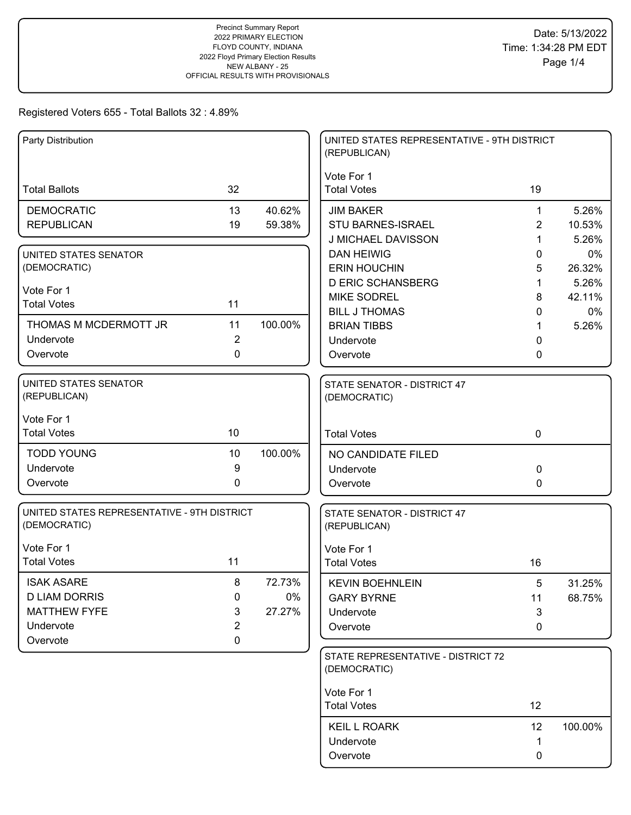| Party Distribution                                          |                               |         | UNITED STATES REPRESENTATIVE - 9TH DISTRICT<br>(REPUBLICAN) |             |              |
|-------------------------------------------------------------|-------------------------------|---------|-------------------------------------------------------------|-------------|--------------|
| <b>Total Ballots</b>                                        | 32                            |         | Vote For 1<br><b>Total Votes</b>                            | 19          |              |
| <b>DEMOCRATIC</b>                                           | 13                            | 40.62%  | <b>JIM BAKER</b>                                            | 1           | 5.26%        |
| <b>REPUBLICAN</b>                                           | 19                            | 59.38%  | <b>STU BARNES-ISRAEL</b>                                    | 2           | 10.53%       |
|                                                             |                               |         | <b>J MICHAEL DAVISSON</b>                                   | 1           | 5.26%        |
| UNITED STATES SENATOR<br>(DEMOCRATIC)                       |                               |         | <b>DAN HEIWIG</b><br><b>ERIN HOUCHIN</b>                    | 0<br>5      | 0%<br>26.32% |
|                                                             |                               |         | <b>D ERIC SCHANSBERG</b>                                    | 1           | 5.26%        |
| Vote For 1                                                  |                               |         | <b>MIKE SODREL</b>                                          | 8           | 42.11%       |
| <b>Total Votes</b>                                          | 11                            |         | <b>BILL J THOMAS</b>                                        | 0           | 0%           |
| THOMAS M MCDERMOTT JR                                       | 11                            | 100.00% | <b>BRIAN TIBBS</b>                                          | 1           | 5.26%        |
| Undervote                                                   | $\overline{2}$                |         | Undervote                                                   | 0           |              |
| Overvote                                                    | 0                             |         | Overvote                                                    | 0           |              |
| UNITED STATES SENATOR<br>(REPUBLICAN)                       |                               |         | STATE SENATOR - DISTRICT 47<br>(DEMOCRATIC)                 |             |              |
| Vote For 1<br><b>Total Votes</b>                            | 10                            |         | <b>Total Votes</b>                                          | $\mathbf 0$ |              |
| <b>TODD YOUNG</b>                                           | 10                            | 100.00% | NO CANDIDATE FILED                                          |             |              |
| Undervote                                                   | 9                             |         | Undervote                                                   | $\Omega$    |              |
| Overvote                                                    | 0                             |         | Overvote                                                    | 0           |              |
| UNITED STATES REPRESENTATIVE - 9TH DISTRICT<br>(DEMOCRATIC) |                               |         | STATE SENATOR - DISTRICT 47<br>(REPUBLICAN)                 |             |              |
| Vote For 1                                                  |                               |         | Vote For 1                                                  |             |              |
| <b>Total Votes</b>                                          | 11                            |         | <b>Total Votes</b>                                          | 16          |              |
| <b>ISAK ASARE</b>                                           | 8                             | 72.73%  | <b>KEVIN BOEHNLEIN</b>                                      | 5           | 31.25%       |
| <b>D LIAM DORRIS</b>                                        | 0                             | $0\%$   | <b>GARY BYRNE</b>                                           | 11          | 68.75%       |
| <b>MATTHEW FYFE</b>                                         | 3                             | 27.27%  | Undervote                                                   | 3           |              |
| Undervote<br>Overvote                                       | $\overline{c}$<br>$\mathbf 0$ |         | Overvote                                                    | 0           |              |
|                                                             |                               |         | STATE REPRESENTATIVE - DISTRICT 72                          |             |              |
|                                                             |                               |         | (DEMOCRATIC)                                                |             |              |
|                                                             |                               |         | Vote For 1                                                  |             |              |
|                                                             |                               |         | <b>Total Votes</b>                                          | 12          |              |
|                                                             |                               |         | <b>KEIL L ROARK</b>                                         | 12          | 100.00%      |
|                                                             |                               |         | Undervote                                                   | 1           |              |
|                                                             |                               |         | Overvote                                                    | 0           |              |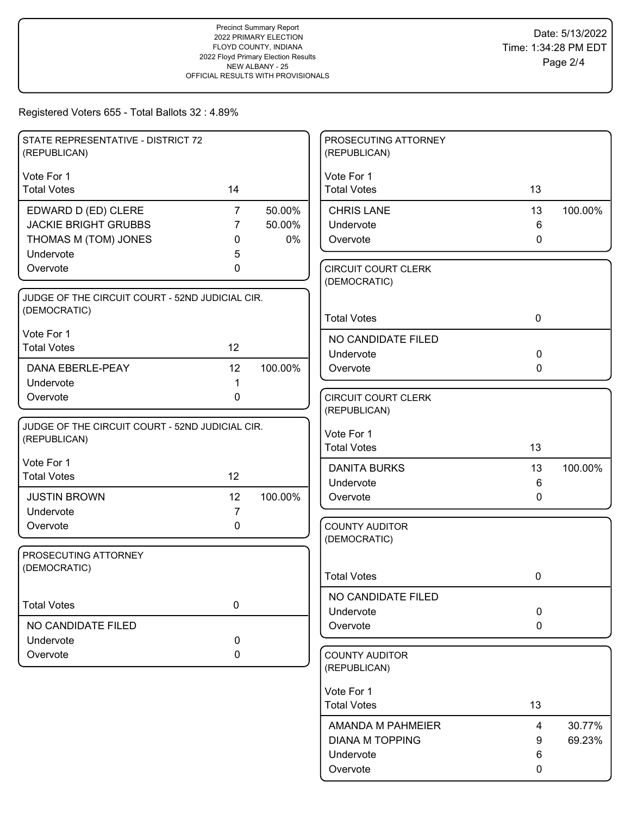| STATE REPRESENTATIVE - DISTRICT 72<br>(REPUBLICAN) |                |         | PROSECUTING ATTORNEY<br>(REPUBLICAN)       |                |         |
|----------------------------------------------------|----------------|---------|--------------------------------------------|----------------|---------|
| Vote For 1                                         |                |         | Vote For 1                                 |                |         |
| <b>Total Votes</b>                                 | 14             |         | <b>Total Votes</b>                         | 13             |         |
| EDWARD D (ED) CLERE                                | $\overline{7}$ | 50.00%  | <b>CHRIS LANE</b>                          | 13             | 100.00% |
| <b>JACKIE BRIGHT GRUBBS</b>                        | 7              | 50.00%  | Undervote                                  | 6              |         |
| THOMAS M (TOM) JONES                               | 0              | 0%      | Overvote                                   | $\mathbf{0}$   |         |
| Undervote                                          | 5              |         |                                            |                |         |
| Overvote                                           | 0              |         | <b>CIRCUIT COURT CLERK</b><br>(DEMOCRATIC) |                |         |
| JUDGE OF THE CIRCUIT COURT - 52ND JUDICIAL CIR.    |                |         |                                            |                |         |
| (DEMOCRATIC)                                       |                |         | <b>Total Votes</b>                         | $\mathbf 0$    |         |
| Vote For 1                                         |                |         | NO CANDIDATE FILED                         |                |         |
| <b>Total Votes</b>                                 | 12             |         | Undervote                                  | $\mathbf 0$    |         |
| DANA EBERLE-PEAY                                   | 12             | 100.00% | Overvote                                   | $\mathbf 0$    |         |
| Undervote                                          | 1              |         |                                            |                |         |
| Overvote                                           | $\mathbf 0$    |         | <b>CIRCUIT COURT CLERK</b>                 |                |         |
|                                                    |                |         | (REPUBLICAN)                               |                |         |
| JUDGE OF THE CIRCUIT COURT - 52ND JUDICIAL CIR.    |                |         | Vote For 1                                 |                |         |
| (REPUBLICAN)                                       |                |         | <b>Total Votes</b>                         | 13             |         |
| Vote For 1                                         |                |         | <b>DANITA BURKS</b>                        | 13             | 100.00% |
| <b>Total Votes</b>                                 | 12             |         | Undervote                                  | 6              |         |
| <b>JUSTIN BROWN</b>                                | 12             | 100.00% | Overvote                                   | $\mathbf{0}$   |         |
| Undervote                                          | 7              |         |                                            |                |         |
| Overvote                                           | 0              |         | <b>COUNTY AUDITOR</b>                      |                |         |
|                                                    |                |         | (DEMOCRATIC)                               |                |         |
| PROSECUTING ATTORNEY                               |                |         |                                            |                |         |
| (DEMOCRATIC)                                       |                |         | <b>Total Votes</b>                         | 0              |         |
|                                                    |                |         | NO CANDIDATE FILED                         |                |         |
| <b>Total Votes</b>                                 | $\pmb{0}$      |         | Undervote                                  | $\mathbf 0$    |         |
| NO CANDIDATE FILED                                 |                |         | Overvote                                   | 0              |         |
| Undervote                                          | 0              |         |                                            |                |         |
| Overvote                                           | 0              |         | <b>COUNTY AUDITOR</b>                      |                |         |
|                                                    |                |         | (REPUBLICAN)                               |                |         |
|                                                    |                |         | Vote For 1                                 |                |         |
|                                                    |                |         | <b>Total Votes</b>                         | 13             |         |
|                                                    |                |         | AMANDA M PAHMEIER                          | $\overline{4}$ | 30.77%  |
|                                                    |                |         | <b>DIANA M TOPPING</b>                     | 9              | 69.23%  |
|                                                    |                |         | Undervote                                  | 6              |         |
|                                                    |                |         | Overvote                                   | 0              |         |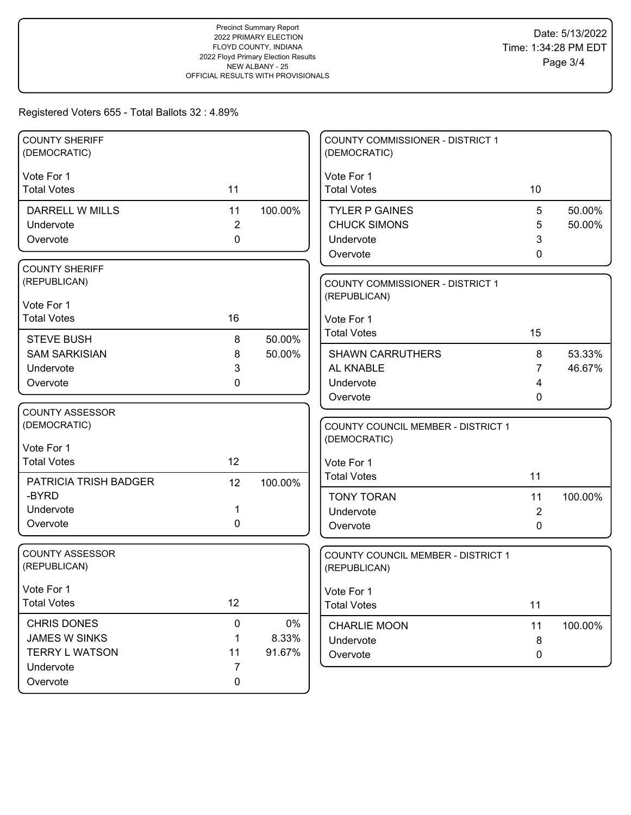| <b>COUNTY SHERIFF</b><br>(DEMOCRATIC)     |                |                  | <b>COUNTY COMMISSIONER - DISTRICT 1</b><br>(DEMOCRATIC) |                |         |
|-------------------------------------------|----------------|------------------|---------------------------------------------------------|----------------|---------|
| Vote For 1                                |                |                  | Vote For 1                                              |                |         |
| <b>Total Votes</b>                        | 11             |                  | <b>Total Votes</b>                                      | 10             |         |
| <b>DARRELL W MILLS</b>                    | 11             | 100.00%          | <b>TYLER P GAINES</b>                                   | 5              | 50.00%  |
| Undervote                                 | $\sqrt{2}$     |                  | <b>CHUCK SIMONS</b>                                     | 5              | 50.00%  |
| Overvote                                  | $\mathbf 0$    |                  | Undervote                                               | 3              |         |
|                                           |                |                  | Overvote                                                | 0              |         |
| <b>COUNTY SHERIFF</b>                     |                |                  |                                                         |                |         |
| (REPUBLICAN)                              |                |                  | COUNTY COMMISSIONER - DISTRICT 1                        |                |         |
| Vote For 1                                |                |                  | (REPUBLICAN)                                            |                |         |
| <b>Total Votes</b>                        | 16             |                  | Vote For 1                                              |                |         |
|                                           |                |                  | <b>Total Votes</b>                                      | 15             |         |
| <b>STEVE BUSH</b><br><b>SAM SARKISIAN</b> | 8              | 50.00%<br>50.00% | <b>SHAWN CARRUTHERS</b>                                 | 8              | 53.33%  |
| Undervote                                 | 8<br>3         |                  | AL KNABLE                                               | 7              | 46.67%  |
| Overvote                                  | 0              |                  | Undervote                                               | 4              |         |
|                                           |                |                  | Overvote                                                | 0              |         |
| <b>COUNTY ASSESSOR</b>                    |                |                  |                                                         |                |         |
| (DEMOCRATIC)                              |                |                  | <b>COUNTY COUNCIL MEMBER - DISTRICT 1</b>               |                |         |
|                                           |                |                  | (DEMOCRATIC)                                            |                |         |
| Vote For 1                                |                |                  |                                                         |                |         |
| <b>Total Votes</b>                        | 12             |                  | Vote For 1                                              |                |         |
| PATRICIA TRISH BADGER                     | 12             | 100.00%          | <b>Total Votes</b>                                      | 11             |         |
| -BYRD                                     |                |                  | <b>TONY TORAN</b>                                       | 11             | 100.00% |
| Undervote                                 | 1              |                  | Undervote                                               | $\overline{2}$ |         |
| Overvote                                  | 0              |                  | Overvote                                                | $\Omega$       |         |
|                                           |                |                  |                                                         |                |         |
| <b>COUNTY ASSESSOR</b>                    |                |                  | COUNTY COUNCIL MEMBER - DISTRICT 1                      |                |         |
| (REPUBLICAN)                              |                |                  | (REPUBLICAN)                                            |                |         |
| Vote For 1                                |                |                  | Vote For 1                                              |                |         |
| <b>Total Votes</b>                        | 12             |                  | <b>Total Votes</b>                                      | 11             |         |
| <b>CHRIS DONES</b>                        | $\mathbf 0$    | $0\%$            |                                                         |                |         |
| <b>JAMES W SINKS</b>                      | 1              | 8.33%            | <b>CHARLIE MOON</b>                                     | 11             | 100.00% |
| <b>TERRY L WATSON</b>                     | 11             | 91.67%           | Undervote<br>Overvote                                   | 8<br>0         |         |
| Undervote                                 | $\overline{7}$ |                  |                                                         |                |         |
| Overvote                                  | $\mathbf 0$    |                  |                                                         |                |         |
|                                           |                |                  |                                                         |                |         |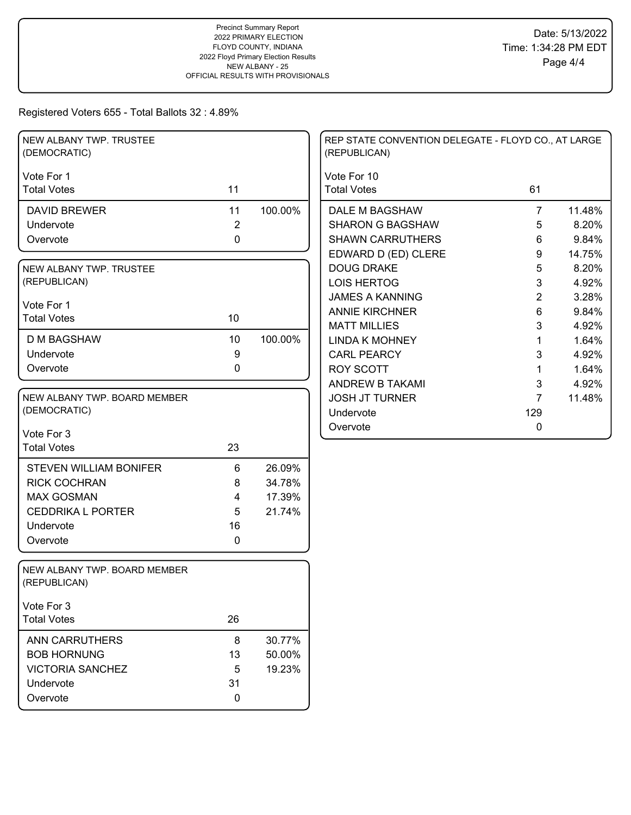| NEW ALBANY TWP. TRUSTEE<br>(DEMOCRATIC)      |                |         | REP STATE CONVENTION DELEGATE - FLOYD CO., AT LARGE<br>(REPUBLICAN) |                |        |
|----------------------------------------------|----------------|---------|---------------------------------------------------------------------|----------------|--------|
| Vote For 1                                   |                |         | Vote For 10                                                         |                |        |
| <b>Total Votes</b>                           | 11             |         | <b>Total Votes</b>                                                  | 61             |        |
| <b>DAVID BREWER</b>                          | 11             | 100.00% | DALE M BAGSHAW                                                      | $\overline{7}$ | 11.48% |
| Undervote                                    | $\overline{2}$ |         | <b>SHARON G BAGSHAW</b>                                             | 5              | 8.20%  |
| Overvote                                     | $\mathbf 0$    |         | <b>SHAWN CARRUTHERS</b>                                             | 6              | 9.84%  |
|                                              |                |         | EDWARD D (ED) CLERE                                                 | 9              | 14.75% |
| NEW ALBANY TWP. TRUSTEE                      |                |         | <b>DOUG DRAKE</b>                                                   | 5              | 8.20%  |
| (REPUBLICAN)                                 |                |         | <b>LOIS HERTOG</b>                                                  | 3              | 4.92%  |
| Vote For 1                                   |                |         | <b>JAMES A KANNING</b>                                              | 2              | 3.28%  |
| <b>Total Votes</b>                           | 10             |         | <b>ANNIE KIRCHNER</b>                                               | 6              | 9.84%  |
|                                              |                |         | <b>MATT MILLIES</b>                                                 | 3              | 4.92%  |
| <b>D M BAGSHAW</b>                           | 10             | 100.00% | <b>LINDA K MOHNEY</b>                                               | 1              | 1.64%  |
| Undervote                                    | 9              |         | <b>CARL PEARCY</b>                                                  | 3              | 4.92%  |
| Overvote                                     | $\mathbf 0$    |         | <b>ROY SCOTT</b>                                                    | 1              | 1.64%  |
|                                              |                |         | <b>ANDREW B TAKAMI</b>                                              | 3              | 4.92%  |
| NEW ALBANY TWP. BOARD MEMBER                 |                |         | <b>JOSH JT TURNER</b>                                               | $\overline{7}$ | 11.48% |
| (DEMOCRATIC)                                 |                |         | Undervote                                                           | 129            |        |
| Vote For 3                                   |                |         | Overvote                                                            | 0              |        |
| <b>Total Votes</b>                           | 23             |         |                                                                     |                |        |
|                                              |                |         |                                                                     |                |        |
| <b>STEVEN WILLIAM BONIFER</b>                | $6\phantom{1}$ | 26.09%  |                                                                     |                |        |
| <b>RICK COCHRAN</b>                          | 8              | 34.78%  |                                                                     |                |        |
| <b>MAX GOSMAN</b>                            | 4              | 17.39%  |                                                                     |                |        |
| <b>CEDDRIKA L PORTER</b>                     | 5              | 21.74%  |                                                                     |                |        |
| Undervote                                    | 16             |         |                                                                     |                |        |
| Overvote                                     | $\mathbf{0}$   |         |                                                                     |                |        |
| NEW ALBANY TWP. BOARD MEMBER<br>(REPUBLICAN) |                |         |                                                                     |                |        |
| Vote For 3                                   |                |         |                                                                     |                |        |
| <b>Total Votes</b>                           | 26             |         |                                                                     |                |        |
| <b>ANN CARRUTHERS</b>                        | $\bf 8$        | 30.77%  |                                                                     |                |        |
| <b>BOB HORNUNG</b>                           | 13             | 50.00%  |                                                                     |                |        |
| <b>VICTORIA SANCHEZ</b>                      | 5              | 19.23%  |                                                                     |                |        |
| Undervote                                    | 31             |         |                                                                     |                |        |
| Overvote                                     | 0              |         |                                                                     |                |        |
|                                              |                |         |                                                                     |                |        |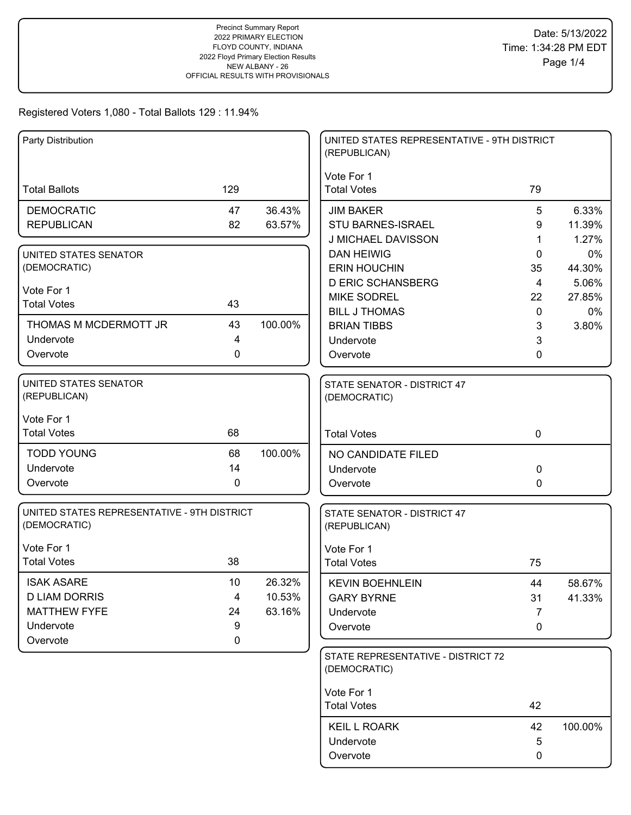| Party Distribution                                          |                  |         | UNITED STATES REPRESENTATIVE - 9TH DISTRICT<br>(REPUBLICAN) |                      |                 |
|-------------------------------------------------------------|------------------|---------|-------------------------------------------------------------|----------------------|-----------------|
|                                                             |                  |         | Vote For 1                                                  |                      |                 |
| <b>Total Ballots</b>                                        | 129              |         | <b>Total Votes</b>                                          | 79                   |                 |
| <b>DEMOCRATIC</b>                                           | 47               | 36.43%  | <b>JIM BAKER</b>                                            | 5                    | 6.33%           |
| <b>REPUBLICAN</b>                                           | 82               | 63.57%  | STU BARNES-ISRAEL                                           | 9                    | 11.39%          |
|                                                             |                  |         | J MICHAEL DAVISSON                                          | 1                    | 1.27%           |
| UNITED STATES SENATOR                                       |                  |         | <b>DAN HEIWIG</b>                                           | 0                    | 0%              |
| (DEMOCRATIC)                                                |                  |         | <b>ERIN HOUCHIN</b>                                         | 35                   | 44.30%          |
| Vote For 1                                                  |                  |         | <b>D ERIC SCHANSBERG</b><br><b>MIKE SODREL</b>              | $\overline{4}$<br>22 | 5.06%<br>27.85% |
| <b>Total Votes</b>                                          | 43               |         | <b>BILL J THOMAS</b>                                        | 0                    | 0%              |
| THOMAS M MCDERMOTT JR                                       | 43               | 100.00% | <b>BRIAN TIBBS</b>                                          | 3                    | 3.80%           |
| Undervote                                                   | 4                |         | Undervote                                                   | 3                    |                 |
| Overvote                                                    | $\mathbf 0$      |         | Overvote                                                    | 0                    |                 |
| UNITED STATES SENATOR                                       |                  |         | STATE SENATOR - DISTRICT 47                                 |                      |                 |
| (REPUBLICAN)                                                |                  |         | (DEMOCRATIC)                                                |                      |                 |
| Vote For 1                                                  |                  |         |                                                             |                      |                 |
| <b>Total Votes</b>                                          | 68               |         | <b>Total Votes</b>                                          | $\mathbf 0$          |                 |
| <b>TODD YOUNG</b>                                           | 68               | 100.00% | NO CANDIDATE FILED                                          |                      |                 |
| Undervote                                                   | 14               |         | Undervote                                                   | $\Omega$             |                 |
| Overvote                                                    | 0                |         | Overvote                                                    | 0                    |                 |
| UNITED STATES REPRESENTATIVE - 9TH DISTRICT<br>(DEMOCRATIC) |                  |         | STATE SENATOR - DISTRICT 47<br>(REPUBLICAN)                 |                      |                 |
| Vote For 1                                                  |                  |         | Vote For 1                                                  |                      |                 |
| <b>Total Votes</b>                                          | 38               |         | <b>Total Votes</b>                                          | 75                   |                 |
| <b>ISAK ASARE</b>                                           | 10               | 26.32%  | <b>KEVIN BOEHNLEIN</b>                                      | 44                   | 58.67%          |
| <b>D LIAM DORRIS</b>                                        | 4                | 10.53%  | <b>GARY BYRNE</b>                                           | 31                   | 41.33%          |
| <b>MATTHEW FYFE</b>                                         | 24               | 63.16%  | Undervote                                                   | 7                    |                 |
| Undervote                                                   | 9<br>$\mathbf 0$ |         | Overvote                                                    | 0                    |                 |
| Overvote                                                    |                  |         |                                                             |                      |                 |
|                                                             |                  |         | STATE REPRESENTATIVE - DISTRICT 72<br>(DEMOCRATIC)          |                      |                 |
|                                                             |                  |         | Vote For 1                                                  |                      |                 |
|                                                             |                  |         | <b>Total Votes</b>                                          | 42                   |                 |
|                                                             |                  |         | <b>KEIL L ROARK</b>                                         | 42                   | 100.00%         |
|                                                             |                  |         | Undervote                                                   | 5                    |                 |
|                                                             |                  |         | Overvote                                                    | 0                    |                 |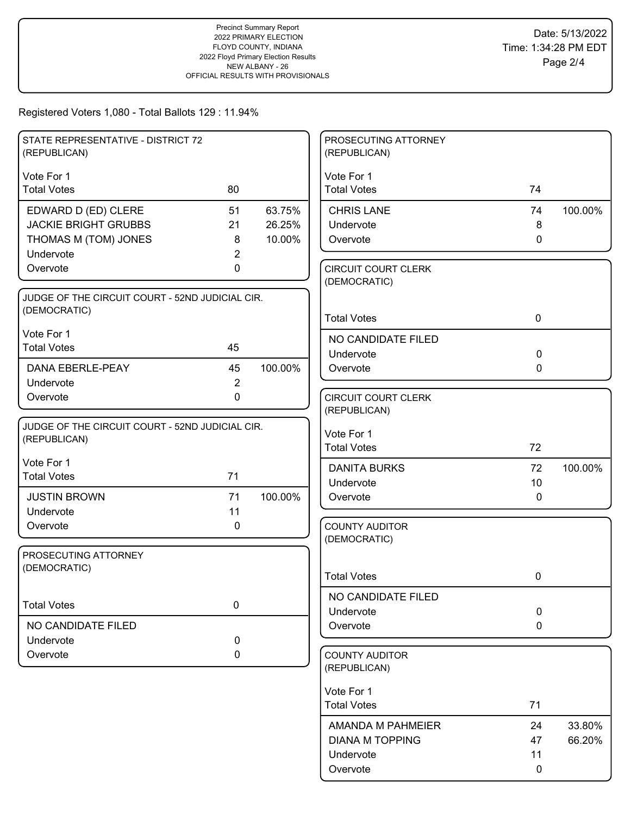| STATE REPRESENTATIVE - DISTRICT 72<br>(REPUBLICAN)              |                |         | PROSECUTING ATTORNEY<br>(REPUBLICAN)       |                   |         |
|-----------------------------------------------------------------|----------------|---------|--------------------------------------------|-------------------|---------|
| Vote For 1                                                      |                |         | Vote For 1                                 |                   |         |
| <b>Total Votes</b>                                              | 80             |         | <b>Total Votes</b>                         | 74                |         |
| EDWARD D (ED) CLERE                                             | 51             | 63.75%  | <b>CHRIS LANE</b>                          | 74                | 100.00% |
| <b>JACKIE BRIGHT GRUBBS</b>                                     | 21             | 26.25%  | Undervote                                  | 8                 |         |
| THOMAS M (TOM) JONES                                            | 8              | 10.00%  | Overvote                                   | 0                 |         |
| Undervote                                                       | 2              |         |                                            |                   |         |
| Overvote                                                        | 0              |         | <b>CIRCUIT COURT CLERK</b><br>(DEMOCRATIC) |                   |         |
| JUDGE OF THE CIRCUIT COURT - 52ND JUDICIAL CIR.<br>(DEMOCRATIC) |                |         | <b>Total Votes</b>                         | $\mathbf 0$       |         |
| Vote For 1                                                      |                |         |                                            |                   |         |
| <b>Total Votes</b>                                              | 45             |         | NO CANDIDATE FILED                         |                   |         |
|                                                                 |                |         | Undervote                                  | $\mathbf 0$       |         |
| DANA EBERLE-PEAY                                                | 45             | 100.00% | Overvote                                   | 0                 |         |
| Undervote                                                       | $\overline{2}$ |         |                                            |                   |         |
| Overvote                                                        | $\mathbf 0$    |         | <b>CIRCUIT COURT CLERK</b><br>(REPUBLICAN) |                   |         |
| JUDGE OF THE CIRCUIT COURT - 52ND JUDICIAL CIR.                 |                |         |                                            |                   |         |
| (REPUBLICAN)                                                    |                |         | Vote For 1                                 |                   |         |
|                                                                 |                |         | <b>Total Votes</b>                         | 72                |         |
| Vote For 1                                                      |                |         | <b>DANITA BURKS</b>                        | 72                | 100.00% |
| <b>Total Votes</b>                                              | 71             |         | Undervote                                  | 10                |         |
| <b>JUSTIN BROWN</b>                                             | 71             | 100.00% | Overvote                                   | $\mathbf 0$       |         |
| Undervote                                                       | 11             |         |                                            |                   |         |
| Overvote                                                        | 0              |         | <b>COUNTY AUDITOR</b>                      |                   |         |
|                                                                 |                |         | (DEMOCRATIC)                               |                   |         |
| PROSECUTING ATTORNEY                                            |                |         |                                            |                   |         |
| (DEMOCRATIC)                                                    |                |         | <b>Total Votes</b>                         | 0                 |         |
|                                                                 |                |         | NO CANDIDATE FILED                         |                   |         |
| <b>Total Votes</b>                                              | $\pmb{0}$      |         | Undervote                                  | $\pmb{0}$         |         |
| NO CANDIDATE FILED                                              |                |         | Overvote                                   | $\mathbf 0$       |         |
| Undervote                                                       | 0              |         |                                            |                   |         |
| Overvote                                                        | $\mathbf 0$    |         | <b>COUNTY AUDITOR</b><br>(REPUBLICAN)      |                   |         |
|                                                                 |                |         |                                            |                   |         |
|                                                                 |                |         | Vote For 1<br><b>Total Votes</b>           | 71                |         |
|                                                                 |                |         |                                            |                   |         |
|                                                                 |                |         | AMANDA M PAHMEIER                          | 24                | 33.80%  |
|                                                                 |                |         | <b>DIANA M TOPPING</b>                     | 47                | 66.20%  |
|                                                                 |                |         |                                            |                   |         |
|                                                                 |                |         | Undervote<br>Overvote                      | 11<br>$\mathbf 0$ |         |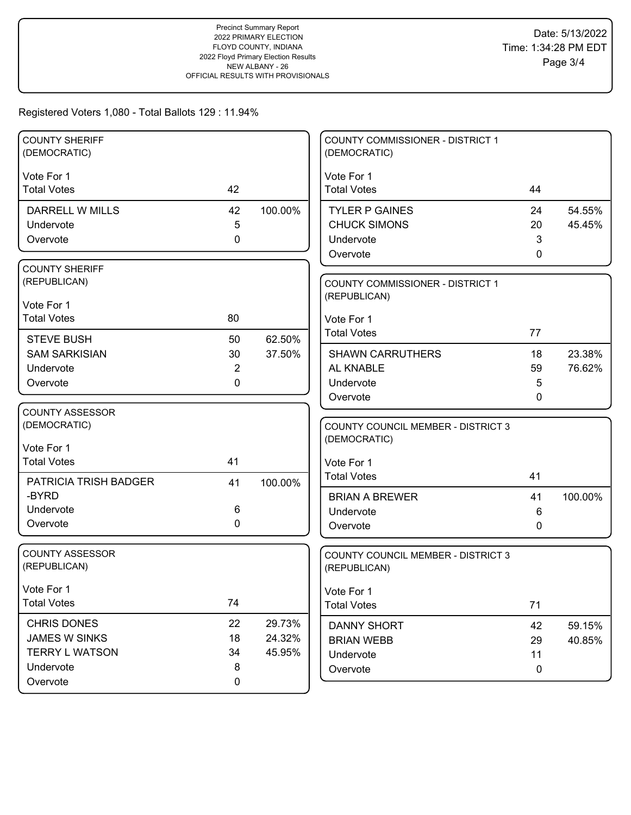| <b>COUNTY SHERIFF</b><br>(DEMOCRATIC) |                |         | <b>COUNTY COMMISSIONER - DISTRICT 1</b><br>(DEMOCRATIC)   |              |         |
|---------------------------------------|----------------|---------|-----------------------------------------------------------|--------------|---------|
| Vote For 1                            |                |         | Vote For 1                                                |              |         |
| <b>Total Votes</b>                    | 42             |         | <b>Total Votes</b>                                        | 44           |         |
| <b>DARRELL W MILLS</b>                | 42             | 100.00% | <b>TYLER P GAINES</b>                                     | 24           | 54.55%  |
| Undervote                             | 5              |         | <b>CHUCK SIMONS</b>                                       | 20           | 45.45%  |
| Overvote                              | $\mathbf 0$    |         | Undervote                                                 | 3            |         |
|                                       |                |         | Overvote                                                  | 0            |         |
| <b>COUNTY SHERIFF</b><br>(REPUBLICAN) |                |         | <b>COUNTY COMMISSIONER - DISTRICT 1</b>                   |              |         |
|                                       |                |         | (REPUBLICAN)                                              |              |         |
| Vote For 1                            |                |         |                                                           |              |         |
| <b>Total Votes</b>                    | 80             |         | Vote For 1                                                |              |         |
| <b>STEVE BUSH</b>                     | 50             | 62.50%  | <b>Total Votes</b>                                        | 77           |         |
| <b>SAM SARKISIAN</b>                  | 30             | 37.50%  | <b>SHAWN CARRUTHERS</b>                                   | 18           | 23.38%  |
| Undervote                             | $\overline{2}$ |         | AL KNABLE                                                 | 59           | 76.62%  |
| Overvote                              | 0              |         | Undervote                                                 | 5            |         |
|                                       |                |         | Overvote                                                  | 0            |         |
| <b>COUNTY ASSESSOR</b>                |                |         |                                                           |              |         |
| (DEMOCRATIC)                          |                |         | <b>COUNTY COUNCIL MEMBER - DISTRICT 3</b><br>(DEMOCRATIC) |              |         |
| Vote For 1                            |                |         |                                                           |              |         |
| <b>Total Votes</b>                    | 41             |         | Vote For 1                                                |              |         |
| PATRICIA TRISH BADGER                 | 41             | 100.00% | <b>Total Votes</b>                                        | 41           |         |
| -BYRD                                 |                |         | <b>BRIAN A BREWER</b>                                     | 41           | 100.00% |
| Undervote                             | 6              |         | Undervote                                                 | 6            |         |
| Overvote                              | 0              |         | Overvote                                                  | $\mathbf{0}$ |         |
| <b>COUNTY ASSESSOR</b>                |                |         |                                                           |              |         |
| (REPUBLICAN)                          |                |         | <b>COUNTY COUNCIL MEMBER - DISTRICT 3</b><br>(REPUBLICAN) |              |         |
|                                       |                |         |                                                           |              |         |
| Vote For 1                            | 74             |         | Vote For 1                                                |              |         |
| <b>Total Votes</b>                    |                |         | <b>Total Votes</b>                                        | 71           |         |
| CHRIS DONES                           | 22             | 29.73%  | <b>DANNY SHORT</b>                                        | 42           | 59.15%  |
| <b>JAMES W SINKS</b>                  | 18             | 24.32%  | <b>BRIAN WEBB</b>                                         | 29           | 40.85%  |
| <b>TERRY L WATSON</b>                 | 34             | 45.95%  | Undervote                                                 | 11           |         |
| Undervote                             | 8              |         | Overvote                                                  | 0            |         |
| Overvote                              | $\mathbf 0$    |         |                                                           |              |         |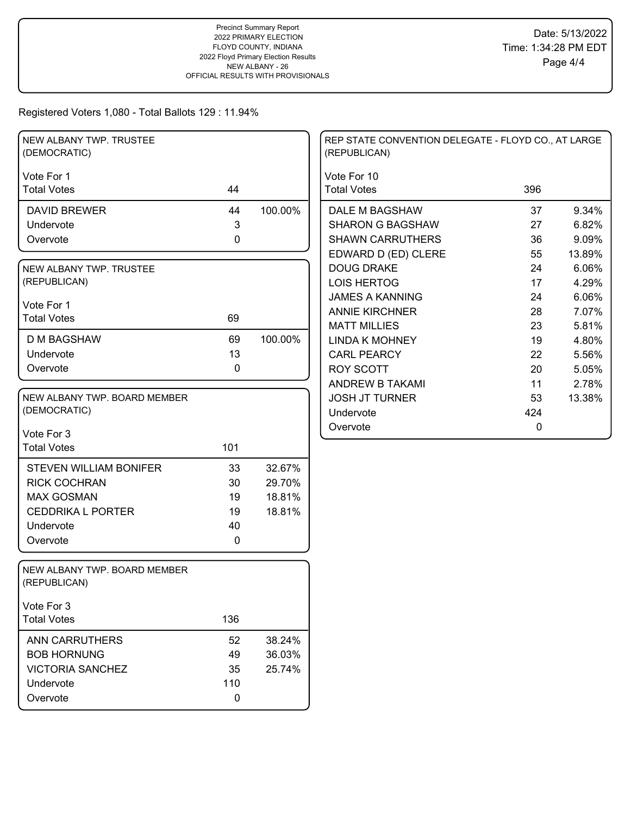| Vote For 1<br>Vote For 10<br>396<br><b>Total Votes</b><br>44<br><b>Total Votes</b><br>100.00%<br>9.34%<br>44<br>DALE M BAGSHAW<br>37<br><b>DAVID BREWER</b><br>$\mathbf{3}$<br><b>SHARON G BAGSHAW</b><br>6.82%<br>Undervote<br>27<br>$\pmb{0}$<br><b>SHAWN CARRUTHERS</b><br>36<br>9.09%<br>Overvote<br>EDWARD D (ED) CLERE<br>55<br>13.89%<br><b>DOUG DRAKE</b><br>24<br>6.06%<br>NEW ALBANY TWP. TRUSTEE<br>(REPUBLICAN)<br><b>LOIS HERTOG</b><br>17<br>4.29%<br><b>JAMES A KANNING</b><br>6.06%<br>24<br>Vote For 1<br><b>ANNIE KIRCHNER</b><br>28<br>7.07%<br><b>Total Votes</b><br>69<br><b>MATT MILLIES</b><br>23<br>5.81%<br>69<br>100.00%<br><b>D M BAGSHAW</b><br><b>LINDA K MOHNEY</b><br>19<br>4.80%<br>13<br>Undervote<br><b>CARL PEARCY</b><br>22<br>5.56%<br>0<br>Overvote<br><b>ROY SCOTT</b><br>20<br>5.05%<br>ANDREW B TAKAMI<br>2.78%<br>11<br>NEW ALBANY TWP. BOARD MEMBER<br><b>JOSH JT TURNER</b><br>53<br>13.38%<br>(DEMOCRATIC)<br>424<br>Undervote<br>Overvote<br>0<br>Vote For 3<br><b>Total Votes</b><br>101<br>33<br>32.67%<br><b>STEVEN WILLIAM BONIFER</b><br><b>RICK COCHRAN</b><br>30<br>29.70%<br><b>MAX GOSMAN</b><br>18.81%<br>19<br><b>CEDDRIKA L PORTER</b><br>19<br>18.81%<br>Undervote<br>40<br>0<br>Overvote<br>NEW ALBANY TWP. BOARD MEMBER<br>(REPUBLICAN)<br>Vote For 3<br>136<br><b>Total Votes</b><br><b>ANN CARRUTHERS</b><br>52<br>38.24%<br><b>BOB HORNUNG</b><br>49<br>36.03%<br><b>VICTORIA SANCHEZ</b><br>35<br>25.74%<br>110<br>Undervote<br>0<br>Overvote | NEW ALBANY TWP. TRUSTEE<br>(DEMOCRATIC) |  | REP STATE CONVENTION DELEGATE - FLOYD CO., AT LARGE<br>(REPUBLICAN) |  |
|----------------------------------------------------------------------------------------------------------------------------------------------------------------------------------------------------------------------------------------------------------------------------------------------------------------------------------------------------------------------------------------------------------------------------------------------------------------------------------------------------------------------------------------------------------------------------------------------------------------------------------------------------------------------------------------------------------------------------------------------------------------------------------------------------------------------------------------------------------------------------------------------------------------------------------------------------------------------------------------------------------------------------------------------------------------------------------------------------------------------------------------------------------------------------------------------------------------------------------------------------------------------------------------------------------------------------------------------------------------------------------------------------------------------------------------------------------------------------------------------------------------|-----------------------------------------|--|---------------------------------------------------------------------|--|
|                                                                                                                                                                                                                                                                                                                                                                                                                                                                                                                                                                                                                                                                                                                                                                                                                                                                                                                                                                                                                                                                                                                                                                                                                                                                                                                                                                                                                                                                                                                |                                         |  |                                                                     |  |
|                                                                                                                                                                                                                                                                                                                                                                                                                                                                                                                                                                                                                                                                                                                                                                                                                                                                                                                                                                                                                                                                                                                                                                                                                                                                                                                                                                                                                                                                                                                |                                         |  |                                                                     |  |
|                                                                                                                                                                                                                                                                                                                                                                                                                                                                                                                                                                                                                                                                                                                                                                                                                                                                                                                                                                                                                                                                                                                                                                                                                                                                                                                                                                                                                                                                                                                |                                         |  |                                                                     |  |
|                                                                                                                                                                                                                                                                                                                                                                                                                                                                                                                                                                                                                                                                                                                                                                                                                                                                                                                                                                                                                                                                                                                                                                                                                                                                                                                                                                                                                                                                                                                |                                         |  |                                                                     |  |
|                                                                                                                                                                                                                                                                                                                                                                                                                                                                                                                                                                                                                                                                                                                                                                                                                                                                                                                                                                                                                                                                                                                                                                                                                                                                                                                                                                                                                                                                                                                |                                         |  |                                                                     |  |
|                                                                                                                                                                                                                                                                                                                                                                                                                                                                                                                                                                                                                                                                                                                                                                                                                                                                                                                                                                                                                                                                                                                                                                                                                                                                                                                                                                                                                                                                                                                |                                         |  |                                                                     |  |
|                                                                                                                                                                                                                                                                                                                                                                                                                                                                                                                                                                                                                                                                                                                                                                                                                                                                                                                                                                                                                                                                                                                                                                                                                                                                                                                                                                                                                                                                                                                |                                         |  |                                                                     |  |
|                                                                                                                                                                                                                                                                                                                                                                                                                                                                                                                                                                                                                                                                                                                                                                                                                                                                                                                                                                                                                                                                                                                                                                                                                                                                                                                                                                                                                                                                                                                |                                         |  |                                                                     |  |
|                                                                                                                                                                                                                                                                                                                                                                                                                                                                                                                                                                                                                                                                                                                                                                                                                                                                                                                                                                                                                                                                                                                                                                                                                                                                                                                                                                                                                                                                                                                |                                         |  |                                                                     |  |
|                                                                                                                                                                                                                                                                                                                                                                                                                                                                                                                                                                                                                                                                                                                                                                                                                                                                                                                                                                                                                                                                                                                                                                                                                                                                                                                                                                                                                                                                                                                |                                         |  |                                                                     |  |
|                                                                                                                                                                                                                                                                                                                                                                                                                                                                                                                                                                                                                                                                                                                                                                                                                                                                                                                                                                                                                                                                                                                                                                                                                                                                                                                                                                                                                                                                                                                |                                         |  |                                                                     |  |
|                                                                                                                                                                                                                                                                                                                                                                                                                                                                                                                                                                                                                                                                                                                                                                                                                                                                                                                                                                                                                                                                                                                                                                                                                                                                                                                                                                                                                                                                                                                |                                         |  |                                                                     |  |
|                                                                                                                                                                                                                                                                                                                                                                                                                                                                                                                                                                                                                                                                                                                                                                                                                                                                                                                                                                                                                                                                                                                                                                                                                                                                                                                                                                                                                                                                                                                |                                         |  |                                                                     |  |
|                                                                                                                                                                                                                                                                                                                                                                                                                                                                                                                                                                                                                                                                                                                                                                                                                                                                                                                                                                                                                                                                                                                                                                                                                                                                                                                                                                                                                                                                                                                |                                         |  |                                                                     |  |
|                                                                                                                                                                                                                                                                                                                                                                                                                                                                                                                                                                                                                                                                                                                                                                                                                                                                                                                                                                                                                                                                                                                                                                                                                                                                                                                                                                                                                                                                                                                |                                         |  |                                                                     |  |
|                                                                                                                                                                                                                                                                                                                                                                                                                                                                                                                                                                                                                                                                                                                                                                                                                                                                                                                                                                                                                                                                                                                                                                                                                                                                                                                                                                                                                                                                                                                |                                         |  |                                                                     |  |
|                                                                                                                                                                                                                                                                                                                                                                                                                                                                                                                                                                                                                                                                                                                                                                                                                                                                                                                                                                                                                                                                                                                                                                                                                                                                                                                                                                                                                                                                                                                |                                         |  |                                                                     |  |
|                                                                                                                                                                                                                                                                                                                                                                                                                                                                                                                                                                                                                                                                                                                                                                                                                                                                                                                                                                                                                                                                                                                                                                                                                                                                                                                                                                                                                                                                                                                |                                         |  |                                                                     |  |
|                                                                                                                                                                                                                                                                                                                                                                                                                                                                                                                                                                                                                                                                                                                                                                                                                                                                                                                                                                                                                                                                                                                                                                                                                                                                                                                                                                                                                                                                                                                |                                         |  |                                                                     |  |
|                                                                                                                                                                                                                                                                                                                                                                                                                                                                                                                                                                                                                                                                                                                                                                                                                                                                                                                                                                                                                                                                                                                                                                                                                                                                                                                                                                                                                                                                                                                |                                         |  |                                                                     |  |
|                                                                                                                                                                                                                                                                                                                                                                                                                                                                                                                                                                                                                                                                                                                                                                                                                                                                                                                                                                                                                                                                                                                                                                                                                                                                                                                                                                                                                                                                                                                |                                         |  |                                                                     |  |
|                                                                                                                                                                                                                                                                                                                                                                                                                                                                                                                                                                                                                                                                                                                                                                                                                                                                                                                                                                                                                                                                                                                                                                                                                                                                                                                                                                                                                                                                                                                |                                         |  |                                                                     |  |
|                                                                                                                                                                                                                                                                                                                                                                                                                                                                                                                                                                                                                                                                                                                                                                                                                                                                                                                                                                                                                                                                                                                                                                                                                                                                                                                                                                                                                                                                                                                |                                         |  |                                                                     |  |
|                                                                                                                                                                                                                                                                                                                                                                                                                                                                                                                                                                                                                                                                                                                                                                                                                                                                                                                                                                                                                                                                                                                                                                                                                                                                                                                                                                                                                                                                                                                |                                         |  |                                                                     |  |
|                                                                                                                                                                                                                                                                                                                                                                                                                                                                                                                                                                                                                                                                                                                                                                                                                                                                                                                                                                                                                                                                                                                                                                                                                                                                                                                                                                                                                                                                                                                |                                         |  |                                                                     |  |
|                                                                                                                                                                                                                                                                                                                                                                                                                                                                                                                                                                                                                                                                                                                                                                                                                                                                                                                                                                                                                                                                                                                                                                                                                                                                                                                                                                                                                                                                                                                |                                         |  |                                                                     |  |
|                                                                                                                                                                                                                                                                                                                                                                                                                                                                                                                                                                                                                                                                                                                                                                                                                                                                                                                                                                                                                                                                                                                                                                                                                                                                                                                                                                                                                                                                                                                |                                         |  |                                                                     |  |
|                                                                                                                                                                                                                                                                                                                                                                                                                                                                                                                                                                                                                                                                                                                                                                                                                                                                                                                                                                                                                                                                                                                                                                                                                                                                                                                                                                                                                                                                                                                |                                         |  |                                                                     |  |
|                                                                                                                                                                                                                                                                                                                                                                                                                                                                                                                                                                                                                                                                                                                                                                                                                                                                                                                                                                                                                                                                                                                                                                                                                                                                                                                                                                                                                                                                                                                |                                         |  |                                                                     |  |
|                                                                                                                                                                                                                                                                                                                                                                                                                                                                                                                                                                                                                                                                                                                                                                                                                                                                                                                                                                                                                                                                                                                                                                                                                                                                                                                                                                                                                                                                                                                |                                         |  |                                                                     |  |
|                                                                                                                                                                                                                                                                                                                                                                                                                                                                                                                                                                                                                                                                                                                                                                                                                                                                                                                                                                                                                                                                                                                                                                                                                                                                                                                                                                                                                                                                                                                |                                         |  |                                                                     |  |
|                                                                                                                                                                                                                                                                                                                                                                                                                                                                                                                                                                                                                                                                                                                                                                                                                                                                                                                                                                                                                                                                                                                                                                                                                                                                                                                                                                                                                                                                                                                |                                         |  |                                                                     |  |
|                                                                                                                                                                                                                                                                                                                                                                                                                                                                                                                                                                                                                                                                                                                                                                                                                                                                                                                                                                                                                                                                                                                                                                                                                                                                                                                                                                                                                                                                                                                |                                         |  |                                                                     |  |
|                                                                                                                                                                                                                                                                                                                                                                                                                                                                                                                                                                                                                                                                                                                                                                                                                                                                                                                                                                                                                                                                                                                                                                                                                                                                                                                                                                                                                                                                                                                |                                         |  |                                                                     |  |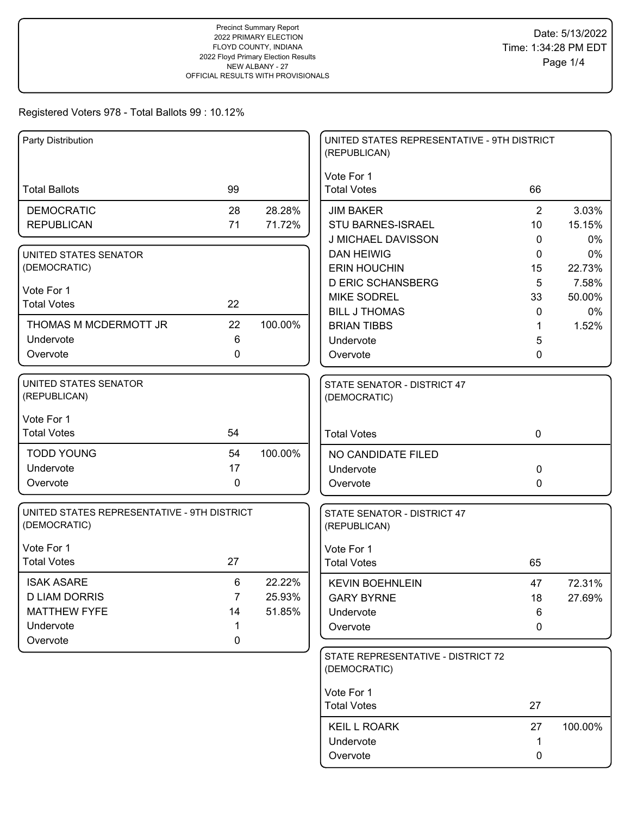| Party Distribution                           |                |         | UNITED STATES REPRESENTATIVE - 9TH DISTRICT<br>(REPUBLICAN) |                |                 |
|----------------------------------------------|----------------|---------|-------------------------------------------------------------|----------------|-----------------|
|                                              |                |         | Vote For 1                                                  |                |                 |
| <b>Total Ballots</b>                         | 99             |         | <b>Total Votes</b>                                          | 66             |                 |
| <b>DEMOCRATIC</b>                            | 28             | 28.28%  | <b>JIM BAKER</b>                                            | $\overline{2}$ | 3.03%           |
| <b>REPUBLICAN</b>                            | 71             | 71.72%  | STU BARNES-ISRAEL                                           | 10             | 15.15%          |
|                                              |                |         | J MICHAEL DAVISSON                                          | $\mathbf{0}$   | $0\%$           |
| UNITED STATES SENATOR                        |                |         | <b>DAN HEIWIG</b>                                           | 0              | 0%              |
| (DEMOCRATIC)                                 |                |         | <b>ERIN HOUCHIN</b>                                         | 15             | 22.73%          |
| Vote For 1                                   |                |         | <b>D ERIC SCHANSBERG</b><br><b>MIKE SODREL</b>              | 5<br>33        | 7.58%<br>50.00% |
| <b>Total Votes</b>                           | 22             |         | <b>BILL J THOMAS</b>                                        | 0              | 0%              |
| THOMAS M MCDERMOTT JR                        | 22             | 100.00% | <b>BRIAN TIBBS</b>                                          | 1              | 1.52%           |
| Undervote                                    | 6              |         | Undervote                                                   | 5              |                 |
| Overvote                                     | 0              |         | Overvote                                                    | 0              |                 |
|                                              |                |         |                                                             |                |                 |
| <b>UNITED STATES SENATOR</b><br>(REPUBLICAN) |                |         | STATE SENATOR - DISTRICT 47<br>(DEMOCRATIC)                 |                |                 |
|                                              |                |         |                                                             |                |                 |
| Vote For 1                                   |                |         |                                                             |                |                 |
| <b>Total Votes</b>                           | 54             |         | <b>Total Votes</b>                                          | $\mathbf 0$    |                 |
| <b>TODD YOUNG</b>                            | 54             | 100.00% | NO CANDIDATE FILED                                          |                |                 |
| Undervote                                    | 17             |         | Undervote                                                   | $\mathbf 0$    |                 |
| Overvote                                     | $\mathbf 0$    |         | Overvote                                                    | $\mathbf{0}$   |                 |
| UNITED STATES REPRESENTATIVE - 9TH DISTRICT  |                |         | STATE SENATOR - DISTRICT 47                                 |                |                 |
| (DEMOCRATIC)                                 |                |         | (REPUBLICAN)                                                |                |                 |
| Vote For 1                                   |                |         | Vote For 1                                                  |                |                 |
| <b>Total Votes</b>                           | 27             |         | <b>Total Votes</b>                                          | 65             |                 |
| <b>ISAK ASARE</b>                            | 6              | 22.22%  | <b>KEVIN BOEHNLEIN</b>                                      | 47             | 72.31%          |
| <b>D LIAM DORRIS</b>                         | $\overline{7}$ | 25.93%  | <b>GARY BYRNE</b>                                           | 18             | 27.69%          |
| <b>MATTHEW FYFE</b>                          | 14             | 51.85%  | Undervote                                                   | 6              |                 |
| Undervote                                    | 1              |         | Overvote                                                    | 0              |                 |
| Overvote                                     | $\mathbf 0$    |         |                                                             |                |                 |
|                                              |                |         | STATE REPRESENTATIVE - DISTRICT 72                          |                |                 |
|                                              |                |         | (DEMOCRATIC)                                                |                |                 |
|                                              |                |         | Vote For 1                                                  |                |                 |
|                                              |                |         | <b>Total Votes</b>                                          | 27             |                 |
|                                              |                |         | <b>KEIL L ROARK</b>                                         | 27             | 100.00%         |
|                                              |                |         | Undervote                                                   | 1              |                 |
|                                              |                |         | Overvote                                                    | 0              |                 |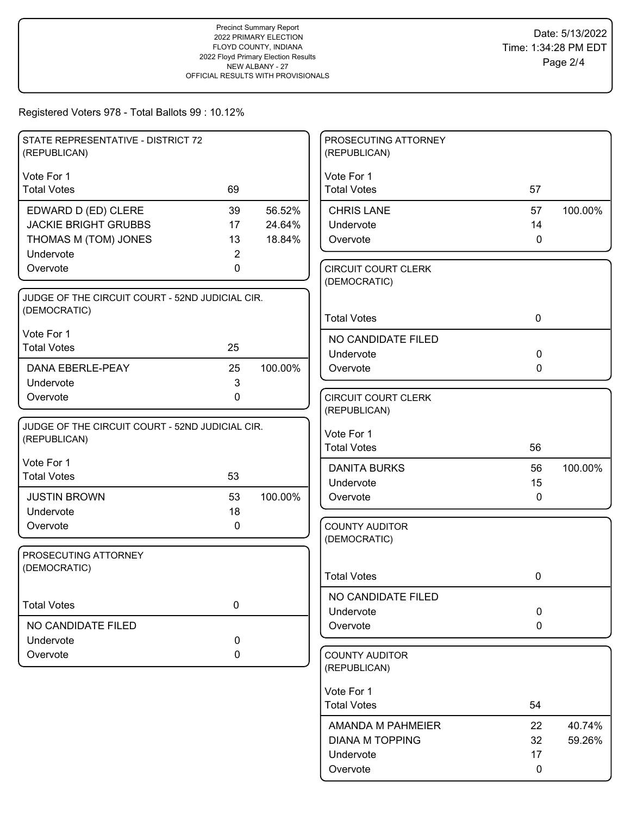| STATE REPRESENTATIVE - DISTRICT 72<br>(REPUBLICAN)              |             |         | PROSECUTING ATTORNEY<br>(REPUBLICAN)       |              |         |
|-----------------------------------------------------------------|-------------|---------|--------------------------------------------|--------------|---------|
| Vote For 1                                                      |             |         | Vote For 1                                 |              |         |
| <b>Total Votes</b>                                              | 69          |         | <b>Total Votes</b>                         | 57           |         |
| EDWARD D (ED) CLERE                                             | 39          | 56.52%  | <b>CHRIS LANE</b>                          | 57           | 100.00% |
| <b>JACKIE BRIGHT GRUBBS</b>                                     | 17          | 24.64%  | Undervote                                  | 14           |         |
| THOMAS M (TOM) JONES                                            | 13          | 18.84%  | Overvote                                   | $\mathbf{0}$ |         |
| Undervote                                                       | 2           |         |                                            |              |         |
| Overvote                                                        | 0           |         | <b>CIRCUIT COURT CLERK</b><br>(DEMOCRATIC) |              |         |
| JUDGE OF THE CIRCUIT COURT - 52ND JUDICIAL CIR.                 |             |         |                                            |              |         |
| (DEMOCRATIC)                                                    |             |         |                                            |              |         |
|                                                                 |             |         | <b>Total Votes</b>                         | 0            |         |
| Vote For 1<br><b>Total Votes</b>                                | 25          |         | NO CANDIDATE FILED                         |              |         |
|                                                                 |             |         | Undervote                                  | $\mathbf 0$  |         |
| DANA EBERLE-PEAY                                                | 25          | 100.00% | Overvote                                   | $\Omega$     |         |
| Undervote                                                       | 3           |         |                                            |              |         |
| Overvote                                                        | $\mathbf 0$ |         | <b>CIRCUIT COURT CLERK</b>                 |              |         |
|                                                                 |             |         | (REPUBLICAN)                               |              |         |
| JUDGE OF THE CIRCUIT COURT - 52ND JUDICIAL CIR.<br>(REPUBLICAN) |             |         | Vote For 1                                 |              |         |
|                                                                 |             |         | <b>Total Votes</b>                         | 56           |         |
| Vote For 1                                                      |             |         | <b>DANITA BURKS</b>                        | 56           | 100.00% |
| <b>Total Votes</b>                                              | 53          |         | Undervote                                  | 15           |         |
| <b>JUSTIN BROWN</b>                                             | 53          | 100.00% | Overvote                                   | $\mathbf{0}$ |         |
| Undervote                                                       | 18          |         |                                            |              |         |
| Overvote                                                        | 0           |         | <b>COUNTY AUDITOR</b>                      |              |         |
|                                                                 |             |         | (DEMOCRATIC)                               |              |         |
| PROSECUTING ATTORNEY                                            |             |         |                                            |              |         |
| (DEMOCRATIC)                                                    |             |         | <b>Total Votes</b>                         | 0            |         |
|                                                                 |             |         | NO CANDIDATE FILED                         |              |         |
| <b>Total Votes</b>                                              | $\mathbf 0$ |         | Undervote                                  | $\mathbf 0$  |         |
| NO CANDIDATE FILED                                              |             |         | Overvote                                   | $\mathbf 0$  |         |
| Undervote                                                       | 0           |         |                                            |              |         |
| Overvote                                                        | 0           |         | <b>COUNTY AUDITOR</b>                      |              |         |
|                                                                 |             |         | (REPUBLICAN)                               |              |         |
|                                                                 |             |         | Vote For 1                                 |              |         |
|                                                                 |             |         | <b>Total Votes</b>                         | 54           |         |
|                                                                 |             |         | AMANDA M PAHMEIER                          | 22           | 40.74%  |
|                                                                 |             |         | <b>DIANA M TOPPING</b>                     | 32           | 59.26%  |
|                                                                 |             |         | Undervote                                  | 17           |         |
|                                                                 |             |         | Overvote                                   | 0            |         |
|                                                                 |             |         |                                            |              |         |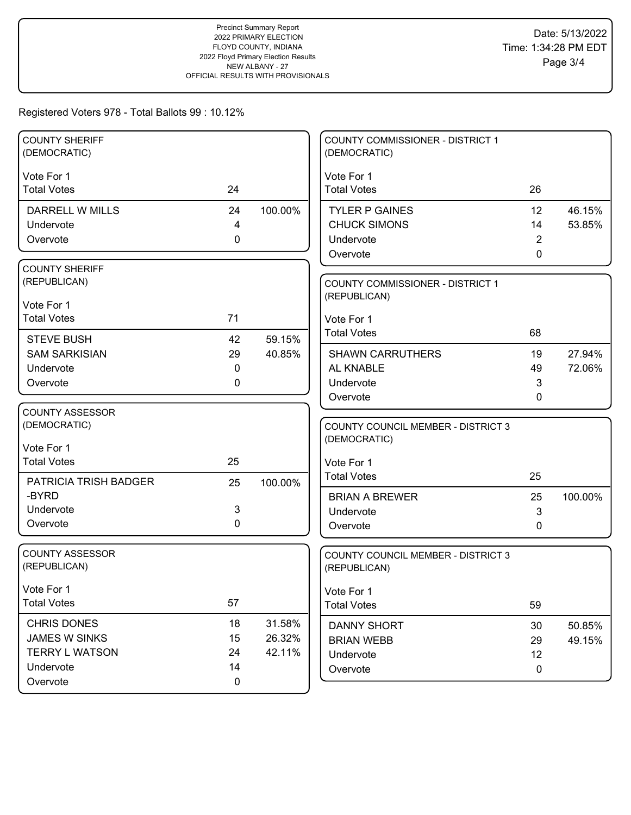| <b>COUNTY SHERIFF</b><br>(DEMOCRATIC) |           |         | COUNTY COMMISSIONER - DISTRICT 1<br>(DEMOCRATIC) |                |                  |
|---------------------------------------|-----------|---------|--------------------------------------------------|----------------|------------------|
| Vote For 1                            |           |         | Vote For 1                                       |                |                  |
| <b>Total Votes</b>                    | 24        |         | <b>Total Votes</b>                               | 26             |                  |
| DARRELL W MILLS                       | 24        | 100.00% | <b>TYLER P GAINES</b>                            | 12             | 46.15%           |
| Undervote                             | 4         |         | <b>CHUCK SIMONS</b>                              | 14             | 53.85%           |
| Overvote                              | 0         |         | Undervote                                        | $\overline{2}$ |                  |
|                                       |           |         | Overvote                                         | 0              |                  |
| <b>COUNTY SHERIFF</b>                 |           |         |                                                  |                |                  |
| (REPUBLICAN)                          |           |         | <b>COUNTY COMMISSIONER - DISTRICT 1</b>          |                |                  |
| Vote For 1                            |           |         | (REPUBLICAN)                                     |                |                  |
| <b>Total Votes</b>                    | 71        |         | Vote For 1                                       |                |                  |
| <b>STEVE BUSH</b>                     | 42        | 59.15%  | <b>Total Votes</b>                               | 68             |                  |
| <b>SAM SARKISIAN</b>                  | 29        | 40.85%  | <b>SHAWN CARRUTHERS</b>                          | 19             | 27.94%           |
| Undervote                             | 0         |         | AL KNABLE                                        | 49             | 72.06%           |
| Overvote                              | 0         |         | Undervote                                        | 3              |                  |
|                                       |           |         | Overvote                                         | 0              |                  |
| COUNTY ASSESSOR                       |           |         |                                                  |                |                  |
| (DEMOCRATIC)                          |           |         | <b>COUNTY COUNCIL MEMBER - DISTRICT 3</b>        |                |                  |
| Vote For 1                            |           |         | (DEMOCRATIC)                                     |                |                  |
| <b>Total Votes</b>                    | 25        |         | Vote For 1                                       |                |                  |
| PATRICIA TRISH BADGER                 | 25        | 100.00% | <b>Total Votes</b>                               | 25             |                  |
| -BYRD                                 |           |         | <b>BRIAN A BREWER</b>                            | 25             | 100.00%          |
| Undervote                             | 3         |         | Undervote                                        | 3              |                  |
| Overvote                              | 0         |         | Overvote                                         | 0              |                  |
|                                       |           |         |                                                  |                |                  |
| <b>COUNTY ASSESSOR</b>                |           |         | <b>COUNTY COUNCIL MEMBER - DISTRICT 3</b>        |                |                  |
| (REPUBLICAN)                          |           |         | (REPUBLICAN)                                     |                |                  |
| Vote For 1                            |           |         | Vote For 1                                       |                |                  |
| <b>Total Votes</b>                    | 57        |         | <b>Total Votes</b>                               | 59             |                  |
| <b>CHRIS DONES</b>                    | 18        | 31.58%  |                                                  |                |                  |
| JAMES W SINKS                         | 15        | 26.32%  | <b>DANNY SHORT</b><br><b>BRIAN WEBB</b>          | 30<br>29       | 50.85%<br>49.15% |
| <b>TERRY L WATSON</b>                 | 24        | 42.11%  | Undervote                                        | 12             |                  |
| Undervote                             | 14        |         | Overvote                                         | $\mathbf 0$    |                  |
| Overvote                              | $\pmb{0}$ |         |                                                  |                |                  |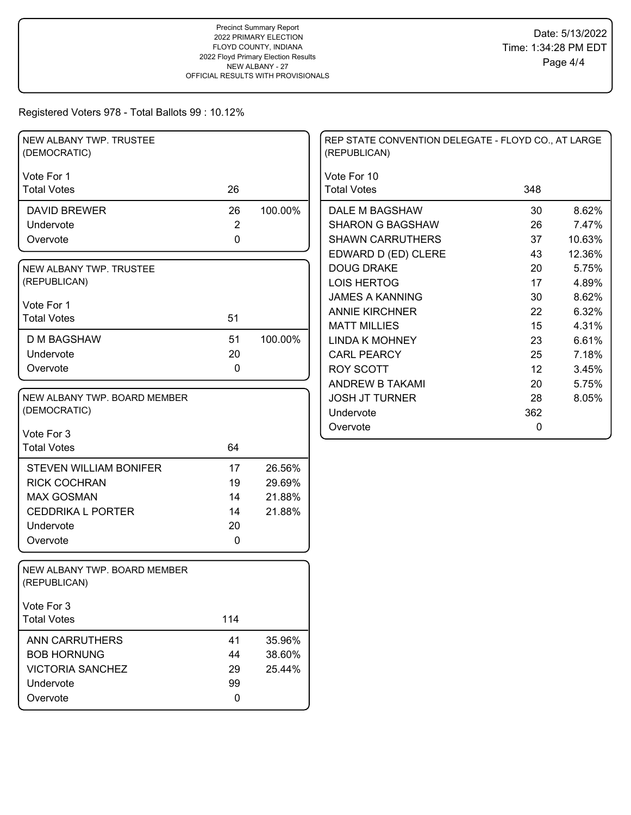| Vote For 1<br>Vote For 10<br>26<br>348<br><b>Total Votes</b><br><b>Total Votes</b><br>100.00%<br>8.62%<br>26<br>30<br><b>DAVID BREWER</b><br>DALE M BAGSHAW<br>$\overline{2}$<br>7.47%<br>Undervote<br><b>SHARON G BAGSHAW</b><br>26<br>0<br>37<br>10.63%<br><b>SHAWN CARRUTHERS</b><br>Overvote<br>EDWARD D (ED) CLERE<br>12.36%<br>43<br>5.75%<br><b>DOUG DRAKE</b><br>20<br>NEW ALBANY TWP. TRUSTEE<br>(REPUBLICAN)<br><b>LOIS HERTOG</b><br>17<br>4.89%<br><b>JAMES A KANNING</b><br>30<br>8.62%<br>Vote For 1<br>6.32%<br><b>ANNIE KIRCHNER</b><br>22<br><b>Total Votes</b><br>51<br><b>MATT MILLIES</b><br>15<br>4.31%<br>51<br><b>D M BAGSHAW</b><br>100.00%<br><b>LINDA K MOHNEY</b><br>23<br>6.61%<br>20<br>Undervote<br><b>CARL PEARCY</b><br>25<br>7.18%<br>$\mathbf 0$<br>Overvote<br><b>ROY SCOTT</b><br>12<br>3.45%<br>ANDREW B TAKAMI<br>20<br>5.75%<br>NEW ALBANY TWP. BOARD MEMBER<br><b>JOSH JT TURNER</b><br>28<br>8.05%<br>(DEMOCRATIC)<br>362<br>Undervote<br>Overvote<br>0<br>Vote For 3<br><b>Total Votes</b><br>64<br>26.56%<br><b>STEVEN WILLIAM BONIFER</b><br>17 | NEW ALBANY TWP. TRUSTEE<br>(DEMOCRATIC) |    |        | REP STATE CONVENTION DELEGATE - FLOYD CO., AT LARGE<br>(REPUBLICAN) |  |
|---------------------------------------------------------------------------------------------------------------------------------------------------------------------------------------------------------------------------------------------------------------------------------------------------------------------------------------------------------------------------------------------------------------------------------------------------------------------------------------------------------------------------------------------------------------------------------------------------------------------------------------------------------------------------------------------------------------------------------------------------------------------------------------------------------------------------------------------------------------------------------------------------------------------------------------------------------------------------------------------------------------------------------------------------------------------------------------------|-----------------------------------------|----|--------|---------------------------------------------------------------------|--|
|                                                                                                                                                                                                                                                                                                                                                                                                                                                                                                                                                                                                                                                                                                                                                                                                                                                                                                                                                                                                                                                                                             |                                         |    |        |                                                                     |  |
|                                                                                                                                                                                                                                                                                                                                                                                                                                                                                                                                                                                                                                                                                                                                                                                                                                                                                                                                                                                                                                                                                             |                                         |    |        |                                                                     |  |
|                                                                                                                                                                                                                                                                                                                                                                                                                                                                                                                                                                                                                                                                                                                                                                                                                                                                                                                                                                                                                                                                                             |                                         |    |        |                                                                     |  |
|                                                                                                                                                                                                                                                                                                                                                                                                                                                                                                                                                                                                                                                                                                                                                                                                                                                                                                                                                                                                                                                                                             |                                         |    |        |                                                                     |  |
|                                                                                                                                                                                                                                                                                                                                                                                                                                                                                                                                                                                                                                                                                                                                                                                                                                                                                                                                                                                                                                                                                             |                                         |    |        |                                                                     |  |
|                                                                                                                                                                                                                                                                                                                                                                                                                                                                                                                                                                                                                                                                                                                                                                                                                                                                                                                                                                                                                                                                                             |                                         |    |        |                                                                     |  |
|                                                                                                                                                                                                                                                                                                                                                                                                                                                                                                                                                                                                                                                                                                                                                                                                                                                                                                                                                                                                                                                                                             |                                         |    |        |                                                                     |  |
|                                                                                                                                                                                                                                                                                                                                                                                                                                                                                                                                                                                                                                                                                                                                                                                                                                                                                                                                                                                                                                                                                             |                                         |    |        |                                                                     |  |
|                                                                                                                                                                                                                                                                                                                                                                                                                                                                                                                                                                                                                                                                                                                                                                                                                                                                                                                                                                                                                                                                                             |                                         |    |        |                                                                     |  |
|                                                                                                                                                                                                                                                                                                                                                                                                                                                                                                                                                                                                                                                                                                                                                                                                                                                                                                                                                                                                                                                                                             |                                         |    |        |                                                                     |  |
|                                                                                                                                                                                                                                                                                                                                                                                                                                                                                                                                                                                                                                                                                                                                                                                                                                                                                                                                                                                                                                                                                             |                                         |    |        |                                                                     |  |
|                                                                                                                                                                                                                                                                                                                                                                                                                                                                                                                                                                                                                                                                                                                                                                                                                                                                                                                                                                                                                                                                                             |                                         |    |        |                                                                     |  |
|                                                                                                                                                                                                                                                                                                                                                                                                                                                                                                                                                                                                                                                                                                                                                                                                                                                                                                                                                                                                                                                                                             |                                         |    |        |                                                                     |  |
|                                                                                                                                                                                                                                                                                                                                                                                                                                                                                                                                                                                                                                                                                                                                                                                                                                                                                                                                                                                                                                                                                             |                                         |    |        |                                                                     |  |
|                                                                                                                                                                                                                                                                                                                                                                                                                                                                                                                                                                                                                                                                                                                                                                                                                                                                                                                                                                                                                                                                                             |                                         |    |        |                                                                     |  |
|                                                                                                                                                                                                                                                                                                                                                                                                                                                                                                                                                                                                                                                                                                                                                                                                                                                                                                                                                                                                                                                                                             |                                         |    |        |                                                                     |  |
|                                                                                                                                                                                                                                                                                                                                                                                                                                                                                                                                                                                                                                                                                                                                                                                                                                                                                                                                                                                                                                                                                             |                                         |    |        |                                                                     |  |
|                                                                                                                                                                                                                                                                                                                                                                                                                                                                                                                                                                                                                                                                                                                                                                                                                                                                                                                                                                                                                                                                                             |                                         |    |        |                                                                     |  |
|                                                                                                                                                                                                                                                                                                                                                                                                                                                                                                                                                                                                                                                                                                                                                                                                                                                                                                                                                                                                                                                                                             |                                         |    |        |                                                                     |  |
|                                                                                                                                                                                                                                                                                                                                                                                                                                                                                                                                                                                                                                                                                                                                                                                                                                                                                                                                                                                                                                                                                             |                                         |    |        |                                                                     |  |
|                                                                                                                                                                                                                                                                                                                                                                                                                                                                                                                                                                                                                                                                                                                                                                                                                                                                                                                                                                                                                                                                                             | <b>RICK COCHRAN</b>                     | 19 | 29.69% |                                                                     |  |
| <b>MAX GOSMAN</b><br>21.88%<br>14                                                                                                                                                                                                                                                                                                                                                                                                                                                                                                                                                                                                                                                                                                                                                                                                                                                                                                                                                                                                                                                           |                                         |    |        |                                                                     |  |
| <b>CEDDRIKA L PORTER</b><br>14<br>21.88%                                                                                                                                                                                                                                                                                                                                                                                                                                                                                                                                                                                                                                                                                                                                                                                                                                                                                                                                                                                                                                                    |                                         |    |        |                                                                     |  |
| Undervote<br>20                                                                                                                                                                                                                                                                                                                                                                                                                                                                                                                                                                                                                                                                                                                                                                                                                                                                                                                                                                                                                                                                             |                                         |    |        |                                                                     |  |
| $\mathbf 0$<br>Overvote                                                                                                                                                                                                                                                                                                                                                                                                                                                                                                                                                                                                                                                                                                                                                                                                                                                                                                                                                                                                                                                                     |                                         |    |        |                                                                     |  |
|                                                                                                                                                                                                                                                                                                                                                                                                                                                                                                                                                                                                                                                                                                                                                                                                                                                                                                                                                                                                                                                                                             |                                         |    |        |                                                                     |  |
| NEW ALBANY TWP. BOARD MEMBER<br>(REPUBLICAN)                                                                                                                                                                                                                                                                                                                                                                                                                                                                                                                                                                                                                                                                                                                                                                                                                                                                                                                                                                                                                                                |                                         |    |        |                                                                     |  |
| Vote For 3                                                                                                                                                                                                                                                                                                                                                                                                                                                                                                                                                                                                                                                                                                                                                                                                                                                                                                                                                                                                                                                                                  |                                         |    |        |                                                                     |  |
| 114<br><b>Total Votes</b>                                                                                                                                                                                                                                                                                                                                                                                                                                                                                                                                                                                                                                                                                                                                                                                                                                                                                                                                                                                                                                                                   |                                         |    |        |                                                                     |  |
| <b>ANN CARRUTHERS</b><br>41<br>35.96%                                                                                                                                                                                                                                                                                                                                                                                                                                                                                                                                                                                                                                                                                                                                                                                                                                                                                                                                                                                                                                                       |                                         |    |        |                                                                     |  |
| <b>BOB HORNUNG</b><br>38.60%<br>44                                                                                                                                                                                                                                                                                                                                                                                                                                                                                                                                                                                                                                                                                                                                                                                                                                                                                                                                                                                                                                                          |                                         |    |        |                                                                     |  |
| <b>VICTORIA SANCHEZ</b><br>25.44%<br>29                                                                                                                                                                                                                                                                                                                                                                                                                                                                                                                                                                                                                                                                                                                                                                                                                                                                                                                                                                                                                                                     |                                         |    |        |                                                                     |  |
| 99<br>Undervote                                                                                                                                                                                                                                                                                                                                                                                                                                                                                                                                                                                                                                                                                                                                                                                                                                                                                                                                                                                                                                                                             |                                         |    |        |                                                                     |  |
| Overvote<br>0                                                                                                                                                                                                                                                                                                                                                                                                                                                                                                                                                                                                                                                                                                                                                                                                                                                                                                                                                                                                                                                                               |                                         |    |        |                                                                     |  |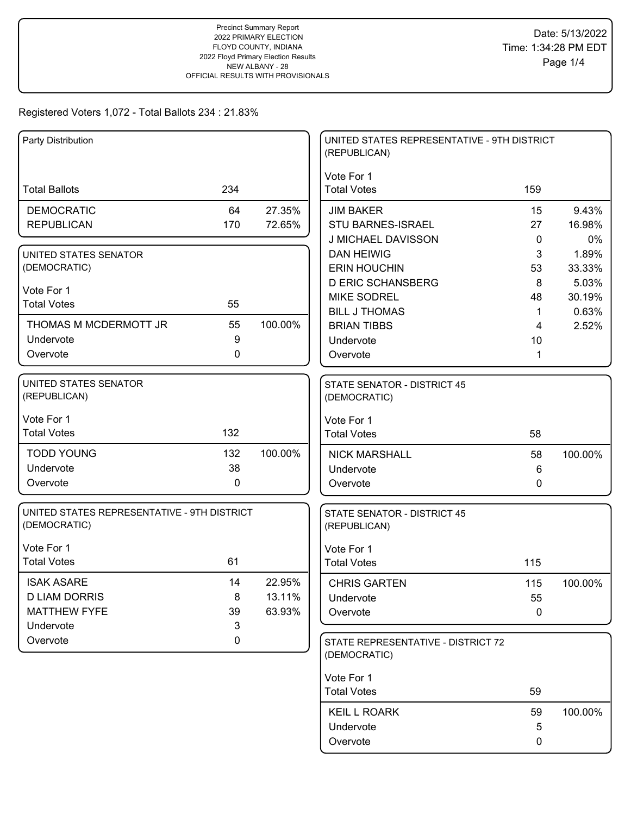| Party Distribution                                                            |                    |                            | UNITED STATES REPRESENTATIVE - 9TH DISTRICT<br>(REPUBLICAN)            |                         |                          |
|-------------------------------------------------------------------------------|--------------------|----------------------------|------------------------------------------------------------------------|-------------------------|--------------------------|
| <b>Total Ballots</b>                                                          | 234                |                            | Vote For 1<br><b>Total Votes</b>                                       | 159                     |                          |
| <b>DEMOCRATIC</b><br><b>REPUBLICAN</b>                                        | 64<br>170          | 27.35%<br>72.65%           | <b>JIM BAKER</b><br><b>STU BARNES-ISRAEL</b>                           | 15<br>27                | 9.43%<br>16.98%          |
| UNITED STATES SENATOR<br>(DEMOCRATIC)                                         |                    |                            | J MICHAEL DAVISSON<br><b>DAN HEIWIG</b><br><b>ERIN HOUCHIN</b>         | $\mathbf{0}$<br>3<br>53 | 0%<br>1.89%<br>33.33%    |
| Vote For 1<br><b>Total Votes</b>                                              | 55                 |                            | <b>D ERIC SCHANSBERG</b><br><b>MIKE SODREL</b><br><b>BILL J THOMAS</b> | 8<br>48<br>$\mathbf 1$  | 5.03%<br>30.19%<br>0.63% |
| THOMAS M MCDERMOTT JR<br>Undervote<br>Overvote                                | 55<br>9<br>0       | 100.00%                    | <b>BRIAN TIBBS</b><br>Undervote                                        | 4<br>10                 | 2.52%                    |
| UNITED STATES SENATOR                                                         |                    |                            | Overvote<br><b>STATE SENATOR - DISTRICT 45</b>                         | 1                       |                          |
| (REPUBLICAN)<br>Vote For 1                                                    |                    |                            | (DEMOCRATIC)<br>Vote For 1                                             |                         |                          |
| <b>Total Votes</b>                                                            | 132                |                            | <b>Total Votes</b>                                                     | 58                      |                          |
| <b>TODD YOUNG</b><br>Undervote<br>Overvote                                    | 132<br>38<br>0     | 100.00%                    | <b>NICK MARSHALL</b><br>Undervote<br>Overvote                          | 58<br>6<br>0            | 100.00%                  |
| UNITED STATES REPRESENTATIVE - 9TH DISTRICT<br>(DEMOCRATIC)                   |                    |                            | STATE SENATOR - DISTRICT 45<br>(REPUBLICAN)                            |                         |                          |
| Vote For 1<br><b>Total Votes</b>                                              | 61                 |                            | Vote For 1<br><b>Total Votes</b>                                       | 115                     |                          |
| <b>ISAK ASARE</b><br><b>D LIAM DORRIS</b><br><b>MATTHEW FYFE</b><br>Undervote | 14<br>8<br>39<br>3 | 22.95%<br>13.11%<br>63.93% | <b>CHRIS GARTEN</b><br>Undervote<br>Overvote                           | 115<br>55<br>0          | 100.00%                  |
| Overvote                                                                      | 0                  |                            | STATE REPRESENTATIVE - DISTRICT 72<br>(DEMOCRATIC)                     |                         |                          |
|                                                                               |                    |                            | Vote For 1<br><b>Total Votes</b>                                       | 59                      |                          |
|                                                                               |                    |                            | <b>KEIL L ROARK</b><br>Undervote<br>Overvote                           | 59<br>5<br>0            | 100.00%                  |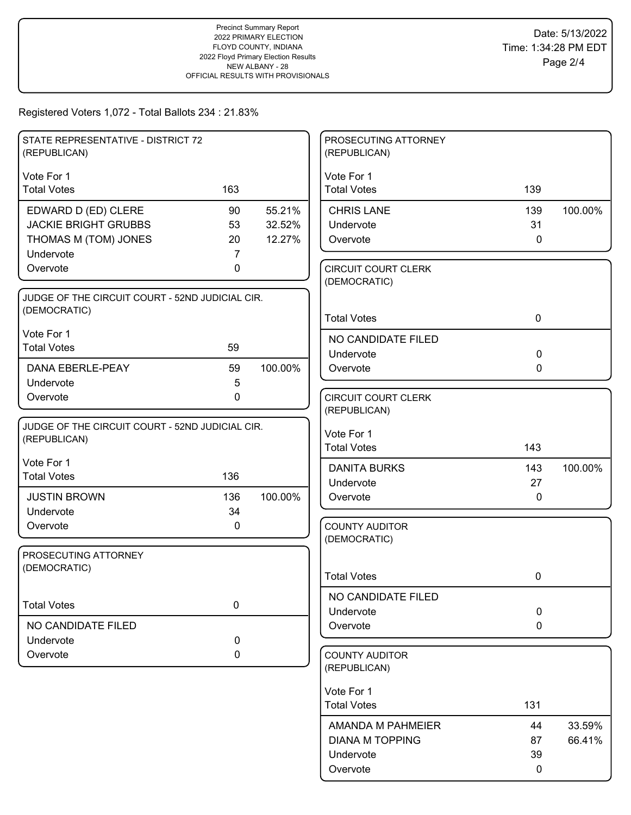| STATE REPRESENTATIVE - DISTRICT 72                 |             |         | PROSECUTING ATTORNEY                  |              |         |
|----------------------------------------------------|-------------|---------|---------------------------------------|--------------|---------|
| (REPUBLICAN)                                       |             |         | (REPUBLICAN)                          |              |         |
| Vote For 1                                         |             |         | Vote For 1                            |              |         |
| <b>Total Votes</b>                                 | 163         |         | <b>Total Votes</b>                    | 139          |         |
|                                                    | 90          | 55.21%  | <b>CHRIS LANE</b>                     | 139          | 100.00% |
| EDWARD D (ED) CLERE<br><b>JACKIE BRIGHT GRUBBS</b> | 53          | 32.52%  | Undervote                             | 31           |         |
| THOMAS M (TOM) JONES                               | 20          | 12.27%  | Overvote                              | $\mathbf 0$  |         |
| Undervote                                          | 7           |         |                                       |              |         |
| Overvote                                           | 0           |         | <b>CIRCUIT COURT CLERK</b>            |              |         |
|                                                    |             |         | (DEMOCRATIC)                          |              |         |
| JUDGE OF THE CIRCUIT COURT - 52ND JUDICIAL CIR.    |             |         |                                       |              |         |
| (DEMOCRATIC)                                       |             |         |                                       |              |         |
|                                                    |             |         | <b>Total Votes</b>                    | $\mathbf 0$  |         |
| Vote For 1                                         |             |         | NO CANDIDATE FILED                    |              |         |
| <b>Total Votes</b>                                 | 59          |         | Undervote                             | $\mathbf 0$  |         |
| DANA EBERLE-PEAY                                   | 59          | 100.00% | Overvote                              | 0            |         |
| Undervote                                          | 5           |         |                                       |              |         |
| Overvote                                           | $\mathbf 0$ |         | <b>CIRCUIT COURT CLERK</b>            |              |         |
|                                                    |             |         | (REPUBLICAN)                          |              |         |
| JUDGE OF THE CIRCUIT COURT - 52ND JUDICIAL CIR.    |             |         | Vote For 1                            |              |         |
| (REPUBLICAN)                                       |             |         | <b>Total Votes</b>                    | 143          |         |
| Vote For 1                                         |             |         |                                       |              |         |
| <b>Total Votes</b>                                 | 136         |         | <b>DANITA BURKS</b>                   | 143          | 100.00% |
|                                                    |             |         | Undervote                             | 27           |         |
| <b>JUSTIN BROWN</b>                                | 136         | 100.00% | Overvote                              | $\mathbf{0}$ |         |
| Undervote                                          | 34          |         |                                       |              |         |
| Overvote                                           | 0           |         | <b>COUNTY AUDITOR</b><br>(DEMOCRATIC) |              |         |
| PROSECUTING ATTORNEY                               |             |         |                                       |              |         |
| (DEMOCRATIC)                                       |             |         |                                       |              |         |
|                                                    |             |         | <b>Total Votes</b>                    | 0            |         |
|                                                    |             |         | NO CANDIDATE FILED                    |              |         |
| <b>Total Votes</b>                                 | $\pmb{0}$   |         | Undervote                             | $\mathbf 0$  |         |
| NO CANDIDATE FILED                                 |             |         | Overvote                              | $\mathbf 0$  |         |
| Undervote                                          | $\mathbf 0$ |         |                                       |              |         |
| Overvote                                           | 0           |         | <b>COUNTY AUDITOR</b>                 |              |         |
|                                                    |             |         | (REPUBLICAN)                          |              |         |
|                                                    |             |         |                                       |              |         |
|                                                    |             |         | Vote For 1<br><b>Total Votes</b>      | 131          |         |
|                                                    |             |         |                                       |              |         |
|                                                    |             |         | AMANDA M PAHMEIER                     | 44           | 33.59%  |
|                                                    |             |         | <b>DIANA M TOPPING</b>                | 87           | 66.41%  |
|                                                    |             |         | Undervote                             | 39           |         |
|                                                    |             |         | Overvote                              | 0            |         |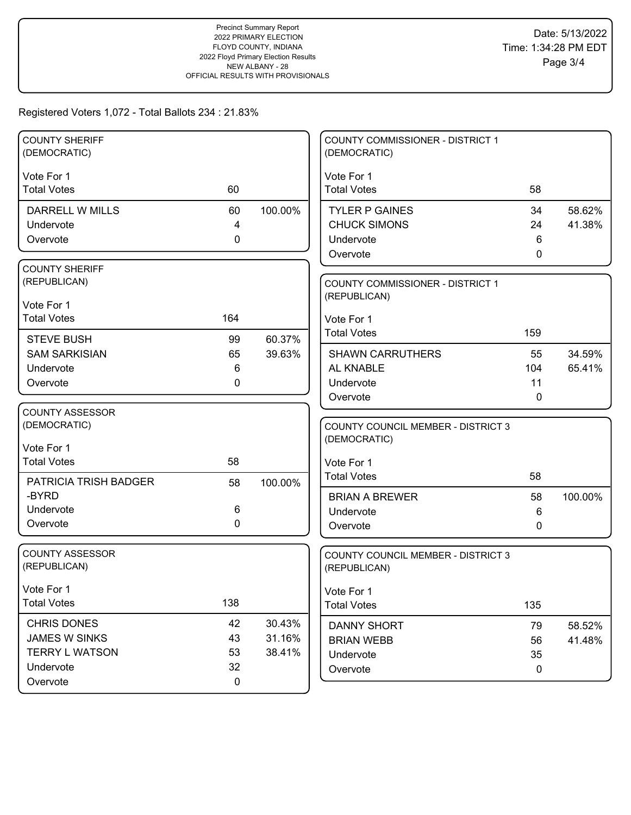| <b>COUNTY SHERIFF</b>        |             |         | COUNTY COMMISSIONER - DISTRICT 1          |              |         |
|------------------------------|-------------|---------|-------------------------------------------|--------------|---------|
| (DEMOCRATIC)                 |             |         | (DEMOCRATIC)                              |              |         |
| Vote For 1                   |             |         | Vote For 1                                |              |         |
| <b>Total Votes</b>           | 60          |         | <b>Total Votes</b>                        | 58           |         |
|                              |             |         |                                           |              |         |
| DARRELL W MILLS              | 60          | 100.00% | <b>TYLER P GAINES</b>                     | 34           | 58.62%  |
| Undervote                    | 4           |         | <b>CHUCK SIMONS</b>                       | 24           | 41.38%  |
| Overvote                     | $\mathbf 0$ |         | Undervote                                 | 6            |         |
|                              |             |         | Overvote                                  | $\mathbf{0}$ |         |
| <b>COUNTY SHERIFF</b>        |             |         |                                           |              |         |
| (REPUBLICAN)                 |             |         | COUNTY COMMISSIONER - DISTRICT 1          |              |         |
|                              |             |         | (REPUBLICAN)                              |              |         |
| Vote For 1                   |             |         |                                           |              |         |
| <b>Total Votes</b>           | 164         |         | Vote For 1                                |              |         |
| <b>STEVE BUSH</b>            | 99          | 60.37%  | <b>Total Votes</b>                        | 159          |         |
| <b>SAM SARKISIAN</b>         | 65          | 39.63%  | <b>SHAWN CARRUTHERS</b>                   | 55           | 34.59%  |
| Undervote                    | 6           |         | AL KNABLE                                 | 104          | 65.41%  |
| Overvote                     | 0           |         | Undervote                                 | 11           |         |
|                              |             |         | Overvote                                  | 0            |         |
| <b>COUNTY ASSESSOR</b>       |             |         |                                           |              |         |
| (DEMOCRATIC)                 |             |         | <b>COUNTY COUNCIL MEMBER - DISTRICT 3</b> |              |         |
|                              |             |         | (DEMOCRATIC)                              |              |         |
| Vote For 1                   |             |         |                                           |              |         |
| <b>Total Votes</b>           | 58          |         | Vote For 1                                |              |         |
| <b>PATRICIA TRISH BADGER</b> | 58          | 100.00% | <b>Total Votes</b>                        | 58           |         |
| -BYRD                        |             |         | <b>BRIAN A BREWER</b>                     | 58           | 100.00% |
| Undervote                    | 6           |         | Undervote                                 | 6            |         |
| Overvote                     | 0           |         | Overvote                                  | 0            |         |
|                              |             |         |                                           |              |         |
| <b>COUNTY ASSESSOR</b>       |             |         | <b>COUNTY COUNCIL MEMBER - DISTRICT 3</b> |              |         |
| (REPUBLICAN)                 |             |         | (REPUBLICAN)                              |              |         |
|                              |             |         |                                           |              |         |
| Vote For 1                   |             |         | Vote For 1                                |              |         |
| <b>Total Votes</b>           | 138         |         | <b>Total Votes</b>                        | 135          |         |
| CHRIS DONES                  | 42          | 30.43%  | <b>DANNY SHORT</b>                        | 79           | 58.52%  |
| <b>JAMES W SINKS</b>         | 43          | 31.16%  | <b>BRIAN WEBB</b>                         | 56           | 41.48%  |
| <b>TERRY L WATSON</b>        | 53          | 38.41%  | Undervote                                 | 35           |         |
| Undervote                    | 32          |         |                                           | $\mathbf 0$  |         |
| Overvote                     | $\mathbf 0$ |         | Overvote                                  |              |         |
|                              |             |         |                                           |              |         |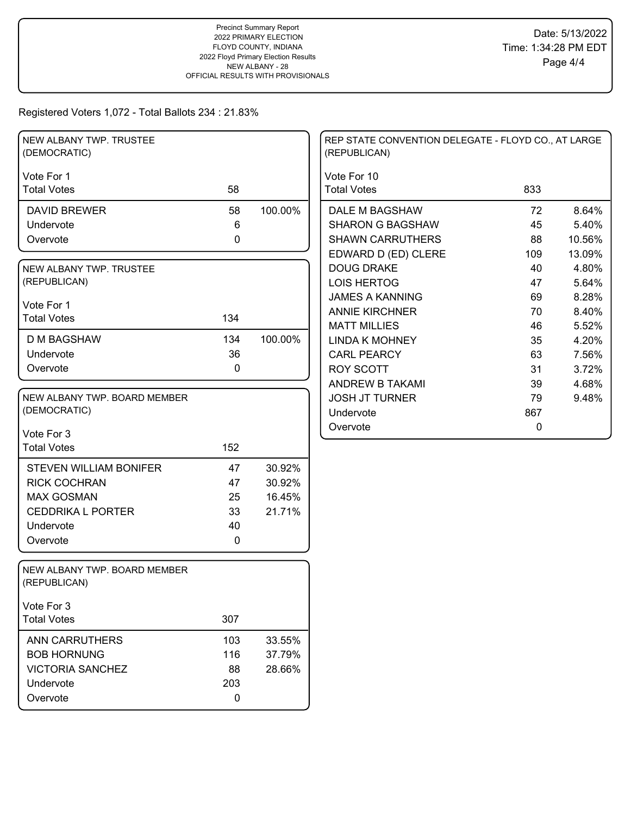| Vote For 1<br>Vote For 10<br><b>Total Votes</b><br>58<br><b>Total Votes</b><br>833<br>100.00%<br>8.64%<br><b>DAVID BREWER</b><br>58<br>DALE M BAGSHAW<br>72<br>5.40%<br>6<br><b>SHARON G BAGSHAW</b><br>45<br>Undervote<br>$\mathbf 0$<br><b>SHAWN CARRUTHERS</b><br>88<br>10.56%<br>Overvote<br>EDWARD D (ED) CLERE<br>109<br>13.09%<br><b>DOUG DRAKE</b><br>40<br>4.80%<br>NEW ALBANY TWP. TRUSTEE<br>(REPUBLICAN)<br><b>LOIS HERTOG</b><br>47<br>5.64%<br><b>JAMES A KANNING</b><br>69<br>8.28%<br>Vote For 1<br>8.40%<br><b>ANNIE KIRCHNER</b><br>70<br>134<br><b>Total Votes</b><br><b>MATT MILLIES</b><br>46<br>5.52%<br>100.00%<br><b>D M BAGSHAW</b><br>134<br><b>LINDA K MOHNEY</b><br>35<br>4.20%<br>36<br>Undervote<br>63<br><b>CARL PEARCY</b><br>7.56%<br>$\mathbf 0$<br>Overvote<br><b>ROY SCOTT</b><br>31<br>3.72%<br>ANDREW B TAKAMI<br>39<br>4.68%<br>NEW ALBANY TWP. BOARD MEMBER<br><b>JOSH JT TURNER</b><br>79<br>9.48%<br>(DEMOCRATIC)<br>867<br>Undervote<br>$\pmb{0}$<br>Overvote<br>Vote For 3<br>152<br><b>Total Votes</b><br>30.92%<br><b>STEVEN WILLIAM BONIFER</b><br>47<br><b>RICK COCHRAN</b><br>30.92%<br>47<br><b>MAX GOSMAN</b><br>25<br>16.45%<br><b>CEDDRIKA L PORTER</b><br>33<br>21.71%<br>Undervote<br>40<br>Overvote<br>0<br>NEW ALBANY TWP. BOARD MEMBER<br>(REPUBLICAN)<br>Vote For 3<br><b>Total Votes</b><br>307<br>103<br><b>ANN CARRUTHERS</b><br>33.55%<br><b>BOB HORNUNG</b><br>116<br>37.79%<br><b>VICTORIA SANCHEZ</b><br>88<br>28.66%<br>203<br>Undervote<br>Overvote<br>0 | NEW ALBANY TWP. TRUSTEE<br>(DEMOCRATIC) |  | REP STATE CONVENTION DELEGATE - FLOYD CO., AT LARGE<br>(REPUBLICAN) |  |
|------------------------------------------------------------------------------------------------------------------------------------------------------------------------------------------------------------------------------------------------------------------------------------------------------------------------------------------------------------------------------------------------------------------------------------------------------------------------------------------------------------------------------------------------------------------------------------------------------------------------------------------------------------------------------------------------------------------------------------------------------------------------------------------------------------------------------------------------------------------------------------------------------------------------------------------------------------------------------------------------------------------------------------------------------------------------------------------------------------------------------------------------------------------------------------------------------------------------------------------------------------------------------------------------------------------------------------------------------------------------------------------------------------------------------------------------------------------------------------------------------------------------------|-----------------------------------------|--|---------------------------------------------------------------------|--|
|                                                                                                                                                                                                                                                                                                                                                                                                                                                                                                                                                                                                                                                                                                                                                                                                                                                                                                                                                                                                                                                                                                                                                                                                                                                                                                                                                                                                                                                                                                                              |                                         |  |                                                                     |  |
|                                                                                                                                                                                                                                                                                                                                                                                                                                                                                                                                                                                                                                                                                                                                                                                                                                                                                                                                                                                                                                                                                                                                                                                                                                                                                                                                                                                                                                                                                                                              |                                         |  |                                                                     |  |
|                                                                                                                                                                                                                                                                                                                                                                                                                                                                                                                                                                                                                                                                                                                                                                                                                                                                                                                                                                                                                                                                                                                                                                                                                                                                                                                                                                                                                                                                                                                              |                                         |  |                                                                     |  |
|                                                                                                                                                                                                                                                                                                                                                                                                                                                                                                                                                                                                                                                                                                                                                                                                                                                                                                                                                                                                                                                                                                                                                                                                                                                                                                                                                                                                                                                                                                                              |                                         |  |                                                                     |  |
|                                                                                                                                                                                                                                                                                                                                                                                                                                                                                                                                                                                                                                                                                                                                                                                                                                                                                                                                                                                                                                                                                                                                                                                                                                                                                                                                                                                                                                                                                                                              |                                         |  |                                                                     |  |
|                                                                                                                                                                                                                                                                                                                                                                                                                                                                                                                                                                                                                                                                                                                                                                                                                                                                                                                                                                                                                                                                                                                                                                                                                                                                                                                                                                                                                                                                                                                              |                                         |  |                                                                     |  |
|                                                                                                                                                                                                                                                                                                                                                                                                                                                                                                                                                                                                                                                                                                                                                                                                                                                                                                                                                                                                                                                                                                                                                                                                                                                                                                                                                                                                                                                                                                                              |                                         |  |                                                                     |  |
|                                                                                                                                                                                                                                                                                                                                                                                                                                                                                                                                                                                                                                                                                                                                                                                                                                                                                                                                                                                                                                                                                                                                                                                                                                                                                                                                                                                                                                                                                                                              |                                         |  |                                                                     |  |
|                                                                                                                                                                                                                                                                                                                                                                                                                                                                                                                                                                                                                                                                                                                                                                                                                                                                                                                                                                                                                                                                                                                                                                                                                                                                                                                                                                                                                                                                                                                              |                                         |  |                                                                     |  |
|                                                                                                                                                                                                                                                                                                                                                                                                                                                                                                                                                                                                                                                                                                                                                                                                                                                                                                                                                                                                                                                                                                                                                                                                                                                                                                                                                                                                                                                                                                                              |                                         |  |                                                                     |  |
|                                                                                                                                                                                                                                                                                                                                                                                                                                                                                                                                                                                                                                                                                                                                                                                                                                                                                                                                                                                                                                                                                                                                                                                                                                                                                                                                                                                                                                                                                                                              |                                         |  |                                                                     |  |
|                                                                                                                                                                                                                                                                                                                                                                                                                                                                                                                                                                                                                                                                                                                                                                                                                                                                                                                                                                                                                                                                                                                                                                                                                                                                                                                                                                                                                                                                                                                              |                                         |  |                                                                     |  |
|                                                                                                                                                                                                                                                                                                                                                                                                                                                                                                                                                                                                                                                                                                                                                                                                                                                                                                                                                                                                                                                                                                                                                                                                                                                                                                                                                                                                                                                                                                                              |                                         |  |                                                                     |  |
|                                                                                                                                                                                                                                                                                                                                                                                                                                                                                                                                                                                                                                                                                                                                                                                                                                                                                                                                                                                                                                                                                                                                                                                                                                                                                                                                                                                                                                                                                                                              |                                         |  |                                                                     |  |
|                                                                                                                                                                                                                                                                                                                                                                                                                                                                                                                                                                                                                                                                                                                                                                                                                                                                                                                                                                                                                                                                                                                                                                                                                                                                                                                                                                                                                                                                                                                              |                                         |  |                                                                     |  |
|                                                                                                                                                                                                                                                                                                                                                                                                                                                                                                                                                                                                                                                                                                                                                                                                                                                                                                                                                                                                                                                                                                                                                                                                                                                                                                                                                                                                                                                                                                                              |                                         |  |                                                                     |  |
|                                                                                                                                                                                                                                                                                                                                                                                                                                                                                                                                                                                                                                                                                                                                                                                                                                                                                                                                                                                                                                                                                                                                                                                                                                                                                                                                                                                                                                                                                                                              |                                         |  |                                                                     |  |
|                                                                                                                                                                                                                                                                                                                                                                                                                                                                                                                                                                                                                                                                                                                                                                                                                                                                                                                                                                                                                                                                                                                                                                                                                                                                                                                                                                                                                                                                                                                              |                                         |  |                                                                     |  |
|                                                                                                                                                                                                                                                                                                                                                                                                                                                                                                                                                                                                                                                                                                                                                                                                                                                                                                                                                                                                                                                                                                                                                                                                                                                                                                                                                                                                                                                                                                                              |                                         |  |                                                                     |  |
|                                                                                                                                                                                                                                                                                                                                                                                                                                                                                                                                                                                                                                                                                                                                                                                                                                                                                                                                                                                                                                                                                                                                                                                                                                                                                                                                                                                                                                                                                                                              |                                         |  |                                                                     |  |
|                                                                                                                                                                                                                                                                                                                                                                                                                                                                                                                                                                                                                                                                                                                                                                                                                                                                                                                                                                                                                                                                                                                                                                                                                                                                                                                                                                                                                                                                                                                              |                                         |  |                                                                     |  |
|                                                                                                                                                                                                                                                                                                                                                                                                                                                                                                                                                                                                                                                                                                                                                                                                                                                                                                                                                                                                                                                                                                                                                                                                                                                                                                                                                                                                                                                                                                                              |                                         |  |                                                                     |  |
|                                                                                                                                                                                                                                                                                                                                                                                                                                                                                                                                                                                                                                                                                                                                                                                                                                                                                                                                                                                                                                                                                                                                                                                                                                                                                                                                                                                                                                                                                                                              |                                         |  |                                                                     |  |
|                                                                                                                                                                                                                                                                                                                                                                                                                                                                                                                                                                                                                                                                                                                                                                                                                                                                                                                                                                                                                                                                                                                                                                                                                                                                                                                                                                                                                                                                                                                              |                                         |  |                                                                     |  |
|                                                                                                                                                                                                                                                                                                                                                                                                                                                                                                                                                                                                                                                                                                                                                                                                                                                                                                                                                                                                                                                                                                                                                                                                                                                                                                                                                                                                                                                                                                                              |                                         |  |                                                                     |  |
|                                                                                                                                                                                                                                                                                                                                                                                                                                                                                                                                                                                                                                                                                                                                                                                                                                                                                                                                                                                                                                                                                                                                                                                                                                                                                                                                                                                                                                                                                                                              |                                         |  |                                                                     |  |
|                                                                                                                                                                                                                                                                                                                                                                                                                                                                                                                                                                                                                                                                                                                                                                                                                                                                                                                                                                                                                                                                                                                                                                                                                                                                                                                                                                                                                                                                                                                              |                                         |  |                                                                     |  |
|                                                                                                                                                                                                                                                                                                                                                                                                                                                                                                                                                                                                                                                                                                                                                                                                                                                                                                                                                                                                                                                                                                                                                                                                                                                                                                                                                                                                                                                                                                                              |                                         |  |                                                                     |  |
|                                                                                                                                                                                                                                                                                                                                                                                                                                                                                                                                                                                                                                                                                                                                                                                                                                                                                                                                                                                                                                                                                                                                                                                                                                                                                                                                                                                                                                                                                                                              |                                         |  |                                                                     |  |
|                                                                                                                                                                                                                                                                                                                                                                                                                                                                                                                                                                                                                                                                                                                                                                                                                                                                                                                                                                                                                                                                                                                                                                                                                                                                                                                                                                                                                                                                                                                              |                                         |  |                                                                     |  |
|                                                                                                                                                                                                                                                                                                                                                                                                                                                                                                                                                                                                                                                                                                                                                                                                                                                                                                                                                                                                                                                                                                                                                                                                                                                                                                                                                                                                                                                                                                                              |                                         |  |                                                                     |  |
|                                                                                                                                                                                                                                                                                                                                                                                                                                                                                                                                                                                                                                                                                                                                                                                                                                                                                                                                                                                                                                                                                                                                                                                                                                                                                                                                                                                                                                                                                                                              |                                         |  |                                                                     |  |
|                                                                                                                                                                                                                                                                                                                                                                                                                                                                                                                                                                                                                                                                                                                                                                                                                                                                                                                                                                                                                                                                                                                                                                                                                                                                                                                                                                                                                                                                                                                              |                                         |  |                                                                     |  |
|                                                                                                                                                                                                                                                                                                                                                                                                                                                                                                                                                                                                                                                                                                                                                                                                                                                                                                                                                                                                                                                                                                                                                                                                                                                                                                                                                                                                                                                                                                                              |                                         |  |                                                                     |  |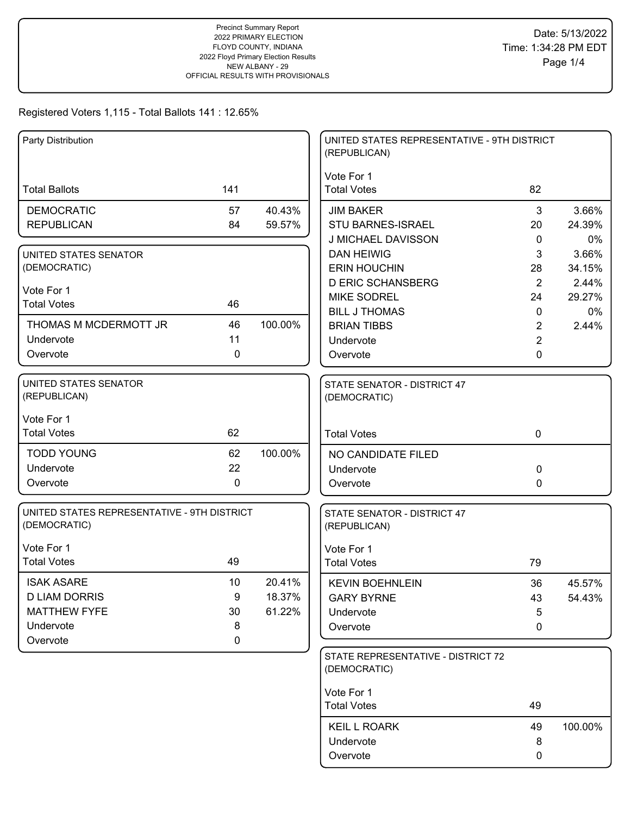| Party Distribution                          |              |         | UNITED STATES REPRESENTATIVE - 9TH DISTRICT<br>(REPUBLICAN) |                |         |
|---------------------------------------------|--------------|---------|-------------------------------------------------------------|----------------|---------|
|                                             |              |         | Vote For 1                                                  |                |         |
| <b>Total Ballots</b>                        | 141          |         | <b>Total Votes</b>                                          | 82             |         |
| <b>DEMOCRATIC</b>                           | 57           | 40.43%  | <b>JIM BAKER</b>                                            | 3              | 3.66%   |
| <b>REPUBLICAN</b>                           | 84           | 59.57%  | <b>STU BARNES-ISRAEL</b>                                    | 20             | 24.39%  |
|                                             |              |         | J MICHAEL DAVISSON                                          | $\mathbf{0}$   | 0%      |
| UNITED STATES SENATOR                       |              |         | <b>DAN HEIWIG</b>                                           | 3              | 3.66%   |
| (DEMOCRATIC)                                |              |         | <b>ERIN HOUCHIN</b>                                         | 28             | 34.15%  |
| Vote For 1                                  |              |         | <b>D ERIC SCHANSBERG</b>                                    | 2              | 2.44%   |
| <b>Total Votes</b>                          | 46           |         | <b>MIKE SODREL</b>                                          | 24             | 29.27%  |
|                                             |              |         | <b>BILL J THOMAS</b>                                        | $\mathbf{0}$   | 0%      |
| THOMAS M MCDERMOTT JR                       | 46           | 100.00% | <b>BRIAN TIBBS</b>                                          | $\overline{2}$ | 2.44%   |
| Undervote                                   | 11           |         | Undervote                                                   | $\overline{2}$ |         |
| Overvote                                    | $\mathbf{0}$ |         | Overvote                                                    | 0              |         |
| <b>UNITED STATES SENATOR</b>                |              |         | STATE SENATOR - DISTRICT 47                                 |                |         |
| (REPUBLICAN)                                |              |         | (DEMOCRATIC)                                                |                |         |
| Vote For 1                                  |              |         |                                                             |                |         |
| <b>Total Votes</b>                          | 62           |         | <b>Total Votes</b>                                          | $\mathbf 0$    |         |
| <b>TODD YOUNG</b>                           | 62           | 100.00% | NO CANDIDATE FILED                                          |                |         |
| Undervote                                   | 22           |         | Undervote                                                   | 0              |         |
| Overvote                                    | $\mathbf 0$  |         | Overvote                                                    | 0              |         |
| UNITED STATES REPRESENTATIVE - 9TH DISTRICT |              |         | STATE SENATOR - DISTRICT 47                                 |                |         |
| (DEMOCRATIC)                                |              |         | (REPUBLICAN)                                                |                |         |
| Vote For 1                                  |              |         | Vote For 1                                                  |                |         |
| <b>Total Votes</b>                          | 49           |         | <b>Total Votes</b>                                          | 79             |         |
| <b>ISAK ASARE</b>                           | 10           | 20.41%  | <b>KEVIN BOEHNLEIN</b>                                      | 36             | 45.57%  |
| <b>D LIAM DORRIS</b>                        | 9            | 18.37%  | <b>GARY BYRNE</b>                                           | 43             | 54.43%  |
| <b>MATTHEW FYFE</b>                         | 30           | 61.22%  | Undervote                                                   | $\overline{5}$ |         |
| Undervote                                   | 8            |         | Overvote                                                    | 0              |         |
| Overvote                                    | 0            |         |                                                             |                |         |
|                                             |              |         | STATE REPRESENTATIVE - DISTRICT 72                          |                |         |
|                                             |              |         | (DEMOCRATIC)                                                |                |         |
|                                             |              |         | Vote For 1                                                  |                |         |
|                                             |              |         | <b>Total Votes</b>                                          | 49             |         |
|                                             |              |         | <b>KEIL L ROARK</b>                                         | 49             | 100.00% |
|                                             |              |         | Undervote                                                   | 8              |         |
|                                             |              |         | Overvote                                                    | 0              |         |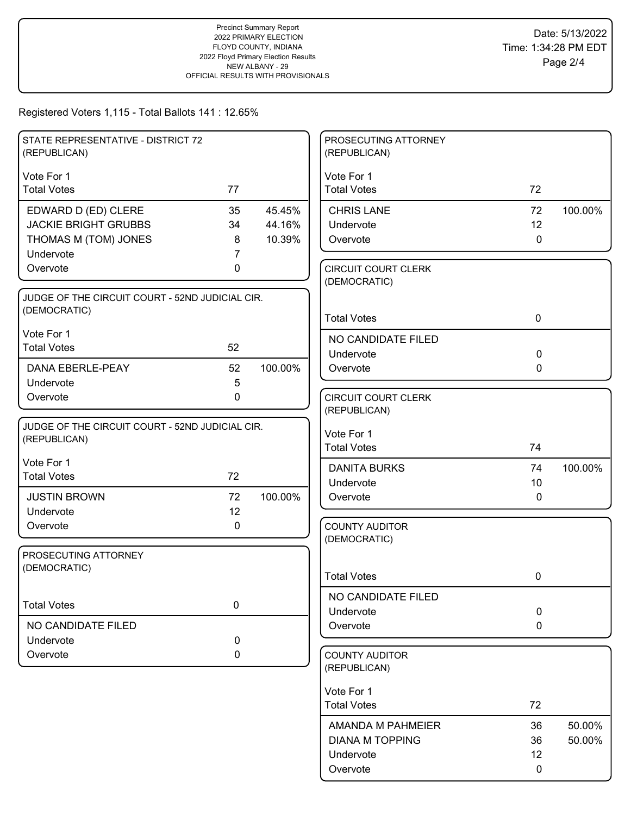| STATE REPRESENTATIVE - DISTRICT 72<br>(REPUBLICAN) |           |         | PROSECUTING ATTORNEY<br>(REPUBLICAN)       |             |         |
|----------------------------------------------------|-----------|---------|--------------------------------------------|-------------|---------|
| Vote For 1                                         |           |         | Vote For 1                                 |             |         |
| <b>Total Votes</b>                                 | 77        |         | <b>Total Votes</b>                         | 72          |         |
| EDWARD D (ED) CLERE                                | 35        | 45.45%  | <b>CHRIS LANE</b>                          | 72          | 100.00% |
| <b>JACKIE BRIGHT GRUBBS</b>                        | 34        | 44.16%  | Undervote                                  | 12          |         |
| THOMAS M (TOM) JONES                               | 8         | 10.39%  | Overvote                                   | $\mathbf 0$ |         |
| Undervote                                          | 7         |         |                                            |             |         |
| Overvote                                           | 0         |         | <b>CIRCUIT COURT CLERK</b><br>(DEMOCRATIC) |             |         |
| JUDGE OF THE CIRCUIT COURT - 52ND JUDICIAL CIR.    |           |         |                                            |             |         |
| (DEMOCRATIC)                                       |           |         | <b>Total Votes</b>                         | $\mathbf 0$ |         |
| Vote For 1                                         |           |         | NO CANDIDATE FILED                         |             |         |
| <b>Total Votes</b>                                 | 52        |         | Undervote                                  | $\mathbf 0$ |         |
| <b>DANA EBERLE-PEAY</b>                            | 52        | 100.00% | Overvote                                   | 0           |         |
| Undervote                                          | 5         |         |                                            |             |         |
| Overvote                                           | 0         |         | <b>CIRCUIT COURT CLERK</b>                 |             |         |
|                                                    |           |         | (REPUBLICAN)                               |             |         |
| JUDGE OF THE CIRCUIT COURT - 52ND JUDICIAL CIR.    |           |         | Vote For 1                                 |             |         |
| (REPUBLICAN)                                       |           |         | <b>Total Votes</b>                         | 74          |         |
| Vote For 1                                         |           |         | <b>DANITA BURKS</b>                        | 74          | 100.00% |
| <b>Total Votes</b>                                 | 72        |         | Undervote                                  | 10          |         |
| <b>JUSTIN BROWN</b>                                | 72        | 100.00% | Overvote                                   | $\mathbf 0$ |         |
| Undervote                                          | 12        |         |                                            |             |         |
| Overvote                                           | 0         |         | <b>COUNTY AUDITOR</b>                      |             |         |
|                                                    |           |         | (DEMOCRATIC)                               |             |         |
| PROSECUTING ATTORNEY<br>(DEMOCRATIC)               |           |         |                                            |             |         |
|                                                    |           |         | <b>Total Votes</b>                         | 0           |         |
|                                                    |           |         | NO CANDIDATE FILED                         |             |         |
| <b>Total Votes</b>                                 | $\pmb{0}$ |         | Undervote                                  | $\pmb{0}$   |         |
| NO CANDIDATE FILED                                 |           |         | Overvote                                   | $\mathbf 0$ |         |
| Undervote                                          | 0         |         |                                            |             |         |
| Overvote                                           | 0         |         | <b>COUNTY AUDITOR</b><br>(REPUBLICAN)      |             |         |
|                                                    |           |         | Vote For 1                                 |             |         |
|                                                    |           |         | <b>Total Votes</b>                         | 72          |         |
|                                                    |           |         | AMANDA M PAHMEIER                          | 36          | 50.00%  |
|                                                    |           |         | <b>DIANA M TOPPING</b>                     | 36          | 50.00%  |
|                                                    |           |         | Undervote                                  | 12          |         |
|                                                    |           |         | Overvote                                   | $\mathbf 0$ |         |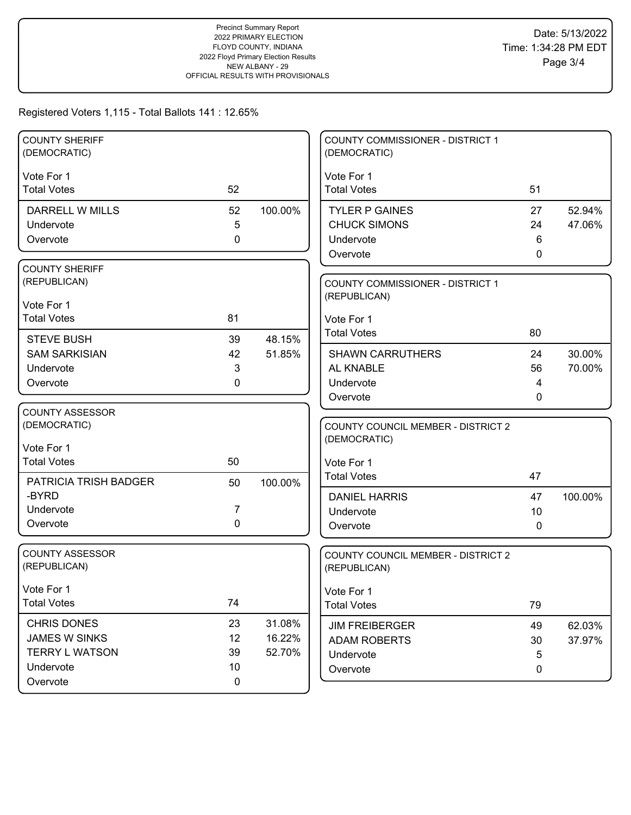| <b>COUNTY SHERIFF</b><br>(DEMOCRATIC)  |             |         | COUNTY COMMISSIONER - DISTRICT 1<br>(DEMOCRATIC)          |              |         |
|----------------------------------------|-------------|---------|-----------------------------------------------------------|--------------|---------|
| Vote For 1                             |             |         | Vote For 1                                                |              |         |
| <b>Total Votes</b>                     | 52          |         | <b>Total Votes</b>                                        | 51           |         |
| DARRELL W MILLS                        | 52          | 100.00% | <b>TYLER P GAINES</b>                                     | 27           | 52.94%  |
| Undervote                              | 5           |         | <b>CHUCK SIMONS</b>                                       | 24           | 47.06%  |
| Overvote                               | 0           |         | Undervote                                                 | 6            |         |
|                                        |             |         | Overvote                                                  | 0            |         |
| <b>COUNTY SHERIFF</b>                  |             |         |                                                           |              |         |
| (REPUBLICAN)                           |             |         | <b>COUNTY COMMISSIONER - DISTRICT 1</b>                   |              |         |
| Vote For 1                             |             |         | (REPUBLICAN)                                              |              |         |
| <b>Total Votes</b>                     | 81          |         | Vote For 1                                                |              |         |
| <b>STEVE BUSH</b>                      | 39          | 48.15%  | <b>Total Votes</b>                                        | 80           |         |
| <b>SAM SARKISIAN</b>                   | 42          | 51.85%  | <b>SHAWN CARRUTHERS</b>                                   | 24           | 30.00%  |
| Undervote                              | 3           |         | AL KNABLE                                                 | 56           | 70.00%  |
| Overvote                               | 0           |         | Undervote                                                 | 4            |         |
|                                        |             |         | Overvote                                                  | $\mathbf{0}$ |         |
| <b>COUNTY ASSESSOR</b>                 |             |         |                                                           |              |         |
| (DEMOCRATIC)                           |             |         | <b>COUNTY COUNCIL MEMBER - DISTRICT 2</b>                 |              |         |
| Vote For 1                             |             |         | (DEMOCRATIC)                                              |              |         |
| <b>Total Votes</b>                     | 50          |         | Vote For 1                                                |              |         |
| PATRICIA TRISH BADGER                  | 50          | 100.00% | <b>Total Votes</b>                                        | 47           |         |
| -BYRD                                  |             |         | <b>DANIEL HARRIS</b>                                      | 47           | 100.00% |
| Undervote                              | 7           |         | Undervote                                                 | 10           |         |
| Overvote                               | 0           |         | Overvote                                                  | $\mathbf{0}$ |         |
|                                        |             |         |                                                           |              |         |
| <b>COUNTY ASSESSOR</b><br>(REPUBLICAN) |             |         | <b>COUNTY COUNCIL MEMBER - DISTRICT 2</b><br>(REPUBLICAN) |              |         |
|                                        |             |         |                                                           |              |         |
| Vote For 1                             |             |         | Vote For 1                                                |              |         |
| <b>Total Votes</b>                     | 74          |         | <b>Total Votes</b>                                        | 79           |         |
| <b>CHRIS DONES</b>                     | 23          | 31.08%  | <b>JIM FREIBERGER</b>                                     | 49           | 62.03%  |
| <b>JAMES W SINKS</b>                   | 12          | 16.22%  | <b>ADAM ROBERTS</b>                                       | 30           | 37.97%  |
| <b>TERRY L WATSON</b>                  | 39          | 52.70%  | Undervote                                                 | 5            |         |
| Undervote                              | 10          |         | Overvote                                                  | 0            |         |
| Overvote                               | $\mathbf 0$ |         |                                                           |              |         |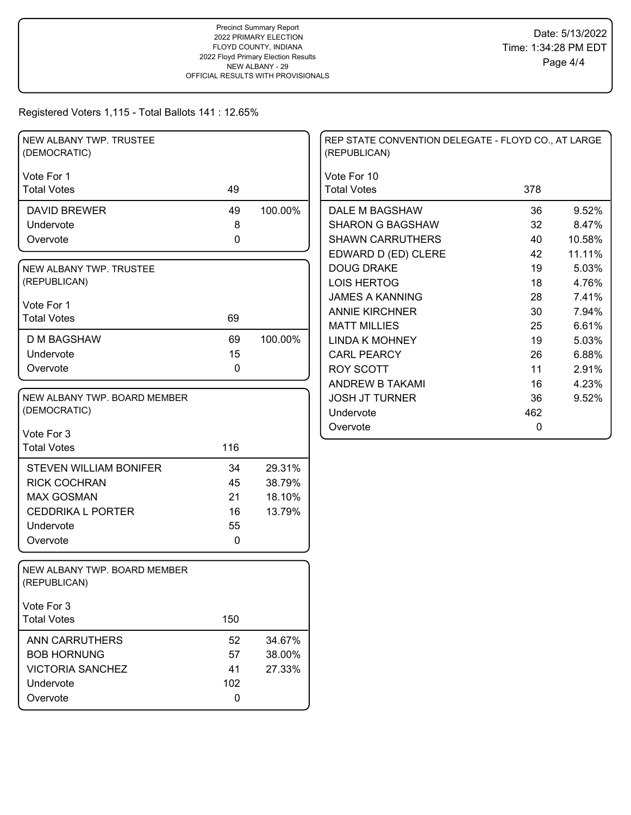| NEW ALBANY TWP. TRUSTEE<br>(DEMOCRATIC)      |     |         | REP STATE CONVENTION DELEGATE - FLOYD CO., AT LARGE<br>(REPUBLICAN) |             |        |
|----------------------------------------------|-----|---------|---------------------------------------------------------------------|-------------|--------|
| Vote For 1<br><b>Total Votes</b>             | 49  |         | Vote For 10<br><b>Total Votes</b>                                   | 378         |        |
|                                              |     |         |                                                                     |             |        |
| <b>DAVID BREWER</b>                          | 49  | 100.00% | DALE M BAGSHAW                                                      | 36          | 9.52%  |
| Undervote                                    | 8   |         | <b>SHARON G BAGSHAW</b>                                             | 32          | 8.47%  |
| Overvote                                     | 0   |         | <b>SHAWN CARRUTHERS</b>                                             | 40          | 10.58% |
|                                              |     |         | EDWARD D (ED) CLERE                                                 | 42          | 11.11% |
| NEW ALBANY TWP. TRUSTEE                      |     |         | <b>DOUG DRAKE</b>                                                   | 19          | 5.03%  |
| (REPUBLICAN)                                 |     |         | <b>LOIS HERTOG</b>                                                  | 18          | 4.76%  |
| Vote For 1                                   |     |         | <b>JAMES A KANNING</b>                                              | 28          | 7.41%  |
| <b>Total Votes</b>                           | 69  |         | <b>ANNIE KIRCHNER</b>                                               | 30          | 7.94%  |
|                                              |     |         | <b>MATT MILLIES</b>                                                 | 25          | 6.61%  |
| <b>D M BAGSHAW</b>                           | 69  | 100.00% | <b>LINDA K MOHNEY</b>                                               | 19          | 5.03%  |
| Undervote                                    | 15  |         | <b>CARL PEARCY</b>                                                  | 26          | 6.88%  |
| Overvote                                     | 0   |         | <b>ROY SCOTT</b>                                                    | 11          | 2.91%  |
|                                              |     |         | <b>ANDREW B TAKAMI</b>                                              | 16          | 4.23%  |
| NEW ALBANY TWP. BOARD MEMBER                 |     |         | <b>JOSH JT TURNER</b>                                               | 36          | 9.52%  |
| (DEMOCRATIC)                                 |     |         | Undervote                                                           | 462         |        |
| Vote For 3                                   |     |         | Overvote                                                            | $\mathbf 0$ |        |
| <b>Total Votes</b>                           | 116 |         |                                                                     |             |        |
|                                              |     |         |                                                                     |             |        |
| <b>STEVEN WILLIAM BONIFER</b>                | 34  | 29.31%  |                                                                     |             |        |
| <b>RICK COCHRAN</b>                          | 45  | 38.79%  |                                                                     |             |        |
| <b>MAX GOSMAN</b>                            | 21  | 18.10%  |                                                                     |             |        |
| <b>CEDDRIKA L PORTER</b>                     | 16  | 13.79%  |                                                                     |             |        |
| Undervote                                    | 55  |         |                                                                     |             |        |
| Overvote                                     | 0   |         |                                                                     |             |        |
| NEW ALBANY TWP. BOARD MEMBER<br>(REPUBLICAN) |     |         |                                                                     |             |        |
| Vote For 3                                   |     |         |                                                                     |             |        |
| <b>Total Votes</b>                           | 150 |         |                                                                     |             |        |
| <b>ANN CARRUTHERS</b>                        | 52  | 34.67%  |                                                                     |             |        |
| <b>BOB HORNUNG</b>                           | 57  | 38.00%  |                                                                     |             |        |
| <b>VICTORIA SANCHEZ</b>                      | 41  | 27.33%  |                                                                     |             |        |
| Undervote                                    | 102 |         |                                                                     |             |        |
| Overvote                                     | 0   |         |                                                                     |             |        |
|                                              |     |         |                                                                     |             |        |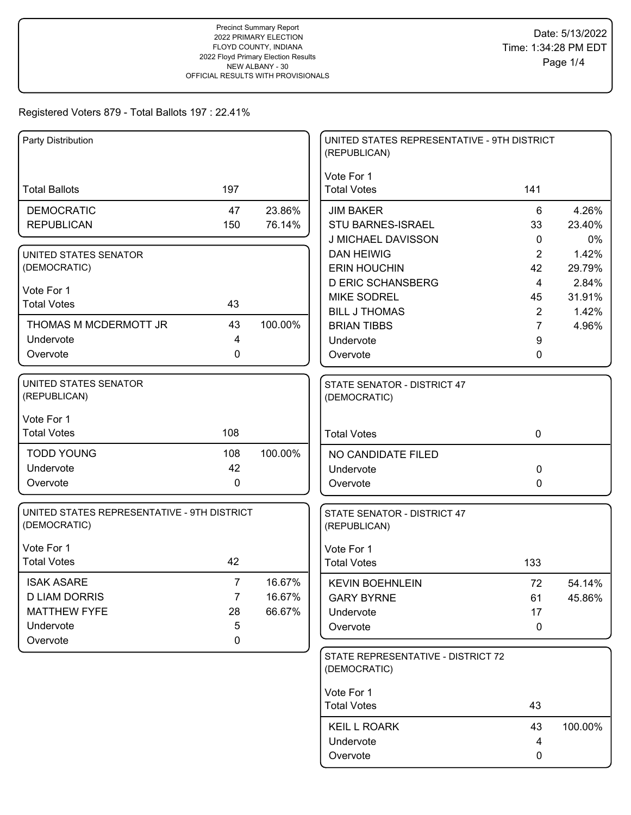| Party Distribution                                                                        |                                     |                            | UNITED STATES REPRESENTATIVE - 9TH DISTRICT<br>(REPUBLICAN)            |                                        |                          |
|-------------------------------------------------------------------------------------------|-------------------------------------|----------------------------|------------------------------------------------------------------------|----------------------------------------|--------------------------|
| <b>Total Ballots</b>                                                                      | 197                                 |                            | Vote For 1<br><b>Total Votes</b>                                       | 141                                    |                          |
| <b>DEMOCRATIC</b><br><b>REPUBLICAN</b>                                                    | 47<br>150                           | 23.86%<br>76.14%           | <b>JIM BAKER</b><br><b>STU BARNES-ISRAEL</b>                           | 6<br>33                                | 4.26%<br>23.40%          |
| UNITED STATES SENATOR<br>(DEMOCRATIC)                                                     |                                     |                            | J MICHAEL DAVISSON<br><b>DAN HEIWIG</b><br><b>ERIN HOUCHIN</b>         | $\mathbf{0}$<br>2<br>42                | 0%<br>1.42%<br>29.79%    |
| Vote For 1<br><b>Total Votes</b>                                                          | 43                                  |                            | <b>D ERIC SCHANSBERG</b><br><b>MIKE SODREL</b><br><b>BILL J THOMAS</b> | $\overline{4}$<br>45<br>$\overline{2}$ | 2.84%<br>31.91%<br>1.42% |
| THOMAS M MCDERMOTT JR<br>Undervote<br>Overvote                                            | 43<br>4<br>$\mathbf{0}$             | 100.00%                    | <b>BRIAN TIBBS</b><br>Undervote<br>Overvote                            | $\overline{7}$<br>9<br>0               | 4.96%                    |
| UNITED STATES SENATOR<br>(REPUBLICAN)                                                     |                                     |                            | STATE SENATOR - DISTRICT 47<br>(DEMOCRATIC)                            |                                        |                          |
| Vote For 1<br><b>Total Votes</b>                                                          | 108                                 |                            | <b>Total Votes</b>                                                     | $\mathbf 0$                            |                          |
| <b>TODD YOUNG</b><br>Undervote<br>Overvote                                                | 108<br>42<br>$\mathbf 0$            | 100.00%                    | NO CANDIDATE FILED<br>Undervote<br>Overvote                            | 0<br>0                                 |                          |
| UNITED STATES REPRESENTATIVE - 9TH DISTRICT<br>(DEMOCRATIC)                               |                                     |                            | STATE SENATOR - DISTRICT 47<br>(REPUBLICAN)                            |                                        |                          |
| Vote For 1<br><b>Total Votes</b>                                                          | 42                                  |                            | Vote For 1<br><b>Total Votes</b>                                       | 133                                    |                          |
| <b>ISAK ASARE</b><br><b>D LIAM DORRIS</b><br><b>MATTHEW FYFE</b><br>Undervote<br>Overvote | $\overline{7}$<br>7<br>28<br>5<br>0 | 16.67%<br>16.67%<br>66.67% | <b>KEVIN BOEHNLEIN</b><br><b>GARY BYRNE</b><br>Undervote<br>Overvote   | 72<br>61<br>17<br>0                    | 54.14%<br>45.86%         |
|                                                                                           |                                     |                            | STATE REPRESENTATIVE - DISTRICT 72<br>(DEMOCRATIC)                     |                                        |                          |
|                                                                                           |                                     |                            | Vote For 1<br><b>Total Votes</b>                                       | 43                                     |                          |
|                                                                                           |                                     |                            | <b>KEIL L ROARK</b><br>Undervote<br>Overvote                           | 43<br>4<br>0                           | 100.00%                  |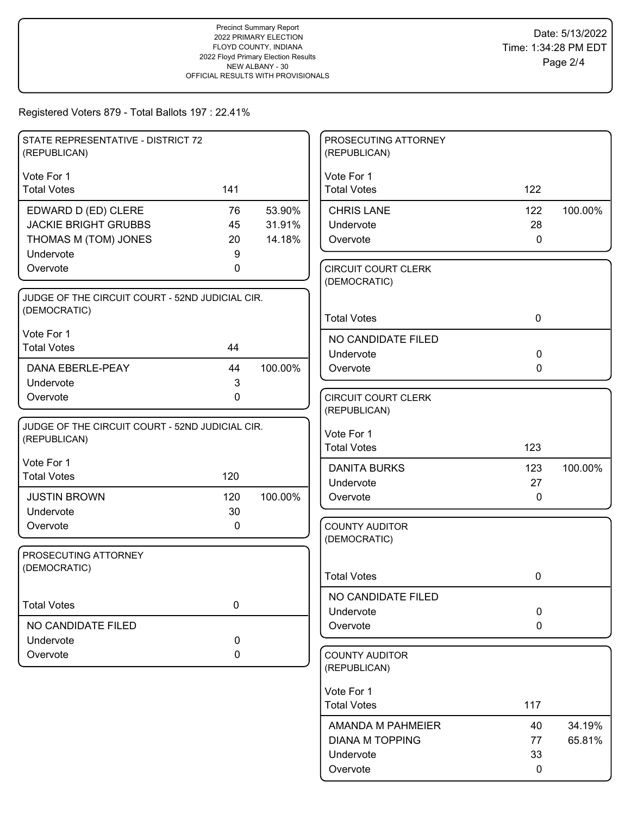| STATE REPRESENTATIVE - DISTRICT 72<br>(REPUBLICAN) |             |         | PROSECUTING ATTORNEY<br>(REPUBLICAN)       |             |         |
|----------------------------------------------------|-------------|---------|--------------------------------------------|-------------|---------|
| Vote For 1                                         |             |         | Vote For 1                                 |             |         |
| <b>Total Votes</b>                                 | 141         |         | <b>Total Votes</b>                         | 122         |         |
| EDWARD D (ED) CLERE                                | 76          | 53.90%  | <b>CHRIS LANE</b>                          | 122         | 100.00% |
| <b>JACKIE BRIGHT GRUBBS</b>                        | 45          | 31.91%  | Undervote                                  | 28          |         |
| THOMAS M (TOM) JONES                               | 20          | 14.18%  | Overvote                                   | $\mathbf 0$ |         |
| Undervote                                          | 9           |         |                                            |             |         |
| Overvote                                           | 0           |         | <b>CIRCUIT COURT CLERK</b><br>(DEMOCRATIC) |             |         |
| JUDGE OF THE CIRCUIT COURT - 52ND JUDICIAL CIR.    |             |         |                                            |             |         |
| (DEMOCRATIC)                                       |             |         |                                            |             |         |
|                                                    |             |         | <b>Total Votes</b>                         | $\mathbf 0$ |         |
| Vote For 1<br><b>Total Votes</b>                   | 44          |         | NO CANDIDATE FILED                         |             |         |
|                                                    |             |         | Undervote                                  | $\mathbf 0$ |         |
| DANA EBERLE-PEAY                                   | 44          | 100.00% | Overvote                                   | 0           |         |
| Undervote                                          | 3           |         |                                            |             |         |
| Overvote                                           | $\mathbf 0$ |         | <b>CIRCUIT COURT CLERK</b>                 |             |         |
|                                                    |             |         | (REPUBLICAN)                               |             |         |
| JUDGE OF THE CIRCUIT COURT - 52ND JUDICIAL CIR.    |             |         | Vote For 1                                 |             |         |
| (REPUBLICAN)                                       |             |         | <b>Total Votes</b>                         | 123         |         |
| Vote For 1                                         |             |         | <b>DANITA BURKS</b>                        | 123         | 100.00% |
| <b>Total Votes</b>                                 | 120         |         | Undervote                                  | 27          |         |
| <b>JUSTIN BROWN</b>                                | 120         | 100.00% | Overvote                                   | $\mathbf 0$ |         |
| Undervote                                          | 30          |         |                                            |             |         |
| Overvote                                           | 0           |         | <b>COUNTY AUDITOR</b>                      |             |         |
|                                                    |             |         | (DEMOCRATIC)                               |             |         |
| PROSECUTING ATTORNEY                               |             |         |                                            |             |         |
| (DEMOCRATIC)                                       |             |         | <b>Total Votes</b>                         | 0           |         |
|                                                    |             |         |                                            |             |         |
| <b>Total Votes</b>                                 | $\mathbf 0$ |         | NO CANDIDATE FILED                         |             |         |
|                                                    |             |         | Undervote                                  | $\mathbf 0$ |         |
| NO CANDIDATE FILED<br>Undervote                    | 0           |         | Overvote                                   | $\mathbf 0$ |         |
| Overvote                                           | 0           |         | <b>COUNTY AUDITOR</b>                      |             |         |
|                                                    |             |         | (REPUBLICAN)                               |             |         |
|                                                    |             |         |                                            |             |         |
|                                                    |             |         | Vote For 1                                 |             |         |
|                                                    |             |         | <b>Total Votes</b>                         | 117         |         |
|                                                    |             |         | AMANDA M PAHMEIER                          | 40          | 34.19%  |
|                                                    |             |         | <b>DIANA M TOPPING</b>                     | 77          | 65.81%  |
|                                                    |             |         | Undervote                                  | 33          |         |
|                                                    |             |         | Overvote                                   | 0           |         |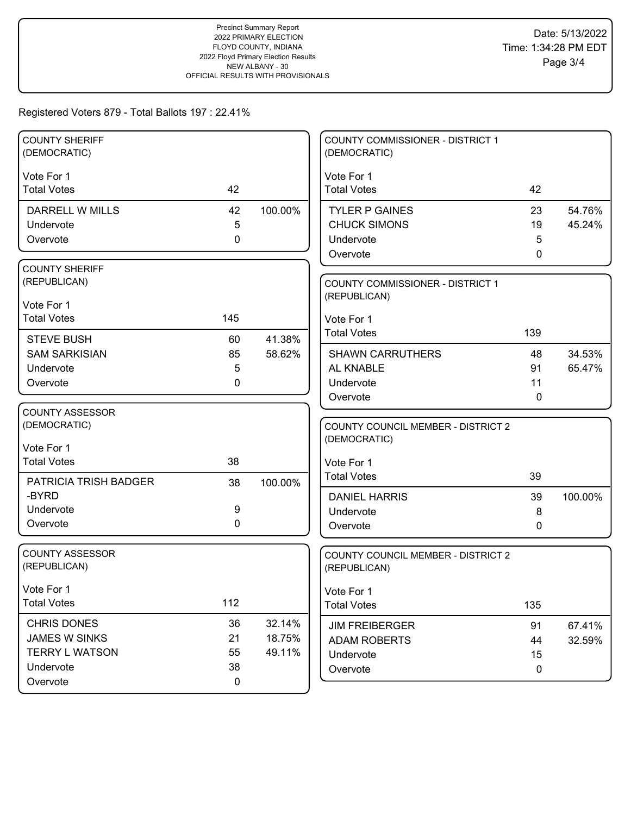| <b>COUNTY SHERIFF</b><br>(DEMOCRATIC)  |             |         | <b>COUNTY COMMISSIONER - DISTRICT 1</b><br>(DEMOCRATIC)   |              |         |
|----------------------------------------|-------------|---------|-----------------------------------------------------------|--------------|---------|
| Vote For 1                             |             |         | Vote For 1                                                |              |         |
| <b>Total Votes</b>                     | 42          |         | <b>Total Votes</b>                                        | 42           |         |
| DARRELL W MILLS                        | 42          | 100.00% | <b>TYLER P GAINES</b>                                     | 23           | 54.76%  |
| Undervote                              | 5           |         | <b>CHUCK SIMONS</b>                                       | 19           | 45.24%  |
| Overvote                               | $\mathbf 0$ |         | Undervote                                                 | 5            |         |
|                                        |             |         | Overvote                                                  | $\mathbf{0}$ |         |
| <b>COUNTY SHERIFF</b>                  |             |         |                                                           |              |         |
| (REPUBLICAN)                           |             |         | COUNTY COMMISSIONER - DISTRICT 1<br>(REPUBLICAN)          |              |         |
| Vote For 1                             |             |         |                                                           |              |         |
| <b>Total Votes</b>                     | 145         |         | Vote For 1                                                |              |         |
| <b>STEVE BUSH</b>                      | 60          | 41.38%  | <b>Total Votes</b>                                        | 139          |         |
| <b>SAM SARKISIAN</b>                   | 85          | 58.62%  | <b>SHAWN CARRUTHERS</b>                                   | 48           | 34.53%  |
| Undervote                              | 5           |         | AL KNABLE                                                 | 91           | 65.47%  |
| Overvote                               | 0           |         | Undervote                                                 | 11           |         |
|                                        |             |         | Overvote                                                  | 0            |         |
| <b>COUNTY ASSESSOR</b>                 |             |         |                                                           |              |         |
| (DEMOCRATIC)                           |             |         | <b>COUNTY COUNCIL MEMBER - DISTRICT 2</b>                 |              |         |
| Vote For 1                             |             |         | (DEMOCRATIC)                                              |              |         |
| <b>Total Votes</b>                     | 38          |         | Vote For 1                                                |              |         |
| PATRICIA TRISH BADGER                  | 38          | 100.00% | <b>Total Votes</b>                                        | 39           |         |
| -BYRD                                  |             |         | <b>DANIEL HARRIS</b>                                      | 39           | 100.00% |
| Undervote                              | 9           |         | Undervote                                                 | 8            |         |
| Overvote                               | $\mathbf 0$ |         | Overvote                                                  | 0            |         |
|                                        |             |         |                                                           |              |         |
| <b>COUNTY ASSESSOR</b><br>(REPUBLICAN) |             |         | <b>COUNTY COUNCIL MEMBER - DISTRICT 2</b><br>(REPUBLICAN) |              |         |
|                                        |             |         |                                                           |              |         |
| Vote For 1                             |             |         | Vote For 1                                                |              |         |
| <b>Total Votes</b>                     | 112         |         | <b>Total Votes</b>                                        | 135          |         |
| <b>CHRIS DONES</b>                     | 36          | 32.14%  | <b>JIM FREIBERGER</b>                                     | 91           | 67.41%  |
| JAMES W SINKS                          | 21          | 18.75%  | <b>ADAM ROBERTS</b>                                       | 44           | 32.59%  |
| <b>TERRY L WATSON</b>                  | 55          | 49.11%  | Undervote                                                 | 15           |         |
| Undervote                              | 38          |         | Overvote                                                  | 0            |         |
| Overvote                               | $\mathbf 0$ |         |                                                           |              |         |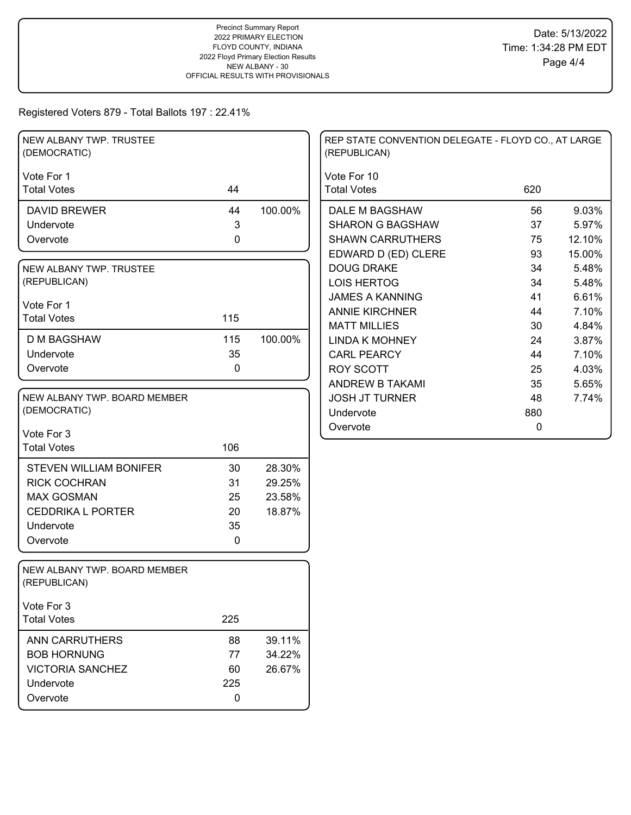| NEW ALBANY TWP. TRUSTEE<br>(DEMOCRATIC)      |             |         | REP STATE CONVENTION DELEGATE - FLOYD CO., AT LARGE<br>(REPUBLICAN) |     |        |
|----------------------------------------------|-------------|---------|---------------------------------------------------------------------|-----|--------|
| Vote For 1                                   |             |         | Vote For 10                                                         |     |        |
| <b>Total Votes</b>                           | 44          |         | <b>Total Votes</b>                                                  | 620 |        |
| <b>DAVID BREWER</b>                          | 44          | 100.00% | DALE M BAGSHAW                                                      | 56  | 9.03%  |
| Undervote                                    | 3           |         | <b>SHARON G BAGSHAW</b>                                             | 37  | 5.97%  |
| Overvote                                     | 0           |         | <b>SHAWN CARRUTHERS</b>                                             | 75  | 12.10% |
|                                              |             |         | EDWARD D (ED) CLERE                                                 | 93  | 15.00% |
| NEW ALBANY TWP. TRUSTEE                      |             |         | <b>DOUG DRAKE</b>                                                   | 34  | 5.48%  |
| (REPUBLICAN)                                 |             |         | <b>LOIS HERTOG</b>                                                  | 34  | 5.48%  |
| Vote For 1                                   |             |         | <b>JAMES A KANNING</b>                                              | 41  | 6.61%  |
| <b>Total Votes</b>                           | 115         |         | <b>ANNIE KIRCHNER</b>                                               | 44  | 7.10%  |
|                                              |             |         | <b>MATT MILLIES</b>                                                 | 30  | 4.84%  |
| <b>D M BAGSHAW</b>                           | 115         | 100.00% | <b>LINDA K MOHNEY</b>                                               | 24  | 3.87%  |
| Undervote                                    | 35          |         | <b>CARL PEARCY</b>                                                  | 44  | 7.10%  |
| Overvote                                     | 0           |         | <b>ROY SCOTT</b>                                                    | 25  | 4.03%  |
|                                              |             |         | ANDREW B TAKAMI                                                     | 35  | 5.65%  |
| NEW ALBANY TWP. BOARD MEMBER                 |             |         | <b>JOSH JT TURNER</b>                                               | 48  | 7.74%  |
| (DEMOCRATIC)                                 |             |         | Undervote                                                           | 880 |        |
| Vote For 3                                   |             |         | Overvote                                                            | 0   |        |
| <b>Total Votes</b>                           | 106         |         |                                                                     |     |        |
|                                              |             |         |                                                                     |     |        |
| <b>STEVEN WILLIAM BONIFER</b>                | 30          | 28.30%  |                                                                     |     |        |
| <b>RICK COCHRAN</b>                          | 31          | 29.25%  |                                                                     |     |        |
| <b>MAX GOSMAN</b>                            | 25          | 23.58%  |                                                                     |     |        |
| <b>CEDDRIKA L PORTER</b>                     | 20          | 18.87%  |                                                                     |     |        |
| Undervote                                    | 35          |         |                                                                     |     |        |
| Overvote                                     | $\mathbf 0$ |         |                                                                     |     |        |
| NEW ALBANY TWP. BOARD MEMBER<br>(REPUBLICAN) |             |         |                                                                     |     |        |
| Vote For 3                                   |             |         |                                                                     |     |        |
| <b>Total Votes</b>                           | 225         |         |                                                                     |     |        |
| <b>ANN CARRUTHERS</b>                        | 88          | 39.11%  |                                                                     |     |        |
| <b>BOB HORNUNG</b>                           | 77          | 34.22%  |                                                                     |     |        |
| <b>VICTORIA SANCHEZ</b>                      | 60          | 26.67%  |                                                                     |     |        |
| Undervote                                    | 225         |         |                                                                     |     |        |
| Overvote                                     | 0           |         |                                                                     |     |        |
|                                              |             |         |                                                                     |     |        |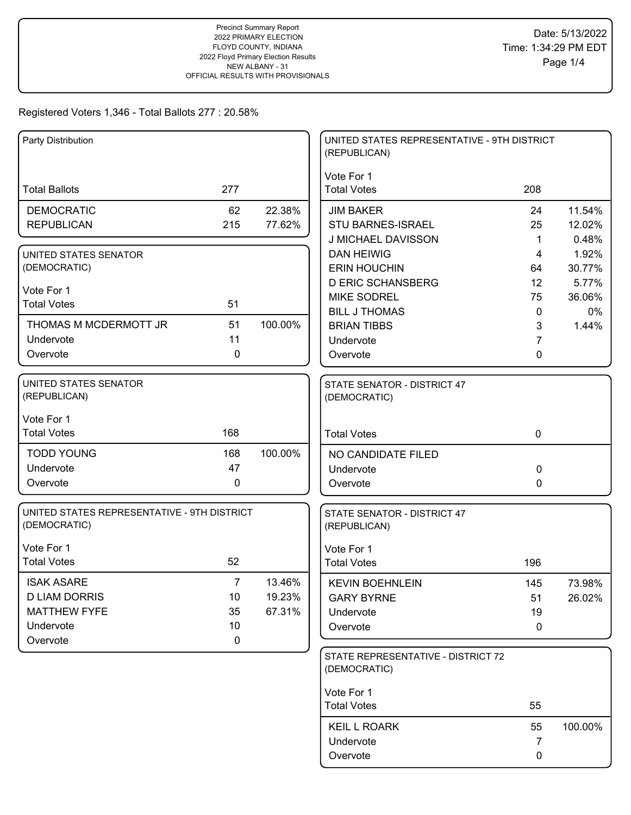## Registered Voters 1,346 - Total Ballots 277 : 20.58%

| Party Distribution                                                                        |                                                 |                            | UNITED STATES REPRESENTATIVE - 9TH DISTRICT<br>(REPUBLICAN)          |                           |                           |
|-------------------------------------------------------------------------------------------|-------------------------------------------------|----------------------------|----------------------------------------------------------------------|---------------------------|---------------------------|
| <b>Total Ballots</b>                                                                      | 277                                             |                            | Vote For 1<br><b>Total Votes</b>                                     | 208                       |                           |
| <b>DEMOCRATIC</b><br><b>REPUBLICAN</b>                                                    | 62<br>215                                       | 22.38%<br>77.62%           | <b>JIM BAKER</b><br>STU BARNES-ISRAEL<br>J MICHAEL DAVISSON          | 24<br>25<br>1             | 11.54%<br>12.02%<br>0.48% |
| UNITED STATES SENATOR<br>(DEMOCRATIC)                                                     |                                                 |                            | <b>DAN HEIWIG</b><br><b>ERIN HOUCHIN</b><br><b>D ERIC SCHANSBERG</b> | 4<br>64<br>12             | 1.92%<br>30.77%<br>5.77%  |
| Vote For 1<br><b>Total Votes</b>                                                          | 51                                              |                            | <b>MIKE SODREL</b><br><b>BILL J THOMAS</b>                           | 75<br>$\mathbf 0$         | 36.06%<br>0%              |
| THOMAS M MCDERMOTT JR<br>Undervote<br>Overvote                                            | 51<br>11<br>0                                   | 100.00%                    | <b>BRIAN TIBBS</b><br>Undervote<br>Overvote                          | 3<br>7<br>0               | 1.44%                     |
| <b>UNITED STATES SENATOR</b><br>(REPUBLICAN)                                              |                                                 |                            | STATE SENATOR - DISTRICT 47<br>(DEMOCRATIC)                          |                           |                           |
| Vote For 1<br><b>Total Votes</b>                                                          | 168                                             |                            | <b>Total Votes</b>                                                   | $\mathbf 0$               |                           |
| <b>TODD YOUNG</b><br>Undervote<br>Overvote                                                | 168<br>47<br>0                                  | 100.00%                    | NO CANDIDATE FILED<br>Undervote<br>Overvote                          | 0<br>0                    |                           |
| UNITED STATES REPRESENTATIVE - 9TH DISTRICT<br>(DEMOCRATIC)                               |                                                 |                            | STATE SENATOR - DISTRICT 47<br>(REPUBLICAN)                          |                           |                           |
| Vote For 1<br><b>Total Votes</b>                                                          | 52                                              |                            | Vote For 1<br><b>Total Votes</b>                                     | 196                       |                           |
| <b>ISAK ASARE</b><br><b>D LIAM DORRIS</b><br><b>MATTHEW FYFE</b><br>Undervote<br>Overvote | $\overline{7}$<br>10<br>35<br>10<br>$\mathbf 0$ | 13.46%<br>19.23%<br>67.31% | <b>KEVIN BOEHNLEIN</b><br><b>GARY BYRNE</b><br>Undervote<br>Overvote | 145<br>51<br>19<br>0      | 73.98%<br>26.02%          |
|                                                                                           |                                                 |                            | STATE REPRESENTATIVE - DISTRICT 72<br>(DEMOCRATIC)                   |                           |                           |
|                                                                                           |                                                 |                            | Vote For 1<br><b>Total Votes</b>                                     | 55                        |                           |
|                                                                                           |                                                 |                            | <b>KEIL L ROARK</b><br>Undervote<br>Overvote                         | 55<br>$\overline{7}$<br>0 | 100.00%                   |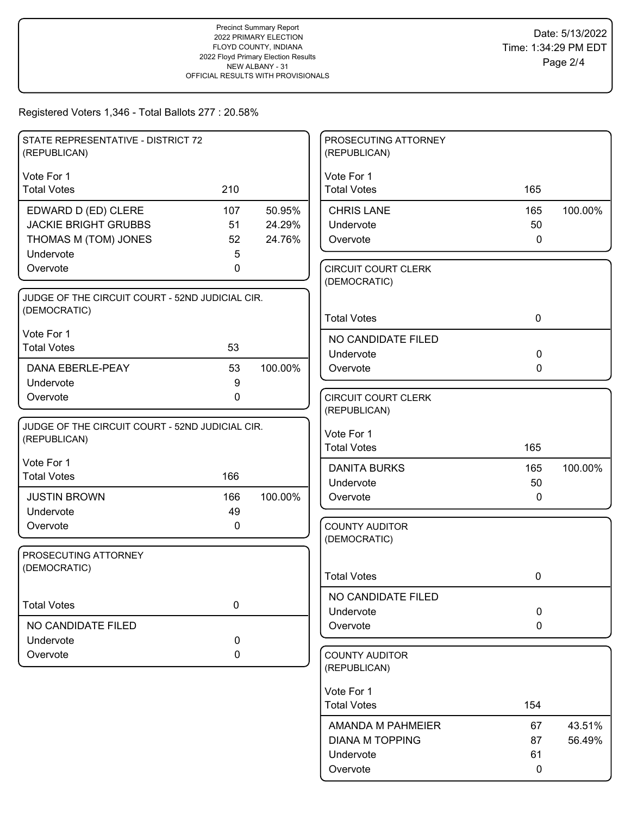## Registered Voters 1,346 - Total Ballots 277 : 20.58%

| STATE REPRESENTATIVE - DISTRICT 72                              |             |         | PROSECUTING ATTORNEY                       |             |         |
|-----------------------------------------------------------------|-------------|---------|--------------------------------------------|-------------|---------|
| (REPUBLICAN)                                                    |             |         | (REPUBLICAN)                               |             |         |
|                                                                 |             |         |                                            |             |         |
| Vote For 1<br><b>Total Votes</b>                                | 210         |         | Vote For 1<br><b>Total Votes</b>           | 165         |         |
|                                                                 |             |         |                                            |             |         |
| EDWARD D (ED) CLERE                                             | 107         | 50.95%  | <b>CHRIS LANE</b>                          | 165         | 100.00% |
| <b>JACKIE BRIGHT GRUBBS</b>                                     | 51          | 24.29%  | Undervote                                  | 50          |         |
| THOMAS M (TOM) JONES                                            | 52          | 24.76%  | Overvote                                   | 0           |         |
| Undervote<br>Overvote                                           | 5<br>0      |         |                                            |             |         |
|                                                                 |             |         | <b>CIRCUIT COURT CLERK</b><br>(DEMOCRATIC) |             |         |
| JUDGE OF THE CIRCUIT COURT - 52ND JUDICIAL CIR.                 |             |         |                                            |             |         |
| (DEMOCRATIC)                                                    |             |         |                                            |             |         |
|                                                                 |             |         | <b>Total Votes</b>                         | $\mathbf 0$ |         |
| Vote For 1<br><b>Total Votes</b>                                | 53          |         | NO CANDIDATE FILED                         |             |         |
|                                                                 |             |         | Undervote                                  | $\mathbf 0$ |         |
| DANA EBERLE-PEAY                                                | 53          | 100.00% | Overvote                                   | 0           |         |
| Undervote                                                       | 9           |         |                                            |             |         |
| Overvote                                                        | $\mathbf 0$ |         | <b>CIRCUIT COURT CLERK</b>                 |             |         |
|                                                                 |             |         | (REPUBLICAN)                               |             |         |
| JUDGE OF THE CIRCUIT COURT - 52ND JUDICIAL CIR.<br>(REPUBLICAN) |             |         | Vote For 1                                 |             |         |
|                                                                 |             |         | <b>Total Votes</b>                         | 165         |         |
| Vote For 1                                                      |             |         | <b>DANITA BURKS</b>                        | 165         | 100.00% |
| <b>Total Votes</b>                                              | 166         |         | Undervote                                  | 50          |         |
| <b>JUSTIN BROWN</b>                                             | 166         | 100.00% | Overvote                                   | 0           |         |
| Undervote                                                       | 49          |         |                                            |             |         |
| Overvote                                                        | 0           |         | <b>COUNTY AUDITOR</b>                      |             |         |
|                                                                 |             |         | (DEMOCRATIC)                               |             |         |
| PROSECUTING ATTORNEY                                            |             |         |                                            |             |         |
| (DEMOCRATIC)                                                    |             |         | <b>Total Votes</b>                         | 0           |         |
|                                                                 |             |         | NO CANDIDATE FILED                         |             |         |
| <b>Total Votes</b>                                              | $\mathbf 0$ |         | Undervote                                  | $\mathbf 0$ |         |
| NO CANDIDATE FILED                                              |             |         | Overvote                                   | $\mathbf 0$ |         |
| Undervote                                                       | 0           |         |                                            |             |         |
| Overvote                                                        | 0           |         | <b>COUNTY AUDITOR</b>                      |             |         |
|                                                                 |             |         | (REPUBLICAN)                               |             |         |
|                                                                 |             |         | Vote For 1                                 |             |         |
|                                                                 |             |         | <b>Total Votes</b>                         | 154         |         |
|                                                                 |             |         | AMANDA M PAHMEIER                          | 67          | 43.51%  |
|                                                                 |             |         | <b>DIANA M TOPPING</b>                     | 87          | 56.49%  |
|                                                                 |             |         | Undervote                                  | 61          |         |
|                                                                 |             |         | Overvote                                   | 0           |         |
|                                                                 |             |         |                                            |             |         |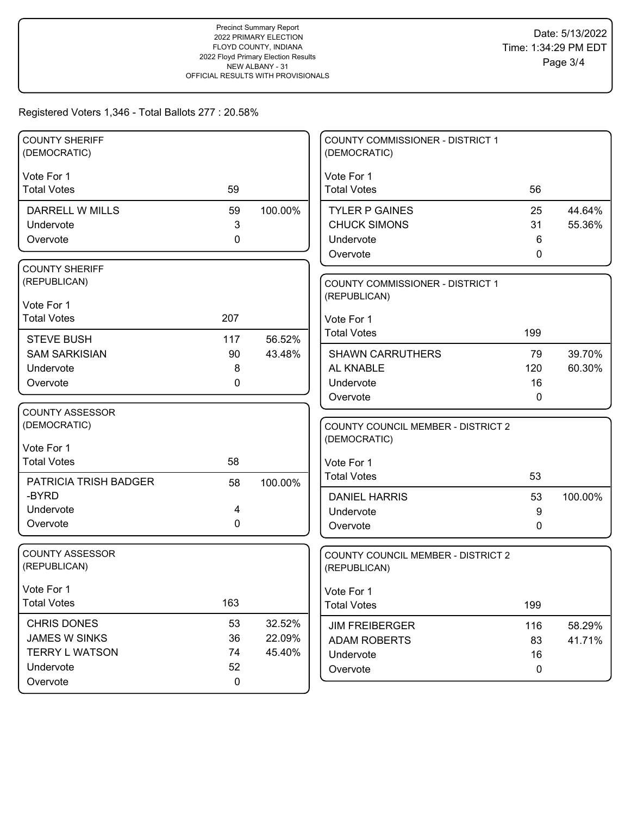## Registered Voters 1,346 - Total Ballots 277 : 20.58%

| <b>COUNTY SHERIFF</b><br>(DEMOCRATIC)      |             |                  | <b>COUNTY COMMISSIONER - DISTRICT 1</b><br>(DEMOCRATIC) |              |         |
|--------------------------------------------|-------------|------------------|---------------------------------------------------------|--------------|---------|
| Vote For 1                                 |             |                  | Vote For 1                                              |              |         |
| <b>Total Votes</b>                         | 59          |                  | <b>Total Votes</b>                                      | 56           |         |
| DARRELL W MILLS                            | 59          | 100.00%          | <b>TYLER P GAINES</b>                                   | 25           | 44.64%  |
| Undervote                                  | 3           |                  | <b>CHUCK SIMONS</b>                                     | 31           | 55.36%  |
| Overvote                                   | 0           |                  | Undervote                                               | 6            |         |
|                                            |             |                  | Overvote                                                | 0            |         |
| <b>COUNTY SHERIFF</b>                      |             |                  |                                                         |              |         |
| (REPUBLICAN)                               |             |                  | COUNTY COMMISSIONER - DISTRICT 1                        |              |         |
| Vote For 1                                 |             |                  | (REPUBLICAN)                                            |              |         |
| <b>Total Votes</b>                         | 207         |                  | Vote For 1                                              |              |         |
| <b>STEVE BUSH</b>                          | 117         | 56.52%           | <b>Total Votes</b>                                      | 199          |         |
| <b>SAM SARKISIAN</b>                       | 90          | 43.48%           | <b>SHAWN CARRUTHERS</b>                                 | 79           | 39.70%  |
| Undervote                                  | 8           |                  | AL KNABLE                                               | 120          | 60.30%  |
| Overvote                                   | 0           |                  | Undervote                                               | 16           |         |
|                                            |             |                  | Overvote                                                | $\mathbf{0}$ |         |
| <b>COUNTY ASSESSOR</b>                     |             |                  |                                                         |              |         |
| (DEMOCRATIC)                               |             |                  | <b>COUNTY COUNCIL MEMBER - DISTRICT 2</b>               |              |         |
| Vote For 1                                 |             |                  | (DEMOCRATIC)                                            |              |         |
| <b>Total Votes</b>                         | 58          |                  | Vote For 1                                              |              |         |
|                                            |             |                  | <b>Total Votes</b>                                      | 53           |         |
| PATRICIA TRISH BADGER<br>-BYRD             | 58          | 100.00%          | <b>DANIEL HARRIS</b>                                    | 53           |         |
| Undervote                                  | 4           |                  | Undervote                                               | 9            | 100.00% |
| Overvote                                   | 0           |                  | Overvote                                                | 0            |         |
|                                            |             |                  |                                                         |              |         |
| <b>COUNTY ASSESSOR</b>                     |             |                  | <b>COUNTY COUNCIL MEMBER - DISTRICT 2</b>               |              |         |
| (REPUBLICAN)                               |             |                  | (REPUBLICAN)                                            |              |         |
| Vote For 1                                 |             |                  | Vote For 1                                              |              |         |
| <b>Total Votes</b>                         | 163         |                  | <b>Total Votes</b>                                      | 199          |         |
|                                            |             |                  |                                                         |              |         |
| <b>CHRIS DONES</b><br><b>JAMES W SINKS</b> | 53<br>36    | 32.52%<br>22.09% | <b>JIM FREIBERGER</b>                                   | 116          | 58.29%  |
| <b>TERRY L WATSON</b>                      | 74          | 45.40%           | <b>ADAM ROBERTS</b>                                     | 83           | 41.71%  |
| Undervote                                  | 52          |                  | Undervote                                               | 16           |         |
| Overvote                                   | $\mathbf 0$ |                  | Overvote                                                | $\mathbf 0$  |         |
|                                            |             |                  |                                                         |              |         |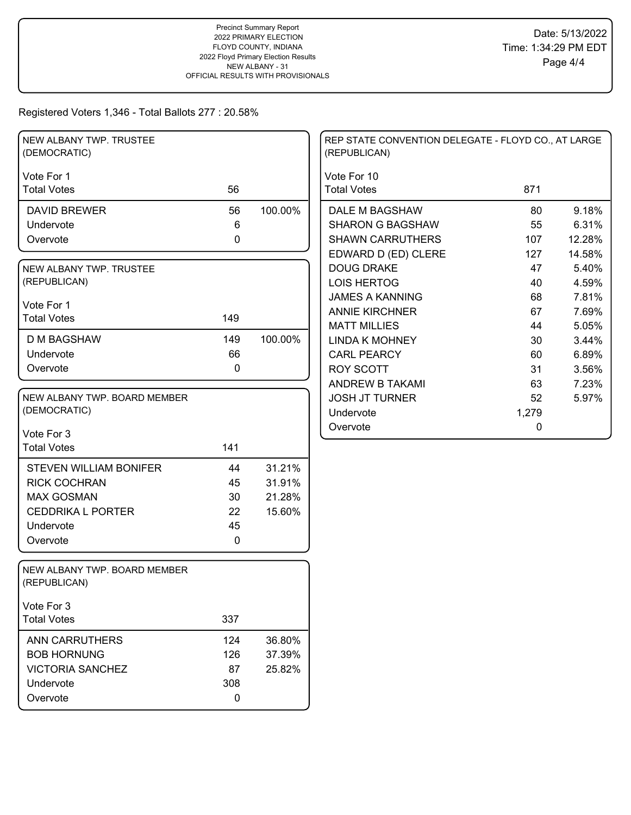Registered Voters 1,346 - Total Ballots 277 : 20.58%

| NEW ALBANY TWP. TRUSTEE<br>(DEMOCRATIC)      |             |         | REP STATE CONVENTION DELEGATE - FLOYD CO., AT LARGE<br>(REPUBLICAN) |       |        |
|----------------------------------------------|-------------|---------|---------------------------------------------------------------------|-------|--------|
| Vote For 1                                   |             |         | Vote For 10                                                         |       |        |
| <b>Total Votes</b>                           | 56          |         | <b>Total Votes</b>                                                  | 871   |        |
| <b>DAVID BREWER</b>                          | 56          | 100.00% | DALE M BAGSHAW                                                      | 80    | 9.18%  |
| Undervote                                    | 6           |         | <b>SHARON G BAGSHAW</b>                                             | 55    | 6.31%  |
| Overvote                                     | $\mathbf 0$ |         | <b>SHAWN CARRUTHERS</b>                                             | 107   | 12.28% |
|                                              |             |         | EDWARD D (ED) CLERE                                                 | 127   | 14.58% |
| NEW ALBANY TWP. TRUSTEE                      |             |         | <b>DOUG DRAKE</b>                                                   | 47    | 5.40%  |
| (REPUBLICAN)                                 |             |         | <b>LOIS HERTOG</b>                                                  | 40    | 4.59%  |
| Vote For 1                                   |             |         | <b>JAMES A KANNING</b>                                              | 68    | 7.81%  |
| <b>Total Votes</b>                           | 149         |         | <b>ANNIE KIRCHNER</b>                                               | 67    | 7.69%  |
|                                              |             |         | <b>MATT MILLIES</b>                                                 | 44    | 5.05%  |
| D M BAGSHAW                                  | 149         | 100.00% | <b>LINDA K MOHNEY</b>                                               | 30    | 3.44%  |
| Undervote                                    | 66          |         | <b>CARL PEARCY</b>                                                  | 60    | 6.89%  |
| Overvote                                     | 0           |         | <b>ROY SCOTT</b>                                                    | 31    | 3.56%  |
|                                              |             |         | ANDREW B TAKAMI                                                     | 63    | 7.23%  |
| NEW ALBANY TWP. BOARD MEMBER                 |             |         | <b>JOSH JT TURNER</b>                                               | 52    | 5.97%  |
| (DEMOCRATIC)                                 |             |         | Undervote                                                           | 1,279 |        |
| Vote For 3                                   |             |         | Overvote                                                            | 0     |        |
| <b>Total Votes</b>                           | 141         |         |                                                                     |       |        |
| <b>STEVEN WILLIAM BONIFER</b>                | 44          | 31.21%  |                                                                     |       |        |
| <b>RICK COCHRAN</b>                          | 45          | 31.91%  |                                                                     |       |        |
| <b>MAX GOSMAN</b>                            | 30          | 21.28%  |                                                                     |       |        |
| <b>CEDDRIKA L PORTER</b>                     | 22          | 15.60%  |                                                                     |       |        |
| Undervote                                    | 45          |         |                                                                     |       |        |
| Overvote                                     | $\mathbf 0$ |         |                                                                     |       |        |
|                                              |             |         |                                                                     |       |        |
| NEW ALBANY TWP. BOARD MEMBER<br>(REPUBLICAN) |             |         |                                                                     |       |        |
| Vote For 3                                   |             |         |                                                                     |       |        |
| <b>Total Votes</b>                           | 337         |         |                                                                     |       |        |
| ANN CARRUTHERS                               | 124         | 36.80%  |                                                                     |       |        |
| <b>BOB HORNUNG</b>                           | 126         | 37.39%  |                                                                     |       |        |
| <b>VICTORIA SANCHEZ</b>                      | 87          | 25.82%  |                                                                     |       |        |
| Undervote                                    | 308         |         |                                                                     |       |        |
| Overvote                                     | 0           |         |                                                                     |       |        |
|                                              |             |         |                                                                     |       |        |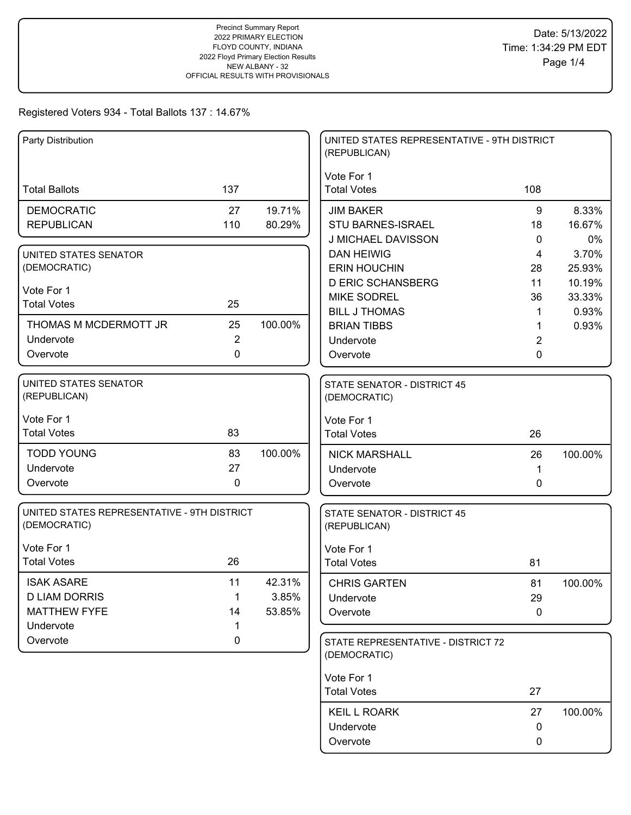| Party Distribution                                          |                   |                 | UNITED STATES REPRESENTATIVE - 9TH DISTRICT<br>(REPUBLICAN) |        |         |
|-------------------------------------------------------------|-------------------|-----------------|-------------------------------------------------------------|--------|---------|
| <b>Total Ballots</b>                                        | 137               |                 | Vote For 1<br><b>Total Votes</b>                            | 108    |         |
| <b>DEMOCRATIC</b>                                           | 27                | 19.71%          | <b>JIM BAKER</b>                                            | 9      | 8.33%   |
| <b>REPUBLICAN</b>                                           | 110               | 80.29%          | <b>STU BARNES-ISRAEL</b>                                    | 18     | 16.67%  |
|                                                             |                   |                 | J MICHAEL DAVISSON                                          | 0      | 0%      |
| UNITED STATES SENATOR                                       |                   |                 | <b>DAN HEIWIG</b>                                           | 4      | 3.70%   |
| (DEMOCRATIC)                                                |                   |                 | <b>ERIN HOUCHIN</b>                                         | 28     | 25.93%  |
| Vote For 1                                                  |                   |                 | <b>D ERIC SCHANSBERG</b>                                    | 11     | 10.19%  |
| <b>Total Votes</b>                                          | 25                |                 | <b>MIKE SODREL</b>                                          | 36     | 33.33%  |
| THOMAS M MCDERMOTT JR                                       | 25                | 100.00%         | <b>BILL J THOMAS</b>                                        | 1      | 0.93%   |
| Undervote                                                   | $\overline{2}$    |                 | <b>BRIAN TIBBS</b><br>Undervote                             | 1      | 0.93%   |
| Overvote                                                    | $\mathbf 0$       |                 | Overvote                                                    | 2<br>0 |         |
|                                                             |                   |                 |                                                             |        |         |
| UNITED STATES SENATOR<br>(REPUBLICAN)                       |                   |                 | <b>STATE SENATOR - DISTRICT 45</b><br>(DEMOCRATIC)          |        |         |
|                                                             |                   |                 |                                                             |        |         |
| Vote For 1<br><b>Total Votes</b>                            | 83                |                 | Vote For 1<br><b>Total Votes</b>                            | 26     |         |
|                                                             |                   |                 |                                                             |        |         |
| <b>TODD YOUNG</b>                                           | 83                | 100.00%         | <b>NICK MARSHALL</b>                                        | 26     | 100.00% |
| Undervote                                                   | 27                |                 | Undervote                                                   | 1      |         |
| Overvote                                                    | $\mathbf 0$       |                 | Overvote                                                    | 0      |         |
| UNITED STATES REPRESENTATIVE - 9TH DISTRICT<br>(DEMOCRATIC) |                   |                 | STATE SENATOR - DISTRICT 45<br>(REPUBLICAN)                 |        |         |
| Vote For 1                                                  |                   |                 | Vote For 1                                                  |        |         |
| <b>Total Votes</b>                                          | 26                |                 | <b>Total Votes</b>                                          | 81     |         |
|                                                             |                   |                 |                                                             |        |         |
| <b>ISAK ASARE</b>                                           | 11                | 42.31%          | <b>CHRIS GARTEN</b>                                         | 81     | 100.00% |
| <b>D LIAM DORRIS</b><br><b>MATTHEW FYFE</b>                 | $\mathbf 1$<br>14 | 3.85%<br>53.85% | Undervote                                                   | 29     |         |
| Undervote                                                   | 1                 |                 | Overvote                                                    | 0      |         |
| Overvote                                                    | 0                 |                 | STATE REPRESENTATIVE - DISTRICT 72                          |        |         |
|                                                             |                   |                 | (DEMOCRATIC)                                                |        |         |
|                                                             |                   |                 | Vote For 1                                                  |        |         |
|                                                             |                   |                 | <b>Total Votes</b>                                          | 27     |         |
|                                                             |                   |                 | <b>KEIL L ROARK</b>                                         | 27     | 100.00% |
|                                                             |                   |                 | Undervote                                                   | 0      |         |
|                                                             |                   |                 | Overvote                                                    | 0      |         |
|                                                             |                   |                 |                                                             |        |         |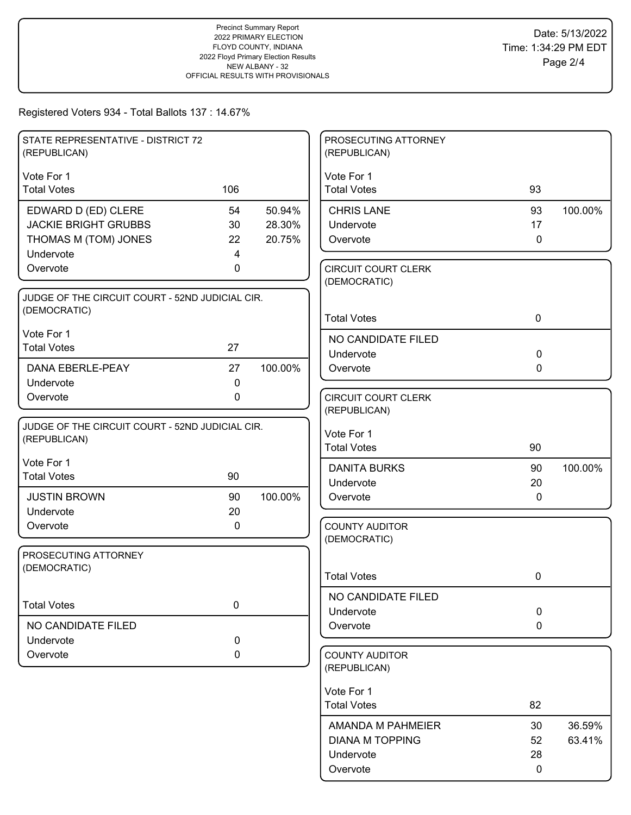| STATE REPRESENTATIVE - DISTRICT 72<br>(REPUBLICAN)              |             |         | PROSECUTING ATTORNEY<br>(REPUBLICAN)        |              |                  |
|-----------------------------------------------------------------|-------------|---------|---------------------------------------------|--------------|------------------|
| Vote For 1                                                      |             |         | Vote For 1                                  |              |                  |
| <b>Total Votes</b>                                              | 106         |         | <b>Total Votes</b>                          | 93           |                  |
| EDWARD D (ED) CLERE                                             | 54          | 50.94%  | <b>CHRIS LANE</b>                           | 93           | 100.00%          |
| <b>JACKIE BRIGHT GRUBBS</b>                                     | 30          | 28.30%  | Undervote                                   | 17           |                  |
| THOMAS M (TOM) JONES                                            | 22          | 20.75%  | Overvote                                    | $\mathbf{0}$ |                  |
| Undervote<br>Overvote                                           | 4<br>0      |         |                                             |              |                  |
|                                                                 |             |         | <b>CIRCUIT COURT CLERK</b><br>(DEMOCRATIC)  |              |                  |
| JUDGE OF THE CIRCUIT COURT - 52ND JUDICIAL CIR.                 |             |         |                                             |              |                  |
| (DEMOCRATIC)                                                    |             |         | <b>Total Votes</b>                          | $\mathbf 0$  |                  |
| Vote For 1                                                      |             |         | NO CANDIDATE FILED                          |              |                  |
| <b>Total Votes</b>                                              | 27          |         | Undervote                                   | $\mathbf 0$  |                  |
| <b>DANA EBERLE-PEAY</b>                                         | 27          | 100.00% | Overvote                                    | $\mathbf{0}$ |                  |
| Undervote                                                       | $\mathbf 0$ |         |                                             |              |                  |
| Overvote                                                        | $\mathbf 0$ |         | <b>CIRCUIT COURT CLERK</b>                  |              |                  |
|                                                                 |             |         | (REPUBLICAN)                                |              |                  |
| JUDGE OF THE CIRCUIT COURT - 52ND JUDICIAL CIR.<br>(REPUBLICAN) |             |         | Vote For 1                                  |              |                  |
|                                                                 |             |         | <b>Total Votes</b>                          | 90           |                  |
| Vote For 1                                                      |             |         | <b>DANITA BURKS</b>                         | 90           | 100.00%          |
| <b>Total Votes</b>                                              | 90          |         | Undervote                                   | 20           |                  |
| <b>JUSTIN BROWN</b>                                             | 90          | 100.00% | Overvote                                    | $\mathbf{0}$ |                  |
| Undervote                                                       | 20          |         |                                             |              |                  |
| Overvote                                                        | 0           |         | <b>COUNTY AUDITOR</b><br>(DEMOCRATIC)       |              |                  |
| PROSECUTING ATTORNEY                                            |             |         |                                             |              |                  |
| (DEMOCRATIC)                                                    |             |         |                                             |              |                  |
|                                                                 |             |         | <b>Total Votes</b>                          | 0            |                  |
| <b>Total Votes</b>                                              | $\pmb{0}$   |         | NO CANDIDATE FILED                          |              |                  |
|                                                                 |             |         | Undervote                                   | $\mathbf 0$  |                  |
| NO CANDIDATE FILED                                              |             |         | Overvote                                    | 0            |                  |
| Undervote                                                       | 0           |         |                                             |              |                  |
| Overvote                                                        | 0           |         | <b>COUNTY AUDITOR</b><br>(REPUBLICAN)       |              |                  |
|                                                                 |             |         | Vote For 1                                  |              |                  |
|                                                                 |             |         | <b>Total Votes</b>                          | 82           |                  |
|                                                                 |             |         |                                             |              |                  |
|                                                                 |             |         | AMANDA M PAHMEIER<br><b>DIANA M TOPPING</b> | 30<br>52     | 36.59%<br>63.41% |
|                                                                 |             |         | Undervote                                   | 28           |                  |
|                                                                 |             |         | Overvote                                    | 0            |                  |
|                                                                 |             |         |                                             |              |                  |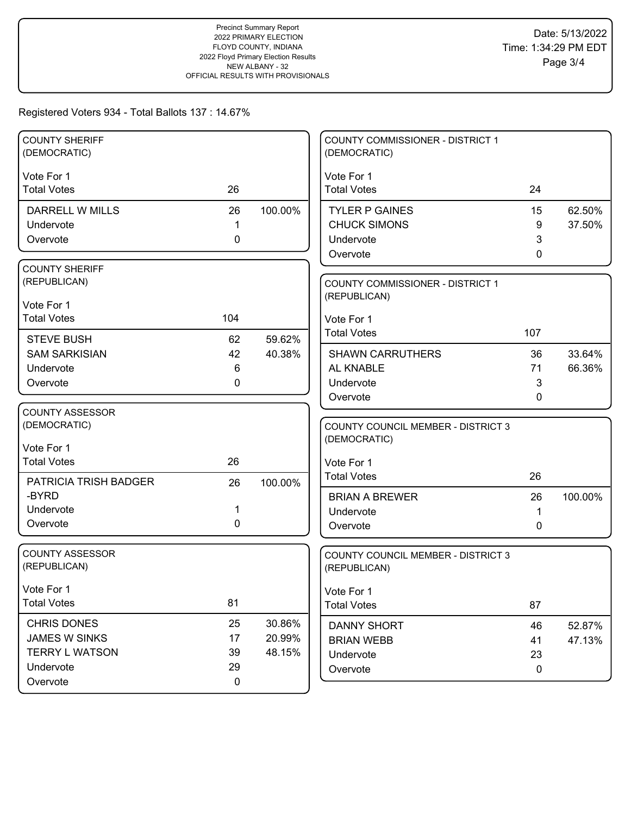| <b>COUNTY SHERIFF</b><br>(DEMOCRATIC) |             |         | COUNTY COMMISSIONER - DISTRICT 1<br>(DEMOCRATIC) |             |                  |
|---------------------------------------|-------------|---------|--------------------------------------------------|-------------|------------------|
| Vote For 1                            |             |         | Vote For 1                                       |             |                  |
| <b>Total Votes</b>                    | 26          |         | <b>Total Votes</b>                               | 24          |                  |
| DARRELL W MILLS                       | 26          | 100.00% | <b>TYLER P GAINES</b>                            | 15          | 62.50%           |
| Undervote                             | 1           |         | <b>CHUCK SIMONS</b>                              | 9           | 37.50%           |
| Overvote                              | $\mathbf 0$ |         | Undervote                                        | 3           |                  |
|                                       |             |         | Overvote                                         | 0           |                  |
| <b>COUNTY SHERIFF</b>                 |             |         |                                                  |             |                  |
| (REPUBLICAN)                          |             |         | COUNTY COMMISSIONER - DISTRICT 1                 |             |                  |
| Vote For 1                            |             |         | (REPUBLICAN)                                     |             |                  |
| <b>Total Votes</b>                    | 104         |         | Vote For 1                                       |             |                  |
| <b>STEVE BUSH</b>                     | 62          | 59.62%  | <b>Total Votes</b>                               | 107         |                  |
| <b>SAM SARKISIAN</b>                  | 42          | 40.38%  | <b>SHAWN CARRUTHERS</b>                          | 36          | 33.64%           |
| Undervote                             | 6           |         | AL KNABLE                                        | 71          | 66.36%           |
| Overvote                              | 0           |         | Undervote                                        | 3           |                  |
|                                       |             |         | Overvote                                         | 0           |                  |
| <b>COUNTY ASSESSOR</b>                |             |         |                                                  |             |                  |
| (DEMOCRATIC)                          |             |         | <b>COUNTY COUNCIL MEMBER - DISTRICT 3</b>        |             |                  |
| Vote For 1                            |             |         | (DEMOCRATIC)                                     |             |                  |
| <b>Total Votes</b>                    | 26          |         | Vote For 1                                       |             |                  |
| PATRICIA TRISH BADGER                 | 26          | 100.00% | <b>Total Votes</b>                               | 26          |                  |
| -BYRD                                 |             |         | <b>BRIAN A BREWER</b>                            | 26          | 100.00%          |
| Undervote                             | 1           |         | Undervote                                        | 1           |                  |
| Overvote                              | 0           |         | Overvote                                         | 0           |                  |
|                                       |             |         |                                                  |             |                  |
| <b>COUNTY ASSESSOR</b>                |             |         | COUNTY COUNCIL MEMBER - DISTRICT 3               |             |                  |
| (REPUBLICAN)                          |             |         | (REPUBLICAN)                                     |             |                  |
| Vote For 1                            |             |         | Vote For 1                                       |             |                  |
| <b>Total Votes</b>                    | 81          |         | <b>Total Votes</b>                               | 87          |                  |
| <b>CHRIS DONES</b>                    | 25          | 30.86%  |                                                  |             |                  |
| JAMES W SINKS                         | 17          | 20.99%  | <b>DANNY SHORT</b><br><b>BRIAN WEBB</b>          | 46<br>41    | 52.87%<br>47.13% |
| <b>TERRY L WATSON</b>                 | 39          | 48.15%  | Undervote                                        | 23          |                  |
| Undervote                             | 29          |         | Overvote                                         | $\mathbf 0$ |                  |
|                                       |             |         |                                                  |             |                  |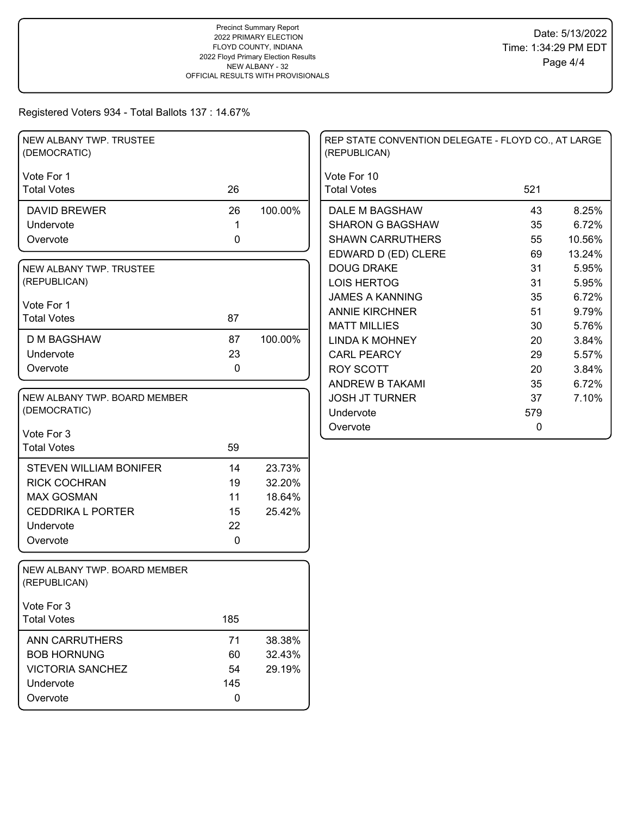| NEW ALBANY TWP. TRUSTEE<br>(DEMOCRATIC)      |             |         | REP STATE CONVENTION DELEGATE - FLOYD CO., AT LARGE<br>(REPUBLICAN) |     |        |
|----------------------------------------------|-------------|---------|---------------------------------------------------------------------|-----|--------|
| Vote For 1                                   |             |         | Vote For 10                                                         |     |        |
| <b>Total Votes</b>                           | 26          |         | <b>Total Votes</b>                                                  | 521 |        |
| <b>DAVID BREWER</b>                          | 26          | 100.00% | DALE M BAGSHAW                                                      | 43  | 8.25%  |
| Undervote                                    | 1           |         | <b>SHARON G BAGSHAW</b>                                             | 35  | 6.72%  |
| Overvote                                     | $\mathbf 0$ |         | <b>SHAWN CARRUTHERS</b>                                             | 55  | 10.56% |
|                                              |             |         | EDWARD D (ED) CLERE                                                 | 69  | 13.24% |
| NEW ALBANY TWP. TRUSTEE                      |             |         | <b>DOUG DRAKE</b>                                                   | 31  | 5.95%  |
| (REPUBLICAN)                                 |             |         | <b>LOIS HERTOG</b>                                                  | 31  | 5.95%  |
| Vote For 1                                   |             |         | <b>JAMES A KANNING</b>                                              | 35  | 6.72%  |
| <b>Total Votes</b>                           | 87          |         | <b>ANNIE KIRCHNER</b>                                               | 51  | 9.79%  |
|                                              |             |         | <b>MATT MILLIES</b>                                                 | 30  | 5.76%  |
| <b>D M BAGSHAW</b>                           | 87          | 100.00% | <b>LINDA K MOHNEY</b>                                               | 20  | 3.84%  |
| Undervote                                    | 23          |         | <b>CARL PEARCY</b>                                                  | 29  | 5.57%  |
| Overvote                                     | $\mathbf 0$ |         | <b>ROY SCOTT</b>                                                    | 20  | 3.84%  |
|                                              |             |         | ANDREW B TAKAMI                                                     | 35  | 6.72%  |
| NEW ALBANY TWP. BOARD MEMBER                 |             |         | <b>JOSH JT TURNER</b>                                               | 37  | 7.10%  |
| (DEMOCRATIC)                                 |             |         | Undervote                                                           | 579 |        |
| Vote For 3                                   |             |         | Overvote                                                            | 0   |        |
| <b>Total Votes</b>                           | 59          |         |                                                                     |     |        |
|                                              |             |         |                                                                     |     |        |
| <b>STEVEN WILLIAM BONIFER</b>                | 14          | 23.73%  |                                                                     |     |        |
| <b>RICK COCHRAN</b>                          | 19          | 32.20%  |                                                                     |     |        |
| <b>MAX GOSMAN</b>                            | 11          | 18.64%  |                                                                     |     |        |
| <b>CEDDRIKA L PORTER</b>                     | 15          | 25.42%  |                                                                     |     |        |
| Undervote                                    | 22          |         |                                                                     |     |        |
| Overvote                                     | $\mathbf 0$ |         |                                                                     |     |        |
|                                              |             |         |                                                                     |     |        |
| NEW ALBANY TWP. BOARD MEMBER<br>(REPUBLICAN) |             |         |                                                                     |     |        |
| Vote For 3                                   |             |         |                                                                     |     |        |
| <b>Total Votes</b>                           | 185         |         |                                                                     |     |        |
| ANN CARRUTHERS                               | 71          | 38.38%  |                                                                     |     |        |
| <b>BOB HORNUNG</b>                           | 60          | 32.43%  |                                                                     |     |        |
| <b>VICTORIA SANCHEZ</b>                      | 54          | 29.19%  |                                                                     |     |        |
| Undervote                                    | 145         |         |                                                                     |     |        |
| Overvote                                     | $\mathbf 0$ |         |                                                                     |     |        |
|                                              |             |         |                                                                     |     |        |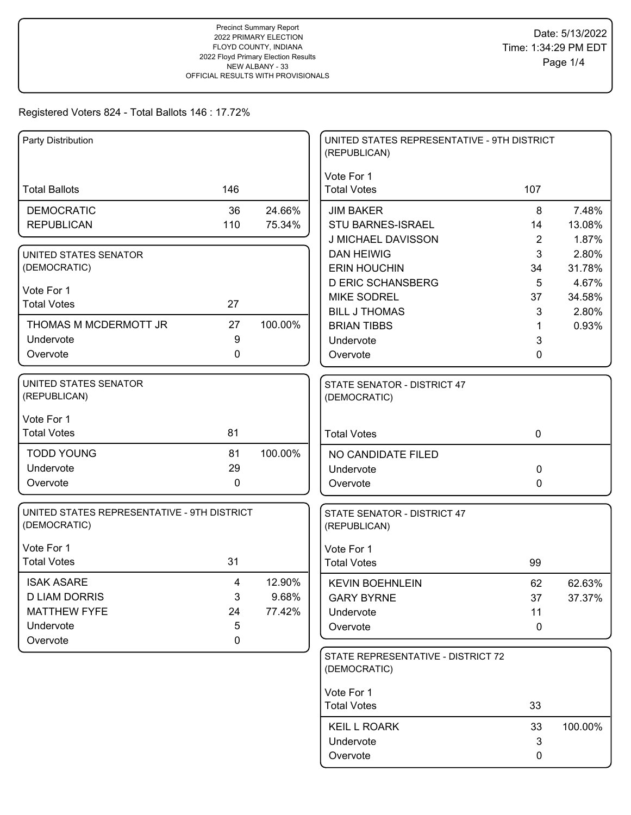| Party Distribution                           |             |         | UNITED STATES REPRESENTATIVE - 9TH DISTRICT<br>(REPUBLICAN) |                |         |
|----------------------------------------------|-------------|---------|-------------------------------------------------------------|----------------|---------|
|                                              |             |         | Vote For 1                                                  |                |         |
| <b>Total Ballots</b>                         | 146         |         | <b>Total Votes</b>                                          | 107            |         |
| <b>DEMOCRATIC</b>                            | 36          | 24.66%  | <b>JIM BAKER</b>                                            | 8              | 7.48%   |
| <b>REPUBLICAN</b>                            | 110         | 75.34%  | <b>STU BARNES-ISRAEL</b>                                    | 14             | 13.08%  |
|                                              |             |         | J MICHAEL DAVISSON                                          | $\overline{2}$ | 1.87%   |
| UNITED STATES SENATOR                        |             |         | <b>DAN HEIWIG</b>                                           | 3              | 2.80%   |
| (DEMOCRATIC)                                 |             |         | <b>ERIN HOUCHIN</b>                                         | 34             | 31.78%  |
| Vote For 1                                   |             |         | <b>D ERIC SCHANSBERG</b>                                    | 5              | 4.67%   |
| <b>Total Votes</b>                           | 27          |         | <b>MIKE SODREL</b>                                          | 37             | 34.58%  |
|                                              |             |         | <b>BILL J THOMAS</b>                                        | 3              | 2.80%   |
| THOMAS M MCDERMOTT JR                        | 27          | 100.00% | <b>BRIAN TIBBS</b>                                          | 1              | 0.93%   |
| Undervote                                    | 9           |         | Undervote                                                   | 3              |         |
| Overvote                                     | 0           |         | Overvote                                                    | 0              |         |
| <b>UNITED STATES SENATOR</b><br>(REPUBLICAN) |             |         | STATE SENATOR - DISTRICT 47<br>(DEMOCRATIC)                 |                |         |
|                                              |             |         |                                                             |                |         |
| Vote For 1                                   |             |         |                                                             |                |         |
| <b>Total Votes</b>                           | 81          |         | <b>Total Votes</b>                                          | $\mathbf 0$    |         |
| <b>TODD YOUNG</b>                            | 81          | 100.00% | NO CANDIDATE FILED                                          |                |         |
| Undervote                                    | 29          |         | Undervote                                                   | 0              |         |
| Overvote                                     | $\mathbf 0$ |         | Overvote                                                    | 0              |         |
| UNITED STATES REPRESENTATIVE - 9TH DISTRICT  |             |         | STATE SENATOR - DISTRICT 47                                 |                |         |
| (DEMOCRATIC)                                 |             |         | (REPUBLICAN)                                                |                |         |
| Vote For 1                                   |             |         | Vote For 1                                                  |                |         |
| <b>Total Votes</b>                           | 31          |         | <b>Total Votes</b>                                          | 99             |         |
| <b>ISAK ASARE</b>                            | 4           | 12.90%  | <b>KEVIN BOEHNLEIN</b>                                      | 62             | 62.63%  |
| <b>D LIAM DORRIS</b>                         | 3           | 9.68%   | <b>GARY BYRNE</b>                                           | 37             | 37.37%  |
| <b>MATTHEW FYFE</b>                          | 24          | 77.42%  | Undervote                                                   | 11             |         |
| Undervote                                    | 5           |         | Overvote                                                    | 0              |         |
| Overvote                                     | $\mathbf 0$ |         |                                                             |                |         |
|                                              |             |         | STATE REPRESENTATIVE - DISTRICT 72<br>(DEMOCRATIC)          |                |         |
|                                              |             |         |                                                             |                |         |
|                                              |             |         | Vote For 1                                                  |                |         |
|                                              |             |         | <b>Total Votes</b>                                          | 33             |         |
|                                              |             |         | <b>KEIL L ROARK</b>                                         | 33             | 100.00% |
|                                              |             |         | Undervote                                                   | 3              |         |
|                                              |             |         | Overvote                                                    | 0              |         |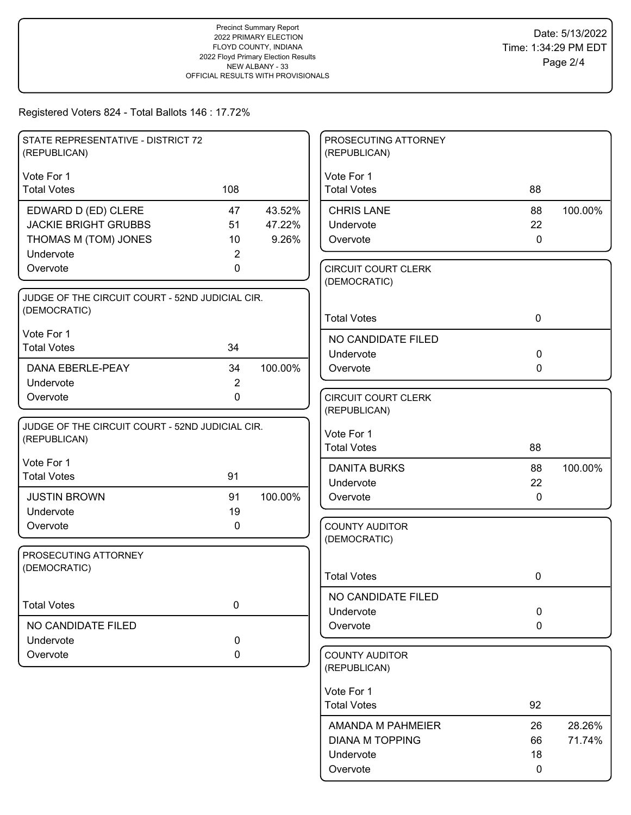| Vote For 1<br>Vote For 1<br><b>Total Votes</b><br>108<br><b>Total Votes</b><br>88<br>EDWARD D (ED) CLERE<br><b>CHRIS LANE</b><br>47<br>43.52%<br>88<br>100.00%<br><b>JACKIE BRIGHT GRUBBS</b><br>51<br>47.22%<br>Undervote<br>22<br>THOMAS M (TOM) JONES<br>10<br>9.26%<br>$\mathbf 0$<br>Overvote<br>Undervote<br>$\overline{2}$<br>Overvote<br>0<br><b>CIRCUIT COURT CLERK</b><br>(DEMOCRATIC) |  |
|--------------------------------------------------------------------------------------------------------------------------------------------------------------------------------------------------------------------------------------------------------------------------------------------------------------------------------------------------------------------------------------------------|--|
|                                                                                                                                                                                                                                                                                                                                                                                                  |  |
|                                                                                                                                                                                                                                                                                                                                                                                                  |  |
|                                                                                                                                                                                                                                                                                                                                                                                                  |  |
|                                                                                                                                                                                                                                                                                                                                                                                                  |  |
|                                                                                                                                                                                                                                                                                                                                                                                                  |  |
|                                                                                                                                                                                                                                                                                                                                                                                                  |  |
|                                                                                                                                                                                                                                                                                                                                                                                                  |  |
| JUDGE OF THE CIRCUIT COURT - 52ND JUDICIAL CIR.                                                                                                                                                                                                                                                                                                                                                  |  |
| (DEMOCRATIC)<br><b>Total Votes</b><br>$\mathbf 0$                                                                                                                                                                                                                                                                                                                                                |  |
| Vote For 1<br>NO CANDIDATE FILED                                                                                                                                                                                                                                                                                                                                                                 |  |
| <b>Total Votes</b><br>34<br>0<br>Undervote                                                                                                                                                                                                                                                                                                                                                       |  |
| 100.00%<br>DANA EBERLE-PEAY<br>34<br>Overvote<br>0                                                                                                                                                                                                                                                                                                                                               |  |
| $\overline{2}$<br>Undervote                                                                                                                                                                                                                                                                                                                                                                      |  |
| 0<br>Overvote<br><b>CIRCUIT COURT CLERK</b>                                                                                                                                                                                                                                                                                                                                                      |  |
| (REPUBLICAN)                                                                                                                                                                                                                                                                                                                                                                                     |  |
| JUDGE OF THE CIRCUIT COURT - 52ND JUDICIAL CIR.<br>Vote For 1<br>(REPUBLICAN)                                                                                                                                                                                                                                                                                                                    |  |
| <b>Total Votes</b><br>88                                                                                                                                                                                                                                                                                                                                                                         |  |
| Vote For 1<br><b>DANITA BURKS</b><br>100.00%<br>88                                                                                                                                                                                                                                                                                                                                               |  |
| 91<br><b>Total Votes</b><br>22<br>Undervote                                                                                                                                                                                                                                                                                                                                                      |  |
| 100.00%<br><b>JUSTIN BROWN</b><br>91<br>Overvote<br>0                                                                                                                                                                                                                                                                                                                                            |  |
| Undervote<br>19                                                                                                                                                                                                                                                                                                                                                                                  |  |
| Overvote<br>0<br><b>COUNTY AUDITOR</b>                                                                                                                                                                                                                                                                                                                                                           |  |
| (DEMOCRATIC)                                                                                                                                                                                                                                                                                                                                                                                     |  |
| PROSECUTING ATTORNEY<br>(DEMOCRATIC)                                                                                                                                                                                                                                                                                                                                                             |  |
| <b>Total Votes</b><br>$\mathbf 0$                                                                                                                                                                                                                                                                                                                                                                |  |
| NO CANDIDATE FILED<br>0<br><b>Total Votes</b>                                                                                                                                                                                                                                                                                                                                                    |  |
| 0<br>Undervote                                                                                                                                                                                                                                                                                                                                                                                   |  |
| NO CANDIDATE FILED<br>Overvote<br>0                                                                                                                                                                                                                                                                                                                                                              |  |
| 0<br>Undervote                                                                                                                                                                                                                                                                                                                                                                                   |  |
| Overvote<br>0<br><b>COUNTY AUDITOR</b><br>(REPUBLICAN)                                                                                                                                                                                                                                                                                                                                           |  |
| Vote For 1                                                                                                                                                                                                                                                                                                                                                                                       |  |
| <b>Total Votes</b><br>92                                                                                                                                                                                                                                                                                                                                                                         |  |
| AMANDA M PAHMEIER<br>28.26%<br>26                                                                                                                                                                                                                                                                                                                                                                |  |
| <b>DIANA M TOPPING</b><br>71.74%<br>66                                                                                                                                                                                                                                                                                                                                                           |  |
| Undervote<br>18                                                                                                                                                                                                                                                                                                                                                                                  |  |
| Overvote<br>0                                                                                                                                                                                                                                                                                                                                                                                    |  |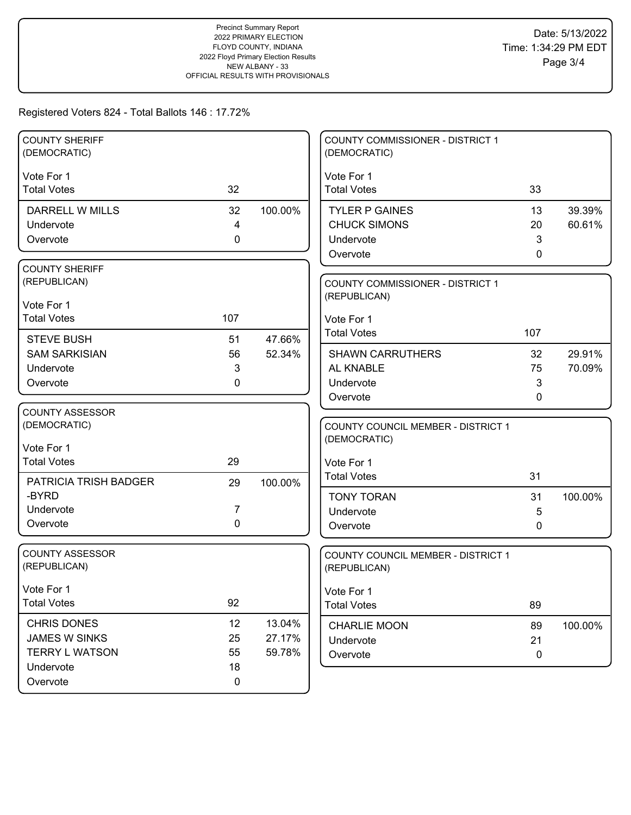| <b>COUNTY SHERIFF</b><br>(DEMOCRATIC) |             |         | <b>COUNTY COMMISSIONER - DISTRICT 1</b><br>(DEMOCRATIC) |             |         |
|---------------------------------------|-------------|---------|---------------------------------------------------------|-------------|---------|
| Vote For 1                            |             |         | Vote For 1                                              |             |         |
| <b>Total Votes</b>                    | 32          |         | <b>Total Votes</b>                                      | 33          |         |
| DARRELL W MILLS                       | 32          | 100.00% | <b>TYLER P GAINES</b>                                   | 13          | 39.39%  |
| Undervote                             | 4           |         | <b>CHUCK SIMONS</b>                                     | 20          | 60.61%  |
| Overvote                              | 0           |         | Undervote                                               | 3           |         |
|                                       |             |         | Overvote                                                | 0           |         |
| <b>COUNTY SHERIFF</b>                 |             |         |                                                         |             |         |
| (REPUBLICAN)                          |             |         | <b>COUNTY COMMISSIONER - DISTRICT 1</b>                 |             |         |
| Vote For 1                            |             |         | (REPUBLICAN)                                            |             |         |
| <b>Total Votes</b>                    | 107         |         |                                                         |             |         |
|                                       |             |         | Vote For 1<br><b>Total Votes</b>                        | 107         |         |
| <b>STEVE BUSH</b>                     | 51          | 47.66%  |                                                         |             |         |
| <b>SAM SARKISIAN</b>                  | 56          | 52.34%  | <b>SHAWN CARRUTHERS</b>                                 | 32          | 29.91%  |
| Undervote                             | 3           |         | AL KNABLE                                               | 75          | 70.09%  |
| Overvote                              | 0           |         | Undervote                                               | 3           |         |
|                                       |             |         | Overvote                                                | 0           |         |
| <b>COUNTY ASSESSOR</b>                |             |         |                                                         |             |         |
| (DEMOCRATIC)                          |             |         | <b>COUNTY COUNCIL MEMBER - DISTRICT 1</b>               |             |         |
| Vote For 1                            |             |         | (DEMOCRATIC)                                            |             |         |
| <b>Total Votes</b>                    | 29          |         | Vote For 1                                              |             |         |
| PATRICIA TRISH BADGER                 | 29          | 100.00% | <b>Total Votes</b>                                      | 31          |         |
| -BYRD                                 |             |         | <b>TONY TORAN</b>                                       | 31          | 100.00% |
| Undervote                             | 7           |         | Undervote                                               | 5           |         |
| Overvote                              | $\mathbf 0$ |         | Overvote                                                | 0           |         |
|                                       |             |         |                                                         |             |         |
| <b>COUNTY ASSESSOR</b>                |             |         | COUNTY COUNCIL MEMBER - DISTRICT 1                      |             |         |
| (REPUBLICAN)                          |             |         | (REPUBLICAN)                                            |             |         |
| Vote For 1                            |             |         | Vote For 1                                              |             |         |
| <b>Total Votes</b>                    | 92          |         | <b>Total Votes</b>                                      | 89          |         |
|                                       |             |         |                                                         |             |         |
| <b>CHRIS DONES</b>                    | 12          | 13.04%  | <b>CHARLIE MOON</b>                                     | 89          | 100.00% |
| JAMES W SINKS                         | 25          | 27.17%  | Undervote                                               | 21          |         |
| <b>TERRY L WATSON</b>                 | 55          | 59.78%  | Overvote                                                | $\mathbf 0$ |         |
| Undervote                             | 18          |         |                                                         |             |         |
| Overvote                              | 0           |         |                                                         |             |         |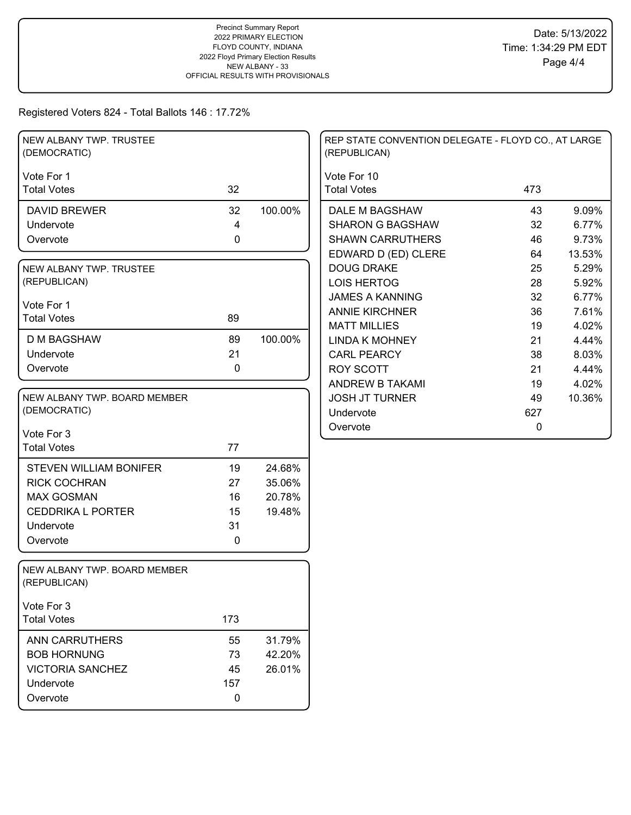| NEW ALBANY TWP. TRUSTEE<br>(DEMOCRATIC)      |             |         | REP STATE CONVENTION DELEGATE - FLOYD CO., AT LARGE<br>(REPUBLICAN) |     |        |
|----------------------------------------------|-------------|---------|---------------------------------------------------------------------|-----|--------|
| Vote For 1                                   |             |         | Vote For 10                                                         |     |        |
| <b>Total Votes</b>                           | 32          |         | <b>Total Votes</b>                                                  | 473 |        |
| <b>DAVID BREWER</b>                          | 32          | 100.00% | DALE M BAGSHAW                                                      | 43  | 9.09%  |
| Undervote                                    | 4           |         | <b>SHARON G BAGSHAW</b>                                             | 32  | 6.77%  |
| Overvote                                     | $\mathbf 0$ |         | <b>SHAWN CARRUTHERS</b>                                             | 46  | 9.73%  |
|                                              |             |         | EDWARD D (ED) CLERE                                                 | 64  | 13.53% |
| NEW ALBANY TWP. TRUSTEE                      |             |         | <b>DOUG DRAKE</b>                                                   | 25  | 5.29%  |
| (REPUBLICAN)                                 |             |         | <b>LOIS HERTOG</b>                                                  | 28  | 5.92%  |
| Vote For 1                                   |             |         | <b>JAMES A KANNING</b>                                              | 32  | 6.77%  |
| <b>Total Votes</b>                           | 89          |         | <b>ANNIE KIRCHNER</b>                                               | 36  | 7.61%  |
|                                              |             |         | <b>MATT MILLIES</b>                                                 | 19  | 4.02%  |
| <b>D M BAGSHAW</b>                           | 89          | 100.00% | <b>LINDA K MOHNEY</b>                                               | 21  | 4.44%  |
| Undervote                                    | 21          |         | <b>CARL PEARCY</b>                                                  | 38  | 8.03%  |
| Overvote                                     | 0           |         | <b>ROY SCOTT</b>                                                    | 21  | 4.44%  |
|                                              |             |         | <b>ANDREW B TAKAMI</b>                                              | 19  | 4.02%  |
| NEW ALBANY TWP. BOARD MEMBER                 |             |         | <b>JOSH JT TURNER</b>                                               | 49  | 10.36% |
| (DEMOCRATIC)                                 |             |         | Undervote                                                           | 627 |        |
| Vote For 3                                   |             |         | Overvote                                                            | 0   |        |
| <b>Total Votes</b>                           | 77          |         |                                                                     |     |        |
|                                              |             |         |                                                                     |     |        |
| <b>STEVEN WILLIAM BONIFER</b>                | 19          | 24.68%  |                                                                     |     |        |
| <b>RICK COCHRAN</b>                          | 27          | 35.06%  |                                                                     |     |        |
| <b>MAX GOSMAN</b>                            | 16          | 20.78%  |                                                                     |     |        |
| <b>CEDDRIKA L PORTER</b>                     | 15          | 19.48%  |                                                                     |     |        |
| Undervote                                    | 31          |         |                                                                     |     |        |
| Overvote                                     | 0           |         |                                                                     |     |        |
| NEW ALBANY TWP. BOARD MEMBER<br>(REPUBLICAN) |             |         |                                                                     |     |        |
| Vote For 3                                   |             |         |                                                                     |     |        |
| <b>Total Votes</b>                           | 173         |         |                                                                     |     |        |
| ANN CARRUTHERS                               | 55          | 31.79%  |                                                                     |     |        |
| <b>BOB HORNUNG</b>                           | 73          | 42.20%  |                                                                     |     |        |
| <b>VICTORIA SANCHEZ</b>                      | 45          | 26.01%  |                                                                     |     |        |
| Undervote                                    | 157         |         |                                                                     |     |        |
| Overvote                                     | 0           |         |                                                                     |     |        |
|                                              |             |         |                                                                     |     |        |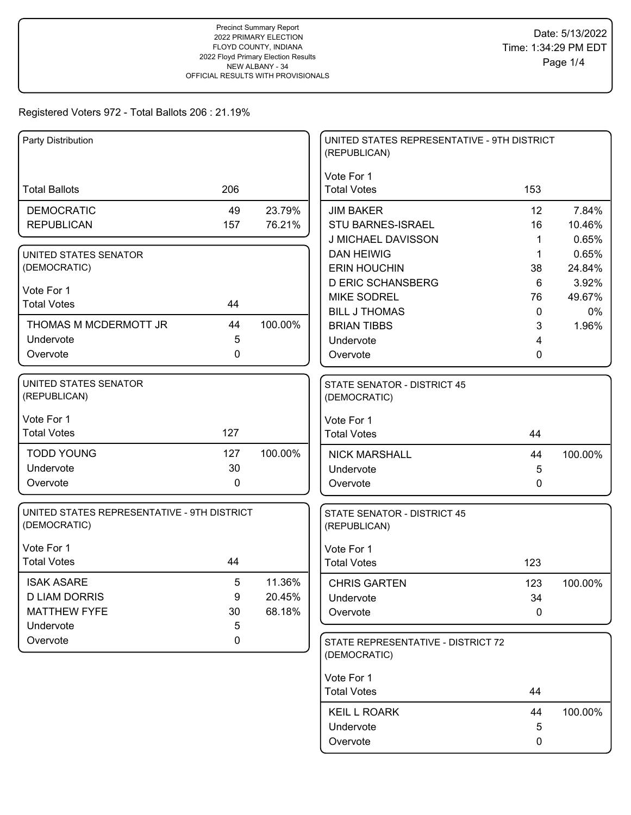| Party Distribution                                          |             |         | UNITED STATES REPRESENTATIVE - 9TH DISTRICT<br>(REPUBLICAN) |              |         |
|-------------------------------------------------------------|-------------|---------|-------------------------------------------------------------|--------------|---------|
|                                                             |             |         |                                                             |              |         |
| <b>Total Ballots</b>                                        | 206         |         | Vote For 1<br><b>Total Votes</b>                            | 153          |         |
| <b>DEMOCRATIC</b>                                           | 49          | 23.79%  | <b>JIM BAKER</b>                                            | 12           | 7.84%   |
| <b>REPUBLICAN</b>                                           | 157         | 76.21%  | STU BARNES-ISRAEL                                           | 16           | 10.46%  |
|                                                             |             |         | <b>J MICHAEL DAVISSON</b>                                   | -1           | 0.65%   |
| UNITED STATES SENATOR                                       |             |         | <b>DAN HEIWIG</b>                                           | $\mathbf{1}$ | 0.65%   |
| (DEMOCRATIC)                                                |             |         | <b>ERIN HOUCHIN</b>                                         | 38           | 24.84%  |
| Vote For 1                                                  |             |         | <b>D ERIC SCHANSBERG</b>                                    | 6            | 3.92%   |
| <b>Total Votes</b>                                          | 44          |         | <b>MIKE SODREL</b>                                          | 76           | 49.67%  |
|                                                             |             |         | <b>BILL J THOMAS</b>                                        | $\mathbf 0$  | 0%      |
| THOMAS M MCDERMOTT JR                                       | 44          | 100.00% | <b>BRIAN TIBBS</b>                                          | 3            | 1.96%   |
| Undervote                                                   | 5           |         | Undervote                                                   | 4            |         |
| Overvote                                                    | 0           |         | Overvote                                                    | 0            |         |
| UNITED STATES SENATOR                                       |             |         | <b>STATE SENATOR - DISTRICT 45</b>                          |              |         |
| (REPUBLICAN)                                                |             |         | (DEMOCRATIC)                                                |              |         |
|                                                             |             |         |                                                             |              |         |
| Vote For 1                                                  |             |         | Vote For 1                                                  |              |         |
| <b>Total Votes</b>                                          | 127         |         | <b>Total Votes</b>                                          | 44           |         |
| <b>TODD YOUNG</b>                                           | 127         | 100.00% | <b>NICK MARSHALL</b>                                        | 44           | 100.00% |
| Undervote                                                   | 30          |         | Undervote                                                   | 5            |         |
| Overvote                                                    | $\mathbf 0$ |         | Overvote                                                    | $\mathbf 0$  |         |
|                                                             |             |         |                                                             |              |         |
| UNITED STATES REPRESENTATIVE - 9TH DISTRICT<br>(DEMOCRATIC) |             |         | <b>STATE SENATOR - DISTRICT 45</b><br>(REPUBLICAN)          |              |         |
|                                                             |             |         |                                                             |              |         |
| Vote For 1                                                  |             |         | Vote For 1                                                  |              |         |
| <b>Total Votes</b>                                          | 44          |         | <b>Total Votes</b>                                          | 123          |         |
| <b>ISAK ASARE</b>                                           | 5           | 11.36%  | <b>CHRIS GARTEN</b>                                         | 123          | 100.00% |
| <b>D LIAM DORRIS</b>                                        | 9           | 20.45%  | Undervote                                                   | 34           |         |
| <b>MATTHEW FYFE</b>                                         | 30          | 68.18%  | Overvote                                                    | $\pmb{0}$    |         |
| Undervote                                                   | 5           |         |                                                             |              |         |
| Overvote                                                    | 0           |         | STATE REPRESENTATIVE - DISTRICT 72                          |              |         |
|                                                             |             |         | (DEMOCRATIC)                                                |              |         |
|                                                             |             |         | Vote For 1                                                  |              |         |
|                                                             |             |         | <b>Total Votes</b>                                          | 44           |         |
|                                                             |             |         |                                                             |              |         |
|                                                             |             |         | <b>KEIL L ROARK</b>                                         | 44           | 100.00% |
|                                                             |             |         | Undervote                                                   | 5            |         |
|                                                             |             |         | Overvote                                                    | 0            |         |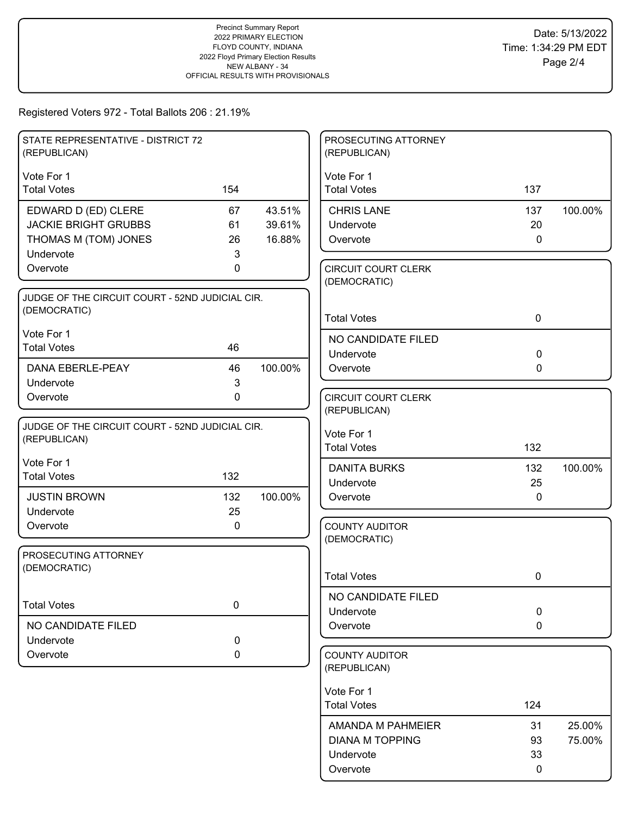| STATE REPRESENTATIVE - DISTRICT 72              |              |         | PROSECUTING ATTORNEY                       |              |         |
|-------------------------------------------------|--------------|---------|--------------------------------------------|--------------|---------|
| (REPUBLICAN)                                    |              |         | (REPUBLICAN)                               |              |         |
| Vote For 1                                      |              |         | Vote For 1                                 |              |         |
| <b>Total Votes</b>                              | 154          |         | <b>Total Votes</b>                         | 137          |         |
| EDWARD D (ED) CLERE                             | 67           | 43.51%  | <b>CHRIS LANE</b>                          | 137          | 100.00% |
| <b>JACKIE BRIGHT GRUBBS</b>                     | 61           | 39.61%  | Undervote                                  | 20           |         |
| THOMAS M (TOM) JONES                            | 26           | 16.88%  | Overvote                                   | $\mathbf 0$  |         |
| Undervote<br>Overvote                           | 3<br>0       |         |                                            |              |         |
|                                                 |              |         | <b>CIRCUIT COURT CLERK</b><br>(DEMOCRATIC) |              |         |
| JUDGE OF THE CIRCUIT COURT - 52ND JUDICIAL CIR. |              |         |                                            |              |         |
| (DEMOCRATIC)                                    |              |         | <b>Total Votes</b>                         | $\mathbf 0$  |         |
| Vote For 1                                      |              |         | NO CANDIDATE FILED                         |              |         |
| <b>Total Votes</b>                              | 46           |         | Undervote                                  | $\mathbf 0$  |         |
| <b>DANA EBERLE-PEAY</b>                         | 46           | 100.00% | Overvote                                   | $\mathbf{0}$ |         |
| Undervote                                       | $\mathbf{3}$ |         |                                            |              |         |
| Overvote                                        | $\mathbf 0$  |         | <b>CIRCUIT COURT CLERK</b>                 |              |         |
|                                                 |              |         | (REPUBLICAN)                               |              |         |
| JUDGE OF THE CIRCUIT COURT - 52ND JUDICIAL CIR. |              |         | Vote For 1                                 |              |         |
| (REPUBLICAN)                                    |              |         | <b>Total Votes</b>                         | 132          |         |
| Vote For 1                                      |              |         | <b>DANITA BURKS</b>                        | 132          | 100.00% |
| <b>Total Votes</b>                              | 132          |         | Undervote                                  | 25           |         |
| <b>JUSTIN BROWN</b>                             | 132          | 100.00% | Overvote                                   | 0            |         |
| Undervote                                       | 25           |         |                                            |              |         |
| Overvote                                        | 0            |         | <b>COUNTY AUDITOR</b>                      |              |         |
|                                                 |              |         | (DEMOCRATIC)                               |              |         |
| PROSECUTING ATTORNEY<br>(DEMOCRATIC)            |              |         |                                            |              |         |
|                                                 |              |         | <b>Total Votes</b>                         | 0            |         |
|                                                 |              |         | NO CANDIDATE FILED                         |              |         |
| <b>Total Votes</b>                              | 0            |         | Undervote                                  | $\mathbf 0$  |         |
| NO CANDIDATE FILED                              |              |         | Overvote                                   | $\mathbf 0$  |         |
| Undervote                                       | $\pmb{0}$    |         |                                            |              |         |
| Overvote                                        | 0            |         | <b>COUNTY AUDITOR</b><br>(REPUBLICAN)      |              |         |
|                                                 |              |         | Vote For 1                                 |              |         |
|                                                 |              |         | <b>Total Votes</b>                         | 124          |         |
|                                                 |              |         | AMANDA M PAHMEIER                          | 31           | 25.00%  |
|                                                 |              |         | <b>DIANA M TOPPING</b>                     | 93           | 75.00%  |
|                                                 |              |         | Undervote                                  | 33           |         |
|                                                 |              |         | Overvote                                   | 0            |         |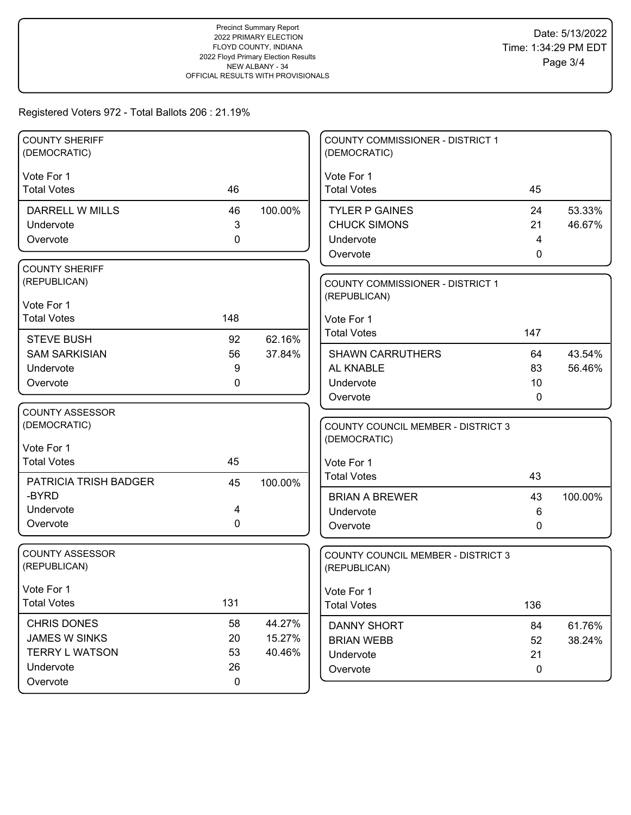| <b>COUNTY SHERIFF</b><br>(DEMOCRATIC) |             |         | COUNTY COMMISSIONER - DISTRICT 1<br>(DEMOCRATIC) |              |         |
|---------------------------------------|-------------|---------|--------------------------------------------------|--------------|---------|
| Vote For 1                            |             |         | Vote For 1                                       |              |         |
| <b>Total Votes</b>                    | 46          |         | <b>Total Votes</b>                               | 45           |         |
| DARRELL W MILLS                       | 46          | 100.00% | <b>TYLER P GAINES</b>                            | 24           | 53.33%  |
| Undervote                             | 3           |         | <b>CHUCK SIMONS</b>                              | 21           | 46.67%  |
| Overvote                              | 0           |         | Undervote                                        | 4            |         |
|                                       |             |         | Overvote                                         | $\mathbf{0}$ |         |
| <b>COUNTY SHERIFF</b>                 |             |         |                                                  |              |         |
| (REPUBLICAN)                          |             |         | <b>COUNTY COMMISSIONER - DISTRICT 1</b>          |              |         |
| Vote For 1                            |             |         | (REPUBLICAN)                                     |              |         |
| <b>Total Votes</b>                    | 148         |         | Vote For 1                                       |              |         |
| <b>STEVE BUSH</b>                     | 92          | 62.16%  | <b>Total Votes</b>                               | 147          |         |
| <b>SAM SARKISIAN</b>                  | 56          | 37.84%  | <b>SHAWN CARRUTHERS</b>                          | 64           | 43.54%  |
| Undervote                             | 9           |         | AL KNABLE                                        | 83           | 56.46%  |
| Overvote                              | 0           |         | Undervote                                        | 10           |         |
|                                       |             |         | Overvote                                         | 0            |         |
| COUNTY ASSESSOR                       |             |         |                                                  |              |         |
| (DEMOCRATIC)                          |             |         | <b>COUNTY COUNCIL MEMBER - DISTRICT 3</b>        |              |         |
| Vote For 1                            |             |         | (DEMOCRATIC)                                     |              |         |
| <b>Total Votes</b>                    | 45          |         | Vote For 1                                       |              |         |
| PATRICIA TRISH BADGER                 | 45          | 100.00% | <b>Total Votes</b>                               | 43           |         |
| -BYRD                                 |             |         | <b>BRIAN A BREWER</b>                            | 43           | 100.00% |
| Undervote                             | 4           |         | Undervote                                        | 6            |         |
| Overvote                              | 0           |         | Overvote                                         | 0            |         |
|                                       |             |         |                                                  |              |         |
| <b>COUNTY ASSESSOR</b>                |             |         | COUNTY COUNCIL MEMBER - DISTRICT 3               |              |         |
| (REPUBLICAN)                          |             |         | (REPUBLICAN)                                     |              |         |
| Vote For 1                            |             |         | Vote For 1                                       |              |         |
| <b>Total Votes</b>                    | 131         |         | <b>Total Votes</b>                               | 136          |         |
| <b>CHRIS DONES</b>                    | 58          | 44.27%  | <b>DANNY SHORT</b>                               | 84           | 61.76%  |
| JAMES W SINKS                         | 20          | 15.27%  | <b>BRIAN WEBB</b>                                | 52           | 38.24%  |
| <b>TERRY L WATSON</b>                 | 53          | 40.46%  | Undervote                                        | 21           |         |
| Undervote                             | 26          |         | Overvote                                         | $\mathbf 0$  |         |
| Overvote                              | $\mathbf 0$ |         |                                                  |              |         |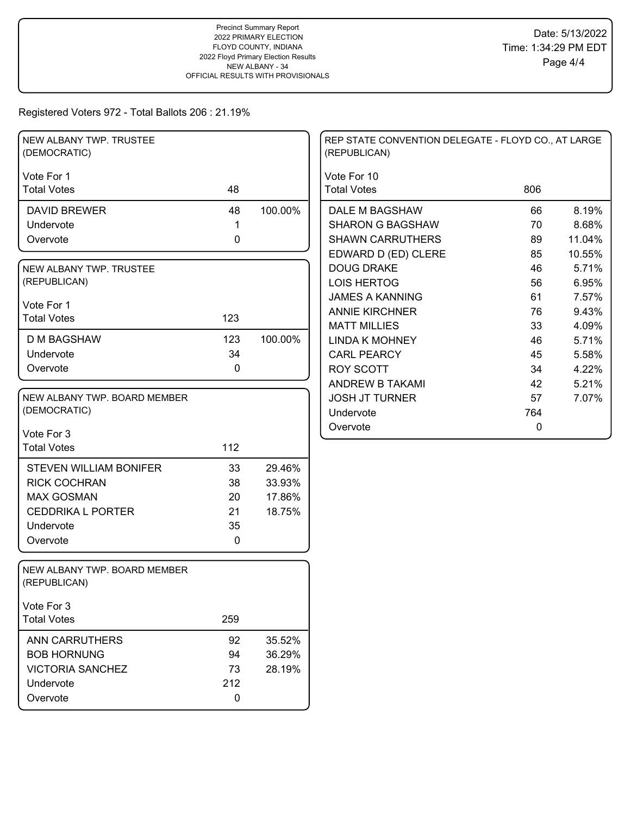| NEW ALBANY TWP. TRUSTEE<br>(DEMOCRATIC)      |             |         | REP STATE CONVENTION DELEGATE - FLOYD CO., AT LARGE<br>(REPUBLICAN) |             |        |
|----------------------------------------------|-------------|---------|---------------------------------------------------------------------|-------------|--------|
| Vote For 1                                   |             |         | Vote For 10                                                         |             |        |
| <b>Total Votes</b>                           | 48          |         | <b>Total Votes</b>                                                  | 806         |        |
| <b>DAVID BREWER</b>                          | 48          | 100.00% | DALE M BAGSHAW                                                      | 66          | 8.19%  |
| Undervote                                    | 1           |         | <b>SHARON G BAGSHAW</b>                                             | 70          | 8.68%  |
| Overvote                                     | 0           |         | <b>SHAWN CARRUTHERS</b>                                             | 89          | 11.04% |
|                                              |             |         | EDWARD D (ED) CLERE                                                 | 85          | 10.55% |
| NEW ALBANY TWP. TRUSTEE                      |             |         | <b>DOUG DRAKE</b>                                                   | 46          | 5.71%  |
| (REPUBLICAN)                                 |             |         | <b>LOIS HERTOG</b>                                                  | 56          | 6.95%  |
| Vote For 1                                   |             |         | <b>JAMES A KANNING</b>                                              | 61          | 7.57%  |
| <b>Total Votes</b>                           | 123         |         | <b>ANNIE KIRCHNER</b>                                               | 76          | 9.43%  |
|                                              |             |         | <b>MATT MILLIES</b>                                                 | 33          | 4.09%  |
| <b>D M BAGSHAW</b>                           | 123         | 100.00% | <b>LINDA K MOHNEY</b>                                               | 46          | 5.71%  |
| Undervote                                    | 34          |         | <b>CARL PEARCY</b>                                                  | 45          | 5.58%  |
| Overvote                                     | 0           |         | <b>ROY SCOTT</b>                                                    | 34          | 4.22%  |
|                                              |             |         | ANDREW B TAKAMI                                                     | 42          | 5.21%  |
| NEW ALBANY TWP. BOARD MEMBER                 |             |         | <b>JOSH JT TURNER</b>                                               | 57          | 7.07%  |
| (DEMOCRATIC)                                 |             |         | Undervote                                                           | 764         |        |
| Vote For 3                                   |             |         | Overvote                                                            | $\mathbf 0$ |        |
| <b>Total Votes</b>                           | 112         |         |                                                                     |             |        |
| <b>STEVEN WILLIAM BONIFER</b>                | 33          | 29.46%  |                                                                     |             |        |
| <b>RICK COCHRAN</b>                          | 38          | 33.93%  |                                                                     |             |        |
| <b>MAX GOSMAN</b>                            | 20          | 17.86%  |                                                                     |             |        |
| <b>CEDDRIKA L PORTER</b>                     | 21          | 18.75%  |                                                                     |             |        |
| Undervote                                    | 35          |         |                                                                     |             |        |
| Overvote                                     | $\mathbf 0$ |         |                                                                     |             |        |
|                                              |             |         |                                                                     |             |        |
| NEW ALBANY TWP. BOARD MEMBER<br>(REPUBLICAN) |             |         |                                                                     |             |        |
| Vote For 3                                   |             |         |                                                                     |             |        |
| <b>Total Votes</b>                           | 259         |         |                                                                     |             |        |
| <b>ANN CARRUTHERS</b>                        | 92          | 35.52%  |                                                                     |             |        |
| <b>BOB HORNUNG</b>                           | 94          | 36.29%  |                                                                     |             |        |
| <b>VICTORIA SANCHEZ</b>                      | 73          | 28.19%  |                                                                     |             |        |
| Undervote                                    | 212         |         |                                                                     |             |        |
| Overvote                                     | 0           |         |                                                                     |             |        |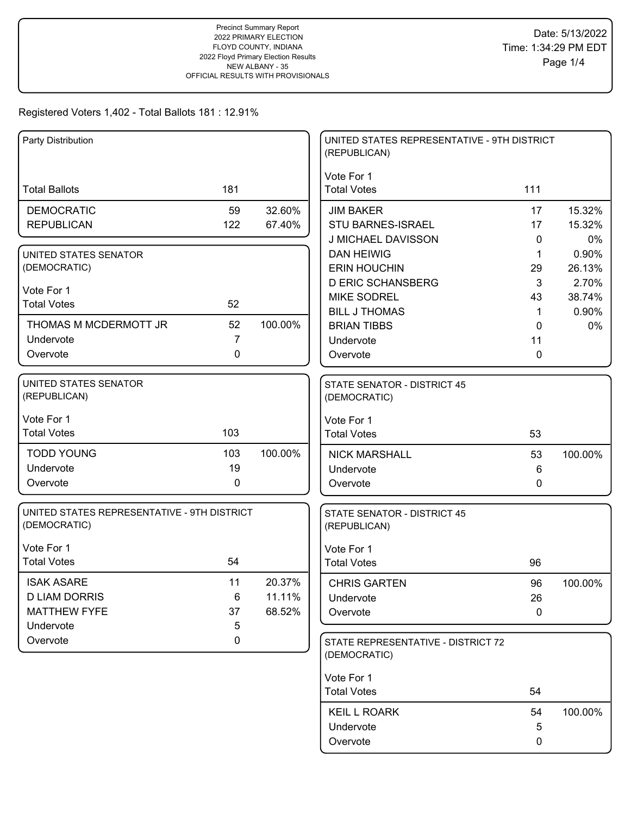| Party Distribution                          |                |         | UNITED STATES REPRESENTATIVE - 9TH DISTRICT<br>(REPUBLICAN) |             |         |
|---------------------------------------------|----------------|---------|-------------------------------------------------------------|-------------|---------|
|                                             |                |         | Vote For 1                                                  |             |         |
| <b>Total Ballots</b>                        | 181            |         | <b>Total Votes</b>                                          | 111         |         |
| <b>DEMOCRATIC</b>                           | 59             | 32.60%  | <b>JIM BAKER</b>                                            | 17          | 15.32%  |
| <b>REPUBLICAN</b>                           | 122            | 67.40%  | STU BARNES-ISRAEL                                           | 17          | 15.32%  |
|                                             |                |         | J MICHAEL DAVISSON                                          | 0           | 0%      |
| UNITED STATES SENATOR                       |                |         | <b>DAN HEIWIG</b>                                           | $\mathbf 1$ | 0.90%   |
| (DEMOCRATIC)                                |                |         | <b>ERIN HOUCHIN</b>                                         | 29          | 26.13%  |
| Vote For 1                                  |                |         | <b>D ERIC SCHANSBERG</b>                                    | 3           | 2.70%   |
| <b>Total Votes</b>                          | 52             |         | <b>MIKE SODREL</b>                                          | 43          | 38.74%  |
| THOMAS M MCDERMOTT JR                       | 52             | 100.00% | <b>BILL J THOMAS</b>                                        | $\mathbf 1$ | 0.90%   |
| Undervote                                   | $\overline{7}$ |         | <b>BRIAN TIBBS</b><br>Undervote                             | 0<br>11     | 0%      |
| Overvote                                    | 0              |         | Overvote                                                    | 0           |         |
|                                             |                |         |                                                             |             |         |
| UNITED STATES SENATOR<br>(REPUBLICAN)       |                |         | <b>STATE SENATOR - DISTRICT 45</b><br>(DEMOCRATIC)          |             |         |
|                                             |                |         |                                                             |             |         |
| Vote For 1                                  |                |         | Vote For 1                                                  |             |         |
| <b>Total Votes</b>                          | 103            |         | <b>Total Votes</b>                                          | 53          |         |
| <b>TODD YOUNG</b>                           | 103            | 100.00% | <b>NICK MARSHALL</b>                                        | 53          | 100.00% |
| Undervote                                   | 19             |         | Undervote                                                   | 6           |         |
| Overvote                                    | 0              |         | Overvote                                                    | 0           |         |
| UNITED STATES REPRESENTATIVE - 9TH DISTRICT |                |         | STATE SENATOR - DISTRICT 45                                 |             |         |
| (DEMOCRATIC)                                |                |         | (REPUBLICAN)                                                |             |         |
| Vote For 1                                  |                |         | Vote For 1                                                  |             |         |
| <b>Total Votes</b>                          | 54             |         | <b>Total Votes</b>                                          | 96          |         |
| <b>ISAK ASARE</b>                           | 11             | 20.37%  | <b>CHRIS GARTEN</b>                                         | 96          | 100.00% |
| <b>D LIAM DORRIS</b>                        | 6              | 11.11%  | Undervote                                                   | 26          |         |
| <b>MATTHEW FYFE</b>                         | 37             | 68.52%  | Overvote                                                    | 0           |         |
| Undervote                                   | 5              |         |                                                             |             |         |
| Overvote                                    | $\mathbf 0$    |         | STATE REPRESENTATIVE - DISTRICT 72<br>(DEMOCRATIC)          |             |         |
|                                             |                |         |                                                             |             |         |
|                                             |                |         | Vote For 1<br><b>Total Votes</b>                            | 54          |         |
|                                             |                |         |                                                             |             |         |
|                                             |                |         | <b>KEIL L ROARK</b>                                         | 54          | 100.00% |
|                                             |                |         | Undervote                                                   | 5           |         |
|                                             |                |         | Overvote                                                    | 0           |         |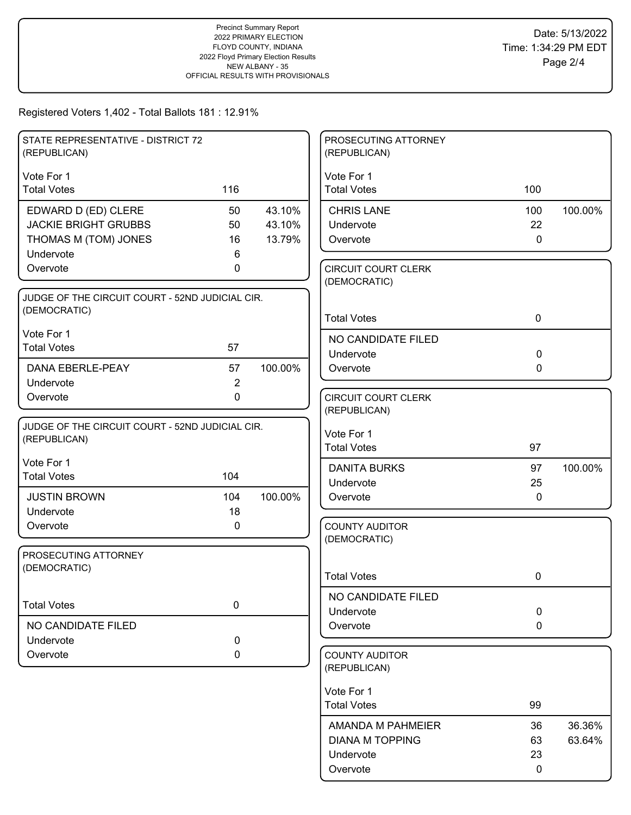| STATE REPRESENTATIVE - DISTRICT 72<br>(REPUBLICAN) |                |         | PROSECUTING ATTORNEY<br>(REPUBLICAN)       |              |         |
|----------------------------------------------------|----------------|---------|--------------------------------------------|--------------|---------|
|                                                    |                |         |                                            |              |         |
| Vote For 1                                         |                |         | Vote For 1                                 |              |         |
| <b>Total Votes</b>                                 | 116            |         | <b>Total Votes</b>                         | 100          |         |
| EDWARD D (ED) CLERE                                | 50             | 43.10%  | <b>CHRIS LANE</b>                          | 100          | 100.00% |
| <b>JACKIE BRIGHT GRUBBS</b>                        | 50             | 43.10%  | Undervote                                  | 22           |         |
| THOMAS M (TOM) JONES                               | 16             | 13.79%  | Overvote                                   | $\mathbf 0$  |         |
| Undervote                                          | 6              |         |                                            |              |         |
| Overvote                                           | 0              |         | <b>CIRCUIT COURT CLERK</b><br>(DEMOCRATIC) |              |         |
| JUDGE OF THE CIRCUIT COURT - 52ND JUDICIAL CIR.    |                |         |                                            |              |         |
| (DEMOCRATIC)                                       |                |         |                                            |              |         |
|                                                    |                |         | <b>Total Votes</b>                         | $\mathbf 0$  |         |
| Vote For 1                                         |                |         | NO CANDIDATE FILED                         |              |         |
| <b>Total Votes</b>                                 | 57             |         | Undervote                                  | $\mathbf 0$  |         |
| DANA EBERLE-PEAY                                   | 57             | 100.00% | Overvote                                   | $\mathbf 0$  |         |
| Undervote                                          | $\overline{2}$ |         |                                            |              |         |
| Overvote                                           | $\Omega$       |         | <b>CIRCUIT COURT CLERK</b>                 |              |         |
|                                                    |                |         | (REPUBLICAN)                               |              |         |
| JUDGE OF THE CIRCUIT COURT - 52ND JUDICIAL CIR.    |                |         | Vote For 1                                 |              |         |
| (REPUBLICAN)                                       |                |         | <b>Total Votes</b>                         | 97           |         |
| Vote For 1                                         |                |         | <b>DANITA BURKS</b>                        | 97           | 100.00% |
| <b>Total Votes</b>                                 | 104            |         | Undervote                                  | 25           |         |
| <b>JUSTIN BROWN</b>                                | 104            | 100.00% | Overvote                                   | $\mathbf{0}$ |         |
| Undervote                                          | 18             |         |                                            |              |         |
| Overvote                                           | 0              |         | <b>COUNTY AUDITOR</b>                      |              |         |
|                                                    |                |         | (DEMOCRATIC)                               |              |         |
| PROSECUTING ATTORNEY                               |                |         |                                            |              |         |
| (DEMOCRATIC)                                       |                |         | <b>Total Votes</b>                         | 0            |         |
|                                                    |                |         |                                            |              |         |
| <b>Total Votes</b>                                 | $\pmb{0}$      |         | NO CANDIDATE FILED<br>Undervote            | $\pmb{0}$    |         |
| NO CANDIDATE FILED                                 |                |         | Overvote                                   | $\mathbf 0$  |         |
| Undervote                                          | 0              |         |                                            |              |         |
| Overvote                                           | $\mathbf 0$    |         | <b>COUNTY AUDITOR</b>                      |              |         |
|                                                    |                |         | (REPUBLICAN)                               |              |         |
|                                                    |                |         |                                            |              |         |
|                                                    |                |         | Vote For 1<br><b>Total Votes</b>           | 99           |         |
|                                                    |                |         |                                            |              |         |
|                                                    |                |         | AMANDA M PAHMEIER                          | 36           | 36.36%  |
|                                                    |                |         | <b>DIANA M TOPPING</b>                     | 63           | 63.64%  |
|                                                    |                |         | Undervote                                  | 23           |         |
|                                                    |                |         | Overvote                                   | 0            |         |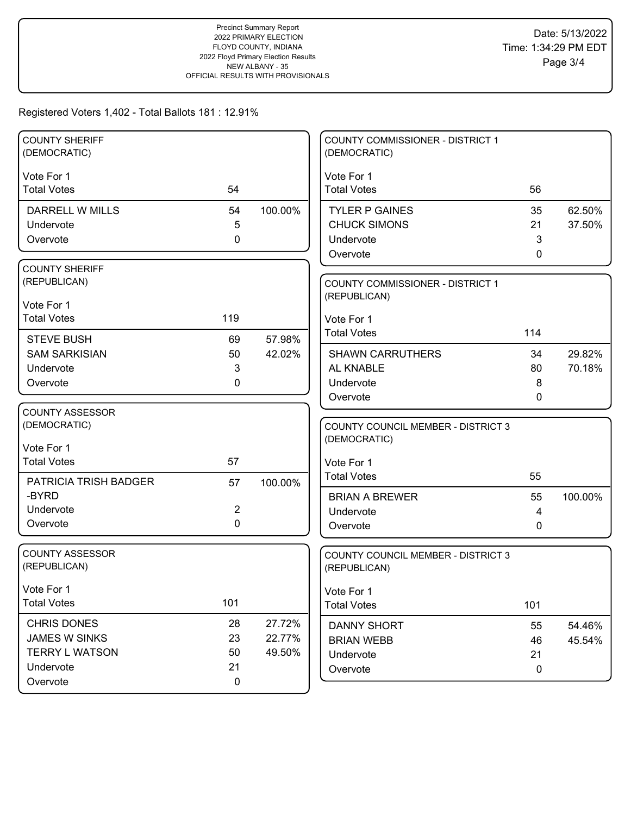| <b>COUNTY SHERIFF</b><br>(DEMOCRATIC)  |                |         | COUNTY COMMISSIONER - DISTRICT 1<br>(DEMOCRATIC)          |              |         |
|----------------------------------------|----------------|---------|-----------------------------------------------------------|--------------|---------|
| Vote For 1                             |                |         | Vote For 1                                                |              |         |
| <b>Total Votes</b>                     | 54             |         | <b>Total Votes</b>                                        | 56           |         |
| DARRELL W MILLS                        | 54             | 100.00% | <b>TYLER P GAINES</b>                                     | 35           | 62.50%  |
| Undervote                              | 5              |         | <b>CHUCK SIMONS</b>                                       | 21           | 37.50%  |
| Overvote                               | 0              |         | Undervote                                                 | 3            |         |
|                                        |                |         | Overvote                                                  | 0            |         |
| <b>COUNTY SHERIFF</b><br>(REPUBLICAN)  |                |         |                                                           |              |         |
|                                        |                |         | <b>COUNTY COMMISSIONER - DISTRICT 1</b><br>(REPUBLICAN)   |              |         |
| Vote For 1                             |                |         |                                                           |              |         |
| <b>Total Votes</b>                     | 119            |         | Vote For 1                                                |              |         |
| <b>STEVE BUSH</b>                      | 69             | 57.98%  | <b>Total Votes</b>                                        | 114          |         |
| <b>SAM SARKISIAN</b>                   | 50             | 42.02%  | <b>SHAWN CARRUTHERS</b>                                   | 34           | 29.82%  |
| Undervote                              | 3              |         | AL KNABLE                                                 | 80           | 70.18%  |
| Overvote                               | 0              |         | Undervote                                                 | 8            |         |
|                                        |                |         | Overvote                                                  | 0            |         |
| <b>COUNTY ASSESSOR</b>                 |                |         |                                                           |              |         |
| (DEMOCRATIC)                           |                |         | <b>COUNTY COUNCIL MEMBER - DISTRICT 3</b>                 |              |         |
| Vote For 1                             |                |         | (DEMOCRATIC)                                              |              |         |
| <b>Total Votes</b>                     | 57             |         | Vote For 1                                                |              |         |
| PATRICIA TRISH BADGER                  | 57             | 100.00% | <b>Total Votes</b>                                        | 55           |         |
| -BYRD                                  |                |         | <b>BRIAN A BREWER</b>                                     | 55           | 100.00% |
| Undervote                              | $\overline{2}$ |         | Undervote                                                 | 4            |         |
| Overvote                               | $\mathbf 0$    |         | Overvote                                                  | $\mathbf{0}$ |         |
|                                        |                |         |                                                           |              |         |
| <b>COUNTY ASSESSOR</b><br>(REPUBLICAN) |                |         | <b>COUNTY COUNCIL MEMBER - DISTRICT 3</b><br>(REPUBLICAN) |              |         |
|                                        |                |         |                                                           |              |         |
| Vote For 1                             |                |         | Vote For 1                                                |              |         |
| <b>Total Votes</b>                     | 101            |         | <b>Total Votes</b>                                        | 101          |         |
| CHRIS DONES                            | 28             | 27.72%  | <b>DANNY SHORT</b>                                        | 55           | 54.46%  |
| <b>JAMES W SINKS</b>                   | 23             | 22.77%  | <b>BRIAN WEBB</b>                                         | 46           | 45.54%  |
| <b>TERRY L WATSON</b>                  | 50             | 49.50%  | Undervote                                                 | 21           |         |
| Undervote                              | 21             |         | Overvote                                                  | $\mathbf 0$  |         |
| Overvote                               | $\mathbf 0$    |         |                                                           |              |         |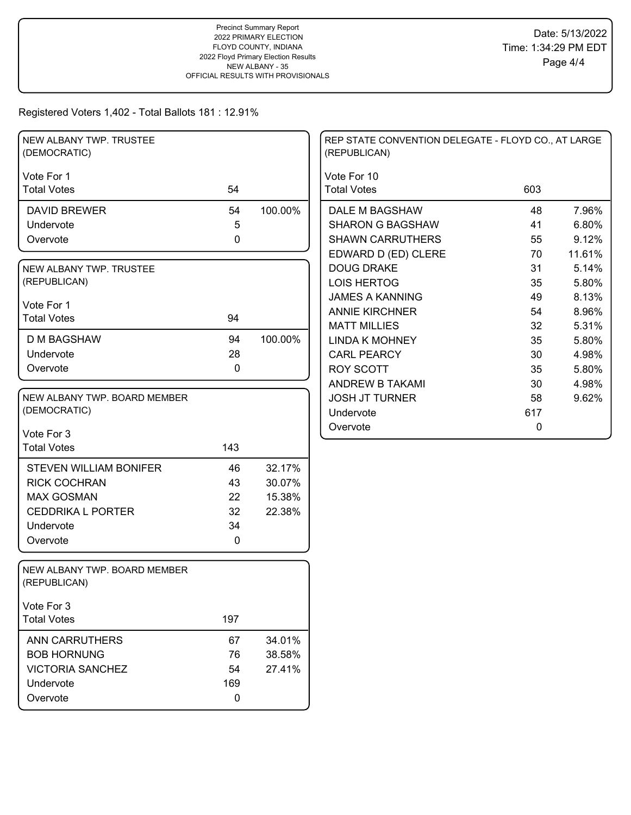| NEW ALBANY TWP. TRUSTEE<br>(DEMOCRATIC)      |             |         | REP STATE CONVENTION DELEGATE - FLOYD CO., AT LARGE<br>(REPUBLICAN) |     |        |
|----------------------------------------------|-------------|---------|---------------------------------------------------------------------|-----|--------|
| Vote For 1                                   |             |         | Vote For 10                                                         |     |        |
| <b>Total Votes</b>                           | 54          |         | <b>Total Votes</b>                                                  | 603 |        |
| <b>DAVID BREWER</b>                          | 54          | 100.00% | DALE M BAGSHAW                                                      | 48  | 7.96%  |
| Undervote                                    | 5           |         | <b>SHARON G BAGSHAW</b>                                             | 41  | 6.80%  |
| Overvote                                     | $\mathbf 0$ |         | <b>SHAWN CARRUTHERS</b>                                             | 55  | 9.12%  |
|                                              |             |         | EDWARD D (ED) CLERE                                                 | 70  | 11.61% |
| NEW ALBANY TWP. TRUSTEE                      |             |         | <b>DOUG DRAKE</b>                                                   | 31  | 5.14%  |
| (REPUBLICAN)                                 |             |         | <b>LOIS HERTOG</b>                                                  | 35  | 5.80%  |
|                                              |             |         | <b>JAMES A KANNING</b>                                              | 49  | 8.13%  |
| Vote For 1<br><b>Total Votes</b>             | 94          |         | <b>ANNIE KIRCHNER</b>                                               | 54  | 8.96%  |
|                                              |             |         | <b>MATT MILLIES</b>                                                 | 32  | 5.31%  |
| D M BAGSHAW                                  | 94          | 100.00% | <b>LINDA K MOHNEY</b>                                               | 35  | 5.80%  |
| Undervote                                    | 28          |         | <b>CARL PEARCY</b>                                                  | 30  | 4.98%  |
| Overvote                                     | $\mathbf 0$ |         | <b>ROY SCOTT</b>                                                    | 35  | 5.80%  |
|                                              |             |         | <b>ANDREW B TAKAMI</b>                                              | 30  | 4.98%  |
| NEW ALBANY TWP. BOARD MEMBER                 |             |         | <b>JOSH JT TURNER</b>                                               | 58  | 9.62%  |
| (DEMOCRATIC)                                 |             |         | Undervote                                                           | 617 |        |
| Vote For 3                                   |             |         | Overvote                                                            | 0   |        |
| <b>Total Votes</b>                           | 143         |         |                                                                     |     |        |
|                                              |             |         |                                                                     |     |        |
| <b>STEVEN WILLIAM BONIFER</b>                | 46          | 32.17%  |                                                                     |     |        |
| <b>RICK COCHRAN</b>                          | 43          | 30.07%  |                                                                     |     |        |
| <b>MAX GOSMAN</b>                            | 22          | 15.38%  |                                                                     |     |        |
| <b>CEDDRIKA L PORTER</b>                     | 32          | 22.38%  |                                                                     |     |        |
| Undervote                                    | 34          |         |                                                                     |     |        |
| Overvote                                     | $\mathbf 0$ |         |                                                                     |     |        |
| NEW ALBANY TWP. BOARD MEMBER<br>(REPUBLICAN) |             |         |                                                                     |     |        |
| Vote For 3                                   |             |         |                                                                     |     |        |
| <b>Total Votes</b>                           | 197         |         |                                                                     |     |        |
| ANN CARRUTHERS                               | 67          | 34.01%  |                                                                     |     |        |
| <b>BOB HORNUNG</b>                           | 76          | 38.58%  |                                                                     |     |        |
| <b>VICTORIA SANCHEZ</b>                      | 54          | 27.41%  |                                                                     |     |        |
| Undervote                                    | 169         |         |                                                                     |     |        |
| Overvote                                     | 0           |         |                                                                     |     |        |
|                                              |             |         |                                                                     |     |        |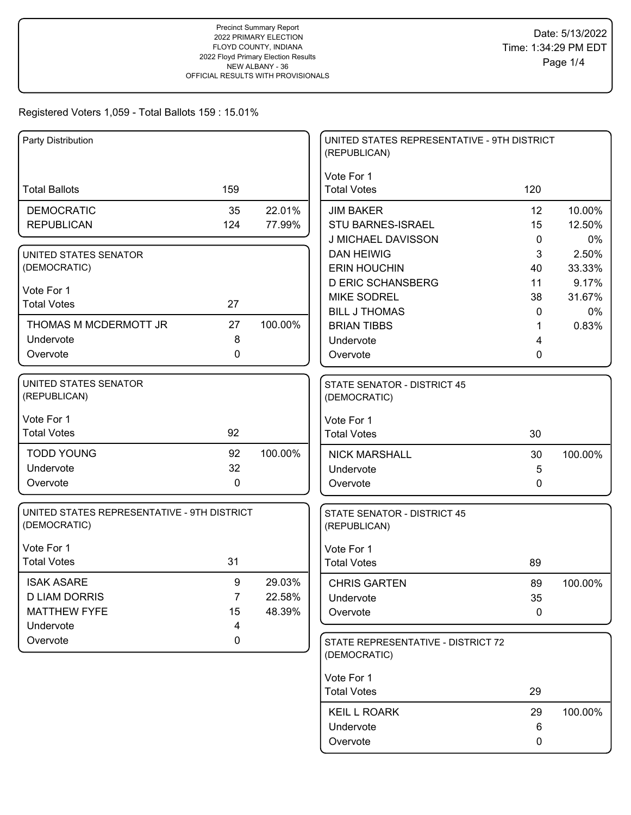| Party Distribution                          |                |         | UNITED STATES REPRESENTATIVE - 9TH DISTRICT<br>(REPUBLICAN) |        |             |
|---------------------------------------------|----------------|---------|-------------------------------------------------------------|--------|-------------|
|                                             |                |         | Vote For 1                                                  |        |             |
| <b>Total Ballots</b>                        | 159            |         | <b>Total Votes</b>                                          | 120    |             |
| <b>DEMOCRATIC</b>                           | 35             | 22.01%  | <b>JIM BAKER</b>                                            | 12     | 10.00%      |
| <b>REPUBLICAN</b>                           | 124            | 77.99%  | STU BARNES-ISRAEL                                           | 15     | 12.50%      |
|                                             |                |         | J MICHAEL DAVISSON                                          | 0      | 0%          |
| UNITED STATES SENATOR                       |                |         | <b>DAN HEIWIG</b>                                           | 3      | 2.50%       |
| (DEMOCRATIC)                                |                |         | <b>ERIN HOUCHIN</b>                                         | 40     | 33.33%      |
| Vote For 1                                  |                |         | <b>D ERIC SCHANSBERG</b>                                    | 11     | 9.17%       |
| <b>Total Votes</b>                          | 27             |         | <b>MIKE SODREL</b>                                          | 38     | 31.67%      |
| THOMAS M MCDERMOTT JR                       | 27             | 100.00% | <b>BILL J THOMAS</b><br><b>BRIAN TIBBS</b>                  | 0<br>1 | 0%<br>0.83% |
| Undervote                                   | 8              |         | Undervote                                                   | 4      |             |
| Overvote                                    | 0              |         | Overvote                                                    | 0      |             |
|                                             |                |         |                                                             |        |             |
| UNITED STATES SENATOR<br>(REPUBLICAN)       |                |         | <b>STATE SENATOR - DISTRICT 45</b><br>(DEMOCRATIC)          |        |             |
|                                             |                |         |                                                             |        |             |
| Vote For 1                                  |                |         | Vote For 1                                                  |        |             |
| <b>Total Votes</b>                          | 92             |         | <b>Total Votes</b>                                          | 30     |             |
| <b>TODD YOUNG</b>                           | 92             | 100.00% | <b>NICK MARSHALL</b>                                        | 30     | 100.00%     |
| Undervote                                   | 32             |         | Undervote                                                   | 5      |             |
| Overvote                                    | $\mathbf 0$    |         | Overvote                                                    | 0      |             |
| UNITED STATES REPRESENTATIVE - 9TH DISTRICT |                |         | STATE SENATOR - DISTRICT 45                                 |        |             |
| (DEMOCRATIC)                                |                |         | (REPUBLICAN)                                                |        |             |
| Vote For 1                                  |                |         | Vote For 1                                                  |        |             |
| <b>Total Votes</b>                          | 31             |         | <b>Total Votes</b>                                          | 89     |             |
| <b>ISAK ASARE</b>                           | 9              | 29.03%  | <b>CHRIS GARTEN</b>                                         | 89     | 100.00%     |
| <b>D LIAM DORRIS</b>                        | $\overline{7}$ | 22.58%  | Undervote                                                   | 35     |             |
| <b>MATTHEW FYFE</b>                         | 15             | 48.39%  | Overvote                                                    | 0      |             |
| Undervote                                   | 4              |         |                                                             |        |             |
| Overvote                                    | 0              |         | STATE REPRESENTATIVE - DISTRICT 72                          |        |             |
|                                             |                |         | (DEMOCRATIC)                                                |        |             |
|                                             |                |         | Vote For 1                                                  |        |             |
|                                             |                |         | <b>Total Votes</b>                                          | 29     |             |
|                                             |                |         | <b>KEIL L ROARK</b>                                         | 29     | 100.00%     |
|                                             |                |         | Undervote                                                   | 6      |             |
|                                             |                |         | Overvote                                                    | 0      |             |
|                                             |                |         |                                                             |        |             |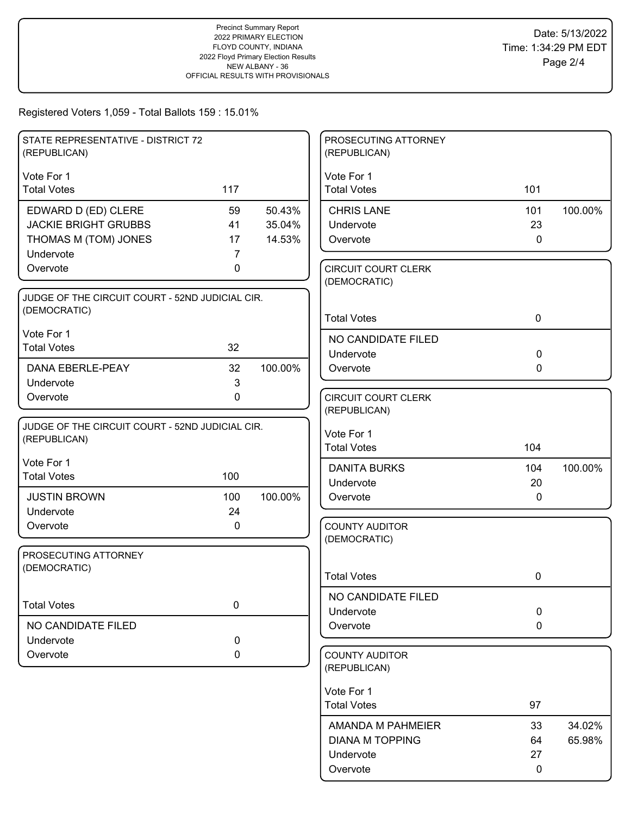| STATE REPRESENTATIVE - DISTRICT 72                              |           |         | PROSECUTING ATTORNEY                       |              |         |
|-----------------------------------------------------------------|-----------|---------|--------------------------------------------|--------------|---------|
| (REPUBLICAN)                                                    |           |         | (REPUBLICAN)                               |              |         |
| Vote For 1                                                      |           |         | Vote For 1                                 |              |         |
| <b>Total Votes</b>                                              | 117       |         | <b>Total Votes</b>                         | 101          |         |
| EDWARD D (ED) CLERE                                             | 59        | 50.43%  | <b>CHRIS LANE</b>                          | 101          | 100.00% |
| <b>JACKIE BRIGHT GRUBBS</b>                                     | 41        | 35.04%  | Undervote                                  | 23           |         |
| THOMAS M (TOM) JONES                                            | 17        | 14.53%  | Overvote                                   | $\mathbf 0$  |         |
| Undervote<br>Overvote                                           | 7<br>0    |         |                                            |              |         |
|                                                                 |           |         | <b>CIRCUIT COURT CLERK</b><br>(DEMOCRATIC) |              |         |
| JUDGE OF THE CIRCUIT COURT - 52ND JUDICIAL CIR.                 |           |         |                                            |              |         |
| (DEMOCRATIC)                                                    |           |         | <b>Total Votes</b>                         | $\mathbf 0$  |         |
| Vote For 1                                                      |           |         | NO CANDIDATE FILED                         |              |         |
| <b>Total Votes</b>                                              | 32        |         | Undervote                                  | $\mathbf 0$  |         |
| DANA EBERLE-PEAY                                                | 32        | 100.00% | Overvote                                   | $\mathbf{0}$ |         |
| Undervote                                                       | 3         |         |                                            |              |         |
| Overvote                                                        | 0         |         | <b>CIRCUIT COURT CLERK</b>                 |              |         |
|                                                                 |           |         | (REPUBLICAN)                               |              |         |
| JUDGE OF THE CIRCUIT COURT - 52ND JUDICIAL CIR.<br>(REPUBLICAN) |           |         | Vote For 1                                 |              |         |
|                                                                 |           |         | <b>Total Votes</b>                         | 104          |         |
| Vote For 1                                                      |           |         | <b>DANITA BURKS</b>                        | 104          | 100.00% |
| <b>Total Votes</b>                                              | 100       |         | Undervote                                  | 20           |         |
| <b>JUSTIN BROWN</b>                                             | 100       | 100.00% | Overvote                                   | $\mathbf{0}$ |         |
| Undervote                                                       | 24        |         |                                            |              |         |
| Overvote                                                        | 0         |         | <b>COUNTY AUDITOR</b><br>(DEMOCRATIC)      |              |         |
| PROSECUTING ATTORNEY                                            |           |         |                                            |              |         |
| (DEMOCRATIC)                                                    |           |         |                                            |              |         |
|                                                                 |           |         | <b>Total Votes</b>                         | 0            |         |
| <b>Total Votes</b>                                              | $\pmb{0}$ |         | NO CANDIDATE FILED                         |              |         |
|                                                                 |           |         | Undervote                                  | $\mathbf 0$  |         |
| NO CANDIDATE FILED                                              |           |         | Overvote                                   | $\mathbf 0$  |         |
| Undervote                                                       | 0         |         |                                            |              |         |
| Overvote                                                        | 0         |         | <b>COUNTY AUDITOR</b><br>(REPUBLICAN)      |              |         |
|                                                                 |           |         |                                            |              |         |
|                                                                 |           |         | Vote For 1<br><b>Total Votes</b>           | 97           |         |
|                                                                 |           |         |                                            |              |         |
|                                                                 |           |         | AMANDA M PAHMEIER                          | 33           | 34.02%  |
|                                                                 |           |         | <b>DIANA M TOPPING</b>                     | 64           | 65.98%  |
|                                                                 |           |         | Undervote                                  | 27           |         |
|                                                                 |           |         | Overvote                                   | 0            |         |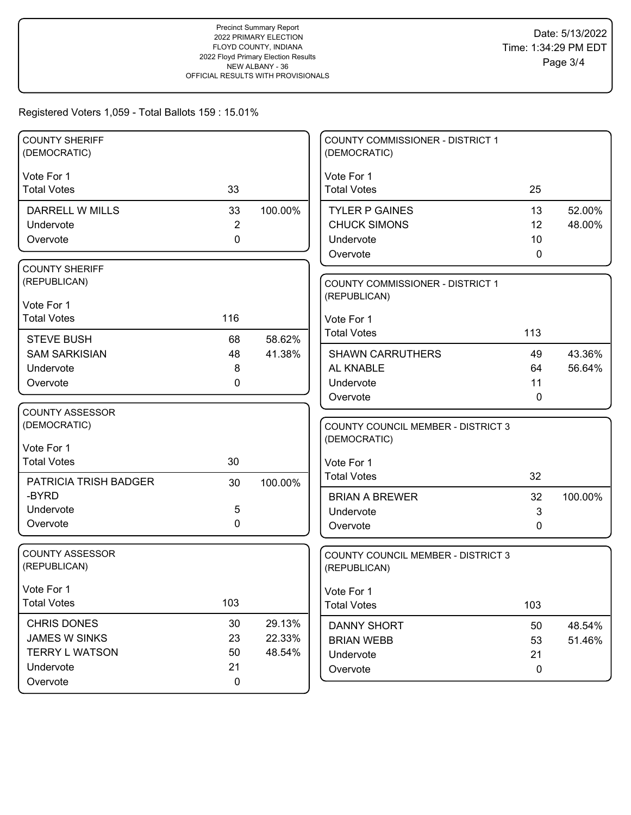| <b>COUNTY SHERIFF</b><br>(DEMOCRATIC)  |                |         | COUNTY COMMISSIONER - DISTRICT 1<br>(DEMOCRATIC)          |             |         |
|----------------------------------------|----------------|---------|-----------------------------------------------------------|-------------|---------|
| Vote For 1                             |                |         | Vote For 1                                                |             |         |
| <b>Total Votes</b>                     | 33             |         | <b>Total Votes</b>                                        | 25          |         |
| <b>DARRELL W MILLS</b>                 | 33             | 100.00% | <b>TYLER P GAINES</b>                                     | 13          | 52.00%  |
| Undervote                              | $\overline{2}$ |         | <b>CHUCK SIMONS</b>                                       | 12          | 48.00%  |
| Overvote                               | $\mathbf 0$    |         | Undervote                                                 | 10          |         |
|                                        |                |         | Overvote                                                  | 0           |         |
| <b>COUNTY SHERIFF</b><br>(REPUBLICAN)  |                |         |                                                           |             |         |
|                                        |                |         | <b>COUNTY COMMISSIONER - DISTRICT 1</b><br>(REPUBLICAN)   |             |         |
| Vote For 1                             |                |         |                                                           |             |         |
| <b>Total Votes</b>                     | 116            |         | Vote For 1                                                |             |         |
| <b>STEVE BUSH</b>                      | 68             | 58.62%  | <b>Total Votes</b>                                        | 113         |         |
| <b>SAM SARKISIAN</b>                   | 48             | 41.38%  | <b>SHAWN CARRUTHERS</b>                                   | 49          | 43.36%  |
| Undervote                              | 8              |         | AL KNABLE                                                 | 64          | 56.64%  |
| Overvote                               | $\mathbf{0}$   |         | Undervote                                                 | 11          |         |
|                                        |                |         | Overvote                                                  | $\mathbf 0$ |         |
| <b>COUNTY ASSESSOR</b>                 |                |         |                                                           |             |         |
| (DEMOCRATIC)                           |                |         | <b>COUNTY COUNCIL MEMBER - DISTRICT 3</b><br>(DEMOCRATIC) |             |         |
| Vote For 1                             |                |         |                                                           |             |         |
| <b>Total Votes</b>                     | 30             |         | Vote For 1                                                |             |         |
| PATRICIA TRISH BADGER                  | 30             | 100.00% | <b>Total Votes</b>                                        | 32          |         |
| -BYRD                                  |                |         | <b>BRIAN A BREWER</b>                                     | 32          | 100.00% |
| Undervote                              | $\sqrt{5}$     |         | Undervote                                                 | 3           |         |
| Overvote                               | $\mathbf 0$    |         | Overvote                                                  | 0           |         |
|                                        |                |         |                                                           |             |         |
| <b>COUNTY ASSESSOR</b><br>(REPUBLICAN) |                |         | COUNTY COUNCIL MEMBER - DISTRICT 3                        |             |         |
|                                        |                |         | (REPUBLICAN)                                              |             |         |
| Vote For 1                             |                |         | Vote For 1                                                |             |         |
| <b>Total Votes</b>                     | 103            |         | <b>Total Votes</b>                                        | 103         |         |
| CHRIS DONES                            | 30             | 29.13%  | <b>DANNY SHORT</b>                                        | 50          | 48.54%  |
| <b>JAMES W SINKS</b>                   | 23             | 22.33%  | <b>BRIAN WEBB</b>                                         | 53          | 51.46%  |
| <b>TERRY L WATSON</b>                  | 50             | 48.54%  | Undervote                                                 | 21          |         |
| Undervote                              | 21             |         | Overvote                                                  | 0           |         |
| Overvote                               | $\mathbf 0$    |         |                                                           |             |         |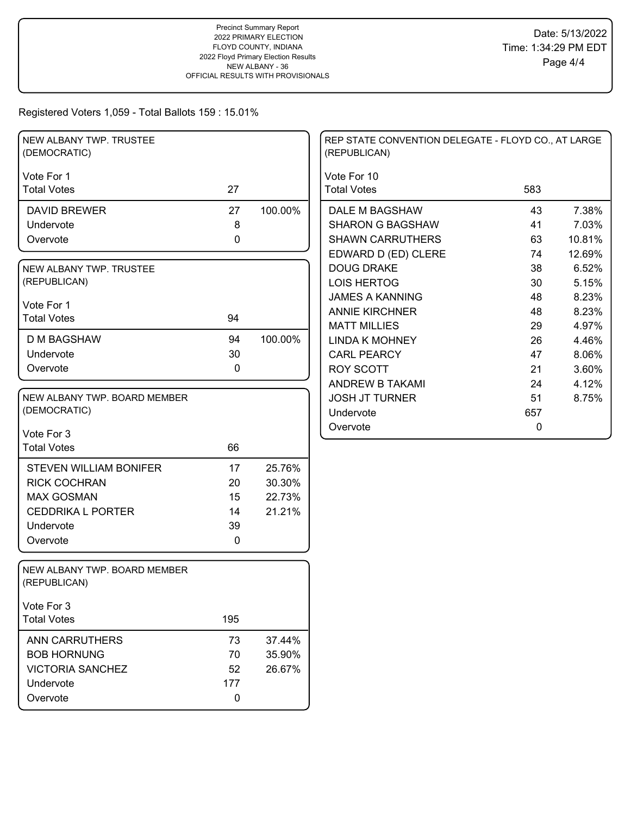| NEW ALBANY TWP. TRUSTEE<br>(DEMOCRATIC)      |           |         | REP STATE CONVENTION DELEGATE - FLOYD CO., AT LARGE<br>(REPUBLICAN) |     |        |
|----------------------------------------------|-----------|---------|---------------------------------------------------------------------|-----|--------|
| Vote For 1<br><b>Total Votes</b>             | 27        |         | Vote For 10<br><b>Total Votes</b>                                   | 583 |        |
| <b>DAVID BREWER</b>                          | 27        | 100.00% | DALE M BAGSHAW                                                      | 43  | 7.38%  |
| Undervote                                    | $\bf 8$   |         | <b>SHARON G BAGSHAW</b>                                             | 41  | 7.03%  |
| Overvote                                     | 0         |         | <b>SHAWN CARRUTHERS</b>                                             | 63  | 10.81% |
|                                              |           |         | EDWARD D (ED) CLERE                                                 | 74  | 12.69% |
| NEW ALBANY TWP. TRUSTEE                      |           |         | <b>DOUG DRAKE</b>                                                   | 38  | 6.52%  |
| (REPUBLICAN)                                 |           |         | <b>LOIS HERTOG</b>                                                  | 30  | 5.15%  |
| Vote For 1                                   |           |         | <b>JAMES A KANNING</b>                                              | 48  | 8.23%  |
| <b>Total Votes</b>                           | 94        |         | <b>ANNIE KIRCHNER</b>                                               | 48  | 8.23%  |
|                                              |           |         | <b>MATT MILLIES</b>                                                 | 29  | 4.97%  |
| <b>D M BAGSHAW</b>                           | 94        | 100.00% | <b>LINDA K MOHNEY</b>                                               | 26  | 4.46%  |
| Undervote                                    | 30        |         | <b>CARL PEARCY</b>                                                  | 47  | 8.06%  |
| Overvote                                     | 0         |         | <b>ROY SCOTT</b>                                                    | 21  | 3.60%  |
|                                              |           |         | ANDREW B TAKAMI                                                     | 24  | 4.12%  |
| NEW ALBANY TWP. BOARD MEMBER                 |           |         | <b>JOSH JT TURNER</b>                                               | 51  | 8.75%  |
| (DEMOCRATIC)                                 |           |         | Undervote                                                           | 657 |        |
| Vote For 3                                   |           |         | Overvote                                                            | 0   |        |
| <b>Total Votes</b>                           | 66        |         |                                                                     |     |        |
| <b>STEVEN WILLIAM BONIFER</b>                | 17        | 25.76%  |                                                                     |     |        |
| <b>RICK COCHRAN</b>                          | 20        | 30.30%  |                                                                     |     |        |
| <b>MAX GOSMAN</b>                            | 15        | 22.73%  |                                                                     |     |        |
| <b>CEDDRIKA L PORTER</b>                     | 14        | 21.21%  |                                                                     |     |        |
| Undervote                                    | 39        |         |                                                                     |     |        |
| Overvote                                     | 0         |         |                                                                     |     |        |
| NEW ALBANY TWP. BOARD MEMBER<br>(REPUBLICAN) |           |         |                                                                     |     |        |
| Vote For 3                                   |           |         |                                                                     |     |        |
| <b>Total Votes</b>                           | 195       |         |                                                                     |     |        |
| <b>ANN CARRUTHERS</b>                        | 73        | 37.44%  |                                                                     |     |        |
| <b>BOB HORNUNG</b>                           | 70        | 35.90%  |                                                                     |     |        |
| <b>VICTORIA SANCHEZ</b>                      | 52        | 26.67%  |                                                                     |     |        |
| Undervote                                    | 177       |         |                                                                     |     |        |
| Overvote                                     | $\pmb{0}$ |         |                                                                     |     |        |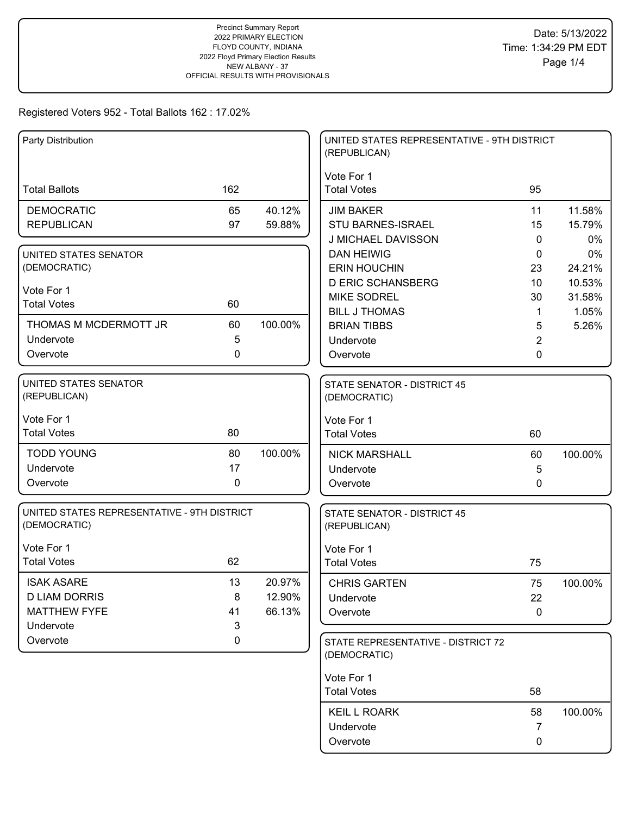| Party Distribution                          |             |         | UNITED STATES REPRESENTATIVE - 9TH DISTRICT<br>(REPUBLICAN) |                     |         |
|---------------------------------------------|-------------|---------|-------------------------------------------------------------|---------------------|---------|
|                                             |             |         | Vote For 1                                                  |                     |         |
| <b>Total Ballots</b>                        | 162         |         | <b>Total Votes</b>                                          | 95                  |         |
| <b>DEMOCRATIC</b>                           | 65          | 40.12%  | <b>JIM BAKER</b>                                            | 11                  | 11.58%  |
| <b>REPUBLICAN</b>                           | 97          | 59.88%  | STU BARNES-ISRAEL                                           | 15                  | 15.79%  |
|                                             |             |         | J MICHAEL DAVISSON                                          | $\mathbf{0}$        | 0%      |
| UNITED STATES SENATOR                       |             |         | <b>DAN HEIWIG</b>                                           | 0                   | 0%      |
| (DEMOCRATIC)                                |             |         | <b>ERIN HOUCHIN</b>                                         | 23                  | 24.21%  |
| Vote For 1                                  |             |         | <b>D ERIC SCHANSBERG</b>                                    | 10                  | 10.53%  |
| <b>Total Votes</b>                          | 60          |         | <b>MIKE SODREL</b>                                          | 30                  | 31.58%  |
| THOMAS M MCDERMOTT JR                       | 60          | 100.00% | <b>BILL J THOMAS</b>                                        | $\mathbf 1$         | 1.05%   |
| Undervote                                   | 5           |         | <b>BRIAN TIBBS</b><br>Undervote                             | 5<br>$\overline{2}$ | 5.26%   |
| Overvote                                    | 0           |         | Overvote                                                    | 0                   |         |
|                                             |             |         |                                                             |                     |         |
| <b>UNITED STATES SENATOR</b>                |             |         | <b>STATE SENATOR - DISTRICT 45</b>                          |                     |         |
| (REPUBLICAN)                                |             |         | (DEMOCRATIC)                                                |                     |         |
| Vote For 1                                  |             |         | Vote For 1                                                  |                     |         |
| <b>Total Votes</b>                          | 80          |         | <b>Total Votes</b>                                          | 60                  |         |
| <b>TODD YOUNG</b>                           | 80          | 100.00% | <b>NICK MARSHALL</b>                                        | 60                  | 100.00% |
| Undervote                                   | 17          |         | Undervote                                                   | 5                   |         |
| Overvote                                    | $\mathbf 0$ |         | Overvote                                                    | 0                   |         |
|                                             |             |         |                                                             |                     |         |
| UNITED STATES REPRESENTATIVE - 9TH DISTRICT |             |         | STATE SENATOR - DISTRICT 45                                 |                     |         |
| (DEMOCRATIC)                                |             |         | (REPUBLICAN)                                                |                     |         |
| Vote For 1                                  |             |         | Vote For 1                                                  |                     |         |
| <b>Total Votes</b>                          | 62          |         | <b>Total Votes</b>                                          | 75                  |         |
| <b>ISAK ASARE</b>                           | 13          | 20.97%  | <b>CHRIS GARTEN</b>                                         | 75                  | 100.00% |
| <b>D LIAM DORRIS</b>                        | 8           | 12.90%  | Undervote                                                   | 22                  |         |
| <b>MATTHEW FYFE</b>                         | 41          | 66.13%  | Overvote                                                    | $\pmb{0}$           |         |
| Undervote                                   | 3           |         |                                                             |                     |         |
| Overvote                                    | 0           |         | STATE REPRESENTATIVE - DISTRICT 72                          |                     |         |
|                                             |             |         | (DEMOCRATIC)                                                |                     |         |
|                                             |             |         | Vote For 1                                                  |                     |         |
|                                             |             |         | <b>Total Votes</b>                                          | 58                  |         |
|                                             |             |         | <b>KEIL L ROARK</b>                                         | 58                  | 100.00% |
|                                             |             |         | Undervote                                                   | 7                   |         |
|                                             |             |         | Overvote                                                    | 0                   |         |
|                                             |             |         |                                                             |                     |         |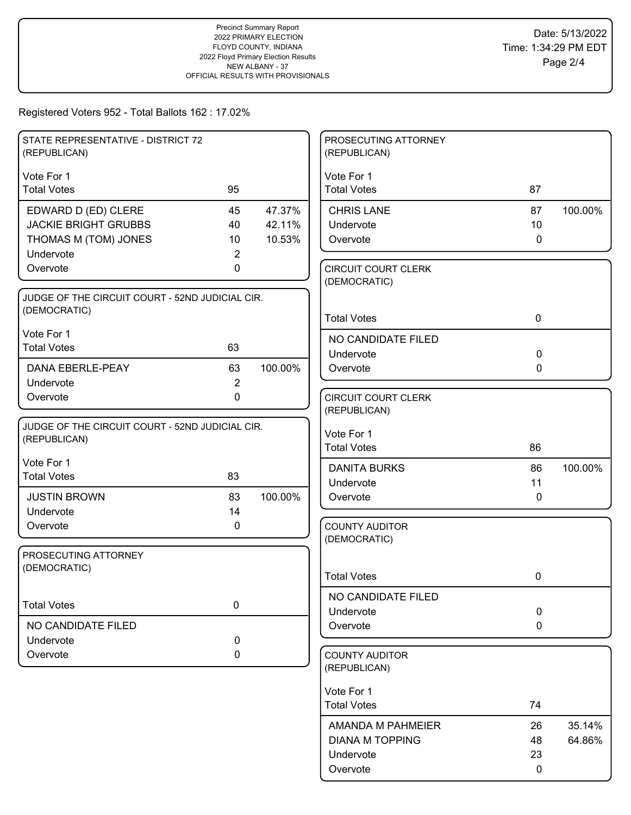| STATE REPRESENTATIVE - DISTRICT 72<br>(REPUBLICAN) |                |         | PROSECUTING ATTORNEY<br>(REPUBLICAN)       |                 |         |
|----------------------------------------------------|----------------|---------|--------------------------------------------|-----------------|---------|
| Vote For 1                                         |                |         | Vote For 1                                 |                 |         |
| <b>Total Votes</b>                                 | 95             |         | <b>Total Votes</b>                         | 87              |         |
| EDWARD D (ED) CLERE                                | 45             | 47.37%  | <b>CHRIS LANE</b>                          | 87              | 100.00% |
| <b>JACKIE BRIGHT GRUBBS</b>                        | 40             | 42.11%  | Undervote                                  | 10 <sup>°</sup> |         |
| THOMAS M (TOM) JONES                               | 10             | 10.53%  | Overvote                                   | $\mathbf 0$     |         |
| Undervote                                          | 2              |         |                                            |                 |         |
| Overvote                                           | 0              |         | <b>CIRCUIT COURT CLERK</b><br>(DEMOCRATIC) |                 |         |
| JUDGE OF THE CIRCUIT COURT - 52ND JUDICIAL CIR.    |                |         |                                            |                 |         |
| (DEMOCRATIC)                                       |                |         | <b>Total Votes</b>                         | $\mathbf 0$     |         |
| Vote For 1                                         |                |         | NO CANDIDATE FILED                         |                 |         |
| <b>Total Votes</b>                                 | 63             |         | Undervote                                  | $\mathbf 0$     |         |
| DANA EBERLE-PEAY                                   | 63             | 100.00% | Overvote                                   | $\mathbf 0$     |         |
| Undervote                                          | $\overline{2}$ |         |                                            |                 |         |
| Overvote                                           | 0              |         | <b>CIRCUIT COURT CLERK</b>                 |                 |         |
|                                                    |                |         | (REPUBLICAN)                               |                 |         |
| JUDGE OF THE CIRCUIT COURT - 52ND JUDICIAL CIR.    |                |         | Vote For 1                                 |                 |         |
| (REPUBLICAN)                                       |                |         | <b>Total Votes</b>                         | 86              |         |
| Vote For 1                                         |                |         | <b>DANITA BURKS</b>                        | 86              | 100.00% |
| <b>Total Votes</b>                                 | 83             |         | Undervote                                  | 11              |         |
| <b>JUSTIN BROWN</b>                                | 83             | 100.00% | Overvote                                   | 0               |         |
| Undervote                                          | 14             |         |                                            |                 |         |
| Overvote                                           | 0              |         | <b>COUNTY AUDITOR</b>                      |                 |         |
|                                                    |                |         | (DEMOCRATIC)                               |                 |         |
| PROSECUTING ATTORNEY                               |                |         |                                            |                 |         |
| (DEMOCRATIC)                                       |                |         | <b>Total Votes</b>                         | 0               |         |
|                                                    |                |         |                                            |                 |         |
| <b>Total Votes</b>                                 | $\mathbf 0$    |         | NO CANDIDATE FILED                         | $\mathbf 0$     |         |
| NO CANDIDATE FILED                                 |                |         | Undervote<br>Overvote                      | $\mathbf 0$     |         |
| Undervote                                          | $\mathbf 0$    |         |                                            |                 |         |
| Overvote                                           | 0              |         | <b>COUNTY AUDITOR</b>                      |                 |         |
|                                                    |                |         | (REPUBLICAN)                               |                 |         |
|                                                    |                |         |                                            |                 |         |
|                                                    |                |         | Vote For 1<br><b>Total Votes</b>           | 74              |         |
|                                                    |                |         |                                            |                 |         |
|                                                    |                |         | AMANDA M PAHMEIER                          | 26              | 35.14%  |
|                                                    |                |         | <b>DIANA M TOPPING</b>                     | 48              | 64.86%  |
|                                                    |                |         | Undervote                                  | 23              |         |
|                                                    |                |         | Overvote                                   | 0               |         |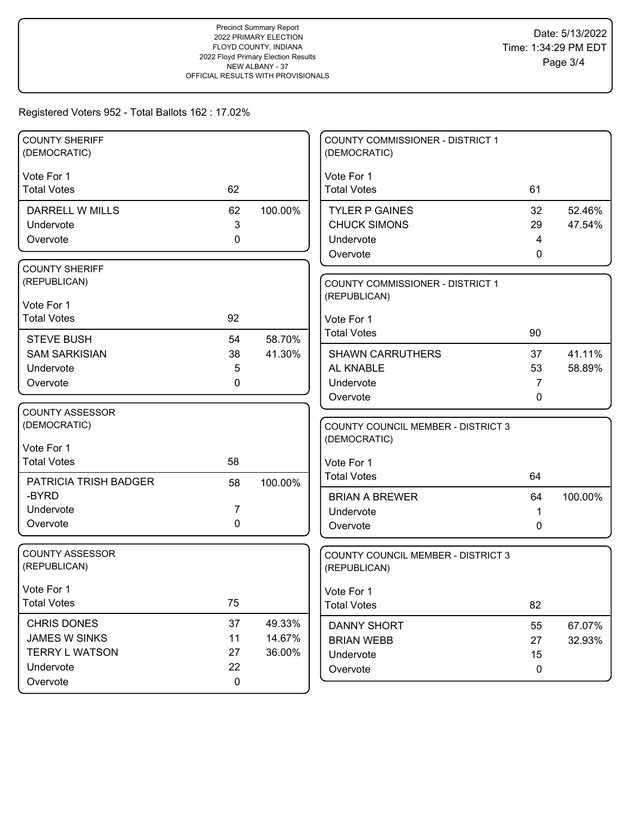| <b>COUNTY SHERIFF</b><br>(DEMOCRATIC) |                  |         | COUNTY COMMISSIONER - DISTRICT 1<br>(DEMOCRATIC) |             |                  |
|---------------------------------------|------------------|---------|--------------------------------------------------|-------------|------------------|
| Vote For 1                            |                  |         | Vote For 1                                       |             |                  |
| <b>Total Votes</b>                    | 62               |         | <b>Total Votes</b>                               | 61          |                  |
| DARRELL W MILLS                       | 62               | 100.00% | <b>TYLER P GAINES</b>                            | 32          | 52.46%           |
| Undervote                             | 3                |         | <b>CHUCK SIMONS</b>                              | 29          | 47.54%           |
| Overvote                              | $\mathbf 0$      |         | Undervote                                        | 4           |                  |
|                                       |                  |         | Overvote                                         | 0           |                  |
| <b>COUNTY SHERIFF</b>                 |                  |         |                                                  |             |                  |
| (REPUBLICAN)                          |                  |         | COUNTY COMMISSIONER - DISTRICT 1                 |             |                  |
| Vote For 1                            |                  |         | (REPUBLICAN)                                     |             |                  |
| <b>Total Votes</b>                    | 92               |         | Vote For 1                                       |             |                  |
|                                       |                  |         | <b>Total Votes</b>                               | 90          |                  |
| <b>STEVE BUSH</b>                     | 54               | 58.70%  |                                                  |             |                  |
| <b>SAM SARKISIAN</b><br>Undervote     | 38<br>5          | 41.30%  | <b>SHAWN CARRUTHERS</b><br>AL KNABLE             | 37<br>53    | 41.11%<br>58.89% |
| Overvote                              | 0                |         | Undervote                                        | 7           |                  |
|                                       |                  |         | Overvote                                         | 0           |                  |
| <b>COUNTY ASSESSOR</b>                |                  |         |                                                  |             |                  |
| (DEMOCRATIC)                          |                  |         | <b>COUNTY COUNCIL MEMBER - DISTRICT 3</b>        |             |                  |
|                                       |                  |         | (DEMOCRATIC)                                     |             |                  |
| Vote For 1<br><b>Total Votes</b>      | 58               |         |                                                  |             |                  |
|                                       |                  |         | Vote For 1<br><b>Total Votes</b>                 | 64          |                  |
| PATRICIA TRISH BADGER                 | 58               | 100.00% |                                                  |             |                  |
| -BYRD                                 |                  |         | <b>BRIAN A BREWER</b>                            | 64          | 100.00%          |
| Undervote                             | 7<br>$\mathbf 0$ |         | Undervote                                        | 1           |                  |
| Overvote                              |                  |         | Overvote                                         | 0           |                  |
| <b>COUNTY ASSESSOR</b>                |                  |         | COUNTY COUNCIL MEMBER - DISTRICT 3               |             |                  |
| (REPUBLICAN)                          |                  |         | (REPUBLICAN)                                     |             |                  |
| Vote For 1                            |                  |         | Vote For 1                                       |             |                  |
| <b>Total Votes</b>                    | 75               |         | <b>Total Votes</b>                               | 82          |                  |
| <b>CHRIS DONES</b>                    | 37               | 49.33%  | <b>DANNY SHORT</b>                               | 55          | 67.07%           |
| JAMES W SINKS                         | 11               | 14.67%  | <b>BRIAN WEBB</b>                                | 27          | 32.93%           |
| <b>TERRY L WATSON</b>                 | 27               | 36.00%  | Undervote                                        | 15          |                  |
| Undervote                             | 22               |         | Overvote                                         | $\mathbf 0$ |                  |
| Overvote                              | 0                |         |                                                  |             |                  |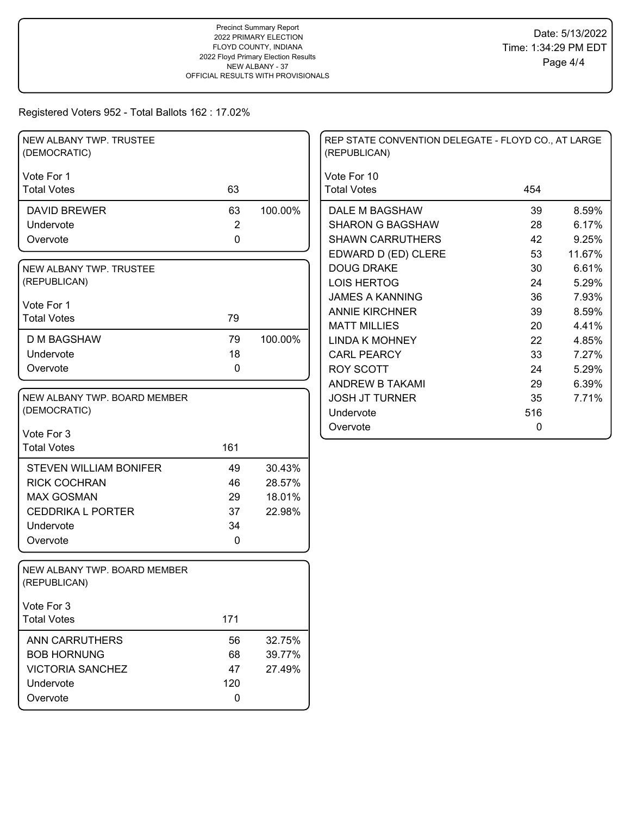| NEW ALBANY TWP. TRUSTEE<br>(DEMOCRATIC)      |                |         | REP STATE CONVENTION DELEGATE - FLOYD CO., AT LARGE<br>(REPUBLICAN) |              |  |
|----------------------------------------------|----------------|---------|---------------------------------------------------------------------|--------------|--|
| Vote For 1                                   |                |         | Vote For 10                                                         |              |  |
| <b>Total Votes</b>                           | 63             |         | <b>Total Votes</b>                                                  | 454          |  |
| <b>DAVID BREWER</b>                          | 63             | 100.00% | DALE M BAGSHAW                                                      | 8.59%<br>39  |  |
| Undervote                                    | $\overline{2}$ |         | <b>SHARON G BAGSHAW</b>                                             | 6.17%<br>28  |  |
| Overvote                                     | $\mathbf 0$    |         | <b>SHAWN CARRUTHERS</b>                                             | 42<br>9.25%  |  |
|                                              |                |         | EDWARD D (ED) CLERE                                                 | 53<br>11.67% |  |
| NEW ALBANY TWP. TRUSTEE                      |                |         | <b>DOUG DRAKE</b>                                                   | 30<br>6.61%  |  |
| (REPUBLICAN)                                 |                |         | <b>LOIS HERTOG</b>                                                  | 5.29%<br>24  |  |
| Vote For 1                                   |                |         | <b>JAMES A KANNING</b>                                              | 36<br>7.93%  |  |
| <b>Total Votes</b>                           | 79             |         | <b>ANNIE KIRCHNER</b>                                               | 39<br>8.59%  |  |
|                                              |                |         | <b>MATT MILLIES</b>                                                 | 4.41%<br>20  |  |
| <b>D M BAGSHAW</b>                           | 79             | 100.00% | <b>LINDA K MOHNEY</b>                                               | 22<br>4.85%  |  |
| Undervote                                    | 18             |         | <b>CARL PEARCY</b>                                                  | 33<br>7.27%  |  |
| Overvote                                     | 0              |         | <b>ROY SCOTT</b>                                                    | 24<br>5.29%  |  |
|                                              |                |         | <b>ANDREW B TAKAMI</b>                                              | 29<br>6.39%  |  |
| NEW ALBANY TWP. BOARD MEMBER                 |                |         | <b>JOSH JT TURNER</b>                                               | 35<br>7.71%  |  |
| (DEMOCRATIC)                                 |                |         | Undervote                                                           | 516          |  |
| Vote For 3                                   |                |         | Overvote                                                            | $\mathbf 0$  |  |
| <b>Total Votes</b>                           | 161            |         |                                                                     |              |  |
|                                              |                |         |                                                                     |              |  |
| <b>STEVEN WILLIAM BONIFER</b>                | 49             | 30.43%  |                                                                     |              |  |
| <b>RICK COCHRAN</b>                          | 46             | 28.57%  |                                                                     |              |  |
| <b>MAX GOSMAN</b>                            | 29             | 18.01%  |                                                                     |              |  |
| <b>CEDDRIKA L PORTER</b>                     | 37             | 22.98%  |                                                                     |              |  |
| Undervote                                    | 34             |         |                                                                     |              |  |
| Overvote                                     | 0              |         |                                                                     |              |  |
|                                              |                |         |                                                                     |              |  |
| NEW ALBANY TWP. BOARD MEMBER<br>(REPUBLICAN) |                |         |                                                                     |              |  |
| Vote For 3                                   |                |         |                                                                     |              |  |
| <b>Total Votes</b>                           | 171            |         |                                                                     |              |  |
| <b>ANN CARRUTHERS</b>                        | 56             | 32.75%  |                                                                     |              |  |
| <b>BOB HORNUNG</b>                           | 68             | 39.77%  |                                                                     |              |  |
| <b>VICTORIA SANCHEZ</b>                      | 47             | 27.49%  |                                                                     |              |  |
| Undervote                                    | 120            |         |                                                                     |              |  |
| Overvote                                     | 0              |         |                                                                     |              |  |
|                                              |                |         |                                                                     |              |  |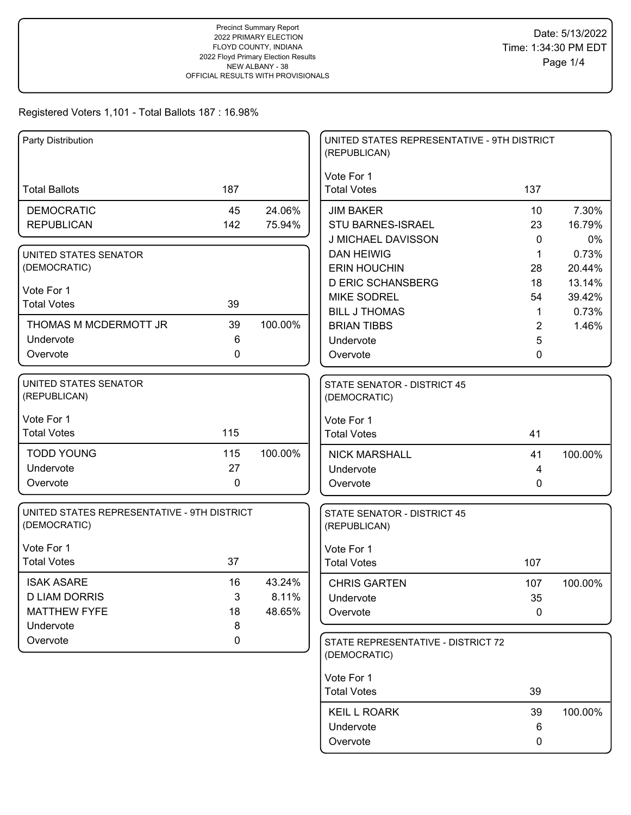| Party Distribution                          |             |         | UNITED STATES REPRESENTATIVE - 9TH DISTRICT |                |         |
|---------------------------------------------|-------------|---------|---------------------------------------------|----------------|---------|
|                                             |             |         | (REPUBLICAN)                                |                |         |
|                                             |             |         | Vote For 1                                  |                |         |
| <b>Total Ballots</b>                        | 187         |         | <b>Total Votes</b>                          | 137            |         |
| <b>DEMOCRATIC</b>                           | 45          | 24.06%  | <b>JIM BAKER</b>                            | 10             | 7.30%   |
| <b>REPUBLICAN</b>                           | 142         | 75.94%  | STU BARNES-ISRAEL                           | 23             | 16.79%  |
|                                             |             |         | J MICHAEL DAVISSON                          | $\mathbf{0}$   | 0%      |
| UNITED STATES SENATOR                       |             |         | <b>DAN HEIWIG</b>                           | $\mathbf{1}$   | 0.73%   |
| (DEMOCRATIC)                                |             |         | <b>ERIN HOUCHIN</b>                         | 28             | 20.44%  |
| Vote For 1                                  |             |         | <b>D ERIC SCHANSBERG</b>                    | 18             | 13.14%  |
| <b>Total Votes</b>                          | 39          |         | <b>MIKE SODREL</b>                          | 54             | 39.42%  |
|                                             |             |         | <b>BILL J THOMAS</b>                        | $\mathbf 1$    | 0.73%   |
| THOMAS M MCDERMOTT JR<br>Undervote          | 39<br>6     | 100.00% | <b>BRIAN TIBBS</b>                          | $\overline{2}$ | 1.46%   |
|                                             | $\mathbf 0$ |         | Undervote                                   | 5              |         |
| Overvote                                    |             |         | Overvote                                    | 0              |         |
| <b>UNITED STATES SENATOR</b>                |             |         | STATE SENATOR - DISTRICT 45                 |                |         |
| (REPUBLICAN)                                |             |         | (DEMOCRATIC)                                |                |         |
|                                             |             |         |                                             |                |         |
| Vote For 1                                  |             |         | Vote For 1                                  |                |         |
| <b>Total Votes</b>                          | 115         |         | <b>Total Votes</b>                          | 41             |         |
| <b>TODD YOUNG</b>                           | 115         | 100.00% | <b>NICK MARSHALL</b>                        | 41             | 100.00% |
| Undervote                                   | 27          |         | Undervote                                   | 4              |         |
| Overvote                                    | $\mathbf 0$ |         | Overvote                                    | 0              |         |
| UNITED STATES REPRESENTATIVE - 9TH DISTRICT |             |         | <b>STATE SENATOR - DISTRICT 45</b>          |                |         |
| (DEMOCRATIC)                                |             |         | (REPUBLICAN)                                |                |         |
|                                             |             |         |                                             |                |         |
| Vote For 1                                  |             |         | Vote For 1                                  |                |         |
| <b>Total Votes</b>                          | 37          |         | <b>Total Votes</b>                          | 107            |         |
| <b>ISAK ASARE</b>                           | 16          | 43.24%  | <b>CHRIS GARTEN</b>                         | 107            | 100.00% |
| <b>D LIAM DORRIS</b>                        | 3           | 8.11%   | Undervote                                   | 35             |         |
| <b>MATTHEW FYFE</b>                         | 18          | 48.65%  | Overvote                                    | $\pmb{0}$      |         |
| Undervote                                   | 8           |         |                                             |                |         |
| Overvote                                    | $\mathbf 0$ |         | STATE REPRESENTATIVE - DISTRICT 72          |                |         |
|                                             |             |         | (DEMOCRATIC)                                |                |         |
|                                             |             |         | Vote For 1                                  |                |         |
|                                             |             |         | <b>Total Votes</b>                          | 39             |         |
|                                             |             |         | <b>KEIL L ROARK</b>                         | 39             | 100.00% |
|                                             |             |         | Undervote                                   | 6              |         |
|                                             |             |         | Overvote                                    | 0              |         |
|                                             |             |         |                                             |                |         |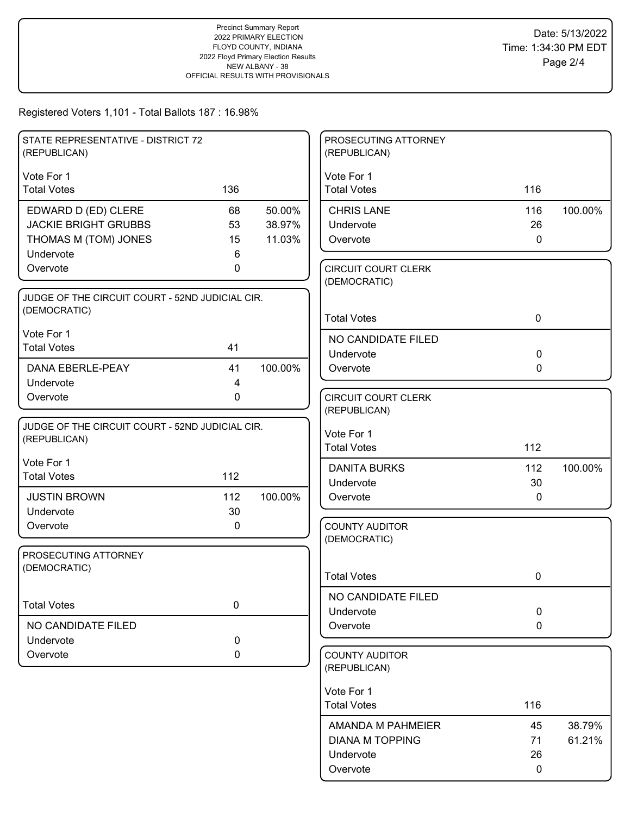| STATE REPRESENTATIVE - DISTRICT 72<br>(REPUBLICAN)                                      |                     |                            | PROSECUTING ATTORNEY<br>(REPUBLICAN)        |                |                  |
|-----------------------------------------------------------------------------------------|---------------------|----------------------------|---------------------------------------------|----------------|------------------|
| Vote For 1<br><b>Total Votes</b>                                                        | 136                 |                            | Vote For 1<br><b>Total Votes</b>            | 116            |                  |
| EDWARD D (ED) CLERE<br><b>JACKIE BRIGHT GRUBBS</b><br>THOMAS M (TOM) JONES<br>Undervote | 68<br>53<br>15<br>6 | 50.00%<br>38.97%<br>11.03% | <b>CHRIS LANE</b><br>Undervote<br>Overvote  | 116<br>26<br>0 | 100.00%          |
| Overvote                                                                                | 0                   |                            | <b>CIRCUIT COURT CLERK</b><br>(DEMOCRATIC)  |                |                  |
| JUDGE OF THE CIRCUIT COURT - 52ND JUDICIAL CIR.<br>(DEMOCRATIC)                         |                     |                            | <b>Total Votes</b>                          | $\mathbf 0$    |                  |
| Vote For 1<br><b>Total Votes</b>                                                        | 41                  |                            | NO CANDIDATE FILED<br>Undervote             | $\mathbf 0$    |                  |
| <b>DANA EBERLE-PEAY</b><br>Undervote                                                    | 41<br>4             | 100.00%                    | Overvote                                    | 0              |                  |
| Overvote                                                                                | $\mathbf 0$         |                            | <b>CIRCUIT COURT CLERK</b><br>(REPUBLICAN)  |                |                  |
| JUDGE OF THE CIRCUIT COURT - 52ND JUDICIAL CIR.<br>(REPUBLICAN)                         |                     |                            | Vote For 1<br><b>Total Votes</b>            | 112            |                  |
| Vote For 1<br><b>Total Votes</b>                                                        | 112                 |                            | <b>DANITA BURKS</b><br>Undervote            | 112<br>30      | 100.00%          |
| <b>JUSTIN BROWN</b><br>Undervote                                                        | 112<br>30           | 100.00%                    | Overvote                                    | 0              |                  |
| Overvote                                                                                | $\pmb{0}$           |                            | <b>COUNTY AUDITOR</b><br>(DEMOCRATIC)       |                |                  |
| PROSECUTING ATTORNEY<br>(DEMOCRATIC)                                                    |                     |                            | <b>Total Votes</b>                          | 0              |                  |
| <b>Total Votes</b>                                                                      | $\mathbf 0$         |                            | NO CANDIDATE FILED<br>Undervote             | $\mathbf 0$    |                  |
| NO CANDIDATE FILED<br>Undervote                                                         | $\pmb{0}$           |                            | Overvote                                    | $\mathbf 0$    |                  |
| Overvote                                                                                | 0                   |                            | <b>COUNTY AUDITOR</b><br>(REPUBLICAN)       |                |                  |
|                                                                                         |                     |                            | Vote For 1<br><b>Total Votes</b>            | 116            |                  |
|                                                                                         |                     |                            | AMANDA M PAHMEIER<br><b>DIANA M TOPPING</b> | 45<br>71       | 38.79%<br>61.21% |
|                                                                                         |                     |                            | Undervote<br>Overvote                       | 26<br>0        |                  |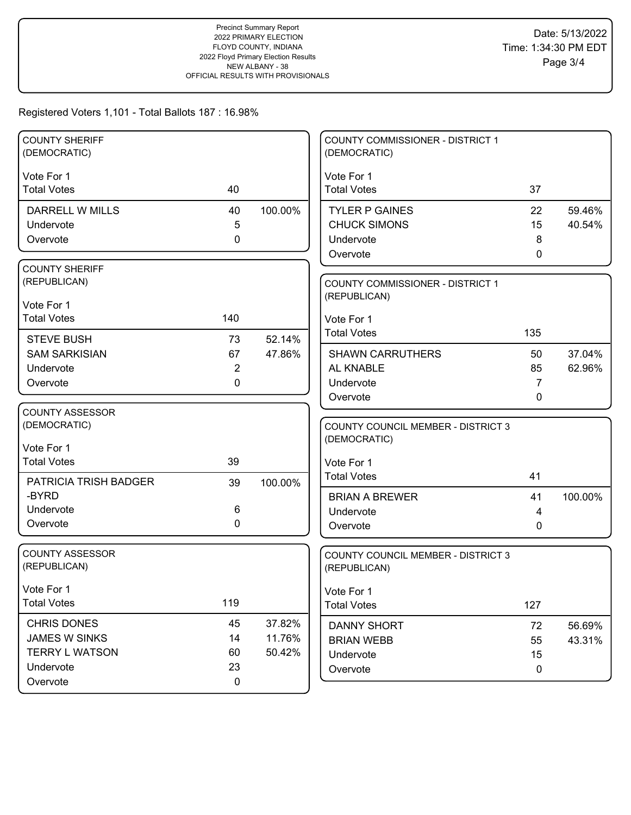| <b>COUNTY SHERIFF</b><br>(DEMOCRATIC) |                |         | <b>COUNTY COMMISSIONER - DISTRICT 1</b><br>(DEMOCRATIC) |     |         |
|---------------------------------------|----------------|---------|---------------------------------------------------------|-----|---------|
|                                       |                |         |                                                         |     |         |
| Vote For 1                            |                |         | Vote For 1                                              |     |         |
| <b>Total Votes</b>                    | 40             |         | <b>Total Votes</b>                                      | 37  |         |
| DARRELL W MILLS                       | 40             | 100.00% | <b>TYLER P GAINES</b>                                   | 22  | 59.46%  |
| Undervote                             | 5              |         | <b>CHUCK SIMONS</b>                                     | 15  | 40.54%  |
| Overvote                              | 0              |         | Undervote                                               | 8   |         |
|                                       |                |         | Overvote                                                | 0   |         |
| <b>COUNTY SHERIFF</b>                 |                |         |                                                         |     |         |
| (REPUBLICAN)                          |                |         | COUNTY COMMISSIONER - DISTRICT 1                        |     |         |
| Vote For 1                            |                |         | (REPUBLICAN)                                            |     |         |
| <b>Total Votes</b>                    | 140            |         | Vote For 1                                              |     |         |
|                                       |                |         | <b>Total Votes</b>                                      | 135 |         |
| <b>STEVE BUSH</b>                     | 73             | 52.14%  |                                                         |     |         |
| <b>SAM SARKISIAN</b>                  | 67             | 47.86%  | <b>SHAWN CARRUTHERS</b>                                 | 50  | 37.04%  |
| Undervote                             | $\overline{2}$ |         | AL KNABLE                                               | 85  | 62.96%  |
| Overvote                              | 0              |         | Undervote                                               | 7   |         |
|                                       |                |         | Overvote                                                | 0   |         |
| <b>COUNTY ASSESSOR</b>                |                |         |                                                         |     |         |
| (DEMOCRATIC)                          |                |         | <b>COUNTY COUNCIL MEMBER - DISTRICT 3</b>               |     |         |
| Vote For 1                            |                |         | (DEMOCRATIC)                                            |     |         |
| <b>Total Votes</b>                    | 39             |         | Vote For 1                                              |     |         |
| PATRICIA TRISH BADGER                 |                |         | <b>Total Votes</b>                                      | 41  |         |
| -BYRD                                 | 39             | 100.00% |                                                         |     |         |
| Undervote                             | 6              |         | <b>BRIAN A BREWER</b>                                   | 41  | 100.00% |
| Overvote                              | $\Omega$       |         | Undervote                                               | 4   |         |
|                                       |                |         | Overvote                                                | 0   |         |
| <b>COUNTY ASSESSOR</b>                |                |         | <b>COUNTY COUNCIL MEMBER - DISTRICT 3</b>               |     |         |
| (REPUBLICAN)                          |                |         | (REPUBLICAN)                                            |     |         |
|                                       |                |         |                                                         |     |         |
| Vote For 1                            |                |         | Vote For 1                                              |     |         |
| <b>Total Votes</b>                    | 119            |         | <b>Total Votes</b>                                      | 127 |         |
| <b>CHRIS DONES</b>                    | 45             | 37.82%  | DANNY SHORT                                             | 72  | 56.69%  |
| JAMES W SINKS                         | 14             | 11.76%  | <b>BRIAN WEBB</b>                                       | 55  | 43.31%  |
| <b>TERRY L WATSON</b>                 | 60             | 50.42%  | Undervote                                               | 15  |         |
| Undervote                             | 23             |         | Overvote                                                | 0   |         |
| Overvote                              | $\mathbf 0$    |         |                                                         |     |         |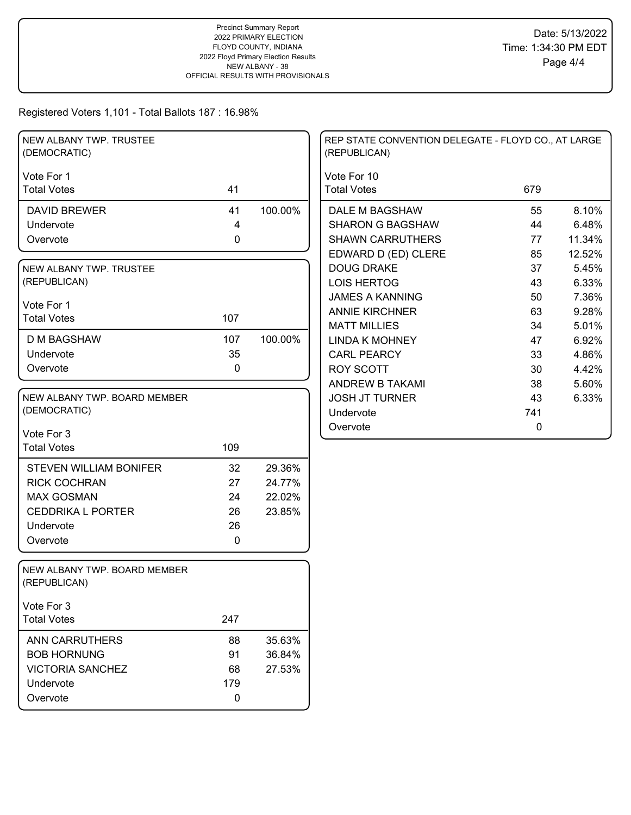| NEW ALBANY TWP. TRUSTEE<br>(DEMOCRATIC)      |           |         | REP STATE CONVENTION DELEGATE - FLOYD CO., AT LARGE<br>(REPUBLICAN) |             |        |
|----------------------------------------------|-----------|---------|---------------------------------------------------------------------|-------------|--------|
| Vote For 1<br><b>Total Votes</b>             | 41        |         | Vote For 10<br><b>Total Votes</b>                                   | 679         |        |
| <b>DAVID BREWER</b>                          | 41        | 100.00% | DALE M BAGSHAW                                                      | 55          | 8.10%  |
| Undervote                                    | 4         |         | <b>SHARON G BAGSHAW</b>                                             | 44          | 6.48%  |
| Overvote                                     | $\pmb{0}$ |         | <b>SHAWN CARRUTHERS</b>                                             | 77          | 11.34% |
|                                              |           |         | EDWARD D (ED) CLERE                                                 | 85          | 12.52% |
| NEW ALBANY TWP. TRUSTEE                      |           |         | <b>DOUG DRAKE</b>                                                   | 37          | 5.45%  |
| (REPUBLICAN)                                 |           |         | <b>LOIS HERTOG</b>                                                  | 43          | 6.33%  |
| Vote For 1                                   |           |         | <b>JAMES A KANNING</b>                                              | 50          | 7.36%  |
| <b>Total Votes</b>                           | 107       |         | <b>ANNIE KIRCHNER</b>                                               | 63          | 9.28%  |
|                                              |           |         | <b>MATT MILLIES</b>                                                 | 34          | 5.01%  |
| <b>D M BAGSHAW</b>                           | 107       | 100.00% | <b>LINDA K MOHNEY</b>                                               | 47          | 6.92%  |
| Undervote                                    | 35        |         | <b>CARL PEARCY</b>                                                  | 33          | 4.86%  |
| Overvote                                     | 0         |         | <b>ROY SCOTT</b>                                                    | 30          | 4.42%  |
|                                              |           |         | <b>ANDREW B TAKAMI</b>                                              | 38          | 5.60%  |
| NEW ALBANY TWP. BOARD MEMBER                 |           |         | <b>JOSH JT TURNER</b>                                               | 43          | 6.33%  |
| (DEMOCRATIC)                                 |           |         | Undervote                                                           | 741         |        |
| Vote For 3                                   |           |         | Overvote                                                            | $\mathbf 0$ |        |
| <b>Total Votes</b>                           | 109       |         |                                                                     |             |        |
|                                              |           |         |                                                                     |             |        |
| <b>STEVEN WILLIAM BONIFER</b>                | 32        | 29.36%  |                                                                     |             |        |
| <b>RICK COCHRAN</b>                          | 27        | 24.77%  |                                                                     |             |        |
| <b>MAX GOSMAN</b>                            | 24        | 22.02%  |                                                                     |             |        |
| <b>CEDDRIKA L PORTER</b>                     | 26        | 23.85%  |                                                                     |             |        |
| Undervote                                    | 26        |         |                                                                     |             |        |
| Overvote                                     | 0         |         |                                                                     |             |        |
| NEW ALBANY TWP. BOARD MEMBER<br>(REPUBLICAN) |           |         |                                                                     |             |        |
| Vote For 3                                   |           |         |                                                                     |             |        |
| <b>Total Votes</b>                           | 247       |         |                                                                     |             |        |
| ANN CARRUTHERS                               | 88        | 35.63%  |                                                                     |             |        |
| <b>BOB HORNUNG</b>                           | 91        | 36.84%  |                                                                     |             |        |
| <b>VICTORIA SANCHEZ</b>                      | 68        | 27.53%  |                                                                     |             |        |
| Undervote                                    | 179       |         |                                                                     |             |        |
| Overvote                                     | $\pmb{0}$ |         |                                                                     |             |        |
|                                              |           |         |                                                                     |             |        |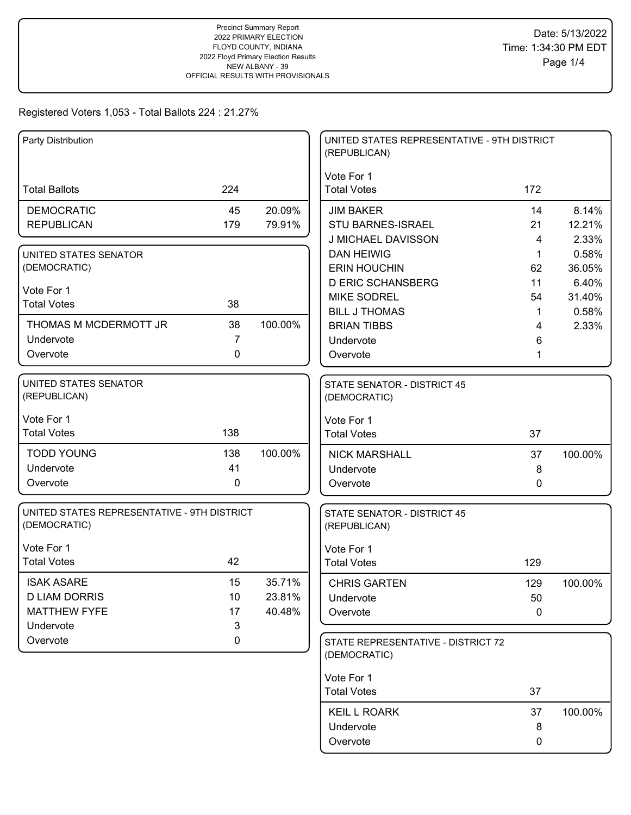| Party Distribution                          |     |         | UNITED STATES REPRESENTATIVE - 9TH DISTRICT<br>(REPUBLICAN) |             |         |
|---------------------------------------------|-----|---------|-------------------------------------------------------------|-------------|---------|
|                                             |     |         | Vote For 1                                                  |             |         |
| <b>Total Ballots</b>                        | 224 |         | <b>Total Votes</b>                                          | 172         |         |
| <b>DEMOCRATIC</b>                           | 45  | 20.09%  | <b>JIM BAKER</b>                                            | 14          | 8.14%   |
| <b>REPUBLICAN</b>                           | 179 | 79.91%  | <b>STU BARNES-ISRAEL</b>                                    | 21          | 12.21%  |
|                                             |     |         | J MICHAEL DAVISSON                                          | 4           | 2.33%   |
| UNITED STATES SENATOR                       |     |         | <b>DAN HEIWIG</b>                                           | 1           | 0.58%   |
| (DEMOCRATIC)                                |     |         | <b>ERIN HOUCHIN</b>                                         | 62          | 36.05%  |
| Vote For 1                                  |     |         | <b>D ERIC SCHANSBERG</b>                                    | 11          | 6.40%   |
| <b>Total Votes</b>                          | 38  |         | <b>MIKE SODREL</b>                                          | 54          | 31.40%  |
|                                             |     |         | <b>BILL J THOMAS</b>                                        | 1           | 0.58%   |
| THOMAS M MCDERMOTT JR                       | 38  | 100.00% | <b>BRIAN TIBBS</b>                                          | 4           | 2.33%   |
| Undervote                                   | 7   |         | Undervote                                                   | 6           |         |
| Overvote                                    | 0   |         | Overvote                                                    |             |         |
| <b>UNITED STATES SENATOR</b>                |     |         | <b>STATE SENATOR - DISTRICT 45</b>                          |             |         |
| (REPUBLICAN)                                |     |         | (DEMOCRATIC)                                                |             |         |
| Vote For 1                                  |     |         | Vote For 1                                                  |             |         |
| <b>Total Votes</b>                          | 138 |         | <b>Total Votes</b>                                          | 37          |         |
| <b>TODD YOUNG</b>                           | 138 | 100.00% | <b>NICK MARSHALL</b>                                        | 37          | 100.00% |
| Undervote                                   | 41  |         | Undervote                                                   | 8           |         |
| Overvote                                    | 0   |         | Overvote                                                    | 0           |         |
| UNITED STATES REPRESENTATIVE - 9TH DISTRICT |     |         | STATE SENATOR - DISTRICT 45                                 |             |         |
| (DEMOCRATIC)                                |     |         | (REPUBLICAN)                                                |             |         |
| Vote For 1                                  |     |         | Vote For 1                                                  |             |         |
| <b>Total Votes</b>                          | 42  |         | <b>Total Votes</b>                                          | 129         |         |
| <b>ISAK ASARE</b>                           | 15  | 35.71%  | <b>CHRIS GARTEN</b>                                         | 129         | 100.00% |
| <b>D LIAM DORRIS</b>                        | 10  | 23.81%  | Undervote                                                   | 50          |         |
| <b>MATTHEW FYFE</b>                         | 17  | 40.48%  | Overvote                                                    | $\mathbf 0$ |         |
| Undervote                                   | 3   |         |                                                             |             |         |
| Overvote                                    | 0   |         | STATE REPRESENTATIVE - DISTRICT 72<br>(DEMOCRATIC)          |             |         |
|                                             |     |         | Vote For 1                                                  |             |         |
|                                             |     |         | <b>Total Votes</b>                                          | 37          |         |
|                                             |     |         |                                                             |             |         |
|                                             |     |         | <b>KEIL L ROARK</b>                                         | 37          | 100.00% |
|                                             |     |         | Undervote                                                   | 8           |         |
|                                             |     |         | Overvote                                                    | 0           |         |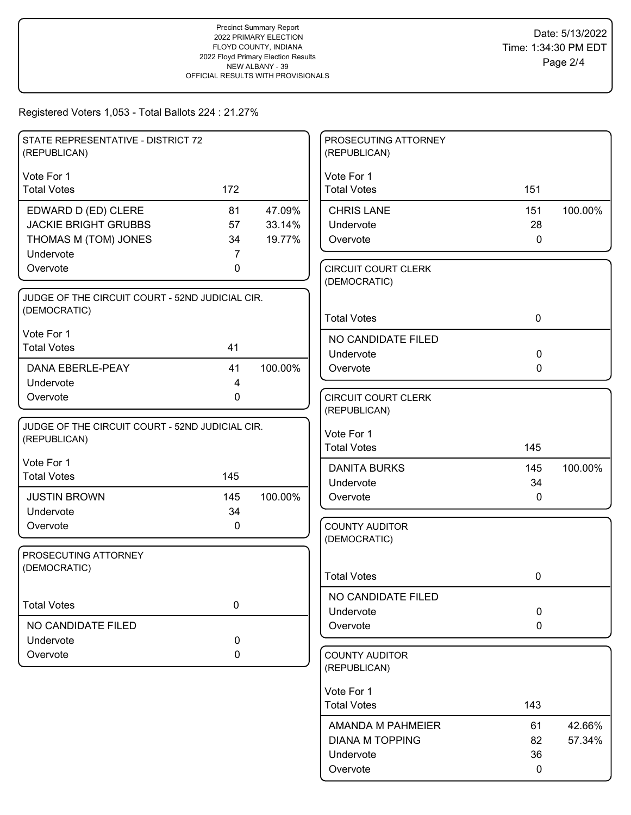| STATE REPRESENTATIVE - DISTRICT 72              |             |         | PROSECUTING ATTORNEY             |              |         |
|-------------------------------------------------|-------------|---------|----------------------------------|--------------|---------|
| (REPUBLICAN)                                    |             |         | (REPUBLICAN)                     |              |         |
| Vote For 1                                      |             |         | Vote For 1                       |              |         |
| <b>Total Votes</b>                              | 172         |         | <b>Total Votes</b>               | 151          |         |
|                                                 |             |         |                                  |              |         |
| EDWARD D (ED) CLERE                             | 81          | 47.09%  | <b>CHRIS LANE</b>                | 151          | 100.00% |
| <b>JACKIE BRIGHT GRUBBS</b>                     | 57          | 33.14%  | Undervote                        | 28           |         |
| THOMAS M (TOM) JONES                            | 34          | 19.77%  | Overvote                         | $\mathbf 0$  |         |
| Undervote                                       | 7           |         |                                  |              |         |
| Overvote                                        | 0           |         | <b>CIRCUIT COURT CLERK</b>       |              |         |
|                                                 |             |         | (DEMOCRATIC)                     |              |         |
| JUDGE OF THE CIRCUIT COURT - 52ND JUDICIAL CIR. |             |         |                                  |              |         |
| (DEMOCRATIC)                                    |             |         |                                  |              |         |
|                                                 |             |         | <b>Total Votes</b>               | $\mathbf 0$  |         |
| Vote For 1                                      |             |         | NO CANDIDATE FILED               |              |         |
| <b>Total Votes</b>                              | 41          |         | Undervote                        | $\mathbf 0$  |         |
| <b>DANA EBERLE-PEAY</b>                         | 41          | 100.00% | Overvote                         | 0            |         |
| Undervote                                       | 4           |         |                                  |              |         |
|                                                 | $\mathbf 0$ |         | <b>CIRCUIT COURT CLERK</b>       |              |         |
| Overvote                                        |             |         | (REPUBLICAN)                     |              |         |
|                                                 |             |         |                                  |              |         |
| JUDGE OF THE CIRCUIT COURT - 52ND JUDICIAL CIR. |             |         | Vote For 1                       |              |         |
| (REPUBLICAN)                                    |             |         | <b>Total Votes</b>               | 145          |         |
| Vote For 1                                      |             |         |                                  |              |         |
| <b>Total Votes</b>                              | 145         |         | <b>DANITA BURKS</b>              | 145          | 100.00% |
|                                                 |             |         | Undervote                        | 34           |         |
| <b>JUSTIN BROWN</b>                             | 145         | 100.00% | Overvote                         | $\mathbf{0}$ |         |
| Undervote                                       | 34          |         |                                  |              |         |
| Overvote                                        | 0           |         | <b>COUNTY AUDITOR</b>            |              |         |
|                                                 |             |         | (DEMOCRATIC)                     |              |         |
| PROSECUTING ATTORNEY                            |             |         |                                  |              |         |
| (DEMOCRATIC)                                    |             |         | <b>Total Votes</b>               | 0            |         |
|                                                 |             |         |                                  |              |         |
| <b>Total Votes</b>                              | $\pmb{0}$   |         | NO CANDIDATE FILED               |              |         |
|                                                 |             |         | Undervote                        | $\mathbf 0$  |         |
| NO CANDIDATE FILED                              |             |         | Overvote                         | $\mathbf 0$  |         |
| Undervote                                       | $\mathbf 0$ |         |                                  |              |         |
| Overvote                                        | 0           |         | <b>COUNTY AUDITOR</b>            |              |         |
|                                                 |             |         | (REPUBLICAN)                     |              |         |
|                                                 |             |         |                                  |              |         |
|                                                 |             |         | Vote For 1<br><b>Total Votes</b> | 143          |         |
|                                                 |             |         |                                  |              |         |
|                                                 |             |         | AMANDA M PAHMEIER                | 61           | 42.66%  |
|                                                 |             |         | <b>DIANA M TOPPING</b>           | 82           | 57.34%  |
|                                                 |             |         | Undervote                        | 36           |         |
|                                                 |             |         | Overvote                         | 0            |         |
|                                                 |             |         |                                  |              |         |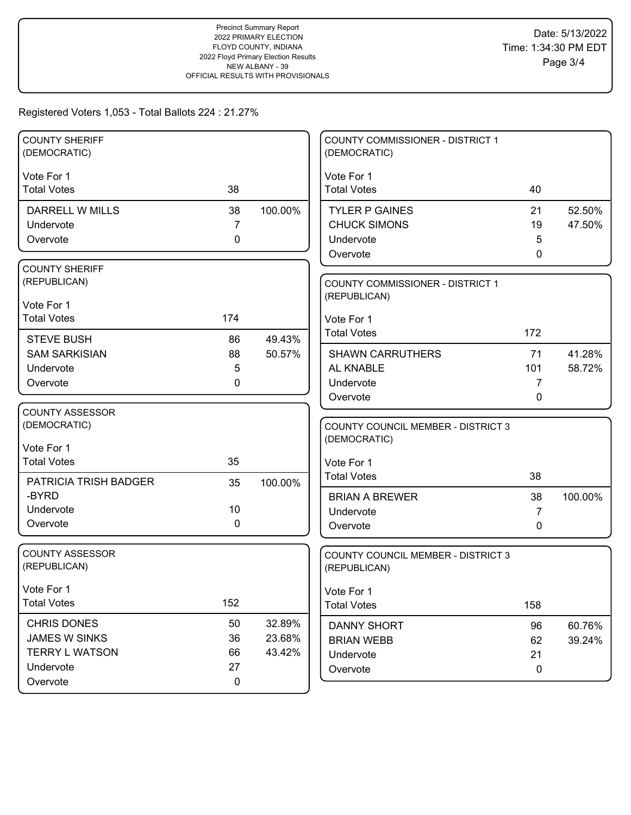| <b>COUNTY SHERIFF</b>  |                |         | COUNTY COMMISSIONER - DISTRICT 1          |              |         |
|------------------------|----------------|---------|-------------------------------------------|--------------|---------|
| (DEMOCRATIC)           |                |         | (DEMOCRATIC)                              |              |         |
| Vote For 1             |                |         | Vote For 1                                |              |         |
| <b>Total Votes</b>     | 38             |         | <b>Total Votes</b>                        | 40           |         |
| DARRELL W MILLS        | 38             | 100.00% | <b>TYLER P GAINES</b>                     | 21           | 52.50%  |
| Undervote              | $\overline{7}$ |         | <b>CHUCK SIMONS</b>                       | 19           | 47.50%  |
| Overvote               | $\mathbf 0$    |         | Undervote                                 | 5            |         |
|                        |                |         | Overvote                                  | $\mathbf{0}$ |         |
| <b>COUNTY SHERIFF</b>  |                |         |                                           |              |         |
| (REPUBLICAN)           |                |         | <b>COUNTY COMMISSIONER - DISTRICT 1</b>   |              |         |
| Vote For 1             |                |         | (REPUBLICAN)                              |              |         |
| <b>Total Votes</b>     | 174            |         | Vote For 1                                |              |         |
| <b>STEVE BUSH</b>      | 86             | 49.43%  | <b>Total Votes</b>                        | 172          |         |
| <b>SAM SARKISIAN</b>   | 88             | 50.57%  | <b>SHAWN CARRUTHERS</b>                   | 71           | 41.28%  |
| Undervote              | 5              |         | AL KNABLE                                 | 101          | 58.72%  |
| Overvote               | 0              |         | Undervote                                 | 7            |         |
|                        |                |         | Overvote                                  | 0            |         |
| <b>COUNTY ASSESSOR</b> |                |         |                                           |              |         |
| (DEMOCRATIC)           |                |         | <b>COUNTY COUNCIL MEMBER - DISTRICT 3</b> |              |         |
| Vote For 1             |                |         | (DEMOCRATIC)                              |              |         |
| <b>Total Votes</b>     | 35             |         | Vote For 1                                |              |         |
| PATRICIA TRISH BADGER  | 35             | 100.00% | <b>Total Votes</b>                        | 38           |         |
| -BYRD                  |                |         | <b>BRIAN A BREWER</b>                     | 38           | 100.00% |
| Undervote              | 10             |         | Undervote                                 | 7            |         |
| Overvote               | 0              |         | Overvote                                  | $\mathbf{0}$ |         |
|                        |                |         |                                           |              |         |
| <b>COUNTY ASSESSOR</b> |                |         | <b>COUNTY COUNCIL MEMBER - DISTRICT 3</b> |              |         |
| (REPUBLICAN)           |                |         | (REPUBLICAN)                              |              |         |
| Vote For 1             |                |         | Vote For 1                                |              |         |
| <b>Total Votes</b>     | 152            |         | <b>Total Votes</b>                        | 158          |         |
| CHRIS DONES            | 50             | 32.89%  | DANNY SHORT                               | 96           | 60.76%  |
| <b>JAMES W SINKS</b>   | 36             | 23.68%  | <b>BRIAN WEBB</b>                         | 62           | 39.24%  |
| <b>TERRY L WATSON</b>  | 66             | 43.42%  | Undervote                                 | 21           |         |
| Undervote              | 27             |         | Overvote                                  | 0            |         |
| Overvote               | $\pmb{0}$      |         |                                           |              |         |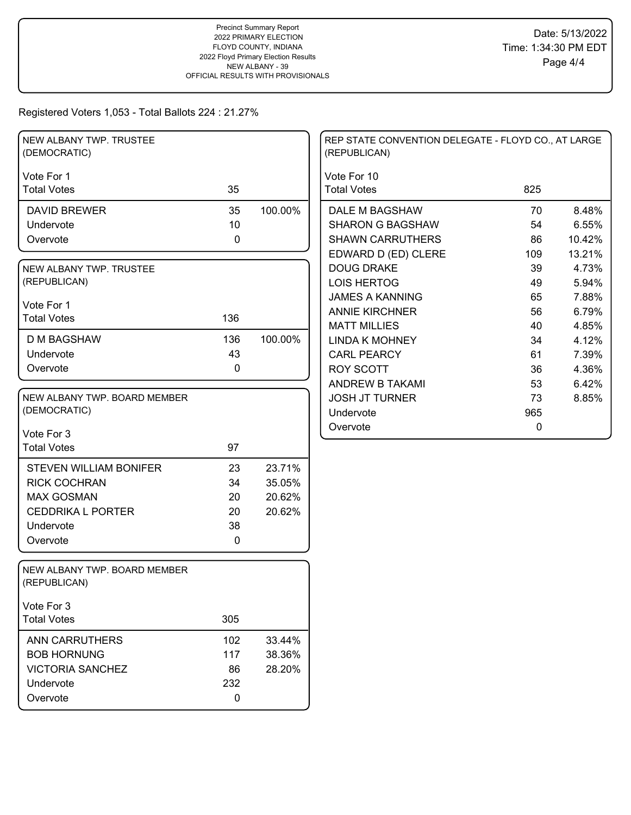| NEW ALBANY TWP. TRUSTEE<br>(DEMOCRATIC)      |             |         | REP STATE CONVENTION DELEGATE - FLOYD CO., AT LARGE<br>(REPUBLICAN) |           |        |
|----------------------------------------------|-------------|---------|---------------------------------------------------------------------|-----------|--------|
| Vote For 1                                   |             |         | Vote For 10                                                         |           |        |
| <b>Total Votes</b>                           | 35          |         | <b>Total Votes</b>                                                  | 825       |        |
| <b>DAVID BREWER</b>                          | 35          | 100.00% | DALE M BAGSHAW                                                      | 70        | 8.48%  |
| Undervote                                    | 10          |         | <b>SHARON G BAGSHAW</b>                                             | 54        | 6.55%  |
| Overvote                                     | $\mathbf 0$ |         | <b>SHAWN CARRUTHERS</b>                                             | 86        | 10.42% |
|                                              |             |         | EDWARD D (ED) CLERE                                                 | 109       | 13.21% |
| NEW ALBANY TWP. TRUSTEE                      |             |         | <b>DOUG DRAKE</b>                                                   | 39        | 4.73%  |
| (REPUBLICAN)                                 |             |         | <b>LOIS HERTOG</b>                                                  | 49        | 5.94%  |
| Vote For 1                                   |             |         | <b>JAMES A KANNING</b>                                              | 65        | 7.88%  |
| <b>Total Votes</b>                           | 136         |         | <b>ANNIE KIRCHNER</b>                                               | 56        | 6.79%  |
|                                              |             |         | <b>MATT MILLIES</b>                                                 | 40        | 4.85%  |
| <b>D M BAGSHAW</b>                           | 136         | 100.00% | <b>LINDA K MOHNEY</b>                                               | 34        | 4.12%  |
| Undervote                                    | 43          |         | <b>CARL PEARCY</b>                                                  | 61        | 7.39%  |
| Overvote                                     | 0           |         | <b>ROY SCOTT</b>                                                    | 36        | 4.36%  |
|                                              |             |         | ANDREW B TAKAMI                                                     | 53        | 6.42%  |
| NEW ALBANY TWP. BOARD MEMBER                 |             |         | <b>JOSH JT TURNER</b>                                               | 73        | 8.85%  |
| (DEMOCRATIC)                                 |             |         | Undervote                                                           | 965       |        |
| Vote For 3                                   |             |         | Overvote                                                            | $\pmb{0}$ |        |
| <b>Total Votes</b>                           | 97          |         |                                                                     |           |        |
|                                              |             |         |                                                                     |           |        |
| <b>STEVEN WILLIAM BONIFER</b>                | 23          | 23.71%  |                                                                     |           |        |
| <b>RICK COCHRAN</b>                          | 34          | 35.05%  |                                                                     |           |        |
| <b>MAX GOSMAN</b>                            | 20          | 20.62%  |                                                                     |           |        |
| <b>CEDDRIKA L PORTER</b>                     | 20          | 20.62%  |                                                                     |           |        |
| Undervote                                    | 38          |         |                                                                     |           |        |
| Overvote                                     | 0           |         |                                                                     |           |        |
| NEW ALBANY TWP. BOARD MEMBER<br>(REPUBLICAN) |             |         |                                                                     |           |        |
| Vote For 3                                   |             |         |                                                                     |           |        |
| <b>Total Votes</b>                           | 305         |         |                                                                     |           |        |
| <b>ANN CARRUTHERS</b>                        | 102         | 33.44%  |                                                                     |           |        |
| <b>BOB HORNUNG</b>                           | 117         | 38.36%  |                                                                     |           |        |
| <b>VICTORIA SANCHEZ</b>                      | 86          | 28.20%  |                                                                     |           |        |
| Undervote                                    | 232         |         |                                                                     |           |        |
| Overvote                                     | 0           |         |                                                                     |           |        |
|                                              |             |         |                                                                     |           |        |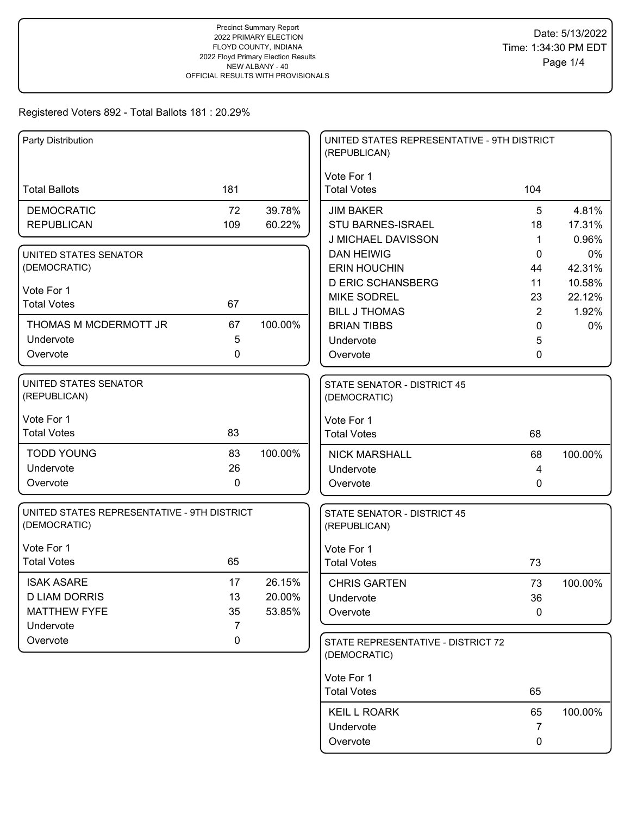| Party Distribution                          |             |         | UNITED STATES REPRESENTATIVE - 9TH DISTRICT<br>(REPUBLICAN) |                     |             |
|---------------------------------------------|-------------|---------|-------------------------------------------------------------|---------------------|-------------|
|                                             |             |         | Vote For 1                                                  |                     |             |
| <b>Total Ballots</b>                        | 181         |         | <b>Total Votes</b>                                          | 104                 |             |
| <b>DEMOCRATIC</b>                           | 72          | 39.78%  | <b>JIM BAKER</b>                                            | 5                   | 4.81%       |
| <b>REPUBLICAN</b>                           | 109         | 60.22%  | STU BARNES-ISRAEL                                           | 18                  | 17.31%      |
|                                             |             |         | J MICHAEL DAVISSON                                          | 1                   | 0.96%       |
| UNITED STATES SENATOR                       |             |         | <b>DAN HEIWIG</b>                                           | 0                   | 0%          |
| (DEMOCRATIC)                                |             |         | <b>ERIN HOUCHIN</b>                                         | 44                  | 42.31%      |
| Vote For 1                                  |             |         | <b>D ERIC SCHANSBERG</b>                                    | 11                  | 10.58%      |
| <b>Total Votes</b>                          | 67          |         | <b>MIKE SODREL</b>                                          | 23                  | 22.12%      |
| THOMAS M MCDERMOTT JR                       | 67          | 100.00% | <b>BILL J THOMAS</b><br><b>BRIAN TIBBS</b>                  | $\overline{2}$<br>0 | 1.92%<br>0% |
| Undervote                                   | 5           |         | Undervote                                                   | 5                   |             |
| Overvote                                    | 0           |         | Overvote                                                    | 0                   |             |
|                                             |             |         |                                                             |                     |             |
| UNITED STATES SENATOR                       |             |         | STATE SENATOR - DISTRICT 45                                 |                     |             |
| (REPUBLICAN)                                |             |         | (DEMOCRATIC)                                                |                     |             |
| Vote For 1                                  |             |         | Vote For 1                                                  |                     |             |
| <b>Total Votes</b>                          | 83          |         | <b>Total Votes</b>                                          | 68                  |             |
| <b>TODD YOUNG</b>                           | 83          | 100.00% | <b>NICK MARSHALL</b>                                        | 68                  | 100.00%     |
| Undervote                                   | 26          |         | Undervote                                                   | 4                   |             |
| Overvote                                    | 0           |         | Overvote                                                    | 0                   |             |
| UNITED STATES REPRESENTATIVE - 9TH DISTRICT |             |         | <b>STATE SENATOR - DISTRICT 45</b>                          |                     |             |
| (DEMOCRATIC)                                |             |         | (REPUBLICAN)                                                |                     |             |
| Vote For 1                                  |             |         | Vote For 1                                                  |                     |             |
| <b>Total Votes</b>                          | 65          |         | <b>Total Votes</b>                                          | 73                  |             |
| <b>ISAK ASARE</b>                           | 17          | 26.15%  | <b>CHRIS GARTEN</b>                                         | 73                  | 100.00%     |
| <b>D LIAM DORRIS</b>                        | 13          | 20.00%  | Undervote                                                   | 36                  |             |
| <b>MATTHEW FYFE</b>                         | 35          | 53.85%  | Overvote                                                    | 0                   |             |
| Undervote                                   | 7           |         |                                                             |                     |             |
| Overvote                                    | $\mathbf 0$ |         | STATE REPRESENTATIVE - DISTRICT 72                          |                     |             |
|                                             |             |         | (DEMOCRATIC)                                                |                     |             |
|                                             |             |         | Vote For 1                                                  |                     |             |
|                                             |             |         | <b>Total Votes</b>                                          | 65                  |             |
|                                             |             |         | <b>KEIL L ROARK</b>                                         | 65                  | 100.00%     |
|                                             |             |         | Undervote                                                   | 7                   |             |
|                                             |             |         | Overvote                                                    | 0                   |             |
|                                             |             |         |                                                             |                     |             |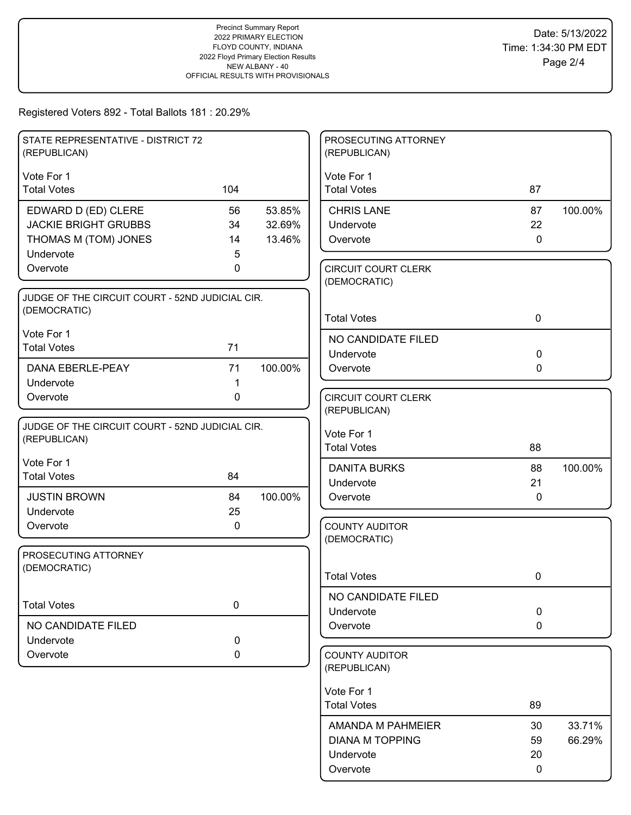| STATE REPRESENTATIVE - DISTRICT 72<br>(REPUBLICAN) |             |         | PROSECUTING ATTORNEY<br>(REPUBLICAN)       |              |         |
|----------------------------------------------------|-------------|---------|--------------------------------------------|--------------|---------|
| Vote For 1                                         |             |         | Vote For 1                                 |              |         |
| <b>Total Votes</b>                                 | 104         |         | <b>Total Votes</b>                         | 87           |         |
| EDWARD D (ED) CLERE                                | 56          | 53.85%  | <b>CHRIS LANE</b>                          | 87           | 100.00% |
| <b>JACKIE BRIGHT GRUBBS</b>                        | 34          | 32.69%  | Undervote                                  | 22           |         |
| THOMAS M (TOM) JONES                               | 14          | 13.46%  | Overvote                                   | $\mathbf 0$  |         |
| Undervote                                          | 5           |         |                                            |              |         |
| Overvote                                           | 0           |         | <b>CIRCUIT COURT CLERK</b><br>(DEMOCRATIC) |              |         |
| JUDGE OF THE CIRCUIT COURT - 52ND JUDICIAL CIR.    |             |         |                                            |              |         |
| (DEMOCRATIC)                                       |             |         | <b>Total Votes</b>                         | $\mathbf 0$  |         |
| Vote For 1                                         |             |         | NO CANDIDATE FILED                         |              |         |
| <b>Total Votes</b>                                 | 71          |         | Undervote                                  | $\mathbf 0$  |         |
| DANA EBERLE-PEAY                                   | 71          | 100.00% | Overvote                                   | $\mathbf{0}$ |         |
| Undervote                                          | 1           |         |                                            |              |         |
| Overvote                                           | 0           |         | <b>CIRCUIT COURT CLERK</b>                 |              |         |
|                                                    |             |         | (REPUBLICAN)                               |              |         |
| JUDGE OF THE CIRCUIT COURT - 52ND JUDICIAL CIR.    |             |         |                                            |              |         |
| (REPUBLICAN)                                       |             |         | Vote For 1<br><b>Total Votes</b>           | 88           |         |
| Vote For 1                                         |             |         |                                            |              |         |
| <b>Total Votes</b>                                 | 84          |         | <b>DANITA BURKS</b>                        | 88           | 100.00% |
|                                                    |             |         | Undervote                                  | 21           |         |
| <b>JUSTIN BROWN</b>                                | 84          | 100.00% | Overvote                                   | $\mathbf{0}$ |         |
| Undervote                                          | 25          |         |                                            |              |         |
| Overvote                                           | $\mathbf 0$ |         | <b>COUNTY AUDITOR</b>                      |              |         |
|                                                    |             |         | (DEMOCRATIC)                               |              |         |
| PROSECUTING ATTORNEY<br>(DEMOCRATIC)               |             |         |                                            |              |         |
|                                                    |             |         | <b>Total Votes</b>                         | 0            |         |
|                                                    |             |         | NO CANDIDATE FILED                         |              |         |
| <b>Total Votes</b>                                 | $\pmb{0}$   |         | Undervote                                  | $\mathbf 0$  |         |
| NO CANDIDATE FILED                                 |             |         | Overvote                                   | $\mathbf 0$  |         |
| Undervote                                          | 0           |         |                                            |              |         |
| Overvote                                           | 0           |         | <b>COUNTY AUDITOR</b><br>(REPUBLICAN)      |              |         |
|                                                    |             |         |                                            |              |         |
|                                                    |             |         | Vote For 1                                 |              |         |
|                                                    |             |         | <b>Total Votes</b>                         | 89           |         |
|                                                    |             |         | AMANDA M PAHMEIER                          | 30           | 33.71%  |
|                                                    |             |         | <b>DIANA M TOPPING</b>                     | 59           | 66.29%  |
|                                                    |             |         | Undervote                                  | 20           |         |
|                                                    |             |         | Overvote                                   | 0            |         |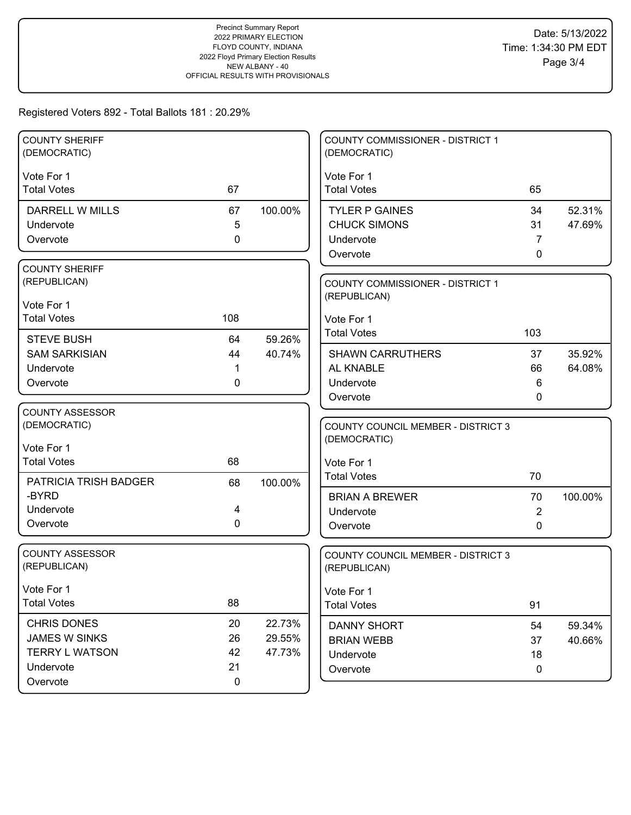### Registered Voters 892 - Total Ballots 181 : 20.29%

| <b>COUNTY SHERIFF</b><br>(DEMOCRATIC) |             |         | <b>COUNTY COMMISSIONER - DISTRICT 1</b><br>(DEMOCRATIC) |          |                  |
|---------------------------------------|-------------|---------|---------------------------------------------------------|----------|------------------|
| Vote For 1                            |             |         | Vote For 1                                              |          |                  |
| <b>Total Votes</b>                    | 67          |         | <b>Total Votes</b>                                      | 65       |                  |
| DARRELL W MILLS                       | 67          | 100.00% | <b>TYLER P GAINES</b>                                   | 34       | 52.31%           |
| Undervote                             | 5           |         | <b>CHUCK SIMONS</b>                                     | 31       | 47.69%           |
| Overvote                              | 0           |         | Undervote                                               | 7        |                  |
|                                       |             |         | Overvote                                                | 0        |                  |
| <b>COUNTY SHERIFF</b>                 |             |         |                                                         |          |                  |
| (REPUBLICAN)                          |             |         | COUNTY COMMISSIONER - DISTRICT 1                        |          |                  |
| Vote For 1                            |             |         | (REPUBLICAN)                                            |          |                  |
| <b>Total Votes</b>                    | 108         |         | Vote For 1                                              |          |                  |
| <b>STEVE BUSH</b>                     | 64          | 59.26%  | <b>Total Votes</b>                                      | 103      |                  |
| <b>SAM SARKISIAN</b>                  | 44          | 40.74%  | <b>SHAWN CARRUTHERS</b>                                 | 37       | 35.92%           |
| Undervote                             |             |         | AL KNABLE                                               | 66       | 64.08%           |
| Overvote                              | 0           |         | Undervote                                               | 6        |                  |
|                                       |             |         | Overvote                                                | 0        |                  |
| <b>COUNTY ASSESSOR</b>                |             |         |                                                         |          |                  |
| (DEMOCRATIC)                          |             |         | <b>COUNTY COUNCIL MEMBER - DISTRICT 3</b>               |          |                  |
| Vote For 1                            |             |         | (DEMOCRATIC)                                            |          |                  |
| <b>Total Votes</b>                    | 68          |         | Vote For 1                                              |          |                  |
| PATRICIA TRISH BADGER                 | 68          | 100.00% | <b>Total Votes</b>                                      | 70       |                  |
| -BYRD                                 |             |         | <b>BRIAN A BREWER</b>                                   | 70       | 100.00%          |
| Undervote                             | 4           |         | Undervote                                               | 2        |                  |
| Overvote                              | 0           |         | Overvote                                                | 0        |                  |
|                                       |             |         |                                                         |          |                  |
| <b>COUNTY ASSESSOR</b>                |             |         | <b>COUNTY COUNCIL MEMBER - DISTRICT 3</b>               |          |                  |
| (REPUBLICAN)                          |             |         | (REPUBLICAN)                                            |          |                  |
| Vote For 1                            |             |         | Vote For 1                                              |          |                  |
| <b>Total Votes</b>                    | 88          |         | <b>Total Votes</b>                                      | 91       |                  |
| <b>CHRIS DONES</b>                    | 20          | 22.73%  |                                                         |          |                  |
| JAMES W SINKS                         | 26          | 29.55%  | <b>DANNY SHORT</b><br><b>BRIAN WEBB</b>                 | 54<br>37 | 59.34%<br>40.66% |
| <b>TERRY L WATSON</b>                 | 42          | 47.73%  | Undervote                                               | 18       |                  |
| Undervote                             | 21          |         | Overvote                                                | 0        |                  |
| Overvote                              | $\mathbf 0$ |         |                                                         |          |                  |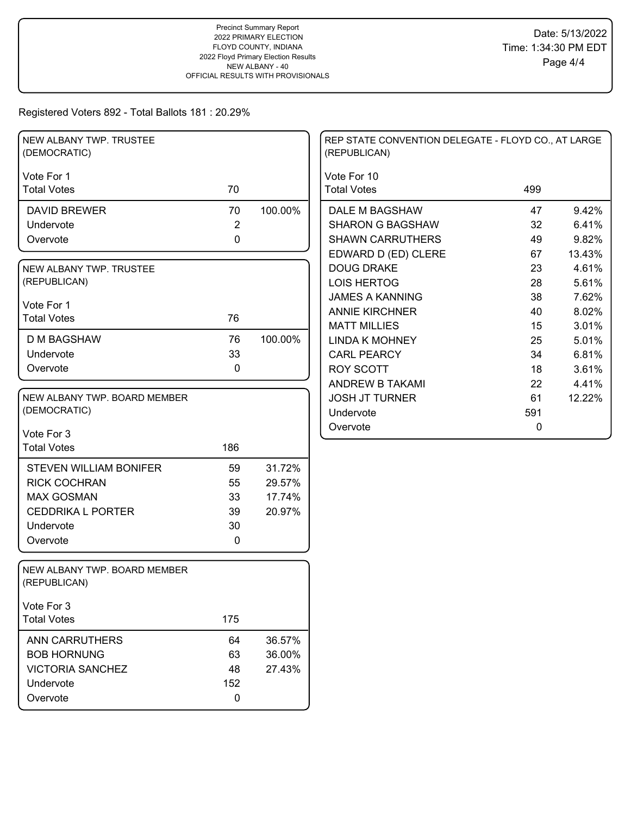# Registered Voters 892 - Total Ballots 181 : 20.29%

| NEW ALBANY TWP. TRUSTEE<br>(DEMOCRATIC)      |                |         | REP STATE CONVENTION DELEGATE - FLOYD CO., AT LARGE<br>(REPUBLICAN) |     |        |
|----------------------------------------------|----------------|---------|---------------------------------------------------------------------|-----|--------|
| Vote For 1                                   |                |         | Vote For 10                                                         |     |        |
| <b>Total Votes</b>                           | 70             |         | <b>Total Votes</b>                                                  | 499 |        |
| <b>DAVID BREWER</b>                          | 70             | 100.00% | DALE M BAGSHAW                                                      | 47  | 9.42%  |
| Undervote                                    | $\overline{2}$ |         | <b>SHARON G BAGSHAW</b>                                             | 32  | 6.41%  |
| Overvote                                     | $\mathbf 0$    |         | <b>SHAWN CARRUTHERS</b>                                             | 49  | 9.82%  |
|                                              |                |         | EDWARD D (ED) CLERE                                                 | 67  | 13.43% |
| NEW ALBANY TWP. TRUSTEE                      |                |         | <b>DOUG DRAKE</b>                                                   | 23  | 4.61%  |
| (REPUBLICAN)                                 |                |         | <b>LOIS HERTOG</b>                                                  | 28  | 5.61%  |
| Vote For 1                                   |                |         | <b>JAMES A KANNING</b>                                              | 38  | 7.62%  |
| <b>Total Votes</b>                           | 76             |         | <b>ANNIE KIRCHNER</b>                                               | 40  | 8.02%  |
|                                              |                |         | <b>MATT MILLIES</b>                                                 | 15  | 3.01%  |
| <b>D M BAGSHAW</b>                           | 76             | 100.00% | <b>LINDA K MOHNEY</b>                                               | 25  | 5.01%  |
| Undervote                                    | 33             |         | <b>CARL PEARCY</b>                                                  | 34  | 6.81%  |
| Overvote                                     | $\mathbf 0$    |         | <b>ROY SCOTT</b>                                                    | 18  | 3.61%  |
|                                              |                |         | <b>ANDREW B TAKAMI</b>                                              | 22  | 4.41%  |
| NEW ALBANY TWP. BOARD MEMBER                 |                |         | <b>JOSH JT TURNER</b>                                               | 61  | 12.22% |
| (DEMOCRATIC)                                 |                |         | Undervote                                                           | 591 |        |
| Vote For 3                                   |                |         | Overvote                                                            | 0   |        |
| <b>Total Votes</b>                           | 186            |         |                                                                     |     |        |
| <b>STEVEN WILLIAM BONIFER</b>                | 59             | 31.72%  |                                                                     |     |        |
| <b>RICK COCHRAN</b>                          | 55             | 29.57%  |                                                                     |     |        |
| <b>MAX GOSMAN</b>                            | 33             | 17.74%  |                                                                     |     |        |
| <b>CEDDRIKA L PORTER</b>                     | 39             | 20.97%  |                                                                     |     |        |
| Undervote                                    | 30             |         |                                                                     |     |        |
| Overvote                                     | 0              |         |                                                                     |     |        |
|                                              |                |         |                                                                     |     |        |
| NEW ALBANY TWP. BOARD MEMBER<br>(REPUBLICAN) |                |         |                                                                     |     |        |
| Vote For 3                                   |                |         |                                                                     |     |        |
| <b>Total Votes</b>                           | 175            |         |                                                                     |     |        |
| ANN CARRUTHERS                               | 64             | 36.57%  |                                                                     |     |        |
| <b>BOB HORNUNG</b>                           | 63             | 36.00%  |                                                                     |     |        |
| <b>VICTORIA SANCHEZ</b>                      | 48             | 27.43%  |                                                                     |     |        |
| Undervote                                    | 152            |         |                                                                     |     |        |
| Overvote                                     | $\mathbf 0$    |         |                                                                     |     |        |
|                                              |                |         |                                                                     |     |        |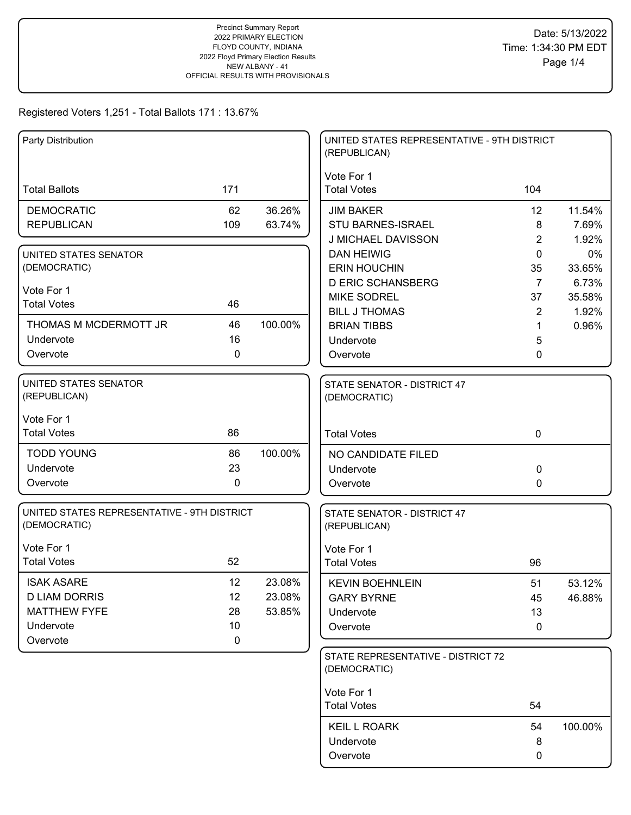| Party Distribution                                          |             |         | UNITED STATES REPRESENTATIVE - 9TH DISTRICT<br>(REPUBLICAN) |                 |              |
|-------------------------------------------------------------|-------------|---------|-------------------------------------------------------------|-----------------|--------------|
| <b>Total Ballots</b>                                        | 171         |         | Vote For 1<br><b>Total Votes</b>                            | 104             |              |
| <b>DEMOCRATIC</b>                                           | 62          | 36.26%  | <b>JIM BAKER</b>                                            | 12 <sup>2</sup> | 11.54%       |
| <b>REPUBLICAN</b>                                           | 109         | 63.74%  | STU BARNES-ISRAEL                                           | 8               | 7.69%        |
|                                                             |             |         | <b>J MICHAEL DAVISSON</b>                                   | $\overline{2}$  | 1.92%        |
| UNITED STATES SENATOR<br>(DEMOCRATIC)                       |             |         | <b>DAN HEIWIG</b><br><b>ERIN HOUCHIN</b>                    | 0<br>35         | 0%<br>33.65% |
|                                                             |             |         | <b>D ERIC SCHANSBERG</b>                                    | $\overline{7}$  | 6.73%        |
| Vote For 1                                                  |             |         | <b>MIKE SODREL</b>                                          | 37              | 35.58%       |
| <b>Total Votes</b>                                          | 46          |         | <b>BILL J THOMAS</b>                                        | $\overline{2}$  | 1.92%        |
| THOMAS M MCDERMOTT JR                                       | 46          | 100.00% | <b>BRIAN TIBBS</b>                                          | 1               | 0.96%        |
| Undervote                                                   | 16          |         | Undervote                                                   | 5               |              |
| Overvote                                                    | $\mathbf 0$ |         | Overvote                                                    | 0               |              |
| UNITED STATES SENATOR<br>(REPUBLICAN)                       |             |         | STATE SENATOR - DISTRICT 47<br>(DEMOCRATIC)                 |                 |              |
| Vote For 1                                                  |             |         |                                                             |                 |              |
| <b>Total Votes</b>                                          | 86          |         | <b>Total Votes</b>                                          | $\mathbf 0$     |              |
| <b>TODD YOUNG</b>                                           | 86          | 100.00% | NO CANDIDATE FILED                                          |                 |              |
| Undervote                                                   | 23          |         | Undervote                                                   | 0               |              |
| Overvote                                                    | 0           |         | Overvote                                                    | 0               |              |
| UNITED STATES REPRESENTATIVE - 9TH DISTRICT<br>(DEMOCRATIC) |             |         | STATE SENATOR - DISTRICT 47<br>(REPUBLICAN)                 |                 |              |
| Vote For 1                                                  |             |         | Vote For 1                                                  |                 |              |
| <b>Total Votes</b>                                          | 52          |         | <b>Total Votes</b>                                          | 96              |              |
| <b>ISAK ASARE</b>                                           | 12          | 23.08%  | <b>KEVIN BOEHNLEIN</b>                                      | 51              | 53.12%       |
| <b>D LIAM DORRIS</b>                                        | 12          | 23.08%  | <b>GARY BYRNE</b>                                           | 45              | 46.88%       |
| <b>MATTHEW FYFE</b>                                         | 28          | 53.85%  | Undervote                                                   | 13              |              |
| Undervote                                                   | 10          |         | Overvote                                                    | 0               |              |
| Overvote                                                    | 0           |         |                                                             |                 |              |
|                                                             |             |         | STATE REPRESENTATIVE - DISTRICT 72<br>(DEMOCRATIC)          |                 |              |
|                                                             |             |         | Vote For 1                                                  |                 |              |
|                                                             |             |         | <b>Total Votes</b>                                          | 54              |              |
|                                                             |             |         | <b>KEIL L ROARK</b>                                         | 54              | 100.00%      |
|                                                             |             |         | Undervote                                                   | 8               |              |
|                                                             |             |         | Overvote                                                    | 0               |              |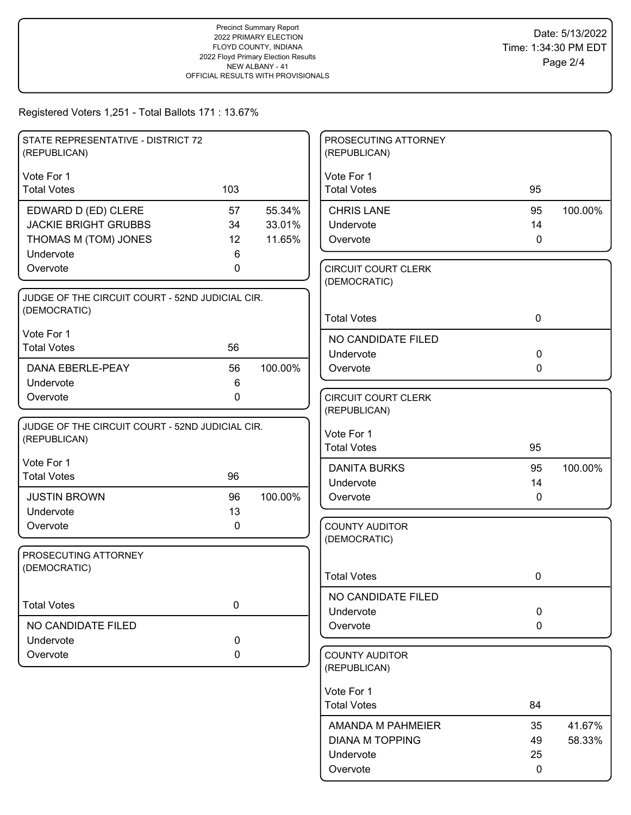| STATE REPRESENTATIVE - DISTRICT 72<br>(REPUBLICAN) |     |         | PROSECUTING ATTORNEY<br>(REPUBLICAN)       |              |         |
|----------------------------------------------------|-----|---------|--------------------------------------------|--------------|---------|
| Vote For 1                                         |     |         | Vote For 1                                 |              |         |
| <b>Total Votes</b>                                 | 103 |         | <b>Total Votes</b>                         | 95           |         |
| EDWARD D (ED) CLERE                                | 57  | 55.34%  | <b>CHRIS LANE</b>                          | 95           | 100.00% |
| <b>JACKIE BRIGHT GRUBBS</b>                        | 34  | 33.01%  | Undervote                                  | 14           |         |
| THOMAS M (TOM) JONES                               | 12  | 11.65%  | Overvote                                   | $\mathbf{0}$ |         |
| Undervote                                          | 6   |         |                                            |              |         |
| Overvote                                           | 0   |         | <b>CIRCUIT COURT CLERK</b><br>(DEMOCRATIC) |              |         |
| JUDGE OF THE CIRCUIT COURT - 52ND JUDICIAL CIR.    |     |         |                                            |              |         |
| (DEMOCRATIC)                                       |     |         | <b>Total Votes</b>                         | $\mathbf 0$  |         |
| Vote For 1                                         |     |         | NO CANDIDATE FILED                         |              |         |
| <b>Total Votes</b>                                 | 56  |         | Undervote                                  | $\mathbf 0$  |         |
| <b>DANA EBERLE-PEAY</b>                            | 56  | 100.00% | Overvote                                   | $\mathbf 0$  |         |
| Undervote                                          | 6   |         |                                            |              |         |
| Overvote                                           | 0   |         | <b>CIRCUIT COURT CLERK</b>                 |              |         |
|                                                    |     |         | (REPUBLICAN)                               |              |         |
| JUDGE OF THE CIRCUIT COURT - 52ND JUDICIAL CIR.    |     |         | Vote For 1                                 |              |         |
| (REPUBLICAN)                                       |     |         | <b>Total Votes</b>                         | 95           |         |
| Vote For 1                                         |     |         | <b>DANITA BURKS</b>                        | 95           | 100.00% |
| <b>Total Votes</b>                                 | 96  |         | Undervote                                  | 14           |         |
| <b>JUSTIN BROWN</b>                                | 96  | 100.00% | Overvote                                   | $\Omega$     |         |
| Undervote                                          | 13  |         |                                            |              |         |
| Overvote                                           | 0   |         | <b>COUNTY AUDITOR</b>                      |              |         |
|                                                    |     |         | (DEMOCRATIC)                               |              |         |
| PROSECUTING ATTORNEY<br>(DEMOCRATIC)               |     |         |                                            |              |         |
|                                                    |     |         | <b>Total Votes</b>                         | 0            |         |
|                                                    |     |         | NO CANDIDATE FILED                         |              |         |
| <b>Total Votes</b>                                 | 0   |         | Undervote                                  | $\pmb{0}$    |         |
| NO CANDIDATE FILED                                 |     |         | Overvote                                   | $\mathbf 0$  |         |
| Undervote                                          | 0   |         |                                            |              |         |
| Overvote                                           | 0   |         | <b>COUNTY AUDITOR</b><br>(REPUBLICAN)      |              |         |
|                                                    |     |         | Vote For 1                                 |              |         |
|                                                    |     |         | <b>Total Votes</b>                         | 84           |         |
|                                                    |     |         | AMANDA M PAHMEIER                          | 35           | 41.67%  |
|                                                    |     |         | <b>DIANA M TOPPING</b>                     | 49           | 58.33%  |
|                                                    |     |         | Undervote                                  | 25           |         |
|                                                    |     |         | Overvote                                   | $\mathbf 0$  |         |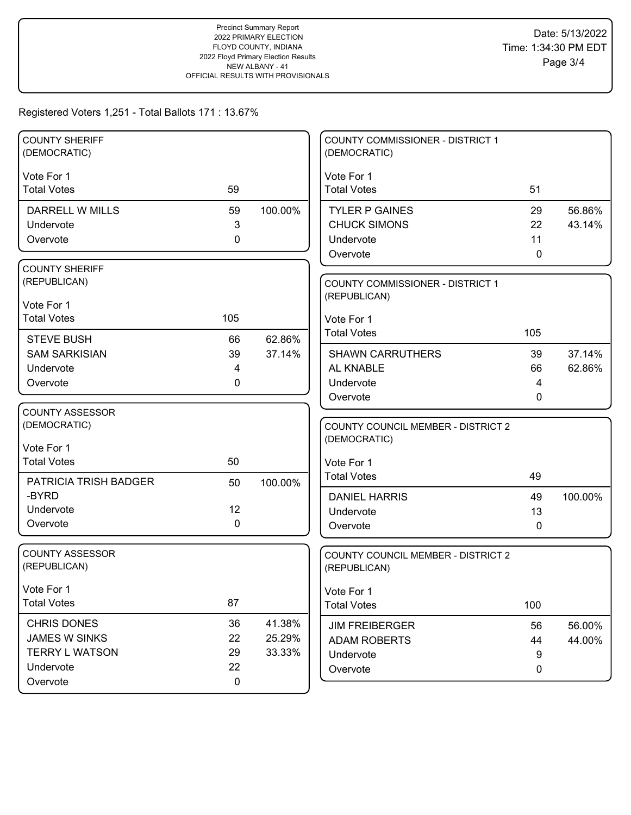| <b>COUNTY SHERIFF</b><br>(DEMOCRATIC) |              |         | COUNTY COMMISSIONER - DISTRICT 1<br>(DEMOCRATIC) |     |         |
|---------------------------------------|--------------|---------|--------------------------------------------------|-----|---------|
| Vote For 1                            |              |         | Vote For 1                                       |     |         |
| <b>Total Votes</b>                    | 59           |         | <b>Total Votes</b>                               | 51  |         |
| <b>DARRELL W MILLS</b>                | 59           | 100.00% | <b>TYLER P GAINES</b>                            | 29  | 56.86%  |
| Undervote                             | $\mathbf{3}$ |         | <b>CHUCK SIMONS</b>                              | 22  | 43.14%  |
| Overvote                              | 0            |         | Undervote                                        | 11  |         |
|                                       |              |         | Overvote                                         | 0   |         |
| <b>COUNTY SHERIFF</b>                 |              |         |                                                  |     |         |
| (REPUBLICAN)                          |              |         | <b>COUNTY COMMISSIONER - DISTRICT 1</b>          |     |         |
| Vote For 1                            |              |         | (REPUBLICAN)                                     |     |         |
| <b>Total Votes</b>                    | 105          |         | Vote For 1                                       |     |         |
| <b>STEVE BUSH</b>                     | 66           | 62.86%  | <b>Total Votes</b>                               | 105 |         |
| <b>SAM SARKISIAN</b>                  | 39           | 37.14%  | <b>SHAWN CARRUTHERS</b>                          | 39  | 37.14%  |
| Undervote                             | 4            |         | AL KNABLE                                        | 66  | 62.86%  |
| Overvote                              | 0            |         | Undervote                                        | 4   |         |
|                                       |              |         | Overvote                                         | 0   |         |
| <b>COUNTY ASSESSOR</b>                |              |         |                                                  |     |         |
| (DEMOCRATIC)                          |              |         | <b>COUNTY COUNCIL MEMBER - DISTRICT 2</b>        |     |         |
| Vote For 1                            |              |         | (DEMOCRATIC)                                     |     |         |
| <b>Total Votes</b>                    | 50           |         | Vote For 1                                       |     |         |
| PATRICIA TRISH BADGER                 | 50           | 100.00% | <b>Total Votes</b>                               | 49  |         |
| -BYRD                                 |              |         | <b>DANIEL HARRIS</b>                             | 49  | 100.00% |
| Undervote                             | 12           |         | Undervote                                        | 13  |         |
| Overvote                              | 0            |         | Overvote                                         | 0   |         |
|                                       |              |         |                                                  |     |         |
| <b>COUNTY ASSESSOR</b>                |              |         | <b>COUNTY COUNCIL MEMBER - DISTRICT 2</b>        |     |         |
| (REPUBLICAN)                          |              |         | (REPUBLICAN)                                     |     |         |
| Vote For 1                            |              |         | Vote For 1                                       |     |         |
| <b>Total Votes</b>                    | 87           |         | <b>Total Votes</b>                               | 100 |         |
| CHRIS DONES                           | 36           | 41.38%  | <b>JIM FREIBERGER</b>                            | 56  | 56.00%  |
| <b>JAMES W SINKS</b>                  | 22           | 25.29%  | <b>ADAM ROBERTS</b>                              | 44  | 44.00%  |
| <b>TERRY L WATSON</b>                 | 29           | 33.33%  | Undervote                                        | 9   |         |
| Undervote                             | 22           |         | Overvote                                         | 0   |         |
| Overvote                              | $\mathbf 0$  |         |                                                  |     |         |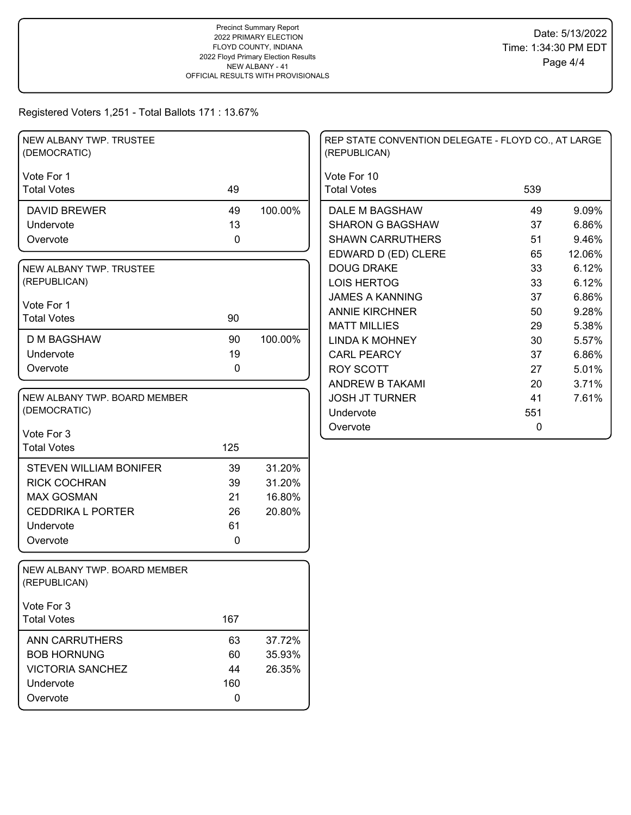| NEW ALBANY TWP. TRUSTEE<br>(DEMOCRATIC)      |           |         | REP STATE CONVENTION DELEGATE - FLOYD CO., AT LARGE<br>(REPUBLICAN) |          |                |
|----------------------------------------------|-----------|---------|---------------------------------------------------------------------|----------|----------------|
| Vote For 1<br><b>Total Votes</b>             | 49        |         | Vote For 10<br><b>Total Votes</b>                                   | 539      |                |
|                                              |           |         |                                                                     |          |                |
| <b>DAVID BREWER</b><br>Undervote             | 49<br>13  | 100.00% | DALE M BAGSHAW<br><b>SHARON G BAGSHAW</b>                           | 49<br>37 | 9.09%<br>6.86% |
| Overvote                                     | 0         |         | <b>SHAWN CARRUTHERS</b>                                             | 51       | 9.46%          |
|                                              |           |         | EDWARD D (ED) CLERE                                                 | 65       | 12.06%         |
| NEW ALBANY TWP. TRUSTEE                      |           |         | <b>DOUG DRAKE</b>                                                   | 33       | 6.12%          |
| (REPUBLICAN)                                 |           |         | <b>LOIS HERTOG</b>                                                  | 33       | 6.12%          |
|                                              |           |         | <b>JAMES A KANNING</b>                                              | 37       | 6.86%          |
| Vote For 1                                   |           |         | <b>ANNIE KIRCHNER</b>                                               | 50       | 9.28%          |
| <b>Total Votes</b>                           | 90        |         | <b>MATT MILLIES</b>                                                 | 29       | 5.38%          |
| <b>D M BAGSHAW</b>                           | 90        | 100.00% | <b>LINDA K MOHNEY</b>                                               | 30       | 5.57%          |
| Undervote                                    | 19        |         | <b>CARL PEARCY</b>                                                  | 37       | 6.86%          |
| Overvote                                     | 0         |         | <b>ROY SCOTT</b>                                                    | 27       | 5.01%          |
|                                              |           |         | ANDREW B TAKAMI                                                     | 20       | 3.71%          |
| NEW ALBANY TWP. BOARD MEMBER                 |           |         | <b>JOSH JT TURNER</b>                                               | 41       | 7.61%          |
| (DEMOCRATIC)                                 |           |         | Undervote                                                           | 551      |                |
|                                              |           |         | Overvote                                                            | 0        |                |
| Vote For 3                                   |           |         |                                                                     |          |                |
| <b>Total Votes</b>                           | 125       |         |                                                                     |          |                |
| <b>STEVEN WILLIAM BONIFER</b>                | 39        | 31.20%  |                                                                     |          |                |
| <b>RICK COCHRAN</b>                          | 39        | 31.20%  |                                                                     |          |                |
| <b>MAX GOSMAN</b>                            | 21        | 16.80%  |                                                                     |          |                |
| <b>CEDDRIKA L PORTER</b>                     | 26        | 20.80%  |                                                                     |          |                |
| Undervote                                    | 61        |         |                                                                     |          |                |
| Overvote                                     | 0         |         |                                                                     |          |                |
|                                              |           |         |                                                                     |          |                |
| NEW ALBANY TWP. BOARD MEMBER<br>(REPUBLICAN) |           |         |                                                                     |          |                |
| Vote For 3                                   |           |         |                                                                     |          |                |
| <b>Total Votes</b>                           | 167       |         |                                                                     |          |                |
| <b>ANN CARRUTHERS</b>                        | 63        | 37.72%  |                                                                     |          |                |
| <b>BOB HORNUNG</b>                           | 60        | 35.93%  |                                                                     |          |                |
| <b>VICTORIA SANCHEZ</b>                      | 44        | 26.35%  |                                                                     |          |                |
| Undervote                                    | 160       |         |                                                                     |          |                |
| Overvote                                     | $\pmb{0}$ |         |                                                                     |          |                |
|                                              |           |         |                                                                     |          |                |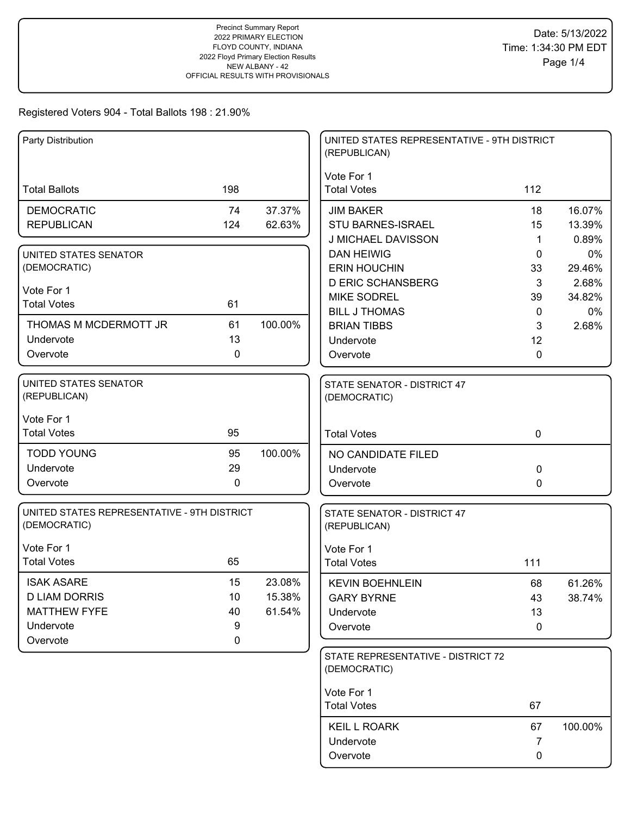| Party Distribution                                          |           |         | UNITED STATES REPRESENTATIVE - 9TH DISTRICT<br>(REPUBLICAN) |                    |             |
|-------------------------------------------------------------|-----------|---------|-------------------------------------------------------------|--------------------|-------------|
| <b>Total Ballots</b>                                        | 198       |         | Vote For 1<br><b>Total Votes</b>                            | 112                |             |
| <b>DEMOCRATIC</b>                                           | 74        | 37.37%  | <b>JIM BAKER</b>                                            | 18                 | 16.07%      |
| <b>REPUBLICAN</b>                                           | 124       | 62.63%  | <b>STU BARNES-ISRAEL</b>                                    | 15                 | 13.39%      |
|                                                             |           |         | J MICHAEL DAVISSON                                          | 1                  | 0.89%       |
| UNITED STATES SENATOR                                       |           |         | <b>DAN HEIWIG</b>                                           | 0                  | $0\%$       |
| (DEMOCRATIC)                                                |           |         | <b>ERIN HOUCHIN</b>                                         | 33                 | 29.46%      |
| Vote For 1                                                  |           |         | <b>D ERIC SCHANSBERG</b>                                    | 3                  | 2.68%       |
| <b>Total Votes</b>                                          | 61        |         | <b>MIKE SODREL</b><br><b>BILL J THOMAS</b>                  | 39<br>$\mathbf{0}$ | 34.82%      |
| THOMAS M MCDERMOTT JR                                       | 61        | 100.00% | <b>BRIAN TIBBS</b>                                          | 3                  | 0%<br>2.68% |
| Undervote                                                   | 13        |         | Undervote                                                   | 12                 |             |
| Overvote                                                    | 0         |         | Overvote                                                    | $\mathbf{0}$       |             |
|                                                             |           |         |                                                             |                    |             |
| UNITED STATES SENATOR<br>(REPUBLICAN)                       |           |         | STATE SENATOR - DISTRICT 47<br>(DEMOCRATIC)                 |                    |             |
| Vote For 1                                                  |           |         |                                                             |                    |             |
| <b>Total Votes</b>                                          | 95        |         | <b>Total Votes</b>                                          | $\mathbf 0$        |             |
| <b>TODD YOUNG</b>                                           | 95        | 100.00% | NO CANDIDATE FILED                                          |                    |             |
| Undervote                                                   | 29        |         | Undervote                                                   | 0                  |             |
| Overvote                                                    | 0         |         | Overvote                                                    | $\mathbf 0$        |             |
| UNITED STATES REPRESENTATIVE - 9TH DISTRICT<br>(DEMOCRATIC) |           |         | STATE SENATOR - DISTRICT 47<br>(REPUBLICAN)                 |                    |             |
|                                                             |           |         |                                                             |                    |             |
| Vote For 1<br><b>Total Votes</b>                            | 65        |         | Vote For 1                                                  | 111                |             |
|                                                             |           |         | <b>Total Votes</b>                                          |                    |             |
| <b>ISAK ASARE</b>                                           | 15        | 23.08%  | <b>KEVIN BOEHNLEIN</b>                                      | 68                 | 61.26%      |
| <b>D LIAM DORRIS</b>                                        | 10        | 15.38%  | <b>GARY BYRNE</b>                                           | 43                 | 38.74%      |
| <b>MATTHEW FYFE</b>                                         | 40        | 61.54%  | Undervote                                                   | 13                 |             |
| Undervote                                                   | 9         |         | Overvote                                                    | 0                  |             |
| Overvote                                                    | $\pmb{0}$ |         |                                                             |                    |             |
|                                                             |           |         | STATE REPRESENTATIVE - DISTRICT 72<br>(DEMOCRATIC)          |                    |             |
|                                                             |           |         | Vote For 1                                                  |                    |             |
|                                                             |           |         | <b>Total Votes</b>                                          | 67                 |             |
|                                                             |           |         | <b>KEIL L ROARK</b>                                         | 67                 | 100.00%     |
|                                                             |           |         | Undervote                                                   | 7                  |             |
|                                                             |           |         | Overvote                                                    | 0                  |             |
|                                                             |           |         |                                                             |                    |             |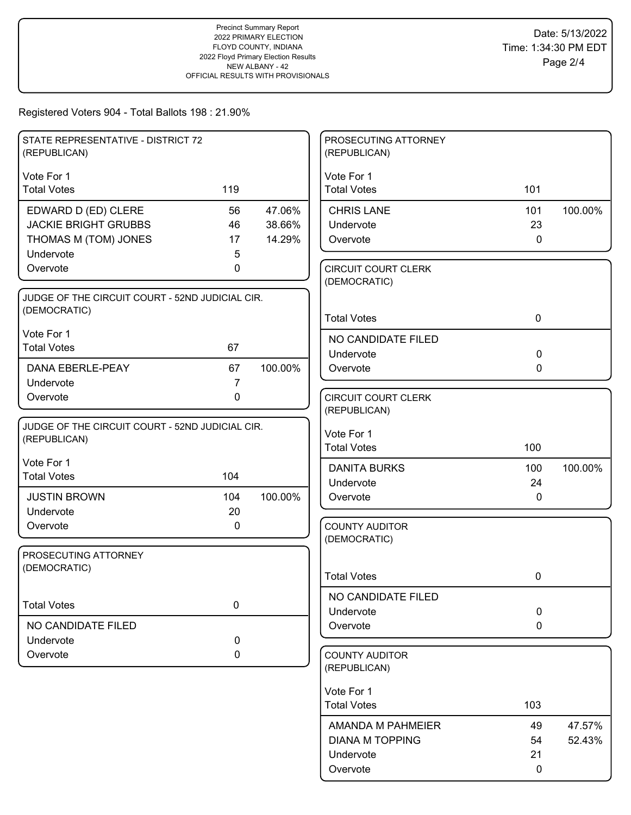| STATE REPRESENTATIVE - DISTRICT 72<br>(REPUBLICAN)              |                |         | PROSECUTING ATTORNEY<br>(REPUBLICAN)       |              |         |
|-----------------------------------------------------------------|----------------|---------|--------------------------------------------|--------------|---------|
| Vote For 1                                                      |                |         | Vote For 1                                 |              |         |
| <b>Total Votes</b>                                              | 119            |         | <b>Total Votes</b>                         | 101          |         |
| EDWARD D (ED) CLERE                                             | 56             | 47.06%  | <b>CHRIS LANE</b>                          | 101          | 100.00% |
| <b>JACKIE BRIGHT GRUBBS</b>                                     | 46             | 38.66%  | Undervote                                  | 23           |         |
| THOMAS M (TOM) JONES                                            | 17             | 14.29%  | Overvote                                   | $\mathbf{0}$ |         |
| Undervote                                                       | 5              |         |                                            |              |         |
| Overvote                                                        | 0              |         | <b>CIRCUIT COURT CLERK</b><br>(DEMOCRATIC) |              |         |
| JUDGE OF THE CIRCUIT COURT - 52ND JUDICIAL CIR.                 |                |         |                                            |              |         |
| (DEMOCRATIC)                                                    |                |         | <b>Total Votes</b>                         | $\mathbf 0$  |         |
| Vote For 1                                                      |                |         | NO CANDIDATE FILED                         |              |         |
| <b>Total Votes</b>                                              | 67             |         | Undervote                                  | $\mathbf 0$  |         |
| <b>DANA EBERLE-PEAY</b>                                         | 67             | 100.00% | Overvote                                   | $\mathbf{0}$ |         |
| Undervote                                                       | $\overline{7}$ |         |                                            |              |         |
| Overvote                                                        | $\mathbf 0$    |         | <b>CIRCUIT COURT CLERK</b>                 |              |         |
|                                                                 |                |         | (REPUBLICAN)                               |              |         |
| JUDGE OF THE CIRCUIT COURT - 52ND JUDICIAL CIR.<br>(REPUBLICAN) |                |         | Vote For 1                                 |              |         |
|                                                                 |                |         | <b>Total Votes</b>                         | 100          |         |
| Vote For 1                                                      |                |         | <b>DANITA BURKS</b>                        | 100          | 100.00% |
| <b>Total Votes</b>                                              | 104            |         | Undervote                                  | 24           |         |
| <b>JUSTIN BROWN</b>                                             | 104            | 100.00% | Overvote                                   | 0            |         |
| Undervote                                                       | 20             |         |                                            |              |         |
| Overvote                                                        | 0              |         | <b>COUNTY AUDITOR</b>                      |              |         |
| PROSECUTING ATTORNEY                                            |                |         | (DEMOCRATIC)                               |              |         |
| (DEMOCRATIC)                                                    |                |         |                                            |              |         |
|                                                                 |                |         | <b>Total Votes</b>                         | 0            |         |
| <b>Total Votes</b>                                              | $\pmb{0}$      |         | NO CANDIDATE FILED                         |              |         |
|                                                                 |                |         | Undervote                                  | $\mathbf 0$  |         |
| NO CANDIDATE FILED                                              |                |         | Overvote                                   | 0            |         |
| Undervote                                                       | 0              |         |                                            |              |         |
| Overvote                                                        | 0              |         | <b>COUNTY AUDITOR</b><br>(REPUBLICAN)      |              |         |
|                                                                 |                |         | Vote For 1                                 |              |         |
|                                                                 |                |         | <b>Total Votes</b>                         | 103          |         |
|                                                                 |                |         | AMANDA M PAHMEIER                          | 49           | 47.57%  |
|                                                                 |                |         | <b>DIANA M TOPPING</b>                     | 54           | 52.43%  |
|                                                                 |                |         | Undervote                                  | 21           |         |
|                                                                 |                |         | Overvote                                   | 0            |         |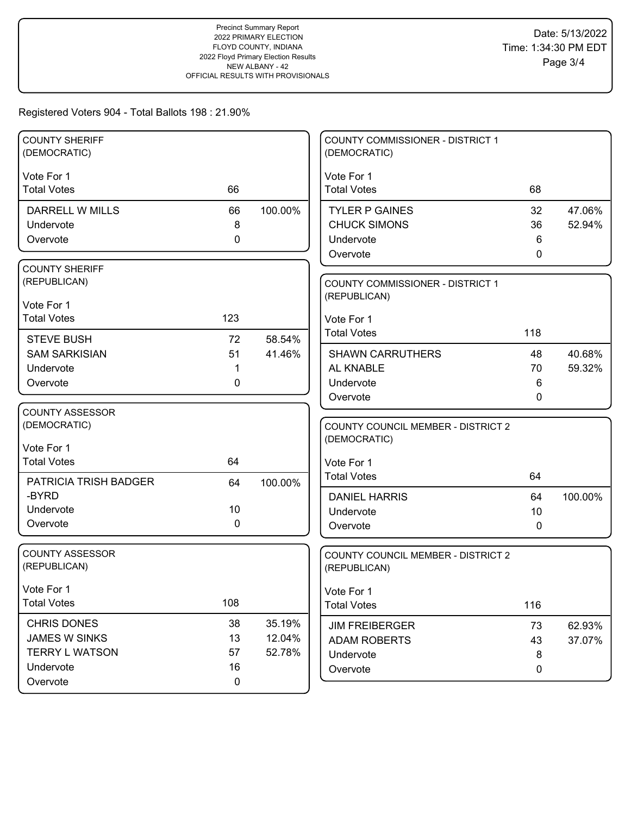| <b>COUNTY SHERIFF</b><br>(DEMOCRATIC) |             |         | <b>COUNTY COMMISSIONER - DISTRICT 1</b><br>(DEMOCRATIC) |          |         |
|---------------------------------------|-------------|---------|---------------------------------------------------------|----------|---------|
| Vote For 1                            |             |         | Vote For 1                                              |          |         |
| <b>Total Votes</b>                    | 66          |         | <b>Total Votes</b>                                      | 68       |         |
| DARRELL W MILLS                       | 66          | 100.00% | <b>TYLER P GAINES</b>                                   | 32       | 47.06%  |
| Undervote                             | 8           |         | <b>CHUCK SIMONS</b>                                     | 36       | 52.94%  |
| Overvote                              | 0           |         | Undervote                                               | 6        |         |
|                                       |             |         | Overvote                                                | 0        |         |
| <b>COUNTY SHERIFF</b>                 |             |         |                                                         |          |         |
| (REPUBLICAN)                          |             |         | <b>COUNTY COMMISSIONER - DISTRICT 1</b>                 |          |         |
| Vote For 1                            |             |         | (REPUBLICAN)                                            |          |         |
| <b>Total Votes</b>                    | 123         |         | Vote For 1                                              |          |         |
| <b>STEVE BUSH</b>                     | 72          | 58.54%  | <b>Total Votes</b>                                      | 118      |         |
| <b>SAM SARKISIAN</b>                  | 51          | 41.46%  | <b>SHAWN CARRUTHERS</b>                                 | 48       | 40.68%  |
| Undervote                             | 1           |         | AL KNABLE                                               | 70       | 59.32%  |
| Overvote                              | 0           |         | Undervote                                               | 6        |         |
|                                       |             |         | Overvote                                                | 0        |         |
| <b>COUNTY ASSESSOR</b>                |             |         |                                                         |          |         |
| (DEMOCRATIC)                          |             |         | <b>COUNTY COUNCIL MEMBER - DISTRICT 2</b>               |          |         |
| Vote For 1                            |             |         | (DEMOCRATIC)                                            |          |         |
| <b>Total Votes</b>                    | 64          |         | Vote For 1                                              |          |         |
|                                       |             |         | <b>Total Votes</b>                                      | 64       |         |
| <b>PATRICIA TRISH BADGER</b><br>-BYRD | 64          | 100.00% |                                                         |          |         |
| Undervote                             | 10          |         | <b>DANIEL HARRIS</b><br>Undervote                       | 64<br>10 | 100.00% |
| Overvote                              | 0           |         | Overvote                                                | 0        |         |
|                                       |             |         |                                                         |          |         |
| <b>COUNTY ASSESSOR</b>                |             |         | COUNTY COUNCIL MEMBER - DISTRICT 2                      |          |         |
| (REPUBLICAN)                          |             |         | (REPUBLICAN)                                            |          |         |
| Vote For 1                            |             |         | Vote For 1                                              |          |         |
| <b>Total Votes</b>                    | 108         |         | <b>Total Votes</b>                                      | 116      |         |
| <b>CHRIS DONES</b>                    | 38          | 35.19%  |                                                         |          |         |
| JAMES W SINKS                         | 13          | 12.04%  | <b>JIM FREIBERGER</b><br>ADAM ROBERTS                   | 73       | 62.93%  |
| <b>TERRY L WATSON</b>                 | 57          | 52.78%  | Undervote                                               | 43<br>8  | 37.07%  |
| Undervote                             | 16          |         | Overvote                                                | 0        |         |
| Overvote                              | $\mathbf 0$ |         |                                                         |          |         |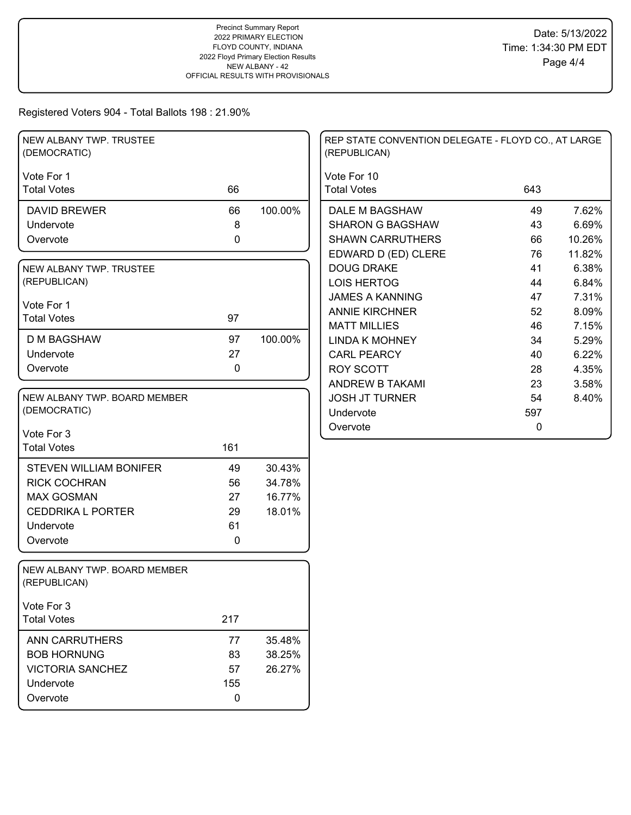| NEW ALBANY TWP. TRUSTEE<br>(DEMOCRATIC)      |             |         | REP STATE CONVENTION DELEGATE - FLOYD CO., AT LARGE<br>(REPUBLICAN) |              |  |
|----------------------------------------------|-------------|---------|---------------------------------------------------------------------|--------------|--|
| Vote For 1                                   |             |         | Vote For 10                                                         |              |  |
| <b>Total Votes</b>                           | 66          |         | <b>Total Votes</b>                                                  | 643          |  |
| <b>DAVID BREWER</b>                          | 66          | 100.00% | DALE M BAGSHAW                                                      | 7.62%<br>49  |  |
| Undervote                                    | 8           |         | <b>SHARON G BAGSHAW</b>                                             | 6.69%<br>43  |  |
| Overvote                                     | 0           |         | <b>SHAWN CARRUTHERS</b>                                             | 66<br>10.26% |  |
|                                              |             |         | EDWARD D (ED) CLERE                                                 | 76<br>11.82% |  |
| NEW ALBANY TWP. TRUSTEE                      |             |         | <b>DOUG DRAKE</b>                                                   | 6.38%<br>41  |  |
| (REPUBLICAN)                                 |             |         | <b>LOIS HERTOG</b>                                                  | 44<br>6.84%  |  |
|                                              |             |         | <b>JAMES A KANNING</b>                                              | 7.31%<br>47  |  |
| Vote For 1<br><b>Total Votes</b>             | 97          |         | <b>ANNIE KIRCHNER</b>                                               | 8.09%<br>52  |  |
|                                              |             |         | <b>MATT MILLIES</b>                                                 | 46<br>7.15%  |  |
| <b>D M BAGSHAW</b>                           | 97          | 100.00% | <b>LINDA K MOHNEY</b>                                               | 5.29%<br>34  |  |
| Undervote                                    | 27          |         | <b>CARL PEARCY</b>                                                  | 6.22%<br>40  |  |
| Overvote                                     | $\mathbf 0$ |         | <b>ROY SCOTT</b>                                                    | 28<br>4.35%  |  |
|                                              |             |         | ANDREW B TAKAMI                                                     | 23<br>3.58%  |  |
| NEW ALBANY TWP. BOARD MEMBER                 |             |         | <b>JOSH JT TURNER</b>                                               | 54<br>8.40%  |  |
| (DEMOCRATIC)                                 |             |         | Undervote                                                           | 597          |  |
|                                              |             |         | Overvote                                                            | 0            |  |
| Vote For 3<br><b>Total Votes</b>             | 161         |         |                                                                     |              |  |
|                                              |             |         |                                                                     |              |  |
| <b>STEVEN WILLIAM BONIFER</b>                | 49          | 30.43%  |                                                                     |              |  |
| <b>RICK COCHRAN</b>                          | 56          | 34.78%  |                                                                     |              |  |
| <b>MAX GOSMAN</b>                            | 27          | 16.77%  |                                                                     |              |  |
| <b>CEDDRIKA L PORTER</b>                     | 29          | 18.01%  |                                                                     |              |  |
| Undervote                                    | 61          |         |                                                                     |              |  |
| Overvote                                     | $\pmb{0}$   |         |                                                                     |              |  |
|                                              |             |         |                                                                     |              |  |
| NEW ALBANY TWP. BOARD MEMBER<br>(REPUBLICAN) |             |         |                                                                     |              |  |
| Vote For 3                                   |             |         |                                                                     |              |  |
| <b>Total Votes</b>                           | 217         |         |                                                                     |              |  |
| <b>ANN CARRUTHERS</b>                        | 77          | 35.48%  |                                                                     |              |  |
| <b>BOB HORNUNG</b>                           | 83          | 38.25%  |                                                                     |              |  |
| <b>VICTORIA SANCHEZ</b>                      | 57          | 26.27%  |                                                                     |              |  |
| Undervote                                    | 155         |         |                                                                     |              |  |
| Overvote                                     | $\mathbf 0$ |         |                                                                     |              |  |
|                                              |             |         |                                                                     |              |  |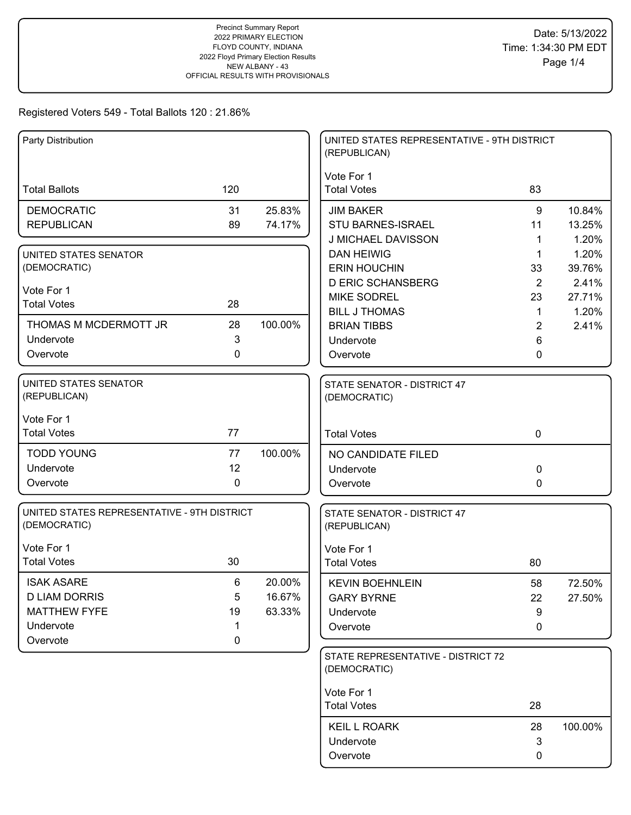| Party Distribution                                          |             |         | UNITED STATES REPRESENTATIVE - 9TH DISTRICT<br>(REPUBLICAN) |              |                 |
|-------------------------------------------------------------|-------------|---------|-------------------------------------------------------------|--------------|-----------------|
|                                                             |             |         | Vote For 1                                                  |              |                 |
| <b>Total Ballots</b>                                        | 120         |         | <b>Total Votes</b>                                          | 83           |                 |
| <b>DEMOCRATIC</b>                                           | 31          | 25.83%  | <b>JIM BAKER</b>                                            | 9            | 10.84%          |
| <b>REPUBLICAN</b>                                           | 89          | 74.17%  | STU BARNES-ISRAEL                                           | 11           | 13.25%          |
|                                                             |             |         | J MICHAEL DAVISSON                                          | 1            | 1.20%           |
| UNITED STATES SENATOR                                       |             |         | <b>DAN HEIWIG</b>                                           | 1            | 1.20%           |
| (DEMOCRATIC)                                                |             |         | <b>ERIN HOUCHIN</b><br><b>D ERIC SCHANSBERG</b>             | 33<br>2      | 39.76%<br>2.41% |
| Vote For 1                                                  |             |         | <b>MIKE SODREL</b>                                          | 23           | 27.71%          |
| <b>Total Votes</b>                                          | 28          |         | <b>BILL J THOMAS</b>                                        | $\mathbf{1}$ | 1.20%           |
| THOMAS M MCDERMOTT JR                                       | 28          | 100.00% | <b>BRIAN TIBBS</b>                                          | 2            | 2.41%           |
| Undervote                                                   | 3           |         | Undervote                                                   | 6            |                 |
| Overvote                                                    | 0           |         | Overvote                                                    | 0            |                 |
| UNITED STATES SENATOR<br>(REPUBLICAN)                       |             |         | STATE SENATOR - DISTRICT 47<br>(DEMOCRATIC)                 |              |                 |
| Vote For 1                                                  |             |         |                                                             |              |                 |
| <b>Total Votes</b>                                          | 77          |         | <b>Total Votes</b>                                          | $\mathbf 0$  |                 |
| <b>TODD YOUNG</b>                                           | 77          | 100.00% | NO CANDIDATE FILED                                          |              |                 |
| Undervote                                                   | 12          |         | Undervote                                                   | 0            |                 |
| Overvote                                                    | 0           |         | Overvote                                                    | $\Omega$     |                 |
| UNITED STATES REPRESENTATIVE - 9TH DISTRICT<br>(DEMOCRATIC) |             |         | STATE SENATOR - DISTRICT 47<br>(REPUBLICAN)                 |              |                 |
| Vote For 1                                                  |             |         | Vote For 1                                                  |              |                 |
| <b>Total Votes</b>                                          | 30          |         | <b>Total Votes</b>                                          | 80           |                 |
| <b>ISAK ASARE</b>                                           | 6           | 20.00%  | <b>KEVIN BOEHNLEIN</b>                                      | 58           | 72.50%          |
| <b>D LIAM DORRIS</b>                                        | 5           | 16.67%  | <b>GARY BYRNE</b>                                           | 22           | 27.50%          |
| <b>MATTHEW FYFE</b>                                         | 19          | 63.33%  | Undervote                                                   | 9            |                 |
| Undervote                                                   | 1           |         | Overvote                                                    | 0            |                 |
| Overvote                                                    | $\mathbf 0$ |         |                                                             |              |                 |
|                                                             |             |         | STATE REPRESENTATIVE - DISTRICT 72<br>(DEMOCRATIC)          |              |                 |
|                                                             |             |         | Vote For 1                                                  |              |                 |
|                                                             |             |         | <b>Total Votes</b>                                          | 28           |                 |
|                                                             |             |         | <b>KEIL L ROARK</b>                                         | 28           | 100.00%         |
|                                                             |             |         | Undervote                                                   | 3            |                 |
|                                                             |             |         | Overvote                                                    | 0            |                 |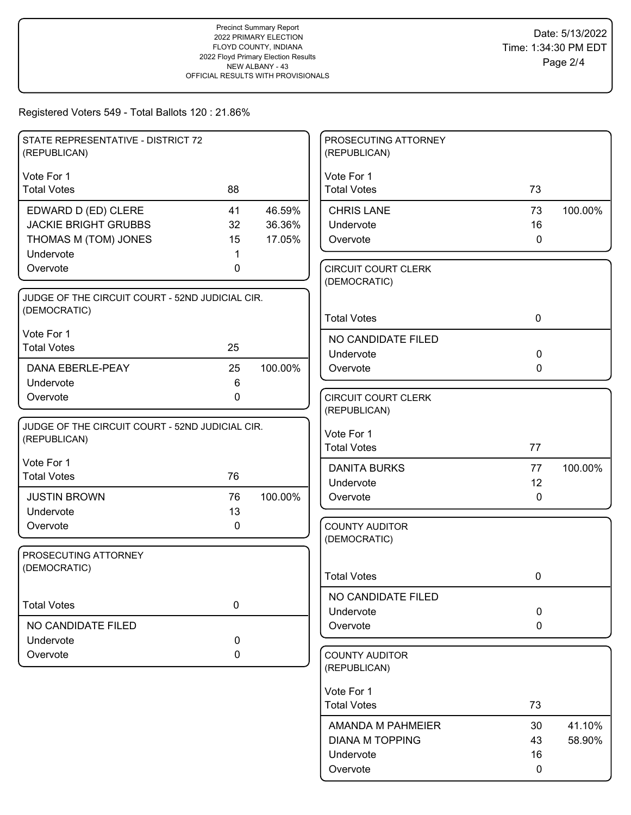| STATE REPRESENTATIVE - DISTRICT 72<br>(REPUBLICAN)              |           |         | PROSECUTING ATTORNEY<br>(REPUBLICAN)       |              |         |
|-----------------------------------------------------------------|-----------|---------|--------------------------------------------|--------------|---------|
| Vote For 1                                                      |           |         | Vote For 1                                 |              |         |
| <b>Total Votes</b>                                              | 88        |         | <b>Total Votes</b>                         | 73           |         |
| EDWARD D (ED) CLERE                                             | 41        | 46.59%  | <b>CHRIS LANE</b>                          | 73           | 100.00% |
| <b>JACKIE BRIGHT GRUBBS</b>                                     | 32        | 36.36%  | Undervote                                  | 16           |         |
| THOMAS M (TOM) JONES                                            | 15        | 17.05%  | Overvote                                   | $\mathbf{0}$ |         |
| Undervote                                                       |           |         |                                            |              |         |
| Overvote                                                        | 0         |         | <b>CIRCUIT COURT CLERK</b><br>(DEMOCRATIC) |              |         |
| JUDGE OF THE CIRCUIT COURT - 52ND JUDICIAL CIR.                 |           |         |                                            |              |         |
| (DEMOCRATIC)                                                    |           |         | <b>Total Votes</b>                         | $\mathbf 0$  |         |
| Vote For 1                                                      |           |         | NO CANDIDATE FILED                         |              |         |
| <b>Total Votes</b>                                              | 25        |         | Undervote                                  | 0            |         |
| DANA EBERLE-PEAY                                                | 25        | 100.00% | Overvote                                   | 0            |         |
| Undervote                                                       | 6         |         |                                            |              |         |
| Overvote                                                        | 0         |         | <b>CIRCUIT COURT CLERK</b>                 |              |         |
|                                                                 |           |         | (REPUBLICAN)                               |              |         |
| JUDGE OF THE CIRCUIT COURT - 52ND JUDICIAL CIR.<br>(REPUBLICAN) |           |         | Vote For 1                                 |              |         |
|                                                                 |           |         | <b>Total Votes</b>                         | 77           |         |
| Vote For 1                                                      |           |         | <b>DANITA BURKS</b>                        | 77           | 100.00% |
| <b>Total Votes</b>                                              | 76        |         | Undervote                                  | 12           |         |
| <b>JUSTIN BROWN</b>                                             | 76        | 100.00% | Overvote                                   | $\mathbf{0}$ |         |
| Undervote                                                       | 13        |         |                                            |              |         |
| Overvote                                                        | 0         |         | <b>COUNTY AUDITOR</b><br>(DEMOCRATIC)      |              |         |
| PROSECUTING ATTORNEY                                            |           |         |                                            |              |         |
| (DEMOCRATIC)                                                    |           |         |                                            |              |         |
|                                                                 |           |         | <b>Total Votes</b>                         | 0            |         |
| <b>Total Votes</b>                                              | $\pmb{0}$ |         | NO CANDIDATE FILED                         |              |         |
|                                                                 |           |         | Undervote                                  | 0            |         |
| NO CANDIDATE FILED                                              |           |         | Overvote                                   | 0            |         |
| Undervote<br>Overvote                                           | 0<br>0    |         | <b>COUNTY AUDITOR</b>                      |              |         |
|                                                                 |           |         | (REPUBLICAN)                               |              |         |
|                                                                 |           |         | Vote For 1                                 |              |         |
|                                                                 |           |         | <b>Total Votes</b>                         | 73           |         |
|                                                                 |           |         | AMANDA M PAHMEIER                          | 30           | 41.10%  |
|                                                                 |           |         | <b>DIANA M TOPPING</b>                     | 43           | 58.90%  |
|                                                                 |           |         | Undervote                                  | 16           |         |
|                                                                 |           |         | Overvote                                   | 0            |         |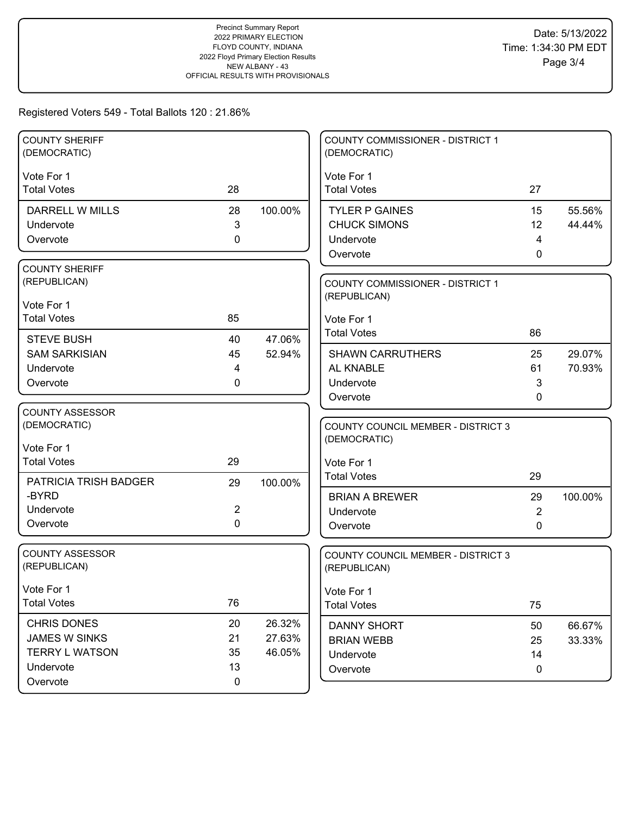| <b>COUNTY SHERIFF</b><br>(DEMOCRATIC) |                |         | COUNTY COMMISSIONER - DISTRICT 1<br>(DEMOCRATIC)          |                |         |
|---------------------------------------|----------------|---------|-----------------------------------------------------------|----------------|---------|
| Vote For 1                            |                |         | Vote For 1                                                |                |         |
| <b>Total Votes</b>                    | 28             |         | <b>Total Votes</b>                                        | 27             |         |
| DARRELL W MILLS                       | 28             | 100.00% | <b>TYLER P GAINES</b>                                     | 15             | 55.56%  |
| Undervote                             | $\mathbf{3}$   |         | <b>CHUCK SIMONS</b>                                       | 12             | 44.44%  |
| Overvote                              | $\mathbf 0$    |         | Undervote                                                 | $\overline{4}$ |         |
|                                       |                |         | Overvote                                                  | $\mathbf{0}$   |         |
| <b>COUNTY SHERIFF</b><br>(REPUBLICAN) |                |         |                                                           |                |         |
|                                       |                |         | <b>COUNTY COMMISSIONER - DISTRICT 1</b><br>(REPUBLICAN)   |                |         |
| Vote For 1                            |                |         |                                                           |                |         |
| <b>Total Votes</b>                    | 85             |         | Vote For 1                                                |                |         |
| <b>STEVE BUSH</b>                     | 40             | 47.06%  | <b>Total Votes</b>                                        | 86             |         |
| <b>SAM SARKISIAN</b>                  | 45             | 52.94%  | <b>SHAWN CARRUTHERS</b>                                   | 25             | 29.07%  |
| Undervote                             | 4              |         | AL KNABLE                                                 | 61             | 70.93%  |
| Overvote                              | 0              |         | Undervote                                                 | 3              |         |
|                                       |                |         | Overvote                                                  | 0              |         |
| <b>COUNTY ASSESSOR</b>                |                |         |                                                           |                |         |
| (DEMOCRATIC)                          |                |         | <b>COUNTY COUNCIL MEMBER - DISTRICT 3</b><br>(DEMOCRATIC) |                |         |
| Vote For 1                            |                |         |                                                           |                |         |
| <b>Total Votes</b>                    | 29             |         | Vote For 1                                                |                |         |
| PATRICIA TRISH BADGER                 | 29             | 100.00% | <b>Total Votes</b>                                        | 29             |         |
| -BYRD                                 |                |         | <b>BRIAN A BREWER</b>                                     | 29             | 100.00% |
| Undervote                             | $\overline{2}$ |         | Undervote                                                 | $\overline{2}$ |         |
| Overvote                              | $\mathbf 0$    |         | Overvote                                                  | 0              |         |
| <b>COUNTY ASSESSOR</b>                |                |         |                                                           |                |         |
| (REPUBLICAN)                          |                |         | COUNTY COUNCIL MEMBER - DISTRICT 3<br>(REPUBLICAN)        |                |         |
| Vote For 1                            |                |         | Vote For 1                                                |                |         |
| <b>Total Votes</b>                    | 76             |         | <b>Total Votes</b>                                        | 75             |         |
| <b>CHRIS DONES</b>                    | 20             | 26.32%  | <b>DANNY SHORT</b>                                        | 50             | 66.67%  |
| JAMES W SINKS                         | 21             | 27.63%  | <b>BRIAN WEBB</b>                                         | 25             | 33.33%  |
| <b>TERRY L WATSON</b>                 | 35             | 46.05%  | Undervote                                                 | 14             |         |
| Undervote                             | 13             |         | Overvote                                                  | 0              |         |
| Overvote                              | $\mathbf 0$    |         |                                                           |                |         |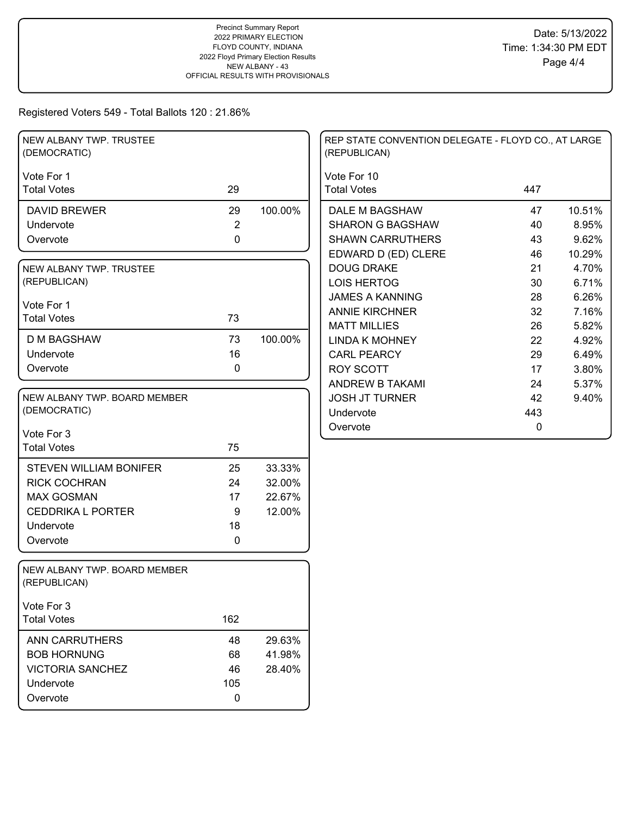| NEW ALBANY TWP. TRUSTEE<br>(DEMOCRATIC)      |                    |         | REP STATE CONVENTION DELEGATE - FLOYD CO., AT LARGE<br>(REPUBLICAN) |     |        |
|----------------------------------------------|--------------------|---------|---------------------------------------------------------------------|-----|--------|
| Vote For 1                                   |                    |         | Vote For 10                                                         |     |        |
| <b>Total Votes</b>                           | 29                 |         | <b>Total Votes</b>                                                  | 447 |        |
| <b>DAVID BREWER</b>                          | 29                 | 100.00% | DALE M BAGSHAW                                                      | 47  | 10.51% |
| Undervote                                    | $\overline{2}$     |         | <b>SHARON G BAGSHAW</b>                                             | 40  | 8.95%  |
| Overvote                                     | $\mathbf 0$        |         | <b>SHAWN CARRUTHERS</b>                                             | 43  | 9.62%  |
|                                              |                    |         | EDWARD D (ED) CLERE                                                 | 46  | 10.29% |
| NEW ALBANY TWP. TRUSTEE                      |                    |         | <b>DOUG DRAKE</b>                                                   | 21  | 4.70%  |
| (REPUBLICAN)                                 |                    |         | <b>LOIS HERTOG</b>                                                  | 30  | 6.71%  |
| Vote For 1                                   |                    |         | <b>JAMES A KANNING</b>                                              | 28  | 6.26%  |
| <b>Total Votes</b>                           | 73                 |         | <b>ANNIE KIRCHNER</b>                                               | 32  | 7.16%  |
|                                              |                    |         | <b>MATT MILLIES</b>                                                 | 26  | 5.82%  |
| <b>D M BAGSHAW</b>                           | 73                 | 100.00% | <b>LINDA K MOHNEY</b>                                               | 22  | 4.92%  |
| Undervote                                    | 16                 |         | <b>CARL PEARCY</b>                                                  | 29  | 6.49%  |
| Overvote                                     | $\mathbf 0$        |         | <b>ROY SCOTT</b>                                                    | 17  | 3.80%  |
|                                              |                    |         | <b>ANDREW B TAKAMI</b>                                              | 24  | 5.37%  |
| NEW ALBANY TWP. BOARD MEMBER                 |                    |         | <b>JOSH JT TURNER</b>                                               | 42  | 9.40%  |
| (DEMOCRATIC)                                 |                    |         | Undervote                                                           | 443 |        |
| Vote For 3                                   |                    |         | Overvote                                                            | 0   |        |
| <b>Total Votes</b>                           | 75                 |         |                                                                     |     |        |
|                                              |                    |         |                                                                     |     |        |
| <b>STEVEN WILLIAM BONIFER</b>                | 25                 | 33.33%  |                                                                     |     |        |
| <b>RICK COCHRAN</b><br><b>MAX GOSMAN</b>     | 24<br>17           | 32.00%  |                                                                     |     |        |
| <b>CEDDRIKA L PORTER</b>                     | $9\,$              | 22.67%  |                                                                     |     |        |
| Undervote                                    |                    | 12.00%  |                                                                     |     |        |
|                                              | 18<br>$\mathbf{0}$ |         |                                                                     |     |        |
| Overvote                                     |                    |         |                                                                     |     |        |
| NEW ALBANY TWP. BOARD MEMBER<br>(REPUBLICAN) |                    |         |                                                                     |     |        |
| Vote For 3                                   |                    |         |                                                                     |     |        |
| <b>Total Votes</b>                           | 162                |         |                                                                     |     |        |
| <b>ANN CARRUTHERS</b>                        | 48                 | 29.63%  |                                                                     |     |        |
| <b>BOB HORNUNG</b>                           | 68                 | 41.98%  |                                                                     |     |        |
| <b>VICTORIA SANCHEZ</b>                      | 46                 | 28.40%  |                                                                     |     |        |
| Undervote                                    | 105                |         |                                                                     |     |        |
| Overvote                                     | 0                  |         |                                                                     |     |        |
|                                              |                    |         |                                                                     |     |        |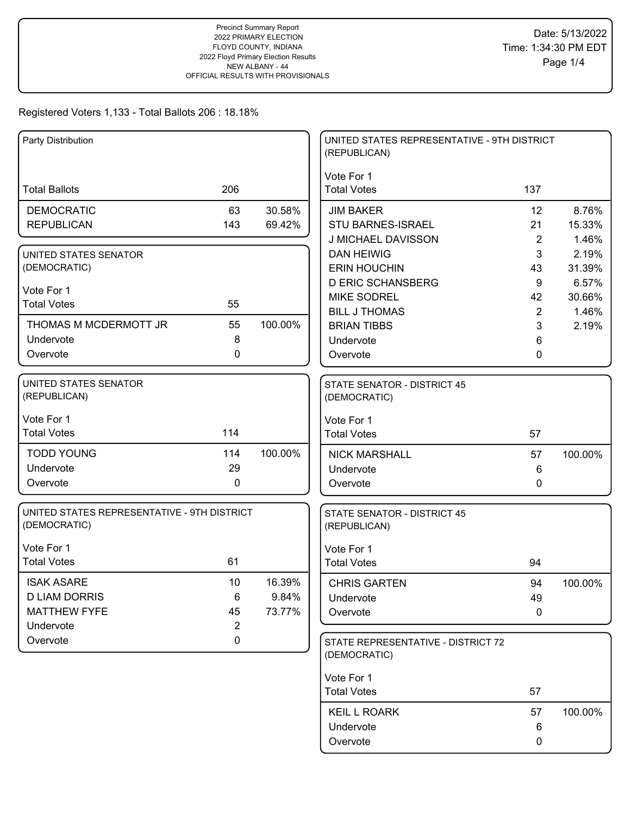| Party Distribution                          |                |         | UNITED STATES REPRESENTATIVE - 9TH DISTRICT<br>(REPUBLICAN) |                |         |
|---------------------------------------------|----------------|---------|-------------------------------------------------------------|----------------|---------|
|                                             |                |         | Vote For 1                                                  |                |         |
| <b>Total Ballots</b>                        | 206            |         | <b>Total Votes</b>                                          | 137            |         |
| <b>DEMOCRATIC</b>                           | 63             | 30.58%  | <b>JIM BAKER</b>                                            | 12             | 8.76%   |
| <b>REPUBLICAN</b>                           | 143            | 69.42%  | <b>STU BARNES-ISRAEL</b>                                    | 21             | 15.33%  |
|                                             |                |         | J MICHAEL DAVISSON                                          | $\overline{2}$ | 1.46%   |
| UNITED STATES SENATOR                       |                |         | <b>DAN HEIWIG</b>                                           | 3              | 2.19%   |
| (DEMOCRATIC)                                |                |         | <b>ERIN HOUCHIN</b>                                         | 43             | 31.39%  |
| Vote For 1                                  |                |         | <b>D ERIC SCHANSBERG</b>                                    | 9              | 6.57%   |
| <b>Total Votes</b>                          | 55             |         | <b>MIKE SODREL</b>                                          | 42             | 30.66%  |
|                                             |                |         | <b>BILL J THOMAS</b>                                        | 2              | 1.46%   |
| THOMAS M MCDERMOTT JR<br>Undervote          | 55<br>8        | 100.00% | <b>BRIAN TIBBS</b>                                          | 3              | 2.19%   |
| Overvote                                    | $\mathbf{0}$   |         | Undervote                                                   | 6              |         |
|                                             |                |         | Overvote                                                    | 0              |         |
| <b>UNITED STATES SENATOR</b>                |                |         | STATE SENATOR - DISTRICT 45                                 |                |         |
| (REPUBLICAN)                                |                |         | (DEMOCRATIC)                                                |                |         |
|                                             |                |         |                                                             |                |         |
| Vote For 1<br><b>Total Votes</b>            | 114            |         | Vote For 1<br><b>Total Votes</b>                            | 57             |         |
|                                             |                |         |                                                             |                |         |
| <b>TODD YOUNG</b>                           | 114            | 100.00% | <b>NICK MARSHALL</b>                                        | 57             | 100.00% |
| Undervote                                   | 29             |         | Undervote                                                   | 6              |         |
| Overvote                                    | $\mathbf 0$    |         | Overvote                                                    | 0              |         |
| UNITED STATES REPRESENTATIVE - 9TH DISTRICT |                |         | <b>STATE SENATOR - DISTRICT 45</b>                          |                |         |
| (DEMOCRATIC)                                |                |         | (REPUBLICAN)                                                |                |         |
|                                             |                |         |                                                             |                |         |
| Vote For 1                                  |                |         | Vote For 1                                                  |                |         |
| <b>Total Votes</b>                          | 61             |         | <b>Total Votes</b>                                          | 94             |         |
| <b>ISAK ASARE</b>                           | 10             | 16.39%  | <b>CHRIS GARTEN</b>                                         | 94             | 100.00% |
| <b>D LIAM DORRIS</b>                        | 6              | 9.84%   | Undervote                                                   | 49             |         |
| <b>MATTHEW FYFE</b>                         | 45             | 73.77%  | Overvote                                                    | 0              |         |
| Undervote                                   | $\overline{2}$ |         |                                                             |                |         |
| Overvote                                    | $\mathbf 0$    |         | STATE REPRESENTATIVE - DISTRICT 72                          |                |         |
|                                             |                |         | (DEMOCRATIC)                                                |                |         |
|                                             |                |         | Vote For 1                                                  |                |         |
|                                             |                |         | <b>Total Votes</b>                                          | 57             |         |
|                                             |                |         | <b>KEIL L ROARK</b>                                         | 57             | 100.00% |
|                                             |                |         | Undervote                                                   | 6              |         |
|                                             |                |         | Overvote                                                    | 0              |         |
|                                             |                |         |                                                             |                |         |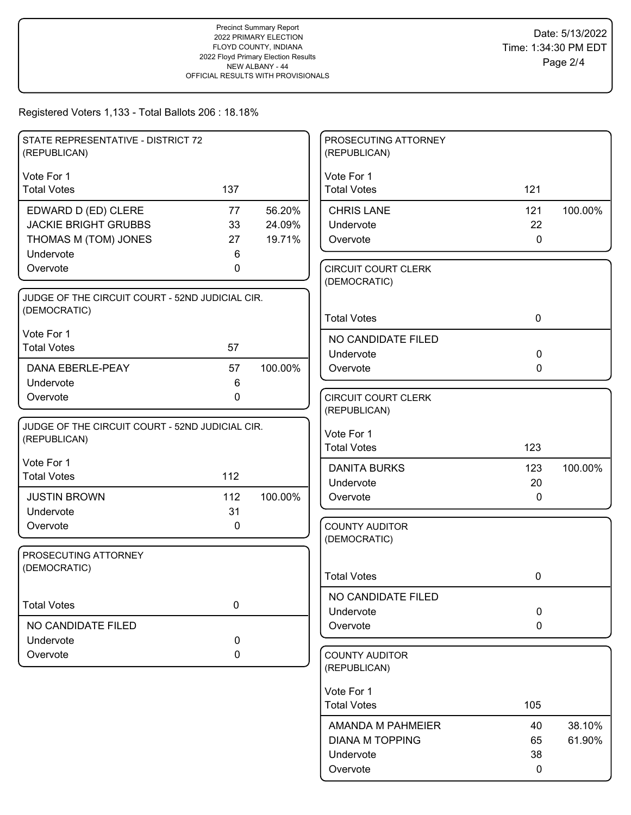| STATE REPRESENTATIVE - DISTRICT 72<br>(REPUBLICAN) |             |         | PROSECUTING ATTORNEY<br>(REPUBLICAN)       |              |         |
|----------------------------------------------------|-------------|---------|--------------------------------------------|--------------|---------|
| Vote For 1                                         |             |         | Vote For 1                                 |              |         |
| <b>Total Votes</b>                                 | 137         |         | <b>Total Votes</b>                         | 121          |         |
| EDWARD D (ED) CLERE                                | 77          | 56.20%  | <b>CHRIS LANE</b>                          | 121          | 100.00% |
| <b>JACKIE BRIGHT GRUBBS</b>                        | 33          | 24.09%  | Undervote                                  | 22           |         |
| THOMAS M (TOM) JONES                               | 27          | 19.71%  | Overvote                                   | $\mathbf 0$  |         |
| Undervote                                          | 6           |         |                                            |              |         |
| Overvote                                           | 0           |         | <b>CIRCUIT COURT CLERK</b><br>(DEMOCRATIC) |              |         |
| JUDGE OF THE CIRCUIT COURT - 52ND JUDICIAL CIR.    |             |         |                                            |              |         |
| (DEMOCRATIC)                                       |             |         | <b>Total Votes</b>                         | $\mathbf 0$  |         |
| Vote For 1                                         |             |         | NO CANDIDATE FILED                         |              |         |
| <b>Total Votes</b>                                 | 57          |         | Undervote                                  | $\mathbf 0$  |         |
| <b>DANA EBERLE-PEAY</b>                            | 57          | 100.00% | Overvote                                   | $\mathbf{0}$ |         |
| Undervote                                          | 6           |         |                                            |              |         |
| Overvote                                           | $\mathbf 0$ |         | <b>CIRCUIT COURT CLERK</b>                 |              |         |
|                                                    |             |         | (REPUBLICAN)                               |              |         |
| JUDGE OF THE CIRCUIT COURT - 52ND JUDICIAL CIR.    |             |         | Vote For 1                                 |              |         |
| (REPUBLICAN)                                       |             |         | <b>Total Votes</b>                         | 123          |         |
| Vote For 1                                         |             |         |                                            |              |         |
| <b>Total Votes</b>                                 | 112         |         | <b>DANITA BURKS</b><br>Undervote           | 123<br>20    | 100.00% |
| <b>JUSTIN BROWN</b>                                | 112         | 100.00% | Overvote                                   | $\mathbf{0}$ |         |
| Undervote                                          | 31          |         |                                            |              |         |
| Overvote                                           | 0           |         | <b>COUNTY AUDITOR</b>                      |              |         |
|                                                    |             |         | (DEMOCRATIC)                               |              |         |
| PROSECUTING ATTORNEY                               |             |         |                                            |              |         |
| (DEMOCRATIC)                                       |             |         | <b>Total Votes</b>                         | 0            |         |
|                                                    |             |         |                                            |              |         |
| <b>Total Votes</b>                                 | $\mathbf 0$ |         | NO CANDIDATE FILED<br>Undervote            | 0            |         |
| NO CANDIDATE FILED                                 |             |         | Overvote                                   | $\mathbf 0$  |         |
| Undervote                                          | 0           |         |                                            |              |         |
| Overvote                                           | 0           |         | <b>COUNTY AUDITOR</b>                      |              |         |
|                                                    |             |         | (REPUBLICAN)                               |              |         |
|                                                    |             |         | Vote For 1                                 |              |         |
|                                                    |             |         | <b>Total Votes</b>                         | 105          |         |
|                                                    |             |         | AMANDA M PAHMEIER                          | 40           | 38.10%  |
|                                                    |             |         | <b>DIANA M TOPPING</b>                     | 65           | 61.90%  |
|                                                    |             |         | Undervote                                  | 38           |         |
|                                                    |             |         | Overvote                                   | 0            |         |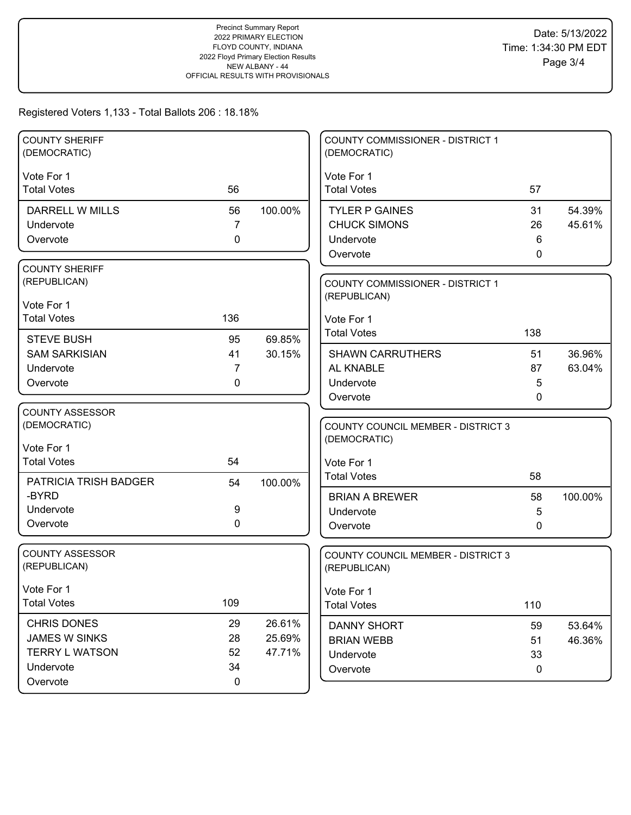| <b>COUNTY SHERIFF</b><br>(DEMOCRATIC) |                   |         | COUNTY COMMISSIONER - DISTRICT 1<br>(DEMOCRATIC)        |              |                  |
|---------------------------------------|-------------------|---------|---------------------------------------------------------|--------------|------------------|
| Vote For 1                            |                   |         | Vote For 1                                              |              |                  |
| <b>Total Votes</b>                    | 56                |         | <b>Total Votes</b>                                      | 57           |                  |
| DARRELL W MILLS                       | 56                | 100.00% | <b>TYLER P GAINES</b>                                   | 31           | 54.39%           |
| Undervote                             | $\overline{7}$    |         | <b>CHUCK SIMONS</b>                                     | 26           | 45.61%           |
| Overvote                              | 0                 |         | Undervote                                               | 6            |                  |
|                                       |                   |         | Overvote                                                | $\mathbf{0}$ |                  |
| <b>COUNTY SHERIFF</b><br>(REPUBLICAN) |                   |         |                                                         |              |                  |
|                                       |                   |         | <b>COUNTY COMMISSIONER - DISTRICT 1</b><br>(REPUBLICAN) |              |                  |
| Vote For 1                            |                   |         |                                                         |              |                  |
| <b>Total Votes</b>                    | 136               |         | Vote For 1                                              |              |                  |
| <b>STEVE BUSH</b>                     | 95                | 69.85%  | <b>Total Votes</b>                                      | 138          |                  |
| <b>SAM SARKISIAN</b>                  | 41                | 30.15%  | <b>SHAWN CARRUTHERS</b>                                 | 51           | 36.96%           |
| Undervote                             | 7                 |         | AL KNABLE                                               | 87           | 63.04%           |
| Overvote                              | 0                 |         | Undervote                                               | 5            |                  |
|                                       |                   |         | Overvote                                                | 0            |                  |
| <b>COUNTY ASSESSOR</b>                |                   |         |                                                         |              |                  |
|                                       |                   |         |                                                         |              |                  |
| (DEMOCRATIC)                          |                   |         | <b>COUNTY COUNCIL MEMBER - DISTRICT 3</b>               |              |                  |
| Vote For 1                            |                   |         | (DEMOCRATIC)                                            |              |                  |
| <b>Total Votes</b>                    | 54                |         | Vote For 1                                              |              |                  |
| PATRICIA TRISH BADGER                 | 54                | 100.00% | <b>Total Votes</b>                                      | 58           |                  |
| -BYRD                                 |                   |         | <b>BRIAN A BREWER</b>                                   | 58           | 100.00%          |
| Undervote                             | 9                 |         | Undervote                                               | 5            |                  |
| Overvote                              | 0                 |         | Overvote                                                | $\mathbf{0}$ |                  |
|                                       |                   |         |                                                         |              |                  |
| <b>COUNTY ASSESSOR</b>                |                   |         | <b>COUNTY COUNCIL MEMBER - DISTRICT 3</b>               |              |                  |
| (REPUBLICAN)                          |                   |         | (REPUBLICAN)                                            |              |                  |
| Vote For 1                            |                   |         | Vote For 1                                              |              |                  |
| <b>Total Votes</b>                    | 109               |         | <b>Total Votes</b>                                      | 110          |                  |
| <b>CHRIS DONES</b>                    | 29                | 26.61%  | <b>DANNY SHORT</b>                                      | 59           |                  |
| <b>JAMES W SINKS</b>                  | 28                | 25.69%  | <b>BRIAN WEBB</b>                                       | 51           | 53.64%<br>46.36% |
| <b>TERRY L WATSON</b>                 | 52                | 47.71%  | Undervote                                               | 33           |                  |
| Undervote<br>Overvote                 | 34<br>$\mathbf 0$ |         | Overvote                                                | $\mathbf 0$  |                  |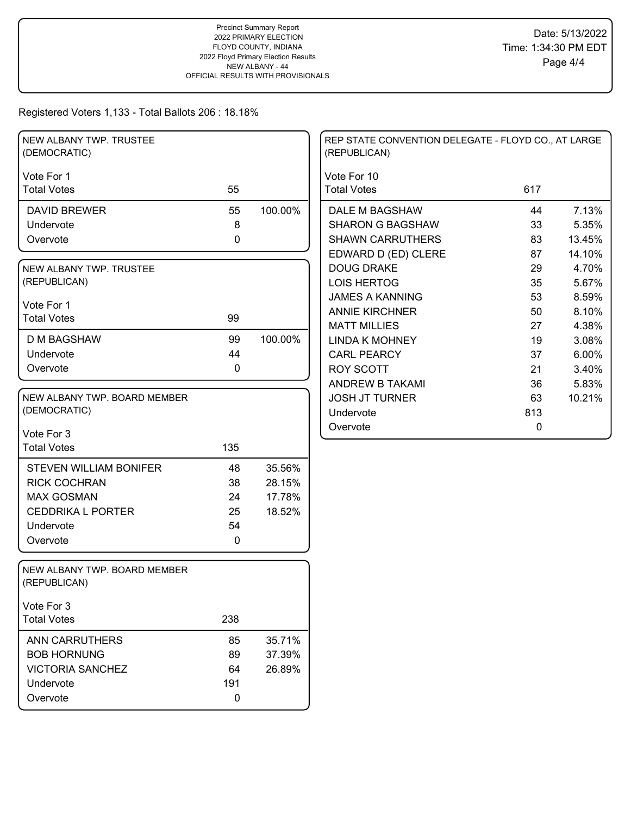| NEW ALBANY TWP. TRUSTEE<br>(DEMOCRATIC)      |             |         | REP STATE CONVENTION DELEGATE - FLOYD CO., AT LARGE<br>(REPUBLICAN) |     |        |
|----------------------------------------------|-------------|---------|---------------------------------------------------------------------|-----|--------|
| Vote For 1                                   |             |         | Vote For 10                                                         |     |        |
| <b>Total Votes</b>                           | 55          |         | <b>Total Votes</b>                                                  | 617 |        |
| <b>DAVID BREWER</b>                          | 55          | 100.00% | DALE M BAGSHAW                                                      | 44  | 7.13%  |
| Undervote                                    | 8           |         | <b>SHARON G BAGSHAW</b>                                             | 33  | 5.35%  |
| Overvote                                     | $\mathbf 0$ |         | <b>SHAWN CARRUTHERS</b>                                             | 83  | 13.45% |
|                                              |             |         | EDWARD D (ED) CLERE                                                 | 87  | 14.10% |
| NEW ALBANY TWP. TRUSTEE                      |             |         | <b>DOUG DRAKE</b>                                                   | 29  | 4.70%  |
| (REPUBLICAN)                                 |             |         | <b>LOIS HERTOG</b>                                                  | 35  | 5.67%  |
| Vote For 1                                   |             |         | <b>JAMES A KANNING</b>                                              | 53  | 8.59%  |
| <b>Total Votes</b>                           | 99          |         | <b>ANNIE KIRCHNER</b>                                               | 50  | 8.10%  |
|                                              |             |         | <b>MATT MILLIES</b>                                                 | 27  | 4.38%  |
| <b>D M BAGSHAW</b>                           | 99          | 100.00% | <b>LINDA K MOHNEY</b>                                               | 19  | 3.08%  |
| Undervote                                    | 44          |         | <b>CARL PEARCY</b>                                                  | 37  | 6.00%  |
| Overvote                                     | 0           |         | <b>ROY SCOTT</b>                                                    | 21  | 3.40%  |
|                                              |             |         | <b>ANDREW B TAKAMI</b>                                              | 36  | 5.83%  |
| NEW ALBANY TWP. BOARD MEMBER                 |             |         | <b>JOSH JT TURNER</b>                                               | 63  | 10.21% |
| (DEMOCRATIC)                                 |             |         | Undervote                                                           | 813 |        |
| Vote For 3                                   |             |         | Overvote                                                            | 0   |        |
| <b>Total Votes</b>                           | 135         |         |                                                                     |     |        |
| <b>STEVEN WILLIAM BONIFER</b>                | 48          | 35.56%  |                                                                     |     |        |
| <b>RICK COCHRAN</b>                          | 38          | 28.15%  |                                                                     |     |        |
| <b>MAX GOSMAN</b>                            |             | 17.78%  |                                                                     |     |        |
| <b>CEDDRIKA L PORTER</b>                     | 24<br>25    |         |                                                                     |     |        |
| Undervote                                    | 54          | 18.52%  |                                                                     |     |        |
|                                              | $\mathbf 0$ |         |                                                                     |     |        |
| Overvote                                     |             |         |                                                                     |     |        |
| NEW ALBANY TWP. BOARD MEMBER<br>(REPUBLICAN) |             |         |                                                                     |     |        |
| Vote For 3                                   |             |         |                                                                     |     |        |
| <b>Total Votes</b>                           | 238         |         |                                                                     |     |        |
| <b>ANN CARRUTHERS</b>                        | 85          | 35.71%  |                                                                     |     |        |
| <b>BOB HORNUNG</b>                           | 89          | 37.39%  |                                                                     |     |        |
| <b>VICTORIA SANCHEZ</b>                      | 64          | 26.89%  |                                                                     |     |        |
| Undervote                                    | 191         |         |                                                                     |     |        |
| Overvote                                     | 0           |         |                                                                     |     |        |
|                                              |             |         |                                                                     |     |        |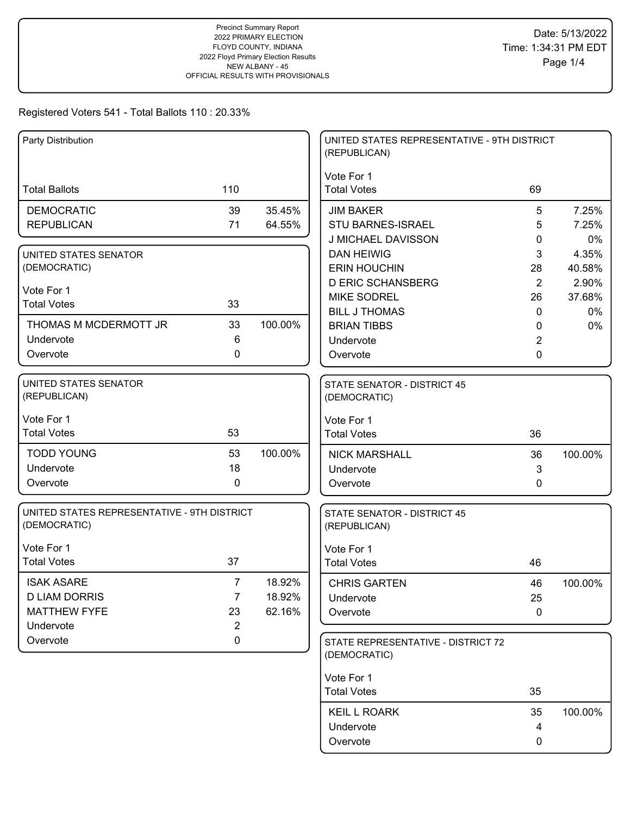| Party Distribution                          |                |         | UNITED STATES REPRESENTATIVE - 9TH DISTRICT        |                |         |
|---------------------------------------------|----------------|---------|----------------------------------------------------|----------------|---------|
|                                             |                |         | (REPUBLICAN)                                       |                |         |
|                                             |                |         | Vote For 1                                         |                |         |
| <b>Total Ballots</b>                        | 110            |         | <b>Total Votes</b>                                 | 69             |         |
| <b>DEMOCRATIC</b>                           | 39             | 35.45%  | <b>JIM BAKER</b>                                   | 5              | 7.25%   |
| <b>REPUBLICAN</b>                           | 71             | 64.55%  | STU BARNES-ISRAEL                                  | 5              | 7.25%   |
|                                             |                |         | J MICHAEL DAVISSON                                 | 0              | 0%      |
| UNITED STATES SENATOR                       |                |         | <b>DAN HEIWIG</b>                                  | 3              | 4.35%   |
| (DEMOCRATIC)                                |                |         | <b>ERIN HOUCHIN</b>                                | 28             | 40.58%  |
| Vote For 1                                  |                |         | <b>D ERIC SCHANSBERG</b>                           | 2              | 2.90%   |
| <b>Total Votes</b>                          | 33             |         | <b>MIKE SODREL</b>                                 | 26             | 37.68%  |
|                                             |                |         | <b>BILL J THOMAS</b>                               | $\mathbf{0}$   | 0%      |
| THOMAS M MCDERMOTT JR                       | 33             | 100.00% | <b>BRIAN TIBBS</b>                                 | 0              | $0\%$   |
| Undervote                                   | 6              |         | Undervote                                          | $\overline{c}$ |         |
| Overvote                                    | 0              |         | Overvote                                           | 0              |         |
| <b>UNITED STATES SENATOR</b>                |                |         | <b>STATE SENATOR - DISTRICT 45</b>                 |                |         |
| (REPUBLICAN)                                |                |         | (DEMOCRATIC)                                       |                |         |
| Vote For 1                                  |                |         | Vote For 1                                         |                |         |
| <b>Total Votes</b>                          | 53             |         | <b>Total Votes</b>                                 | 36             |         |
| <b>TODD YOUNG</b>                           | 53             | 100.00% | <b>NICK MARSHALL</b>                               | 36             | 100.00% |
| Undervote                                   | 18             |         | Undervote                                          | 3              |         |
| Overvote                                    | 0              |         | Overvote                                           | 0              |         |
| UNITED STATES REPRESENTATIVE - 9TH DISTRICT |                |         | <b>STATE SENATOR - DISTRICT 45</b>                 |                |         |
| (DEMOCRATIC)                                |                |         | (REPUBLICAN)                                       |                |         |
| Vote For 1                                  |                |         |                                                    |                |         |
| <b>Total Votes</b>                          | 37             |         | Vote For 1<br><b>Total Votes</b>                   | 46             |         |
|                                             |                |         |                                                    |                |         |
| <b>ISAK ASARE</b>                           | $\overline{7}$ | 18.92%  | <b>CHRIS GARTEN</b>                                | 46             | 100.00% |
| <b>D LIAM DORRIS</b>                        | $\overline{7}$ | 18.92%  | Undervote                                          | 25             |         |
| <b>MATTHEW FYFE</b>                         | 23             | 62.16%  | Overvote                                           | $\pmb{0}$      |         |
| Undervote                                   | $\overline{2}$ |         |                                                    |                |         |
| Overvote                                    | $\pmb{0}$      |         | STATE REPRESENTATIVE - DISTRICT 72<br>(DEMOCRATIC) |                |         |
|                                             |                |         | Vote For 1                                         |                |         |
|                                             |                |         | <b>Total Votes</b>                                 | 35             |         |
|                                             |                |         | <b>KEIL L ROARK</b>                                | 35             | 100.00% |
|                                             |                |         | Undervote                                          | 4              |         |
|                                             |                |         | Overvote                                           | 0              |         |
|                                             |                |         |                                                    |                |         |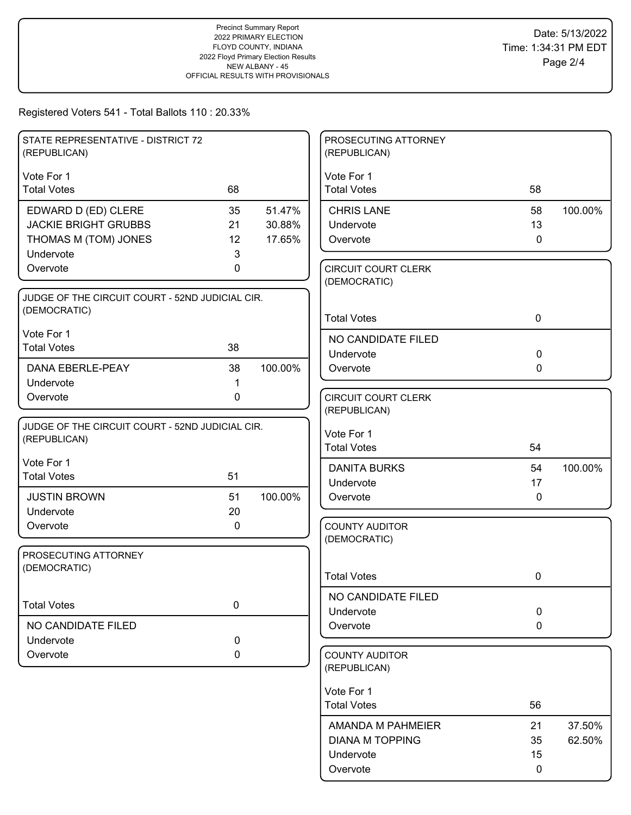| STATE REPRESENTATIVE - DISTRICT 72<br>(REPUBLICAN) |             |         | PROSECUTING ATTORNEY<br>(REPUBLICAN)       |              |         |
|----------------------------------------------------|-------------|---------|--------------------------------------------|--------------|---------|
| Vote For 1                                         |             |         | Vote For 1                                 |              |         |
| <b>Total Votes</b>                                 | 68          |         | <b>Total Votes</b>                         | 58           |         |
| EDWARD D (ED) CLERE                                | 35          | 51.47%  | <b>CHRIS LANE</b>                          | 58           | 100.00% |
| <b>JACKIE BRIGHT GRUBBS</b>                        | 21          | 30.88%  | Undervote                                  | 13           |         |
| THOMAS M (TOM) JONES                               | 12          | 17.65%  | Overvote                                   | $\mathbf 0$  |         |
| Undervote                                          | 3           |         |                                            |              |         |
| Overvote                                           | 0           |         | <b>CIRCUIT COURT CLERK</b><br>(DEMOCRATIC) |              |         |
| JUDGE OF THE CIRCUIT COURT - 52ND JUDICIAL CIR.    |             |         |                                            |              |         |
| (DEMOCRATIC)                                       |             |         | <b>Total Votes</b>                         | $\mathbf 0$  |         |
| Vote For 1                                         |             |         |                                            |              |         |
| <b>Total Votes</b>                                 | 38          |         | NO CANDIDATE FILED<br>Undervote            | $\mathbf 0$  |         |
| DANA EBERLE-PEAY                                   | 38          | 100.00% | Overvote                                   | $\mathbf{0}$ |         |
| Undervote                                          | 1           |         |                                            |              |         |
| Overvote                                           | 0           |         | <b>CIRCUIT COURT CLERK</b>                 |              |         |
|                                                    |             |         | (REPUBLICAN)                               |              |         |
| JUDGE OF THE CIRCUIT COURT - 52ND JUDICIAL CIR.    |             |         |                                            |              |         |
| (REPUBLICAN)                                       |             |         | Vote For 1<br><b>Total Votes</b>           | 54           |         |
| Vote For 1                                         |             |         |                                            |              |         |
| <b>Total Votes</b>                                 | 51          |         | <b>DANITA BURKS</b>                        | 54           | 100.00% |
|                                                    |             |         | Undervote                                  | 17           |         |
| <b>JUSTIN BROWN</b>                                | 51          | 100.00% | Overvote                                   | $\mathbf{0}$ |         |
| Undervote                                          | 20          |         |                                            |              |         |
| Overvote                                           | $\mathbf 0$ |         | <b>COUNTY AUDITOR</b><br>(DEMOCRATIC)      |              |         |
| PROSECUTING ATTORNEY                               |             |         |                                            |              |         |
| (DEMOCRATIC)                                       |             |         |                                            |              |         |
|                                                    |             |         | <b>Total Votes</b>                         | 0            |         |
|                                                    |             |         | NO CANDIDATE FILED                         |              |         |
| <b>Total Votes</b>                                 | $\pmb{0}$   |         | Undervote                                  | $\mathbf 0$  |         |
| NO CANDIDATE FILED                                 |             |         | Overvote                                   | $\mathbf 0$  |         |
| Undervote                                          | 0           |         |                                            |              |         |
| Overvote                                           | 0           |         | <b>COUNTY AUDITOR</b><br>(REPUBLICAN)      |              |         |
|                                                    |             |         | Vote For 1                                 |              |         |
|                                                    |             |         | <b>Total Votes</b>                         | 56           |         |
|                                                    |             |         | AMANDA M PAHMEIER                          | 21           | 37.50%  |
|                                                    |             |         | <b>DIANA M TOPPING</b>                     | 35           | 62.50%  |
|                                                    |             |         | Undervote                                  | 15           |         |
|                                                    |             |         | Overvote                                   | 0            |         |
|                                                    |             |         |                                            |              |         |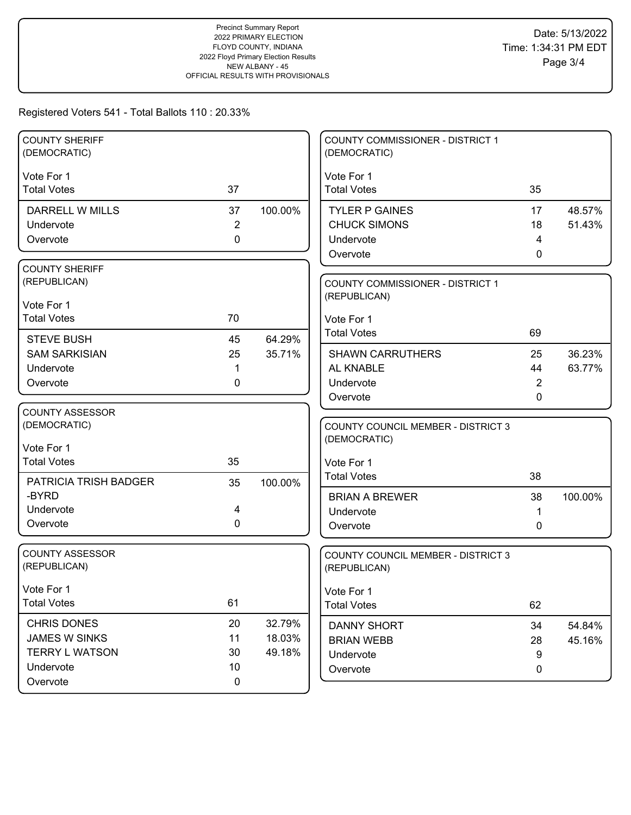| <b>COUNTY SHERIFF</b><br>(DEMOCRATIC)  |                |         | <b>COUNTY COMMISSIONER - DISTRICT 1</b><br>(DEMOCRATIC) |        |         |
|----------------------------------------|----------------|---------|---------------------------------------------------------|--------|---------|
| Vote For 1                             |                |         | Vote For 1                                              |        |         |
| <b>Total Votes</b>                     | 37             |         | <b>Total Votes</b>                                      | 35     |         |
| DARRELL W MILLS                        | 37             | 100.00% | <b>TYLER P GAINES</b>                                   | 17     | 48.57%  |
| Undervote                              | $\overline{2}$ |         | <b>CHUCK SIMONS</b>                                     | 18     | 51.43%  |
| Overvote                               | $\mathbf 0$    |         | Undervote                                               | 4      |         |
|                                        |                |         | Overvote                                                | 0      |         |
| <b>COUNTY SHERIFF</b>                  |                |         |                                                         |        |         |
| (REPUBLICAN)                           |                |         | COUNTY COMMISSIONER - DISTRICT 1                        |        |         |
| Vote For 1                             |                |         | (REPUBLICAN)                                            |        |         |
| <b>Total Votes</b>                     | 70             |         | Vote For 1                                              |        |         |
| <b>STEVE BUSH</b>                      | 45             | 64.29%  | <b>Total Votes</b>                                      | 69     |         |
| <b>SAM SARKISIAN</b>                   | 25             | 35.71%  | <b>SHAWN CARRUTHERS</b>                                 | 25     | 36.23%  |
| Undervote                              | 1              |         | AL KNABLE                                               | 44     | 63.77%  |
| Overvote                               | 0              |         | Undervote                                               | 2      |         |
|                                        |                |         | Overvote                                                | 0      |         |
| <b>COUNTY ASSESSOR</b>                 |                |         |                                                         |        |         |
| (DEMOCRATIC)                           |                |         | <b>COUNTY COUNCIL MEMBER - DISTRICT 3</b>               |        |         |
| Vote For 1                             |                |         | (DEMOCRATIC)                                            |        |         |
| <b>Total Votes</b>                     | 35             |         | Vote For 1                                              |        |         |
|                                        |                |         | <b>Total Votes</b>                                      | 38     |         |
| <b>PATRICIA TRISH BADGER</b><br>-BYRD  | 35             | 100.00% |                                                         |        |         |
| Undervote                              | 4              |         | <b>BRIAN A BREWER</b>                                   | 38     | 100.00% |
| Overvote                               | $\mathbf 0$    |         | Undervote<br>Overvote                                   | 1<br>0 |         |
|                                        |                |         |                                                         |        |         |
| <b>COUNTY ASSESSOR</b><br>(REPUBLICAN) |                |         | COUNTY COUNCIL MEMBER - DISTRICT 3                      |        |         |
|                                        |                |         | (REPUBLICAN)                                            |        |         |
| Vote For 1                             |                |         | Vote For 1                                              |        |         |
| <b>Total Votes</b>                     | 61             |         | <b>Total Votes</b>                                      | 62     |         |
| <b>CHRIS DONES</b>                     | 20             | 32.79%  | <b>DANNY SHORT</b>                                      | 34     | 54.84%  |
| JAMES W SINKS                          | 11             | 18.03%  | <b>BRIAN WEBB</b>                                       | 28     | 45.16%  |
| <b>TERRY L WATSON</b>                  | 30             | 49.18%  | Undervote                                               | 9      |         |
| Undervote                              | 10             |         | Overvote                                                | 0      |         |
| Overvote                               | $\mathbf 0$    |         |                                                         |        |         |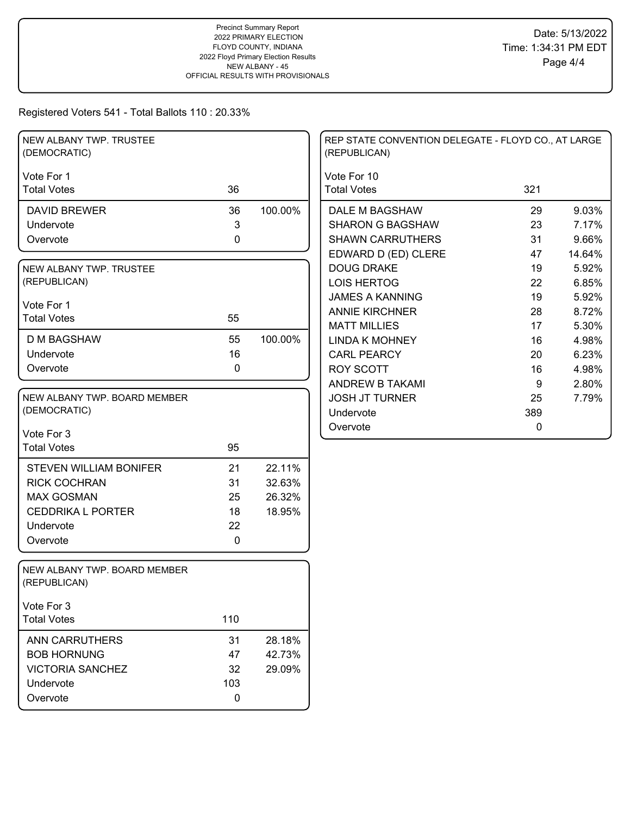| NEW ALBANY TWP. TRUSTEE<br>(DEMOCRATIC)      |             |         | REP STATE CONVENTION DELEGATE - FLOYD CO., AT LARGE<br>(REPUBLICAN) |     |        |
|----------------------------------------------|-------------|---------|---------------------------------------------------------------------|-----|--------|
| Vote For 1                                   |             |         | Vote For 10                                                         |     |        |
| <b>Total Votes</b>                           | 36          |         | <b>Total Votes</b>                                                  | 321 |        |
| <b>DAVID BREWER</b>                          | 36          | 100.00% | DALE M BAGSHAW                                                      | 29  | 9.03%  |
| Undervote                                    | 3           |         | <b>SHARON G BAGSHAW</b>                                             | 23  | 7.17%  |
| Overvote                                     | $\mathbf 0$ |         | <b>SHAWN CARRUTHERS</b>                                             | 31  | 9.66%  |
|                                              |             |         | EDWARD D (ED) CLERE                                                 | 47  | 14.64% |
| NEW ALBANY TWP. TRUSTEE                      |             |         | <b>DOUG DRAKE</b>                                                   | 19  | 5.92%  |
| (REPUBLICAN)                                 |             |         | <b>LOIS HERTOG</b>                                                  | 22  | 6.85%  |
| Vote For 1                                   |             |         | <b>JAMES A KANNING</b>                                              | 19  | 5.92%  |
| <b>Total Votes</b>                           | 55          |         | <b>ANNIE KIRCHNER</b>                                               | 28  | 8.72%  |
|                                              |             |         | <b>MATT MILLIES</b>                                                 | 17  | 5.30%  |
| <b>D M BAGSHAW</b>                           | 55          | 100.00% | <b>LINDA K MOHNEY</b>                                               | 16  | 4.98%  |
| Undervote                                    | 16          |         | <b>CARL PEARCY</b>                                                  | 20  | 6.23%  |
| Overvote                                     | 0           |         | <b>ROY SCOTT</b>                                                    | 16  | 4.98%  |
|                                              |             |         | ANDREW B TAKAMI                                                     | 9   | 2.80%  |
| NEW ALBANY TWP. BOARD MEMBER                 |             |         | <b>JOSH JT TURNER</b>                                               | 25  | 7.79%  |
| (DEMOCRATIC)                                 |             |         | Undervote                                                           | 389 |        |
| Vote For 3                                   |             |         | Overvote                                                            | 0   |        |
| <b>Total Votes</b>                           | 95          |         |                                                                     |     |        |
| <b>STEVEN WILLIAM BONIFER</b>                | 21          | 22.11%  |                                                                     |     |        |
| <b>RICK COCHRAN</b>                          | 31          | 32.63%  |                                                                     |     |        |
| <b>MAX GOSMAN</b>                            | 25          | 26.32%  |                                                                     |     |        |
| <b>CEDDRIKA L PORTER</b>                     | 18          | 18.95%  |                                                                     |     |        |
| Undervote                                    | 22          |         |                                                                     |     |        |
| Overvote                                     | $\mathbf 0$ |         |                                                                     |     |        |
|                                              |             |         |                                                                     |     |        |
| NEW ALBANY TWP. BOARD MEMBER<br>(REPUBLICAN) |             |         |                                                                     |     |        |
| Vote For 3                                   |             |         |                                                                     |     |        |
| <b>Total Votes</b>                           | 110         |         |                                                                     |     |        |
| <b>ANN CARRUTHERS</b>                        | 31          | 28.18%  |                                                                     |     |        |
| <b>BOB HORNUNG</b>                           | 47          | 42.73%  |                                                                     |     |        |
| <b>VICTORIA SANCHEZ</b>                      | 32          | 29.09%  |                                                                     |     |        |
| Undervote                                    | 103         |         |                                                                     |     |        |
| Overvote                                     | $\mathbf 0$ |         |                                                                     |     |        |
|                                              |             |         |                                                                     |     |        |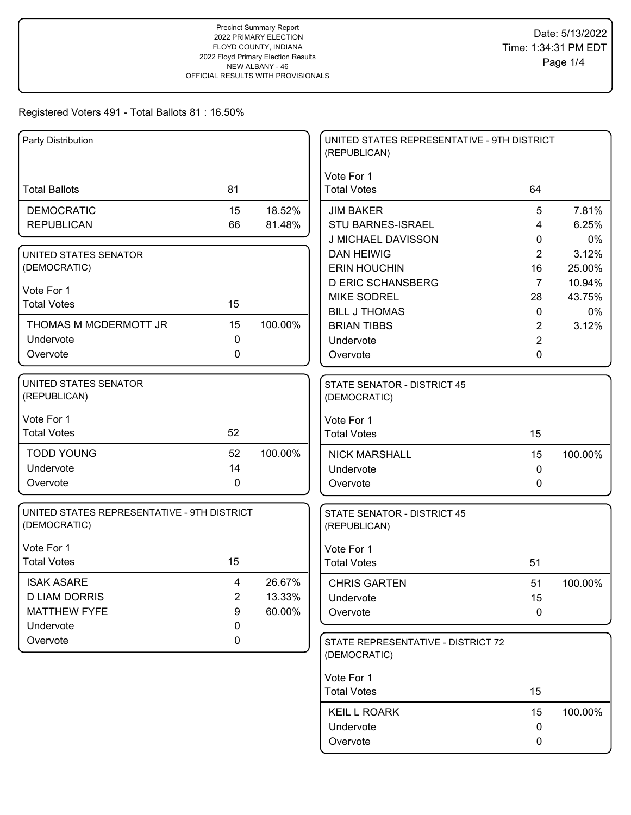| Party Distribution                          |                |         | UNITED STATES REPRESENTATIVE - 9TH DISTRICT<br>(REPUBLICAN) |                |         |
|---------------------------------------------|----------------|---------|-------------------------------------------------------------|----------------|---------|
|                                             |                |         | Vote For 1                                                  |                |         |
| <b>Total Ballots</b>                        | 81             |         | <b>Total Votes</b>                                          | 64             |         |
| <b>DEMOCRATIC</b>                           | 15             | 18.52%  | <b>JIM BAKER</b>                                            | 5              | 7.81%   |
| <b>REPUBLICAN</b>                           | 66             | 81.48%  | <b>STU BARNES-ISRAEL</b>                                    | 4              | 6.25%   |
|                                             |                |         | J MICHAEL DAVISSON                                          | 0              | 0%      |
| UNITED STATES SENATOR                       |                |         | <b>DAN HEIWIG</b>                                           | 2              | 3.12%   |
| (DEMOCRATIC)                                |                |         | <b>ERIN HOUCHIN</b>                                         | 16             | 25.00%  |
| Vote For 1                                  |                |         | <b>D ERIC SCHANSBERG</b>                                    | $\overline{7}$ | 10.94%  |
| <b>Total Votes</b>                          | 15             |         | <b>MIKE SODREL</b>                                          | 28             | 43.75%  |
|                                             |                |         | <b>BILL J THOMAS</b>                                        | $\mathbf 0$    | 0%      |
| THOMAS M MCDERMOTT JR                       | 15             | 100.00% | <b>BRIAN TIBBS</b>                                          | $\overline{2}$ | 3.12%   |
| Undervote                                   | 0              |         | Undervote                                                   | 2              |         |
| Overvote                                    | 0              |         | Overvote                                                    | 0              |         |
| UNITED STATES SENATOR                       |                |         | <b>STATE SENATOR - DISTRICT 45</b>                          |                |         |
| (REPUBLICAN)                                |                |         | (DEMOCRATIC)                                                |                |         |
| Vote For 1                                  |                |         | Vote For 1                                                  |                |         |
| <b>Total Votes</b>                          | 52             |         | <b>Total Votes</b>                                          | 15             |         |
| <b>TODD YOUNG</b>                           | 52             | 100.00% | <b>NICK MARSHALL</b>                                        | 15             | 100.00% |
| Undervote                                   | 14             |         | Undervote                                                   | $\mathbf{0}$   |         |
| Overvote                                    | $\mathbf 0$    |         | Overvote                                                    | 0              |         |
| UNITED STATES REPRESENTATIVE - 9TH DISTRICT |                |         | <b>STATE SENATOR - DISTRICT 45</b>                          |                |         |
| (DEMOCRATIC)                                |                |         | (REPUBLICAN)                                                |                |         |
| Vote For 1                                  |                |         |                                                             |                |         |
| <b>Total Votes</b>                          | 15             |         | Vote For 1<br><b>Total Votes</b>                            | 51             |         |
|                                             |                |         |                                                             |                |         |
| <b>ISAK ASARE</b>                           | 4              | 26.67%  | <b>CHRIS GARTEN</b>                                         | 51             | 100.00% |
| <b>D LIAM DORRIS</b>                        | $\overline{2}$ | 13.33%  | Undervote                                                   | 15             |         |
| <b>MATTHEW FYFE</b>                         | 9              | 60.00%  | Overvote                                                    | $\mathbf 0$    |         |
| Undervote<br>Overvote                       | 0<br>$\pmb{0}$ |         |                                                             |                |         |
|                                             |                |         | STATE REPRESENTATIVE - DISTRICT 72<br>(DEMOCRATIC)          |                |         |
|                                             |                |         |                                                             |                |         |
|                                             |                |         | Vote For 1                                                  |                |         |
|                                             |                |         | <b>Total Votes</b>                                          | 15             |         |
|                                             |                |         | <b>KEIL L ROARK</b>                                         | 15             | 100.00% |
|                                             |                |         | Undervote                                                   | 0              |         |
|                                             |                |         | Overvote                                                    | 0              |         |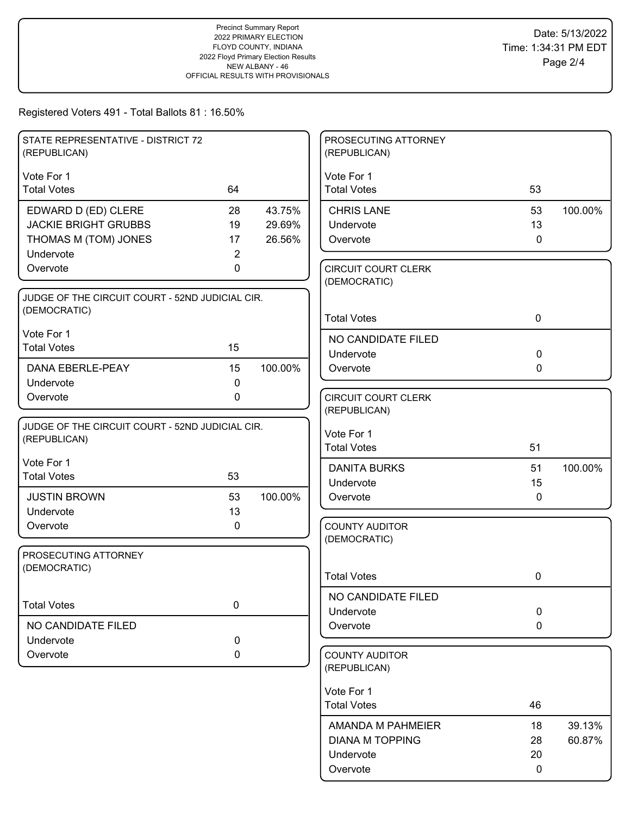| STATE REPRESENTATIVE - DISTRICT 72<br>(REPUBLICAN) |                |         | PROSECUTING ATTORNEY<br>(REPUBLICAN)       |              |         |
|----------------------------------------------------|----------------|---------|--------------------------------------------|--------------|---------|
| Vote For 1                                         |                |         | Vote For 1                                 |              |         |
| <b>Total Votes</b>                                 | 64             |         | <b>Total Votes</b>                         | 53           |         |
| EDWARD D (ED) CLERE                                | 28             | 43.75%  | <b>CHRIS LANE</b>                          | 53           | 100.00% |
| <b>JACKIE BRIGHT GRUBBS</b>                        | 19             | 29.69%  | Undervote                                  | 13           |         |
| THOMAS M (TOM) JONES                               | 17             | 26.56%  | Overvote                                   | $\mathbf 0$  |         |
| Undervote                                          | $\overline{c}$ |         |                                            |              |         |
| Overvote                                           | 0              |         | <b>CIRCUIT COURT CLERK</b><br>(DEMOCRATIC) |              |         |
| JUDGE OF THE CIRCUIT COURT - 52ND JUDICIAL CIR.    |                |         |                                            |              |         |
| (DEMOCRATIC)                                       |                |         |                                            |              |         |
|                                                    |                |         | <b>Total Votes</b>                         | $\mathbf 0$  |         |
| Vote For 1                                         |                |         | NO CANDIDATE FILED                         |              |         |
| <b>Total Votes</b>                                 | 15             |         | Undervote                                  | $\mathbf 0$  |         |
| DANA EBERLE-PEAY                                   | 15             | 100.00% | Overvote                                   | 0            |         |
| Undervote                                          | $\mathbf 0$    |         |                                            |              |         |
| Overvote                                           | $\mathbf 0$    |         | <b>CIRCUIT COURT CLERK</b>                 |              |         |
|                                                    |                |         | (REPUBLICAN)                               |              |         |
| JUDGE OF THE CIRCUIT COURT - 52ND JUDICIAL CIR.    |                |         | Vote For 1                                 |              |         |
| (REPUBLICAN)                                       |                |         | <b>Total Votes</b>                         | 51           |         |
| Vote For 1                                         |                |         | <b>DANITA BURKS</b>                        | 51           | 100.00% |
| <b>Total Votes</b>                                 | 53             |         | Undervote                                  | 15           |         |
| <b>JUSTIN BROWN</b>                                | 53             | 100.00% | Overvote                                   | $\mathbf{0}$ |         |
| Undervote                                          | 13             |         |                                            |              |         |
| Overvote                                           | 0              |         | <b>COUNTY AUDITOR</b>                      |              |         |
|                                                    |                |         | (DEMOCRATIC)                               |              |         |
| PROSECUTING ATTORNEY                               |                |         |                                            |              |         |
| (DEMOCRATIC)                                       |                |         | <b>Total Votes</b>                         | 0            |         |
|                                                    |                |         |                                            |              |         |
| <b>Total Votes</b>                                 | $\mathbf 0$    |         | NO CANDIDATE FILED                         |              |         |
|                                                    |                |         | Undervote                                  | $\mathbf 0$  |         |
| NO CANDIDATE FILED                                 |                |         | Overvote                                   | $\mathbf 0$  |         |
| Undervote                                          | 0<br>0         |         | <b>COUNTY AUDITOR</b>                      |              |         |
| Overvote                                           |                |         | (REPUBLICAN)                               |              |         |
|                                                    |                |         |                                            |              |         |
|                                                    |                |         | Vote For 1                                 |              |         |
|                                                    |                |         | <b>Total Votes</b>                         | 46           |         |
|                                                    |                |         | AMANDA M PAHMEIER                          | 18           | 39.13%  |
|                                                    |                |         | <b>DIANA M TOPPING</b>                     | 28           | 60.87%  |
|                                                    |                |         | Undervote                                  | 20           |         |
|                                                    |                |         | Overvote                                   | 0            |         |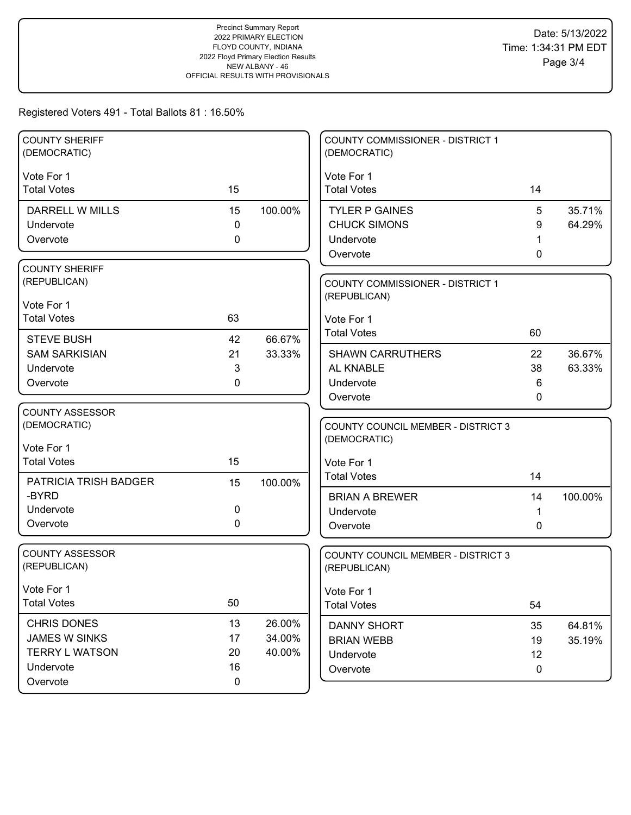| <b>COUNTY SHERIFF</b><br>(DEMOCRATIC) |             |         | <b>COUNTY COMMISSIONER - DISTRICT 1</b><br>(DEMOCRATIC) |              |         |
|---------------------------------------|-------------|---------|---------------------------------------------------------|--------------|---------|
| Vote For 1                            |             |         | Vote For 1                                              |              |         |
| <b>Total Votes</b>                    | 15          |         | <b>Total Votes</b>                                      | 14           |         |
| DARRELL W MILLS                       | 15          | 100.00% | <b>TYLER P GAINES</b>                                   | 5            | 35.71%  |
| Undervote                             | $\mathbf 0$ |         | <b>CHUCK SIMONS</b>                                     | 9            | 64.29%  |
| Overvote                              | 0           |         | Undervote                                               |              |         |
|                                       |             |         | Overvote                                                | 0            |         |
| <b>COUNTY SHERIFF</b>                 |             |         |                                                         |              |         |
| (REPUBLICAN)                          |             |         | <b>COUNTY COMMISSIONER - DISTRICT 1</b>                 |              |         |
| Vote For 1                            |             |         | (REPUBLICAN)                                            |              |         |
| <b>Total Votes</b>                    | 63          |         | Vote For 1                                              |              |         |
| <b>STEVE BUSH</b>                     | 42          | 66.67%  | <b>Total Votes</b>                                      | 60           |         |
| <b>SAM SARKISIAN</b>                  | 21          | 33.33%  | <b>SHAWN CARRUTHERS</b>                                 | 22           | 36.67%  |
| Undervote                             | 3           |         | AL KNABLE                                               | 38           | 63.33%  |
| Overvote                              | 0           |         | Undervote                                               | 6            |         |
|                                       |             |         | Overvote                                                | $\mathbf{0}$ |         |
| <b>COUNTY ASSESSOR</b>                |             |         |                                                         |              |         |
| (DEMOCRATIC)                          |             |         | <b>COUNTY COUNCIL MEMBER - DISTRICT 3</b>               |              |         |
| Vote For 1                            |             |         | (DEMOCRATIC)                                            |              |         |
| <b>Total Votes</b>                    | 15          |         | Vote For 1                                              |              |         |
| PATRICIA TRISH BADGER                 | 15          | 100.00% | <b>Total Votes</b>                                      | 14           |         |
| -BYRD                                 |             |         | <b>BRIAN A BREWER</b>                                   | 14           | 100.00% |
| Undervote                             | 0           |         | Undervote                                               | 1            |         |
| Overvote                              | 0           |         | Overvote                                                | $\Omega$     |         |
|                                       |             |         |                                                         |              |         |
| <b>COUNTY ASSESSOR</b>                |             |         | <b>COUNTY COUNCIL MEMBER - DISTRICT 3</b>               |              |         |
| (REPUBLICAN)                          |             |         | (REPUBLICAN)                                            |              |         |
| Vote For 1                            |             |         | Vote For 1                                              |              |         |
| <b>Total Votes</b>                    | 50          |         | <b>Total Votes</b>                                      | 54           |         |
| <b>CHRIS DONES</b>                    | 13          | 26.00%  |                                                         |              |         |
| <b>JAMES W SINKS</b>                  | 17          | 34.00%  | <b>DANNY SHORT</b><br><b>BRIAN WEBB</b>                 | 35<br>19     | 64.81%  |
| <b>TERRY L WATSON</b>                 | 20          | 40.00%  | Undervote                                               | 12           | 35.19%  |
| Undervote                             | 16          |         | Overvote                                                | 0            |         |
| Overvote                              |             |         |                                                         |              |         |